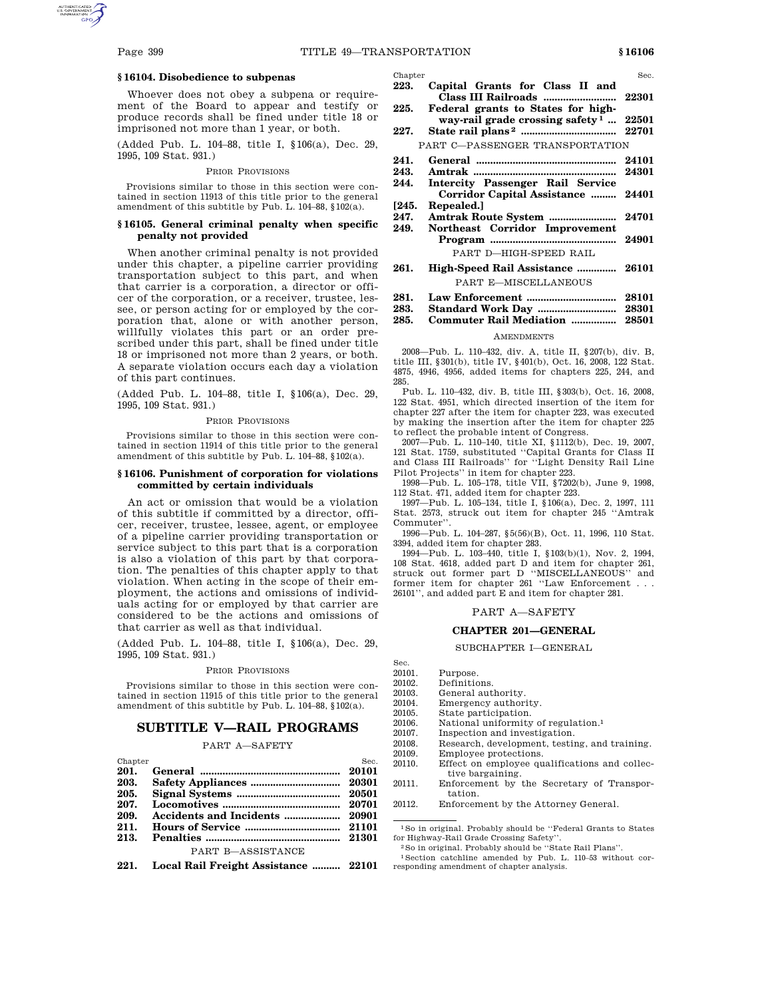## **§ 16104. Disobedience to subpenas**

Whoever does not obey a subpena or requirement of the Board to appear and testify or produce records shall be fined under title 18 or imprisoned not more than 1 year, or both.

(Added Pub. L. 104–88, title I, §106(a), Dec. 29, 1995, 109 Stat. 931.)

#### PRIOR PROVISIONS

Provisions similar to those in this section were contained in section 11913 of this title prior to the general amendment of this subtitle by Pub. L.  $104-88$ ,  $$102(a)$ .

## **§ 16105. General criminal penalty when specific penalty not provided**

When another criminal penalty is not provided under this chapter, a pipeline carrier providing transportation subject to this part, and when that carrier is a corporation, a director or officer of the corporation, or a receiver, trustee, lessee, or person acting for or employed by the corporation that, alone or with another person, willfully violates this part or an order prescribed under this part, shall be fined under title 18 or imprisoned not more than 2 years, or both. A separate violation occurs each day a violation of this part continues.

(Added Pub. L. 104–88, title I, §106(a), Dec. 29, 1995, 109 Stat. 931.)

#### PRIOR PROVISIONS

Provisions similar to those in this section were contained in section 11914 of this title prior to the general amendment of this subtitle by Pub. L. 104–88, §102(a).

## **§ 16106. Punishment of corporation for violations committed by certain individuals**

An act or omission that would be a violation of this subtitle if committed by a director, officer, receiver, trustee, lessee, agent, or employee of a pipeline carrier providing transportation or service subject to this part that is a corporation is also a violation of this part by that corporation. The penalties of this chapter apply to that violation. When acting in the scope of their employment, the actions and omissions of individuals acting for or employed by that carrier are considered to be the actions and omissions of that carrier as well as that individual.

(Added Pub. L. 104–88, title I, §106(a), Dec. 29, 1995, 109 Stat. 931.)

#### PRIOR PROVISIONS

Provisions similar to those in this section were contained in section 11915 of this title prior to the general amendment of this subtitle by Pub. L.  $104-88$ ,  $$102(a)$ .

## **SUBTITLE V—RAIL PROGRAMS**

# PART A—SAFETY

| Chapter |                   | Sec. |
|---------|-------------------|------|
| 201.    |                   |      |
| 203.    |                   |      |
|         |                   |      |
| 207.    |                   |      |
| 209.    |                   |      |
| 211.    |                   |      |
| 213.    |                   |      |
|         | PART B-ASSISTANCE |      |
|         |                   |      |

**221. Local Rail Freight Assistance .......... 22101**

- Chapter Sec. Sec. **223. Capital Grants for Class II and Class III Railroads .......................... 22301**
- **225. Federal grants to States for highway-rail grade crossing safety 1 ... 22501**
- **227. State rail plans 2 .................................. 22701** PART C—PASSENGER TRANSPORTATION
- **241. General .................................................. 24101**
	- **243. Amtrak ................................................... 24301**
- **244. Intercity Passenger Rail Service Corridor Capital Assistance ......... 24401**
- **[245. Repealed.]**
- **247. Amtrak Route System ........................ 24701 249. Northeast Corridor Improvement Program ............................................. 24901**

## PART D—HIGH-SPEED RAIL

- **261. High-Speed Rail Assistance .............. 26101** PART E—MISCELLANEOUS
- **281. Law Enforcement ................................ 28101**
- **283. Standard Work Day ............................ 28301**
- **285. Commuter Rail Mediation ................ 28501**

#### **AMENDMENTS**

2008—Pub. L. 110–432, div. A, title II, §207(b), div. B, title III, §301(b), title IV, §401(b), Oct. 16, 2008, 122 Stat. 4875, 4946, 4956, added items for chapters 225, 244, and 285.

Pub. L. 110–432, div. B, title III, §303(b), Oct. 16, 2008, 122 Stat. 4951, which directed insertion of the item for chapter 227 after the item for chapter 223, was executed by making the insertion after the item for chapter 225 to reflect the probable intent of Congress.

2007—Pub. L. 110–140, title XI, §1112(b), Dec. 19, 2007, 121 Stat. 1759, substituted ''Capital Grants for Class II and Class III Railroads'' for ''Light Density Rail Line Pilot Projects'' in item for chapter 223.

1998—Pub. L. 105–178, title VII, §7202(b), June 9, 1998, 112 Stat. 471, added item for chapter 223.

1997—Pub. L. 105–134, title I, §106(a), Dec. 2, 1997, 111 Stat. 2573, struck out item for chapter 245 ''Amtrak Commuter''.

1996—Pub. L. 104–287, §5(56)(B), Oct. 11, 1996, 110 Stat. 3394, added item for chapter 283.

1994—Pub. L. 103–440, title I, §103(b)(1), Nov. 2, 1994, 108 Stat. 4618, added part D and item for chapter 261, struck out former part D ''MISCELLANEOUS'' and former item for chapter 261 ''Law Enforcement . . . 26101'', and added part E and item for chapter 281.

PART A—SAFETY

### **CHAPTER 201—GENERAL**

#### SUBCHAPTER I—GENERAL

- Sec.<br>20101.
- 20101. Purpose.<br>20102. Definitio Definitions.
	-
- 20103. General authority.<br>20104. Emergency author 20104. Emergency authority.<br>20105 State participation
- State participation.
- 20106. National uniformity of regulation.<sup>1</sup>  $20107$  Inspection and investigation
	- Inspection and investigation.
- 20108. Research, development, testing, and training.
- 20109. Employee protections.
- 20110. Effect on employee qualifications and collective bargaining.
- 20111. Enforcement by the Secretary of Transportation.
- 20112. Enforcement by the Attorney General.

1So in original. Probably should be ''Federal Grants to States for Highway-Rail Grade Crossing Safety''.

- 2So in original. Probably should be ''State Rail Plans''.
- 1Section catchline amended by Pub. L. 110–53 without corresponding amendment of chapter analysis.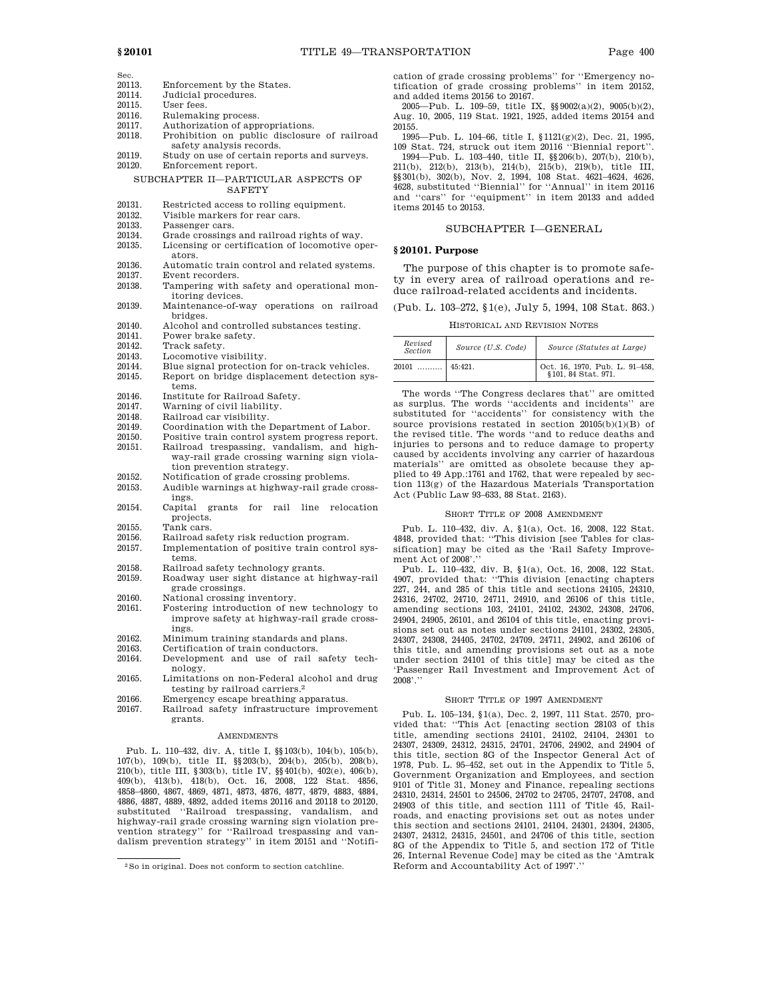- Sec.<br>20113 20113. Enforcement by the States.<br>20114 Judicial procedures. Judicial procedures. 20115. User fees.<br>20116 Rulemaki
- 20116. Rulemaking process.<br>20117. Authorization of app.
- Authorization of appropriations.
- 20118. Prohibition on public disclosure of railroad safety analysis records.
- 20119. Study on use of certain reports and surveys.<br>20120. Enforcement report. Enforcement report.

### SUBCHAPTER II—PARTICULAR ASPECTS OF **SAFETY**

- 20131. Restricted access to rolling equipment.<br>20132. Visible markers for rear cars.
- Visible markers for rear cars.
- 20133. Passenger cars.<br>20134 Grade crossings
- 20134. Grade crossings and railroad rights of way.<br>20135. Licensing or certification of locomotive op
- Licensing or certification of locomotive operators.
- 20136. Automatic train control and related systems.<br>20137. Event recorders.
- 20137. Event recorders.<br>20138. Tampering with
- Tampering with safety and operational monitoring devices.
- 20139. Maintenance-of-way operations on railroad bridges.
- 20140. Alcohol and controlled substances testing.<br>20141. Power brake safety.
- 20141. Power brake safety.<br>20142. Track safety.
- 20142. Track safety.<br>20143. Locomotive v
- 20143. Locomotive visibility.<br>20144. Blue signal protection
- 20144. Blue signal protection for on-track vehicles.<br>20145. Report on bridge displacement detection sy
- Report on bridge displacement detection systems.
- 20146. Institute for Railroad Safety.<br>20147. Warning of civil liability.
- 20147. Warning of civil liability.<br>20148. Railroad car visibility.
- 20148. Railroad car visibility.<br>20149 Coordination with the
- Coordination with the Department of Labor.
- 20150. Positive train control system progress report.<br>20151. Railroad trespassing, vandalism, and high-Railroad trespassing, vandalism, and high-
- way-rail grade crossing warning sign violation prevention strategy.
- 20152. Notification of grade crossing problems.<br>20153. Audible warnings at highway-rail grade
- Audible warnings at highway-rail grade crossings.
- 20154. Capital grants for rail line relocation projects.
- 20155. Tank cars.<br>20156. Railroad sa
- 20156. Railroad safety risk reduction program.<br>20157. Implementation of positive train control
- Implementation of positive train control systems.
- 20158. Railroad safety technology grants.<br>20159. Roadway user sight distance at h
- Roadway user sight distance at highway-rail grade crossings.
- 
- 20160. National crossing inventory.<br>20161. Fostering introduction of no Fostering introduction of new technology to improve safety at highway-rail grade crossings.
- 20162. Minimum training standards and plans.
- 20163. Certification of train conductors.<br>20164. Development and use of rail
- Development and use of rail safety technology.
- 20165. Limitations on non-Federal alcohol and drug testing by railroad carriers.2
- 20166. Emergency escape breathing apparatus.
- 20167. Railroad safety infrastructure improvement grants.

#### AMENDMENTS

Pub. L. 110–432, div. A, title I, §§103(b), 104(b), 105(b), 107(b), 109(b), title II, §§203(b), 204(b), 205(b), 208(b), 210(b), title III, §303(b), title IV, §§401(b), 402(e), 406(b), 409(b), 413(b), 418(b), Oct. 16, 2008, 122 Stat. 4856, 4858–4860, 4867, 4869, 4871, 4873, 4876, 4877, 4879, 4883, 4884, 4886, 4887, 4889, 4892, added items 20116 and 20118 to 20120, substituted ''Railroad trespassing, vandalism, and highway-rail grade crossing warning sign violation prevention strategy'' for ''Railroad trespassing and vandalism prevention strategy'' in item 20151 and ''Notification of grade crossing problems'' for ''Emergency notification of grade crossing problems'' in item 20152, and added items 20156 to 20167.

2005—Pub. L. 109–59, title IX, §§9002(a)(2), 9005(b)(2), Aug. 10, 2005, 119 Stat. 1921, 1925, added items 20154 and 20155.

1995—Pub. L. 104–66, title I, §1121(g)(2), Dec. 21, 1995, 109 Stat. 724, struck out item 20116 ''Biennial report''.

1994—Pub. L. 103–440, title II, §§206(b), 207(b), 210(b), 211(b), 212(b), 213(b), 214(b), 215(b), 219(b), title III, §§301(b), 302(b), Nov. 2, 1994, 108 Stat. 4621–4624, 4626, 4628, substituted ''Biennial'' for ''Annual'' in item 20116 and ''cars'' for ''equipment'' in item 20133 and added items 20145 to 20153.

## SUBCHAPTER I—GENERAL

### **§ 20101. Purpose**

The purpose of this chapter is to promote safety in every area of railroad operations and reduce railroad-related accidents and incidents.

(Pub. L. 103–272, §1(e), July 5, 1994, 108 Stat. 863.)

#### HISTORICAL AND REVISION NOTES

| Revised<br><i>Section</i> | Source (U.S. Code) | Source (Statutes at Large)                                           |
|---------------------------|--------------------|----------------------------------------------------------------------|
| 20101                     | $45:421$ .         | $\frac{1}{2}$ Oct. 16, 1970, Pub. L. 91–458,<br>§ 101, 84 Stat. 971. |

The words ''The Congress declares that'' are omitted as surplus. The words ''accidents and incidents'' are substituted for ''accidents'' for consistency with the source provisions restated in section 20105(b)(1)(B) of the revised title. The words ''and to reduce deaths and injuries to persons and to reduce damage to property caused by accidents involving any carrier of hazardous materials'' are omitted as obsolete because they applied to 49 App.:1761 and 1762, that were repealed by section 113(g) of the Hazardous Materials Transportation Act (Public Law 93–633, 88 Stat. 2163).

## SHORT TITLE OF 2008 AMENDMENT

Pub. L. 110–432, div. A, §1(a), Oct. 16, 2008, 122 Stat. 4848, provided that: ''This division [see Tables for classification] may be cited as the 'Rail Safety Improvement Act of 2008'."

Pub. L. 110–432, div. B, §1(a), Oct. 16, 2008, 122 Stat. 4907, provided that: ''This division [enacting chapters 227, 244, and 285 of this title and sections 24105, 24310, 24316, 24702, 24710, 24711, 24910, and 26106 of this title, amending sections 103, 24101, 24102, 24302, 24308, 24706, 24904, 24905, 26101, and 26104 of this title, enacting provisions set out as notes under sections 24101, 24302, 24305, 24307, 24308, 24405, 24702, 24709, 24711, 24902, and 26106 of this title, and amending provisions set out as a note under section 24101 of this title] may be cited as the 'Passenger Rail Investment and Improvement Act of 2008'.''

## SHORT TITLE OF 1997 AMENDMENT

Pub. L. 105–134, §1(a), Dec. 2, 1997, 111 Stat. 2570, provided that: ''This Act [enacting section 28103 of this title, amending sections 24101, 24102, 24104, 24301 to 24307, 24309, 24312, 24315, 24701, 24706, 24902, and 24904 of this title, section 8G of the Inspector General Act of 1978, Pub. L. 95–452, set out in the Appendix to Title 5, Government Organization and Employees, and section 9101 of Title 31, Money and Finance, repealing sections 24310, 24314, 24501 to 24506, 24702 to 24705, 24707, 24708, and 24903 of this title, and section 1111 of Title 45, Railroads, and enacting provisions set out as notes under this section and sections 24101, 24104, 24301, 24304, 24305, 24307, 24312, 24315, 24501, and 24706 of this title, section 8G of the Appendix to Title 5, and section 172 of Title 26, Internal Revenue Code] may be cited as the 'Amtrak Reform and Accountability Act of 1997'.

<sup>2</sup>So in original. Does not conform to section catchline.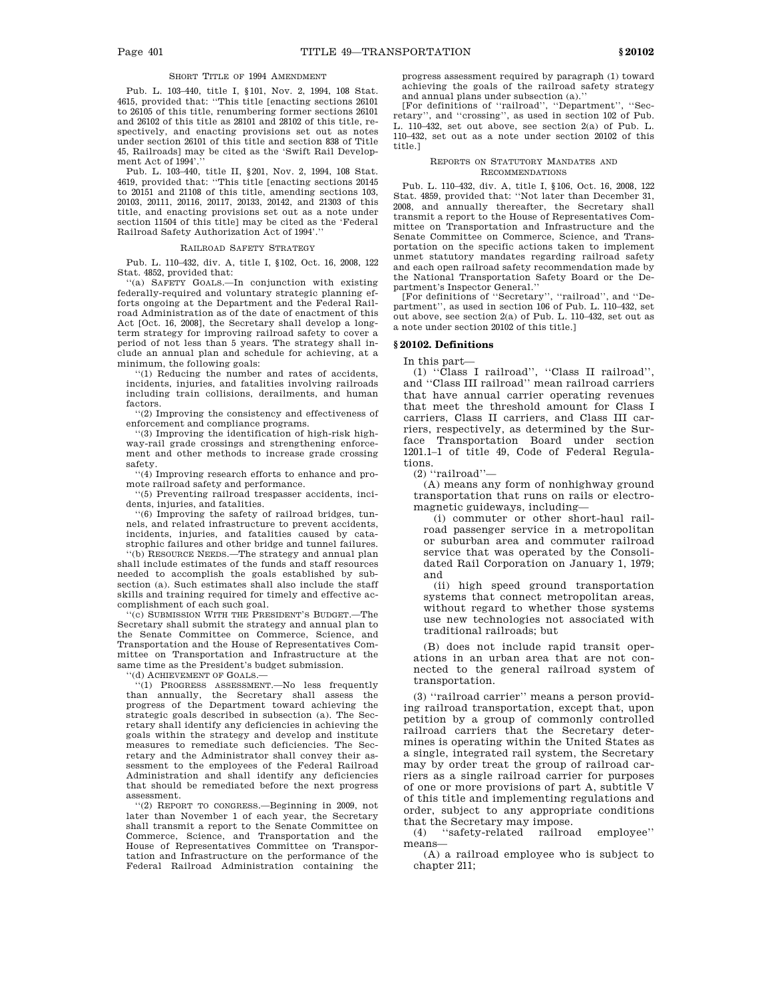# SHORT TITLE OF 1994 AMENDMENT

Pub. L. 103–440, title I, §101, Nov. 2, 1994, 108 Stat. 4615, provided that: ''This title [enacting sections 26101 to 26105 of this title, renumbering former sections 26101 and 26102 of this title as 28101 and 28102 of this title, respectively, and enacting provisions set out as notes under section 26101 of this title and section 838 of Title 45, Railroads] may be cited as the 'Swift Rail Development Act of 1994'.''

Pub. L. 103–440, title II, §201, Nov. 2, 1994, 108 Stat. 4619, provided that: ''This title [enacting sections 20145 to 20151 and 21108 of this title, amending sections 103, 20103, 20111, 20116, 20117, 20133, 20142, and 21303 of this title, and enacting provisions set out as a note under section 11504 of this title] may be cited as the 'Federal Railroad Safety Authorization Act of 1994'.''

### RAILROAD SAFETY STRATEGY

Pub. L. 110–432, div. A, title I, §102, Oct. 16, 2008, 122 Stat. 4852, provided that:

''(a) SAFETY GOALS.—In conjunction with existing federally-required and voluntary strategic planning efforts ongoing at the Department and the Federal Railroad Administration as of the date of enactment of this Act [Oct. 16, 2008], the Secretary shall develop a longterm strategy for improving railroad safety to cover a period of not less than 5 years. The strategy shall include an annual plan and schedule for achieving, at a minimum, the following goals:

''(1) Reducing the number and rates of accidents, incidents, injuries, and fatalities involving railroads including train collisions, derailments, and human factors.

''(2) Improving the consistency and effectiveness of enforcement and compliance programs.

''(3) Improving the identification of high-risk highway-rail grade crossings and strengthening enforcement and other methods to increase grade crossing safety.

''(4) Improving research efforts to enhance and promote railroad safety and performance.

''(5) Preventing railroad trespasser accidents, incidents, injuries, and fatalities.

''(6) Improving the safety of railroad bridges, tunnels, and related infrastructure to prevent accidents, incidents, injuries, and fatalities caused by catastrophic failures and other bridge and tunnel failures.

''(b) RESOURCE NEEDS.—The strategy and annual plan shall include estimates of the funds and staff resources needed to accomplish the goals established by subsection (a). Such estimates shall also include the staff skills and training required for timely and effective accomplishment of each such goal.

''(c) SUBMISSION WITH THE PRESIDENT'S BUDGET.—The Secretary shall submit the strategy and annual plan to the Senate Committee on Commerce, Science, and Transportation and the House of Representatives Committee on Transportation and Infrastructure at the same time as the President's budget submission.

''(d) ACHIEVEMENT OF GOALS.—

''(1) PROGRESS ASSESSMENT.—No less frequently than annually, the Secretary shall assess the progress of the Department toward achieving the strategic goals described in subsection (a). The Secretary shall identify any deficiencies in achieving the goals within the strategy and develop and institute measures to remediate such deficiencies. The Secretary and the Administrator shall convey their assessment to the employees of the Federal Railroad Administration and shall identify any deficiencies that should be remediated before the next progress assessment.

''(2) REPORT TO CONGRESS.—Beginning in 2009, not later than November 1 of each year, the Secretary shall transmit a report to the Senate Committee on Commerce, Science, and Transportation and the House of Representatives Committee on Transportation and Infrastructure on the performance of the Federal Railroad Administration containing the

progress assessment required by paragraph (1) toward achieving the goals of the railroad safety strategy and annual plans under subsection (a).''

[For definitions of ''railroad'', ''Department'', ''Secretary'', and ''crossing'', as used in section 102 of Pub. L. 110–432, set out above, see section 2(a) of Pub. L. 110–432, set out as a note under section 20102 of this title.]

#### REPORTS ON STATUTORY MANDATES AND RECOMMENDATIONS

Pub. L. 110–432, div. A, title I, §106, Oct. 16, 2008, 122 Stat. 4859, provided that: ''Not later than December 31, 2008, and annually thereafter, the Secretary shall transmit a report to the House of Representatives Committee on Transportation and Infrastructure and the Senate Committee on Commerce, Science, and Transportation on the specific actions taken to implement unmet statutory mandates regarding railroad safety and each open railroad safety recommendation made by the National Transportation Safety Board or the Department's Inspector General.''

[For definitions of ''Secretary'', ''railroad'', and ''Department'', as used in section 106 of Pub. L. 110–432, set out above, see section 2(a) of Pub. L. 110–432, set out as a note under section 20102 of this title.]

# **§ 20102. Definitions**

In this part—

(1) ''Class I railroad'', ''Class II railroad'', and ''Class III railroad'' mean railroad carriers that have annual carrier operating revenues that meet the threshold amount for Class I carriers, Class II carriers, and Class III carriers, respectively, as determined by the Surface Transportation Board under section 1201.1–1 of title 49, Code of Federal Regulations.

(2) ''railroad''—

(A) means any form of nonhighway ground transportation that runs on rails or electromagnetic guideways, including—

(i) commuter or other short-haul railroad passenger service in a metropolitan or suburban area and commuter railroad service that was operated by the Consolidated Rail Corporation on January 1, 1979; and

(ii) high speed ground transportation systems that connect metropolitan areas, without regard to whether those systems use new technologies not associated with traditional railroads; but

(B) does not include rapid transit operations in an urban area that are not connected to the general railroad system of transportation.

(3) ''railroad carrier'' means a person providing railroad transportation, except that, upon petition by a group of commonly controlled railroad carriers that the Secretary determines is operating within the United States as a single, integrated rail system, the Secretary may by order treat the group of railroad carriers as a single railroad carrier for purposes of one or more provisions of part A, subtitle V of this title and implementing regulations and order, subject to any appropriate conditions that the Secretary may impose.<br>(4) "safety-related railroa

"safety-related railroad employee" means—

(A) a railroad employee who is subject to chapter 211;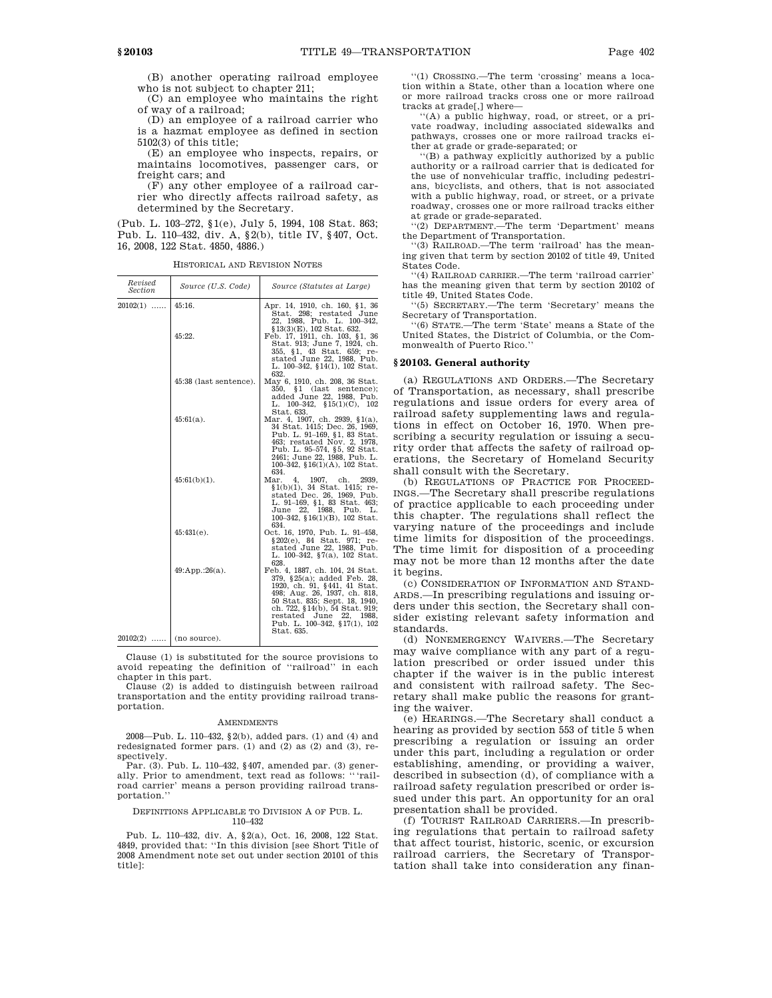(B) another operating railroad employee who is not subject to chapter 211;

(C) an employee who maintains the right of way of a railroad;

(D) an employee of a railroad carrier who is a hazmat employee as defined in section 5102(3) of this title;

(E) an employee who inspects, repairs, or maintains locomotives, passenger cars, or freight cars; and

(F) any other employee of a railroad carrier who directly affects railroad safety, as determined by the Secretary.

(Pub. L. 103–272, §1(e), July 5, 1994, 108 Stat. 863; Pub. L. 110–432, div. A, §2(b), title IV, §407, Oct. 16, 2008, 122 Stat. 4850, 4886.)

HISTORICAL AND REVISION NOTES

| Revised<br>Section      | Source (U.S. Code)     | Source (Statutes at Large)                                                                                                                                                                                                                                                 |
|-------------------------|------------------------|----------------------------------------------------------------------------------------------------------------------------------------------------------------------------------------------------------------------------------------------------------------------------|
| $20102(1)$              | 45:16.                 | Apr. 14, 1910, ch. 160, §1, 36<br>Stat. 298; restated June<br>22, 1988, Pub. L. 100-342,<br>§13(3)(E), 102 Stat. 632.                                                                                                                                                      |
|                         | 45:22.                 | Feb. 17, 1911, ch. 103, §1, 36<br>Stat. 913; June 7, 1924, ch.<br>355, §1, 43 Stat. 659; re-<br>stated June 22, 1988, Pub.<br>L. 100–342, §14(1), 102 Stat.<br>632.                                                                                                        |
|                         | 45:38 (last sentence). | May 6, 1910, ch. 208, 36 Stat.<br>$350,$ $$1$ (last sentence);<br>added June 22, 1988, Pub.<br>L. $100-342$ , $$15(1)(C)$ , $102$<br>Stat. 633.                                                                                                                            |
|                         | $45:61(a)$ .           | Mar. 4, 1907, ch. 2939, §1(a),<br>34 Stat. 1415; Dec. 26, 1969,<br>Pub. L. 91-169, §1, 83 Stat.<br>463; restated Nov. 2, 1978,<br>Pub. L. 95-574, §5, 92 Stat.<br>2461; June 22, 1988, Pub. L.<br>100-342, $$16(1)(A)$ , 102 Stat.<br>634.                                 |
|                         | $45:61(b)(1)$ .        | Mar.<br>4.<br>1907, ch.<br>2939.<br>$$1(b)(1), 34$ Stat. 1415; re-<br>stated Dec. 26, 1969, Pub.<br>L. 91-169, §1, 83 Stat. 463;<br>June 22, 1988, Pub. L.<br>100-342, §16(1)(B), 102 Stat.<br>634.                                                                        |
|                         | $45:431(e)$ .          | Oct. 16, 1970, Pub. L. 91-458,<br>§202(e), 84 Stat. 971; re-<br>stated June 22, 1988, Pub.<br>L. 100-342, §7(a), 102 Stat.<br>628.                                                                                                                                         |
|                         | 49:App.:26(a).         | Feb. 4, 1887, ch. 104, 24 Stat.<br>379, §25(a); added Feb. 28,<br>1920, ch. 91, §441, 41 Stat.<br>498; Aug. 26, 1937, ch. 818,<br>50 Stat. 835; Sept. 18, 1940.<br>ch. 722, §14(b), 54 Stat. 919;<br>restated June 22, 1988,<br>Pub. L. 100-342, §17(1), 102<br>Stat. 635. |
| $20102(2)$ (no source). |                        |                                                                                                                                                                                                                                                                            |

Clause (1) is substituted for the source provisions to avoid repeating the definition of ''railroad'' in each chapter in this part.

Clause (2) is added to distinguish between railroad transportation and the entity providing railroad transportation.

#### **AMENDMENTS**

2008—Pub. L. 110–432, §2(b), added pars. (1) and (4) and redesignated former pars. (1) and (2) as (2) and (3), respectively.

Par. (3). Pub. L. 110–432, §407, amended par. (3) generally. Prior to amendment, text read as follows: "'railroad carrier' means a person providing railroad transportation.''

### DEFINITIONS APPLICABLE TO DIVISION A OF PUB. L. 110–432

Pub. L. 110–432, div. A, §2(a), Oct. 16, 2008, 122 Stat. 4849, provided that: ''In this division [see Short Title of 2008 Amendment note set out under section 20101 of this title]:

''(1) CROSSING.—The term 'crossing' means a location within a State, other than a location where one or more railroad tracks cross one or more railroad tracks at grade[,] where—

''(A) a public highway, road, or street, or a private roadway, including associated sidewalks and pathways, crosses one or more railroad tracks either at grade or grade-separated; or

''(B) a pathway explicitly authorized by a public authority or a railroad carrier that is dedicated for the use of nonvehicular traffic, including pedestrians, bicyclists, and others, that is not associated with a public highway, road, or street, or a private roadway, crosses one or more railroad tracks either at grade or grade-separated.

''(2) DEPARTMENT.—The term 'Department' means the Department of Transportation.

''(3) RAILROAD.—The term 'railroad' has the meaning given that term by section 20102 of title 49, United States Code.

''(4) RAILROAD CARRIER.—The term 'railroad carrier' has the meaning given that term by section 20102 of title 49, United States Code.

''(5) SECRETARY.—The term 'Secretary' means the Secretary of Transportation.

''(6) STATE.—The term 'State' means a State of the United States, the District of Columbia, or the Commonwealth of Puerto Rico.''

## **§ 20103. General authority**

(a) REGULATIONS AND ORDERS.—The Secretary of Transportation, as necessary, shall prescribe regulations and issue orders for every area of railroad safety supplementing laws and regulations in effect on October 16, 1970. When prescribing a security regulation or issuing a security order that affects the safety of railroad operations, the Secretary of Homeland Security shall consult with the Secretary.

(b) REGULATIONS OF PRACTICE FOR PROCEED-INGS.—The Secretary shall prescribe regulations of practice applicable to each proceeding under this chapter. The regulations shall reflect the varying nature of the proceedings and include time limits for disposition of the proceedings. The time limit for disposition of a proceeding may not be more than 12 months after the date it begins.

(c) CONSIDERATION OF INFORMATION AND STAND-ARDS.—In prescribing regulations and issuing orders under this section, the Secretary shall consider existing relevant safety information and standards.

(d) NONEMERGENCY WAIVERS.—The Secretary may waive compliance with any part of a regulation prescribed or order issued under this chapter if the waiver is in the public interest and consistent with railroad safety. The Secretary shall make public the reasons for granting the waiver.

(e) HEARINGS.—The Secretary shall conduct a hearing as provided by section 553 of title 5 when prescribing a regulation or issuing an order under this part, including a regulation or order establishing, amending, or providing a waiver, described in subsection (d), of compliance with a railroad safety regulation prescribed or order issued under this part. An opportunity for an oral presentation shall be provided.

(f) TOURIST RAILROAD CARRIERS.—In prescribing regulations that pertain to railroad safety that affect tourist, historic, scenic, or excursion railroad carriers, the Secretary of Transportation shall take into consideration any finan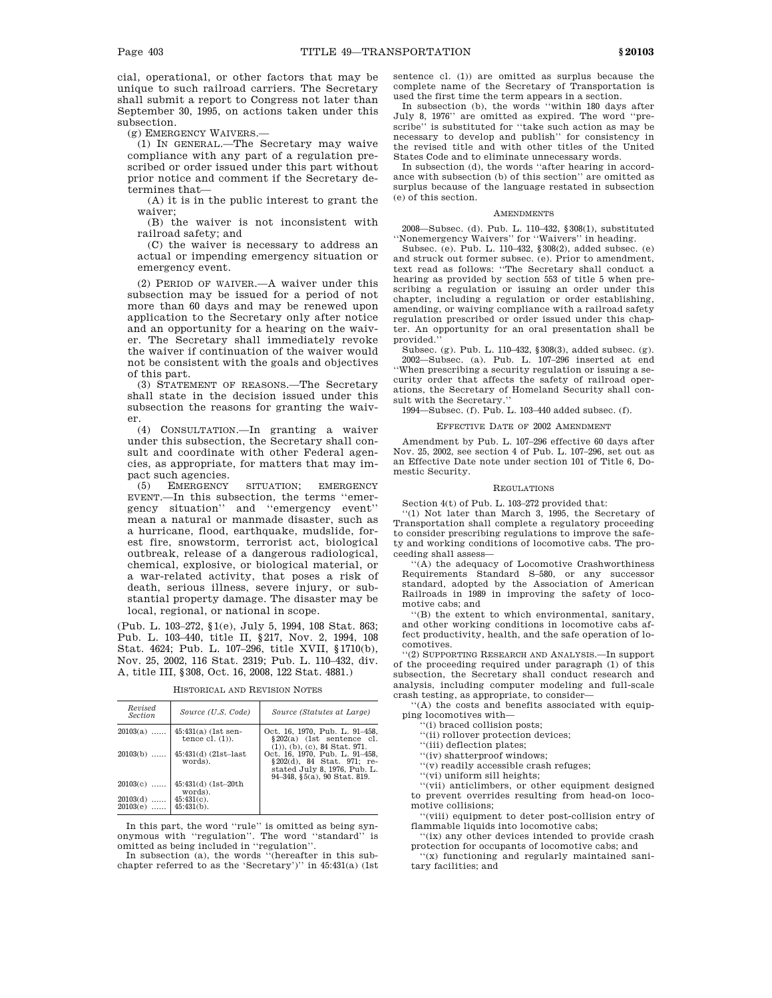cial, operational, or other factors that may be unique to such railroad carriers. The Secretary shall submit a report to Congress not later than September 30, 1995, on actions taken under this subsection.

(g) EMERGENCY WAIVERS.—

 $(1)$  In GENERAL.—The Secretary may waive compliance with any part of a regulation prescribed or order issued under this part without prior notice and comment if the Secretary determines that—

(A) it is in the public interest to grant the waiver;

(B) the waiver is not inconsistent with railroad safety; and

(C) the waiver is necessary to address an actual or impending emergency situation or emergency event.

(2) PERIOD OF WAIVER.—A waiver under this subsection may be issued for a period of not more than 60 days and may be renewed upon application to the Secretary only after notice and an opportunity for a hearing on the waiver. The Secretary shall immediately revoke the waiver if continuation of the waiver would not be consistent with the goals and objectives of this part.

(3) STATEMENT OF REASONS.—The Secretary shall state in the decision issued under this subsection the reasons for granting the waiver.

(4) CONSULTATION.—In granting a waiver under this subsection, the Secretary shall consult and coordinate with other Federal agencies, as appropriate, for matters that may impact such agencies.

(5) EMERGENCY SITUATION; EMERGENCY EVENT.—In this subsection, the terms ''emergency situation'' and ''emergency event'' mean a natural or manmade disaster, such as a hurricane, flood, earthquake, mudslide, forest fire, snowstorm, terrorist act, biological outbreak, release of a dangerous radiological, chemical, explosive, or biological material, or a war-related activity, that poses a risk of death, serious illness, severe injury, or substantial property damage. The disaster may be local, regional, or national in scope.

(Pub. L. 103–272, §1(e), July 5, 1994, 108 Stat. 863; Pub. L. 103–440, title II, §217, Nov. 2, 1994, 108 Stat. 4624; Pub. L. 107–296, title XVII, §1710(b), Nov. 25, 2002, 116 Stat. 2319; Pub. L. 110–432, div. A, title III, §308, Oct. 16, 2008, 122 Stat. 4881.)

| Revised<br><b>Section</b> | Source (U.S. Code)                          | Source (Statutes at Large)                                                                                                    |  |
|---------------------------|---------------------------------------------|-------------------------------------------------------------------------------------------------------------------------------|--|
| $20103(a)$                | $45:431(a)$ (1st sen-<br>tence $cl. (1)$ ). | Oct. 16, 1970, Pub. L. 91-458,<br>$$202(a)$ (1st sentence cl.<br>$(1)$ , $(b)$ , $(c)$ , $84$ Stat. $971$ .                   |  |
| $20103(b)$                | $45:431(d)$ (21st-last)<br>words).          | Oct. 16, 1970, Pub. L. 91-458,<br>§ 202(d), 84 Stat. 971; re-<br>stated July 8, 1976, Pub. L.<br>94-348, §5(a), 90 Stat. 819. |  |
| $20103(c)$                | 45:431(d) (1st-20th<br>words).              |                                                                                                                               |  |
| $20103(d)$<br>20103(e)    | $45:431(c)$ .<br>$45:431(b)$ .              |                                                                                                                               |  |

In this part, the word ''rule'' is omitted as being synonymous with ''regulation''. The word ''standard'' is omitted as being included in ''regulation''. In subsection (a), the words ''(hereafter in this sub-

chapter referred to as the 'Secretary')'' in 45:431(a) (1st

sentence cl. (1)) are omitted as surplus because the complete name of the Secretary of Transportation is used the first time the term appears in a section.

In subsection (b), the words ''within 180 days after July 8, 1976'' are omitted as expired. The word ''prescribe" is substituted for "take such action as may be necessary to develop and publish'' for consistency in the revised title and with other titles of the United States Code and to eliminate unnecessary words.

In subsection (d), the words ''after hearing in accordance with subsection (b) of this section'' are omitted as surplus because of the language restated in subsection (e) of this section.

### AMENDMENTS

2008—Subsec. (d). Pub. L. 110–432, §308(1), substituted ''Nonemergency Waivers'' for ''Waivers'' in heading.

Subsec. (e). Pub. L. 110–432, §308(2), added subsec. (e) and struck out former subsec. (e). Prior to amendment, text read as follows: ''The Secretary shall conduct a hearing as provided by section 553 of title 5 when prescribing a regulation or issuing an order under this chapter, including a regulation or order establishing, amending, or waiving compliance with a railroad safety regulation prescribed or order issued under this chapter. An opportunity for an oral presentation shall be provided.''

Subsec. (g). Pub. L. 110–432, §308(3), added subsec. (g). 2002—Subsec. (a). Pub. L. 107–296 inserted at end ''When prescribing a security regulation or issuing a security order that affects the safety of railroad operations, the Secretary of Homeland Security shall consult with the Secretary.

1994—Subsec. (f). Pub. L. 103–440 added subsec. (f).

### EFFECTIVE DATE OF 2002 AMENDMENT

Amendment by Pub. L. 107–296 effective 60 days after Nov. 25, 2002, see section 4 of Pub. L. 107–296, set out as an Effective Date note under section 101 of Title 6, Domestic Security.

### REGULATIONS

Section 4(t) of Pub. L. 103–272 provided that:

''(1) Not later than March 3, 1995, the Secretary of Transportation shall complete a regulatory proceeding to consider prescribing regulations to improve the safety and working conditions of locomotive cabs. The proceeding shall assess—

''(A) the adequacy of Locomotive Crashworthiness Requirements Standard S–580, or any successor standard, adopted by the Association of American Railroads in 1989 in improving the safety of locomotive cabs; and

''(B) the extent to which environmental, sanitary, and other working conditions in locomotive cabs affect productivity, health, and the safe operation of locomotives.

''(2) SUPPORTING RESEARCH AND ANALYSIS.—In support of the proceeding required under paragraph (1) of this subsection, the Secretary shall conduct research and analysis, including computer modeling and full-scale crash testing, as appropriate, to consider—

''(A) the costs and benefits associated with equipping locomotives with—

'(i) braced collision posts;

''(ii) rollover protection devices;

''(iii) deflection plates;

''(iv) shatterproof windows;

''(v) readily accessible crash refuges;

''(vi) uniform sill heights;

''(vii) anticlimbers, or other equipment designed to prevent overrides resulting from head-on locomotive collisions;

''(viii) equipment to deter post-collision entry of flammable liquids into locomotive cabs;

''(ix) any other devices intended to provide crash protection for occupants of locomotive cabs; and

''(x) functioning and regularly maintained sanitary facilities; and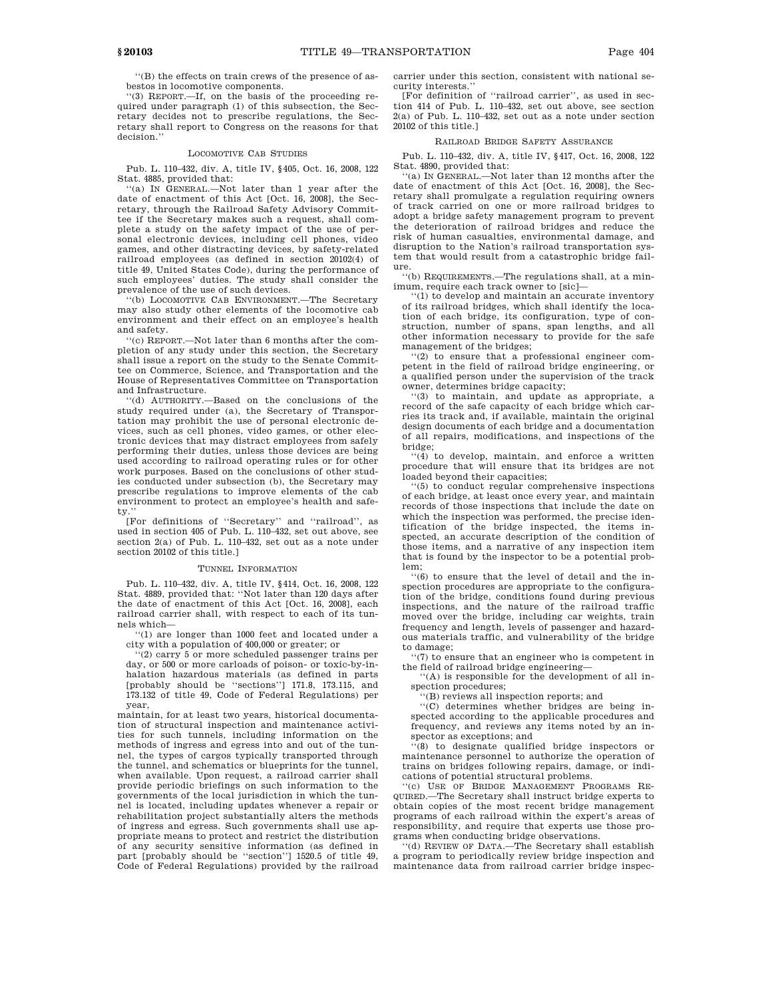''(B) the effects on train crews of the presence of asbestos in locomotive components.

''(3) REPORT.—If, on the basis of the proceeding required under paragraph (1) of this subsection, the Secretary decides not to prescribe regulations, the Secretary shall report to Congress on the reasons for that decision."

## LOCOMOTIVE CAB STUDIES

Pub. L. 110–432, div. A, title IV, §405, Oct. 16, 2008, 122 Stat. 4885, provided that:

''(a) IN GENERAL.—Not later than 1 year after the date of enactment of this Act [Oct. 16, 2008], the Secretary, through the Railroad Safety Advisory Committee if the Secretary makes such a request, shall complete a study on the safety impact of the use of personal electronic devices, including cell phones, video games, and other distracting devices, by safety-related railroad employees (as defined in section 20102(4) of title 49, United States Code), during the performance of such employees' duties. The study shall consider the prevalence of the use of such devices.

'(b) LOCOMOTIVE CAB ENVIRONMENT.—The Secretary may also study other elements of the locomotive cab environment and their effect on an employee's health and safety.

'(c) REPORT.—Not later than 6 months after the completion of any study under this section, the Secretary shall issue a report on the study to the Senate Committee on Commerce, Science, and Transportation and the House of Representatives Committee on Transportation and Infrastructure.

''(d) AUTHORITY.—Based on the conclusions of the study required under (a), the Secretary of Transportation may prohibit the use of personal electronic devices, such as cell phones, video games, or other electronic devices that may distract employees from safely performing their duties, unless those devices are being used according to railroad operating rules or for other work purposes. Based on the conclusions of other studies conducted under subsection (b), the Secretary may prescribe regulations to improve elements of the cab environment to protect an employee's health and safety.''

[For definitions of ''Secretary'' and ''railroad'', as used in section 405 of Pub. L. 110–432, set out above, see section 2(a) of Pub. L. 110–432, set out as a note under section 20102 of this title.]

#### TUNNEL INFORMATION

Pub. L. 110–432, div. A, title IV, §414, Oct. 16, 2008, 122 Stat. 4889, provided that: ''Not later than 120 days after the date of enactment of this Act [Oct. 16, 2008], each railroad carrier shall, with respect to each of its tunnels which—

''(1) are longer than 1000 feet and located under a city with a population of 400,000 or greater; or

''(2) carry 5 or more scheduled passenger trains per day, or 500 or more carloads of poison- or toxic-by-inhalation hazardous materials (as defined in parts [probably should be ''sections''] 171.8, 173.115, and 173.132 of title 49, Code of Federal Regulations) per year,

maintain, for at least two years, historical documentation of structural inspection and maintenance activities for such tunnels, including information on the methods of ingress and egress into and out of the tunnel, the types of cargos typically transported through the tunnel, and schematics or blueprints for the tunnel, when available. Upon request, a railroad carrier shall provide periodic briefings on such information to the governments of the local jurisdiction in which the tunnel is located, including updates whenever a repair or rehabilitation project substantially alters the methods of ingress and egress. Such governments shall use appropriate means to protect and restrict the distribution of any security sensitive information (as defined in part [probably should be ''section''] 1520.5 of title 49, Code of Federal Regulations) provided by the railroad carrier under this section, consistent with national security interests.''

[For definition of ''railroad carrier'', as used in section 414 of Pub. L. 110–432, set out above, see section 2(a) of Pub. L. 110–432, set out as a note under section 20102 of this title.]

#### RAILROAD BRIDGE SAFETY ASSURANCE

Pub. L. 110–432, div. A, title IV, §417, Oct. 16, 2008, 122 Stat. 4890, provided that:

''(a) IN GENERAL.—Not later than 12 months after the date of enactment of this Act [Oct. 16, 2008], the Secretary shall promulgate a regulation requiring owners of track carried on one or more railroad bridges to adopt a bridge safety management program to prevent the deterioration of railroad bridges and reduce the risk of human casualties, environmental damage, and disruption to the Nation's railroad transportation system that would result from a catastrophic bridge failure.

''(b) REQUIREMENTS.—The regulations shall, at a minimum, require each track owner to [sic]—

''(1) to develop and maintain an accurate inventory of its railroad bridges, which shall identify the location of each bridge, its configuration, type of construction, number of spans, span lengths, and all other information necessary to provide for the safe management of the bridges;

 $(2)$  to ensure that a professional engineer competent in the field of railroad bridge engineering, or a qualified person under the supervision of the track owner, determines bridge capacity;

''(3) to maintain, and update as appropriate, a record of the safe capacity of each bridge which carries its track and, if available, maintain the original design documents of each bridge and a documentation of all repairs, modifications, and inspections of the bridge;

''(4) to develop, maintain, and enforce a written procedure that will ensure that its bridges are not loaded beyond their capacities;

 $(5)$  to conduct regular comprehensive inspections of each bridge, at least once every year, and maintain records of those inspections that include the date on which the inspection was performed, the precise identification of the bridge inspected, the items inspected, an accurate description of the condition of those items, and a narrative of any inspection item that is found by the inspector to be a potential problem;

 $\cdot$ (6) to ensure that the level of detail and the inspection procedures are appropriate to the configuration of the bridge, conditions found during previous inspections, and the nature of the railroad traffic moved over the bridge, including car weights, train frequency and length, levels of passenger and hazardous materials traffic, and vulnerability of the bridge to damage;

''(7) to ensure that an engineer who is competent in the field of railroad bridge engineering—

''(A) is responsible for the development of all inspection procedures;

''(B) reviews all inspection reports; and

''(C) determines whether bridges are being inspected according to the applicable procedures and frequency, and reviews any items noted by an inspector as exceptions; and

'(8) to designate qualified bridge inspectors or maintenance personnel to authorize the operation of trains on bridges following repairs, damage, or indications of potential structural problems.

''(c) USE OF BRIDGE MANAGEMENT PROGRAMS RE-QUIRED.—The Secretary shall instruct bridge experts to obtain copies of the most recent bridge management programs of each railroad within the expert's areas of responsibility, and require that experts use those programs when conducting bridge observations.

''(d) REVIEW OF DATA.—The Secretary shall establish a program to periodically review bridge inspection and maintenance data from railroad carrier bridge inspec-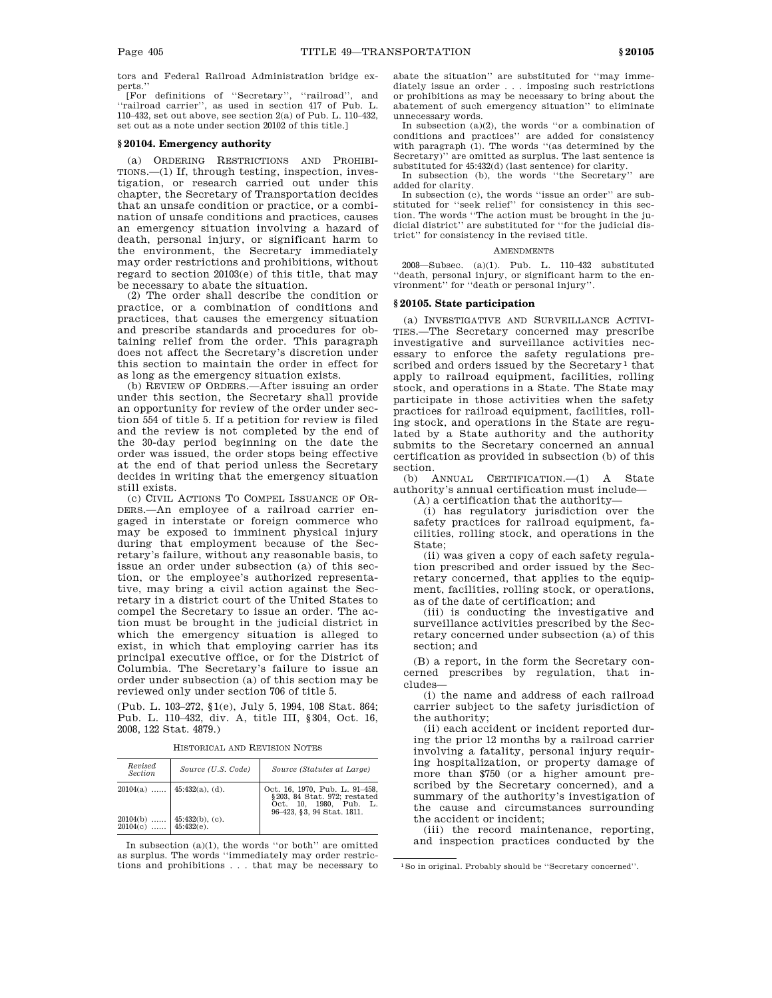tors and Federal Railroad Administration bridge experts.''

[For definitions of ''Secretary'', ''railroad'', and ''railroad carrier'', as used in section 417 of Pub. L. 110–432, set out above, see section 2(a) of Pub. L. 110–432, set out as a note under section 20102 of this title.]

## **§ 20104. Emergency authority**

(a) ORDERING RESTRICTIONS AND PROHIBI-TIONS.—(1) If, through testing, inspection, investigation, or research carried out under this chapter, the Secretary of Transportation decides that an unsafe condition or practice, or a combination of unsafe conditions and practices, causes an emergency situation involving a hazard of death, personal injury, or significant harm to the environment, the Secretary immediately may order restrictions and prohibitions, without regard to section 20103(e) of this title, that may be necessary to abate the situation.

(2) The order shall describe the condition or practice, or a combination of conditions and practices, that causes the emergency situation and prescribe standards and procedures for obtaining relief from the order. This paragraph does not affect the Secretary's discretion under this section to maintain the order in effect for as long as the emergency situation exists.

(b) REVIEW OF ORDERS.—After issuing an order under this section, the Secretary shall provide an opportunity for review of the order under section 554 of title 5. If a petition for review is filed and the review is not completed by the end of the 30-day period beginning on the date the order was issued, the order stops being effective at the end of that period unless the Secretary decides in writing that the emergency situation still exists.

(c) CIVIL ACTIONS TO COMPEL ISSUANCE OF OR-DERS.—An employee of a railroad carrier engaged in interstate or foreign commerce who may be exposed to imminent physical injury during that employment because of the Secretary's failure, without any reasonable basis, to issue an order under subsection (a) of this section, or the employee's authorized representative, may bring a civil action against the Secretary in a district court of the United States to compel the Secretary to issue an order. The action must be brought in the judicial district in which the emergency situation is alleged to exist, in which that employing carrier has its principal executive office, or for the District of Columbia. The Secretary's failure to issue an order under subsection (a) of this section may be reviewed only under section 706 of title 5.

(Pub. L. 103–272, §1(e), July 5, 1994, 108 Stat. 864; Pub. L. 110–432, div. A, title III, §304, Oct. 16, 2008, 122 Stat. 4879.)

| Revised<br>Section    | Source (U.S. Code)           | Source (Statutes at Large)                                                                                             |
|-----------------------|------------------------------|------------------------------------------------------------------------------------------------------------------------|
|                       | $20104(a)$   45:432(a), (d). | Oct. 16, 1970, Pub. L. 91-458,<br>§203, 84 Stat. 972; restated<br>Oct. 10, 1980, Pub. L.<br>96-423, §3, 94 Stat. 1811. |
| $20104(c)$ 45:432(e). | $20104(b)$   45:432(b), (c). |                                                                                                                        |

In subsection  $(a)(1)$ , the words "or both" are omitted as surplus. The words ''immediately may order restrictions and prohibitions . . . that may be necessary to abate the situation'' are substituted for ''may immediately issue an order . . . imposing such restrictions or prohibitions as may be necessary to bring about the abatement of such emergency situation'' to eliminate unnecessary words.

In subsection (a)(2), the words ''or a combination of conditions and practices'' are added for consistency with paragraph (1). The words ''(as determined by the Secretary)'' are omitted as surplus. The last sentence is substituted for 45:432(d) (last sentence) for clarity.

In subsection (b), the words ''the Secretary'' are added for clarity.

In subsection (c), the words ''issue an order'' are substituted for ''seek relief'' for consistency in this section. The words ''The action must be brought in the judicial district'' are substituted for ''for the judicial district'' for consistency in the revised title.

#### **AMENDMENTS**

2008—Subsec. (a)(1). Pub. L. 110–432 substituted ''death, personal injury, or significant harm to the environment'' for ''death or personal injury''.

### **§ 20105. State participation**

(a) INVESTIGATIVE AND SURVEILLANCE ACTIVI-TIES.—The Secretary concerned may prescribe investigative and surveillance activities necessary to enforce the safety regulations prescribed and orders issued by the Secretary<sup>1</sup> that apply to railroad equipment, facilities, rolling stock, and operations in a State. The State may participate in those activities when the safety practices for railroad equipment, facilities, rolling stock, and operations in the State are regulated by a State authority and the authority submits to the Secretary concerned an annual certification as provided in subsection (b) of this section.

(b) ANNUAL CERTIFICATION.—(1) A State authority's annual certification must include— (A) a certification that the authority—

(i) has regulatory jurisdiction over the safety practices for railroad equipment, facilities, rolling stock, and operations in the State:

(ii) was given a copy of each safety regulation prescribed and order issued by the Secretary concerned, that applies to the equipment, facilities, rolling stock, or operations, as of the date of certification; and

(iii) is conducting the investigative and surveillance activities prescribed by the Secretary concerned under subsection (a) of this section; and

(B) a report, in the form the Secretary concerned prescribes by regulation, that includes—

(i) the name and address of each railroad carrier subject to the safety jurisdiction of the authority;

(ii) each accident or incident reported during the prior 12 months by a railroad carrier involving a fatality, personal injury requiring hospitalization, or property damage of more than \$750 (or a higher amount prescribed by the Secretary concerned), and a summary of the authority's investigation of the cause and circumstances surrounding the accident or incident;

(iii) the record maintenance, reporting, and inspection practices conducted by the

<sup>1</sup>So in original. Probably should be ''Secretary concerned''.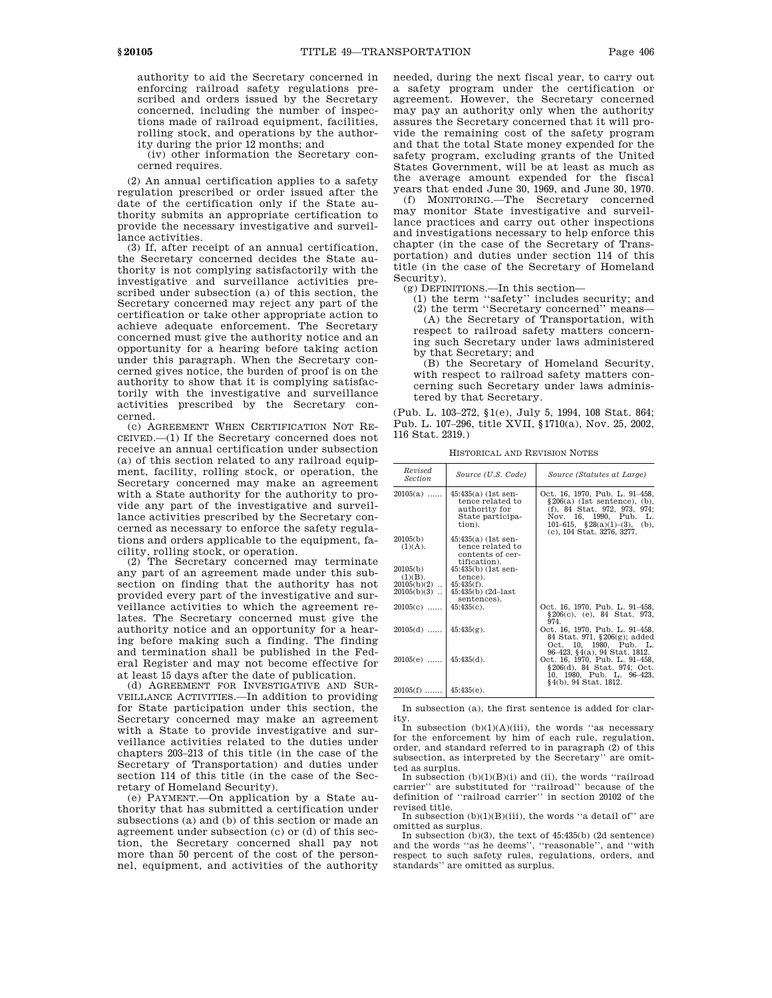authority to aid the Secretary concerned in enforcing railroad safety regulations prescribed and orders issued by the Secretary concerned, including the number of inspections made of railroad equipment, facilities, rolling stock, and operations by the authority during the prior 12 months; and

(iv) other information the Secretary concerned requires.

(2) An annual certification applies to a safety regulation prescribed or order issued after the date of the certification only if the State authority submits an appropriate certification to provide the necessary investigative and surveillance activities.

(3) If, after receipt of an annual certification, the Secretary concerned decides the State authority is not complying satisfactorily with the investigative and surveillance activities prescribed under subsection (a) of this section, the Secretary concerned may reject any part of the certification or take other appropriate action to achieve adequate enforcement. The Secretary concerned must give the authority notice and an opportunity for a hearing before taking action under this paragraph. When the Secretary concerned gives notice, the burden of proof is on the authority to show that it is complying satisfactorily with the investigative and surveillance activities prescribed by the Secretary concerned.

(c) AGREEMENT WHEN CERTIFICATION NOT RE-CEIVED.—(1) If the Secretary concerned does not receive an annual certification under subsection (a) of this section related to any railroad equipment, facility, rolling stock, or operation, the Secretary concerned may make an agreement with a State authority for the authority to provide any part of the investigative and surveillance activities prescribed by the Secretary concerned as necessary to enforce the safety regulations and orders applicable to the equipment, facility, rolling stock, or operation.

(2) The Secretary concerned may terminate any part of an agreement made under this subsection on finding that the authority has not provided every part of the investigative and surveillance activities to which the agreement relates. The Secretary concerned must give the authority notice and an opportunity for a hearing before making such a finding. The finding and termination shall be published in the Federal Register and may not become effective for at least 15 days after the date of publication.

(d) AGREEMENT FOR INVESTIGATIVE AND SUR-VEILLANCE ACTIVITIES.—In addition to providing for State participation under this section, the Secretary concerned may make an agreement with a State to provide investigative and surveillance activities related to the duties under chapters 203–213 of this title (in the case of the Secretary of Transportation) and duties under section 114 of this title (in the case of the Secretary of Homeland Security).

(e) PAYMENT.—On application by a State authority that has submitted a certification under subsections (a) and (b) of this section or made an agreement under subsection (c) or (d) of this section, the Secretary concerned shall pay not more than 50 percent of the cost of the personnel, equipment, and activities of the authority needed, during the next fiscal year, to carry out a safety program under the certification or agreement. However, the Secretary concerned may pay an authority only when the authority assures the Secretary concerned that it will provide the remaining cost of the safety program and that the total State money expended for the safety program, excluding grants of the United States Government, will be at least as much as the average amount expended for the fiscal years that ended June 30, 1969, and June 30, 1970.

(f) MONITORING.—The Secretary concerned may monitor State investigative and surveillance practices and carry out other inspections and investigations necessary to help enforce this chapter (in the case of the Secretary of Transportation) and duties under section 114 of this title (in the case of the Secretary of Homeland Security).

(g) DEFINITIONS.—In this section—

(1) the term ''safety'' includes security; and (2) the term ''Secretary concerned'' means— (A) the Secretary of Transportation, with respect to railroad safety matters concerning such Secretary under laws administered by that Secretary; and

(B) the Secretary of Homeland Security, with respect to railroad safety matters concerning such Secretary under laws administered by that Secretary.

(Pub. L. 103–272, §1(e), July 5, 1994, 108 Stat. 864; Pub. L. 107–296, title XVII, §1710(a), Nov. 25, 2002, 116 Stat. 2319.)

HISTORICAL AND REVISION NOTES

| Revised<br><i>Section</i> | Source (U.S. Code)                                                                     | Source (Statutes at Large)                                                                                                                                                                    |
|---------------------------|----------------------------------------------------------------------------------------|-----------------------------------------------------------------------------------------------------------------------------------------------------------------------------------------------|
| $20105(a)$                | 45:435(a) (1st sen-<br>tence related to<br>authority for<br>State participa-<br>tion). | Oct. 16, 1970, Pub. L. 91-458,<br>$\S 206(a)$ (1st sentence), (b),<br>(f), 84 Stat. 972, 973, 974;<br>Nov. 16, 1990, Pub. L.<br>101-615, $$28(a)(1)-(3)$ , (b),<br>(c), 104 Stat. 3276, 3277. |
| 20105(b)                  | $45:435(a)$ (1st sen-                                                                  |                                                                                                                                                                                               |
| (1)(A).                   | tence related to<br>contents of cer-<br>tification).                                   |                                                                                                                                                                                               |
| 20105(b)                  | 45:435(b) (1st sen-                                                                    |                                                                                                                                                                                               |
| $(1)(B)$ .                | tence).                                                                                |                                                                                                                                                                                               |
| $20105(b)(2)$             | $45:435(f)$ .                                                                          |                                                                                                                                                                                               |
| $20105(b)(3)$             | $45:435(b)$ $(2d-last)$                                                                |                                                                                                                                                                                               |
|                           | sentences).                                                                            |                                                                                                                                                                                               |
| $20105(c)$                | $45:435(c)$ .                                                                          | Oct. 16, 1970, Pub. L. 91-458,<br>$§206(c), (e), 84$ Stat. 973,<br>974.                                                                                                                       |
| $20105(d)$                | $45:435(g)$ .                                                                          | Oct. 16, 1970. Pub. L. 91-458.<br>84 Stat. 971, §206(g); added<br>Oct. 10, 1980, Pub. L.<br>96–423, §4(a), 94 Stat. 1812.                                                                     |
| $20105(e)$                | $45:435(d)$ .                                                                          | Oct. 16, 1970, Pub. L. 91-458,<br>§ 206(d), 84 Stat. 974; Oct.<br>10, 1980, Pub. L. 96-423,<br>§4(b), 94 Stat. 1812.                                                                          |
| $20105(f)$   45:435(e).   |                                                                                        |                                                                                                                                                                                               |

In subsection (a), the first sentence is added for clarity. In subsection (b)(1)(A)(iii), the words ''as necessary

for the enforcement by him of each rule, regulation, order, and standard referred to in paragraph (2) of this subsection, as interpreted by the Secretary'' are omitted as surplus.

In subsection (b)(1)(B)(i) and (ii), the words ''railroad carrier'' are substituted for ''railroad'' because of the definition of ''railroad carrier'' in section 20102 of the revised title.

In subsection  $(b)(1)(B)(iii)$ , the words "a detail of" are omitted as surplus.

In subsection (b)(3), the text of 45:435(b) (2d sentence) and the words ''as he deems'', ''reasonable'', and ''with respect to such safety rules, regulations, orders, and standards'' are omitted as surplus.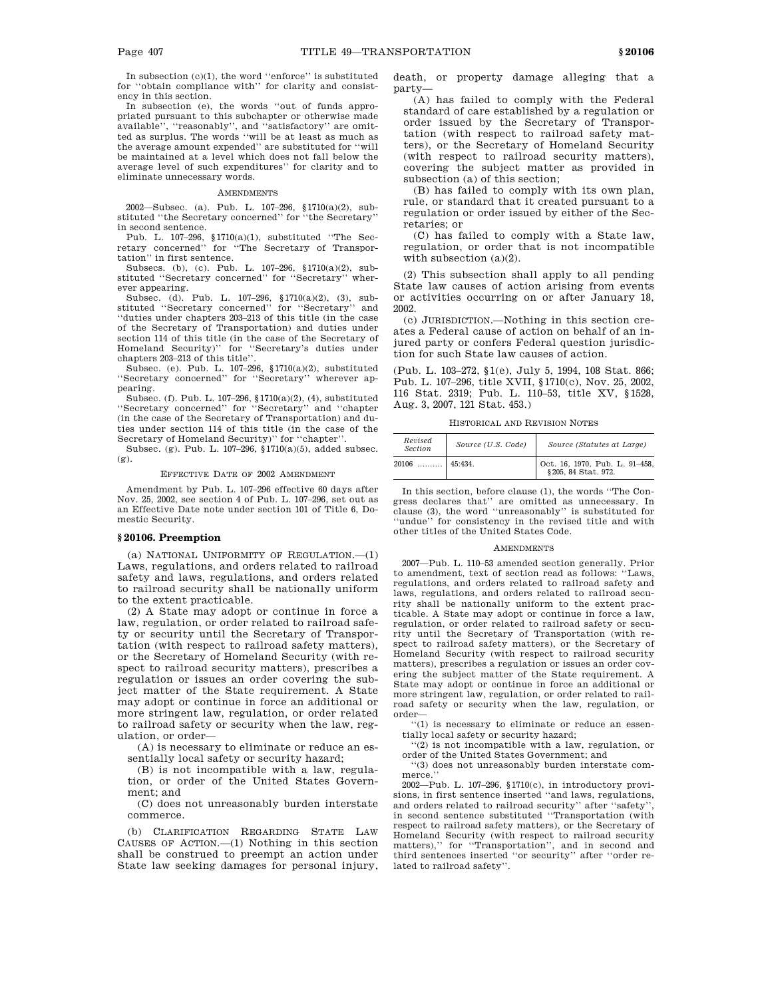In subsection  $(c)(1)$ , the word "enforce" is substituted for ''obtain compliance with'' for clarity and consistency in this section.

In subsection (e), the words ''out of funds appropriated pursuant to this subchapter or otherwise made available'', ''reasonably'', and ''satisfactory'' are omitted as surplus. The words ''will be at least as much as the average amount expended'' are substituted for ''will be maintained at a level which does not fall below the average level of such expenditures'' for clarity and to eliminate unnecessary words.

### **AMENDMENTS**

2002—Subsec. (a). Pub. L. 107–296, §1710(a)(2), substituted ''the Secretary concerned'' for ''the Secretary'' in second sentence.

Pub. L. 107–296, §1710(a)(1), substituted ''The Secretary concerned'' for ''The Secretary of Transportation'' in first sentence.

Subsecs. (b), (c). Pub. L. 107–296, §1710(a)(2), substituted "Secretary concerned" for "Secretary" wherever appearing.

Subsec. (d). Pub. L. 107–296, §1710(a)(2), (3), substituted ''Secretary concerned'' for ''Secretary'' and ''duties under chapters 203–213 of this title (in the case of the Secretary of Transportation) and duties under section 114 of this title (in the case of the Secretary of Homeland Security)'' for ''Secretary's duties under chapters 203–213 of this title''.

Subsec. (e). Pub. L. 107–296, §1710(a)(2), substituted ''Secretary concerned'' for ''Secretary'' wherever appearing.

Subsec. (f). Pub. L. 107–296, §1710(a)(2), (4), substituted ''Secretary concerned'' for ''Secretary'' and ''chapter (in the case of the Secretary of Transportation) and duties under section 114 of this title (in the case of the Secretary of Homeland Security)'' for ''chapter''.

Subsec. (g). Pub. L. 107–296, §1710(a)(5), added subsec. (g).

#### EFFECTIVE DATE OF 2002 AMENDMENT

Amendment by Pub. L. 107–296 effective 60 days after Nov. 25, 2002, see section 4 of Pub. L. 107–296, set out as an Effective Date note under section 101 of Title 6, Domestic Security.

# **§ 20106. Preemption**

(a) NATIONAL UNIFORMITY OF REGULATION.—(1) Laws, regulations, and orders related to railroad safety and laws, regulations, and orders related to railroad security shall be nationally uniform to the extent practicable.

(2) A State may adopt or continue in force a law, regulation, or order related to railroad safety or security until the Secretary of Transportation (with respect to railroad safety matters), or the Secretary of Homeland Security (with respect to railroad security matters), prescribes a regulation or issues an order covering the subject matter of the State requirement. A State may adopt or continue in force an additional or more stringent law, regulation, or order related to railroad safety or security when the law, regulation, or order—

(A) is necessary to eliminate or reduce an essentially local safety or security hazard;

(B) is not incompatible with a law, regulation, or order of the United States Government; and

(C) does not unreasonably burden interstate commerce.

(b) CLARIFICATION REGARDING STATE LAW CAUSES OF ACTION.—(1) Nothing in this section shall be construed to preempt an action under State law seeking damages for personal injury, death, or property damage alleging that a party—

(A) has failed to comply with the Federal standard of care established by a regulation or order issued by the Secretary of Transportation (with respect to railroad safety matters), or the Secretary of Homeland Security (with respect to railroad security matters), covering the subject matter as provided in subsection (a) of this section;

(B) has failed to comply with its own plan, rule, or standard that it created pursuant to a regulation or order issued by either of the Secretaries; or

(C) has failed to comply with a State law, regulation, or order that is not incompatible with subsection  $(a)(2)$ .

(2) This subsection shall apply to all pending State law causes of action arising from events or activities occurring on or after January 18, 2002.

(c) JURISDICTION.—Nothing in this section creates a Federal cause of action on behalf of an injured party or confers Federal question jurisdiction for such State law causes of action.

(Pub. L. 103–272, §1(e), July 5, 1994, 108 Stat. 866; Pub. L. 107–296, title XVII, §1710(c), Nov. 25, 2002, 116 Stat. 2319; Pub. L. 110–53, title XV, §1528, Aug. 3, 2007, 121 Stat. 453.)

HISTORICAL AND REVISION NOTES

| Revised<br><b>Section</b> | Source (U.S. Code) | Source (Statutes at Large)                          |
|---------------------------|--------------------|-----------------------------------------------------|
| $20106$                   | 145:434.           | Oct. 16, 1970, Pub. L. 91-458, § 205, 84 Stat. 972. |

In this section, before clause (1), the words ''The Congress declares that'' are omitted as unnecessary. In clause (3), the word ''unreasonably'' is substituted for ''undue'' for consistency in the revised title and with other titles of the United States Code.

#### **AMENDMENTS**

2007—Pub. L. 110–53 amended section generally. Prior to amendment, text of section read as follows: ''Laws, regulations, and orders related to railroad safety and laws, regulations, and orders related to railroad security shall be nationally uniform to the extent practicable. A State may adopt or continue in force a law, regulation, or order related to railroad safety or security until the Secretary of Transportation (with respect to railroad safety matters), or the Secretary of Homeland Security (with respect to railroad security matters), prescribes a regulation or issues an order covering the subject matter of the State requirement. A State may adopt or continue in force an additional or more stringent law, regulation, or order related to railroad safety or security when the law, regulation, or order—

''(1) is necessary to eliminate or reduce an essentially local safety or security hazard;

''(2) is not incompatible with a law, regulation, or order of the United States Government; and

''(3) does not unreasonably burden interstate commerce.'

2002—Pub. L. 107–296, §1710(c), in introductory provisions, in first sentence inserted ''and laws, regulations, and orders related to railroad security" after "safety' in second sentence substituted ''Transportation (with respect to railroad safety matters), or the Secretary of Homeland Security (with respect to railroad security matters)," for "Transportation", and in second and third sentences inserted ''or security'' after ''order related to railroad safety''.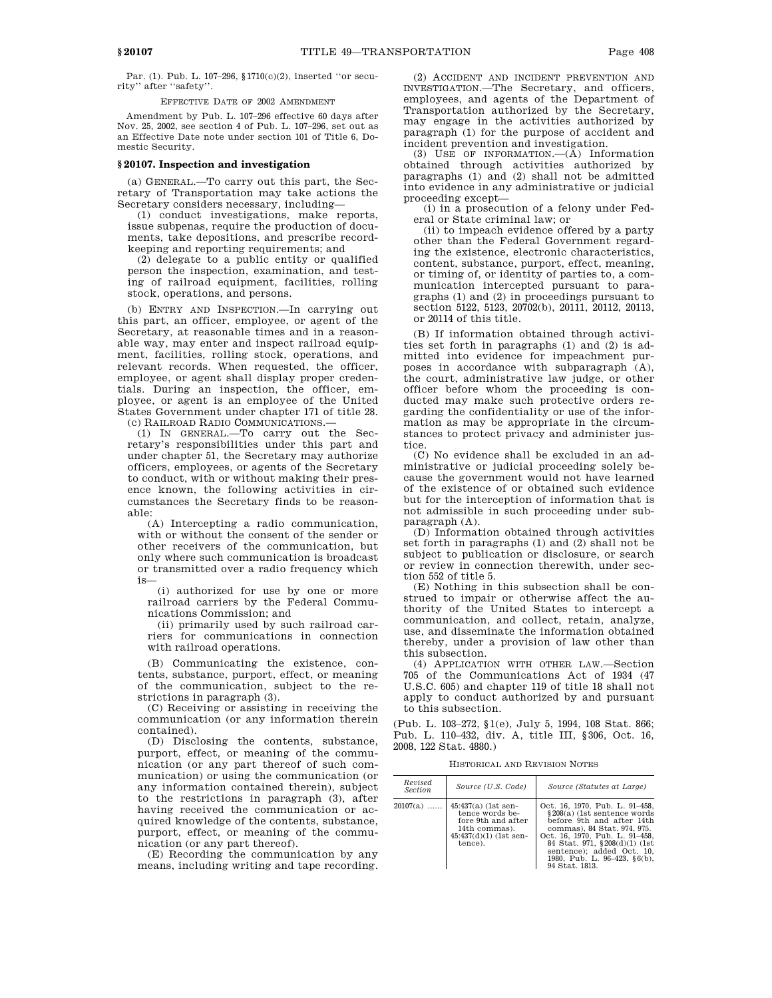Par. (1). Pub. L. 107–296, §1710(c)(2), inserted ''or security'' after ''safety''.

EFFECTIVE DATE OF 2002 AMENDMENT

Amendment by Pub. L. 107–296 effective 60 days after Nov. 25, 2002, see section 4 of Pub. L. 107–296, set out as an Effective Date note under section 101 of Title 6, Domestic Security.

### **§ 20107. Inspection and investigation**

(a) GENERAL.—To carry out this part, the Secretary of Transportation may take actions the Secretary considers necessary, including—

(1) conduct investigations, make reports, issue subpenas, require the production of documents, take depositions, and prescribe recordkeeping and reporting requirements; and

(2) delegate to a public entity or qualified person the inspection, examination, and testing of railroad equipment, facilities, rolling stock, operations, and persons.

(b) ENTRY AND INSPECTION.—In carrying out this part, an officer, employee, or agent of the Secretary, at reasonable times and in a reasonable way, may enter and inspect railroad equipment, facilities, rolling stock, operations, and relevant records. When requested, the officer, employee, or agent shall display proper credentials. During an inspection, the officer, employee, or agent is an employee of the United States Government under chapter 171 of title 28. (c) RAILROAD RADIO COMMUNICATIONS.—

(1) IN GENERAL.—To carry out the Secretary's responsibilities under this part and under chapter 51, the Secretary may authorize officers, employees, or agents of the Secretary to conduct, with or without making their presence known, the following activities in circumstances the Secretary finds to be reasonable:

(A) Intercepting a radio communication, with or without the consent of the sender or other receivers of the communication, but only where such communication is broadcast or transmitted over a radio frequency which is—

(i) authorized for use by one or more railroad carriers by the Federal Communications Commission; and

(ii) primarily used by such railroad carriers for communications in connection with railroad operations.

(B) Communicating the existence, contents, substance, purport, effect, or meaning of the communication, subject to the restrictions in paragraph (3).

(C) Receiving or assisting in receiving the communication (or any information therein contained).

(D) Disclosing the contents, substance, purport, effect, or meaning of the communication (or any part thereof of such communication) or using the communication (or any information contained therein), subject to the restrictions in paragraph (3), after having received the communication or acquired knowledge of the contents, substance, purport, effect, or meaning of the communication (or any part thereof).

(E) Recording the communication by any means, including writing and tape recording.

(2) ACCIDENT AND INCIDENT PREVENTION AND INVESTIGATION.—The Secretary, and officers, employees, and agents of the Department of Transportation authorized by the Secretary, may engage in the activities authorized by paragraph (1) for the purpose of accident and incident prevention and investigation.

(3) USE OF INFORMATION.—(A) Information obtained through activities authorized by paragraphs (1) and (2) shall not be admitted into evidence in any administrative or judicial proceeding except—

(i) in a prosecution of a felony under Federal or State criminal law; or

(ii) to impeach evidence offered by a party other than the Federal Government regarding the existence, electronic characteristics, content, substance, purport, effect, meaning, or timing of, or identity of parties to, a communication intercepted pursuant to paragraphs (1) and (2) in proceedings pursuant to section 5122, 5123, 20702(b), 20111, 20112, 20113, or 20114 of this title.

(B) If information obtained through activities set forth in paragraphs (1) and (2) is admitted into evidence for impeachment purposes in accordance with subparagraph (A), the court, administrative law judge, or other officer before whom the proceeding is conducted may make such protective orders regarding the confidentiality or use of the information as may be appropriate in the circumstances to protect privacy and administer justice.

(C) No evidence shall be excluded in an administrative or judicial proceeding solely because the government would not have learned of the existence of or obtained such evidence but for the interception of information that is not admissible in such proceeding under subparagraph (A).

(D) Information obtained through activities set forth in paragraphs (1) and (2) shall not be subject to publication or disclosure, or search or review in connection therewith, under section 552 of title 5.

(E) Nothing in this subsection shall be construed to impair or otherwise affect the authority of the United States to intercept a communication, and collect, retain, analyze, use, and disseminate the information obtained thereby, under a provision of law other than this subsection.

(4) APPLICATION WITH OTHER LAW.—Section 705 of the Communications Act of 1934 (47 U.S.C. 605) and chapter 119 of title 18 shall not apply to conduct authorized by and pursuant to this subsection.

(Pub. L. 103–272, §1(e), July 5, 1994, 108 Stat. 866; Pub. L. 110–432, div. A, title III, §306, Oct. 16, 2008, 122 Stat. 4880.)

HISTORICAL AND REVISION NOTES

| Revised<br><b>Section</b> | Source (U.S. Code)                                                                                                     | Source (Statutes at Large)                                                                                                                                                                                                                                                   |
|---------------------------|------------------------------------------------------------------------------------------------------------------------|------------------------------------------------------------------------------------------------------------------------------------------------------------------------------------------------------------------------------------------------------------------------------|
| $20107(a)$                | $45:437(a)$ (1st sen-<br>tence words be-<br>fore 9th and after<br>14th commas).<br>$45:437(d)(1)$ (1st sen-<br>tence). | Oct. 16, 1970. Pub. L. 91–458.<br>§208(a) (1st sentence words<br>before 9th and after 14th<br>commas), 84 Stat. 974, 975.<br>Oct. 16, 1970, Pub. L. 91-458,<br>84 Stat. 971, §208(d)(1) (1st)<br>sentence): added Oct. 10.<br>1980, Pub. L. 96-423, §6(b),<br>94 Stat. 1813. |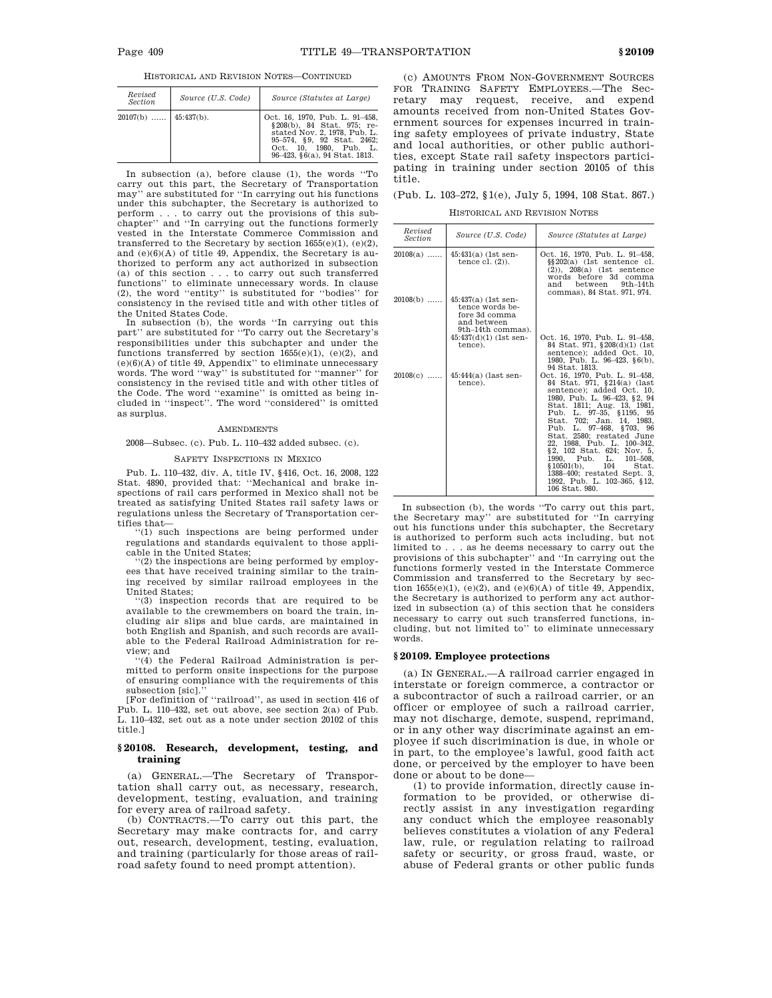HISTORICAL AND REVISION NOTES—CONTINUED

| Revised<br>Section      | Source (U.S. Code) | Source (Statutes at Large)                                                                                                                                                                   |
|-------------------------|--------------------|----------------------------------------------------------------------------------------------------------------------------------------------------------------------------------------------|
| $20107(b)$   45:437(b). |                    | Oct. 16, 1970. Pub. L. 91-458.<br>§208(b), 84 Stat, 975; re-<br>stated Nov. 2, 1978. Pub. L.<br>95-574, §9, 92 Stat. 2462;<br>Oct. 10. 1980. Pub. L.<br>$96-423$ , $6(a)$ , $94$ Stat. 1813. |

In subsection (a), before clause (1), the words ''To carry out this part, the Secretary of Transportation may'' are substituted for ''In carrying out his functions under this subchapter, the Secretary is authorized to perform . . . to carry out the provisions of this sub-chapter'' and ''In carrying out the functions formerly vested in the Interstate Commerce Commission and transferred to the Secretary by section 1655(e)(1), (e)(2), and (e)(6)(A) of title 49, Appendix, the Secretary is authorized to perform any act authorized in subsection (a) of this section . . . to carry out such transferred functions'' to eliminate unnecessary words. In clause (2), the word ''entity'' is substituted for ''bodies'' for consistency in the revised title and with other titles of the United States Code.

In subsection (b), the words ''In carrying out this part'' are substituted for ''To carry out the Secretary's responsibilities under this subchapter and under the functions transferred by section  $1655(e)(1)$ , (e)(2), and  $(e)(6)(A)$  of title 49, Appendix'' to eliminate unnecessary words. The word ''way'' is substituted for ''manner'' for consistency in the revised title and with other titles of the Code. The word ''examine'' is omitted as being included in ''inspect''. The word ''considered'' is omitted as surplus.

#### **AMENDMENTS**

2008—Subsec. (c). Pub. L. 110–432 added subsec. (c).

#### SAFETY INSPECTIONS IN MEXICO

Pub. L. 110–432, div. A, title IV, §416, Oct. 16, 2008, 122 Stat. 4890, provided that: ''Mechanical and brake inspections of rail cars performed in Mexico shall not be treated as satisfying United States rail safety laws or regulations unless the Secretary of Transportation certifies that—

'(1) such inspections are being performed under regulations and standards equivalent to those applicable in the United States;

'(2) the inspections are being performed by employees that have received training similar to the training received by similar railroad employees in the United States;

''(3) inspection records that are required to be available to the crewmembers on board the train, including air slips and blue cards, are maintained in both English and Spanish, and such records are available to the Federal Railroad Administration for review; and

''(4) the Federal Railroad Administration is permitted to perform onsite inspections for the purpose of ensuring compliance with the requirements of this subsection [sic].''

[For definition of ''railroad'', as used in section 416 of Pub. L. 110–432, set out above, see section 2(a) of Pub. L. 110–432, set out as a note under section 20102 of this title.]

## **§ 20108. Research, development, testing, and training**

(a) GENERAL.—The Secretary of Transportation shall carry out, as necessary, research, development, testing, evaluation, and training for every area of railroad safety.

(b) CONTRACTS.—To carry out this part, the Secretary may make contracts for, and carry out, research, development, testing, evaluation, and training (particularly for those areas of railroad safety found to need prompt attention).

(c) AMOUNTS FROM NON-GOVERNMENT SOURCES FOR TRAINING SAFETY EMPLOYEES.—The Secretary may request, receive, and expend amounts received from non-United States Government sources for expenses incurred in training safety employees of private industry, State and local authorities, or other public authorities, except State rail safety inspectors participating in training under section 20105 of this title.

(Pub. L. 103–272, §1(e), July 5, 1994, 108 Stat. 867.)

HISTORICAL AND REVISION NOTES

| Revised<br><b>Section</b> | Source (U.S. Code)                                                                                                        | Source (Statutes at Large)                                                                                                                                                                                                                                                                                                                                                                                                                                                                |
|---------------------------|---------------------------------------------------------------------------------------------------------------------------|-------------------------------------------------------------------------------------------------------------------------------------------------------------------------------------------------------------------------------------------------------------------------------------------------------------------------------------------------------------------------------------------------------------------------------------------------------------------------------------------|
| $20108(a)$                | $45:431(a)$ (1st sen-<br>tence $cl. (2)$ ).                                                                               | Oct. 16, 1970, Pub. L. 91-458,<br>$\S$ $202(a)$ (1st sentence cl.<br>$(2)$ , $208(a)$ (1st sentence<br>words before 3d comma<br>between<br>$9th-14th$<br>and<br>commas), 84 Stat. 971, 974.                                                                                                                                                                                                                                                                                               |
| $20108(b)$                | $45:437(a)$ (1st sen-<br>tence words be-<br>fore 3d comma<br>and between<br>9th-14th commas).<br>$45:437(d)(1)$ (1st sen- | Oct. 16, 1970, Pub. L. 91–458,                                                                                                                                                                                                                                                                                                                                                                                                                                                            |
|                           | tence).                                                                                                                   | 84 Stat. 971, §208(d)(1) (1st)<br>sentence); added Oct. 10.<br>1980, Pub. L. 96-423, §6(b),<br>94 Stat. 1813.                                                                                                                                                                                                                                                                                                                                                                             |
| $20108(c)$                | $45:44($ a $)$ (last sen-<br>tence).                                                                                      | Oct. 16, 1970, Pub. L. 91-458,<br>84 Stat. 971, §214(a) (last<br>sentence); added Oct. 10,<br>1980, Pub. L. 96-423, §2, 94<br>Stat. 1811; Aug. 13, 1981,<br>Pub. L. 97-35, §1195, 95<br>Stat. 702; Jan. 14, 1983.<br>Pub. L. 97-468, §703, 96<br>Stat. 2580; restated June<br>22, 1988, Pub. L. 100-342,<br>§2, 102 Stat. 624; Nov. 5,<br>1990, Pub. L.<br>$101 - 508$ ,<br>$$10501(b)$ ,<br>104<br>Stat.<br>1388-400; restated Sept. 3.<br>1992, Pub. L. 102-365, §12,<br>106 Stat. 980. |

In subsection (b), the words ''To carry out this part, the Secretary may'' are substituted for ''In carrying out his functions under this subchapter, the Secretary is authorized to perform such acts including, but not limited to . . . as he deems necessary to carry out the provisions of this subchapter'' and ''In carrying out the functions formerly vested in the Interstate Commerce Commission and transferred to the Secretary by section  $1655(e)(1)$ ,  $(e)(2)$ , and  $(e)(6)(A)$  of title 49, Appendix, the Secretary is authorized to perform any act authorized in subsection (a) of this section that he considers necessary to carry out such transferred functions, including, but not limited to'' to eliminate unnecessary words.

### **§ 20109. Employee protections**

(a) IN GENERAL.—A railroad carrier engaged in interstate or foreign commerce, a contractor or a subcontractor of such a railroad carrier, or an officer or employee of such a railroad carrier, may not discharge, demote, suspend, reprimand, or in any other way discriminate against an employee if such discrimination is due, in whole or in part, to the employee's lawful, good faith act done, or perceived by the employer to have been done or about to be done—

(1) to provide information, directly cause information to be provided, or otherwise directly assist in any investigation regarding any conduct which the employee reasonably believes constitutes a violation of any Federal law, rule, or regulation relating to railroad safety or security, or gross fraud, waste, or abuse of Federal grants or other public funds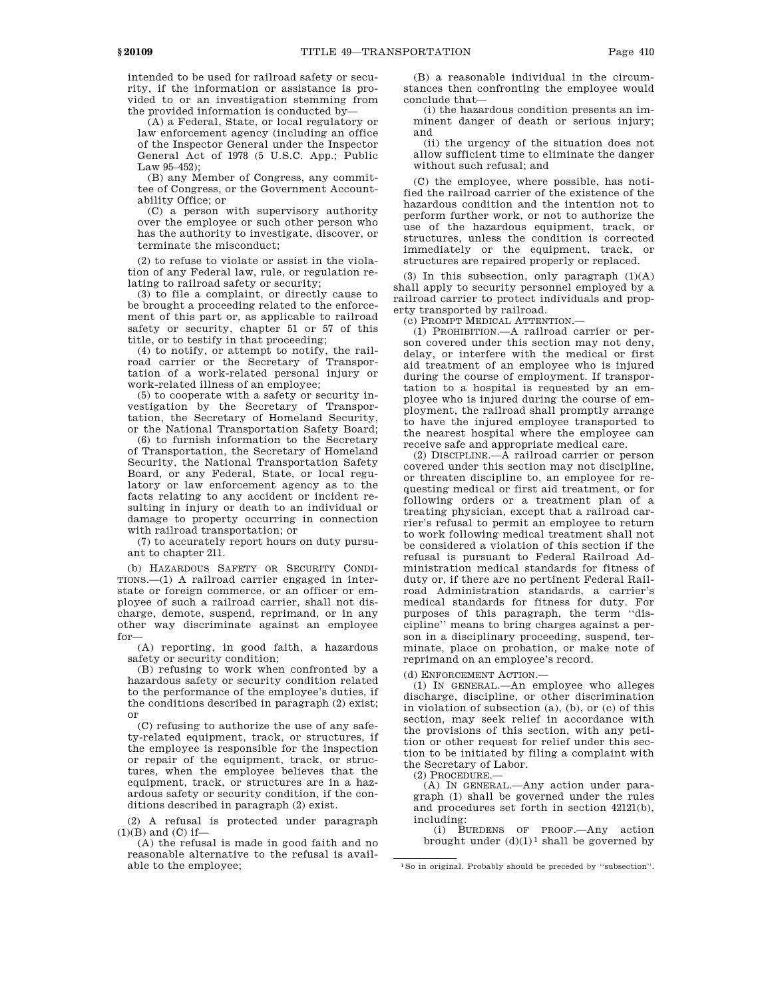intended to be used for railroad safety or security, if the information or assistance is provided to or an investigation stemming from the provided information is conducted by—

(A) a Federal, State, or local regulatory or law enforcement agency (including an office of the Inspector General under the Inspector General Act of 1978 (5 U.S.C. App.; Public Law 95–452);

(B) any Member of Congress, any committee of Congress, or the Government Accountability Office; or

(C) a person with supervisory authority over the employee or such other person who has the authority to investigate, discover, or terminate the misconduct;

(2) to refuse to violate or assist in the violation of any Federal law, rule, or regulation relating to railroad safety or security;

(3) to file a complaint, or directly cause to be brought a proceeding related to the enforcement of this part or, as applicable to railroad safety or security, chapter 51 or 57 of this title, or to testify in that proceeding;

(4) to notify, or attempt to notify, the railroad carrier or the Secretary of Transportation of a work-related personal injury or work-related illness of an employee;

(5) to cooperate with a safety or security investigation by the Secretary of Transportation, the Secretary of Homeland Security, or the National Transportation Safety Board;

(6) to furnish information to the Secretary of Transportation, the Secretary of Homeland Security, the National Transportation Safety Board, or any Federal, State, or local regulatory or law enforcement agency as to the facts relating to any accident or incident resulting in injury or death to an individual or damage to property occurring in connection with railroad transportation; or

(7) to accurately report hours on duty pursuant to chapter 211.

(b) HAZARDOUS SAFETY OR SECURITY CONDI-TIONS.—(1) A railroad carrier engaged in interstate or foreign commerce, or an officer or employee of such a railroad carrier, shall not discharge, demote, suspend, reprimand, or in any other way discriminate against an employee for—

(A) reporting, in good faith, a hazardous safety or security condition;

(B) refusing to work when confronted by a hazardous safety or security condition related to the performance of the employee's duties, if the conditions described in paragraph (2) exist; or

(C) refusing to authorize the use of any safety-related equipment, track, or structures, if the employee is responsible for the inspection or repair of the equipment, track, or structures, when the employee believes that the equipment, track, or structures are in a hazardous safety or security condition, if the conditions described in paragraph (2) exist.

(2) A refusal is protected under paragraph  $(1)(B)$  and  $(C)$  if-

(A) the refusal is made in good faith and no reasonable alternative to the refusal is available to the employee;

(B) a reasonable individual in the circumstances then confronting the employee would conclude that—

(i) the hazardous condition presents an imminent danger of death or serious injury; and

(ii) the urgency of the situation does not allow sufficient time to eliminate the danger without such refusal; and

(C) the employee, where possible, has notified the railroad carrier of the existence of the hazardous condition and the intention not to perform further work, or not to authorize the use of the hazardous equipment, track, or structures, unless the condition is corrected immediately or the equipment, track, or structures are repaired properly or replaced.

(3) In this subsection, only paragraph  $(1)(A)$ shall apply to security personnel employed by a railroad carrier to protect individuals and property transported by railroad.

(c) PROMPT MEDICAL ATTENTION.—

(1) PROHIBITION.—A railroad carrier or person covered under this section may not deny, delay, or interfere with the medical or first aid treatment of an employee who is injured during the course of employment. If transportation to a hospital is requested by an employee who is injured during the course of employment, the railroad shall promptly arrange to have the injured employee transported to the nearest hospital where the employee can receive safe and appropriate medical care.

(2) DISCIPLINE.—A railroad carrier or person covered under this section may not discipline, or threaten discipline to, an employee for requesting medical or first aid treatment, or for following orders or a treatment plan of a treating physician, except that a railroad carrier's refusal to permit an employee to return to work following medical treatment shall not be considered a violation of this section if the refusal is pursuant to Federal Railroad Administration medical standards for fitness of duty or, if there are no pertinent Federal Railroad Administration standards, a carrier's medical standards for fitness for duty. For purposes of this paragraph, the term ''discipline'' means to bring charges against a person in a disciplinary proceeding, suspend, terminate, place on probation, or make note of reprimand on an employee's record.

(d) ENFORCEMENT ACTION.—

(1) IN GENERAL.—An employee who alleges discharge, discipline, or other discrimination in violation of subsection (a), (b), or (c) of this section, may seek relief in accordance with the provisions of this section, with any petition or other request for relief under this section to be initiated by filing a complaint with the Secretary of Labor.

(2) PROCEDURE.—

(A) IN GENERAL.—Any action under paragraph (1) shall be governed under the rules and procedures set forth in section 42121(b), including:

(i) BURDENS OF PROOF.—Any action brought under  $(d)(1)^1$  shall be governed by

<sup>1</sup>So in original. Probably should be preceded by ''subsection''.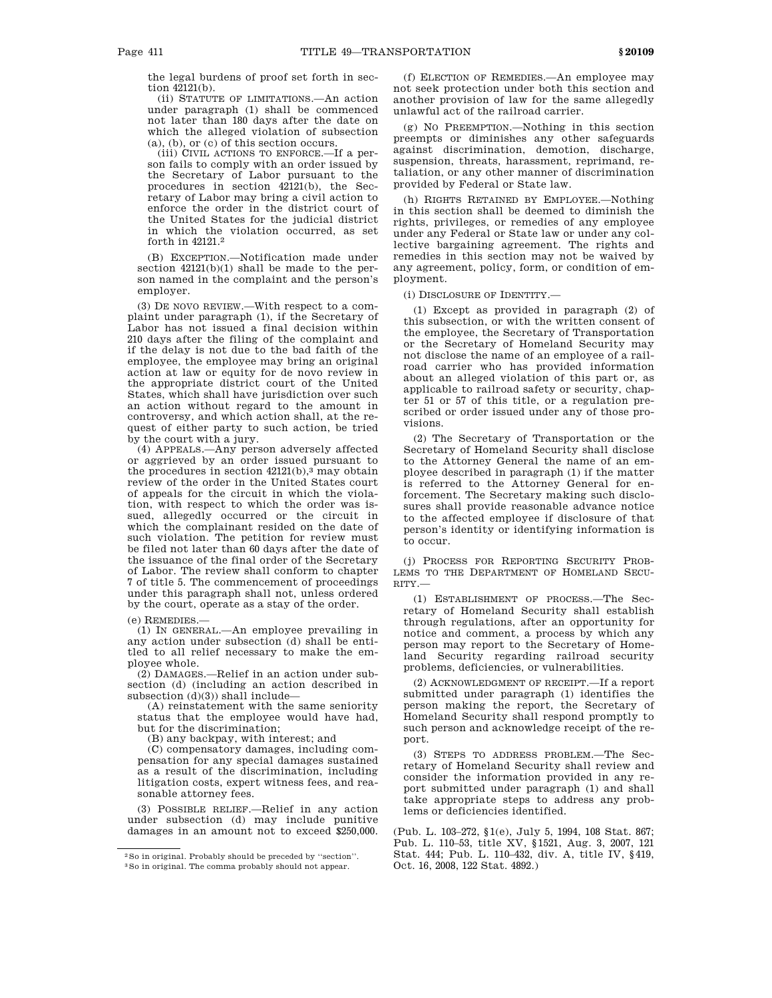the legal burdens of proof set forth in section 42121(b).

(ii) STATUTE OF LIMITATIONS.—An action under paragraph (1) shall be commenced not later than 180 days after the date on which the alleged violation of subsection (a), (b), or (c) of this section occurs.

(iii) CIVIL ACTIONS TO ENFORCE.—If a person fails to comply with an order issued by the Secretary of Labor pursuant to the procedures in section 42121(b), the Secretary of Labor may bring a civil action to enforce the order in the district court of the United States for the judicial district in which the violation occurred, as set forth in 42121.2

(B) EXCEPTION.—Notification made under section 42121(b)(1) shall be made to the person named in the complaint and the person's employer.

(3) DE NOVO REVIEW.—With respect to a complaint under paragraph (1), if the Secretary of Labor has not issued a final decision within 210 days after the filing of the complaint and if the delay is not due to the bad faith of the employee, the employee may bring an original action at law or equity for de novo review in the appropriate district court of the United States, which shall have jurisdiction over such an action without regard to the amount in controversy, and which action shall, at the request of either party to such action, be tried by the court with a jury.

(4) APPEALS.—Any person adversely affected or aggrieved by an order issued pursuant to the procedures in section  $42121(b)$ ,<sup>3</sup> may obtain review of the order in the United States court of appeals for the circuit in which the violation, with respect to which the order was issued, allegedly occurred or the circuit in which the complainant resided on the date of such violation. The petition for review must be filed not later than 60 days after the date of the issuance of the final order of the Secretary of Labor. The review shall conform to chapter 7 of title 5. The commencement of proceedings under this paragraph shall not, unless ordered by the court, operate as a stay of the order.

(e) REMEDIES.—

(1) IN GENERAL.—An employee prevailing in any action under subsection (d) shall be entitled to all relief necessary to make the employee whole.

(2) DAMAGES.—Relief in an action under subsection (d) (including an action described in subsection (d)(3)) shall include—

(A) reinstatement with the same seniority status that the employee would have had, but for the discrimination;

(B) any backpay, with interest; and

(C) compensatory damages, including compensation for any special damages sustained as a result of the discrimination, including litigation costs, expert witness fees, and reasonable attorney fees.

(3) POSSIBLE RELIEF.—Relief in any action under subsection (d) may include punitive damages in an amount not to exceed \$250,000.

(f) ELECTION OF REMEDIES.—An employee may not seek protection under both this section and another provision of law for the same allegedly unlawful act of the railroad carrier.

(g) NO PREEMPTION.—Nothing in this section preempts or diminishes any other safeguards against discrimination, demotion, discharge, suspension, threats, harassment, reprimand, retaliation, or any other manner of discrimination provided by Federal or State law.

(h) RIGHTS RETAINED BY EMPLOYEE.—Nothing in this section shall be deemed to diminish the rights, privileges, or remedies of any employee under any Federal or State law or under any collective bargaining agreement. The rights and remedies in this section may not be waived by any agreement, policy, form, or condition of employment.

(i) DISCLOSURE OF IDENTITY.—

(1) Except as provided in paragraph (2) of this subsection, or with the written consent of the employee, the Secretary of Transportation or the Secretary of Homeland Security may not disclose the name of an employee of a railroad carrier who has provided information about an alleged violation of this part or, as applicable to railroad safety or security, chapter 51 or 57 of this title, or a regulation prescribed or order issued under any of those provisions.

(2) The Secretary of Transportation or the Secretary of Homeland Security shall disclose to the Attorney General the name of an employee described in paragraph (1) if the matter is referred to the Attorney General for enforcement. The Secretary making such disclosures shall provide reasonable advance notice to the affected employee if disclosure of that person's identity or identifying information is to occur.

(j) PROCESS FOR REPORTING SECURITY PROB-LEMS TO THE DEPARTMENT OF HOMELAND SECU-RITY.—

(1) ESTABLISHMENT OF PROCESS.—The Secretary of Homeland Security shall establish through regulations, after an opportunity for notice and comment, a process by which any person may report to the Secretary of Homeland Security regarding railroad security problems, deficiencies, or vulnerabilities.

(2) ACKNOWLEDGMENT OF RECEIPT.—If a report submitted under paragraph (1) identifies the person making the report, the Secretary of Homeland Security shall respond promptly to such person and acknowledge receipt of the report.

(3) STEPS TO ADDRESS PROBLEM.—The Secretary of Homeland Security shall review and consider the information provided in any report submitted under paragraph (1) and shall take appropriate steps to address any problems or deficiencies identified.

(Pub. L. 103–272, §1(e), July 5, 1994, 108 Stat. 867; Pub. L. 110–53, title XV, §1521, Aug. 3, 2007, 121 Stat. 444; Pub. L. 110–432, div. A, title IV, §419, Oct. 16, 2008, 122 Stat. 4892.)

<sup>2</sup>So in original. Probably should be preceded by ''section''.

<sup>3</sup>So in original. The comma probably should not appear.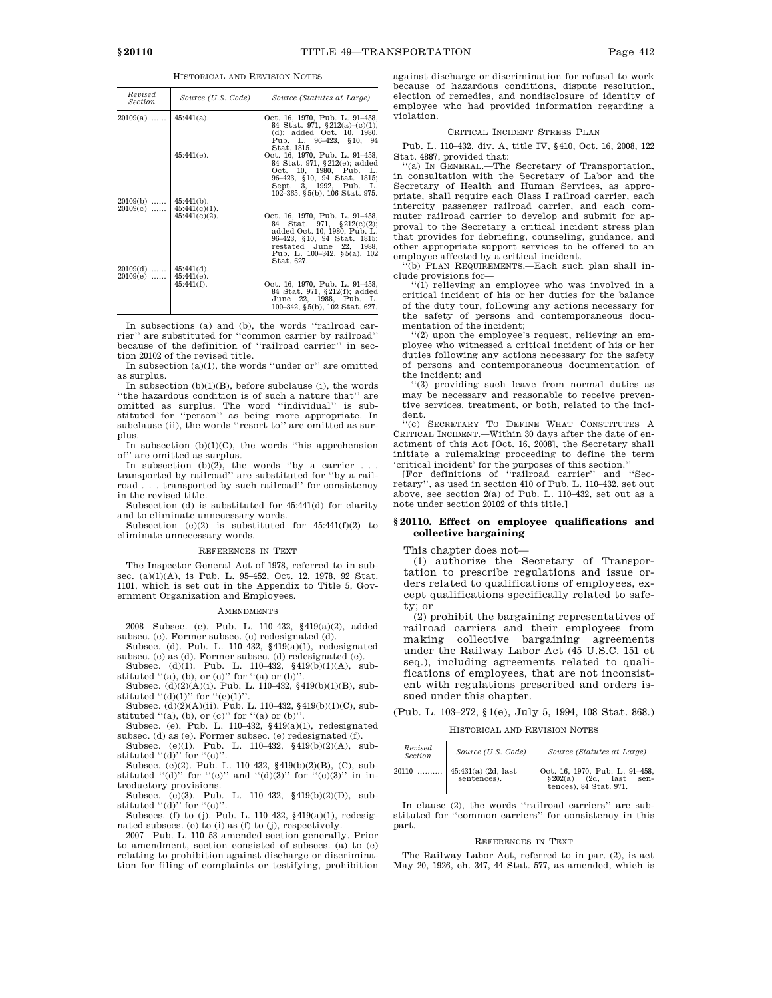HISTORICAL AND REVISION NOTES

| Revised<br><b>Section</b> | Source (U.S. Code)                | Source (Statutes at Large)                                                                                                                                                                                  |
|---------------------------|-----------------------------------|-------------------------------------------------------------------------------------------------------------------------------------------------------------------------------------------------------------|
| $20109(a)$                | $45:441(a)$ .                     | Oct. 16, 1970, Pub. L. 91-458,<br>84 Stat. 971, $$212(a)-(c)(1)$ ,<br>(d); added Oct. 10, 1980,<br>Pub. L. 96-423, §10, 94<br>Stat. 1815.                                                                   |
|                           | $45:441(e)$ .                     | Oct. 16, 1970, Pub. L. 91-458,<br>84 Stat. 971, §212(e); added<br>Oct. 10, 1980, Pub. L.<br>96-423, §10, 94 Stat. 1815;<br>Sept. 3, 1992, Pub. L.                                                           |
| $20109(b)$<br>$20109(c)$  | $45:441(b)$ .<br>$45:441(c)(1)$ . | 102-365, §5(b), 106 Stat. 975.                                                                                                                                                                              |
|                           | $45:441(c)(2)$ .                  | Oct. 16, 1970, Pub. L. 91-458,<br>84 Stat. 971, §212(c)(2);<br>added Oct. 10, 1980, Pub. L.<br>96-423, §10, 94 Stat. 1815;<br>restated June 22, 1988,<br>Pub. L. $100-342$ , $\S5(a)$ , $102$<br>Stat. 627. |
| $20109(d)$                | $45:441(d)$ .                     |                                                                                                                                                                                                             |
| $20109(e)$                | $45:441(e)$ .<br>$45:441(f)$ .    | Oct. 16, 1970, Pub. L. 91-458,<br>84 Stat. 971, §212(f); added<br>June 22, 1988, Pub. L.<br>100-342, §5(b), 102 Stat. 627.                                                                                  |

In subsections (a) and (b), the words ''railroad carrier'' are substituted for ''common carrier by railroad'' because of the definition of ''railroad carrier'' in section 20102 of the revised title.

In subsection  $(a)(1)$ , the words "under or" are omitted as surplus.

In subsection  $(b)(1)(B)$ , before subclause (i), the words ''the hazardous condition is of such a nature that'' are omitted as surplus. The word ''individual'' is substituted for ''person'' as being more appropriate. In subclause (ii), the words "resort to" are omitted as surplus.

In subsection  $(b)(1)(C)$ , the words "his apprehension" of'' are omitted as surplus.

In subsection  $(b)(2)$ , the words "by a carrier ...

transported by railroad'' are substituted for ''by a railroad . . . transported by such railroad'' for consistency in the revised title.

Subsection (d) is substituted for 45:441(d) for clarity and to eliminate unnecessary words.

Subsection  $(e)(2)$  is substituted for  $45:441(f)(2)$  to eliminate unnecessary words.

#### REFERENCES IN TEXT

The Inspector General Act of 1978, referred to in subsec. (a)(1)(A), is Pub. L. 95-452, Oct. 12, 1978, 92 Stat. 1101, which is set out in the Appendix to Title 5, Government Organization and Employees.

#### **AMENDMENTS**

2008—Subsec. (c). Pub. L. 110–432, §419(a)(2), added subsec. (c). Former subsec. (c) redesignated (d).

Subsec. (d). Pub. L. 110–432,  $\frac{1}{2}$  419(a)(1), redesignated subsec. (c) as (d). Former subsec. (d) redesignated (e).

Subsec. (d)(1). Pub. L. 110–432, §419(b)(1)(A), substituted  $(2a)$ , (b), or (c)" for  $(2a)$  or (b)".

Subsec. (d)(2)(A)(i). Pub. L. 110–432, §419(b)(1)(B), substituted  $((d)(1))$  for  $((e)(1))$ .

Subsec. (d)(2)(A)(ii). Pub. L. 110–432, §419(b)(1)(C), substituted  $((a), (b),$  or  $(c)$ " for  $((a)$  or  $(b)$ ".

Subsec. (e). Pub. L. 110–432,  $§419(a)(1)$ , redesignated subsec. (d) as (e). Former subsec. (e) redesignated (f).

Subsec. (e)(1). Pub. L. 110–432, §419(b)(2)(A), substituted  $((d)$  for  $((e))$ .

Subsec. (e)(2). Pub. L. 110–432, §419(b)(2)(B), (C), substituted  $((d)$  for  $((c)$  and  $((d)(3))$  for  $((c)(3))$  in introductory provisions.

Subsec. (e)(3). Pub. L. 110–432, §419(b)(2)(D), substituted  $((d)$ " for  $((e)$ ".

Subsecs. (f) to (j). Pub. L. 110–432, §419(a)(1), redesignated subsecs. (e) to (i) as (f) to (j), respectively.

2007—Pub. L. 110–53 amended section generally. Prior to amendment, section consisted of subsecs. (a) to (e) relating to prohibition against discharge or discrimination for filing of complaints or testifying, prohibition against discharge or discrimination for refusal to work because of hazardous conditions, dispute resolution, election of remedies, and nondisclosure of identity of employee who had provided information regarding a violation.

### CRITICAL INCIDENT STRESS PLAN

Pub. L. 110–432, div. A, title IV, §410, Oct. 16, 2008, 122 Stat. 4887, provided that:

''(a) IN GENERAL.—The Secretary of Transportation, in consultation with the Secretary of Labor and the Secretary of Health and Human Services, as appropriate, shall require each Class I railroad carrier, each intercity passenger railroad carrier, and each commuter railroad carrier to develop and submit for approval to the Secretary a critical incident stress plan that provides for debriefing, counseling, guidance, and other appropriate support services to be offered to an employee affected by a critical incident.

''(b) PLAN REQUIREMENTS.—Each such plan shall include provisions for—

 $\cdot$ (1) relieving an employee who was involved in a critical incident of his or her duties for the balance of the duty tour, following any actions necessary for the safety of persons and contemporaneous documentation of the incident;

''(2) upon the employee's request, relieving an employee who witnessed a critical incident of his or her duties following any actions necessary for the safety of persons and contemporaneous documentation of the incident; and

''(3) providing such leave from normal duties as may be necessary and reasonable to receive preventive services, treatment, or both, related to the incident.

''(c) SECRETARY TO DEFINE WHAT CONSTITUTES A CRITICAL INCIDENT.—Within 30 days after the date of enactment of this Act [Oct. 16, 2008], the Secretary shall initiate a rulemaking proceeding to define the term 'critical incident' for the purposes of this section.''

[For definitions of ''railroad carrier'' and ''Secretary'', as used in section 410 of Pub. L. 110–432, set out above, see section 2(a) of Pub. L. 110–432, set out as a note under section 20102 of this title.]

## **§ 20110. Effect on employee qualifications and collective bargaining**

This chapter does not—

(1) authorize the Secretary of Transportation to prescribe regulations and issue orders related to qualifications of employees, except qualifications specifically related to safety; or

(2) prohibit the bargaining representatives of railroad carriers and their employees from making collective bargaining agreements under the Railway Labor Act (45 U.S.C. 151 et seq.), including agreements related to qualifications of employees, that are not inconsistent with regulations prescribed and orders issued under this chapter.

(Pub. L. 103–272, §1(e), July 5, 1994, 108 Stat. 868.)

HISTORICAL AND REVISION NOTES

| Revised<br><b>Section</b> | Source (U.S. Code)                   | Source (Statutes at Large)                                                                  |
|---------------------------|--------------------------------------|---------------------------------------------------------------------------------------------|
| 20110<br>.                | $45:431(a)$ (2d, last<br>sentences). | Oct. 16, 1970, Pub. L. 91-458,<br>$(2d.$ last<br>\$202(a)<br>sen-<br>tences), 84 Stat. 971. |

In clause (2), the words ''railroad carriers'' are substituted for ''common carriers'' for consistency in this part.

#### REFERENCES IN TEXT

The Railway Labor Act, referred to in par. (2), is act May 20, 1926, ch. 347, 44 Stat. 577, as amended, which is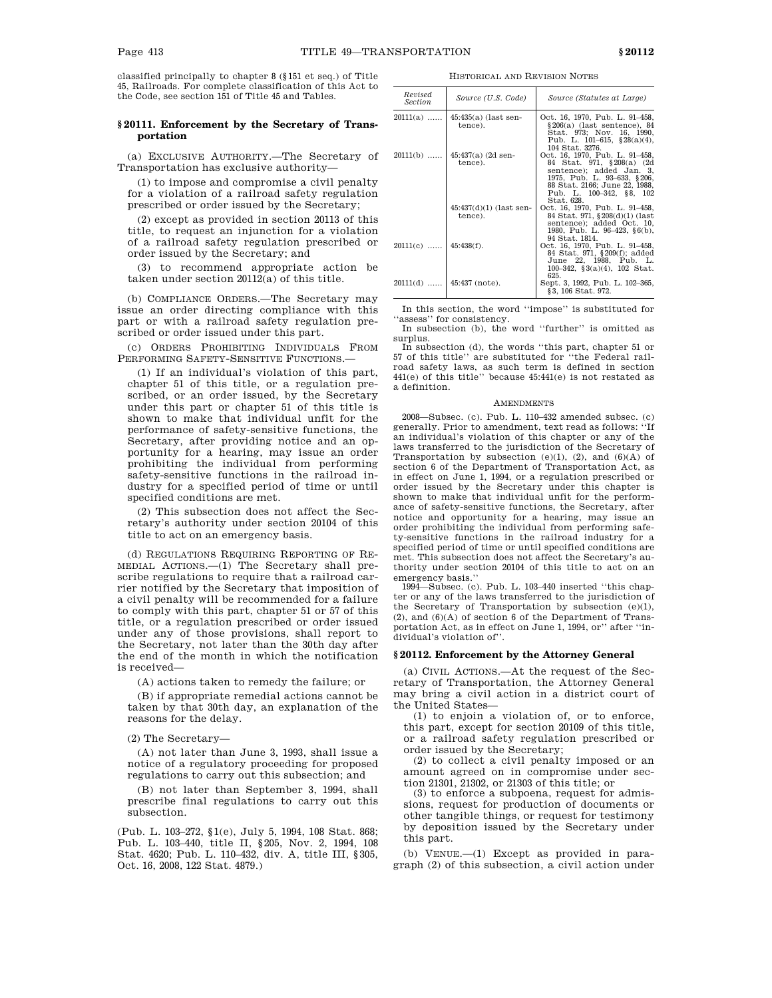classified principally to chapter 8 (§151 et seq.) of Title 45, Railroads. For complete classification of this Act to the Code, see section 151 of Title 45 and Tables.

# **§ 20111. Enforcement by the Secretary of Transportation**

(a) EXCLUSIVE AUTHORITY.—The Secretary of Transportation has exclusive authority—

(1) to impose and compromise a civil penalty for a violation of a railroad safety regulation prescribed or order issued by the Secretary;

(2) except as provided in section 20113 of this title, to request an injunction for a violation of a railroad safety regulation prescribed or order issued by the Secretary; and

(3) to recommend appropriate action be taken under section 20112(a) of this title.

(b) COMPLIANCE ORDERS.—The Secretary may issue an order directing compliance with this part or with a railroad safety regulation prescribed or order issued under this part.

(c) ORDERS PROHIBITING INDIVIDUALS FROM PERFORMING SAFETY-SENSITIVE FUNCTIONS.

(1) If an individual's violation of this part, chapter 51 of this title, or a regulation prescribed, or an order issued, by the Secretary under this part or chapter 51 of this title is shown to make that individual unfit for the performance of safety-sensitive functions, the Secretary, after providing notice and an opportunity for a hearing, may issue an order prohibiting the individual from performing safety-sensitive functions in the railroad industry for a specified period of time or until specified conditions are met.

(2) This subsection does not affect the Secretary's authority under section 20104 of this title to act on an emergency basis.

(d) REGULATIONS REQUIRING REPORTING OF RE-MEDIAL ACTIONS.—(1) The Secretary shall prescribe regulations to require that a railroad carrier notified by the Secretary that imposition of a civil penalty will be recommended for a failure to comply with this part, chapter 51 or 57 of this title, or a regulation prescribed or order issued under any of those provisions, shall report to the Secretary, not later than the 30th day after the end of the month in which the notification is received—

(A) actions taken to remedy the failure; or

(B) if appropriate remedial actions cannot be taken by that 30th day, an explanation of the reasons for the delay.

(2) The Secretary—

(A) not later than June 3, 1993, shall issue a notice of a regulatory proceeding for proposed regulations to carry out this subsection; and

(B) not later than September 3, 1994, shall prescribe final regulations to carry out this subsection.

(Pub. L. 103–272, §1(e), July 5, 1994, 108 Stat. 868; Pub. L. 103–440, title II, §205, Nov. 2, 1994, 108 Stat. 4620; Pub. L. 110–432, div. A, title III, §305, Oct. 16, 2008, 122 Stat. 4879.)

HISTORICAL AND REVISION NOTES

| Revised<br><i>Section</i> | Source (U.S. Code)                   | Source (Statutes at Large)                                                                                                                                                                         |
|---------------------------|--------------------------------------|----------------------------------------------------------------------------------------------------------------------------------------------------------------------------------------------------|
| $20111(a)$                | $45:435(a)$ (last sen-<br>tence).    | Oct. 16, 1970, Pub. L. 91–458,<br>$§206(a)$ (last sentence), 84<br>Stat. 973; Nov. 16, 1990.<br>Pub. L. 101-615, $§28(a)(4)$ ,<br>104 Stat. 3276.                                                  |
| $20111(b)$                | $45:437(a)$ (2d sen-<br>tence).      | Oct. 16, 1970, Pub. L. 91–458,<br>84 Stat. 971, §208(a) (2d)<br>sentence); added Jan. 3.<br>1975, Pub. L. 93–633, §206,<br>88 Stat. 2166; June 22, 1988.<br>Pub. L. 100-342, §8, 102<br>Stat. 628. |
|                           | $45:437(d)(1)$ (last sen-<br>tence). | Oct. 16, 1970, Pub. L. 91-458,<br>84 Stat. 971, §208(d)(1) (last<br>sentence); added Oct. 10.<br>1980, Pub. L. 96–423, §6(b),<br>94 Stat. 1814.                                                    |
| $20111(c)$                | $45:438(f)$ .                        | Oct. 16, 1970, Pub. L. 91–458,<br>84 Stat. 971, §209(f); added<br>June 22, 1988, Pub. L.<br>100-342, $\S3(a)(4)$ , 102 Stat.<br>625.                                                               |
| $20111(d)$                | $145:437$ (note).                    | Sept. 3, 1992, Pub. L. 102-365,<br>§3, 106 Stat. 972.                                                                                                                                              |

In this section, the word ''impose'' is substituted for 'assess'' for consistency.

In subsection (b), the word ''further'' is omitted as surplus.

In subsection (d), the words ''this part, chapter 51 or 57 of this title'' are substituted for ''the Federal railroad safety laws, as such term is defined in section 441(e) of this title'' because 45:441(e) is not restated as a definition.

#### **AMENDMENTS**

2008—Subsec. (c). Pub. L. 110–432 amended subsec. (c) generally. Prior to amendment, text read as follows: ''If an individual's violation of this chapter or any of the laws transferred to the jurisdiction of the Secretary of Transportation by subsection  $(e)(1)$ ,  $(2)$ , and  $(6)(A)$  of section 6 of the Department of Transportation Act, as in effect on June 1, 1994, or a regulation prescribed or order issued by the Secretary under this chapter is shown to make that individual unfit for the performance of safety-sensitive functions, the Secretary, after notice and opportunity for a hearing, may issue an order prohibiting the individual from performing safety-sensitive functions in the railroad industry for a specified period of time or until specified conditions are met. This subsection does not affect the Secretary's authority under section 20104 of this title to act on an emergency basis.''

1994—Subsec. (c). Pub. L. 103–440 inserted ''this chapter or any of the laws transferred to the jurisdiction of the Secretary of Transportation by subsection (e)(1), (2), and  $(6)(A)$  of section 6 of the Department of Transportation Act, as in effect on June 1, 1994, or'' after ''individual's violation of''.

### **§ 20112. Enforcement by the Attorney General**

(a) CIVIL ACTIONS.—At the request of the Secretary of Transportation, the Attorney General may bring a civil action in a district court of the United States—

(1) to enjoin a violation of, or to enforce, this part, except for section 20109 of this title, or a railroad safety regulation prescribed or order issued by the Secretary;

(2) to collect a civil penalty imposed or an amount agreed on in compromise under section 21301, 21302, or 21303 of this title; or

(3) to enforce a subpoena, request for admissions, request for production of documents or other tangible things, or request for testimony by deposition issued by the Secretary under this part.

(b) VENUE.—(1) Except as provided in paragraph (2) of this subsection, a civil action under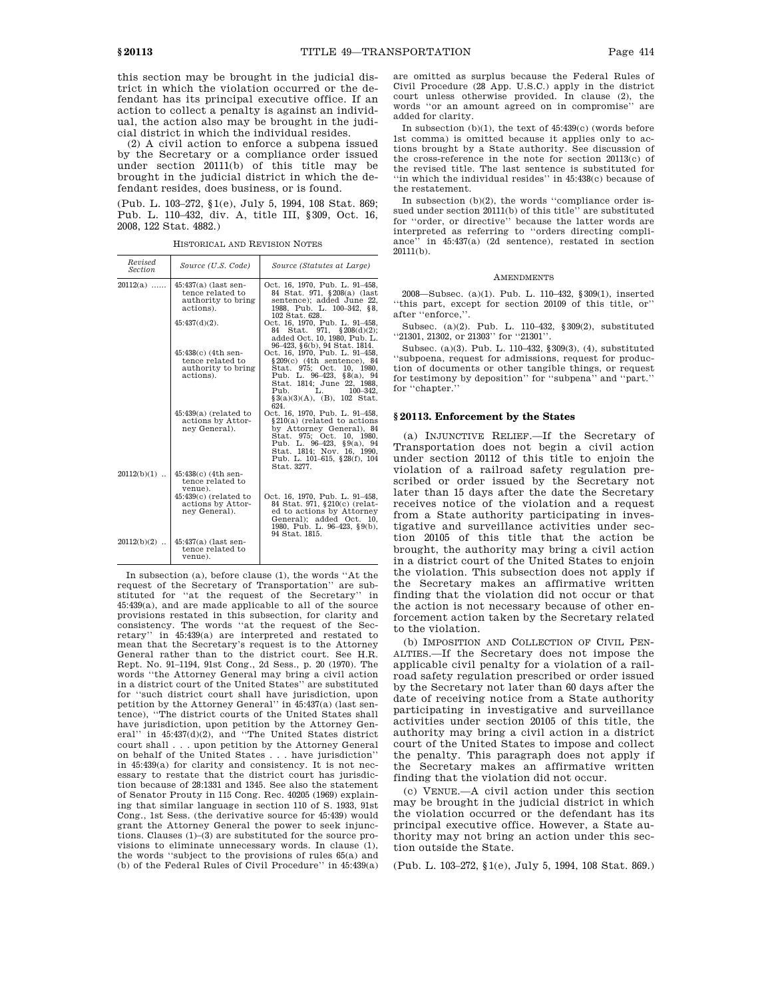this section may be brought in the judicial district in which the violation occurred or the defendant has its principal executive office. If an action to collect a penalty is against an individual, the action also may be brought in the judicial district in which the individual resides.

(2) A civil action to enforce a subpena issued by the Secretary or a compliance order issued under section 20111(b) of this title may be brought in the judicial district in which the defendant resides, does business, or is found.

(Pub. L. 103–272, §1(e), July 5, 1994, 108 Stat. 869; Pub. L. 110–432, div. A, title III, §309, Oct. 16, 2008, 122 Stat. 4882.)

HISTORICAL AND REVISION NOTES

| Revised<br><b>Section</b> | Source (U.S. Code)                                                                                                    | Source (Statutes at Large)                                                                                                                                                                                                                                            |
|---------------------------|-----------------------------------------------------------------------------------------------------------------------|-----------------------------------------------------------------------------------------------------------------------------------------------------------------------------------------------------------------------------------------------------------------------|
| $20112(a)$                | $45:437(a)$ (last sen-<br>tence related to<br>authority to bring<br>actions).<br>$45:437(d)(2)$ .                     | Oct. 16, 1970, Pub. L. 91-458,<br>84 Stat. 971, §208(a) (last<br>sentence); added June 22,<br>1988, Pub. L. 100-342, §8,<br>102 Stat. 628.<br>Oct. 16, 1970, Pub. L. 91-458,<br>Stat. 971, $\S 208(d)(2)$ ;<br>84<br>added Oct. 10, 1980, Pub. L.                     |
|                           | $45:438(c)$ (4th sen-<br>tence related to<br>authority to bring<br>actions).                                          | 96-423, §6(b), 94 Stat. 1814.<br>Oct. 16, 1970, Pub. L. 91-458,<br>$§209(c)$ (4th sentence), 84<br>Stat. 975: Oct. 10. 1980.<br>Pub. L. 96-423, $\S 8(a)$ , 94<br>Stat. 1814; June 22, 1988.<br>Pub.<br>L.<br>$100 - 342.$<br>$\S3(a)(3)(A)$ , (B), 102 Stat.<br>624. |
|                           | $45:439(a)$ (related to<br>actions by Attor-<br>nev General).                                                         | Oct. 16, 1970, Pub. L. 91-458,<br>§210(a) (related to actions<br>by Attorney General), 84<br>Stat. 975: Oct. 10. 1980.<br>Pub. L. $96-423$ , $99(a)$ , $94$<br>Stat. 1814; Nov. 16, 1990.<br>Pub. L. 101-615, §28(f), 104<br>Stat. 3277.                              |
| $20112(b)(1)$             | $45:438(c)$ (4th sen-<br>tence related to<br>venue).<br>$45:439(c)$ (related to<br>actions by Attor-<br>ney General). | Oct. 16, 1970, Pub. L. 91–458,<br>84 Stat. 971, §210(c) (relat-<br>ed to actions by Attorney<br>General); added Oct. 10,<br>1980, Pub. L. 96-423, §9(b),<br>94 Stat. 1815.                                                                                            |
| $20112(b)(2)$             | $45:437(a)$ (last sen-<br>tence related to<br>venue).                                                                 |                                                                                                                                                                                                                                                                       |

In subsection (a), before clause (1), the words ''At the request of the Secretary of Transportation'' are substituted for ''at the request of the Secretary'' in 45:439(a), and are made applicable to all of the source provisions restated in this subsection, for clarity and consistency. The words ''at the request of the Secretary'' in 45:439(a) are interpreted and restated to mean that the Secretary's request is to the Attorney General rather than to the district court. See H.R. Rept. No. 91–1194, 91st Cong., 2d Sess., p. 20 (1970). The words ''the Attorney General may bring a civil action in a district court of the United States'' are substituted for ''such district court shall have jurisdiction, upon petition by the Attorney General'' in 45:437(a) (last sentence), ''The district courts of the United States shall have jurisdiction, upon petition by the Attorney General'' in 45:437(d)(2), and ''The United States district court shall . . . upon petition by the Attorney General on behalf of the United States . . . have jurisdiction'' in 45:439(a) for clarity and consistency. It is not necessary to restate that the district court has jurisdiction because of 28:1331 and 1345. See also the statement of Senator Prouty in 115 Cong. Rec. 40205 (1969) explaining that similar language in section 110 of S. 1933, 91st Cong., 1st Sess. (the derivative source for 45:439) would grant the Attorney General the power to seek injunctions. Clauses (1)–(3) are substituted for the source provisions to eliminate unnecessary words. In clause (1), the words ''subject to the provisions of rules 65(a) and (b) of the Federal Rules of Civil Procedure'' in 45:439(a)

are omitted as surplus because the Federal Rules of Civil Procedure (28 App. U.S.C.) apply in the district court unless otherwise provided. In clause (2), the words ''or an amount agreed on in compromise'' are added for clarity.

In subsection (b)(1), the text of 45:439(c) (words before 1st comma) is omitted because it applies only to actions brought by a State authority. See discussion of the cross-reference in the note for section 20113(c) of the revised title. The last sentence is substituted for ''in which the individual resides'' in 45:438(c) because of the restatement.

In subsection (b)(2), the words ''compliance order issued under section 20111(b) of this title'' are substituted for ''order, or directive'' because the latter words are interpreted as referring to ''orders directing compliance'' in 45:437(a) (2d sentence), restated in section 20111(b).

#### AMENDMENTS

2008—Subsec. (a)(1). Pub. L. 110–432, §309(1), inserted ''this part, except for section 20109 of this title, or'' after ''enforce,''.

Subsec. (a)(2). Pub. L. 110–432, §309(2), substituted ''21301, 21302, or 21303'' for ''21301''.

Subsec. (a)(3). Pub. L. 110–432, §309(3), (4), substituted ''subpoena, request for admissions, request for production of documents or other tangible things, or request for testimony by deposition'' for ''subpena'' and ''part.'' for ''chapter.''

## **§ 20113. Enforcement by the States**

(a) INJUNCTIVE RELIEF.—If the Secretary of Transportation does not begin a civil action under section 20112 of this title to enjoin the violation of a railroad safety regulation prescribed or order issued by the Secretary not later than 15 days after the date the Secretary receives notice of the violation and a request from a State authority participating in investigative and surveillance activities under section 20105 of this title that the action be brought, the authority may bring a civil action in a district court of the United States to enjoin the violation. This subsection does not apply if the Secretary makes an affirmative written finding that the violation did not occur or that the action is not necessary because of other enforcement action taken by the Secretary related to the violation.

(b) IMPOSITION AND COLLECTION OF CIVIL PEN-ALTIES.—If the Secretary does not impose the applicable civil penalty for a violation of a railroad safety regulation prescribed or order issued by the Secretary not later than 60 days after the date of receiving notice from a State authority participating in investigative and surveillance activities under section 20105 of this title, the authority may bring a civil action in a district court of the United States to impose and collect the penalty. This paragraph does not apply if the Secretary makes an affirmative written finding that the violation did not occur.

(c) VENUE.—A civil action under this section may be brought in the judicial district in which the violation occurred or the defendant has its principal executive office. However, a State authority may not bring an action under this section outside the State.

(Pub. L. 103–272, §1(e), July 5, 1994, 108 Stat. 869.)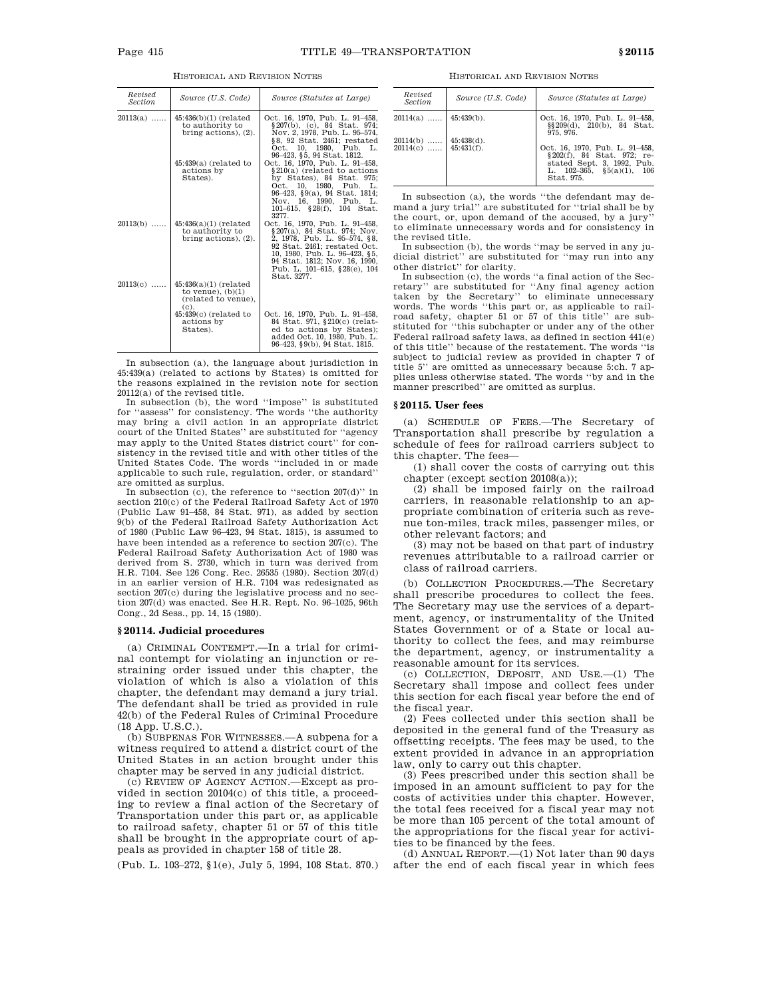| Revised<br><b>Section</b> | Source (U.S. Code)                                                               | Source (Statutes at Large)                                                                                                                                                                                                                     |
|---------------------------|----------------------------------------------------------------------------------|------------------------------------------------------------------------------------------------------------------------------------------------------------------------------------------------------------------------------------------------|
| $20113(a)$                | $45:436(b)(1)$ (related<br>to authority to<br>bring actions), $(2)$ .            | Oct. 16, 1970, Pub. L. 91-458,<br>§207(b), (c), 84 Stat, 974;<br>Nov. 2, 1978, Pub. L. 95-574,<br>§8, 92 Stat. 2461; restated<br>Oct. 10, 1980, Pub. L.<br>96-423, §5, 94 Stat. 1812.                                                          |
|                           | $45:439(a)$ (related to<br>actions by<br>States).                                | Oct. 16, 1970, Pub. L. 91-458,<br>§210(a) (related to actions<br>by States), 84 Stat. 975;<br>Oct. 10, 1980, Pub. L.<br>96-423, §9(a), 94 Stat. 1814;<br>Nov. 16, 1990, Pub. L.<br>101-615, §28(f), 104 Stat.<br>3277.                         |
| $20113(b)$                | $45:436(a)(1)$ (related<br>to authority to<br>bring actions), $(2)$ .            | Oct. 16, 1970, Pub. L. 91-458,<br>§207(a), 84 Stat, 974; Nov.<br>2, 1978, Pub. L. 95-574, §8,<br>92 Stat. 2461; restated Oct.<br>10, 1980, Pub. L. 96-423, §5,<br>94 Stat. 1812; Nov. 16, 1990.<br>Pub. L. 101-615, §28(e), 104<br>Stat. 3277. |
| $20113(c)$                | $45:436(a)(1)$ (related<br>to venue), $(b)(1)$<br>(related to venue),<br>$(c)$ . |                                                                                                                                                                                                                                                |
|                           | $45:439(c)$ (related to<br>actions by<br>States).                                | Oct. 16, 1970, Pub. L. 91-458,<br>84 Stat. 971, §210(c) (relat-<br>ed to actions by States);<br>added Oct. 10, 1980. Pub. L.<br>96-423, §9(b), 94 Stat. 1815.                                                                                  |

HISTORICAL AND REVISION NOTES

In subsection (a), the language about jurisdiction in 45:439(a) (related to actions by States) is omitted for the reasons explained in the revision note for section 20112(a) of the revised title.

In subsection (b), the word ''impose'' is substituted for ''assess'' for consistency. The words ''the authority may bring a civil action in an appropriate district court of the United States'' are substituted for ''agency may apply to the United States district court'' for consistency in the revised title and with other titles of the United States Code. The words ''included in or made applicable to such rule, regulation, order, or standard'' are omitted as surplus.

In subsection  $(c)$ , the reference to "section  $207(d)$ " in section 210(c) of the Federal Railroad Safety Act of 1970 (Public Law 91–458, 84 Stat. 971), as added by section 9(b) of the Federal Railroad Safety Authorization Act of 1980 (Public Law 96–423, 94 Stat. 1815), is assumed to have been intended as a reference to section 207(c). The Federal Railroad Safety Authorization Act of 1980 was derived from S. 2730, which in turn was derived from H.R. 7104. See 126 Cong. Rec. 26535 (1980). Section 207(d) in an earlier version of H.R. 7104 was redesignated as section 207(c) during the legislative process and no section 207(d) was enacted. See H.R. Rept. No. 96–1025, 96th Cong., 2d Sess., pp. 14, 15 (1980).

### **§ 20114. Judicial procedures**

(a) CRIMINAL CONTEMPT.—In a trial for criminal contempt for violating an injunction or restraining order issued under this chapter, the violation of which is also a violation of this chapter, the defendant may demand a jury trial. The defendant shall be tried as provided in rule 42(b) of the Federal Rules of Criminal Procedure (18 App. U.S.C.).

(b) SUBPENAS FOR WITNESSES.—A subpena for a witness required to attend a district court of the United States in an action brought under this chapter may be served in any judicial district.

(c) REVIEW OF AGENCY ACTION.—Except as provided in section 20104(c) of this title, a proceeding to review a final action of the Secretary of Transportation under this part or, as applicable to railroad safety, chapter 51 or 57 of this title shall be brought in the appropriate court of appeals as provided in chapter 158 of title 28.

(Pub. L. 103–272, §1(e), July 5, 1994, 108 Stat. 870.)

HISTORICAL AND REVISION NOTES

| Revised<br><b>Section</b>             | Source (U.S. Code) | Source (Statutes at Large)                                                                                                                   |
|---------------------------------------|--------------------|----------------------------------------------------------------------------------------------------------------------------------------------|
| $20114(a)$   45:439(b).               |                    | Oct. 16, 1970, Pub. L. 91-458,<br>$\S(209(d), 210(b), 84 \text{ Stat.})$<br>975.976.                                                         |
| $20114(b)$<br>$20114(c)$   45:431(f). | $45:438(d)$ .      | Oct. 16, 1970. Pub. L. 91-458.<br>§ 202(f), 84 Stat. 972; re-<br>stated Sept. 3, 1992, Pub.<br>L. $102-365$ , $$5(a)(1)$ , 106<br>Stat. 975. |

In subsection (a), the words ''the defendant may demand a jury trial'' are substituted for ''trial shall be by the court, or, upon demand of the accused, by a jury to eliminate unnecessary words and for consistency in the revised title.

In subsection (b), the words ''may be served in any judicial district'' are substituted for ''may run into any other district'' for clarity.

In subsection (c), the words ''a final action of the Secretary'' are substituted for ''Any final agency action taken by the Secretary'' to eliminate unnecessary words. The words ''this part or, as applicable to railroad safety, chapter 51 or 57 of this title'' are substituted for ''this subchapter or under any of the other Federal railroad safety laws, as defined in section 441(e) of this title'' because of the restatement. The words ''is subject to judicial review as provided in chapter 7 of title 5'' are omitted as unnecessary because 5:ch. 7 applies unless otherwise stated. The words ''by and in the manner prescribed'' are omitted as surplus.

#### **§ 20115. User fees**

(a) SCHEDULE OF FEES.—The Secretary of Transportation shall prescribe by regulation a schedule of fees for railroad carriers subject to this chapter. The fees—

(1) shall cover the costs of carrying out this chapter (except section 20108(a));

(2) shall be imposed fairly on the railroad carriers, in reasonable relationship to an appropriate combination of criteria such as revenue ton-miles, track miles, passenger miles, or other relevant factors; and

(3) may not be based on that part of industry revenues attributable to a railroad carrier or class of railroad carriers.

(b) COLLECTION PROCEDURES.—The Secretary shall prescribe procedures to collect the fees. The Secretary may use the services of a department, agency, or instrumentality of the United States Government or of a State or local authority to collect the fees, and may reimburse the department, agency, or instrumentality a reasonable amount for its services.

(c) COLLECTION, DEPOSIT, AND USE.—(1) The Secretary shall impose and collect fees under this section for each fiscal year before the end of the fiscal year.

(2) Fees collected under this section shall be deposited in the general fund of the Treasury as offsetting receipts. The fees may be used, to the extent provided in advance in an appropriation law, only to carry out this chapter.

(3) Fees prescribed under this section shall be imposed in an amount sufficient to pay for the costs of activities under this chapter. However, the total fees received for a fiscal year may not be more than 105 percent of the total amount of the appropriations for the fiscal year for activities to be financed by the fees.

(d) ANNUAL REPORT.—(1) Not later than 90 days after the end of each fiscal year in which fees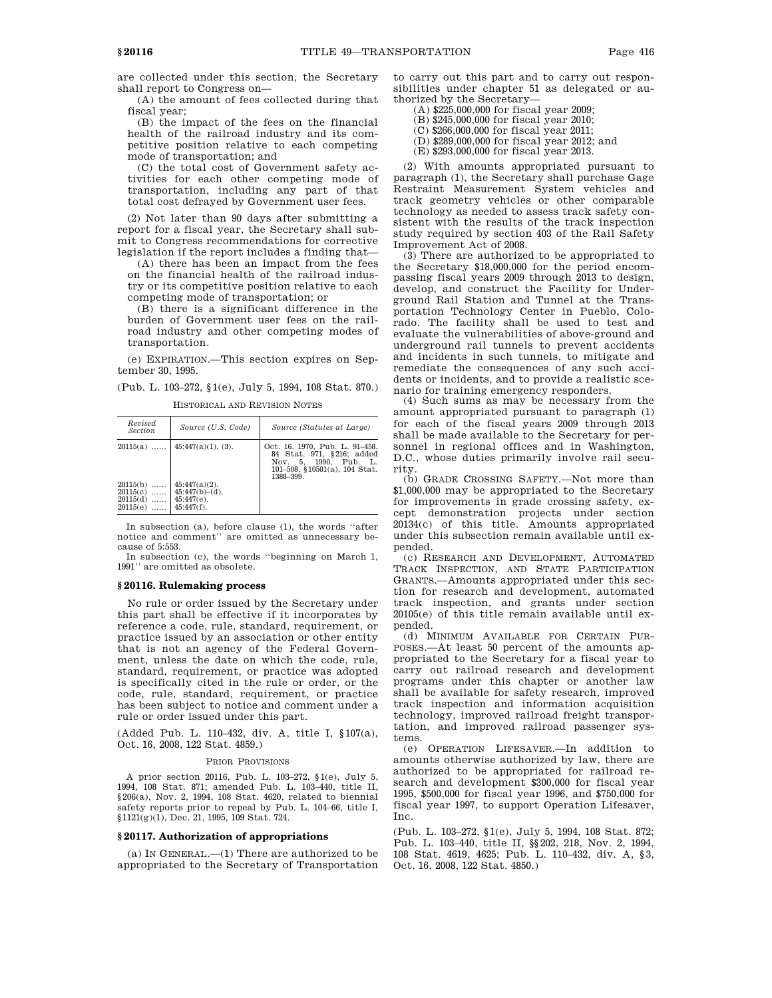(A) the amount of fees collected during that fiscal year;

(B) the impact of the fees on the financial health of the railroad industry and its competitive position relative to each competing mode of transportation; and

(C) the total cost of Government safety activities for each other competing mode of transportation, including any part of that total cost defrayed by Government user fees.

(2) Not later than 90 days after submitting a report for a fiscal year, the Secretary shall submit to Congress recommendations for corrective legislation if the report includes a finding that—

(A) there has been an impact from the fees on the financial health of the railroad industry or its competitive position relative to each competing mode of transportation; or

(B) there is a significant difference in the burden of Government user fees on the railroad industry and other competing modes of transportation.

(e) EXPIRATION.—This section expires on September 30, 1995.

(Pub. L. 103–272, §1(e), July 5, 1994, 108 Stat. 870.)

HISTORICAL AND REVISION NOTES

| Revised<br><i>Section</i>                                 | Source (U.S. Code)                                                      | Source (Statutes at Large)                                                                                                         |
|-----------------------------------------------------------|-------------------------------------------------------------------------|------------------------------------------------------------------------------------------------------------------------------------|
| $20115(a)$                                                | $45:447(a)(1), (3)$ .                                                   | Oct. 16, 1970, Pub. L. 91-458,<br>84 Stat. 971, §216; added<br>Nov. 5, 1990. Pub. L.<br>101-508, §10501(a), 104 Stat.<br>1388-399. |
| 20115(b)<br><br>$20115(c)$<br>$20115(d)$<br>20115(e)<br>. | $45:447(a)(2)$ .<br>$45:447(b)-(d)$ .<br>$45:447(e)$ .<br>$45:447(f)$ . |                                                                                                                                    |

In subsection (a), before clause (1), the words ''after notice and comment'' are omitted as unnecessary because of 5:553.

In subsection (c), the words ''beginning on March 1, 1991'' are omitted as obsolete.

### **§ 20116. Rulemaking process**

No rule or order issued by the Secretary under this part shall be effective if it incorporates by reference a code, rule, standard, requirement, or practice issued by an association or other entity that is not an agency of the Federal Government, unless the date on which the code, rule, standard, requirement, or practice was adopted is specifically cited in the rule or order, or the code, rule, standard, requirement, or practice has been subject to notice and comment under a rule or order issued under this part.

(Added Pub. L. 110–432, div. A, title I, §107(a), Oct. 16, 2008, 122 Stat. 4859.)

### PRIOR PROVISIONS

A prior section 20116, Pub. L. 103–272, §1(e), July 5, 1994, 108 Stat. 871; amended Pub. L. 103–440, title II, §206(a), Nov. 2, 1994, 108 Stat. 4620, related to biennial safety reports prior to repeal by Pub. L. 104–66, title I, §1121(g)(1), Dec. 21, 1995, 109 Stat. 724.

### **§ 20117. Authorization of appropriations**

(a) IN GENERAL.—(1) There are authorized to be appropriated to the Secretary of Transportation to carry out this part and to carry out responsibilities under chapter 51 as delegated or authorized by the Secretary—

- (A) \$225,000,000 for fiscal year 2009;
- (B) \$245,000,000 for fiscal year 2010;
- (C) \$266,000,000 for fiscal year 2011;
- (D) \$289,000,000 for fiscal year 2012; and
- (E) \$293,000,000 for fiscal year 2013.

(2) With amounts appropriated pursuant to paragraph (1), the Secretary shall purchase Gage Restraint Measurement System vehicles and track geometry vehicles or other comparable technology as needed to assess track safety consistent with the results of the track inspection study required by section 403 of the Rail Safety Improvement Act of 2008.

(3) There are authorized to be appropriated to the Secretary \$18,000,000 for the period encompassing fiscal years 2009 through 2013 to design, develop, and construct the Facility for Underground Rail Station and Tunnel at the Transportation Technology Center in Pueblo, Colorado. The facility shall be used to test and evaluate the vulnerabilities of above-ground and underground rail tunnels to prevent accidents and incidents in such tunnels, to mitigate and remediate the consequences of any such accidents or incidents, and to provide a realistic scenario for training emergency responders.

(4) Such sums as may be necessary from the amount appropriated pursuant to paragraph (1) for each of the fiscal years 2009 through 2013 shall be made available to the Secretary for personnel in regional offices and in Washington, D.C., whose duties primarily involve rail security.

(b) GRADE CROSSING SAFETY.—Not more than \$1,000,000 may be appropriated to the Secretary for improvements in grade crossing safety, except demonstration projects under section 20134(c) of this title. Amounts appropriated under this subsection remain available until expended.

(c) RESEARCH AND DEVELOPMENT, AUTOMATED TRACK INSPECTION, AND STATE PARTICIPATION GRANTS.—Amounts appropriated under this section for research and development, automated track inspection, and grants under section 20105(e) of this title remain available until expended.

(d) MINIMUM AVAILABLE FOR CERTAIN PUR-POSES.—At least 50 percent of the amounts appropriated to the Secretary for a fiscal year to carry out railroad research and development programs under this chapter or another law shall be available for safety research, improved track inspection and information acquisition technology, improved railroad freight transportation, and improved railroad passenger systems.

(e) OPERATION LIFESAVER.—In addition to amounts otherwise authorized by law, there are authorized to be appropriated for railroad research and development \$300,000 for fiscal year 1995, \$500,000 for fiscal year 1996, and \$750,000 for fiscal year 1997, to support Operation Lifesaver, Inc.

(Pub. L. 103–272, §1(e), July 5, 1994, 108 Stat. 872; Pub. L. 103–440, title II, §§202, 218, Nov. 2, 1994, 108 Stat. 4619, 4625; Pub. L. 110–432, div. A, §3, Oct. 16, 2008, 122 Stat. 4850.)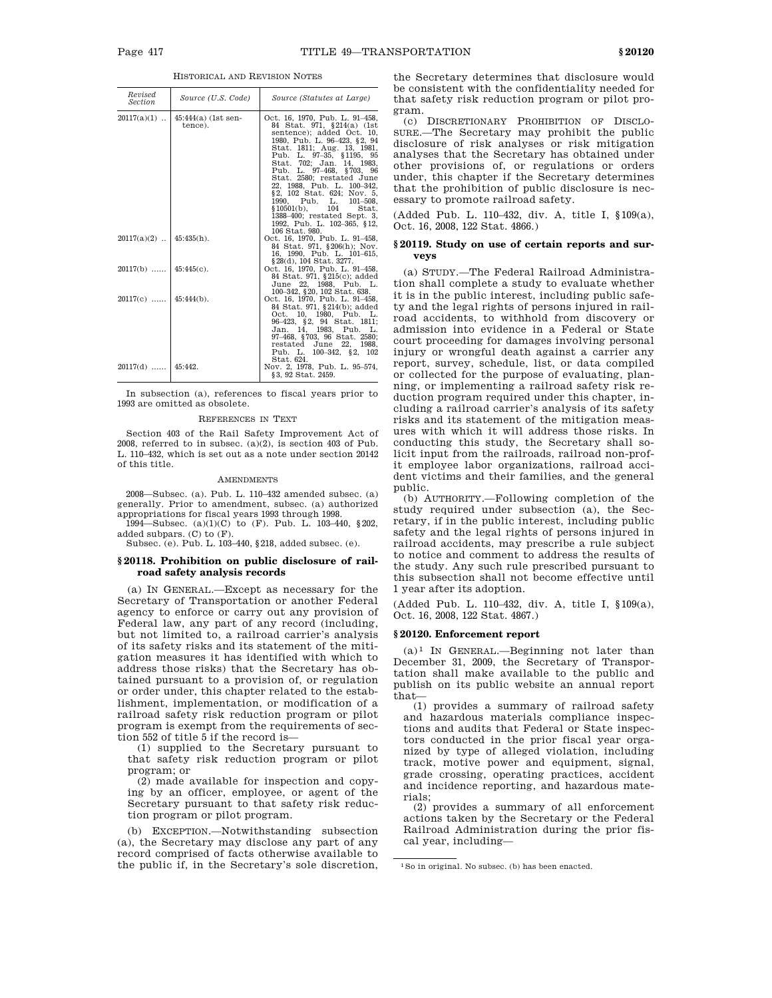| Revised<br>Section         | Source (U.S. Code)              | Source (Statutes at Large)                                                                                                                                                                                                                                                                                                                                                                                                                                                   |
|----------------------------|---------------------------------|------------------------------------------------------------------------------------------------------------------------------------------------------------------------------------------------------------------------------------------------------------------------------------------------------------------------------------------------------------------------------------------------------------------------------------------------------------------------------|
| $20117(a)(1)$              | $45:44(2)$ (1st sen-<br>tence). | Oct. 16, 1970, Pub. L. 91-458,<br>84 Stat. 971, §214(a) (1st<br>sentence); added Oct. 10.<br>1980, Pub. L. 96-423, §2, 94<br>Stat. 1811; Aug. 13, 1981,<br>Pub. L. 97-35, §1195, 95<br>Stat. 702; Jan. 14, 1983,<br>Pub. L. 97-468, §703, 96<br>Stat. 2580; restated June<br>22, 1988, Pub. L. 100-342,<br>§2, 102 Stat. 624; Nov. 5,<br>1990, Pub. L. 101-508,<br>$$10501(b),$ 104<br>Stat.<br>1388-400; restated Sept. 3.<br>1992, Pub. L. 102-365, §12,<br>106 Stat. 980. |
| $20117(a)(2)$   45:435(h). |                                 | Oct. 16, 1970, Pub. L. 91-458,<br>84 Stat. 971, §206(h); Nov.<br>16, 1990, Pub. L. 101-615,<br>§ 28(d), 104 Stat. 3277.                                                                                                                                                                                                                                                                                                                                                      |
| $20117(b)$ 45:445(c).      |                                 | Oct. 16, 1970, Pub. L. 91-458,<br>84 Stat. 971, §215(c); added<br>June 22, 1988, Pub. L.<br>100-342, §20, 102 Stat. 638.                                                                                                                                                                                                                                                                                                                                                     |
| $20117(c)$   45:444(b).    |                                 | Oct. 16, 1970, Pub. L. 91-458,<br>84 Stat. 971, §214(b); added<br>Oct. 10, 1980, Pub. L.<br>96-423, §2, 94 Stat. 1811;<br>Jan. 14, 1983, Pub. L.<br>97-468, §703, 96 Stat. 2580;<br>restated June 22, 1988,<br>Pub. L. 100-342, §2, 102<br>Stat. 624.                                                                                                                                                                                                                        |
| $20117(d)$   45:442.       |                                 | Nov. 2, 1978, Pub. L. 95-574,<br>§3, 92 Stat. 2459.                                                                                                                                                                                                                                                                                                                                                                                                                          |

In subsection (a), references to fiscal years prior to 1993 are omitted as obsolete.

#### REFERENCES IN TEXT

Section 403 of the Rail Safety Improvement Act of 2008, referred to in subsec. (a)(2), is section 403 of Pub. L. 110–432, which is set out as a note under section 20142 of this title.

#### AMENDMENTS

2008—Subsec. (a). Pub. L. 110–432 amended subsec. (a) generally. Prior to amendment, subsec. (a) authorized appropriations for fiscal years 1993 through 1998.

1994—Subsec. (a)(1)(C) to (F). Pub. L. 103–440, §202, added subpars. (C) to (F).

Subsec. (e). Pub. L. 103–440, §218, added subsec. (e).

## **§ 20118. Prohibition on public disclosure of railroad safety analysis records**

(a) IN GENERAL.—Except as necessary for the Secretary of Transportation or another Federal agency to enforce or carry out any provision of Federal law, any part of any record (including, but not limited to, a railroad carrier's analysis of its safety risks and its statement of the mitigation measures it has identified with which to address those risks) that the Secretary has obtained pursuant to a provision of, or regulation or order under, this chapter related to the establishment, implementation, or modification of a railroad safety risk reduction program or pilot program is exempt from the requirements of section 552 of title 5 if the record is—

(1) supplied to the Secretary pursuant to that safety risk reduction program or pilot program; or

(2) made available for inspection and copying by an officer, employee, or agent of the Secretary pursuant to that safety risk reduction program or pilot program.

(b) EXCEPTION.—Notwithstanding subsection (a), the Secretary may disclose any part of any record comprised of facts otherwise available to the public if, in the Secretary's sole discretion, the Secretary determines that disclosure would be consistent with the confidentiality needed for that safety risk reduction program or pilot program.

(c) DISCRETIONARY PROHIBITION OF DISCLO-SURE.—The Secretary may prohibit the public disclosure of risk analyses or risk mitigation analyses that the Secretary has obtained under other provisions of, or regulations or orders under, this chapter if the Secretary determines that the prohibition of public disclosure is necessary to promote railroad safety.

(Added Pub. L. 110–432, div. A, title I, §109(a), Oct. 16, 2008, 122 Stat. 4866.)

### **§ 20119. Study on use of certain reports and surveys**

(a) STUDY.—The Federal Railroad Administration shall complete a study to evaluate whether it is in the public interest, including public safety and the legal rights of persons injured in railroad accidents, to withhold from discovery or admission into evidence in a Federal or State court proceeding for damages involving personal injury or wrongful death against a carrier any report, survey, schedule, list, or data compiled or collected for the purpose of evaluating, planning, or implementing a railroad safety risk reduction program required under this chapter, including a railroad carrier's analysis of its safety risks and its statement of the mitigation measures with which it will address those risks. In conducting this study, the Secretary shall solicit input from the railroads, railroad non-profit employee labor organizations, railroad accident victims and their families, and the general public.

(b) AUTHORITY.—Following completion of the study required under subsection (a), the Secretary, if in the public interest, including public safety and the legal rights of persons injured in railroad accidents, may prescribe a rule subject to notice and comment to address the results of the study. Any such rule prescribed pursuant to this subsection shall not become effective until 1 year after its adoption.

(Added Pub. L. 110–432, div. A, title I, §109(a), Oct. 16, 2008, 122 Stat. 4867.)

#### **§ 20120. Enforcement report**

 $(a)^1$  In GENERAL.—Beginning not later than December 31, 2009, the Secretary of Transportation shall make available to the public and publish on its public website an annual report that—

(1) provides a summary of railroad safety and hazardous materials compliance inspections and audits that Federal or State inspectors conducted in the prior fiscal year organized by type of alleged violation, including track, motive power and equipment, signal, grade crossing, operating practices, accident and incidence reporting, and hazardous materials;

(2) provides a summary of all enforcement actions taken by the Secretary or the Federal Railroad Administration during the prior fiscal year, including—

<sup>1</sup>So in original. No subsec. (b) has been enacted.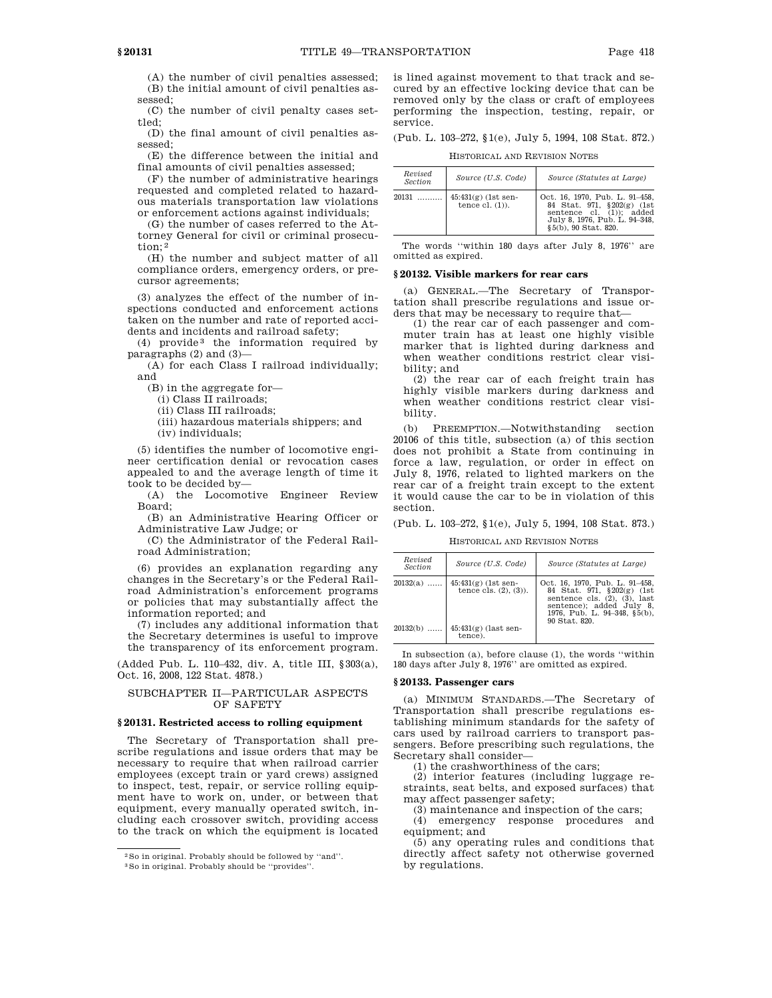(A) the number of civil penalties assessed; (B) the initial amount of civil penalties assessed;

(C) the number of civil penalty cases settled;

(D) the final amount of civil penalties assessed;

(E) the difference between the initial and final amounts of civil penalties assessed;

(F) the number of administrative hearings requested and completed related to hazardous materials transportation law violations or enforcement actions against individuals;

(G) the number of cases referred to the Attorney General for civil or criminal prosecution; 2

(H) the number and subject matter of all compliance orders, emergency orders, or precursor agreements;

(3) analyzes the effect of the number of inspections conducted and enforcement actions taken on the number and rate of reported accidents and incidents and railroad safety;

(4) provide 3 the information required by paragraphs (2) and (3)—

(A) for each Class I railroad individually; and

(B) in the aggregate for—

(i) Class II railroads;

(ii) Class III railroads;

(iii) hazardous materials shippers; and

(iv) individuals;

(5) identifies the number of locomotive engineer certification denial or revocation cases appealed to and the average length of time it took to be decided by—

(A) the Locomotive Engineer Review Board;

(B) an Administrative Hearing Officer or Administrative Law Judge; or

(C) the Administrator of the Federal Railroad Administration;

(6) provides an explanation regarding any changes in the Secretary's or the Federal Railroad Administration's enforcement programs or policies that may substantially affect the information reported; and

(7) includes any additional information that the Secretary determines is useful to improve the transparency of its enforcement program.

(Added Pub. L. 110–432, div. A, title III, §303(a), Oct. 16, 2008, 122 Stat. 4878.)

# SUBCHAPTER II—PARTICULAR ASPECTS OF SAFETY

### **§ 20131. Restricted access to rolling equipment**

The Secretary of Transportation shall prescribe regulations and issue orders that may be necessary to require that when railroad carrier employees (except train or yard crews) assigned to inspect, test, repair, or service rolling equipment have to work on, under, or between that equipment, every manually operated switch, including each crossover switch, providing access to the track on which the equipment is located

is lined against movement to that track and secured by an effective locking device that can be removed only by the class or craft of employees performing the inspection, testing, repair, or service.

(Pub. L. 103–272, §1(e), July 5, 1994, 108 Stat. 872.)

HISTORICAL AND REVISION NOTES

| Revised<br>Section | Source (U.S. Code)                         | Source (Statutes at Large)                                                                                                                        |
|--------------------|--------------------------------------------|---------------------------------------------------------------------------------------------------------------------------------------------------|
| 20131              | $45:431(g)$ (1st sen-<br>tence $cl. (1)$ . | Oct. 16, 1970, Pub. L. 91-458,<br>84 Stat. 971, §202(g) (1st<br>sentence cl. (1)): added<br>July 8, 1976, Pub. L. 94-348,<br>§5(b), 90 Stat. 820. |

The words ''within 180 days after July 8, 1976'' are omitted as expired.

### **§ 20132. Visible markers for rear cars**

(a) GENERAL.—The Secretary of Transportation shall prescribe regulations and issue orders that may be necessary to require that—

(1) the rear car of each passenger and commuter train has at least one highly visible marker that is lighted during darkness and when weather conditions restrict clear visibility; and

(2) the rear car of each freight train has highly visible markers during darkness and when weather conditions restrict clear visibility.

(b) PREEMPTION.—Notwithstanding section 20106 of this title, subsection (a) of this section does not prohibit a State from continuing in force a law, regulation, or order in effect on July 8, 1976, related to lighted markers on the rear car of a freight train except to the extent it would cause the car to be in violation of this section.

(Pub. L. 103–272, §1(e), July 5, 1994, 108 Stat. 873.)

HISTORICAL AND REVISION NOTES

| Revised<br><b>Section</b> | Source (U.S. Code)                                   | Source (Statutes at Large)                                                                                                                                                      |
|---------------------------|------------------------------------------------------|---------------------------------------------------------------------------------------------------------------------------------------------------------------------------------|
| $20132(a)$                | $45:431(g)$ (1st sen-<br>tence cls. $(2)$ , $(3)$ ). | Oct. 16, 1970, Pub. L. 91-458,<br>84 Stat. 971, §202(g) (1st<br>sentence cls. $(2)$ , $(3)$ , last<br>sentence); added July 8,<br>1976, Pub. L. 94-348, §5(b),<br>90 Stat. 820. |
| 20132(b)                  | $45:431(g)$ (last sen-<br>tence).                    |                                                                                                                                                                                 |

In subsection (a), before clause (1), the words ''within 180 days after July 8, 1976'' are omitted as expired.

## **§ 20133. Passenger cars**

(a) MINIMUM STANDARDS.—The Secretary of Transportation shall prescribe regulations establishing minimum standards for the safety of cars used by railroad carriers to transport passengers. Before prescribing such regulations, the Secretary shall consider—

(1) the crashworthiness of the cars;

(2) interior features (including luggage restraints, seat belts, and exposed surfaces) that may affect passenger safety;

(3) maintenance and inspection of the cars; (4) emergency response procedures and

equipment; and

(5) any operating rules and conditions that directly affect safety not otherwise governed by regulations.

<sup>2</sup>So in original. Probably should be followed by ''and''.

<sup>3</sup>So in original. Probably should be ''provides''.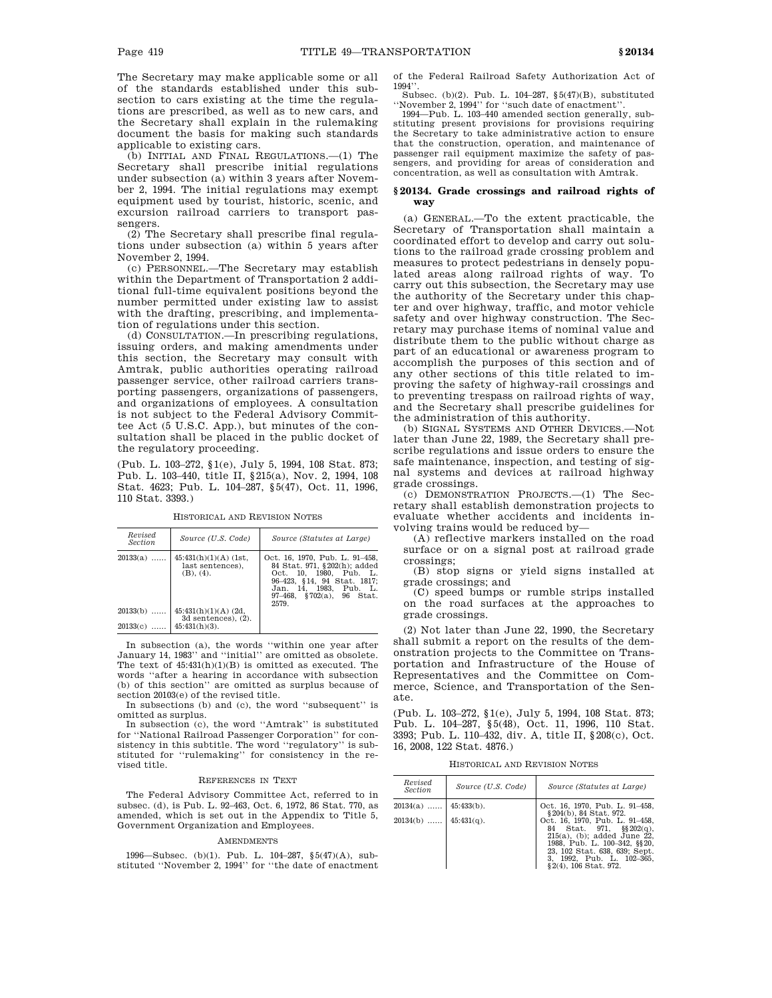The Secretary may make applicable some or all of the standards established under this subsection to cars existing at the time the regulations are prescribed, as well as to new cars, and the Secretary shall explain in the rulemaking document the basis for making such standards applicable to existing cars.

(b) INITIAL AND FINAL REGULATIONS.—(1) The Secretary shall prescribe initial regulations under subsection (a) within 3 years after November 2, 1994. The initial regulations may exempt equipment used by tourist, historic, scenic, and excursion railroad carriers to transport passengers.

(2) The Secretary shall prescribe final regulations under subsection (a) within 5 years after November 2, 1994.

(c) PERSONNEL.—The Secretary may establish within the Department of Transportation 2 additional full-time equivalent positions beyond the number permitted under existing law to assist with the drafting, prescribing, and implementation of regulations under this section.

(d) CONSULTATION.—In prescribing regulations, issuing orders, and making amendments under this section, the Secretary may consult with Amtrak, public authorities operating railroad passenger service, other railroad carriers transporting passengers, organizations of passengers, and organizations of employees. A consultation is not subject to the Federal Advisory Committee Act (5 U.S.C. App.), but minutes of the consultation shall be placed in the public docket of the regulatory proceeding.

(Pub. L. 103–272, §1(e), July 5, 1994, 108 Stat. 873; Pub. L. 103–440, title II, §215(a), Nov. 2, 1994, 108 Stat. 4623; Pub. L. 104–287, §5(47), Oct. 11, 1996, 110 Stat. 3393.)

| Revised<br>Section | Source (U.S. Code)                                       | Source (Statutes at Large)                                                                                                                                                              |
|--------------------|----------------------------------------------------------|-----------------------------------------------------------------------------------------------------------------------------------------------------------------------------------------|
| $20133(a)$         | $45:431(h)(1)(A)$ (1st,<br>last sentences).<br>(B), (4). | Oct. 16, 1970, Pub. L. 91-458,<br>84 Stat. 971, §202(h); added<br>Oct. 10, 1980, Pub. L.<br>96–423, §14, 94 Stat, 1817;<br>Jan. 14, 1983, Pub. L.<br>97-468, §702(a), 96 Stat.<br>2579. |
| $20133(b)$         | $45:431(h)(1)(A)$ (2d,<br>3d sentences). $(2)$ .         |                                                                                                                                                                                         |
| 20133(c)           | $45:431(h)(3)$ .                                         |                                                                                                                                                                                         |

HISTORICAL AND REVISION NOTES

In subsection (a), the words ''within one year after January 14, 1983'' and ''initial'' are omitted as obsolete. The text of 45:431(h)(1)(B) is omitted as executed. The words ''after a hearing in accordance with subsection (b) of this section'' are omitted as surplus because of section 20103(e) of the revised title.

In subsections (b) and (c), the word ''subsequent'' is omitted as surplus.

In subsection (c), the word ''Amtrak'' is substituted for ''National Railroad Passenger Corporation'' for consistency in this subtitle. The word ''regulatory'' is substituted for ''rulemaking'' for consistency in the revised title.

#### REFERENCES IN TEXT

The Federal Advisory Committee Act, referred to in subsec. (d), is Pub. L. 92–463, Oct. 6, 1972, 86 Stat. 770, as amended, which is set out in the Appendix to Title 5, Government Organization and Employees.

#### AMENDMENTS

1996—Subsec. (b)(1). Pub. L. 104–287, §5(47)(A), substituted ''November 2, 1994'' for ''the date of enactment of the Federal Railroad Safety Authorization Act of 1994''.

Subsec. (b)(2). Pub. L. 104–287, §5(47)(B), substituted ''November 2, 1994'' for ''such date of enactment''.

1994—Pub. L. 103–440 amended section generally, substituting present provisions for provisions requiring the Secretary to take administrative action to ensure that the construction, operation, and maintenance of passenger rail equipment maximize the safety of passengers, and providing for areas of consideration and concentration, as well as consultation with Amtrak.

## **§ 20134. Grade crossings and railroad rights of way**

(a) GENERAL.—To the extent practicable, the Secretary of Transportation shall maintain a coordinated effort to develop and carry out solutions to the railroad grade crossing problem and measures to protect pedestrians in densely populated areas along railroad rights of way. To carry out this subsection, the Secretary may use the authority of the Secretary under this chapter and over highway, traffic, and motor vehicle safety and over highway construction. The Secretary may purchase items of nominal value and distribute them to the public without charge as part of an educational or awareness program to accomplish the purposes of this section and of any other sections of this title related to improving the safety of highway-rail crossings and to preventing trespass on railroad rights of way, and the Secretary shall prescribe guidelines for the administration of this authority.

(b) SIGNAL SYSTEMS AND OTHER DEVICES.—Not later than June 22, 1989, the Secretary shall prescribe regulations and issue orders to ensure the safe maintenance, inspection, and testing of signal systems and devices at railroad highway grade crossings.

(c) DEMONSTRATION PROJECTS.—(1) The Secretary shall establish demonstration projects to evaluate whether accidents and incidents involving trains would be reduced by—

(A) reflective markers installed on the road surface or on a signal post at railroad grade crossings;

(B) stop signs or yield signs installed at grade crossings; and

(C) speed bumps or rumble strips installed on the road surfaces at the approaches to grade crossings.

(2) Not later than June 22, 1990, the Secretary shall submit a report on the results of the demonstration projects to the Committee on Transportation and Infrastructure of the House of Representatives and the Committee on Commerce, Science, and Transportation of the Senate.

(Pub. L. 103–272, §1(e), July 5, 1994, 108 Stat. 873; Pub. L. 104–287, §5(48), Oct. 11, 1996, 110 Stat. 3393; Pub. L. 110–432, div. A, title II, §208(c), Oct. 16, 2008, 122 Stat. 4876.)

HISTORICAL AND REVISION NOTES

| Revised<br>Section                            | Source (U.S. Code) | Source (Statutes at Large)                                                                                                                                                                                                                                 |  |  |  |  |
|-----------------------------------------------|--------------------|------------------------------------------------------------------------------------------------------------------------------------------------------------------------------------------------------------------------------------------------------------|--|--|--|--|
| $20134(a)$ 45:433(b).<br>20134(b)  45:431(q). |                    | Oct. 16, 1970. Pub. L. 91-458.<br>§ 204(b), 84 Stat. 972.<br>Oct. 16, 1970, Pub. L. 91-458,<br>84 Stat. 971, §§ 202(q),<br>$215(a)$ , (b); added June $22$ ,<br>1988, Pub. L. 100-342, §§20,<br>23, 102 Stat. 638, 639; Sept.<br>3, 1992, Pub. L. 102-365, |  |  |  |  |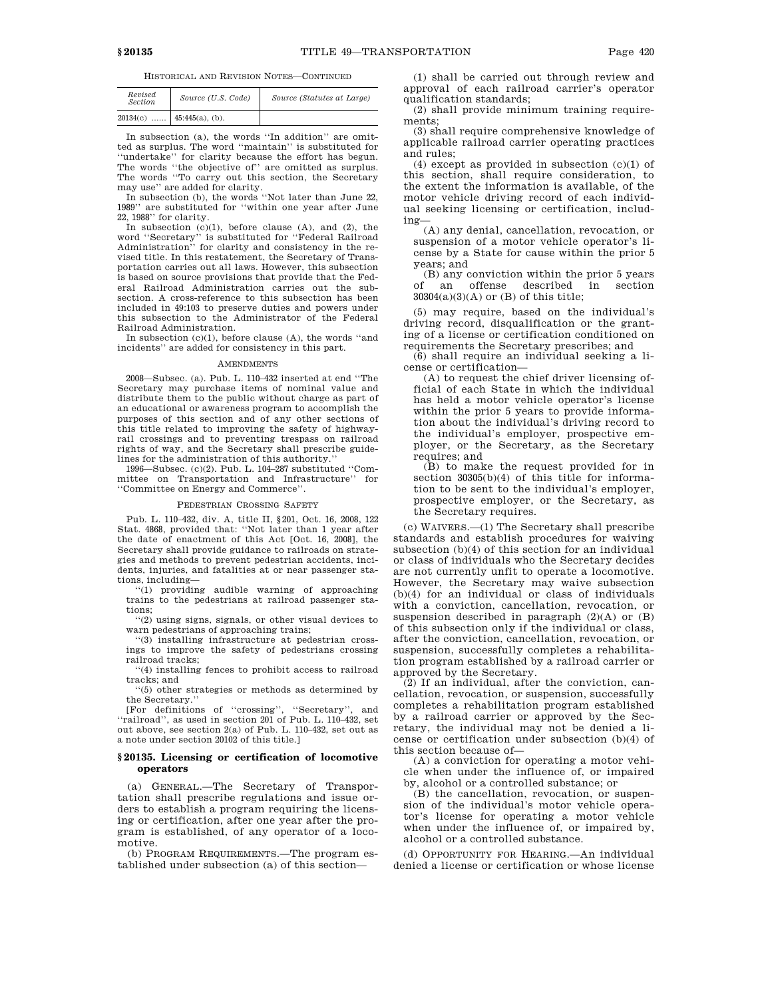HISTORICAL AND REVISION NOTES—CONTINUED

| Revised<br>Section | Source (U.S. Code) | Source (Statutes at Large) |
|--------------------|--------------------|----------------------------|
| 20134(c)           | $45:445(a)$ , (b). |                            |

In subsection (a), the words ''In addition'' are omitted as surplus. The word ''maintain'' is substituted for ''undertake'' for clarity because the effort has begun. The words "the objective of" are omitted as surplus. The words ''To carry out this section, the Secretary

may use'' are added for clarity. In subsection (b), the words ''Not later than June 22, 1989'' are substituted for ''within one year after June 22, 1988'' for clarity.

In subsection  $(c)(1)$ , before clause  $(A)$ , and  $(2)$ , the word ''Secretary'' is substituted for ''Federal Railroad Administration'' for clarity and consistency in the revised title. In this restatement, the Secretary of Transportation carries out all laws. However, this subsection is based on source provisions that provide that the Federal Railroad Administration carries out the subsection. A cross-reference to this subsection has been included in 49:103 to preserve duties and powers under this subsection to the Administrator of the Federal Railroad Administration.

In subsection (c)(1), before clause (A), the words ''and incidents'' are added for consistency in this part.

### **AMENDMENTS**

2008—Subsec. (a). Pub. L. 110–432 inserted at end ''The Secretary may purchase items of nominal value and distribute them to the public without charge as part of an educational or awareness program to accomplish the purposes of this section and of any other sections of this title related to improving the safety of highwayrail crossings and to preventing trespass on railroad rights of way, and the Secretary shall prescribe guidelines for the administration of this authority.

1996—Subsec. (c)(2). Pub. L. 104–287 substituted ''Committee on Transportation and Infrastructure" ''Committee on Energy and Commerce''.

#### PEDESTRIAN CROSSING SAFETY

Pub. L. 110–432, div. A, title II, §201, Oct. 16, 2008, 122 Stat. 4868, provided that: ''Not later than 1 year after the date of enactment of this Act [Oct. 16, 2008], the Secretary shall provide guidance to railroads on strategies and methods to prevent pedestrian accidents, incidents, injuries, and fatalities at or near passenger stations, including—

''(1) providing audible warning of approaching trains to the pedestrians at railroad passenger stations;

''(2) using signs, signals, or other visual devices to warn pedestrians of approaching trains;

''(3) installing infrastructure at pedestrian crossings to improve the safety of pedestrians crossing railroad tracks;

''(4) installing fences to prohibit access to railroad tracks; and

''(5) other strategies or methods as determined by the Secretary.''

[For definitions of ''crossing'', ''Secretary'', and ''railroad'', as used in section 201 of Pub. L. 110–432, set out above, see section 2(a) of Pub. L. 110–432, set out as a note under section 20102 of this title.]

### **§ 20135. Licensing or certification of locomotive operators**

(a) GENERAL.—The Secretary of Transportation shall prescribe regulations and issue orders to establish a program requiring the licensing or certification, after one year after the program is established, of any operator of a locomotive.

(b) PROGRAM REQUIREMENTS.—The program established under subsection (a) of this section—

(1) shall be carried out through review and approval of each railroad carrier's operator qualification standards;

(2) shall provide minimum training requirements;

(3) shall require comprehensive knowledge of applicable railroad carrier operating practices and rules;

(4) except as provided in subsection (c)(1) of this section, shall require consideration, to the extent the information is available, of the motor vehicle driving record of each individual seeking licensing or certification, including—

(A) any denial, cancellation, revocation, or suspension of a motor vehicle operator's license by a State for cause within the prior 5 years; and

 $($ B) any conviction within the prior 5 years<br>of an offense described in section offense described in section  $30304(a)(3)(A)$  or (B) of this title;

(5) may require, based on the individual's driving record, disqualification or the granting of a license or certification conditioned on requirements the Secretary prescribes; and

(6) shall require an individual seeking a license or certification—

(A) to request the chief driver licensing official of each State in which the individual has held a motor vehicle operator's license within the prior 5 years to provide information about the individual's driving record to the individual's employer, prospective employer, or the Secretary, as the Secretary requires; and

(B) to make the request provided for in section 30305(b)(4) of this title for information to be sent to the individual's employer, prospective employer, or the Secretary, as the Secretary requires.

(c) WAIVERS.—(1) The Secretary shall prescribe standards and establish procedures for waiving subsection (b)(4) of this section for an individual or class of individuals who the Secretary decides are not currently unfit to operate a locomotive. However, the Secretary may waive subsection (b)(4) for an individual or class of individuals with a conviction, cancellation, revocation, or suspension described in paragraph (2)(A) or (B) of this subsection only if the individual or class, after the conviction, cancellation, revocation, or suspension, successfully completes a rehabilitation program established by a railroad carrier or approved by the Secretary.

(2) If an individual, after the conviction, cancellation, revocation, or suspension, successfully completes a rehabilitation program established by a railroad carrier or approved by the Secretary, the individual may not be denied a license or certification under subsection (b)(4) of this section because of—

(A) a conviction for operating a motor vehicle when under the influence of, or impaired by, alcohol or a controlled substance; or

(B) the cancellation, revocation, or suspension of the individual's motor vehicle operator's license for operating a motor vehicle when under the influence of, or impaired by, alcohol or a controlled substance.

(d) OPPORTUNITY FOR HEARING.—An individual denied a license or certification or whose license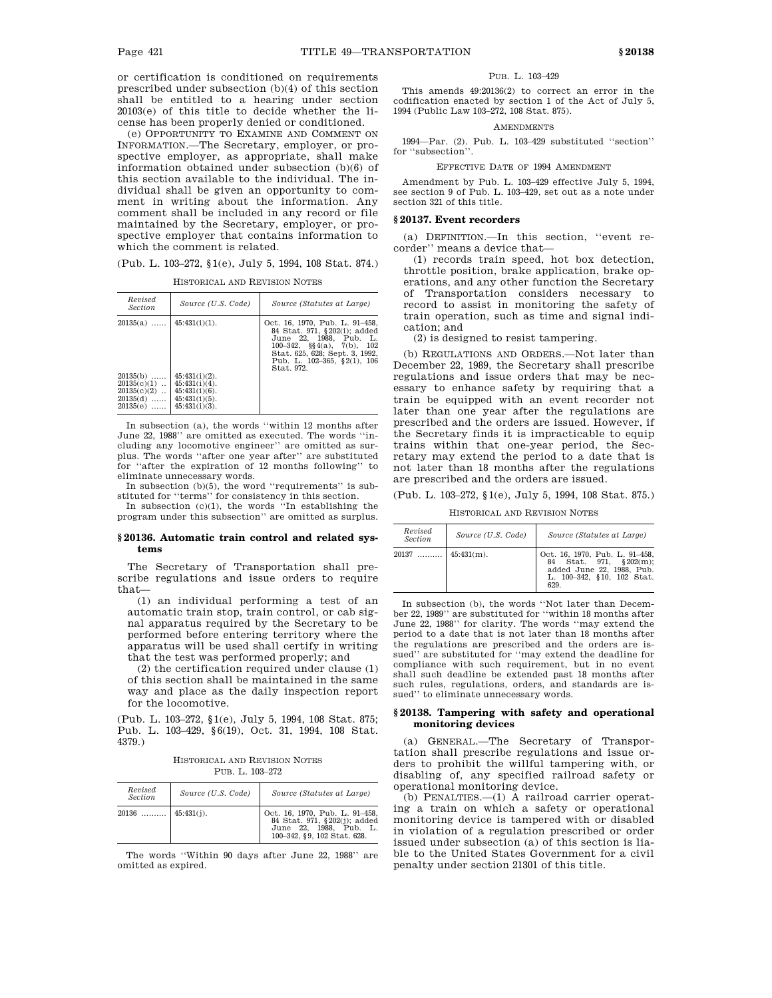or certification is conditioned on requirements prescribed under subsection (b)(4) of this section shall be entitled to a hearing under section 20103(e) of this title to decide whether the license has been properly denied or conditioned.

(e) OPPORTUNITY TO EXAMINE AND COMMENT ON INFORMATION.—The Secretary, employer, or prospective employer, as appropriate, shall make information obtained under subsection (b)(6) of this section available to the individual. The individual shall be given an opportunity to comment in writing about the information. Any comment shall be included in any record or file maintained by the Secretary, employer, or prospective employer that contains information to which the comment is related.

(Pub. L. 103–272, §1(e), July 5, 1994, 108 Stat. 874.)

| Revised<br><i>Section</i>                                                | Source (U.S. Code)                                                                               | Source (Statutes at Large)                                                                                                                                                                                             |  |  |  |  |
|--------------------------------------------------------------------------|--------------------------------------------------------------------------------------------------|------------------------------------------------------------------------------------------------------------------------------------------------------------------------------------------------------------------------|--|--|--|--|
| $45:431(i)(1)$ .<br>$20135(a)$                                           |                                                                                                  | Oct. 16, 1970. Pub. L. 91-458.<br>84 Stat. 971, §202(i); added<br>June 22, 1988, Pub. L.<br>100–342, $\S(4(a), 7(b),$<br>- 102<br>Stat. 625, 628; Sept. 3, 1992,<br>Pub. L. $102-365$ , $\S2(1)$ , $106$<br>Stat. 972. |  |  |  |  |
| $20135(b)$<br>$20135(c)(1)$<br>$20135(c)(2)$<br>$20135(d)$<br>$20135(e)$ | $45:431(i)(2)$ .<br>$45:431(i)(4)$ .<br>$45:431(i)(6)$ .<br>$45:431(i)(5)$ .<br>$45:431(i)(3)$ . |                                                                                                                                                                                                                        |  |  |  |  |

HISTORICAL AND REVISION NOTES

In subsection (a), the words ''within 12 months after June 22, 1988'' are omitted as executed. The words ''including any locomotive engineer'' are omitted as surplus. The words ''after one year after'' are substituted for ''after the expiration of 12 months following'' to eliminate unnecessary words.

In subsection  $(b)(5)$ , the word "requirements" is substituted for ''terms'' for consistency in this section.

In subsection  $(c)(1)$ , the words "In establishing the program under this subsection'' are omitted as surplus.

## **§ 20136. Automatic train control and related systems**

The Secretary of Transportation shall prescribe regulations and issue orders to require that—

(1) an individual performing a test of an automatic train stop, train control, or cab signal apparatus required by the Secretary to be performed before entering territory where the apparatus will be used shall certify in writing that the test was performed properly; and

(2) the certification required under clause (1) of this section shall be maintained in the same way and place as the daily inspection report for the locomotive.

(Pub. L. 103–272, §1(e), July 5, 1994, 108 Stat. 875; Pub. L. 103–429, §6(19), Oct. 31, 1994, 108 Stat. 4379.)

HISTORICAL AND REVISION NOTES PUB. L. 103–272

| Revised<br><b>Section</b> | Source (U.S. Code) | Source (Statutes at Large)                                                                                              |
|---------------------------|--------------------|-------------------------------------------------------------------------------------------------------------------------|
| $20136$   45:431(i).      |                    | Oct. 16, 1970, Pub. L. 91-458,<br>84 Stat. 971, §202(j); added<br>June 22, 1988, Pub. L.<br>100-342, §9, 102 Stat. 628. |

The words ''Within 90 days after June 22, 1988'' are omitted as expired.

## PUB. L. 103–429

This amends 49:20136(2) to correct an error in the codification enacted by section 1 of the Act of July 5, 1994 (Public Law 103–272, 108 Stat. 875).

## **AMENDMENTS**

1994—Par. (2). Pub. L. 103–429 substituted ''section'' for ''subsection''.

EFFECTIVE DATE OF 1994 AMENDMENT

Amendment by Pub. L. 103–429 effective July 5, 1994, see section 9 of Pub. L. 103–429, set out as a note under section 321 of this title.

# **§ 20137. Event recorders**

(a) DEFINITION.—In this section, ''event recorder'' means a device that—

(1) records train speed, hot box detection, throttle position, brake application, brake operations, and any other function the Secretary of Transportation considers necessary to record to assist in monitoring the safety of train operation, such as time and signal indication; and

(2) is designed to resist tampering.

(b) REGULATIONS AND ORDERS.—Not later than December 22, 1989, the Secretary shall prescribe regulations and issue orders that may be necessary to enhance safety by requiring that a train be equipped with an event recorder not later than one year after the regulations are prescribed and the orders are issued. However, if the Secretary finds it is impracticable to equip trains within that one-year period, the Secretary may extend the period to a date that is not later than 18 months after the regulations are prescribed and the orders are issued.

(Pub. L. 103–272, §1(e), July 5, 1994, 108 Stat. 875.)

HISTORICAL AND REVISION NOTES

| Revised<br>Section | Source (U.S. Code) | Source (Statutes at Large)                                                                                                   |  |  |  |  |
|--------------------|--------------------|------------------------------------------------------------------------------------------------------------------------------|--|--|--|--|
| 20137              | $45:431(m)$ .      | Oct. 16, 1970, Pub. L. 91-458,<br>84 Stat. 971. § 202(m):<br>added June 22, 1988. Pub.<br>L. 100-342, §10, 102 Stat.<br>629. |  |  |  |  |

In subsection (b), the words ''Not later than December 22, 1989'' are substituted for ''within 18 months after June 22, 1988'' for clarity. The words ''may extend the period to a date that is not later than 18 months after the regulations are prescribed and the orders are issued'' are substituted for ''may extend the deadline for compliance with such requirement, but in no event shall such deadline be extended past 18 months after such rules, regulations, orders, and standards are issued'' to eliminate unnecessary words.

## **§ 20138. Tampering with safety and operational monitoring devices**

(a) GENERAL.—The Secretary of Transportation shall prescribe regulations and issue orders to prohibit the willful tampering with, or disabling of, any specified railroad safety or operational monitoring device.

(b) PENALTIES.—(1) A railroad carrier operating a train on which a safety or operational monitoring device is tampered with or disabled in violation of a regulation prescribed or order issued under subsection (a) of this section is liable to the United States Government for a civil penalty under section 21301 of this title.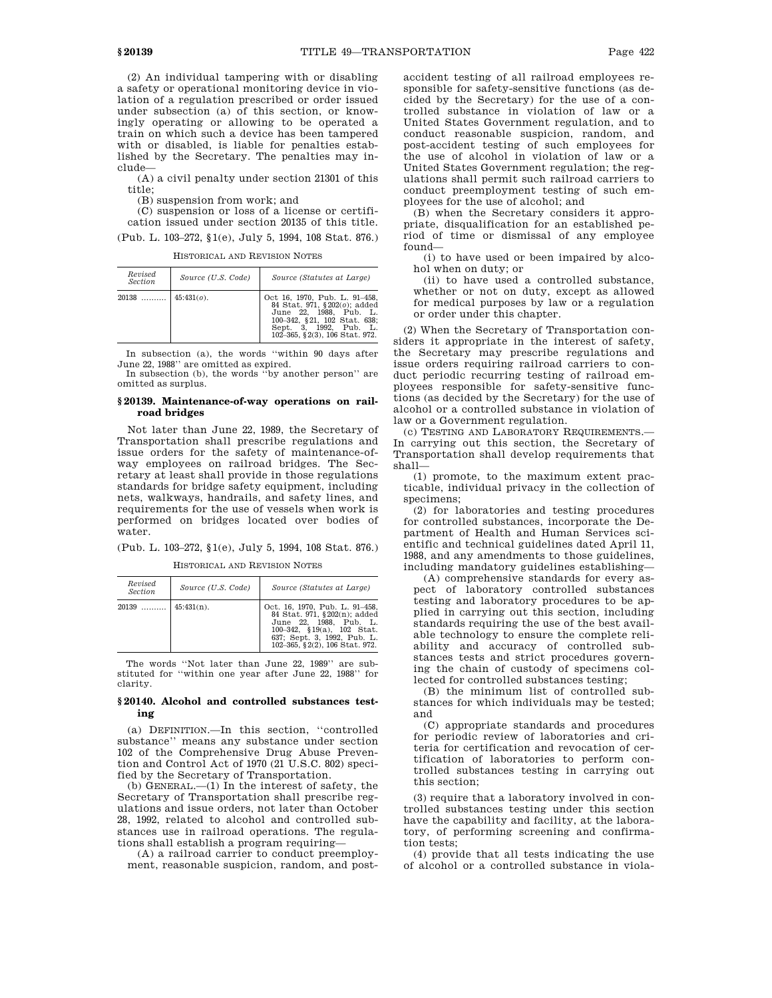(2) An individual tampering with or disabling a safety or operational monitoring device in violation of a regulation prescribed or order issued under subsection (a) of this section, or knowingly operating or allowing to be operated a train on which such a device has been tampered with or disabled, is liable for penalties established by the Secretary. The penalties may include—

(A) a civil penalty under section 21301 of this title;

(B) suspension from work; and

(C) suspension or loss of a license or certification issued under section 20135 of this title. (Pub. L. 103–272, §1(e), July 5, 1994, 108 Stat. 876.)

HISTORICAL AND REVISION NOTES

| Revised<br>Section            | Source (U.S. Code) | Source (Statutes at Large)                                                                                                                                                          |  |  |  |  |
|-------------------------------|--------------------|-------------------------------------------------------------------------------------------------------------------------------------------------------------------------------------|--|--|--|--|
| $20138$   45:431( <i>o</i> ). |                    | Oct 16, 1970, Pub. L. 91-458,<br>84 Stat. 971, §202(o); added<br>June 22, 1988, Pub. L.<br>100-342, §21, 102 Stat. 638;<br>Sept. 3. 1992. Pub. L.<br>102-365, §2(3), 106 Stat. 972. |  |  |  |  |

In subsection (a), the words ''within 90 days after June 22, 1988'' are omitted as expired.

In subsection (b), the words ''by another person'' are omitted as surplus.

## **§ 20139. Maintenance-of-way operations on railroad bridges**

Not later than June 22, 1989, the Secretary of Transportation shall prescribe regulations and issue orders for the safety of maintenance-ofway employees on railroad bridges. The Secretary at least shall provide in those regulations standards for bridge safety equipment, including nets, walkways, handrails, and safety lines, and requirements for the use of vessels when work is performed on bridges located over bodies of water.

(Pub. L. 103–272, §1(e), July 5, 1994, 108 Stat. 876.)

HISTORICAL AND REVISION NOTES

| Revised<br><b>Section</b> | Source (U.S. Code) | Source (Statutes at Large)                                                                                                                                                              |
|---------------------------|--------------------|-----------------------------------------------------------------------------------------------------------------------------------------------------------------------------------------|
| $20139$   45:431(n).      |                    | Oct. 16, 1970, Pub. L. 91-458,<br>84 Stat. 971, §202(n); added<br>June 22, 1988, Pub. L.<br>100-342, §19(a), 102 Stat.<br>637; Sept. 3, 1992, Pub. L.<br>102-365, §2(2), 106 Stat. 972. |

The words ''Not later than June 22, 1989'' are substituted for ''within one year after June 22, 1988'' for clarity.

## **§ 20140. Alcohol and controlled substances testing**

(a) DEFINITION.—In this section, ''controlled substance'' means any substance under section 102 of the Comprehensive Drug Abuse Prevention and Control Act of 1970 (21 U.S.C. 802) specified by the Secretary of Transportation.

(b) GENERAL.—(1) In the interest of safety, the Secretary of Transportation shall prescribe regulations and issue orders, not later than October 28, 1992, related to alcohol and controlled substances use in railroad operations. The regulations shall establish a program requiring—

(A) a railroad carrier to conduct preemployment, reasonable suspicion, random, and postaccident testing of all railroad employees responsible for safety-sensitive functions (as decided by the Secretary) for the use of a controlled substance in violation of law or a United States Government regulation, and to conduct reasonable suspicion, random, and post-accident testing of such employees for the use of alcohol in violation of law or a United States Government regulation; the regulations shall permit such railroad carriers to conduct preemployment testing of such employees for the use of alcohol; and

(B) when the Secretary considers it appropriate, disqualification for an established period of time or dismissal of any employee found—

(i) to have used or been impaired by alcohol when on duty; or

(ii) to have used a controlled substance, whether or not on duty, except as allowed for medical purposes by law or a regulation or order under this chapter.

(2) When the Secretary of Transportation considers it appropriate in the interest of safety, the Secretary may prescribe regulations and issue orders requiring railroad carriers to conduct periodic recurring testing of railroad employees responsible for safety-sensitive functions (as decided by the Secretary) for the use of alcohol or a controlled substance in violation of law or a Government regulation.

(c) TESTING AND LABORATORY REQUIREMENTS.— In carrying out this section, the Secretary of Transportation shall develop requirements that shall—

(1) promote, to the maximum extent practicable, individual privacy in the collection of specimens;

(2) for laboratories and testing procedures for controlled substances, incorporate the Department of Health and Human Services scientific and technical guidelines dated April 11, 1988, and any amendments to those guidelines, including mandatory guidelines establishing—

(A) comprehensive standards for every aspect of laboratory controlled substances testing and laboratory procedures to be applied in carrying out this section, including standards requiring the use of the best available technology to ensure the complete reliability and accuracy of controlled substances tests and strict procedures governing the chain of custody of specimens collected for controlled substances testing;

(B) the minimum list of controlled substances for which individuals may be tested; and

(C) appropriate standards and procedures for periodic review of laboratories and criteria for certification and revocation of certification of laboratories to perform controlled substances testing in carrying out this section;

(3) require that a laboratory involved in controlled substances testing under this section have the capability and facility, at the laboratory, of performing screening and confirmation tests;

(4) provide that all tests indicating the use of alcohol or a controlled substance in viola-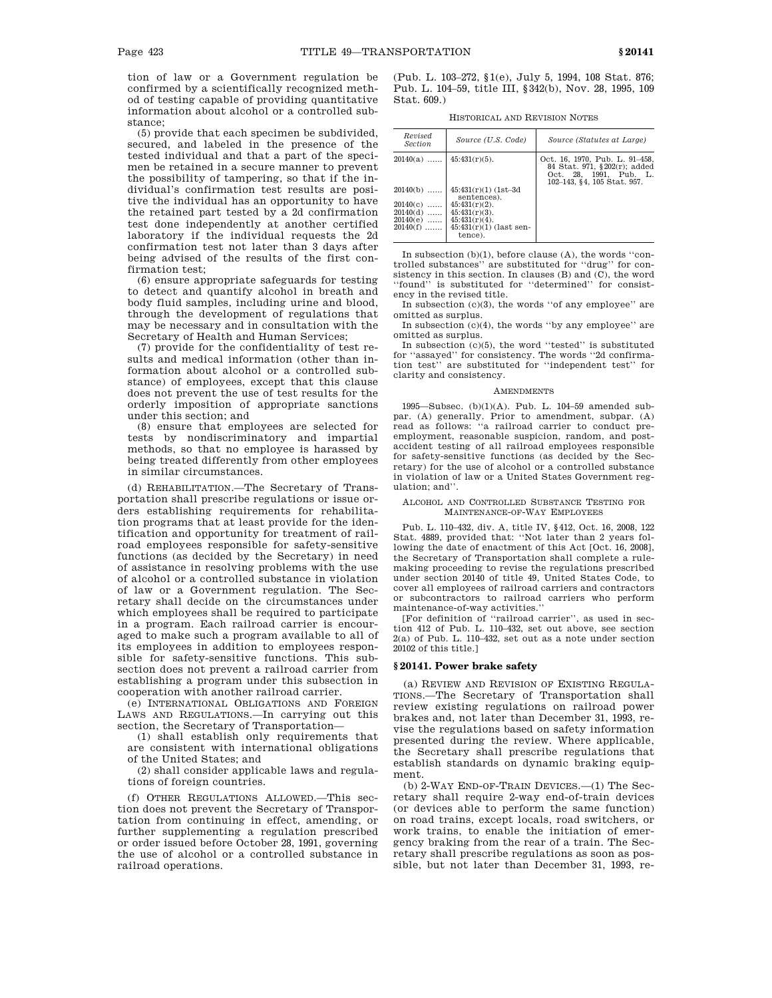tion of law or a Government regulation be confirmed by a scientifically recognized method of testing capable of providing quantitative information about alcohol or a controlled substance;

(5) provide that each specimen be subdivided, secured, and labeled in the presence of the tested individual and that a part of the specimen be retained in a secure manner to prevent the possibility of tampering, so that if the individual's confirmation test results are positive the individual has an opportunity to have the retained part tested by a 2d confirmation test done independently at another certified laboratory if the individual requests the 2d confirmation test not later than 3 days after being advised of the results of the first confirmation test;

(6) ensure appropriate safeguards for testing to detect and quantify alcohol in breath and body fluid samples, including urine and blood, through the development of regulations that may be necessary and in consultation with the Secretary of Health and Human Services;

(7) provide for the confidentiality of test results and medical information (other than information about alcohol or a controlled substance) of employees, except that this clause does not prevent the use of test results for the orderly imposition of appropriate sanctions under this section; and

(8) ensure that employees are selected for tests by nondiscriminatory and impartial methods, so that no employee is harassed by being treated differently from other employees in similar circumstances.

(d) REHABILITATION.—The Secretary of Transportation shall prescribe regulations or issue orders establishing requirements for rehabilitation programs that at least provide for the identification and opportunity for treatment of railroad employees responsible for safety-sensitive functions (as decided by the Secretary) in need of assistance in resolving problems with the use of alcohol or a controlled substance in violation of law or a Government regulation. The Secretary shall decide on the circumstances under which employees shall be required to participate in a program. Each railroad carrier is encouraged to make such a program available to all of its employees in addition to employees responsible for safety-sensitive functions. This subsection does not prevent a railroad carrier from establishing a program under this subsection in cooperation with another railroad carrier.

(e) INTERNATIONAL OBLIGATIONS AND FOREIGN LAWS AND REGULATIONS.—In carrying out this section, the Secretary of Transportation—

(1) shall establish only requirements that are consistent with international obligations of the United States; and

(2) shall consider applicable laws and regulations of foreign countries.

(f) OTHER REGULATIONS ALLOWED.—This section does not prevent the Secretary of Transportation from continuing in effect, amending, or further supplementing a regulation prescribed or order issued before October 28, 1991, governing the use of alcohol or a controlled substance in railroad operations.

(Pub. L. 103–272, §1(e), July 5, 1994, 108 Stat. 876; Pub. L. 104–59, title III, §342(b), Nov. 28, 1995, 109 Stat. 609.)

HISTORICAL AND REVISION NOTES

| Revised<br>Section | Source (U.S. Code)                     | Source (Statutes at Large)                                                                                                   |
|--------------------|----------------------------------------|------------------------------------------------------------------------------------------------------------------------------|
| $20140(a)$         | $45:431(r)(5)$ .                       | Oct. 16, 1970. Pub. L. 91–458.<br>84 Stat. 971, §202(r); added<br>Oct. 28. 1991. Pub.<br>- T.<br>102-143, §4, 105 Stat. 957. |
| $20140(b)$         | $45:431(r)(1)$ (1st-3d)<br>sentences). |                                                                                                                              |
| 20140(c)<br>.      | $45:431(r)(2)$ .                       |                                                                                                                              |
| $20140(d)$         | $45:431(r)(3)$ .                       |                                                                                                                              |
| $20140(e)$         | $45:431(r)(4)$ .                       |                                                                                                                              |
| $20140(f)$         | $45:431(r)(1)$ (last sen-<br>tence).   |                                                                                                                              |

In subsection (b)(1), before clause (A), the words ''controlled substances'' are substituted for ''drug'' for consistency in this section. In clauses (B) and (C), the word ''found'' is substituted for ''determined'' for consistency in the revised title.

In subsection (c)(3), the words ''of any employee'' are omitted as surplus.

In subsection (c)(4), the words ''by any employee'' are omitted as surplus.

In subsection (c)(5), the word ''tested'' is substituted for ''assayed'' for consistency. The words ''2d confirmation test'' are substituted for ''independent test'' for clarity and consistency.

#### AMENDMENTS

1995—Subsec. (b)(1)(A). Pub. L. 104–59 amended subpar. (A) generally. Prior to amendment, subpar. (A) read as follows: ''a railroad carrier to conduct preemployment, reasonable suspicion, random, and postaccident testing of all railroad employees responsible for safety-sensitive functions (as decided by the Secretary) for the use of alcohol or a controlled substance in violation of law or a United States Government regulation; and''.

### ALCOHOL AND CONTROLLED SUBSTANCE TESTING FOR MAINTENANCE-OF-WAY EMPLOYEES

Pub. L. 110–432, div. A, title IV, §412, Oct. 16, 2008, 122 Stat. 4889, provided that: ''Not later than 2 years following the date of enactment of this Act [Oct. 16, 2008], the Secretary of Transportation shall complete a rulemaking proceeding to revise the regulations prescribed under section 20140 of title 49, United States Code, to cover all employees of railroad carriers and contractors or subcontractors to railroad carriers who perform maintenance-of-way activities.''

[For definition of ''railroad carrier'', as used in section 412 of Pub. L. 110–432, set out above, see section 2(a) of Pub. L. 110–432, set out as a note under section 20102 of this title.]

#### **§ 20141. Power brake safety**

(a) REVIEW AND REVISION OF EXISTING REGULA-TIONS.—The Secretary of Transportation shall review existing regulations on railroad power brakes and, not later than December 31, 1993, revise the regulations based on safety information presented during the review. Where applicable, the Secretary shall prescribe regulations that establish standards on dynamic braking equipment.

(b) 2-WAY END-OF-TRAIN DEVICES.—(1) The Secretary shall require 2-way end-of-train devices (or devices able to perform the same function) on road trains, except locals, road switchers, or work trains, to enable the initiation of emergency braking from the rear of a train. The Secretary shall prescribe regulations as soon as possible, but not later than December 31, 1993, re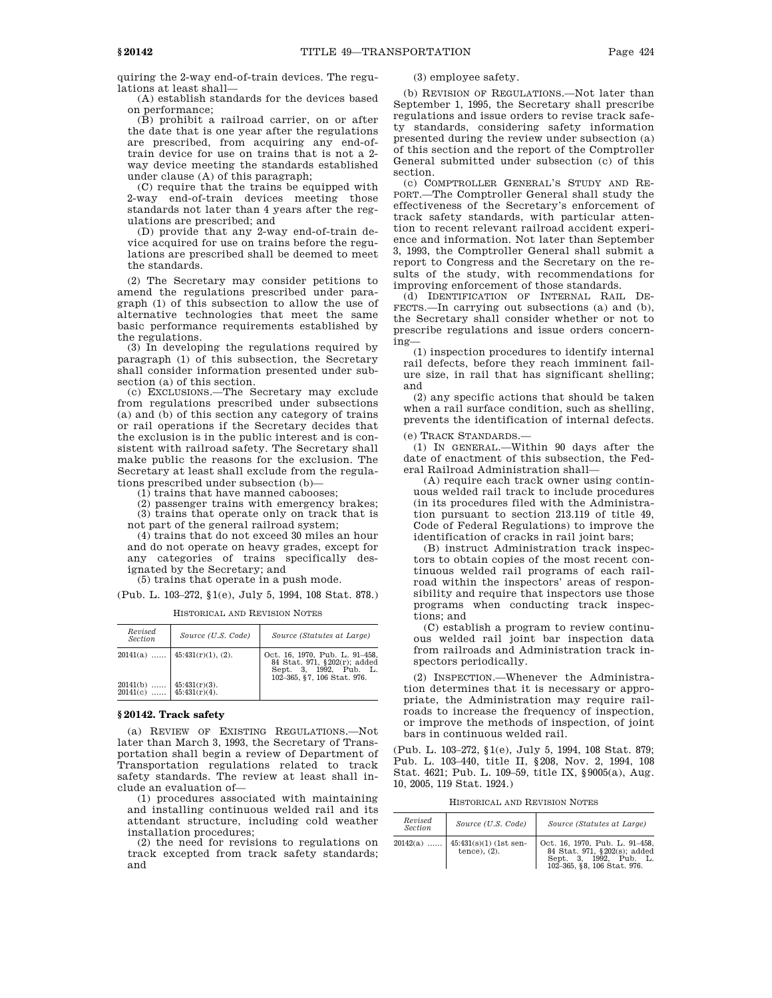quiring the 2-way end-of-train devices. The regulations at least shall—

(A) establish standards for the devices based on performance;

(B) prohibit a railroad carrier, on or after the date that is one year after the regulations are prescribed, from acquiring any end-oftrain device for use on trains that is not a 2 way device meeting the standards established under clause (A) of this paragraph;

(C) require that the trains be equipped with 2-way end-of-train devices meeting those standards not later than 4 years after the regulations are prescribed; and

(D) provide that any 2-way end-of-train device acquired for use on trains before the regulations are prescribed shall be deemed to meet the standards.

(2) The Secretary may consider petitions to amend the regulations prescribed under paragraph (1) of this subsection to allow the use of alternative technologies that meet the same basic performance requirements established by the regulations.

(3) In developing the regulations required by paragraph (1) of this subsection, the Secretary shall consider information presented under subsection (a) of this section.

(c) EXCLUSIONS.—The Secretary may exclude from regulations prescribed under subsections (a) and (b) of this section any category of trains or rail operations if the Secretary decides that the exclusion is in the public interest and is consistent with railroad safety. The Secretary shall make public the reasons for the exclusion. The Secretary at least shall exclude from the regulations prescribed under subsection (b)—

(1) trains that have manned cabooses;

(2) passenger trains with emergency brakes; (3) trains that operate only on track that is

not part of the general railroad system;

(4) trains that do not exceed 30 miles an hour and do not operate on heavy grades, except for any categories of trains specifically designated by the Secretary; and

(5) trains that operate in a push mode.

(Pub. L. 103–272, §1(e), July 5, 1994, 108 Stat. 878.)

| Revised<br><b>Section</b> | Source (U.S. Code)                   | Source (Statutes at Large)                                                               |
|---------------------------|--------------------------------------|------------------------------------------------------------------------------------------|
|                           | $20141(a)$   45:431(r)(1), (2).      | Oct. 16, 1970, Pub. L. 91-458,<br>84 Stat. 971, §202(r); added<br>Sept. 3, 1992, Pub. L. |
| $20141(b)$<br>$20141(c)$  | $45:431(r)(3)$ .<br>$45:431(r)(4)$ . | 102-365, §7, 106 Stat, 976.                                                              |

HISTORICAL AND REVISION NOTES

## **§ 20142. Track safety**

(a) REVIEW OF EXISTING REGULATIONS.—Not later than March 3, 1993, the Secretary of Transportation shall begin a review of Department of Transportation regulations related to track safety standards. The review at least shall include an evaluation of—

(1) procedures associated with maintaining and installing continuous welded rail and its attendant structure, including cold weather installation procedures;

(2) the need for revisions to regulations on track excepted from track safety standards; and

## (3) employee safety.

(b) REVISION OF REGULATIONS.—Not later than September 1, 1995, the Secretary shall prescribe regulations and issue orders to revise track safety standards, considering safety information presented during the review under subsection (a) of this section and the report of the Comptroller General submitted under subsection (c) of this section.

(c) COMPTROLLER GENERAL'S STUDY AND RE-PORT.—The Comptroller General shall study the effectiveness of the Secretary's enforcement of track safety standards, with particular attention to recent relevant railroad accident experience and information. Not later than September 3, 1993, the Comptroller General shall submit a report to Congress and the Secretary on the results of the study, with recommendations for improving enforcement of those standards.

(d) IDENTIFICATION OF INTERNAL RAIL DE-FECTS.—In carrying out subsections (a) and (b), the Secretary shall consider whether or not to prescribe regulations and issue orders concerning—

(1) inspection procedures to identify internal rail defects, before they reach imminent failure size, in rail that has significant shelling; and

(2) any specific actions that should be taken when a rail surface condition, such as shelling, prevents the identification of internal defects.

(e) TRACK STANDARDS.—

(1) IN GENERAL.—Within 90 days after the date of enactment of this subsection, the Federal Railroad Administration shall—

(A) require each track owner using continuous welded rail track to include procedures (in its procedures filed with the Administration pursuant to section 213.119 of title 49, Code of Federal Regulations) to improve the identification of cracks in rail joint bars;

(B) instruct Administration track inspectors to obtain copies of the most recent continuous welded rail programs of each railroad within the inspectors' areas of responsibility and require that inspectors use those programs when conducting track inspections; and

(C) establish a program to review continuous welded rail joint bar inspection data from railroads and Administration track inspectors periodically.

(2) INSPECTION.—Whenever the Administration determines that it is necessary or appropriate, the Administration may require railroads to increase the frequency of inspection, or improve the methods of inspection, of joint bars in continuous welded rail.

(Pub. L. 103–272, §1(e), July 5, 1994, 108 Stat. 879; Pub. L. 103–440, title II, §208, Nov. 2, 1994, 108 Stat. 4621; Pub. L. 109–59, title IX, §9005(a), Aug. 10, 2005, 119 Stat. 1924.)

HISTORICAL AND REVISION NOTES

| Revised<br>Section | Source (U.S. Code)                          | Source (Statutes at Large)                                                                                              |  |  |  |  |
|--------------------|---------------------------------------------|-------------------------------------------------------------------------------------------------------------------------|--|--|--|--|
| $20142(a)$         | $15:431(s)(1)$ (1st sen-<br>tence). $(2)$ . | Oct. 16, 1970, Pub. L. 91-458,<br>84 Stat. 971, §202(s); added<br>Sept. 3. 1992. Pub. L.<br>102-365, §8, 106 Stat, 976. |  |  |  |  |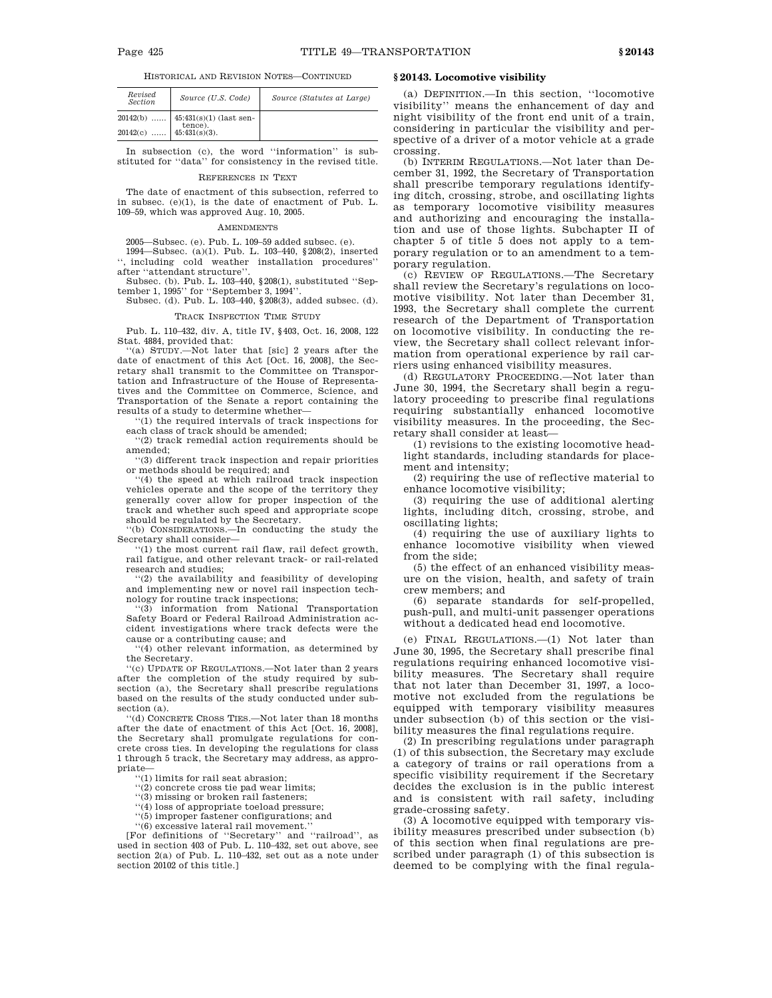HISTORICAL AND REVISION NOTES—CONTINUED

| Revised<br>Section            | Source (U.S. Code)                   | Source (Statutes at Large) |
|-------------------------------|--------------------------------------|----------------------------|
|                               | $20142(b)$   45:431(s)(1) (last sen- |                            |
| $20142(c)$   $45:431(s)(3)$ . | tence).                              |                            |

In subsection (c), the word ''information'' is substituted for ''data'' for consistency in the revised title.

### REFERENCES IN TEXT

The date of enactment of this subsection, referred to in subsec. (e)(1), is the date of enactment of Pub. L. 109–59, which was approved Aug. 10, 2005.

### AMENDMENTS

2005—Subsec. (e). Pub. L. 109–59 added subsec. (e). 1994—Subsec. (a)(1). Pub. L. 103–440, §208(2), inserted '', including cold weather installation procedures'' after ''attendant structure''.

Subsec. (b). Pub. L. 103–440, §208(1), substituted ''September 1, 1995'' for ''September 3, 1994''.

Subsec. (d). Pub. L. 103–440, §208(3), added subsec. (d).

# TRACK INSPECTION TIME STUDY

Pub. L. 110–432, div. A, title IV, §403, Oct. 16, 2008, 122 Stat. 4884, provided that:

''(a) STUDY.—Not later that [sic] 2 years after the date of enactment of this Act [Oct. 16, 2008], the Secretary shall transmit to the Committee on Transportation and Infrastructure of the House of Representatives and the Committee on Commerce, Science, and Transportation of the Senate a report containing the results of a study to determine whether—

''(1) the required intervals of track inspections for each class of track should be amended;

''(2) track remedial action requirements should be amended;

''(3) different track inspection and repair priorities or methods should be required; and

''(4) the speed at which railroad track inspection vehicles operate and the scope of the territory they generally cover allow for proper inspection of the track and whether such speed and appropriate scope should be regulated by the Secretary. ''(b) CONSIDERATIONS.—In conducting the study the

Secretary shall consider—

''(1) the most current rail flaw, rail defect growth, rail fatigue, and other relevant track- or rail-related research and studies;

''(2) the availability and feasibility of developing and implementing new or novel rail inspection technology for routine track inspections;

''(3) information from National Transportation Safety Board or Federal Railroad Administration accident investigations where track defects were the cause or a contributing cause; and

''(4) other relevant information, as determined by the Secretary.

''(c) UPDATE OF REGULATIONS.—Not later than 2 years after the completion of the study required by subsection (a), the Secretary shall prescribe regulations based on the results of the study conducted under subsection (a).

''(d) CONCRETE CROSS TIES.—Not later than 18 months after the date of enactment of this Act [Oct. 16, 2008], the Secretary shall promulgate regulations for concrete cross ties. In developing the regulations for class 1 through 5 track, the Secretary may address, as appropriate—

''(1) limits for rail seat abrasion;

''(2) concrete cross tie pad wear limits;

''(3) missing or broken rail fasteners;

''(4) loss of appropriate toeload pressure;

''(5) improper fastener configurations; and

''(6) excessive lateral rail movement.''

[For definitions of ''Secretary'' and ''railroad'', as used in section 403 of Pub. L. 110–432, set out above, see section 2(a) of Pub. L. 110–432, set out as a note under section 20102 of this title.]

## **§ 20143. Locomotive visibility**

(a) DEFINITION.—In this section, ''locomotive visibility'' means the enhancement of day and night visibility of the front end unit of a train, considering in particular the visibility and perspective of a driver of a motor vehicle at a grade crossing.

(b) INTERIM REGULATIONS.—Not later than December 31, 1992, the Secretary of Transportation shall prescribe temporary regulations identifying ditch, crossing, strobe, and oscillating lights as temporary locomotive visibility measures and authorizing and encouraging the installation and use of those lights. Subchapter II of chapter 5 of title 5 does not apply to a temporary regulation or to an amendment to a temporary regulation.

(c) REVIEW OF REGULATIONS.—The Secretary shall review the Secretary's regulations on locomotive visibility. Not later than December 31, 1993, the Secretary shall complete the current research of the Department of Transportation on locomotive visibility. In conducting the review, the Secretary shall collect relevant information from operational experience by rail carriers using enhanced visibility measures.

(d) REGULATORY PROCEEDING.—Not later than June 30, 1994, the Secretary shall begin a regulatory proceeding to prescribe final regulations requiring substantially enhanced locomotive visibility measures. In the proceeding, the Secretary shall consider at least—

(1) revisions to the existing locomotive headlight standards, including standards for placement and intensity;

(2) requiring the use of reflective material to enhance locomotive visibility;

(3) requiring the use of additional alerting lights, including ditch, crossing, strobe, and oscillating lights;

(4) requiring the use of auxiliary lights to enhance locomotive visibility when viewed from the side;

(5) the effect of an enhanced visibility measure on the vision, health, and safety of train crew members; and

(6) separate standards for self-propelled, push-pull, and multi-unit passenger operations without a dedicated head end locomotive.

(e) FINAL REGULATIONS.—(1) Not later than June 30, 1995, the Secretary shall prescribe final regulations requiring enhanced locomotive visibility measures. The Secretary shall require that not later than December 31, 1997, a locomotive not excluded from the regulations be equipped with temporary visibility measures under subsection (b) of this section or the visibility measures the final regulations require.

(2) In prescribing regulations under paragraph (1) of this subsection, the Secretary may exclude a category of trains or rail operations from a specific visibility requirement if the Secretary decides the exclusion is in the public interest and is consistent with rail safety, including grade-crossing safety.

(3) A locomotive equipped with temporary visibility measures prescribed under subsection (b) of this section when final regulations are prescribed under paragraph (1) of this subsection is deemed to be complying with the final regula-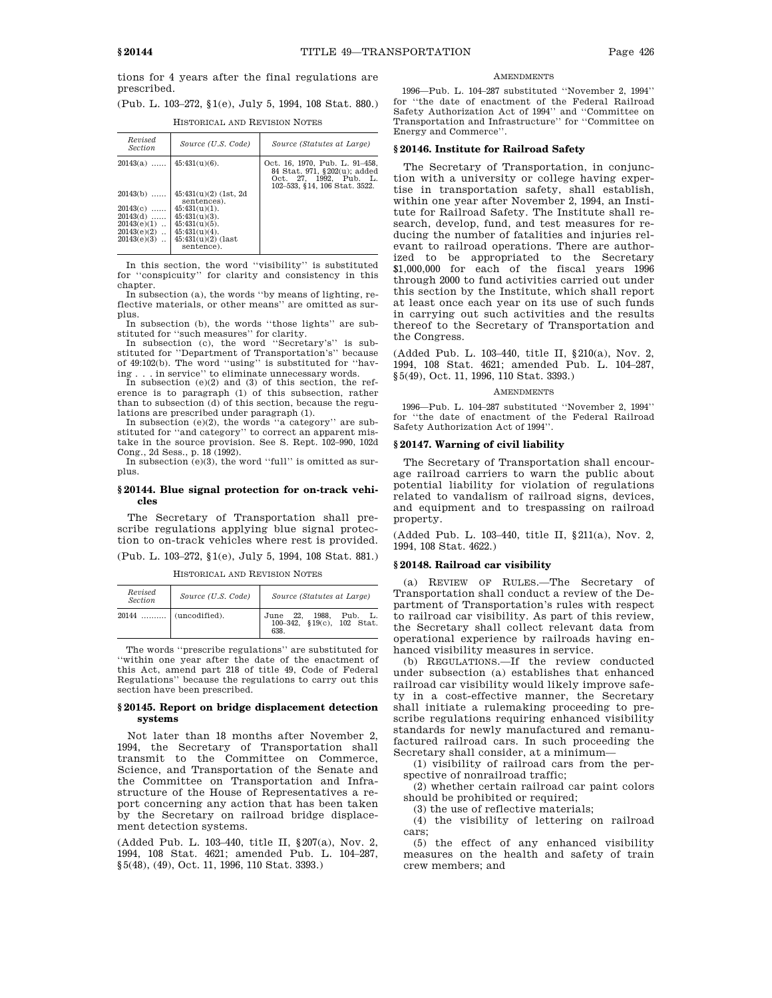tions for 4 years after the final regulations are prescribed.

|  | (Pub. L. 103–272, §1(e), July 5, 1994, 108 Stat. 880.) |  |  |  |  |
|--|--------------------------------------------------------|--|--|--|--|
|  | HISTORICAL AND REVISION NOTES                          |  |  |  |  |

| Revised<br><b>Section</b>                                                               | Source (U.S. Code)                                                                                                                                            | Source (Statutes at Large)                                                                                                |
|-----------------------------------------------------------------------------------------|---------------------------------------------------------------------------------------------------------------------------------------------------------------|---------------------------------------------------------------------------------------------------------------------------|
| $20143(a)$                                                                              | $45:431(u)(6)$ .                                                                                                                                              | Oct. 16, 1970. Pub. L. 91–458.<br>84 Stat. 971, §202(u); added<br>Oct. 27, 1992, Pub. L.<br>102-533, §14, 106 Stat. 3522. |
| $20143(b)$<br>$20143(c)$<br>$20143(d)$<br>$20143(e)(1)$<br>$20143(e)(2)$<br>20143(e)(3) | $45:431(u)(2)$ (1st, 2d)<br>sentences).<br>$45:431(u)(1)$ .<br>$45:431(u)(3)$ .<br>$45:431(u)(5)$ .<br>$45:431(u)(4)$ .<br>$45:431(u)(2)$ (last<br>sentence). |                                                                                                                           |

In this section, the word ''visibility'' is substituted for ''conspicuity'' for clarity and consistency in this chapter.

In subsection (a), the words ''by means of lighting, reflective materials, or other means'' are omitted as surplus.

In subsection (b), the words ''those lights'' are substituted for ''such measures'' for clarity.

In subsection (c), the word ''Secretary's'' is substituted for ''Department of Transportation's'' because of  $49:102(b)$ . The word "using" is substituted for "having . . . in service" to eliminate unnecessary words.

ing . . . in service'' to eliminate unnecessary words. In subsection (e)(2) and (3) of this section, the reference is to paragraph (1) of this subsection, rather than to subsection (d) of this section, because the regulations are prescribed under paragraph (1).

In subsection (e)(2), the words ''a category'' are substituted for ''and category'' to correct an apparent mistake in the source provision. See S. Rept. 102–990, 102d Cong., 2d Sess., p. 18 (1992).

In subsection (e)(3), the word ''full'' is omitted as surplus.

# **§ 20144. Blue signal protection for on-track vehicles**

The Secretary of Transportation shall prescribe regulations applying blue signal protection to on-track vehicles where rest is provided. (Pub. L. 103–272, §1(e), July 5, 1994, 108 Stat. 881.)

| Revised<br><b>Section</b> | Source (U.S. Code) | Source (Statutes at Large)                                  |
|---------------------------|--------------------|-------------------------------------------------------------|
| 20144                     | (uncodified).      | June 22, 1988, Pub. L.<br>100-342, §19(c), 102 Stat.<br>638 |

HISTORICAL AND REVISION NOTES

The words ''prescribe regulations'' are substituted for ''within one year after the date of the enactment of this Act, amend part 218 of title 49, Code of Federal Regulations'' because the regulations to carry out this section have been prescribed.

## **§ 20145. Report on bridge displacement detection systems**

Not later than 18 months after November 2, 1994, the Secretary of Transportation shall transmit to the Committee on Commerce, Science, and Transportation of the Senate and the Committee on Transportation and Infrastructure of the House of Representatives a report concerning any action that has been taken by the Secretary on railroad bridge displacement detection systems.

(Added Pub. L. 103–440, title II, §207(a), Nov. 2, 1994, 108 Stat. 4621; amended Pub. L. 104–287, §5(48), (49), Oct. 11, 1996, 110 Stat. 3393.)

## **AMENDMENTS**

1996—Pub. L. 104–287 substituted ''November 2, 1994'' for ''the date of enactment of the Federal Railroad Safety Authorization Act of 1994'' and ''Committee on Transportation and Infrastructure'' for ''Committee on Energy and Commerce''.

## **§ 20146. Institute for Railroad Safety**

The Secretary of Transportation, in conjunction with a university or college having expertise in transportation safety, shall establish, within one year after November 2, 1994, an Institute for Railroad Safety. The Institute shall research, develop, fund, and test measures for reducing the number of fatalities and injuries relevant to railroad operations. There are authorized to be appropriated to the Secretary \$1,000,000 for each of the fiscal years 1996 through 2000 to fund activities carried out under this section by the Institute, which shall report at least once each year on its use of such funds in carrying out such activities and the results thereof to the Secretary of Transportation and the Congress.

(Added Pub. L. 103–440, title II, §210(a), Nov. 2, 1994, 108 Stat. 4621; amended Pub. L. 104–287, §5(49), Oct. 11, 1996, 110 Stat. 3393.)

#### **AMENDMENTS**

1996—Pub. L. 104–287 substituted ''November 2, 1994'' for ''the date of enactment of the Federal Railroad Safety Authorization Act of 1994''.

## **§ 20147. Warning of civil liability**

The Secretary of Transportation shall encourage railroad carriers to warn the public about potential liability for violation of regulations related to vandalism of railroad signs, devices, and equipment and to trespassing on railroad property.

(Added Pub. L. 103–440, title II, §211(a), Nov. 2, 1994, 108 Stat. 4622.)

### **§ 20148. Railroad car visibility**

(a) REVIEW OF RULES.—The Secretary of Transportation shall conduct a review of the Department of Transportation's rules with respect to railroad car visibility. As part of this review, the Secretary shall collect relevant data from operational experience by railroads having enhanced visibility measures in service.

(b) REGULATIONS.—If the review conducted under subsection (a) establishes that enhanced railroad car visibility would likely improve safety in a cost-effective manner, the Secretary shall initiate a rulemaking proceeding to prescribe regulations requiring enhanced visibility standards for newly manufactured and remanufactured railroad cars. In such proceeding the Secretary shall consider, at a minimum—

(1) visibility of railroad cars from the perspective of nonrailroad traffic;

(2) whether certain railroad car paint colors should be prohibited or required;

(3) the use of reflective materials;

(4) the visibility of lettering on railroad cars;

(5) the effect of any enhanced visibility measures on the health and safety of train crew members; and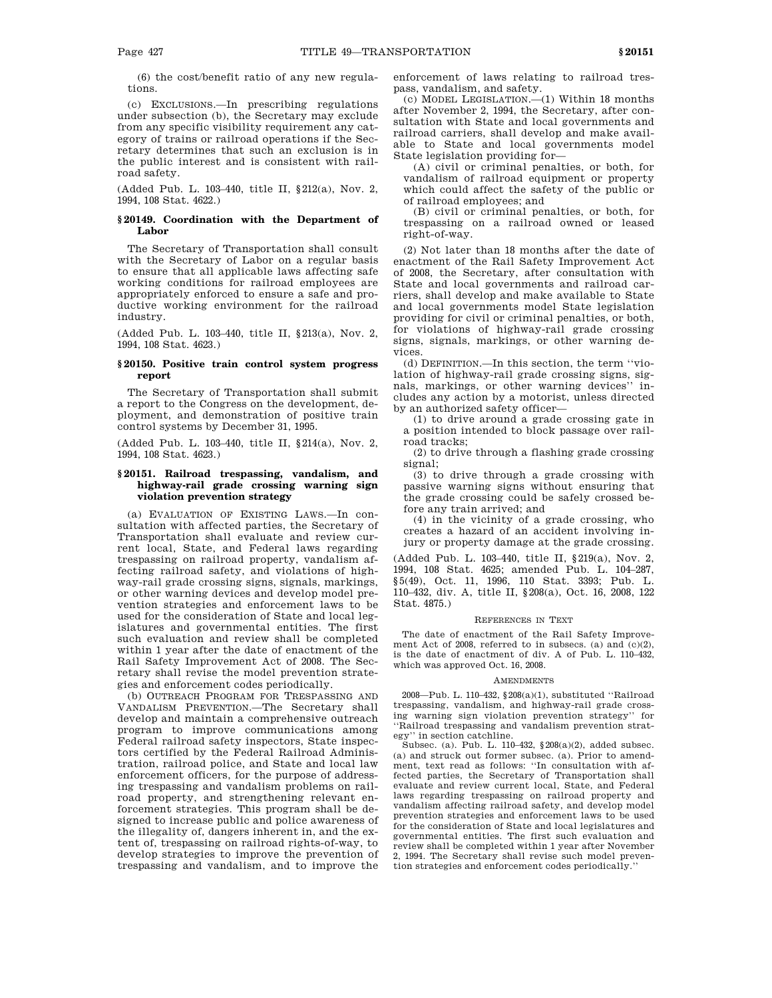(6) the cost/benefit ratio of any new regulations.

(c) EXCLUSIONS.—In prescribing regulations under subsection (b), the Secretary may exclude from any specific visibility requirement any category of trains or railroad operations if the Secretary determines that such an exclusion is in the public interest and is consistent with railroad safety.

(Added Pub. L. 103–440, title II, §212(a), Nov. 2, 1994, 108 Stat. 4622.)

# **§ 20149. Coordination with the Department of Labor**

The Secretary of Transportation shall consult with the Secretary of Labor on a regular basis to ensure that all applicable laws affecting safe working conditions for railroad employees are appropriately enforced to ensure a safe and productive working environment for the railroad industry.

(Added Pub. L. 103–440, title II, §213(a), Nov. 2, 1994, 108 Stat. 4623.)

# **§ 20150. Positive train control system progress report**

The Secretary of Transportation shall submit a report to the Congress on the development, deployment, and demonstration of positive train control systems by December 31, 1995.

(Added Pub. L. 103–440, title II, §214(a), Nov. 2, 1994, 108 Stat. 4623.)

## **§ 20151. Railroad trespassing, vandalism, and highway-rail grade crossing warning sign violation prevention strategy**

(a) EVALUATION OF EXISTING LAWS.—In consultation with affected parties, the Secretary of Transportation shall evaluate and review current local, State, and Federal laws regarding trespassing on railroad property, vandalism affecting railroad safety, and violations of highway-rail grade crossing signs, signals, markings, or other warning devices and develop model prevention strategies and enforcement laws to be used for the consideration of State and local legislatures and governmental entities. The first such evaluation and review shall be completed within 1 year after the date of enactment of the Rail Safety Improvement Act of 2008. The Secretary shall revise the model prevention strategies and enforcement codes periodically.

(b) OUTREACH PROGRAM FOR TRESPASSING AND VANDALISM PREVENTION.—The Secretary shall develop and maintain a comprehensive outreach program to improve communications among Federal railroad safety inspectors, State inspectors certified by the Federal Railroad Administration, railroad police, and State and local law enforcement officers, for the purpose of addressing trespassing and vandalism problems on railroad property, and strengthening relevant enforcement strategies. This program shall be designed to increase public and police awareness of the illegality of, dangers inherent in, and the extent of, trespassing on railroad rights-of-way, to develop strategies to improve the prevention of trespassing and vandalism, and to improve the

enforcement of laws relating to railroad trespass, vandalism, and safety.

(c) MODEL LEGISLATION.—(1) Within 18 months after November 2, 1994, the Secretary, after consultation with State and local governments and railroad carriers, shall develop and make available to State and local governments model State legislation providing for—

(A) civil or criminal penalties, or both, for vandalism of railroad equipment or property which could affect the safety of the public or of railroad employees; and

(B) civil or criminal penalties, or both, for trespassing on a railroad owned or leased right-of-way.

(2) Not later than 18 months after the date of enactment of the Rail Safety Improvement Act of 2008, the Secretary, after consultation with State and local governments and railroad carriers, shall develop and make available to State and local governments model State legislation providing for civil or criminal penalties, or both, for violations of highway-rail grade crossing signs, signals, markings, or other warning devices.

(d) DEFINITION.—In this section, the term ''violation of highway-rail grade crossing signs, signals, markings, or other warning devices'' includes any action by a motorist, unless directed by an authorized safety officer—

(1) to drive around a grade crossing gate in a position intended to block passage over railroad tracks;

(2) to drive through a flashing grade crossing signal;

(3) to drive through a grade crossing with passive warning signs without ensuring that the grade crossing could be safely crossed before any train arrived; and

(4) in the vicinity of a grade crossing, who creates a hazard of an accident involving injury or property damage at the grade crossing.

(Added Pub. L. 103–440, title II, §219(a), Nov. 2, 1994, 108 Stat. 4625; amended Pub. L. 104–287, §5(49), Oct. 11, 1996, 110 Stat. 3393; Pub. L. 110–432, div. A, title II, §208(a), Oct. 16, 2008, 122 Stat. 4875.)

### REFERENCES IN TEXT

The date of enactment of the Rail Safety Improvement Act of 2008, referred to in subsecs. (a) and (c)(2), is the date of enactment of div. A of Pub. L. 110–432, which was approved Oct. 16, 2008.

#### AMENDMENTS

2008—Pub. L. 110–432, §208(a)(1), substituted ''Railroad trespassing, vandalism, and highway-rail grade crossing warning sign violation prevention strategy'' for ''Railroad trespassing and vandalism prevention strategy'' in section catchline.

Subsec. (a). Pub. L. 110–432, §208(a)(2), added subsec. (a) and struck out former subsec. (a). Prior to amendment, text read as follows: ''In consultation with affected parties, the Secretary of Transportation shall evaluate and review current local, State, and Federal laws regarding trespassing on railroad property and vandalism affecting railroad safety, and develop model prevention strategies and enforcement laws to be used for the consideration of State and local legislatures and governmental entities. The first such evaluation and review shall be completed within 1 year after November 2, 1994. The Secretary shall revise such model prevention strategies and enforcement codes periodically.''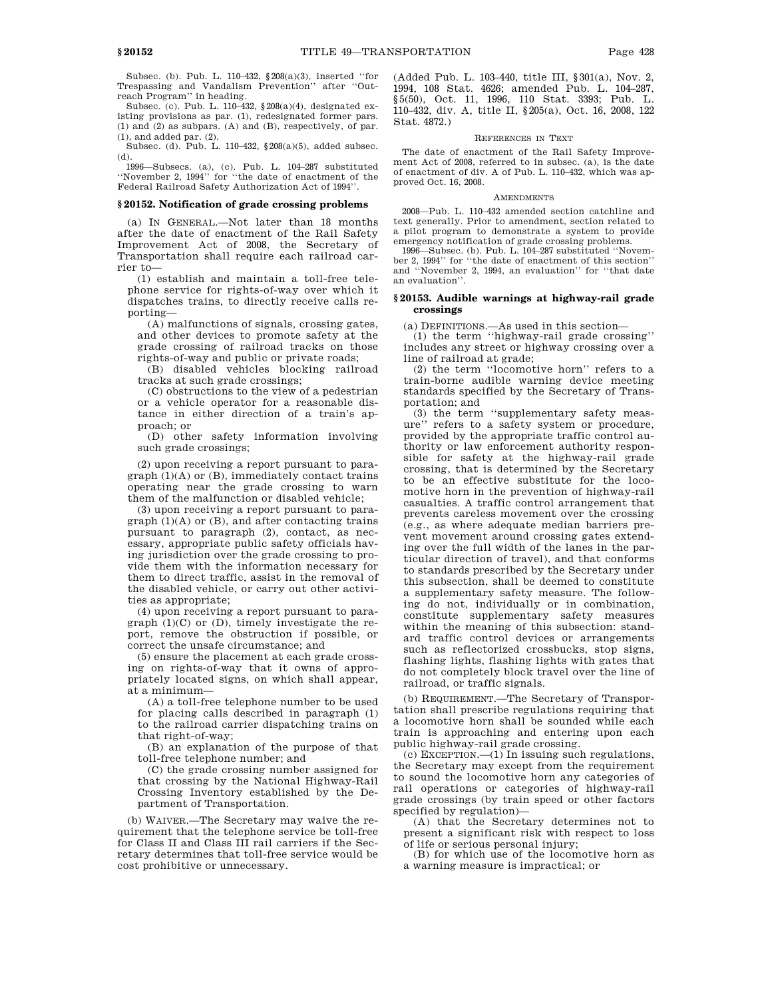Subsec. (b). Pub. L. 110–432, §208(a)(3), inserted ''for Trespassing and Vandalism Prevention'' after ''Outreach Program'' in heading.

Subsec. (c). Pub. L. 110–432,  $\S 208(a)(4)$ , designated existing provisions as par. (1), redesignated former pars. (1) and (2) as subpars. (A) and (B), respectively, of par. (1), and added par. (2).

Subsec. (d). Pub. L. 110–432, §208(a)(5), added subsec. (d).

1996—Subsecs. (a), (c). Pub. L. 104–287 substituted ''November 2, 1994'' for ''the date of enactment of the Federal Railroad Safety Authorization Act of 1994''.

### **§ 20152. Notification of grade crossing problems**

(a) IN GENERAL.—Not later than 18 months after the date of enactment of the Rail Safety Improvement Act of 2008, the Secretary of Transportation shall require each railroad carrier to—

(1) establish and maintain a toll-free telephone service for rights-of-way over which it dispatches trains, to directly receive calls reporting—

(A) malfunctions of signals, crossing gates, and other devices to promote safety at the grade crossing of railroad tracks on those rights-of-way and public or private roads;

(B) disabled vehicles blocking railroad tracks at such grade crossings;

(C) obstructions to the view of a pedestrian or a vehicle operator for a reasonable distance in either direction of a train's approach; or

(D) other safety information involving such grade crossings;

(2) upon receiving a report pursuant to para $graph (1)(A)$  or  $(B)$ , immediately contact trains operating near the grade crossing to warn them of the malfunction or disabled vehicle;

(3) upon receiving a report pursuant to para $graph (1)(A)$  or  $(B)$ , and after contacting trains pursuant to paragraph (2), contact, as necessary, appropriate public safety officials having jurisdiction over the grade crossing to provide them with the information necessary for them to direct traffic, assist in the removal of the disabled vehicle, or carry out other activities as appropriate;

(4) upon receiving a report pursuant to paragraph  $(1)(C)$  or  $(D)$ , timely investigate the report, remove the obstruction if possible, or correct the unsafe circumstance; and

(5) ensure the placement at each grade crossing on rights-of-way that it owns of appropriately located signs, on which shall appear, at a minimum—

(A) a toll-free telephone number to be used for placing calls described in paragraph (1) to the railroad carrier dispatching trains on that right-of-way;

(B) an explanation of the purpose of that toll-free telephone number; and

(C) the grade crossing number assigned for that crossing by the National Highway-Rail Crossing Inventory established by the Department of Transportation.

(b) WAIVER.—The Secretary may waive the requirement that the telephone service be toll-free for Class II and Class III rail carriers if the Secretary determines that toll-free service would be cost prohibitive or unnecessary.

(Added Pub. L. 103–440, title III, §301(a), Nov. 2, 1994, 108 Stat. 4626; amended Pub. L. 104–287, §5(50), Oct. 11, 1996, 110 Stat. 3393; Pub. L. 110–432, div. A, title II, §205(a), Oct. 16, 2008, 122 Stat. 4872.)

### REFERENCES IN TEXT

The date of enactment of the Rail Safety Improvement Act of 2008, referred to in subsec. (a), is the date of enactment of div. A of Pub. L. 110–432, which was approved Oct. 16, 2008.

### **AMENDMENTS**

2008—Pub. L. 110–432 amended section catchline and text generally. Prior to amendment, section related to a pilot program to demonstrate a system to provide emergency notification of grade crossing problems.

1996—Subsec. (b). Pub. L. 104–287 substituted ''November 2, 1994'' for ''the date of enactment of this section'' and ''November 2, 1994, an evaluation'' for ''that date an evaluation''.

## **§ 20153. Audible warnings at highway-rail grade crossings**

(a) DEFINITIONS.—As used in this section—

(1) the term ''highway-rail grade crossing'' includes any street or highway crossing over a line of railroad at grade;

(2) the term ''locomotive horn'' refers to a train-borne audible warning device meeting standards specified by the Secretary of Transportation; and

(3) the term ''supplementary safety measure'' refers to a safety system or procedure, provided by the appropriate traffic control authority or law enforcement authority responsible for safety at the highway-rail grade crossing, that is determined by the Secretary to be an effective substitute for the locomotive horn in the prevention of highway-rail casualties. A traffic control arrangement that prevents careless movement over the crossing (e.g., as where adequate median barriers prevent movement around crossing gates extending over the full width of the lanes in the particular direction of travel), and that conforms to standards prescribed by the Secretary under this subsection, shall be deemed to constitute a supplementary safety measure. The following do not, individually or in combination, constitute supplementary safety measures within the meaning of this subsection: standard traffic control devices or arrangements such as reflectorized crossbucks, stop signs, flashing lights, flashing lights with gates that do not completely block travel over the line of railroad, or traffic signals.

(b) REQUIREMENT.—The Secretary of Transportation shall prescribe regulations requiring that a locomotive horn shall be sounded while each train is approaching and entering upon each public highway-rail grade crossing.

(c) EXCEPTION.—(1) In issuing such regulations, the Secretary may except from the requirement to sound the locomotive horn any categories of rail operations or categories of highway-rail grade crossings (by train speed or other factors specified by regulation)—

(A) that the Secretary determines not to present a significant risk with respect to loss of life or serious personal injury;

(B) for which use of the locomotive horn as a warning measure is impractical; or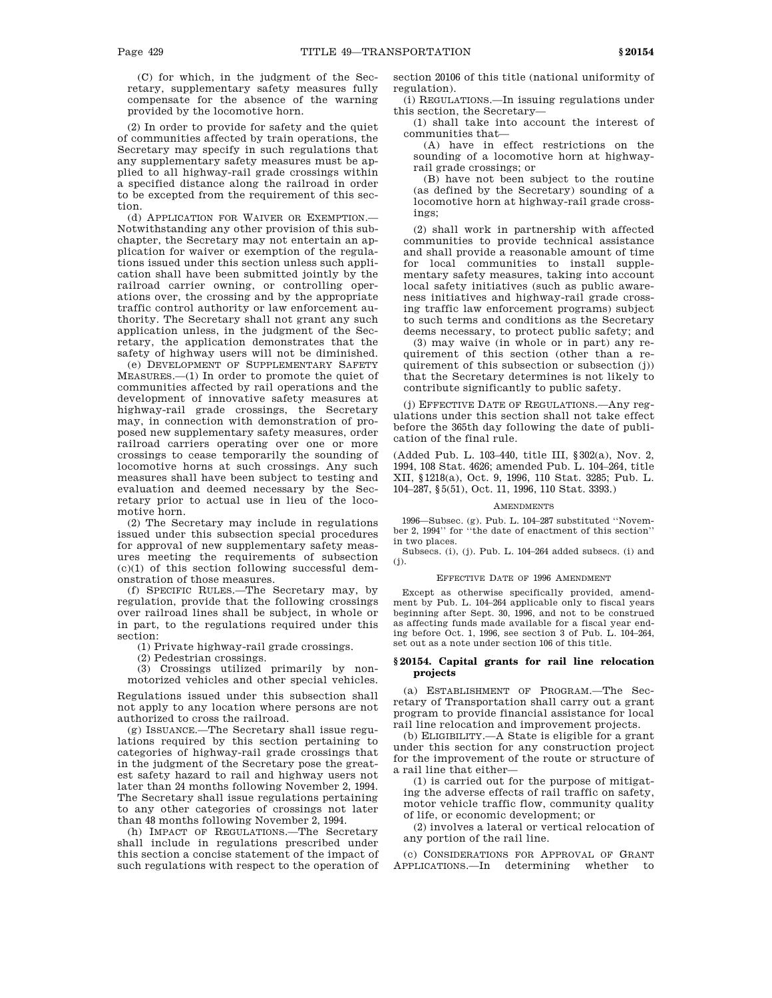(C) for which, in the judgment of the Secretary, supplementary safety measures fully compensate for the absence of the warning provided by the locomotive horn.

(2) In order to provide for safety and the quiet of communities affected by train operations, the Secretary may specify in such regulations that any supplementary safety measures must be applied to all highway-rail grade crossings within a specified distance along the railroad in order to be excepted from the requirement of this section.

(d) APPLICATION FOR WAIVER OR EXEMPTION.— Notwithstanding any other provision of this subchapter, the Secretary may not entertain an application for waiver or exemption of the regulations issued under this section unless such application shall have been submitted jointly by the railroad carrier owning, or controlling operations over, the crossing and by the appropriate traffic control authority or law enforcement authority. The Secretary shall not grant any such application unless, in the judgment of the Secretary, the application demonstrates that the safety of highway users will not be diminished.

(e) DEVELOPMENT OF SUPPLEMENTARY SAFETY MEASURES.—(1) In order to promote the quiet of communities affected by rail operations and the development of innovative safety measures at highway-rail grade crossings, the Secretary may, in connection with demonstration of proposed new supplementary safety measures, order railroad carriers operating over one or more crossings to cease temporarily the sounding of locomotive horns at such crossings. Any such measures shall have been subject to testing and evaluation and deemed necessary by the Secretary prior to actual use in lieu of the locomotive horn.

(2) The Secretary may include in regulations issued under this subsection special procedures for approval of new supplementary safety measures meeting the requirements of subsection (c)(1) of this section following successful demonstration of those measures.

(f) SPECIFIC RULES.—The Secretary may, by regulation, provide that the following crossings over railroad lines shall be subject, in whole or in part, to the regulations required under this section:

(1) Private highway-rail grade crossings.

(2) Pedestrian crossings.

(3) Crossings utilized primarily by nonmotorized vehicles and other special vehicles.

Regulations issued under this subsection shall not apply to any location where persons are not authorized to cross the railroad.

(g) ISSUANCE.—The Secretary shall issue regulations required by this section pertaining to categories of highway-rail grade crossings that in the judgment of the Secretary pose the greatest safety hazard to rail and highway users not later than 24 months following November 2, 1994. The Secretary shall issue regulations pertaining to any other categories of crossings not later than 48 months following November 2, 1994.

(h) IMPACT OF REGULATIONS.—The Secretary shall include in regulations prescribed under this section a concise statement of the impact of such regulations with respect to the operation of section 20106 of this title (national uniformity of regulation).

(i) REGULATIONS.—In issuing regulations under this section, the Secretary—

(1) shall take into account the interest of communities that—

(A) have in effect restrictions on the sounding of a locomotive horn at highwayrail grade crossings; or

(B) have not been subject to the routine (as defined by the Secretary) sounding of a locomotive horn at highway-rail grade crossings;

(2) shall work in partnership with affected communities to provide technical assistance and shall provide a reasonable amount of time for local communities to install supplementary safety measures, taking into account local safety initiatives (such as public awareness initiatives and highway-rail grade crossing traffic law enforcement programs) subject to such terms and conditions as the Secretary deems necessary, to protect public safety; and

(3) may waive (in whole or in part) any requirement of this section (other than a requirement of this subsection or subsection (j)) that the Secretary determines is not likely to contribute significantly to public safety.

(j) EFFECTIVE DATE OF REGULATIONS.—Any regulations under this section shall not take effect before the 365th day following the date of publication of the final rule.

(Added Pub. L. 103–440, title III, §302(a), Nov. 2, 1994, 108 Stat. 4626; amended Pub. L. 104–264, title XII, §1218(a), Oct. 9, 1996, 110 Stat. 3285; Pub. L. 104–287, §5(51), Oct. 11, 1996, 110 Stat. 3393.)

#### **AMENDMENTS**

1996—Subsec. (g). Pub. L. 104–287 substituted ''November 2, 1994'' for ''the date of enactment of this section'' in two places.

Subsecs. (i), (j). Pub. L. 104–264 added subsecs. (i) and (j).

#### EFFECTIVE DATE OF 1996 AMENDMENT

Except as otherwise specifically provided, amendment by Pub. L. 104–264 applicable only to fiscal years beginning after Sept. 30, 1996, and not to be construed as affecting funds made available for a fiscal year ending before Oct. 1, 1996, see section 3 of Pub. L. 104–264, set out as a note under section 106 of this title.

### **§ 20154. Capital grants for rail line relocation projects**

(a) ESTABLISHMENT OF PROGRAM.—The Secretary of Transportation shall carry out a grant program to provide financial assistance for local rail line relocation and improvement projects.

(b) ELIGIBILITY.—A State is eligible for a grant under this section for any construction project for the improvement of the route or structure of a rail line that either—

(1) is carried out for the purpose of mitigating the adverse effects of rail traffic on safety, motor vehicle traffic flow, community quality of life, or economic development; or

(2) involves a lateral or vertical relocation of any portion of the rail line.

(c) CONSIDERATIONS FOR APPROVAL OF GRANT APPLICATIONS.—In determining whether to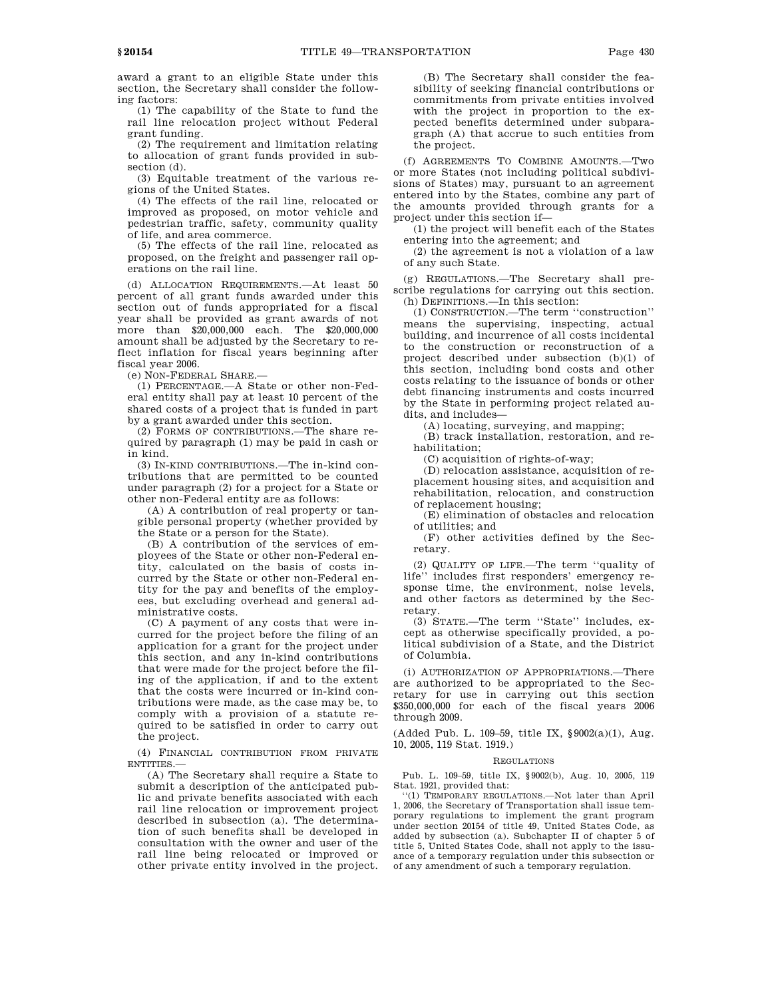award a grant to an eligible State under this section, the Secretary shall consider the following factors:

(1) The capability of the State to fund the rail line relocation project without Federal grant funding.

(2) The requirement and limitation relating to allocation of grant funds provided in subsection (d).

(3) Equitable treatment of the various regions of the United States.

(4) The effects of the rail line, relocated or improved as proposed, on motor vehicle and pedestrian traffic, safety, community quality of life, and area commerce.

(5) The effects of the rail line, relocated as proposed, on the freight and passenger rail operations on the rail line.

(d) ALLOCATION REQUIREMENTS.—At least 50 percent of all grant funds awarded under this section out of funds appropriated for a fiscal year shall be provided as grant awards of not more than \$20,000,000 each. The \$20,000,000 amount shall be adjusted by the Secretary to reflect inflation for fiscal years beginning after fiscal year 2006.

(e) NON-FEDERAL SHARE.—

(1) PERCENTAGE.—A State or other non-Federal entity shall pay at least 10 percent of the shared costs of a project that is funded in part by a grant awarded under this section.

(2) FORMS OF CONTRIBUTIONS.—The share required by paragraph (1) may be paid in cash or in kind.

(3) IN-KIND CONTRIBUTIONS.—The in-kind contributions that are permitted to be counted under paragraph (2) for a project for a State or other non-Federal entity are as follows:

(A) A contribution of real property or tangible personal property (whether provided by the State or a person for the State).

(B) A contribution of the services of employees of the State or other non-Federal entity, calculated on the basis of costs incurred by the State or other non-Federal entity for the pay and benefits of the employees, but excluding overhead and general administrative costs.

(C) A payment of any costs that were incurred for the project before the filing of an application for a grant for the project under this section, and any in-kind contributions that were made for the project before the filing of the application, if and to the extent that the costs were incurred or in-kind contributions were made, as the case may be, to comply with a provision of a statute required to be satisfied in order to carry out the project.

(4) FINANCIAL CONTRIBUTION FROM PRIVATE ENTITIES.—

(A) The Secretary shall require a State to submit a description of the anticipated public and private benefits associated with each rail line relocation or improvement project described in subsection (a). The determination of such benefits shall be developed in consultation with the owner and user of the rail line being relocated or improved or other private entity involved in the project.

(B) The Secretary shall consider the feasibility of seeking financial contributions or commitments from private entities involved with the project in proportion to the expected benefits determined under subparagraph (A) that accrue to such entities from the project.

(f) AGREEMENTS TO COMBINE AMOUNTS.—Two or more States (not including political subdivisions of States) may, pursuant to an agreement entered into by the States, combine any part of the amounts provided through grants for a project under this section if—

(1) the project will benefit each of the States entering into the agreement; and

(2) the agreement is not a violation of a law of any such State.

(g) REGULATIONS.—The Secretary shall prescribe regulations for carrying out this section. (h) DEFINITIONS.—In this section:

(1) CONSTRUCTION.—The term ''construction'' means the supervising, inspecting, actual building, and incurrence of all costs incidental to the construction or reconstruction of a project described under subsection (b)(1) of this section, including bond costs and other costs relating to the issuance of bonds or other debt financing instruments and costs incurred by the State in performing project related audits, and includes—

(A) locating, surveying, and mapping;

(B) track installation, restoration, and rehabilitation;

(C) acquisition of rights-of-way;

(D) relocation assistance, acquisition of replacement housing sites, and acquisition and rehabilitation, relocation, and construction of replacement housing;

(E) elimination of obstacles and relocation of utilities; and

(F) other activities defined by the Secretary.

(2) QUALITY OF LIFE.—The term ''quality of life'' includes first responders' emergency response time, the environment, noise levels, and other factors as determined by the Secretary.

(3) STATE.—The term ''State'' includes, except as otherwise specifically provided, a political subdivision of a State, and the District of Columbia.

(i) AUTHORIZATION OF APPROPRIATIONS.—There are authorized to be appropriated to the Secretary for use in carrying out this section \$350,000,000 for each of the fiscal years 2006 through 2009.

(Added Pub. L. 109–59, title IX, §9002(a)(1), Aug. 10, 2005, 119 Stat. 1919.)

### REGULATIONS

Pub. L. 109–59, title IX, §9002(b), Aug. 10, 2005, 119 Stat. 1921, provided that:

''(1) TEMPORARY REGULATIONS.—Not later than April 1, 2006, the Secretary of Transportation shall issue temporary regulations to implement the grant program under section 20154 of title 49, United States Code, as added by subsection (a). Subchapter II of chapter 5 of title 5, United States Code, shall not apply to the issuance of a temporary regulation under this subsection or of any amendment of such a temporary regulation.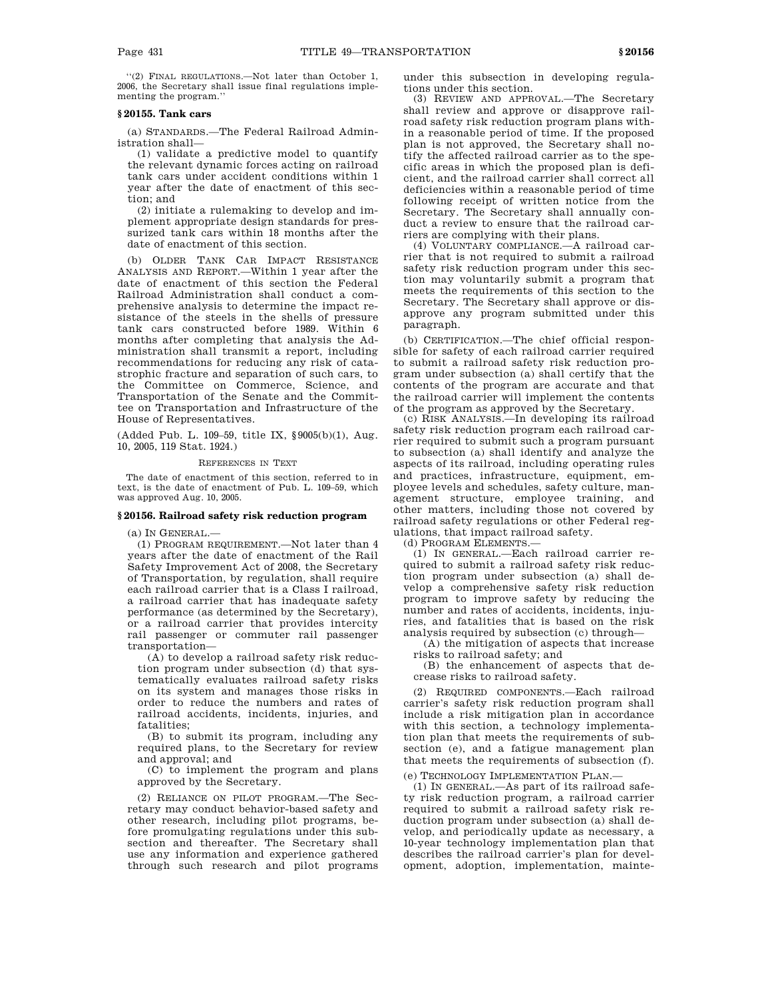''(2) FINAL REGULATIONS.—Not later than October 1, 2006, the Secretary shall issue final regulations implementing the program.''

## **§ 20155. Tank cars**

(a) STANDARDS.—The Federal Railroad Administration shall—

(1) validate a predictive model to quantify the relevant dynamic forces acting on railroad tank cars under accident conditions within 1 year after the date of enactment of this section; and

(2) initiate a rulemaking to develop and implement appropriate design standards for pressurized tank cars within 18 months after the date of enactment of this section.

(b) OLDER TANK CAR IMPACT RESISTANCE ANALYSIS AND REPORT.—Within 1 year after the date of enactment of this section the Federal Railroad Administration shall conduct a comprehensive analysis to determine the impact resistance of the steels in the shells of pressure tank cars constructed before 1989. Within 6 months after completing that analysis the Administration shall transmit a report, including recommendations for reducing any risk of catastrophic fracture and separation of such cars, to the Committee on Commerce, Science, and Transportation of the Senate and the Committee on Transportation and Infrastructure of the House of Representatives.

(Added Pub. L. 109–59, title IX, §9005(b)(1), Aug. 10, 2005, 119 Stat. 1924.)

## REFERENCES IN TEXT

The date of enactment of this section, referred to in text, is the date of enactment of Pub. L. 109–59, which was approved Aug. 10, 2005.

### **§ 20156. Railroad safety risk reduction program**

 $(a)$  In GENERAL. $-$ 

(1) PROGRAM REQUIREMENT.—Not later than 4 years after the date of enactment of the Rail Safety Improvement Act of 2008, the Secretary of Transportation, by regulation, shall require each railroad carrier that is a Class I railroad, a railroad carrier that has inadequate safety performance (as determined by the Secretary), or a railroad carrier that provides intercity rail passenger or commuter rail passenger transportation—

(A) to develop a railroad safety risk reduction program under subsection (d) that systematically evaluates railroad safety risks on its system and manages those risks in order to reduce the numbers and rates of railroad accidents, incidents, injuries, and fatalities;

(B) to submit its program, including any required plans, to the Secretary for review and approval; and

(C) to implement the program and plans approved by the Secretary.

(2) RELIANCE ON PILOT PROGRAM.—The Secretary may conduct behavior-based safety and other research, including pilot programs, before promulgating regulations under this subsection and thereafter. The Secretary shall use any information and experience gathered through such research and pilot programs under this subsection in developing regulations under this section.

(3) REVIEW AND APPROVAL.—The Secretary shall review and approve or disapprove railroad safety risk reduction program plans within a reasonable period of time. If the proposed plan is not approved, the Secretary shall notify the affected railroad carrier as to the specific areas in which the proposed plan is deficient, and the railroad carrier shall correct all deficiencies within a reasonable period of time following receipt of written notice from the Secretary. The Secretary shall annually conduct a review to ensure that the railroad carriers are complying with their plans.

(4) VOLUNTARY COMPLIANCE.—A railroad carrier that is not required to submit a railroad safety risk reduction program under this section may voluntarily submit a program that meets the requirements of this section to the Secretary. The Secretary shall approve or disapprove any program submitted under this paragraph.

(b) CERTIFICATION.—The chief official responsible for safety of each railroad carrier required to submit a railroad safety risk reduction program under subsection (a) shall certify that the contents of the program are accurate and that the railroad carrier will implement the contents of the program as approved by the Secretary.

(c) RISK ANALYSIS.—In developing its railroad safety risk reduction program each railroad carrier required to submit such a program pursuant to subsection (a) shall identify and analyze the aspects of its railroad, including operating rules and practices, infrastructure, equipment, employee levels and schedules, safety culture, management structure, employee training, and other matters, including those not covered by railroad safety regulations or other Federal regulations, that impact railroad safety.

(d) PROGRAM ELEMENTS.—

(1) IN GENERAL.—Each railroad carrier required to submit a railroad safety risk reduction program under subsection (a) shall develop a comprehensive safety risk reduction program to improve safety by reducing the number and rates of accidents, incidents, injuries, and fatalities that is based on the risk analysis required by subsection (c) through—

(A) the mitigation of aspects that increase risks to railroad safety; and

(B) the enhancement of aspects that decrease risks to railroad safety.

(2) REQUIRED COMPONENTS.—Each railroad carrier's safety risk reduction program shall include a risk mitigation plan in accordance with this section, a technology implementation plan that meets the requirements of subsection (e), and a fatigue management plan that meets the requirements of subsection (f).

(e) TECHNOLOGY IMPLEMENTATION PLAN.—

(1) IN GENERAL.—As part of its railroad safety risk reduction program, a railroad carrier required to submit a railroad safety risk reduction program under subsection (a) shall develop, and periodically update as necessary, a 10-year technology implementation plan that describes the railroad carrier's plan for development, adoption, implementation, mainte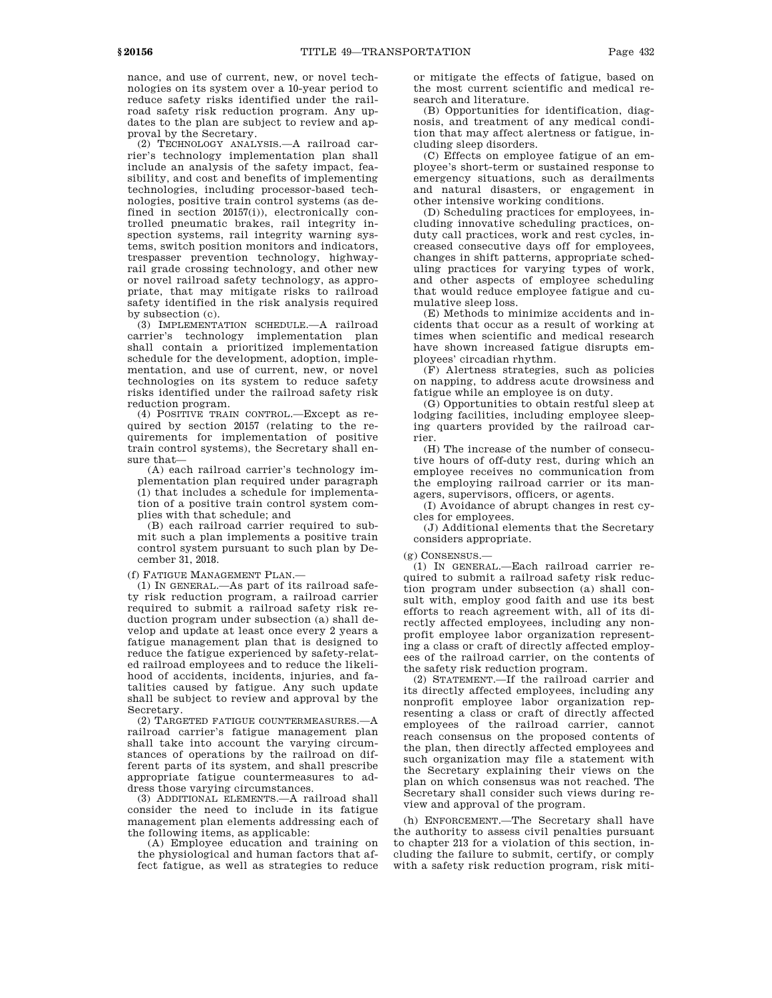nance, and use of current, new, or novel technologies on its system over a 10-year period to reduce safety risks identified under the railroad safety risk reduction program. Any updates to the plan are subject to review and approval by the Secretary.

(2) TECHNOLOGY ANALYSIS.—A railroad carrier's technology implementation plan shall include an analysis of the safety impact, feasibility, and cost and benefits of implementing technologies, including processor-based technologies, positive train control systems (as defined in section 20157(i)), electronically controlled pneumatic brakes, rail integrity inspection systems, rail integrity warning systems, switch position monitors and indicators, trespasser prevention technology, highwayrail grade crossing technology, and other new or novel railroad safety technology, as appropriate, that may mitigate risks to railroad safety identified in the risk analysis required by subsection (c).

(3) IMPLEMENTATION SCHEDULE.—A railroad carrier's technology implementation plan shall contain a prioritized implementation schedule for the development, adoption, implementation, and use of current, new, or novel technologies on its system to reduce safety risks identified under the railroad safety risk reduction program.

(4) POSITIVE TRAIN CONTROL.—Except as required by section 20157 (relating to the requirements for implementation of positive train control systems), the Secretary shall ensure that—

(A) each railroad carrier's technology implementation plan required under paragraph (1) that includes a schedule for implementation of a positive train control system complies with that schedule; and

(B) each railroad carrier required to submit such a plan implements a positive train control system pursuant to such plan by December 31, 2018.

(f) FATIGUE MANAGEMENT PLAN.—

(1) IN GENERAL.—As part of its railroad safety risk reduction program, a railroad carrier required to submit a railroad safety risk reduction program under subsection (a) shall develop and update at least once every 2 years a fatigue management plan that is designed to reduce the fatigue experienced by safety-related railroad employees and to reduce the likelihood of accidents, incidents, injuries, and fatalities caused by fatigue. Any such update shall be subject to review and approval by the Secretary.

(2) TARGETED FATIGUE COUNTERMEASURES.—A railroad carrier's fatigue management plan shall take into account the varying circumstances of operations by the railroad on different parts of its system, and shall prescribe appropriate fatigue countermeasures to address those varying circumstances.

(3) ADDITIONAL ELEMENTS.—A railroad shall consider the need to include in its fatigue management plan elements addressing each of the following items, as applicable:

(A) Employee education and training on the physiological and human factors that affect fatigue, as well as strategies to reduce or mitigate the effects of fatigue, based on the most current scientific and medical research and literature.

(B) Opportunities for identification, diagnosis, and treatment of any medical condition that may affect alertness or fatigue, including sleep disorders.

(C) Effects on employee fatigue of an employee's short-term or sustained response to emergency situations, such as derailments and natural disasters, or engagement in other intensive working conditions.

(D) Scheduling practices for employees, including innovative scheduling practices, onduty call practices, work and rest cycles, increased consecutive days off for employees, changes in shift patterns, appropriate scheduling practices for varying types of work, and other aspects of employee scheduling that would reduce employee fatigue and cumulative sleep loss.

(E) Methods to minimize accidents and incidents that occur as a result of working at times when scientific and medical research have shown increased fatigue disrupts employees' circadian rhythm.

(F) Alertness strategies, such as policies on napping, to address acute drowsiness and fatigue while an employee is on duty.

(G) Opportunities to obtain restful sleep at lodging facilities, including employee sleeping quarters provided by the railroad carrier.

(H) The increase of the number of consecutive hours of off-duty rest, during which an employee receives no communication from the employing railroad carrier or its managers, supervisors, officers, or agents.

(I) Avoidance of abrupt changes in rest cycles for employees.

(J) Additional elements that the Secretary considers appropriate.

### (g) CONSENSUS.—

(1) IN GENERAL.—Each railroad carrier required to submit a railroad safety risk reduction program under subsection (a) shall consult with, employ good faith and use its best efforts to reach agreement with, all of its directly affected employees, including any nonprofit employee labor organization representing a class or craft of directly affected employees of the railroad carrier, on the contents of the safety risk reduction program.

(2) STATEMENT.—If the railroad carrier and its directly affected employees, including any nonprofit employee labor organization representing a class or craft of directly affected employees of the railroad carrier, cannot reach consensus on the proposed contents of the plan, then directly affected employees and such organization may file a statement with the Secretary explaining their views on the plan on which consensus was not reached. The Secretary shall consider such views during review and approval of the program.

(h) ENFORCEMENT.—The Secretary shall have the authority to assess civil penalties pursuant to chapter 213 for a violation of this section, including the failure to submit, certify, or comply with a safety risk reduction program, risk miti-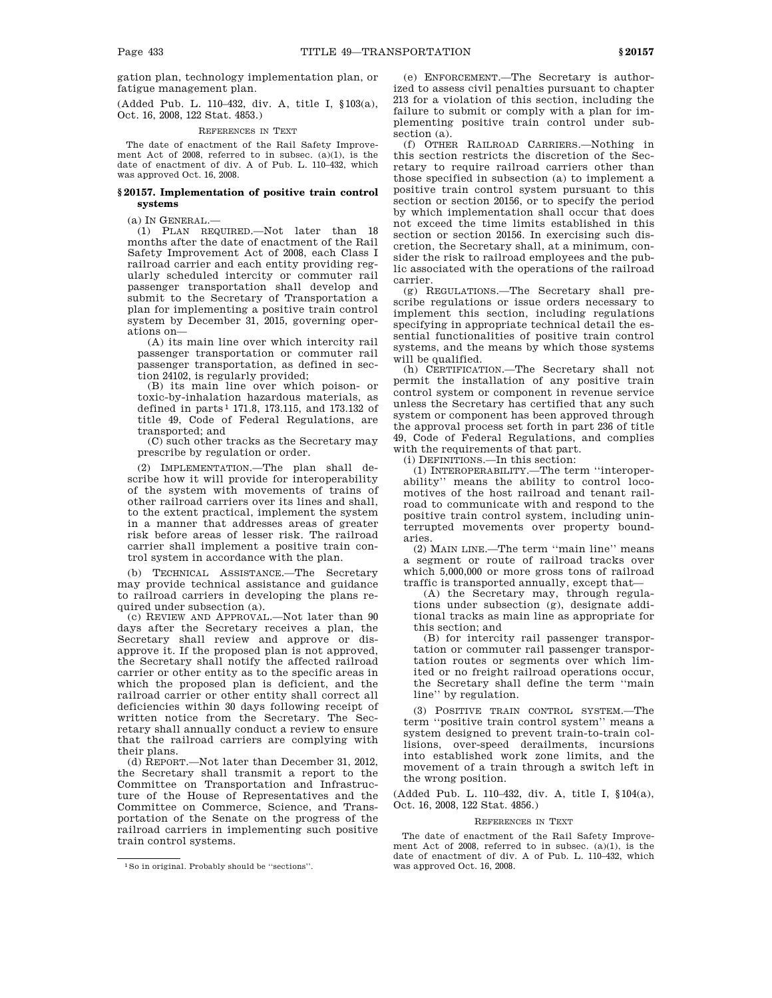gation plan, technology implementation plan, or fatigue management plan.

(Added Pub. L. 110–432, div. A, title I, §103(a), Oct. 16, 2008, 122 Stat. 4853.)

### REFERENCES IN TEXT

The date of enactment of the Rail Safety Improvement Act of 2008, referred to in subsec. (a)(1), is the date of enactment of div. A of Pub. L. 110–432, which was approved Oct. 16, 2008.

## **§ 20157. Implementation of positive train control systems**

(a) IN GENERAL.—

(1) PLAN REQUIRED.—Not later than 18 months after the date of enactment of the Rail Safety Improvement Act of 2008, each Class I railroad carrier and each entity providing regularly scheduled intercity or commuter rail passenger transportation shall develop and submit to the Secretary of Transportation a plan for implementing a positive train control system by December 31, 2015, governing operations on—

(A) its main line over which intercity rail passenger transportation or commuter rail passenger transportation, as defined in section 24102, is regularly provided;

(B) its main line over which poison- or toxic-by-inhalation hazardous materials, as defined in parts 1 171.8, 173.115, and 173.132 of title 49, Code of Federal Regulations, are transported; and

(C) such other tracks as the Secretary may prescribe by regulation or order.

(2) IMPLEMENTATION.—The plan shall describe how it will provide for interoperability of the system with movements of trains of other railroad carriers over its lines and shall, to the extent practical, implement the system in a manner that addresses areas of greater risk before areas of lesser risk. The railroad carrier shall implement a positive train control system in accordance with the plan.

(b) TECHNICAL ASSISTANCE.—The Secretary may provide technical assistance and guidance to railroad carriers in developing the plans required under subsection (a).

(c) REVIEW AND APPROVAL.—Not later than 90 days after the Secretary receives a plan, the Secretary shall review and approve or disapprove it. If the proposed plan is not approved, the Secretary shall notify the affected railroad carrier or other entity as to the specific areas in which the proposed plan is deficient, and the railroad carrier or other entity shall correct all deficiencies within 30 days following receipt of written notice from the Secretary. The Secretary shall annually conduct a review to ensure that the railroad carriers are complying with their plans.

(d) REPORT.—Not later than December 31, 2012, the Secretary shall transmit a report to the Committee on Transportation and Infrastructure of the House of Representatives and the Committee on Commerce, Science, and Transportation of the Senate on the progress of the railroad carriers in implementing such positive train control systems.

(e) ENFORCEMENT.—The Secretary is authorized to assess civil penalties pursuant to chapter 213 for a violation of this section, including the failure to submit or comply with a plan for implementing positive train control under subsection (a).

(f) OTHER RAILROAD CARRIERS.—Nothing in this section restricts the discretion of the Secretary to require railroad carriers other than those specified in subsection (a) to implement a positive train control system pursuant to this section or section 20156, or to specify the period by which implementation shall occur that does not exceed the time limits established in this section or section 20156. In exercising such discretion, the Secretary shall, at a minimum, consider the risk to railroad employees and the public associated with the operations of the railroad carrier.

(g) REGULATIONS.—The Secretary shall prescribe regulations or issue orders necessary to implement this section, including regulations specifying in appropriate technical detail the essential functionalities of positive train control systems, and the means by which those systems will be qualified.

(h) CERTIFICATION.—The Secretary shall not permit the installation of any positive train control system or component in revenue service unless the Secretary has certified that any such system or component has been approved through the approval process set forth in part 236 of title 49, Code of Federal Regulations, and complies with the requirements of that part.

(i) DEFINITIONS.—In this section:

(1) INTEROPERABILITY.—The term ''interoperability'' means the ability to control locomotives of the host railroad and tenant railroad to communicate with and respond to the positive train control system, including uninterrupted movements over property boundaries.

(2) MAIN LINE.—The term ''main line'' means a segment or route of railroad tracks over which 5,000,000 or more gross tons of railroad traffic is transported annually, except that—

(A) the Secretary may, through regulations under subsection (g), designate additional tracks as main line as appropriate for this section; and

(B) for intercity rail passenger transportation or commuter rail passenger transportation routes or segments over which limited or no freight railroad operations occur, the Secretary shall define the term ''main line'' by regulation.

(3) POSITIVE TRAIN CONTROL SYSTEM.—The term ''positive train control system'' means a system designed to prevent train-to-train collisions, over-speed derailments, incursions into established work zone limits, and the movement of a train through a switch left in the wrong position.

(Added Pub. L. 110–432, div. A, title I, §104(a), Oct. 16, 2008, 122 Stat. 4856.)

### REFERENCES IN TEXT

The date of enactment of the Rail Safety Improvement Act of 2008, referred to in subsec. (a)(1), is the date of enactment of div. A of Pub. L. 110–432, which was approved Oct. 16, 2008.

<sup>1</sup>So in original. Probably should be ''sections''.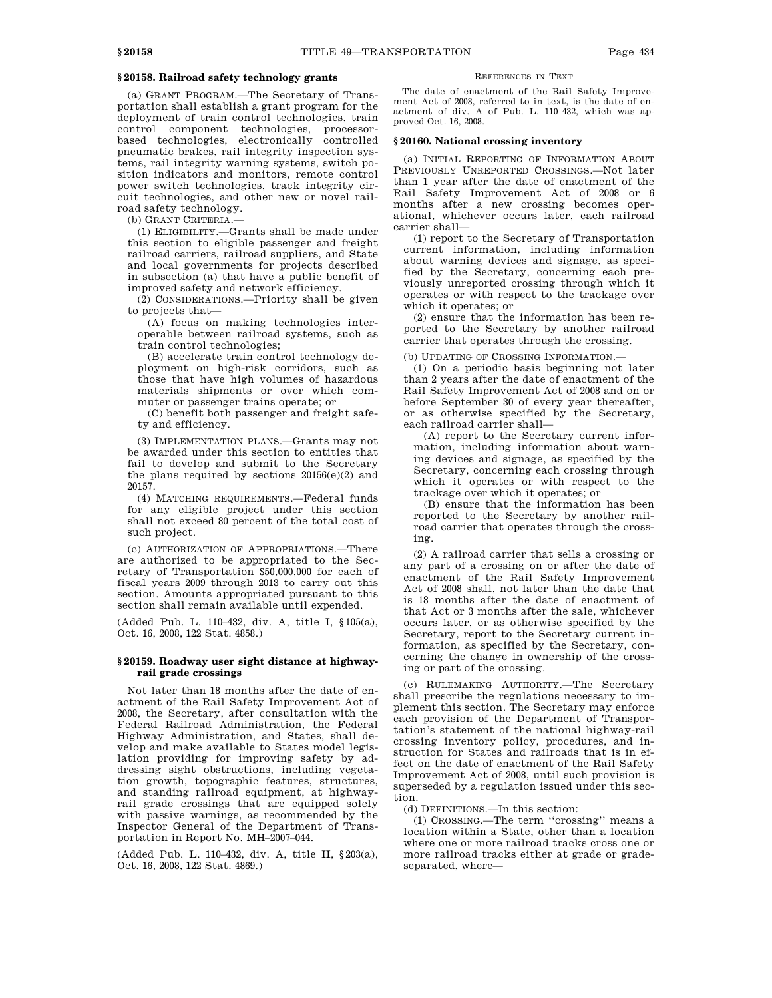# **§ 20158. Railroad safety technology grants**

(a) GRANT PROGRAM.—The Secretary of Transportation shall establish a grant program for the deployment of train control technologies, train control component technologies, processorbased technologies, electronically controlled pneumatic brakes, rail integrity inspection systems, rail integrity warning systems, switch position indicators and monitors, remote control power switch technologies, track integrity circuit technologies, and other new or novel railroad safety technology.

(b) GRANT CRITERIA.—

(1) ELIGIBILITY.—Grants shall be made under this section to eligible passenger and freight railroad carriers, railroad suppliers, and State and local governments for projects described in subsection (a) that have a public benefit of improved safety and network efficiency.

(2) CONSIDERATIONS.—Priority shall be given to projects that—

(A) focus on making technologies interoperable between railroad systems, such as train control technologies;

(B) accelerate train control technology deployment on high-risk corridors, such as those that have high volumes of hazardous materials shipments or over which commuter or passenger trains operate; or

(C) benefit both passenger and freight safety and efficiency.

(3) IMPLEMENTATION PLANS.—Grants may not be awarded under this section to entities that fail to develop and submit to the Secretary the plans required by sections  $20156(e)(2)$  and 20157.

(4) MATCHING REQUIREMENTS.—Federal funds for any eligible project under this section shall not exceed 80 percent of the total cost of such project.

(c) AUTHORIZATION OF APPROPRIATIONS.—There are authorized to be appropriated to the Secretary of Transportation \$50,000,000 for each of fiscal years 2009 through 2013 to carry out this section. Amounts appropriated pursuant to this section shall remain available until expended.

(Added Pub. L. 110–432, div. A, title I, §105(a), Oct. 16, 2008, 122 Stat. 4858.)

## **§ 20159. Roadway user sight distance at highwayrail grade crossings**

Not later than 18 months after the date of enactment of the Rail Safety Improvement Act of 2008, the Secretary, after consultation with the Federal Railroad Administration, the Federal Highway Administration, and States, shall develop and make available to States model legislation providing for improving safety by addressing sight obstructions, including vegetation growth, topographic features, structures, and standing railroad equipment, at highwayrail grade crossings that are equipped solely with passive warnings, as recommended by the Inspector General of the Department of Transportation in Report No. MH–2007–044.

(Added Pub. L. 110–432, div. A, title II, §203(a), Oct. 16, 2008, 122 Stat. 4869.)

## REFERENCES IN TEXT

The date of enactment of the Rail Safety Improvement Act of 2008, referred to in text, is the date of enactment of div. A of Pub. L. 110–432, which was approved Oct. 16, 2008.

### **§ 20160. National crossing inventory**

(a) INITIAL REPORTING OF INFORMATION ABOUT PREVIOUSLY UNREPORTED CROSSINGS.—Not later than 1 year after the date of enactment of the Rail Safety Improvement Act of 2008 or 6 months after a new crossing becomes operational, whichever occurs later, each railroad carrier shall—

(1) report to the Secretary of Transportation current information, including information about warning devices and signage, as specified by the Secretary, concerning each previously unreported crossing through which it operates or with respect to the trackage over which it operates; or

(2) ensure that the information has been reported to the Secretary by another railroad carrier that operates through the crossing.

(b) UPDATING OF CROSSING INFORMATION.—

(1) On a periodic basis beginning not later than 2 years after the date of enactment of the Rail Safety Improvement Act of 2008 and on or before September 30 of every year thereafter, or as otherwise specified by the Secretary, each railroad carrier shall—

(A) report to the Secretary current information, including information about warning devices and signage, as specified by the Secretary, concerning each crossing through which it operates or with respect to the trackage over which it operates; or

(B) ensure that the information has been reported to the Secretary by another railroad carrier that operates through the crossing.

(2) A railroad carrier that sells a crossing or any part of a crossing on or after the date of enactment of the Rail Safety Improvement Act of 2008 shall, not later than the date that is 18 months after the date of enactment of that Act or 3 months after the sale, whichever occurs later, or as otherwise specified by the Secretary, report to the Secretary current information, as specified by the Secretary, concerning the change in ownership of the crossing or part of the crossing.

(c) RULEMAKING AUTHORITY.—The Secretary shall prescribe the regulations necessary to implement this section. The Secretary may enforce each provision of the Department of Transportation's statement of the national highway-rail crossing inventory policy, procedures, and instruction for States and railroads that is in effect on the date of enactment of the Rail Safety Improvement Act of 2008, until such provision is superseded by a regulation issued under this section.

(d) DEFINITIONS.—In this section:

(1) CROSSING.—The term ''crossing'' means a location within a State, other than a location where one or more railroad tracks cross one or more railroad tracks either at grade or gradeseparated, where—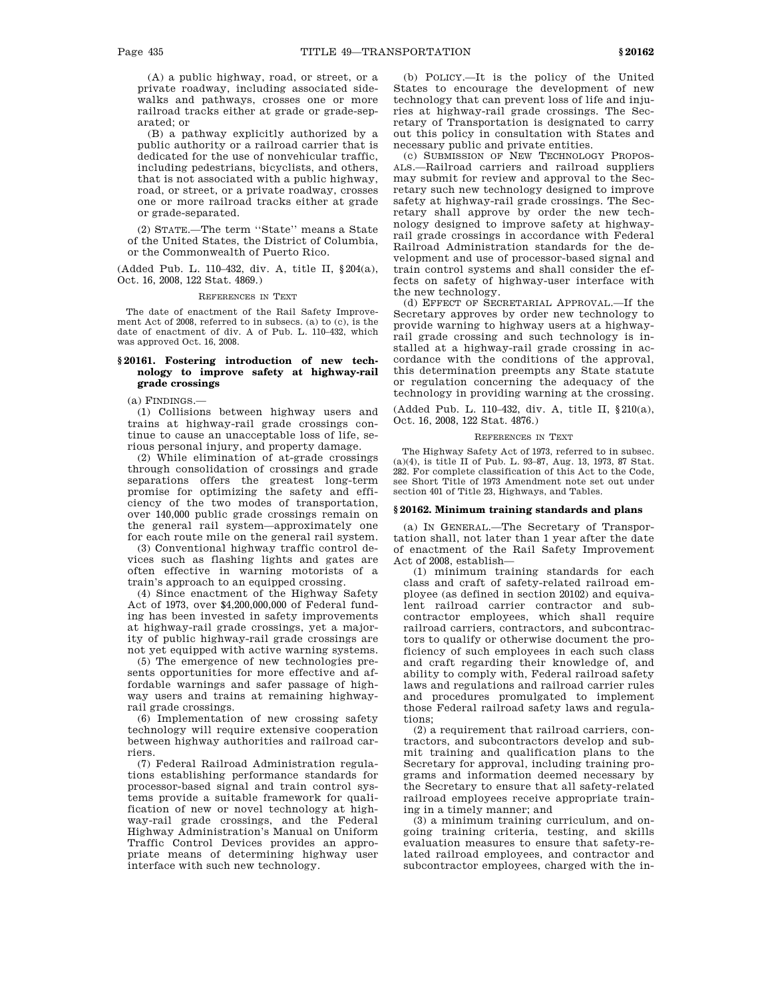(A) a public highway, road, or street, or a private roadway, including associated sidewalks and pathways, crosses one or more railroad tracks either at grade or grade-separated; or

(B) a pathway explicitly authorized by a public authority or a railroad carrier that is dedicated for the use of nonvehicular traffic, including pedestrians, bicyclists, and others, that is not associated with a public highway, road, or street, or a private roadway, crosses one or more railroad tracks either at grade or grade-separated.

(2) STATE.—The term ''State'' means a State of the United States, the District of Columbia, or the Commonwealth of Puerto Rico.

(Added Pub. L. 110–432, div. A, title II, §204(a), Oct. 16, 2008, 122 Stat. 4869.)

REFERENCES IN TEXT

The date of enactment of the Rail Safety Improvement Act of 2008, referred to in subsecs. (a) to (c), is the date of enactment of div. A of Pub. L. 110–432, which was approved Oct. 16, 2008.

# **§ 20161. Fostering introduction of new technology to improve safety at highway-rail grade crossings**

(a) FINDINGS.—

(1) Collisions between highway users and trains at highway-rail grade crossings continue to cause an unacceptable loss of life, serious personal injury, and property damage.

(2) While elimination of at-grade crossings through consolidation of crossings and grade separations offers the greatest long-term promise for optimizing the safety and efficiency of the two modes of transportation, over 140,000 public grade crossings remain on the general rail system—approximately one for each route mile on the general rail system.

(3) Conventional highway traffic control devices such as flashing lights and gates are often effective in warning motorists of a train's approach to an equipped crossing.

(4) Since enactment of the Highway Safety Act of 1973, over \$4,200,000,000 of Federal funding has been invested in safety improvements at highway-rail grade crossings, yet a majority of public highway-rail grade crossings are not yet equipped with active warning systems.

(5) The emergence of new technologies presents opportunities for more effective and affordable warnings and safer passage of highway users and trains at remaining highwayrail grade crossings.

(6) Implementation of new crossing safety technology will require extensive cooperation between highway authorities and railroad carriers.

(7) Federal Railroad Administration regulations establishing performance standards for processor-based signal and train control systems provide a suitable framework for qualification of new or novel technology at highway-rail grade crossings, and the Federal Highway Administration's Manual on Uniform Traffic Control Devices provides an appropriate means of determining highway user interface with such new technology.

(b) POLICY.—It is the policy of the United States to encourage the development of new technology that can prevent loss of life and injuries at highway-rail grade crossings. The Secretary of Transportation is designated to carry out this policy in consultation with States and necessary public and private entities.

(c) SUBMISSION OF NEW TECHNOLOGY PROPOS-ALS.—Railroad carriers and railroad suppliers may submit for review and approval to the Secretary such new technology designed to improve safety at highway-rail grade crossings. The Secretary shall approve by order the new technology designed to improve safety at highwayrail grade crossings in accordance with Federal Railroad Administration standards for the development and use of processor-based signal and train control systems and shall consider the effects on safety of highway-user interface with the new technology.

(d) EFFECT OF SECRETARIAL APPROVAL.—If the Secretary approves by order new technology to provide warning to highway users at a highwayrail grade crossing and such technology is installed at a highway-rail grade crossing in accordance with the conditions of the approval, this determination preempts any State statute or regulation concerning the adequacy of the technology in providing warning at the crossing.

(Added Pub. L. 110–432, div. A, title II, §210(a), Oct. 16, 2008, 122 Stat. 4876.)

#### REFERENCES IN TEXT

The Highway Safety Act of 1973, referred to in subsec. (a)(4), is title II of Pub. L. 93–87, Aug. 13, 1973, 87 Stat. 282. For complete classification of this Act to the Code, see Short Title of 1973 Amendment note set out under section 401 of Title 23, Highways, and Tables.

# **§ 20162. Minimum training standards and plans**

(a) IN GENERAL.—The Secretary of Transportation shall, not later than 1 year after the date of enactment of the Rail Safety Improvement Act of 2008, establish—

(1) minimum training standards for each class and craft of safety-related railroad employee (as defined in section 20102) and equivalent railroad carrier contractor and subcontractor employees, which shall require railroad carriers, contractors, and subcontractors to qualify or otherwise document the proficiency of such employees in each such class and craft regarding their knowledge of, and ability to comply with, Federal railroad safety laws and regulations and railroad carrier rules and procedures promulgated to implement those Federal railroad safety laws and regulations;

(2) a requirement that railroad carriers, contractors, and subcontractors develop and submit training and qualification plans to the Secretary for approval, including training programs and information deemed necessary by the Secretary to ensure that all safety-related railroad employees receive appropriate training in a timely manner; and

(3) a minimum training curriculum, and ongoing training criteria, testing, and skills evaluation measures to ensure that safety-related railroad employees, and contractor and subcontractor employees, charged with the in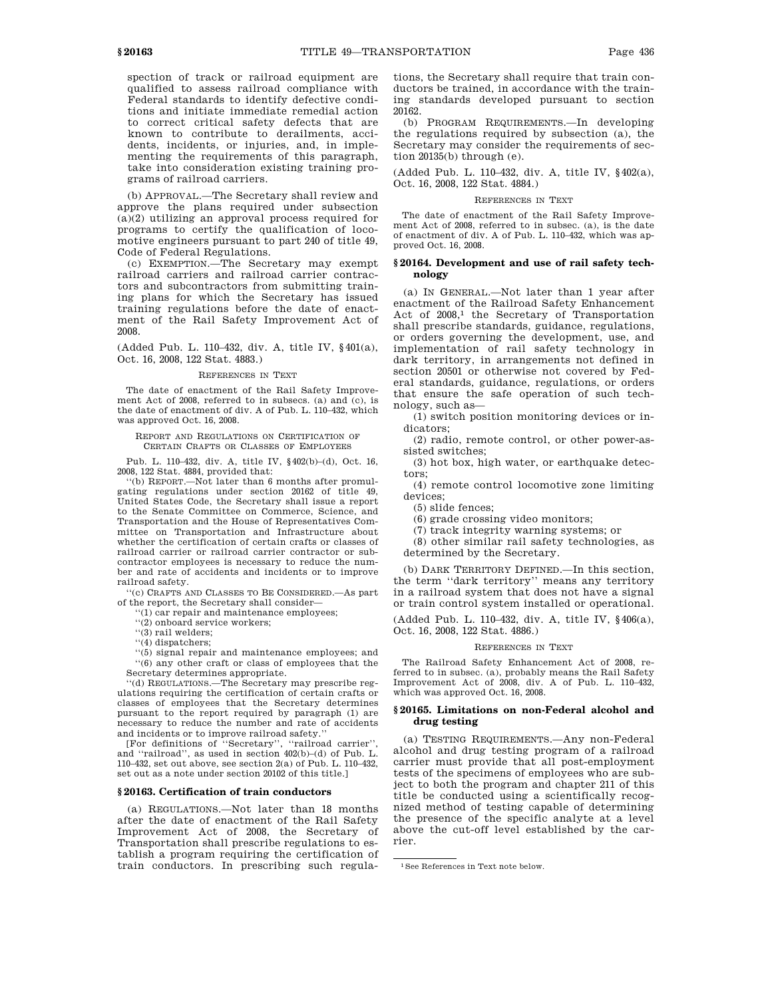spection of track or railroad equipment are qualified to assess railroad compliance with Federal standards to identify defective conditions and initiate immediate remedial action to correct critical safety defects that are known to contribute to derailments, accidents, incidents, or injuries, and, in implementing the requirements of this paragraph, take into consideration existing training programs of railroad carriers.

(b) APPROVAL.—The Secretary shall review and approve the plans required under subsection (a)(2) utilizing an approval process required for programs to certify the qualification of locomotive engineers pursuant to part 240 of title 49, Code of Federal Regulations.

(c) EXEMPTION.—The Secretary may exempt railroad carriers and railroad carrier contractors and subcontractors from submitting training plans for which the Secretary has issued training regulations before the date of enactment of the Rail Safety Improvement Act of 2008.

(Added Pub. L. 110–432, div. A, title IV, §401(a), Oct. 16, 2008, 122 Stat. 4883.)

### REFERENCES IN TEXT

The date of enactment of the Rail Safety Improvement Act of 2008, referred to in subsecs. (a) and (c), is the date of enactment of div. A of Pub. L. 110–432, which was approved Oct. 16, 2008.

REPORT AND REGULATIONS ON CERTIFICATION OF CERTAIN CRAFTS OR CLASSES OF EMPLOYEES

Pub. L. 110–432, div. A, title IV, §402(b)–(d), Oct. 16, 2008, 122 Stat. 4884, provided that:

''(b) REPORT.—Not later than 6 months after promulgating regulations under section 20162 of title 49, United States Code, the Secretary shall issue a report to the Senate Committee on Commerce, Science, and Transportation and the House of Representatives Committee on Transportation and Infrastructure about whether the certification of certain crafts or classes of railroad carrier or railroad carrier contractor or subcontractor employees is necessary to reduce the number and rate of accidents and incidents or to improve railroad safety.

''(c) CRAFTS AND CLASSES TO BE CONSIDERED.—As part of the report, the Secretary shall consider—

- '(1) car repair and maintenance employees;
- ''(2) onboard service workers;
- ''(3) rail welders;

''(4) dispatchers;

''(5) signal repair and maintenance employees; and ''(6) any other craft or class of employees that the Secretary determines appropriate.

''(d) REGULATIONS.—The Secretary may prescribe regulations requiring the certification of certain crafts or classes of employees that the Secretary determines pursuant to the report required by paragraph (1) are necessary to reduce the number and rate of accidents and incidents or to improve railroad safety.''

[For definitions of ''Secretary'', ''railroad carrier'', and ''railroad'', as used in section 402(b)–(d) of Pub. L. 110–432, set out above, see section 2(a) of Pub. L. 110–432, set out as a note under section 20102 of this title.]

### **§ 20163. Certification of train conductors**

(a) REGULATIONS.—Not later than 18 months after the date of enactment of the Rail Safety Improvement Act of 2008, the Secretary of Transportation shall prescribe regulations to establish a program requiring the certification of train conductors. In prescribing such regulations, the Secretary shall require that train conductors be trained, in accordance with the training standards developed pursuant to section 20162.

(b) PROGRAM REQUIREMENTS.—In developing the regulations required by subsection (a), the Secretary may consider the requirements of section 20135(b) through (e).

(Added Pub. L. 110–432, div. A, title IV, §402(a), Oct. 16, 2008, 122 Stat. 4884.)

# REFERENCES IN TEXT

The date of enactment of the Rail Safety Improvement Act of 2008, referred to in subsec. (a), is the date of enactment of div. A of Pub. L. 110–432, which was approved Oct. 16, 2008.

# **§ 20164. Development and use of rail safety technology**

(a) IN GENERAL.—Not later than 1 year after enactment of the Railroad Safety Enhancement Act of  $2008$ <sup>1</sup>, the Secretary of Transportation shall prescribe standards, guidance, regulations, or orders governing the development, use, and implementation of rail safety technology in dark territory, in arrangements not defined in section 20501 or otherwise not covered by Federal standards, guidance, regulations, or orders that ensure the safe operation of such technology, such as—

(1) switch position monitoring devices or indicators;

(2) radio, remote control, or other power-assisted switches;

(3) hot box, high water, or earthquake detectors;

(4) remote control locomotive zone limiting devices;

(5) slide fences;

(6) grade crossing video monitors;

(7) track integrity warning systems; or

(8) other similar rail safety technologies, as determined by the Secretary.

(b) DARK TERRITORY DEFINED.—In this section, the term ''dark territory'' means any territory in a railroad system that does not have a signal or train control system installed or operational.

(Added Pub. L. 110–432, div. A, title IV, §406(a), Oct. 16, 2008, 122 Stat. 4886.)

#### REFERENCES IN TEXT

The Railroad Safety Enhancement Act of 2008, referred to in subsec. (a), probably means the Rail Safety Improvement Act of 2008, div. A of Pub. L. 110–432, which was approved Oct. 16, 2008.

# **§ 20165. Limitations on non-Federal alcohol and drug testing**

(a) TESTING REQUIREMENTS.—Any non-Federal alcohol and drug testing program of a railroad carrier must provide that all post-employment tests of the specimens of employees who are subject to both the program and chapter 211 of this title be conducted using a scientifically recognized method of testing capable of determining the presence of the specific analyte at a level above the cut-off level established by the carrier.

<sup>1</sup>See References in Text note below.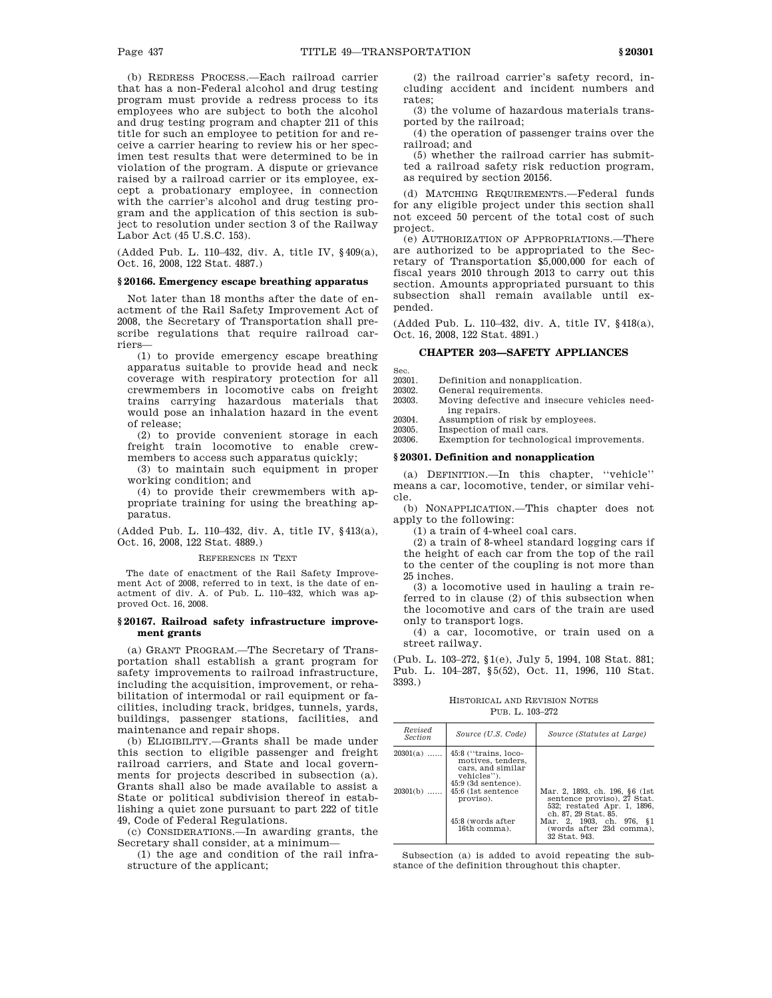(b) REDRESS PROCESS.—Each railroad carrier that has a non-Federal alcohol and drug testing program must provide a redress process to its employees who are subject to both the alcohol and drug testing program and chapter 211 of this title for such an employee to petition for and receive a carrier hearing to review his or her specimen test results that were determined to be in violation of the program. A dispute or grievance raised by a railroad carrier or its employee, except a probationary employee, in connection with the carrier's alcohol and drug testing program and the application of this section is subject to resolution under section 3 of the Railway Labor Act (45 U.S.C. 153).

(Added Pub. L. 110–432, div. A, title IV, §409(a), Oct. 16, 2008, 122 Stat. 4887.)

# **§ 20166. Emergency escape breathing apparatus**

Not later than 18 months after the date of enactment of the Rail Safety Improvement Act of 2008, the Secretary of Transportation shall prescribe regulations that require railroad carriers—

(1) to provide emergency escape breathing apparatus suitable to provide head and neck coverage with respiratory protection for all crewmembers in locomotive cabs on freight trains carrying hazardous materials that would pose an inhalation hazard in the event of release;

(2) to provide convenient storage in each freight train locomotive to enable crewmembers to access such apparatus quickly;

(3) to maintain such equipment in proper working condition; and

(4) to provide their crewmembers with appropriate training for using the breathing apparatus.

(Added Pub. L. 110–432, div. A, title IV, §413(a), Oct. 16, 2008, 122 Stat. 4889.)

# REFERENCES IN TEXT

The date of enactment of the Rail Safety Improvement Act of 2008, referred to in text, is the date of enactment of div. A. of Pub. L. 110–432, which was approved Oct. 16, 2008.

# **§ 20167. Railroad safety infrastructure improvement grants**

(a) GRANT PROGRAM.—The Secretary of Transportation shall establish a grant program for safety improvements to railroad infrastructure, including the acquisition, improvement, or rehabilitation of intermodal or rail equipment or facilities, including track, bridges, tunnels, yards, buildings, passenger stations, facilities, and maintenance and repair shops.

(b) ELIGIBILITY.—Grants shall be made under this section to eligible passenger and freight railroad carriers, and State and local governments for projects described in subsection (a). Grants shall also be made available to assist a State or political subdivision thereof in establishing a quiet zone pursuant to part 222 of title 49, Code of Federal Regulations.

(c) CONSIDERATIONS.—In awarding grants, the Secretary shall consider, at a minimum—

(1) the age and condition of the rail infrastructure of the applicant;

(2) the railroad carrier's safety record, including accident and incident numbers and rates;

(3) the volume of hazardous materials transported by the railroad;

(4) the operation of passenger trains over the railroad; and

(5) whether the railroad carrier has submitted a railroad safety risk reduction program, as required by section 20156.

(d) MATCHING REQUIREMENTS.—Federal funds for any eligible project under this section shall not exceed 50 percent of the total cost of such project.

(e) AUTHORIZATION OF APPROPRIATIONS.—There are authorized to be appropriated to the Secretary of Transportation \$5,000,000 for each of fiscal years 2010 through 2013 to carry out this section. Amounts appropriated pursuant to this subsection shall remain available until expended.

(Added Pub. L. 110–432, div. A, title IV, §418(a), Oct. 16, 2008, 122 Stat. 4891.)

# **CHAPTER 203—SAFETY APPLIANCES**

Sec.<br>20301

Definition and nonapplication.

- 20302. General requirements.<br>20303. Moving defective and
- Moving defective and insecure vehicles needing repairs.

20304. Assumption of risk by employees.<br>20305. Inspection of mail cars.

20305. Inspection of mail cars.<br>20306. Exemption for technology

Exemption for technological improvements.

### **§ 20301. Definition and nonapplication**

(a) DEFINITION.—In this chapter, ''vehicle'' means a car, locomotive, tender, or similar vehicle.

(b) NONAPPLICATION.—This chapter does not apply to the following:

(1) a train of 4-wheel coal cars.

(2) a train of 8-wheel standard logging cars if the height of each car from the top of the rail to the center of the coupling is not more than 25 inches.

(3) a locomotive used in hauling a train referred to in clause (2) of this subsection when the locomotive and cars of the train are used only to transport logs.

(4) a car, locomotive, or train used on a street railway.

(Pub. L. 103–272, §1(e), July 5, 1994, 108 Stat. 881; Pub. L. 104–287, §5(52), Oct. 11, 1996, 110 Stat. 3393.)

HISTORICAL AND REVISION NOTES PUB. L. 103–272

| Revised<br><b>Section</b> | Source (U.S. Code)                                                                                                                         | Source (Statutes at Large)                                                                                                    |  |  |
|---------------------------|--------------------------------------------------------------------------------------------------------------------------------------------|-------------------------------------------------------------------------------------------------------------------------------|--|--|
| $20301(a)$<br>$20301(b)$  | 45:8 ("trains, loco-<br>motives, tenders.<br>cars, and similar<br>vehicles").<br>$45:9$ (3d sentence).<br>45:6 (1st sentence)<br>proviso). | Mar. 2, 1893, ch. 196, §6 (1st<br>sentence proviso), 27 Stat.                                                                 |  |  |
|                           | 45:8 (words after<br>16th comma).                                                                                                          | 532; restated Apr. 1, 1896.<br>ch. 87, 29 Stat. 85.<br>Mar. 2, 1903, ch. 976, §1<br>(words after 23d comma).<br>32 Stat. 943. |  |  |

Subsection (a) is added to avoid repeating the substance of the definition throughout this chapter.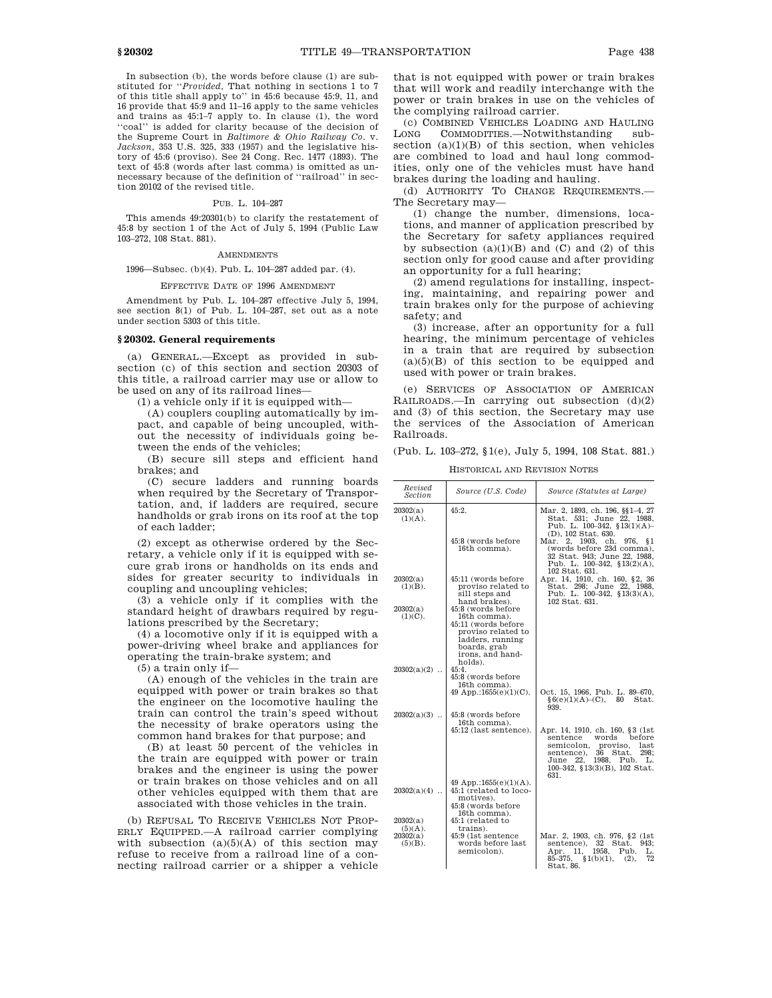In subsection (b), the words before clause (1) are substituted for ''*Provided*, That nothing in sections 1 to 7 of this title shall apply to'' in 45:6 because 45:9, 11, and 16 provide that 45:9 and 11–16 apply to the same vehicles and trains as 45:1–7 apply to. In clause (1), the word 'coal'' is added for clarity because of the decision of the Supreme Court in *Baltimore & Ohio Railway Co*. v. *Jackson*, 353 U.S. 325, 333 (1957) and the legislative history of 45:6 (proviso). See 24 Cong. Rec. 1477 (1893). The text of 45:8 (words after last comma) is omitted as unnecessary because of the definition of ''railroad'' in section 20102 of the revised title.

#### PUB. L. 104–287

This amends 49:20301(b) to clarify the restatement of 45:8 by section 1 of the Act of July 5, 1994 (Public Law 103–272, 108 Stat. 881).

#### **AMENDMENTS**

1996—Subsec. (b)(4). Pub. L. 104–287 added par. (4).

### EFFECTIVE DATE OF 1996 AMENDMENT

Amendment by Pub. L. 104–287 effective July 5, 1994, see section 8(1) of Pub. L. 104–287, set out as a note under section 5303 of this title.

# **§ 20302. General requirements**

(a) GENERAL.—Except as provided in subsection (c) of this section and section 20303 of this title, a railroad carrier may use or allow to be used on any of its railroad lines—

(1) a vehicle only if it is equipped with—

(A) couplers coupling automatically by impact, and capable of being uncoupled, without the necessity of individuals going between the ends of the vehicles;

(B) secure sill steps and efficient hand brakes; and

(C) secure ladders and running boards when required by the Secretary of Transportation, and, if ladders are required, secure handholds or grab irons on its roof at the top of each ladder;

(2) except as otherwise ordered by the Secretary, a vehicle only if it is equipped with secure grab irons or handholds on its ends and sides for greater security to individuals in coupling and uncoupling vehicles;

(3) a vehicle only if it complies with the standard height of drawbars required by regulations prescribed by the Secretary;

(4) a locomotive only if it is equipped with a power-driving wheel brake and appliances for operating the train-brake system; and

(5) a train only if—

(A) enough of the vehicles in the train are equipped with power or train brakes so that the engineer on the locomotive hauling the train can control the train's speed without the necessity of brake operators using the common hand brakes for that purpose; and

(B) at least 50 percent of the vehicles in the train are equipped with power or train brakes and the engineer is using the power or train brakes on those vehicles and on all other vehicles equipped with them that are associated with those vehicles in the train.

(b) REFUSAL TO RECEIVE VEHICLES NOT PROP-ERLY EQUIPPED.—A railroad carrier complying with subsection  $(a)(5)(A)$  of this section may refuse to receive from a railroad line of a connecting railroad carrier or a shipper a vehicle

that is not equipped with power or train brakes that will work and readily interchange with the power or train brakes in use on the vehicles of the complying railroad carrier.

(c) COMBINED VEHICLES LOADING AND HAULING LONG COMMODITIES.-Notwithstanding subsection  $(a)(1)(B)$  of this section, when vehicles are combined to load and haul long commodities, only one of the vehicles must have hand brakes during the loading and hauling.

(d) AUTHORITY TO CHANGE REQUIREMENTS.— The Secretary may—

(1) change the number, dimensions, locations, and manner of application prescribed by the Secretary for safety appliances required by subsection (a)(1)(B) and (C) and (2) of this section only for good cause and after providing an opportunity for a full hearing;

(2) amend regulations for installing, inspecting, maintaining, and repairing power and train brakes only for the purpose of achieving safety; and

(3) increase, after an opportunity for a full hearing, the minimum percentage of vehicles in a train that are required by subsection  $(a)(5)(B)$  of this section to be equipped and used with power or train brakes.

(e) SERVICES OF ASSOCIATION OF AMERICAN RAILROADS.—In carrying out subsection (d)(2) and (3) of this section, the Secretary may use the services of the Association of American Railroads.

(Pub. L. 103–272, §1(e), July 5, 1994, 108 Stat. 881.)

HISTORICAL AND REVISION NOTES

| Revised<br>Section                               | Source (U.S. Code)                                                                                                                                 | Source (Statutes at Large)                                                                                                                                                                                   |
|--------------------------------------------------|----------------------------------------------------------------------------------------------------------------------------------------------------|--------------------------------------------------------------------------------------------------------------------------------------------------------------------------------------------------------------|
| 20302(a)<br>$(1)(A)$ .                           | 45:2.                                                                                                                                              | Mar. 2, 1893, ch. 196, §§ 1-4, 27<br>Stat. 531; June 22, 1988,<br>Pub. L. 100-342, §13(1)(A)-<br>(D), 102 Stat. 630.                                                                                         |
|                                                  | 45:8 (words before<br>16th comma).                                                                                                                 | Mar. 2, 1903, ch.<br>976.<br>81<br>(words before 23d comma),<br>32 Stat. 943; June 22, 1988.<br>Pub. L. $100-342$ , $$13(2)(A)$ ,<br>102 Stat. 631.                                                          |
| 20302(a)<br>$(1)(B)$ .                           | 45:11 (words before<br>proviso related to<br>sill steps and<br>hand brakes).                                                                       | Apr. 14, 1910, ch. 160, §2, 36<br>Stat. 298; June 22, 1988.<br>Pub. L. $100-342$ , $$13(3)(A)$ ,<br>102 Stat. 631.                                                                                           |
| 20302(a)<br>$(1)(C)$ .                           | 45:8 (words before<br>16th comma).<br>45:11 (words before<br>proviso related to<br>ladders, running<br>boards, grab<br>irons, and hand-<br>holds). |                                                                                                                                                                                                              |
| $20302(a)(2)$                                    | 45:4.<br>45:8 (words before<br>16th comma).<br>49 App.:1655 $(e)(1)(C)$ .                                                                          | Oct. 15, 1966, Pub. L. 89-670,<br>§ 6(e)(1)(A)–(C), 80<br>Stat.                                                                                                                                              |
| $20302(a)(3)$                                    | 45:8 (words before                                                                                                                                 | 939.                                                                                                                                                                                                         |
|                                                  | 16th comma).<br>45:12 (last sentence).                                                                                                             | Apr. 14, 1910, ch. 160, §3 (1st)<br>before<br>sentence words<br>semicolon,<br>proviso, last<br>36<br>Stat.<br>sentence),<br>298:<br>1988, Pub.<br>June<br>22.<br>L.<br>100-342, §13(3)(B), 102 Stat.<br>631. |
| $20302(a)(4)$                                    | 49 App.:1655 $(e)(1)(A)$ .<br>45:1 (related to loco-<br>motives).<br>45:8 (words before                                                            |                                                                                                                                                                                                              |
| 20302(a)<br>$(5)(A)$ .<br>20302(a)<br>$(5)(B)$ . | 16th comma).<br>45:1 (related to<br>trains).<br>45:9 (1st sentence<br>words before last<br>semicolon).                                             | Mar. 2, 1903, ch. 976, §2 (1st)<br>sentence), 32<br>Stat. 943;<br>1958, Pub.<br>Apr. 11,<br>L.<br>$85 - 375,$<br>§1(b)(1),<br>(2),<br>72<br>Stat 86                                                          |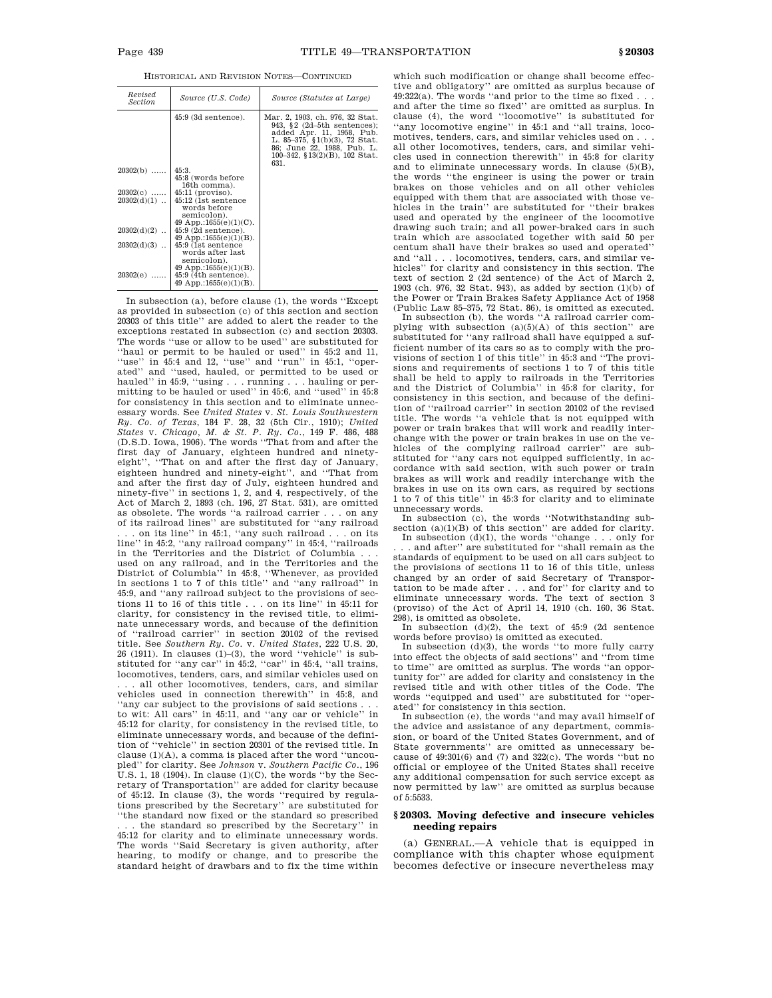HISTORICAL AND REVISION NOTES—CONTINUED

| Source (U.S. Code)                                                                                                    | Source (Statutes at Large)                                                                                                                                                                                |
|-----------------------------------------------------------------------------------------------------------------------|-----------------------------------------------------------------------------------------------------------------------------------------------------------------------------------------------------------|
| $45:9$ (3d sentence).                                                                                                 | Mar. 2, 1903, ch. 976, 32 Stat.<br>943, §2 $(2d-5th$ sentences);<br>added Apr. 11, 1958, Pub.<br>L. 85-375, $(1)(b)(3)$ , 72 Stat.<br>86; June 22, 1988, Pub. L.<br>100-342, §13(2)(B), 102 Stat.<br>631. |
| 45:3.                                                                                                                 |                                                                                                                                                                                                           |
| 45:8 (words before                                                                                                    |                                                                                                                                                                                                           |
| 16th comma).                                                                                                          |                                                                                                                                                                                                           |
| $45:11$ (proviso).                                                                                                    |                                                                                                                                                                                                           |
| 45:12 (1st sentence)<br>words before<br>semicolon).                                                                   |                                                                                                                                                                                                           |
| $45:9$ (2d sentence).                                                                                                 |                                                                                                                                                                                                           |
|                                                                                                                       |                                                                                                                                                                                                           |
| words after last<br>semicolon).<br>49 App.:1655 $(e)(1)(B)$ .<br>$45:9$ (4th sentence).<br>49 App.:1655 $(e)(1)(B)$ . |                                                                                                                                                                                                           |
|                                                                                                                       | 49 App.:1655 $(e)(1)(C)$ .<br>49 App.:1655 $(e)(1)(B)$ .<br>45:9 (1st sentence)                                                                                                                           |

In subsection (a), before clause (1), the words ''Except as provided in subsection (c) of this section and section 20303 of this title'' are added to alert the reader to the exceptions restated in subsection (c) and section 20303. The words ''use or allow to be used'' are substituted for ''haul or permit to be hauled or used'' in 45:2 and 11, ''use'' in 45:4 and 12, ''use'' and ''run'' in 45:1, ''operated'' and ''used, hauled, or permitted to be used or hauled'' in 45:9, ''using . . . running . . . hauling or permitting to be hauled or used'' in 45:6, and ''used'' in 45:8 for consistency in this section and to eliminate unnecessary words. See *United States* v. *St. Louis Southwestern Ry. Co. of Texas*, 184 F. 28, 32 (5th Cir., 1910); *United States* v. *Chicago, M. & St. P. Ry. Co*., 149 F. 486, 488 (D.S.D. Iowa, 1906). The words ''That from and after the first day of January, eighteen hundred and ninetyeight'', ''That on and after the first day of January, eighteen hundred and ninety-eight'', and ''That from and after the first day of July, eighteen hundred and ninety-five'' in sections 1, 2, and 4, respectively, of the Act of March 2, 1893 (ch. 196, 27 Stat. 531), are omitted as obsolete. The words ''a railroad carrier . . . on any of its railroad lines'' are substituted for ''any railroad

. . . on its line'' in 45:1, ''any such railroad . . . on its line'' in 45:2, ''any railroad company'' in 45:4, ''railroads in the Territories and the District of Columbia used on any railroad, and in the Territories and the District of Columbia'' in 45:8, ''Whenever, as provided in sections 1 to 7 of this title'' and ''any railroad'' in 45:9, and ''any railroad subject to the provisions of sections 11 to 16 of this title . . . on its line'' in 45:11 for clarity, for consistency in the revised title, to eliminate unnecessary words, and because of the definition of ''railroad carrier'' in section 20102 of the revised title. See *Southern Ry. Co*. v. *United States*, 222 U.S. 20,  $26$  (1911). In clauses (1)–(3), the word "vehicle" is substituted for ''any car'' in 45:2, ''car'' in 45:4, ''all trains, locomotives, tenders, cars, and similar vehicles used on

. all other locomotives, tenders, cars, and similar vehicles used in connection therewith'' in 45:8, and ''any car subject to the provisions of said sections . . . to wit: All cars'' in 45:11, and ''any car or vehicle'' in 45:12 for clarity, for consistency in the revised title, to eliminate unnecessary words, and because of the definition of ''vehicle'' in section 20301 of the revised title. In clause (1)(A), a comma is placed after the word ''uncoupled'' for clarity. See *Johnson* v. *Southern Pacific Co*., 196 U.S. 1, 18 (1904). In clause  $(1)(C)$ , the words "by the Secretary of Transportation'' are added for clarity because of 45:12. In clause (3), the words ''required by regulations prescribed by the Secretary'' are substituted for ''the standard now fixed or the standard so prescribed

the standard so prescribed by the Secretary'' in 45:12 for clarity and to eliminate unnecessary words. The words ''Said Secretary is given authority, after hearing, to modify or change, and to prescribe the standard height of drawbars and to fix the time within which such modification or change shall become effective and obligatory'' are omitted as surplus because of 49:322(a). The words ''and prior to the time so fixed . . . and after the time so fixed'' are omitted as surplus. In clause (4), the word ''locomotive'' is substituted for 'any locomotive engine" in 45:1 and "all trains, locomotives, tenders, cars, and similar vehicles used on . . . all other locomotives, tenders, cars, and similar vehicles used in connection therewith'' in 45:8 for clarity and to eliminate unnecessary words. In clause  $(5)(B)$ , the words ''the engineer is using the power or train brakes on those vehicles and on all other vehicles equipped with them that are associated with those vehicles in the train'' are substituted for ''their brakes used and operated by the engineer of the locomotive drawing such train; and all power-braked cars in such train which are associated together with said 50 per centum shall have their brakes so used and operated'' and ''all . . . locomotives, tenders, cars, and similar vehicles'' for clarity and consistency in this section. The text of section 2 (2d sentence) of the Act of March 2, 1903 (ch. 976, 32 Stat. 943), as added by section (1)(b) of the Power or Train Brakes Safety Appliance Act of 1958 (Public Law 85–375, 72 Stat. 86), is omitted as executed. In subsection (b), the words ''A railroad carrier com-

plying with subsection  $(a)(5)(A)$  of this section" are substituted for "any railroad shall have equipped a sufficient number of its cars so as to comply with the provisions of section 1 of this title'' in 45:3 and ''The provisions and requirements of sections 1 to 7 of this title shall be held to apply to railroads in the Territories and the District of Columbia'' in 45:8 for clarity, for consistency in this section, and because of the definition of ''railroad carrier'' in section 20102 of the revised title. The words ''a vehicle that is not equipped with power or train brakes that will work and readily interchange with the power or train brakes in use on the vehicles of the complying railroad carrier'' are substituted for ''any cars not equipped sufficiently, in accordance with said section, with such power or train brakes as will work and readily interchange with the brakes in use on its own cars, as required by sections 1 to 7 of this title'' in 45:3 for clarity and to eliminate unnecessary words.

In subsection (c), the words ''Notwithstanding subsection (a)(1)(B) of this section'' are added for clarity.<br>In subsection (d)(1), the words "change . . . only for

. . . and after'' are substituted for ''shall remain as the standards of equipment to be used on all cars subject to the provisions of sections 11 to 16 of this title, unless changed by an order of said Secretary of Transportation to be made after . . . and for'' for clarity and to eliminate unnecessary words. The text of section 3 (proviso) of the Act of April 14, 1910 (ch. 160, 36 Stat. 298), is omitted as obsolete.

In subsection (d)(2), the text of 45:9 (2d sentence words before proviso) is omitted as executed.

In subsection (d)(3), the words ''to more fully carry into effect the objects of said sections'' and ''from time to time'' are omitted as surplus. The words ''an opportunity for'' are added for clarity and consistency in the revised title and with other titles of the Code. The words ''equipped and used'' are substituted for ''operated'' for consistency in this section.

In subsection (e), the words ''and may avail himself of the advice and assistance of any department, commission, or board of the United States Government, and of State governments'' are omitted as unnecessary because of 49:301(6) and (7) and 322(c). The words ''but no official or employee of the United States shall receive any additional compensation for such service except as now permitted by law'' are omitted as surplus because of 5:5533.

### **§ 20303. Moving defective and insecure vehicles needing repairs**

(a) GENERAL.—A vehicle that is equipped in compliance with this chapter whose equipment becomes defective or insecure nevertheless may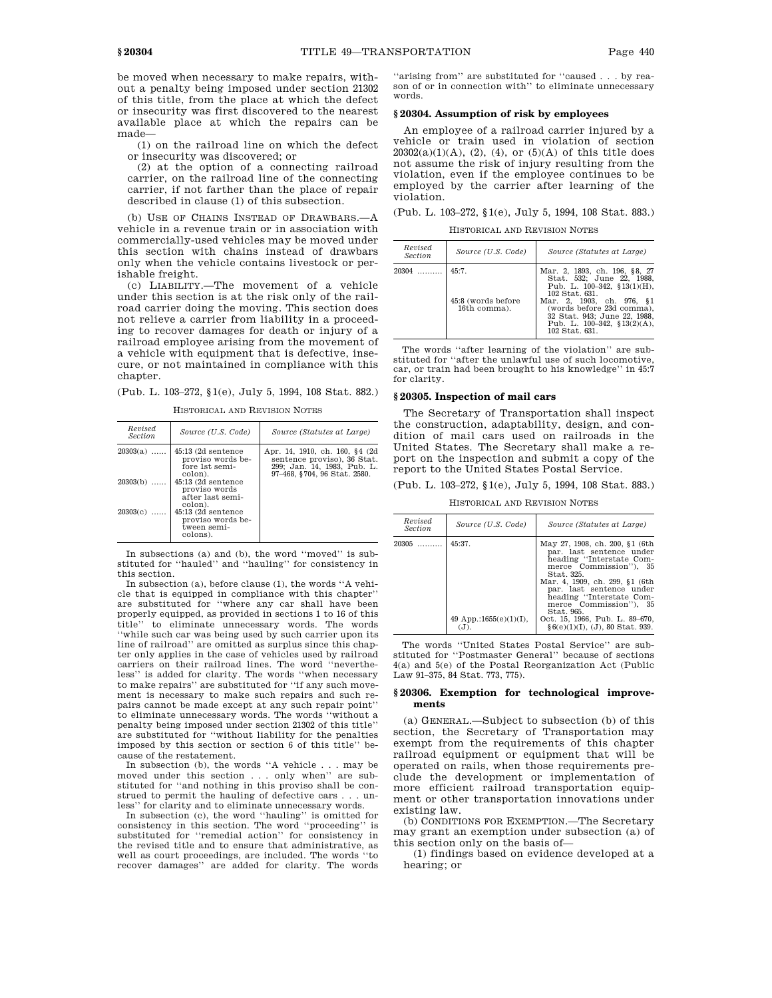be moved when necessary to make repairs, without a penalty being imposed under section 21302 of this title, from the place at which the defect or insecurity was first discovered to the nearest available place at which the repairs can be made—

(1) on the railroad line on which the defect or insecurity was discovered; or

(2) at the option of a connecting railroad carrier, on the railroad line of the connecting carrier, if not farther than the place of repair described in clause (1) of this subsection.

(b) USE OF CHAINS INSTEAD OF DRAWBARS.—A vehicle in a revenue train or in association with commercially-used vehicles may be moved under this section with chains instead of drawbars only when the vehicle contains livestock or perishable freight.

(c) LIABILITY.—The movement of a vehicle under this section is at the risk only of the railroad carrier doing the moving. This section does not relieve a carrier from liability in a proceeding to recover damages for death or injury of a railroad employee arising from the movement of a vehicle with equipment that is defective, insecure, or not maintained in compliance with this chapter.

(Pub. L. 103–272, §1(e), July 5, 1994, 108 Stat. 882.)

HISTORICAL AND REVISION NOTES

| Source (U.S. Code)                                                                                                                                                                                         | Source (Statutes at Large)                                                                                                   |
|------------------------------------------------------------------------------------------------------------------------------------------------------------------------------------------------------------|------------------------------------------------------------------------------------------------------------------------------|
| $45:13(2d)$ sentence<br>proviso words be-<br>fore 1st semi-<br>colon).<br>$45:13(2d)$ sentence<br>proviso words<br>after last semi-<br>colon).<br>$45:13(2d)$ sentence<br>proviso words be-<br>tween semi- | Apr. 14, 1910, ch. 160, §4 (2d<br>sentence proviso), 36 Stat.<br>299; Jan. 14, 1983, Pub. L.<br>97-468, §704, 96 Stat. 2580. |
|                                                                                                                                                                                                            | colons).                                                                                                                     |

In subsections (a) and (b), the word ''moved'' is substituted for ''hauled'' and ''hauling'' for consistency in this section.

In subsection (a), before clause (1), the words ''A vehicle that is equipped in compliance with this chapter'' are substituted for ''where any car shall have been properly equipped, as provided in sections 1 to 16 of this title'' to eliminate unnecessary words. The words ''while such car was being used by such carrier upon its line of railroad'' are omitted as surplus since this chapter only applies in the case of vehicles used by railroad carriers on their railroad lines. The word ''nevertheless'' is added for clarity. The words ''when necessary to make repairs'' are substituted for ''if any such movement is necessary to make such repairs and such repairs cannot be made except at any such repair point'' to eliminate unnecessary words. The words ''without a penalty being imposed under section 21302 of this title'' are substituted for ''without liability for the penalties imposed by this section or section 6 of this title'' because of the restatement.

In subsection (b), the words ''A vehicle . . . may be moved under this section . . . only when'' are substituted for ''and nothing in this proviso shall be construed to permit the hauling of defective cars . . . unless'' for clarity and to eliminate unnecessary words.

In subsection (c), the word ''hauling'' is omitted for consistency in this section. The word ''proceeding'' is substituted for "remedial action" for consistency in the revised title and to ensure that administrative, as well as court proceedings, are included. The words ''to recover damages'' are added for clarity. The words

''arising from'' are substituted for ''caused . . . by reason of or in connection with'' to eliminate unnecessary words.

#### **§ 20304. Assumption of risk by employees**

An employee of a railroad carrier injured by a vehicle or train used in violation of section  $20302(a)(1)(A), (2), (4),$  or  $(5)(A)$  of this title does not assume the risk of injury resulting from the violation, even if the employee continues to be employed by the carrier after learning of the violation.

(Pub. L. 103–272, §1(e), July 5, 1994, 108 Stat. 883.)

HISTORICAL AND REVISION NOTES

| Revised<br>Section | Source (U.S. Code)                          | Source (Statutes at Large)                                                                                                                                                                                                                                         |
|--------------------|---------------------------------------------|--------------------------------------------------------------------------------------------------------------------------------------------------------------------------------------------------------------------------------------------------------------------|
| $20304$            | 45:7.<br>45:8 (words before<br>16th comma). | Mar. 2, 1893, ch. 196, §8, 27<br>Stat. 532: June 22. 1988.<br>Pub. L. $100-342$ , $$13(1)(H)$ ,<br>102 Stat. 631.<br>Mar. 2. 1903. ch. 976. §1<br>(words before 23d comma).<br>32 Stat. 943; June 22, 1988.<br>Pub. L. $100-342$ , $$13(2)(A)$ ,<br>102 Stat. 631. |

The words ''after learning of the violation'' are substituted for ''after the unlawful use of such locomotive, car, or train had been brought to his knowledge'' in 45:7 for clarity.

# **§ 20305. Inspection of mail cars**

The Secretary of Transportation shall inspect the construction, adaptability, design, and condition of mail cars used on railroads in the United States. The Secretary shall make a report on the inspection and submit a copy of the report to the United States Postal Service.

(Pub. L. 103–272, §1(e), July 5, 1994, 108 Stat. 883.)

HISTORICAL AND REVISION NOTES

| Revised<br><b>Section</b> | Source (U.S. Code)                            | Source (Statutes at Large)                                                                                                                                                                                                                                                                                                              |
|---------------------------|-----------------------------------------------|-----------------------------------------------------------------------------------------------------------------------------------------------------------------------------------------------------------------------------------------------------------------------------------------------------------------------------------------|
| $20305$                   | 45:37.<br>49 App.:1655 $(e)(1)(I)$ ,<br>( . ) | May 27, 1908, ch. 200, §1 (6th<br>par. last sentence under<br>heading "Interstate Com-<br>merce Commission"), 35<br>Stat. 325.<br>Mar. 4, 1909, ch. 299, §1 (6th<br>par. last sentence under<br>heading "Interstate Com-<br>merce Commission"), 35<br>Stat. 965.<br>Oct. 15, 1966, Pub. L. 89–670,<br>$§6(e)(1)(I), (J), 80$ Stat. 939. |

The words ''United States Postal Service'' are substituted for ''Postmaster General'' because of sections 4(a) and 5(e) of the Postal Reorganization Act (Public Law 91–375, 84 Stat. 773, 775).

# **§ 20306. Exemption for technological improvements**

(a) GENERAL.—Subject to subsection (b) of this section, the Secretary of Transportation may exempt from the requirements of this chapter railroad equipment or equipment that will be operated on rails, when those requirements preclude the development or implementation of more efficient railroad transportation equipment or other transportation innovations under existing law.

(b) CONDITIONS FOR EXEMPTION.—The Secretary may grant an exemption under subsection (a) of this section only on the basis of—

(1) findings based on evidence developed at a hearing; or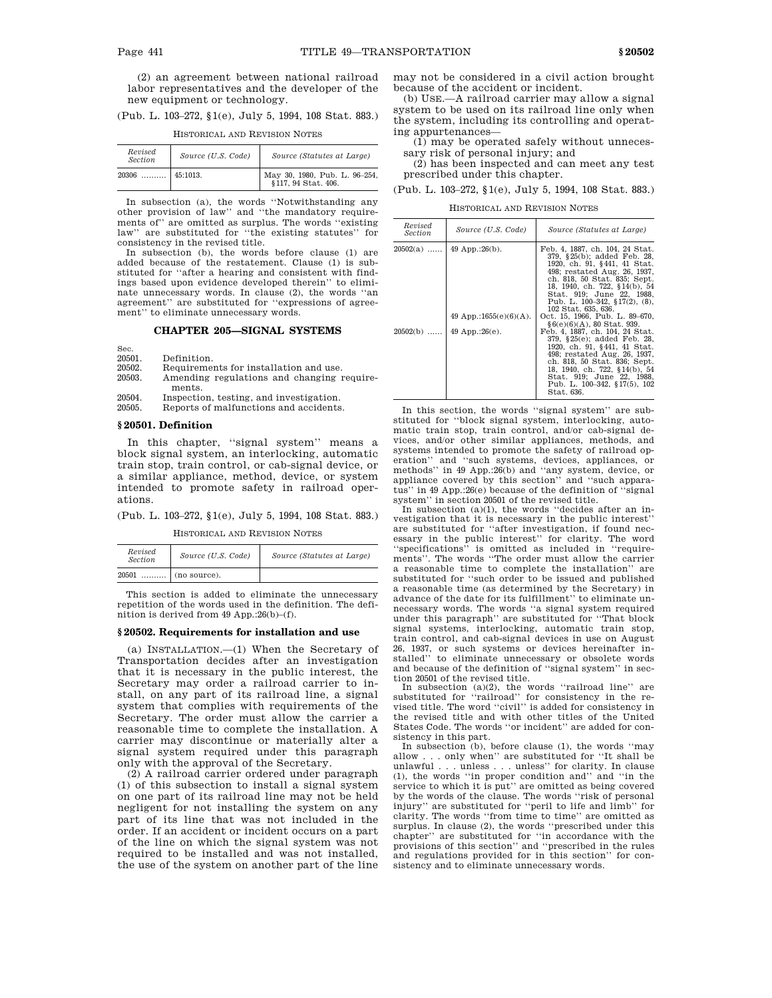(2) an agreement between national railroad labor representatives and the developer of the new equipment or technology.

|  | (Pub. L. 103–272, §1(e), July 5, 1994, 108 Stat. 883.) |  |  |  |  |
|--|--------------------------------------------------------|--|--|--|--|
|  |                                                        |  |  |  |  |

| Revised<br><b>Section</b> | Source (U.S. Code) | Source (Statutes at Large)                        |
|---------------------------|--------------------|---------------------------------------------------|
| 20306                     | 45:1013.           | May 30, 1980, Pub. L. 96-254, §117, 94 Stat. 406. |

HISTORICAL AND REVISION NOTES

In subsection (a), the words ''Notwithstanding any other provision of law'' and ''the mandatory requirements of'' are omitted as surplus. The words ''existing law'' are substituted for ''the existing statutes'' for consistency in the revised title.

In subsection (b), the words before clause (1) are added because of the restatement. Clause (1) is substituted for ''after a hearing and consistent with findings based upon evidence developed therein'' to eliminate unnecessary words. In clause (2), the words ''an agreement'' are substituted for ''expressions of agreement'' to eliminate unnecessary words.

# **CHAPTER 205—SIGNAL SYSTEMS**

Sec.

- 20501. Definition.<br>20502 Requirement Requirements for installation and use.
- 20503. Amending regulations and changing requirements.
- 20504. Inspection, testing, and investigation.<br>20505. Reports of malfunctions and accidents
- Reports of malfunctions and accidents.

# **§ 20501. Definition**

In this chapter, "signal system" means a block signal system, an interlocking, automatic train stop, train control, or cab-signal device, or a similar appliance, method, device, or system intended to promote safety in railroad operations.

(Pub. L. 103–272, §1(e), July 5, 1994, 108 Stat. 883.)

HISTORICAL AND REVISION NOTES

| Revised<br><i>Section</i> | Source (U.S. Code)    | Source (Statutes at Large) |
|---------------------------|-----------------------|----------------------------|
| 20501                     | $\ldots$ (no source). |                            |

This section is added to eliminate the unnecessary repetition of the words used in the definition. The definition is derived from 49 App.:26(b)–(f).

#### **§ 20502. Requirements for installation and use**

(a) INSTALLATION.—(1) When the Secretary of Transportation decides after an investigation that it is necessary in the public interest, the Secretary may order a railroad carrier to install, on any part of its railroad line, a signal system that complies with requirements of the Secretary. The order must allow the carrier a reasonable time to complete the installation. A carrier may discontinue or materially alter a signal system required under this paragraph only with the approval of the Secretary.

(2) A railroad carrier ordered under paragraph (1) of this subsection to install a signal system on one part of its railroad line may not be held negligent for not installing the system on any part of its line that was not included in the order. If an accident or incident occurs on a part of the line on which the signal system was not required to be installed and was not installed, the use of the system on another part of the line

may not be considered in a civil action brought because of the accident or incident.

(b) USE.—A railroad carrier may allow a signal system to be used on its railroad line only when the system, including its controlling and operating appurtenances—

(1) may be operated safely without unnecessary risk of personal injury; and

(2) has been inspected and can meet any test prescribed under this chapter.

(Pub. L. 103–272, §1(e), July 5, 1994, 108 Stat. 883.)

HISTORICAL AND REVISION NOTES

| Revised<br>Section | Source (U.S. Code)         | Source (Statutes at Large)                                                                                                                                                                                                                                                              |
|--------------------|----------------------------|-----------------------------------------------------------------------------------------------------------------------------------------------------------------------------------------------------------------------------------------------------------------------------------------|
| $20502(a)$         | $49$ App.:26(b).           | Feb. 4, 1887, ch. 104, 24 Stat.<br>379, §25(b); added Feb. 28,<br>1920, ch. 91, §441, 41 Stat.<br>498; restated Aug. 26, 1937.<br>ch. 818, 50 Stat. 835; Sept.<br>18, 1940, ch. 722, §14(b), 54<br>Stat. 919: June 22. 1988.<br>Pub. L. $100-342$ , §17(2), (8),<br>102 Stat. 635, 636. |
|                    | 49 App.:1655 $(e)(6)(A)$ . | Oct. 15, 1966. Pub. L. 89–670.<br>§6(e)(6)(A), 80 Stat, 939.                                                                                                                                                                                                                            |
| $20502(b)$         | 49 App.: $26(e)$ .         | Feb. 4, 1887, ch. 104, 24 Stat.<br>379, §25(e); added Feb. 28,<br>1920, ch. 91, §441, 41 Stat.<br>498; restated Aug. 26, 1937.<br>ch. 818, 50 Stat. 836; Sept.<br>18, 1940, ch. 722, §14(b), 54<br>Stat. 919; June 22, 1988.<br>Pub. L. 100-342, §17(5), 102<br>Stat. 636.              |

In this section, the words ''signal system'' are substituted for ''block signal system, interlocking, automatic train stop, train control, and/or cab-signal devices, and/or other similar appliances, methods, and systems intended to promote the safety of railroad operation'' and ''such systems, devices, appliances, or methods'' in 49 App.:26(b) and ''any system, device, or appliance covered by this section'' and ''such apparatus'' in 49 App.:26(e) because of the definition of ''signal system'' in section 20501 of the revised title.

In subsection  $(a)(1)$ , the words "decides after an investigation that it is necessary in the public interest'' are substituted for ''after investigation, if found necessary in the public interest'' for clarity. The word ''specifications'' is omitted as included in ''requirements''. The words ''The order must allow the carrier a reasonable time to complete the installation'' are substituted for ''such order to be issued and published a reasonable time (as determined by the Secretary) in advance of the date for its fulfillment'' to eliminate unnecessary words. The words ''a signal system required under this paragraph'' are substituted for ''That block signal systems, interlocking, automatic train stop, train control, and cab-signal devices in use on August 26, 1937, or such systems or devices hereinafter in-stalled'' to eliminate unnecessary or obsolete words and because of the definition of ''signal system'' in section 20501 of the revised title.

In subsection (a)(2), the words "railroad line" are substituted for "railroad" for consistency in the revised title. The word ''civil'' is added for consistency in the revised title and with other titles of the United States Code. The words ''or incident'' are added for consistency in this part.

In subsection (b), before clause (1), the words ''may allow . . . only when'' are substituted for ''It shall be  $\texttt{unlawful}\xspace$  . . . unless  $\ldots$  . unless'' for clarity. In clause (1), the words ''in proper condition and'' and ''in the service to which it is put'' are omitted as being covered by the words of the clause. The words ''risk of personal injury'' are substituted for ''peril to life and limb'' for clarity. The words ''from time to time'' are omitted as surplus. In clause (2), the words ''prescribed under this chapter'' are substituted for ''in accordance with the provisions of this section'' and ''prescribed in the rules and regulations provided for in this section'' for consistency and to eliminate unnecessary words.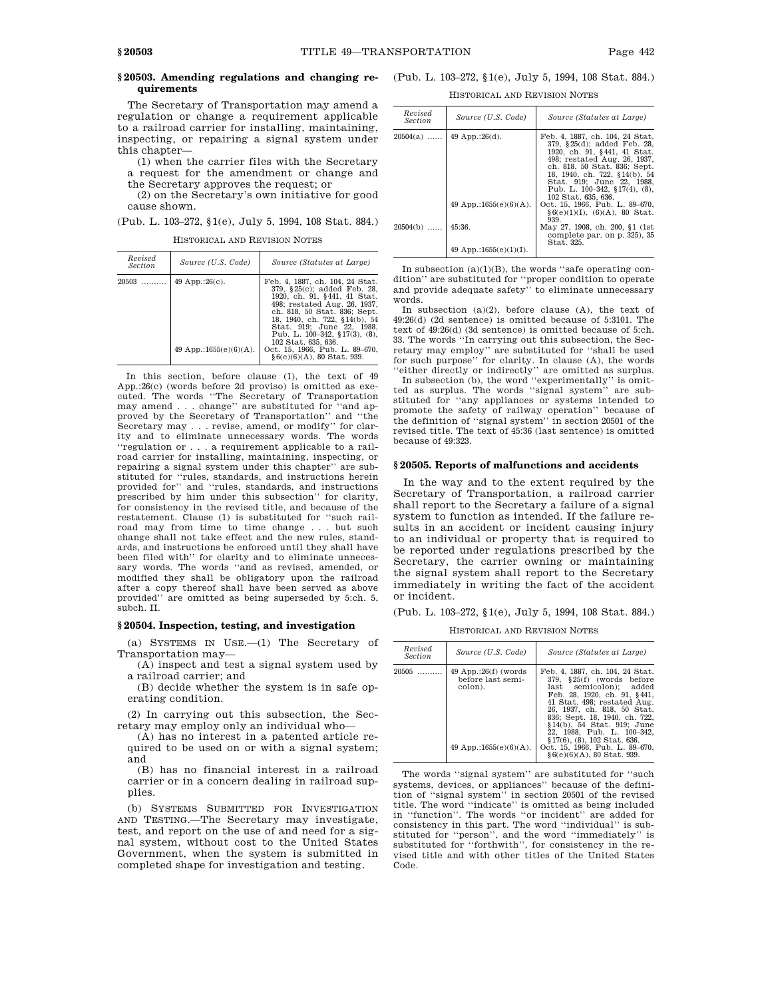# **quirements**

The Secretary of Transportation may amend a regulation or change a requirement applicable to a railroad carrier for installing, maintaining, inspecting, or repairing a signal system under this chapter—

(1) when the carrier files with the Secretary a request for the amendment or change and

the Secretary approves the request; or (2) on the Secretary's own initiative for good cause shown.

(Pub. L. 103–272, §1(e), July 5, 1994, 108 Stat. 884.)

HISTORICAL AND REVISION NOTES

| Revised<br><i>Section</i> | Source (U.S. Code)                               | Source (Statutes at Large)                                                                                                                                                                                                                                                                                                                                 |
|---------------------------|--------------------------------------------------|------------------------------------------------------------------------------------------------------------------------------------------------------------------------------------------------------------------------------------------------------------------------------------------------------------------------------------------------------------|
| $20503$                   | 49 App.:26 $(c)$ .<br>49 App.:1655 $(e)(6)(A)$ . | Feb. 4, 1887, ch. 104, 24 Stat.<br>379, §25(c); added Feb. 28,<br>1920, ch. 91, §441, 41 Stat.<br>498; restated Aug. 26, 1937.<br>ch. 818, 50 Stat. 836; Sept.<br>18, 1940, ch. 722, §14(b), 54<br>Stat. 919: June 22. 1988.<br>Pub. L. $100-342$ , §17(3), (8),<br>102 Stat. 635, 636.<br>Oct. 15, 1966, Pub. L. 89-670,<br>$§6(e)(6)(A)$ , 80 Stat. 939. |

In this section, before clause (1), the text of 49 App.:26(c) (words before 2d proviso) is omitted as executed. The words ''The Secretary of Transportation may amend . . . change'' are substituted for ''and approved by the Secretary of Transportation'' and ''the Secretary may . . . revise, amend, or modify'' for clarity and to eliminate unnecessary words. The words ''regulation or . . . a requirement applicable to a railroad carrier for installing, maintaining, inspecting, or repairing a signal system under this chapter'' are substituted for ''rules, standards, and instructions herein provided for'' and ''rules, standards, and instructions prescribed by him under this subsection'' for clarity, for consistency in the revised title, and because of the restatement. Clause (1) is substituted for ''such railroad may from time to time change . . . but such change shall not take effect and the new rules, standards, and instructions be enforced until they shall have been filed with'' for clarity and to eliminate unnecessary words. The words ''and as revised, amended, or modified they shall be obligatory upon the railroad after a copy thereof shall have been served as above provided'' are omitted as being superseded by 5:ch. 5, subch. II.

# **§ 20504. Inspection, testing, and investigation**

(a) SYSTEMS IN USE.—(1) The Secretary of Transportation may—

(A) inspect and test a signal system used by a railroad carrier; and

(B) decide whether the system is in safe operating condition.

(2) In carrying out this subsection, the Secretary may employ only an individual who—

(A) has no interest in a patented article required to be used on or with a signal system; and

(B) has no financial interest in a railroad carrier or in a concern dealing in railroad supplies.

(b) SYSTEMS SUBMITTED FOR INVESTIGATION AND TESTING.—The Secretary may investigate, test, and report on the use of and need for a signal system, without cost to the United States Government, when the system is submitted in completed shape for investigation and testing.

# **§ 20503. Amending regulations and changing re-**(Pub. L. 103–272, §1(e), July 5, 1994, 108 Stat. 884.)

HISTORICAL AND REVISION NOTES

| Revised<br><i>Section</i> | Source (U.S. Code)         | Source (Statutes at Large)                                                                                                                                                                                                                                                           |
|---------------------------|----------------------------|--------------------------------------------------------------------------------------------------------------------------------------------------------------------------------------------------------------------------------------------------------------------------------------|
| $20504(a)$                | 49 App.:26 $(d)$ .         | Feb. 4, 1887, ch. 104, 24 Stat.<br>379, §25(d); added Feb. 28,<br>1920. ch. 91. §441. 41 Stat.<br>498: restated Aug. 26, 1937.<br>ch. 818, 50 Stat. 836; Sept.<br>18, 1940, ch. 722, §14(b), 54<br>Stat. 919: June 22. 1988.<br>Pub. L. 100–342, §17(4), (8).<br>102 Stat. 635, 636. |
|                           | 49 App.:1655 $(e)(6)(A)$ . | Oct. 15, 1966. Pub. L. 89-670.<br>$§6(e)(1)(I), (6)(A), 80$ Stat.<br>939.                                                                                                                                                                                                            |
| $20504(b)$                | 45:36                      | May 27, 1908, ch. 200, §1 (1st)<br>complete par. on p. 325), 35<br>Stat. 325.                                                                                                                                                                                                        |
|                           | 49 App.:1655 $(e)(1)(I)$ . |                                                                                                                                                                                                                                                                                      |

In subsection  $(a)(1)(B)$ , the words "safe operating condition'' are substituted for ''proper condition to operate and provide adequate safety'' to eliminate unnecessary words.

In subsection  $(a)(2)$ , before clause  $(A)$ , the text of 49:26(d) (2d sentence) is omitted because of 5:3101. The text of 49:26(d) (3d sentence) is omitted because of 5:ch. 33. The words ''In carrying out this subsection, the Secretary may employ'' are substituted for ''shall be used for such purpose'' for clarity. In clause (A), the words ''either directly or indirectly'' are omitted as surplus.

In subsection (b), the word ''experimentally'' is omitted as surplus. The words ''signal system'' are substituted for ''any appliances or systems intended to promote the safety of railway operation'' because of the definition of ''signal system'' in section 20501 of the revised title. The text of 45:36 (last sentence) is omitted because of 49:323.

# **§ 20505. Reports of malfunctions and accidents**

In the way and to the extent required by the Secretary of Transportation, a railroad carrier shall report to the Secretary a failure of a signal system to function as intended. If the failure results in an accident or incident causing injury to an individual or property that is required to be reported under regulations prescribed by the Secretary, the carrier owning or maintaining the signal system shall report to the Secretary immediately in writing the fact of the accident or incident.

(Pub. L. 103–272, §1(e), July 5, 1994, 108 Stat. 884.)

HISTORICAL AND REVISION NOTES

| Revised<br><i>Section</i> | Source (U.S. Code)                                                                   | Source (Statutes at Large)                                                                                                                                                                                                                                                                                                                                                             |
|---------------------------|--------------------------------------------------------------------------------------|----------------------------------------------------------------------------------------------------------------------------------------------------------------------------------------------------------------------------------------------------------------------------------------------------------------------------------------------------------------------------------------|
| 20505                     | $49$ App.:26(f) (words<br>before last semi-<br>colon).<br>49 App.:1655 $(e)(6)(A)$ . | Feb. 4, 1887, ch. 104, 24 Stat.<br>§25(f) (words before<br>379.<br>last semicolon): added<br>Feb. 28, 1920, ch. 91, §441,<br>41 Stat. 498: restated Aug.<br>26, 1937, ch. 818, 50 Stat.<br>836; Sept. 18, 1940, ch. 722,<br>§14(b), 54 Stat, 919; June<br>22, 1988, Pub. L. 100-342,<br>§ 17(6), (8), 102 Stat, 636.<br>Oct. 15, 1966, Pub. L. 89-670,<br>$§6(e)(6)(A), 80$ Stat. 939. |

The words ''signal system'' are substituted for ''such systems, devices, or appliances'' because of the definition of ''signal system'' in section 20501 of the revised title. The word ''indicate'' is omitted as being included in ''function''. The words ''or incident'' are added for consistency in this part. The word ''individual'' is substituted for ''person'', and the word ''immediately'' is substituted for ''forthwith'', for consistency in the revised title and with other titles of the United States Code.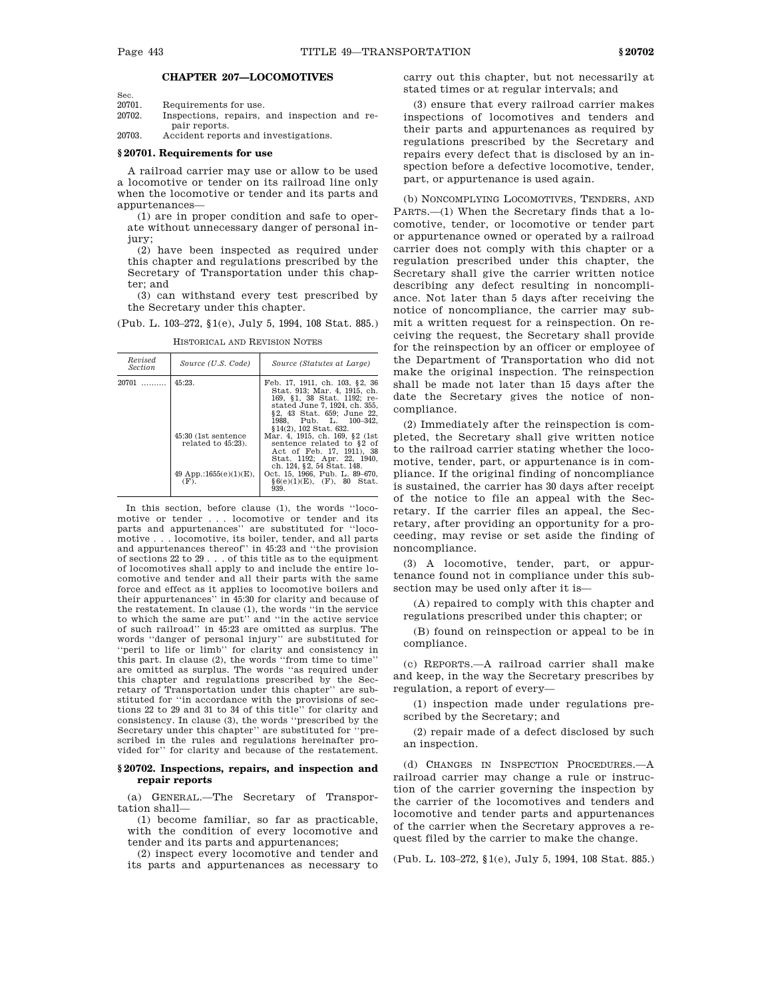Sec.

# **CHAPTER 207—LOCOMOTIVES**

20701. Requirements for use.<br>20702 Inspections repairs

Inspections, repairs, and inspection and repair reports.

20703. Accident reports and investigations.

# **§ 20701. Requirements for use**

A railroad carrier may use or allow to be used a locomotive or tender on its railroad line only when the locomotive or tender and its parts and appurtenances—

(1) are in proper condition and safe to operate without unnecessary danger of personal injury;

(2) have been inspected as required under this chapter and regulations prescribed by the Secretary of Transportation under this chapter; and

(3) can withstand every test prescribed by the Secretary under this chapter.

(Pub. L. 103–272, §1(e), July 5, 1994, 108 Stat. 885.)

| Revised<br>Section | Source (U.S. Code)                                                                            | Source (Statutes at Large)                                                                                                                                                                                                                                                                                                                                                                                                                           |
|--------------------|-----------------------------------------------------------------------------------------------|------------------------------------------------------------------------------------------------------------------------------------------------------------------------------------------------------------------------------------------------------------------------------------------------------------------------------------------------------------------------------------------------------------------------------------------------------|
| $20701$            | 45:23.<br>45:30 (1st sentence)<br>related to 45:23).<br>49 App.:1655 $(e)(1)(E)$ ,<br>$(F)$ . | Feb. 17, 1911, ch. 103, §2, 36<br>Stat. 913; Mar. 4, 1915, ch.<br>169, §1, 38 Stat. 1192; re-<br>stated June 7, 1924, ch. 355,<br>§2, 43 Stat. 659; June 22,<br>1988. Pub. L. 100-342.<br>§14(2), 102 Stat, 632.<br>Mar. 4, 1915, ch. 169, §2 (1st)<br>sentence related to §2 of<br>Act of Feb. 17, 1911), 38<br>Stat. 1192; Apr. 22, 1940.<br>ch. 124, §2, 54 Stat. 148.<br>Oct. 15, 1966, Pub. L. 89-670,<br>$§6(e)(1)(E)$ , (F), 80 Stat.<br>939. |
|                    |                                                                                               |                                                                                                                                                                                                                                                                                                                                                                                                                                                      |

HISTORICAL AND REVISION NOTES

In this section, before clause (1), the words ''locomotive or tender . . . locomotive or tender and its parts and appurtenances'' are substituted for ''locomotive . . . locomotive, its boiler, tender, and all parts and appurtenances thereof'' in  $45:23$  and "the provision of sections  $22$  to  $29$ ... of this title as to the equipment . . of this title as to the equipment of locomotives shall apply to and include the entire locomotive and tender and all their parts with the same force and effect as it applies to locomotive boilers and their appurtenances'' in 45:30 for clarity and because of the restatement. In clause (1), the words ''in the service to which the same are put'' and ''in the active service of such railroad'' in 45:23 are omitted as surplus. The words ''danger of personal injury'' are substituted for ''peril to life or limb'' for clarity and consistency in this part. In clause (2), the words ''from time to time'' are omitted as surplus. The words ''as required under this chapter and regulations prescribed by the Secretary of Transportation under this chapter'' are substituted for ''in accordance with the provisions of sections 22 to 29 and 31 to 34 of this title'' for clarity and consistency. In clause (3), the words ''prescribed by the Secretary under this chapter'' are substituted for ''prescribed in the rules and regulations hereinafter provided for'' for clarity and because of the restatement.

# **§ 20702. Inspections, repairs, and inspection and repair reports**

(a) GENERAL.—The Secretary of Transportation shall—

(1) become familiar, so far as practicable, with the condition of every locomotive and tender and its parts and appurtenances;

(2) inspect every locomotive and tender and its parts and appurtenances as necessary to

carry out this chapter, but not necessarily at stated times or at regular intervals; and

(3) ensure that every railroad carrier makes inspections of locomotives and tenders and their parts and appurtenances as required by regulations prescribed by the Secretary and repairs every defect that is disclosed by an inspection before a defective locomotive, tender, part, or appurtenance is used again.

(b) NONCOMPLYING LOCOMOTIVES, TENDERS, AND PARTS.—(1) When the Secretary finds that a locomotive, tender, or locomotive or tender part or appurtenance owned or operated by a railroad carrier does not comply with this chapter or a regulation prescribed under this chapter, the Secretary shall give the carrier written notice describing any defect resulting in noncompliance. Not later than 5 days after receiving the notice of noncompliance, the carrier may submit a written request for a reinspection. On receiving the request, the Secretary shall provide for the reinspection by an officer or employee of the Department of Transportation who did not make the original inspection. The reinspection shall be made not later than 15 days after the date the Secretary gives the notice of noncompliance.

(2) Immediately after the reinspection is completed, the Secretary shall give written notice to the railroad carrier stating whether the locomotive, tender, part, or appurtenance is in compliance. If the original finding of noncompliance is sustained, the carrier has 30 days after receipt of the notice to file an appeal with the Secretary. If the carrier files an appeal, the Secretary, after providing an opportunity for a proceeding, may revise or set aside the finding of noncompliance.

(3) A locomotive, tender, part, or appurtenance found not in compliance under this subsection may be used only after it is—

(A) repaired to comply with this chapter and regulations prescribed under this chapter; or

(B) found on reinspection or appeal to be in compliance.

(c) REPORTS.—A railroad carrier shall make and keep, in the way the Secretary prescribes by regulation, a report of every—

(1) inspection made under regulations prescribed by the Secretary; and

(2) repair made of a defect disclosed by such an inspection.

(d) CHANGES IN INSPECTION PROCEDURES.—A railroad carrier may change a rule or instruction of the carrier governing the inspection by the carrier of the locomotives and tenders and locomotive and tender parts and appurtenances of the carrier when the Secretary approves a request filed by the carrier to make the change.

(Pub. L. 103–272, §1(e), July 5, 1994, 108 Stat. 885.)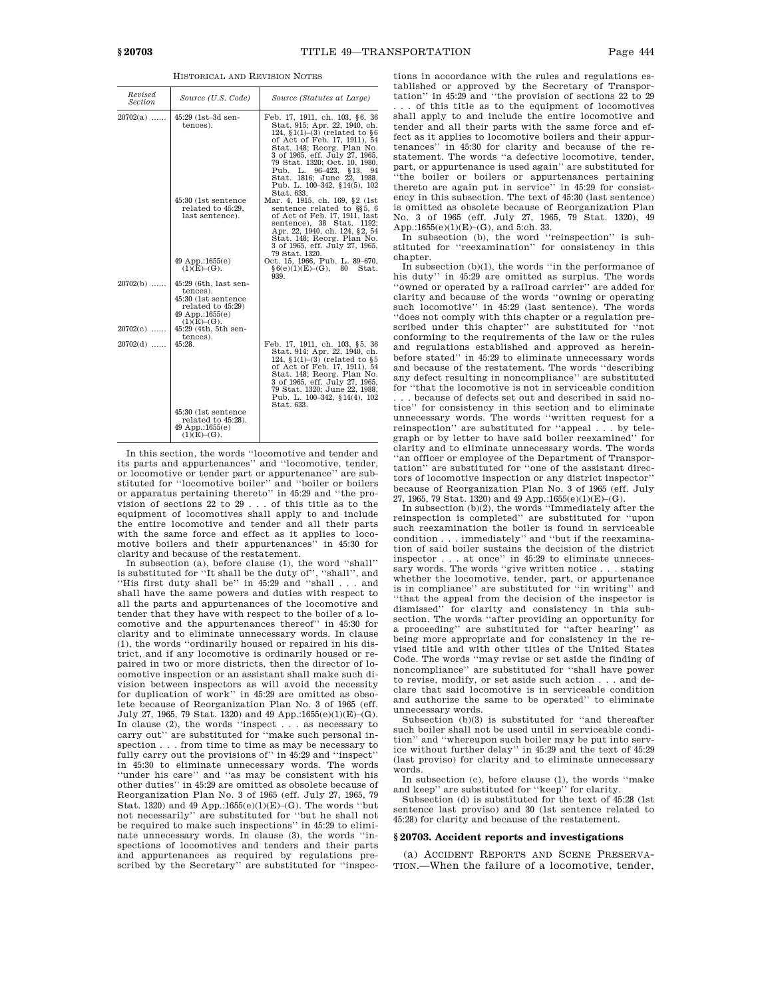| Revised<br>Section | Source (U.S. Code)                                                                                                        | Source (Statutes at Large)                                                                                                                                                                                                                                                                                                                    |
|--------------------|---------------------------------------------------------------------------------------------------------------------------|-----------------------------------------------------------------------------------------------------------------------------------------------------------------------------------------------------------------------------------------------------------------------------------------------------------------------------------------------|
| $20702(a)$         | 45:29 (1st-3d sen-<br>tences).                                                                                            | Feb. 17, 1911, ch. 103, §6, 36<br>Stat. 915; Apr. 22, 1940, ch.<br>124, $(1)$ – $(3)$ (related to $6$<br>of Act of Feb. 17, 1911), 54<br>Stat. 148; Reorg. Plan No.<br>3 of 1965, eff. July 27, 1965,<br>79 Stat. 1320; Oct. 10, 1980,<br>Pub. L. 96-423, §13, 94<br>Stat. 1816; June 22, 1988,<br>Pub. L. 100-342, §14(5), 102<br>Stat. 633. |
|                    | 45:30 (1st sentence)<br>related to 45:29,<br>last sentence).                                                              | Mar. 4, 1915, ch. 169, §2 (1st<br>sentence related to §§5, 6<br>of Act of Feb. 17, 1911, last<br>sentence), 38 Stat. 1192;<br>Apr. 22, 1940, ch. 124, §2, 54<br>Stat. 148; Reorg. Plan No.<br>3 of 1965, eff. July 27, 1965,<br>79 Stat. 1320.                                                                                                |
|                    | $49$ App.:1655 $(e)$<br>$(1)(E)–(G)$ .                                                                                    | Oct. 15, 1966, Pub. L. 89-670,<br>§ 6(e)(1)(E)–(G), 80<br>Stat.<br>939.                                                                                                                                                                                                                                                                       |
| $20702(b)$         | 45:29 (6th, last sen-<br>tences).<br>45:30 (1st sentence<br>related to 45:29)<br>49 App.:1655 $(e)$<br>$(1)(E)$ – $(G)$ . |                                                                                                                                                                                                                                                                                                                                               |
| $20702(c)$         | 45:29 (4th, 5th sen-<br>tences).                                                                                          |                                                                                                                                                                                                                                                                                                                                               |
| $20702(d)$         | 45:28.                                                                                                                    | Feb. 17, 1911, ch. 103, §5, 36<br>Stat. 914; Apr. 22, 1940, ch.<br>124, $(1)$ – $(3)$ (related to $§5$<br>of Act of Feb. 17, 1911), 54<br>Stat. 148; Reorg. Plan No.<br>3 of 1965, eff. July 27, 1965,<br>79 Stat. 1320; June 22, 1988,<br>Pub. L. 100-342, §14(4), 102<br>Stat. 633.                                                         |
|                    | 45:30 (1st sentence<br>related to 45:28).<br>$49$ App.:1655(e)<br>$(1)(E)$ – $(G)$ .                                      |                                                                                                                                                                                                                                                                                                                                               |

HISTORICAL AND REVISION NOTES

In this section, the words ''locomotive and tender and its parts and appurtenances'' and ''locomotive, tender, or locomotive or tender part or appurtenance'' are substituted for ''locomotive boiler'' and ''boiler or boilers or apparatus pertaining thereto'' in 45:29 and ''the provision of sections 22 to 29 . . . of this title as to the equipment of locomotives shall apply to and include the entire locomotive and tender and all their parts with the same force and effect as it applies to locomotive boilers and their appurtenances'' in 45:30 for

clarity and because of the restatement. In subsection (a), before clause (1), the word ''shall'' is substituted for ''It shall be the duty of'', ''shall'', and ''His first duty shall be'' in 45:29 and ''shall . . . and shall have the same powers and duties with respect to all the parts and appurtenances of the locomotive and tender that they have with respect to the boiler of a locomotive and the appurtenances thereof'' in 45:30 for clarity and to eliminate unnecessary words. In clause (1), the words ''ordinarily housed or repaired in his district, and if any locomotive is ordinarily housed or repaired in two or more districts, then the director of locomotive inspection or an assistant shall make such division between inspectors as will avoid the necessity for duplication of work'' in 45:29 are omitted as obsolete because of Reorganization Plan No. 3 of 1965 (eff. July 27, 1965, 79 Stat. 1320) and 49 App.:1655(e)(1)(E)–(G). In clause (2), the words ''inspect . . . as necessary to carry out'' are substituted for ''make such personal inspection . . . from time to time as may be necessary to fully carry out the provisions of" in 45:29 and "inspect" in 45:30 to eliminate unnecessary words. The words ''under his care'' and ''as may be consistent with his other duties'' in 45:29 are omitted as obsolete because of Reorganization Plan No. 3 of 1965 (eff. July 27, 1965, 79 Stat. 1320) and 49 App.:1655(e)(1)(E)–(G). The words "but not necessarily'' are substituted for ''but he shall not be required to make such inspections'' in 45:29 to eliminate unnecessary words. In clause (3), the words ''inspections of locomotives and tenders and their parts and appurtenances as required by regulations prescribed by the Secretary" are substituted for "inspections in accordance with the rules and regulations established or approved by the Secretary of Transportation'' in 45:29 and ''the provision of sections 22 to 29 . . . of this title as to the equipment of locomotives shall apply to and include the entire locomotive and tender and all their parts with the same force and effect as it applies to locomotive boilers and their appurtenances'' in 45:30 for clarity and because of the restatement. The words ''a defective locomotive, tender, part, or appurtenance is used again'' are substituted for ''the boiler or boilers or appurtenances pertaining thereto are again put in service'' in 45:29 for consistency in this subsection. The text of 45:30 (last sentence) is omitted as obsolete because of Reorganization Plan No. 3 of 1965 (eff. July 27, 1965, 79 Stat. 1320), 49 App.:1655(e)(1)(E)–(G), and 5:ch. 33.

In subsection (b), the word "reinspection" is substituted for ''reexamination'' for consistency in this chapter.

In subsection  $(b)(1)$ , the words "in the performance of his duty'' in 45:29 are omitted as surplus. The words ''owned or operated by a railroad carrier'' are added for clarity and because of the words ''owning or operating such locomotive'' in 45:29 (last sentence). The words ''does not comply with this chapter or a regulation prescribed under this chapter'' are substituted for ''not conforming to the requirements of the law or the rules and regulations established and approved as hereinbefore stated'' in 45:29 to eliminate unnecessary words and because of the restatement. The words ''describing any defect resulting in noncompliance'' are substituted for ''that the locomotive is not in serviceable condition .. because of defects set out and described in said notice'' for consistency in this section and to eliminate unnecessary words. The words ''written request for a reinspection'' are substituted for ''appeal . . . by telegraph or by letter to have said boiler reexamined'' for clarity and to eliminate unnecessary words. The words ''an officer or employee of the Department of Transportation'' are substituted for ''one of the assistant directors of locomotive inspection or any district inspector'' because of Reorganization Plan No. 3 of 1965 (eff. July 27, 1965, 79 Stat. 1320) and 49 App.:1655(e)(1)(E)-(G).

In subsection (b)(2), the words ''Immediately after the reinspection is completed'' are substituted for ''upon such reexamination the boiler is found in serviceable condition . . . immediately'' and ''but if the reexamination of said boiler sustains the decision of the district inspector  $\dots$  at once" in 45:29 to eliminate unneces-. at once" in 45:29 to eliminate unnecessary words. The words "give written notice . . . stating" whether the locomotive, tender, part, or appurtenance is in compliance'' are substituted for ''in writing'' and ''that the appeal from the decision of the inspector is dismissed'' for clarity and consistency in this subsection. The words ''after providing an opportunity for a proceeding'' are substituted for ''after hearing'' as being more appropriate and for consistency in the revised title and with other titles of the United States Code. The words ''may revise or set aside the finding of noncompliance'' are substituted for ''shall have power to revise, modify, or set aside such action . . . and declare that said locomotive is in serviceable condition and authorize the same to be operated'' to eliminate unnecessary words.

Subsection (b)(3) is substituted for ''and thereafter such boiler shall not be used until in serviceable condition'' and ''whereupon such boiler may be put into service without further delay'' in 45:29 and the text of 45:29 (last proviso) for clarity and to eliminate unnecessary words.

In subsection (c), before clause (1), the words ''make and keep'' are substituted for ''keep'' for clarity.

Subsection (d) is substituted for the text of 45:28 (1st sentence last proviso) and 30 (1st sentence related to 45:28) for clarity and because of the restatement.

### **§ 20703. Accident reports and investigations**

(a) ACCIDENT REPORTS AND SCENE PRESERVA-TION.—When the failure of a locomotive, tender,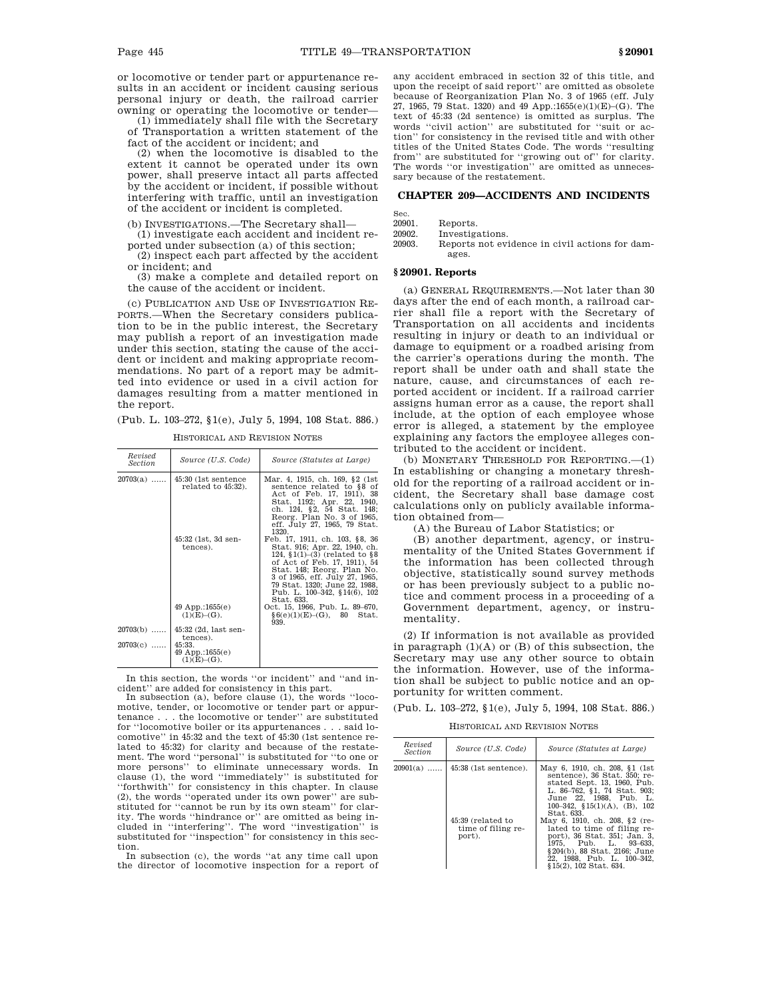or locomotive or tender part or appurtenance results in an accident or incident causing serious personal injury or death, the railroad carrier owning or operating the locomotive or tender—

(1) immediately shall file with the Secretary of Transportation a written statement of the fact of the accident or incident; and

(2) when the locomotive is disabled to the extent it cannot be operated under its own power, shall preserve intact all parts affected by the accident or incident, if possible without interfering with traffic, until an investigation of the accident or incident is completed.

(b) INVESTIGATIONS.—The Secretary shall—

(1) investigate each accident and incident reported under subsection (a) of this section;

(2) inspect each part affected by the accident or incident; and

(3) make a complete and detailed report on the cause of the accident or incident.

(c) PUBLICATION AND USE OF INVESTIGATION RE-PORTS.—When the Secretary considers publication to be in the public interest, the Secretary may publish a report of an investigation made under this section, stating the cause of the accident or incident and making appropriate recommendations. No part of a report may be admitted into evidence or used in a civil action for damages resulting from a matter mentioned in the report.

(Pub. L. 103–272, §1(e), July 5, 1994, 108 Stat. 886.)

HISTORICAL AND REVISION NOTES

| Revised<br><i>Section</i> | Source (U.S. Code)                               | Source (Statutes at Large)                                                                                                                                                                                                                                                            |
|---------------------------|--------------------------------------------------|---------------------------------------------------------------------------------------------------------------------------------------------------------------------------------------------------------------------------------------------------------------------------------------|
| $20703(a)$                | 45:30 (1st sentence)<br>related to 45:32).       | Mar. 4, 1915, ch. 169, §2 (1st)<br>sentence related to §8 of<br>Act of Feb. 17, 1911), 38<br>Stat. 1192; Apr. 22, 1940.<br>ch. 124, §2, 54 Stat. 148;<br>Reorg. Plan No. 3 of 1965,<br>eff. July 27, 1965, 79 Stat.<br>1320.                                                          |
|                           | 45:32 (1st, 3d sen-<br>tences).                  | Feb. 17, 1911, ch. 103, §8, 36<br>Stat. 916; Apr. 22, 1940, ch.<br>124, $(1)$ – $(3)$ (related to $88$<br>of Act of Feb. 17, 1911), 54<br>Stat. 148; Reorg. Plan No.<br>3 of 1965, eff. July 27, 1965,<br>79 Stat. 1320; June 22, 1988.<br>Pub. L. 100-342, §14(6), 102<br>Stat. 633. |
|                           | $49$ App.:1655 $(e)$<br>$(1)(E)-(G).$            | Oct. 15, 1966, Pub. L. 89–670,<br>§ 6(e)(1)(E)–(G), 80<br>Stat.<br>939.                                                                                                                                                                                                               |
| $20703(b)$                | 45:32 (2d, last sen-<br>tences).                 |                                                                                                                                                                                                                                                                                       |
| $20703(c)$                | 45:33.<br>$49$ App.:1655 $(e)$<br>$(1)(E)-(G)$ . |                                                                                                                                                                                                                                                                                       |

In this section, the words ''or incident'' and ''and incident'' are added for consistency in this part.

In subsection (a), before clause (1), the words ''locomotive, tender, or locomotive or tender part or appurtenance . . . the locomotive or tender'' are substituted for ''locomotive boiler or its appurtenances . . . said locomotive'' in 45:32 and the text of 45:30 (1st sentence related to 45:32) for clarity and because of the restate-ment. The word ''personal'' is substituted for ''to one or more persons'' to eliminate unnecessary words. In clause (1), the word ''immediately'' is substituted for ''forthwith'' for consistency in this chapter. In clause (2), the words ''operated under its own power'' are substituted for ''cannot be run by its own steam'' for clar-ity. The words ''hindrance or'' are omitted as being included in ''interfering''. The word ''investigation'' is substituted for ''inspection'' for consistency in this section.

In subsection (c), the words ''at any time call upon the director of locomotive inspection for a report of any accident embraced in section 32 of this title, and upon the receipt of said report'' are omitted as obsolete because of Reorganization Plan No. 3 of 1965 (eff. July 27, 1965, 79 Stat. 1320) and 49 App.:1655(e)(1)(E)–(G). The text of 45:33 (2d sentence) is omitted as surplus. The words ''civil action'' are substituted for ''suit or action'' for consistency in the revised title and with other titles of the United States Code. The words ''resulting from" are substituted for "growing out of" for clarity. The words "or investigation" are omitted as unnecessary because of the restatement.

# **CHAPTER 209—ACCIDENTS AND INCIDENTS**

| Sec.   |                  |
|--------|------------------|
| 20901. | Reports.         |
| 20902. | Investigations.  |
| 20903. | Reports not evid |

ence in civil actions for damages.

# **§ 20901. Reports**

(a) GENERAL REQUIREMENTS.—Not later than 30 days after the end of each month, a railroad carrier shall file a report with the Secretary of Transportation on all accidents and incidents resulting in injury or death to an individual or damage to equipment or a roadbed arising from the carrier's operations during the month. The report shall be under oath and shall state the nature, cause, and circumstances of each reported accident or incident. If a railroad carrier assigns human error as a cause, the report shall include, at the option of each employee whose error is alleged, a statement by the employee explaining any factors the employee alleges contributed to the accident or incident.

(b) MONETARY THRESHOLD FOR REPORTING.—(1) In establishing or changing a monetary threshold for the reporting of a railroad accident or incident, the Secretary shall base damage cost calculations only on publicly available information obtained from—

(A) the Bureau of Labor Statistics; or

(B) another department, agency, or instrumentality of the United States Government if the information has been collected through objective, statistically sound survey methods or has been previously subject to a public notice and comment process in a proceeding of a Government department, agency, or instrumentality.

(2) If information is not available as provided in paragraph  $(1)(A)$  or  $(B)$  of this subsection, the Secretary may use any other source to obtain the information. However, use of the information shall be subject to public notice and an opportunity for written comment.

(Pub. L. 103–272, §1(e), July 5, 1994, 108 Stat. 886.)

HISTORICAL AND REVISION NOTES

| Revised<br><i>Section</i> | Source (U.S. Code)                                                           | Source (Statutes at Large)                                                                                                                                                                                                                                                                                                                                                                                               |
|---------------------------|------------------------------------------------------------------------------|--------------------------------------------------------------------------------------------------------------------------------------------------------------------------------------------------------------------------------------------------------------------------------------------------------------------------------------------------------------------------------------------------------------------------|
| $20901(a)$                | $45:38$ (1st sentence).<br>45:39 (related to<br>time of filing re-<br>port). | May 6, 1910, ch. 208, §1 (1st<br>sentence), 36 Stat, 350; re-<br>stated Sept. 13, 1960, Pub.<br>L. 86-762, §1, 74 Stat. 903;<br>June 22, 1988, Pub. L.<br>100-342, $$15(1)(A)$ , (B), 102<br>Stat. 633.<br>May 6, 1910, ch. 208, §2 (re-<br>lated to time of filing re-<br>port), 36 Stat, 351; Jan. 3.<br>1975. Pub. L. 93-633.<br>§204(b), 88 Stat, 2166; June<br>22, 1988, Pub. L. 100-342,<br>§15(2), 102 Stat. 634. |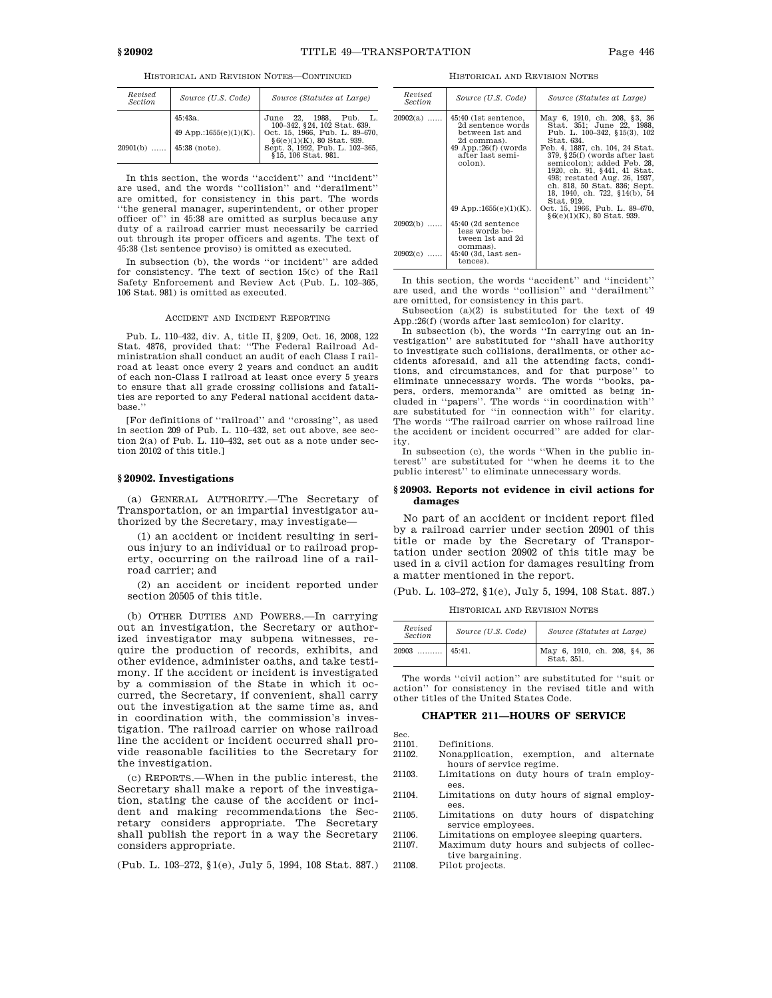| Revised<br>Section       | Source (U.S. Code)         | Source (Statutes at Large)                                     |
|--------------------------|----------------------------|----------------------------------------------------------------|
|                          | 45:43a.                    | June 22. 1988.<br>Pub. L.<br>100-342, §24, 102 Stat. 639.      |
|                          | 49 App.:1655 $(e)(1)(K)$ . | Oct. 15, 1966, Pub. L. 89-670,<br>$§6(e)(1)(K), 80$ Stat. 939. |
| $20901(b)$ 45:38 (note). |                            | Sept. 3, 1992, Pub. L. 102-365,<br>§15, 106 Stat. 981.         |

In this section, the words ''accident'' and ''incident'' are used, and the words ''collision'' and ''derailment'' are omitted, for consistency in this part. The words ''the general manager, superintendent, or other proper officer of'' in 45:38 are omitted as surplus because any duty of a railroad carrier must necessarily be carried out through its proper officers and agents. The text of 45:38 (1st sentence proviso) is omitted as executed.

In subsection (b), the words ''or incident'' are added for consistency. The text of section 15(c) of the Rail Safety Enforcement and Review Act (Pub. L. 102–365, 106 Stat. 981) is omitted as executed.

#### ACCIDENT AND INCIDENT REPORTING

Pub. L. 110–432, div. A, title II, §209, Oct. 16, 2008, 122 Stat. 4876, provided that: ''The Federal Railroad Administration shall conduct an audit of each Class I railroad at least once every 2 years and conduct an audit of each non-Class I railroad at least once every 5 years to ensure that all grade crossing collisions and fatalities are reported to any Federal national accident database.''

[For definitions of ''railroad'' and ''crossing'', as used in section 209 of Pub. L. 110–432, set out above, see section 2(a) of Pub. L. 110–432, set out as a note under section 20102 of this title.]

# **§ 20902. Investigations**

(a) GENERAL AUTHORITY.—The Secretary of Transportation, or an impartial investigator authorized by the Secretary, may investigate—

(1) an accident or incident resulting in serious injury to an individual or to railroad property, occurring on the railroad line of a railroad carrier; and

(2) an accident or incident reported under section 20505 of this title.

(b) OTHER DUTIES AND POWERS.—In carrying out an investigation, the Secretary or authorized investigator may subpena witnesses, require the production of records, exhibits, and other evidence, administer oaths, and take testimony. If the accident or incident is investigated by a commission of the State in which it occurred, the Secretary, if convenient, shall carry out the investigation at the same time as, and in coordination with, the commission's investigation. The railroad carrier on whose railroad line the accident or incident occurred shall provide reasonable facilities to the Secretary for the investigation.

(c) REPORTS.—When in the public interest, the Secretary shall make a report of the investigation, stating the cause of the accident or incident and making recommendations the Secretary considers appropriate. The Secretary shall publish the report in a way the Secretary considers appropriate.

(Pub. L. 103–272, §1(e), July 5, 1994, 108 Stat. 887.)

HISTORICAL AND REVISION NOTES

| Revised<br><i>Section</i> | Source (U.S. Code)                                                                                                                   | Source (Statutes at Large)                                                                                                                                                                                                                                                                                                                               |
|---------------------------|--------------------------------------------------------------------------------------------------------------------------------------|----------------------------------------------------------------------------------------------------------------------------------------------------------------------------------------------------------------------------------------------------------------------------------------------------------------------------------------------------------|
| $20902(a)$                | 45:40 (1st sentence,<br>2d sentence words<br>between 1st and<br>2d commas).<br>$49$ App.:26(f) (words<br>after last semi-<br>colon). | May 6, 1910, ch. 208, §3, 36<br>Stat. 351; June 22, 1988.<br>Pub. L. 100-342, §15(3), 102<br>Stat. 634.<br>Feb. 4, 1887, ch. 104, 24 Stat.<br>379, §25(f) (words after last<br>semicolon); added Feb. 28,<br>1920, ch. 91, §441, 41 Stat.<br>498; restated Aug. 26, 1937.<br>ch. 818, 50 Stat. 836; Sept.<br>18, 1940, ch. 722, §14(b), 54<br>Stat. 919. |
|                           | 49 App.:1655 $(e)(1)(K)$ .                                                                                                           | Oct. 15, 1966, Pub. L. 89–670,<br>$§6(e)(1)(K), 80$ Stat. 939.                                                                                                                                                                                                                                                                                           |
| $20902(b)$                | $45:40$ (2d sentence<br>less words be-<br>tween 1st and 2d                                                                           |                                                                                                                                                                                                                                                                                                                                                          |
| 20902(c)                  | commas).<br>45:40 (3d, last sen-<br>tences).                                                                                         |                                                                                                                                                                                                                                                                                                                                                          |

In this section, the words ''accident'' and ''incident'' are used, and the words ''collision'' and ''derailment'' are omitted, for consistency in this part.

Subsection (a)(2) is substituted for the text of 49 App.:26(f) (words after last semicolon) for clarity.

In subsection (b), the words ''In carrying out an investigation'' are substituted for ''shall have authority to investigate such collisions, derailments, or other accidents aforesaid, and all the attending facts, conditions, and circumstances, and for that purpose'' to eliminate unnecessary words. The words ''books, papers, orders, memoranda'' are omitted as being included in ''papers''. The words ''in coordination with'' are substituted for ''in connection with'' for clarity. The words ''The railroad carrier on whose railroad line the accident or incident occurred'' are added for clarity.

In subsection (c), the words ''When in the public interest'' are substituted for ''when he deems it to the public interest'' to eliminate unnecessary words.

# **§ 20903. Reports not evidence in civil actions for damages**

No part of an accident or incident report filed by a railroad carrier under section 20901 of this title or made by the Secretary of Transportation under section 20902 of this title may be used in a civil action for damages resulting from a matter mentioned in the report.

(Pub. L. 103–272, §1(e), July 5, 1994, 108 Stat. 887.)

HISTORICAL AND REVISION NOTES

| Revised<br><b>Section</b> | Source (U.S. Code) | Source (Statutes at Large)                 |
|---------------------------|--------------------|--------------------------------------------|
| 20903                     | 45:41.             | May 6, 1910, ch. 208, §4, 36<br>Stat. 351. |

The words ''civil action'' are substituted for ''suit or action'' for consistency in the revised title and with other titles of the United States Code.

### **CHAPTER 211—HOURS OF SERVICE**

| 21101. | Defir |
|--------|-------|

Sec.

- 21101. Definitions.<br>21102. Nonapplicat Nonapplication, exemption, and alternate hours of service regime.
- 21103. Limitations on duty hours of train employees.
- 21104. Limitations on duty hours of signal employees.
- 21105. Limitations on duty hours of dispatching service employees.
- 21106. Limitations on employee sleeping quarters.<br>21107. Maximum duty hours and subjects of colle Maximum duty hours and subjects of collective bargaining.
- 21108. Pilot projects.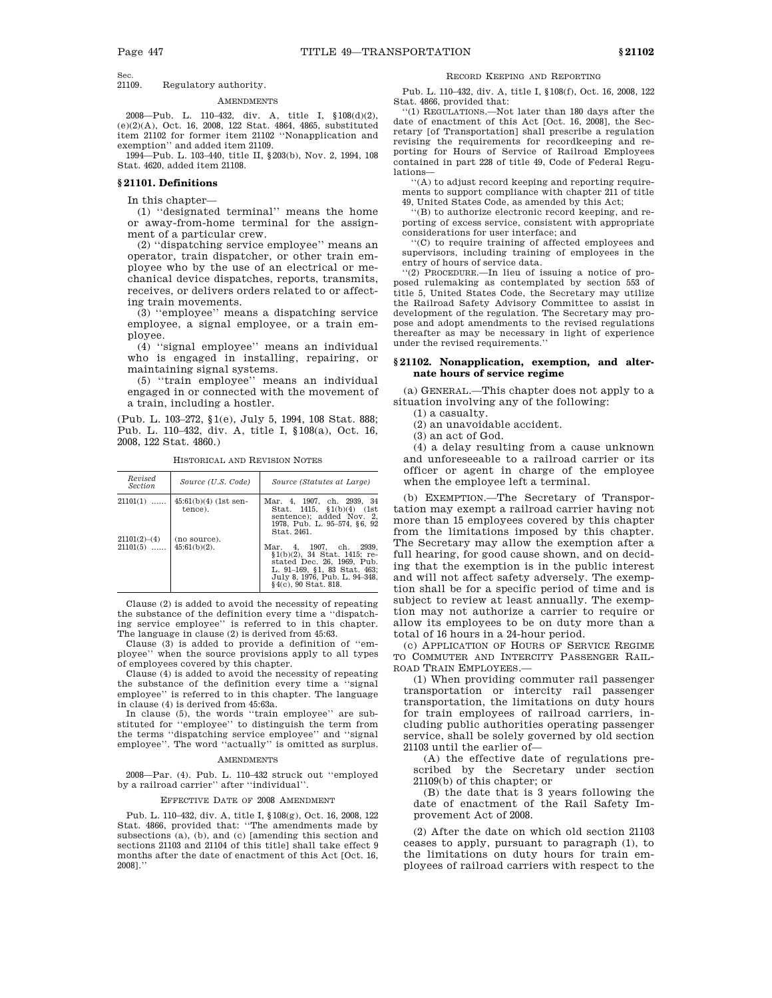Sec.<br>21109 Regulatory authority.

#### AMENDMENTS

2008—Pub. L. 110–432, div. A, title I, §108(d)(2), (e)(2)(A), Oct. 16, 2008, 122 Stat. 4864, 4865, substituted item 21102 for former item 21102 ''Nonapplication and exemption'' and added item 21109.

1994—Pub. L. 103–440, title II, §203(b), Nov. 2, 1994, 108 Stat. 4620, added item 21108.

### **§ 21101. Definitions**

In this chapter-

(1) ''designated terminal'' means the home or away-from-home terminal for the assignment of a particular crew.

(2) ''dispatching service employee'' means an operator, train dispatcher, or other train employee who by the use of an electrical or mechanical device dispatches, reports, transmits, receives, or delivers orders related to or affecting train movements.

(3) ''employee'' means a dispatching service employee, a signal employee, or a train employee.

(4) ''signal employee'' means an individual who is engaged in installing, repairing, or maintaining signal systems.

(5) ''train employee'' means an individual engaged in or connected with the movement of a train, including a hostler.

(Pub. L. 103–272, §1(e), July 5, 1994, 108 Stat. 888; Pub. L. 110–432, div. A, title I, §108(a), Oct. 16, 2008, 122 Stat. 4860.)

| Revised<br><i>Section</i>  | Source (U.S. Code)                 | Source (Statutes at Large)                                                                                                                                                         |
|----------------------------|------------------------------------|------------------------------------------------------------------------------------------------------------------------------------------------------------------------------------|
| $21101(1)$                 | $45:61(b)(4)$ (1st sen-<br>tence). | Mar. 4, 1907, ch. 2939, 34<br>Stat. $1415, \quad$ \$1(b)(4) (1st<br>sentence); added Nov. 2.<br>1978, Pub. L. 95-574, §6, 92<br>Stat. 2461.                                        |
| 21101(2)–(4)<br>$21101(5)$ | (no source).<br>$45:61(b)(2)$ .    | Mar. 4, 1907, ch. 2939,<br>$$1(b)(2), 34$ Stat. 1415; re-<br>stated Dec. 26, 1969. Pub.<br>L. 91-169, §1, 83 Stat. 463;<br>July 8, 1976, Pub. L. 94-348.<br>$§4(c), 90$ Stat. 818. |

HISTORICAL AND REVISION NOTES

Clause (2) is added to avoid the necessity of repeating the substance of the definition every time a ''dispatching service employee'' is referred to in this chapter. The language in clause (2) is derived from 45:63.

Clause (3) is added to provide a definition of ''employee'' when the source provisions apply to all types of employees covered by this chapter.

Clause (4) is added to avoid the necessity of repeating the substance of the definition every time a ''signal employee'' is referred to in this chapter. The language in clause (4) is derived from 45:63a.

In clause (5), the words ''train employee'' are substituted for ''employee'' to distinguish the term from the terms ''dispatching service employee'' and ''signal employee''. The word ''actually'' is omitted as surplus.

#### AMENDMENTS

2008—Par. (4). Pub. L. 110–432 struck out ''employed by a railroad carrier'' after ''individual''.

#### EFFECTIVE DATE OF 2008 AMENDMENT

Pub. L. 110–432, div. A, title I, §108(g), Oct. 16, 2008, 122 Stat. 4866, provided that: ''The amendments made by subsections (a), (b), and (c) [amending this section and sections 21103 and 21104 of this title] shall take effect 9 months after the date of enactment of this Act [Oct. 16, 2008].''

RECORD KEEPING AND REPORTING

Pub. L. 110–432, div. A, title I, §108(f), Oct. 16, 2008, 122 Stat. 4866, provided that:

''(1) REGULATIONS.—Not later than 180 days after the date of enactment of this Act [Oct. 16, 2008], the Secretary [of Transportation] shall prescribe a regulation revising the requirements for recordkeeping and reporting for Hours of Service of Railroad Employees contained in part 228 of title 49, Code of Federal Regulations—

''(A) to adjust record keeping and reporting requirements to support compliance with chapter 211 of title 49, United States Code, as amended by this Act;

''(B) to authorize electronic record keeping, and reporting of excess service, consistent with appropriate considerations for user interface; and

''(C) to require training of affected employees and supervisors, including training of employees in the entry of hours of service data.

''(2) PROCEDURE.—In lieu of issuing a notice of proposed rulemaking as contemplated by section 553 of title 5, United States Code, the Secretary may utilize the Railroad Safety Advisory Committee to assist in development of the regulation. The Secretary may propose and adopt amendments to the revised regulations thereafter as may be necessary in light of experience under the revised requirements.

# **§ 21102. Nonapplication, exemption, and alternate hours of service regime**

(a) GENERAL.—This chapter does not apply to a situation involving any of the following:

(1) a casualty.

(2) an unavoidable accident.

(3) an act of God.

(4) a delay resulting from a cause unknown and unforeseeable to a railroad carrier or its officer or agent in charge of the employee when the employee left a terminal.

(b) EXEMPTION.—The Secretary of Transportation may exempt a railroad carrier having not more than 15 employees covered by this chapter from the limitations imposed by this chapter. The Secretary may allow the exemption after a full hearing, for good cause shown, and on deciding that the exemption is in the public interest and will not affect safety adversely. The exemption shall be for a specific period of time and is subject to review at least annually. The exemption may not authorize a carrier to require or allow its employees to be on duty more than a total of 16 hours in a 24-hour period.

(c) APPLICATION OF HOURS OF SERVICE REGIME TO COMMUTER AND INTERCITY PASSENGER RAIL-ROAD TRAIN EMPLOYEES.—

(1) When providing commuter rail passenger transportation or intercity rail passenger transportation, the limitations on duty hours for train employees of railroad carriers, including public authorities operating passenger service, shall be solely governed by old section 21103 until the earlier of—

(A) the effective date of regulations prescribed by the Secretary under section 21109(b) of this chapter; or

(B) the date that is 3 years following the date of enactment of the Rail Safety Improvement Act of 2008.

(2) After the date on which old section 21103 ceases to apply, pursuant to paragraph (1), to the limitations on duty hours for train employees of railroad carriers with respect to the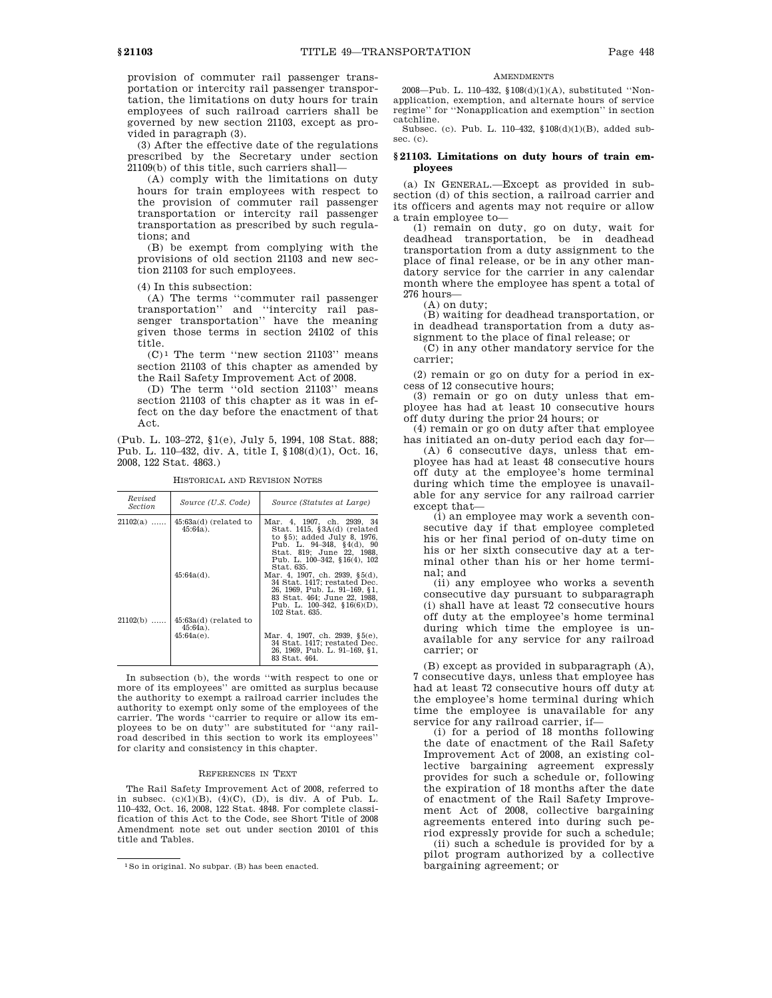provision of commuter rail passenger transportation or intercity rail passenger transportation, the limitations on duty hours for train employees of such railroad carriers shall be governed by new section 21103, except as provided in paragraph (3).

(3) After the effective date of the regulations prescribed by the Secretary under section 21109(b) of this title, such carriers shall—

(A) comply with the limitations on duty hours for train employees with respect to the provision of commuter rail passenger transportation or intercity rail passenger transportation as prescribed by such regulations; and

(B) be exempt from complying with the provisions of old section 21103 and new section 21103 for such employees.

(4) In this subsection:

(A) The terms ''commuter rail passenger transportation'' and ''intercity rail passenger transportation'' have the meaning given those terms in section 24102 of this title.

 $(C)^1$  The term "new section 21103" means section 21103 of this chapter as amended by the Rail Safety Improvement Act of 2008.

(D) The term ''old section 21103'' means section 21103 of this chapter as it was in effect on the day before the enactment of that Act.

(Pub. L. 103–272, §1(e), July 5, 1994, 108 Stat. 888; Pub. L. 110–432, div. A, title I, §108(d)(1), Oct. 16, 2008, 122 Stat. 4863.)

| Revised<br><i>Section</i> | Source (U.S. Code)                                      | Source (Statutes at Large)                                                                                                                                                                                |
|---------------------------|---------------------------------------------------------|-----------------------------------------------------------------------------------------------------------------------------------------------------------------------------------------------------------|
| $21102(a)$                | $45:63a(d)$ (related to<br>$45:64a$ ).                  | Mar. 4, 1907, ch. 2939, 34<br>Stat. $1415, \,$ \$3A $(d)$ (related<br>to §5); added July 8, 1976,<br>Pub. L. 94-348, §4(d), 90<br>Stat. 819: June 22. 1988.<br>Pub. L. 100-342, §16(4), 102<br>Stat. 635. |
|                           | $45:64a(d)$ .                                           | Mar. 4, 1907, ch. 2939, §5(d),<br>34 Stat. 1417; restated Dec.<br>26, 1969, Pub. L. 91-169, §1,<br>83 Stat. 464: June 22. 1988.<br>Pub. L. $100-342$ , $$16(6)(D)$ ,<br>102 Stat. 635.                    |
| $21102(b)$                | $45:63a(d)$ (related to<br>$45:64a$ ).<br>$45:64a(e)$ . | Mar. 4, 1907, ch. 2939, §5(e),<br>34 Stat. 1417; restated Dec.<br>26, 1969, Pub. L. 91-169, §1,<br>83 Stat. 464.                                                                                          |

HISTORICAL AND REVISION NOTES

In subsection (b), the words ''with respect to one or more of its employees'' are omitted as surplus because the authority to exempt a railroad carrier includes the authority to exempt only some of the employees of the carrier. The words ''carrier to require or allow its employees to be on duty'' are substituted for ''any railroad described in this section to work its employees'' for clarity and consistency in this chapter.

#### REFERENCES IN TEXT

The Rail Safety Improvement Act of 2008, referred to in subsec.  $(c)(1)(B)$ ,  $(4)(C)$ ,  $(D)$ , is div. A of Pub. L. 110–432, Oct. 16, 2008, 122 Stat. 4848. For complete classification of this Act to the Code, see Short Title of 2008 Amendment note set out under section 20101 of this title and Tables.

#### **AMENDMENTS**

2008—Pub. L. 110–432, §108(d)(1)(A), substituted ''Nonapplication, exemption, and alternate hours of service regime'' for ''Nonapplication and exemption'' in section catchline.

Subsec. (c). Pub. L. 110–432, §108(d)(1)(B), added subsec. (c).

# **§ 21103. Limitations on duty hours of train employees**

(a) IN GENERAL.—Except as provided in subsection (d) of this section, a railroad carrier and its officers and agents may not require or allow a train employee to—

(1) remain on duty, go on duty, wait for deadhead transportation, be in deadhead transportation from a duty assignment to the place of final release, or be in any other mandatory service for the carrier in any calendar month where the employee has spent a total of 276 hours—

(A) on duty;

(B) waiting for deadhead transportation, or in deadhead transportation from a duty assignment to the place of final release; or

(C) in any other mandatory service for the carrier;

(2) remain or go on duty for a period in excess of 12 consecutive hours;

(3) remain or go on duty unless that employee has had at least 10 consecutive hours off duty during the prior 24 hours; or

(4) remain or go on duty after that employee has initiated an on-duty period each day for—

(A) 6 consecutive days, unless that employee has had at least 48 consecutive hours off duty at the employee's home terminal during which time the employee is unavailable for any service for any railroad carrier except that—

(i) an employee may work a seventh consecutive day if that employee completed his or her final period of on-duty time on his or her sixth consecutive day at a terminal other than his or her home terminal; and

(ii) any employee who works a seventh consecutive day pursuant to subparagraph (i) shall have at least 72 consecutive hours off duty at the employee's home terminal during which time the employee is unavailable for any service for any railroad carrier; or

(B) except as provided in subparagraph (A), 7 consecutive days, unless that employee has had at least 72 consecutive hours off duty at the employee's home terminal during which time the employee is unavailable for any service for any railroad carrier, if—

(i) for a period of 18 months following the date of enactment of the Rail Safety Improvement Act of 2008, an existing collective bargaining agreement expressly provides for such a schedule or, following the expiration of 18 months after the date of enactment of the Rail Safety Improvement Act of 2008, collective bargaining agreements entered into during such period expressly provide for such a schedule;

(ii) such a schedule is provided for by a pilot program authorized by a collective bargaining agreement; or

<sup>1</sup>So in original. No subpar. (B) has been enacted.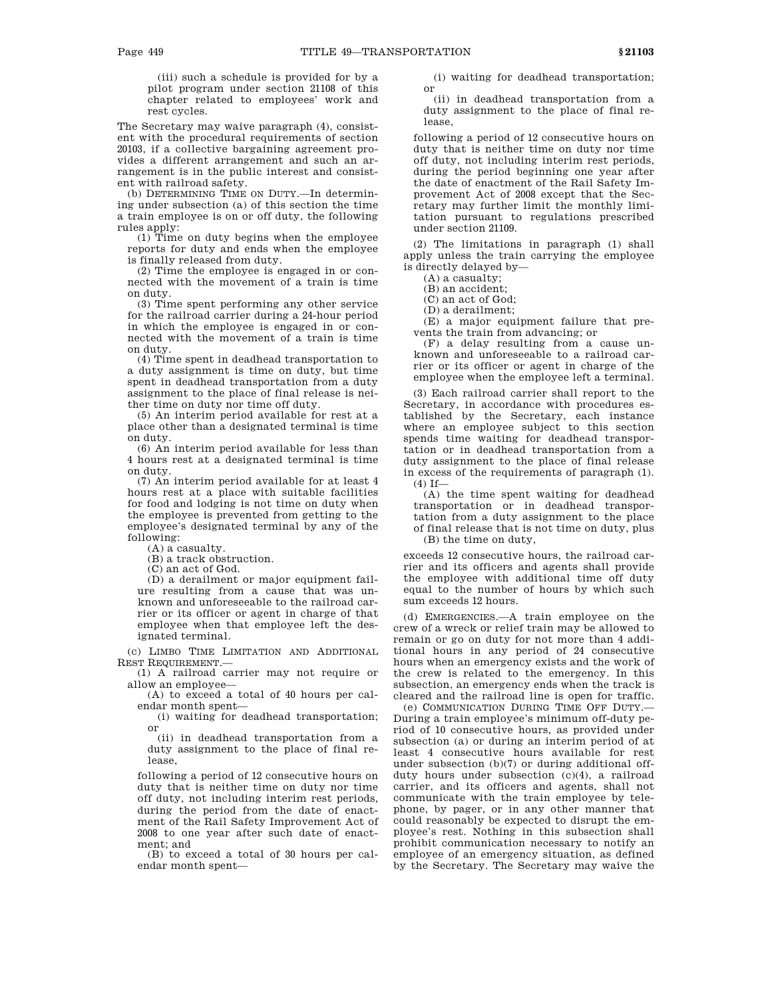(iii) such a schedule is provided for by a pilot program under section 21108 of this chapter related to employees' work and rest cycles.

The Secretary may waive paragraph (4), consistent with the procedural requirements of section 20103, if a collective bargaining agreement provides a different arrangement and such an arrangement is in the public interest and consistent with railroad safety.

(b) DETERMINING TIME ON DUTY.—In determining under subsection (a) of this section the time a train employee is on or off duty, the following rules apply:

(1) Time on duty begins when the employee reports for duty and ends when the employee is finally released from duty.

(2) Time the employee is engaged in or connected with the movement of a train is time on duty.

(3) Time spent performing any other service for the railroad carrier during a 24-hour period in which the employee is engaged in or connected with the movement of a train is time on duty.

(4) Time spent in deadhead transportation to a duty assignment is time on duty, but time spent in deadhead transportation from a duty assignment to the place of final release is neither time on duty nor time off duty.

(5) An interim period available for rest at a place other than a designated terminal is time on duty.

(6) An interim period available for less than 4 hours rest at a designated terminal is time on duty.

(7) An interim period available for at least 4 hours rest at a place with suitable facilities for food and lodging is not time on duty when the employee is prevented from getting to the employee's designated terminal by any of the following:

(A) a casualty.

(B) a track obstruction.

(C) an act of God.

(D) a derailment or major equipment failure resulting from a cause that was unknown and unforeseeable to the railroad carrier or its officer or agent in charge of that employee when that employee left the designated terminal.

(c) LIMBO TIME LIMITATION AND ADDITIONAL REST REQUIREMENT.—

(1) A railroad carrier may not require or allow an employee—

(A) to exceed a total of 40 hours per calendar month spent—

(i) waiting for deadhead transportation; or

(ii) in deadhead transportation from a duty assignment to the place of final release,

following a period of 12 consecutive hours on duty that is neither time on duty nor time off duty, not including interim rest periods, during the period from the date of enactment of the Rail Safety Improvement Act of 2008 to one year after such date of enactment; and

(B) to exceed a total of 30 hours per calendar month spent—

(i) waiting for deadhead transportation; or

(ii) in deadhead transportation from a duty assignment to the place of final release,

following a period of 12 consecutive hours on duty that is neither time on duty nor time off duty, not including interim rest periods, during the period beginning one year after the date of enactment of the Rail Safety Improvement Act of 2008 except that the Secretary may further limit the monthly limitation pursuant to regulations prescribed under section 21109.

(2) The limitations in paragraph (1) shall apply unless the train carrying the employee is directly delayed by—

(A) a casualty;

(B) an accident;

(C) an act of God;

(D) a derailment;

(E) a major equipment failure that prevents the train from advancing; or

(F) a delay resulting from a cause unknown and unforeseeable to a railroad carrier or its officer or agent in charge of the employee when the employee left a terminal.

(3) Each railroad carrier shall report to the Secretary, in accordance with procedures established by the Secretary, each instance where an employee subject to this section spends time waiting for deadhead transportation or in deadhead transportation from a duty assignment to the place of final release in excess of the requirements of paragraph (1).  $(4)$  If—

(A) the time spent waiting for deadhead transportation or in deadhead transportation from a duty assignment to the place of final release that is not time on duty, plus (B) the time on duty,

exceeds 12 consecutive hours, the railroad carrier and its officers and agents shall provide the employee with additional time off duty equal to the number of hours by which such sum exceeds 12 hours.

(d) EMERGENCIES.—A train employee on the crew of a wreck or relief train may be allowed to remain or go on duty for not more than 4 additional hours in any period of 24 consecutive hours when an emergency exists and the work of the crew is related to the emergency. In this subsection, an emergency ends when the track is cleared and the railroad line is open for traffic.

(e) COMMUNICATION DURING TIME OFF DUTY.— During a train employee's minimum off-duty period of 10 consecutive hours, as provided under subsection (a) or during an interim period of at least 4 consecutive hours available for rest under subsection (b)(7) or during additional offduty hours under subsection (c)(4), a railroad carrier, and its officers and agents, shall not communicate with the train employee by telephone, by pager, or in any other manner that could reasonably be expected to disrupt the employee's rest. Nothing in this subsection shall prohibit communication necessary to notify an employee of an emergency situation, as defined by the Secretary. The Secretary may waive the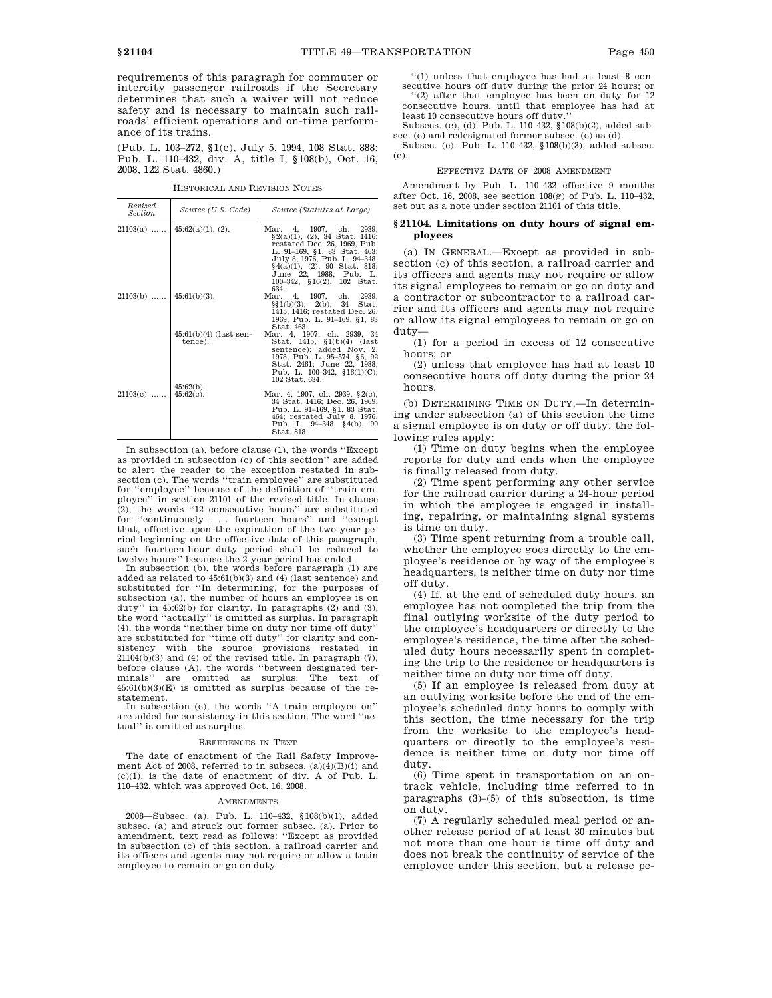requirements of this paragraph for commuter or intercity passenger railroads if the Secretary determines that such a waiver will not reduce safety and is necessary to maintain such railroads' efficient operations and on-time performance of its trains.

(Pub. L. 103–272, §1(e), July 5, 1994, 108 Stat. 888; Pub. L. 110–432, div. A, title I, §108(b), Oct. 16, 2008, 122 Stat. 4860.)

| Revised<br><i>Section</i> | Source (U.S. Code)                  | Source (Statutes at Large)                                                                                                                                                                                                                                      |
|---------------------------|-------------------------------------|-----------------------------------------------------------------------------------------------------------------------------------------------------------------------------------------------------------------------------------------------------------------|
| $21103(a)$                | $45:62(a)(1), (2)$ .                | Mar. 4, 1907, ch. 2939,<br>$\S2(a)(1)$ , (2), 34 Stat. 1416;<br>restated Dec. 26, 1969, Pub.<br>L. 91–169, §1, 83 Stat. 463;<br>July 8, 1976, Pub. L. 94-348,<br>$§4(a)(1), (2), 90$ Stat. 818;<br>June 22, 1988, Pub. L.<br>100-342, §16(2), 102 Stat.<br>634. |
| $21103(b)$                | $45:61(b)(3)$ .                     | Mar. 4, 1907, ch. 2939,<br>$\S(1(b)(3), 2(b), 34$ Stat.<br>1415, 1416; restated Dec. 26,<br>1969, Pub. L. 91–169, §1, 83<br>Stat. 463.                                                                                                                          |
|                           | $45:61(b)(4)$ (last sen-<br>tence). | Mar. 4, 1907, ch. 2939, 34<br>Stat. 1415, §1(b)(4) (last<br>sentence); added Nov. 2,<br>1978, Pub. L. 95–574, §6, 92<br>Stat. 2461; June 22, 1988.<br>Pub. L. $100-342$ , $$16(1)(C)$ ,<br>102 Stat. 634.                                                       |
| $21103(c)$                | $45:62(b)$ .<br>$45:62(c)$ .        | Mar. 4, 1907, ch. 2939, $\S2(c)$ ,<br>34 Stat. 1416; Dec. 26, 1969,<br>Pub. L. 91–169, §1, 83 Stat.<br>464; restated July 8, 1976.<br>Pub. L. $94-348$ , $§4(b)$ , $90$<br>Stat. 818.                                                                           |

HISTORICAL AND REVISION NOTES

In subsection (a), before clause (1), the words ''Except as provided in subsection (c) of this section'' are added to alert the reader to the exception restated in subsection (c). The words ''train employee'' are substituted for ''employee'' because of the definition of ''train employee'' in section 21101 of the revised title. In clause (2), the words ''12 consecutive hours'' are substituted for ''continuously . . . fourteen hours'' and ''except that, effective upon the expiration of the two-year period beginning on the effective date of this paragraph, such fourteen-hour duty period shall be reduced to twelve hours'' because the 2-year period has ended.

In subsection (b), the words before paragraph (1) are added as related to 45:61(b)(3) and (4) (last sentence) and substituted for ''In determining, for the purposes of subsection (a), the number of hours an employee is on duty'' in 45:62(b) for clarity. In paragraphs (2) and (3), the word ''actually'' is omitted as surplus. In paragraph (4), the words ''neither time on duty nor time off duty'' are substituted for ''time off duty'' for clarity and consistency with the source provisions restated in 21104(b)(3) and (4) of the revised title. In paragraph (7), before clause (A), the words ''between designated terminals'' are omitted as surplus. The text of 45:61(b)(3)(E) is omitted as surplus because of the restatement.

In subsection (c), the words ''A train employee on'' are added for consistency in this section. The word ''actual'' is omitted as surplus.

### REFERENCES IN TEXT

The date of enactment of the Rail Safety Improvement Act of 2008, referred to in subsecs. (a)(4)(B)(i) and (c)(1), is the date of enactment of div. A of Pub. L. 110–432, which was approved Oct. 16, 2008.

# AMENDMENTS

2008—Subsec. (a). Pub. L. 110–432, §108(b)(1), added subsec. (a) and struck out former subsec. (a). Prior to amendment, text read as follows: ''Except as provided in subsection (c) of this section, a railroad carrier and its officers and agents may not require or allow a train employee to remain or go on duty-

''(1) unless that employee has had at least 8 consecutive hours off duty during the prior 24 hours; or

''(2) after that employee has been on duty for 12 consecutive hours, until that employee has had at least 10 consecutive hours off duty.

Subsecs. (c), (d). Pub. L. 110–432, §108(b)(2), added subsec. (c) and redesignated former subsec. (c) as (d).

Subsec. (e). Pub. L. 110–432, §108(b)(3), added subsec. (e).

### EFFECTIVE DATE OF 2008 AMENDMENT

Amendment by Pub. L. 110–432 effective 9 months after Oct. 16, 2008, see section 108(g) of Pub. L. 110–432, set out as a note under section 21101 of this title.

# **§ 21104. Limitations on duty hours of signal employees**

(a) IN GENERAL.—Except as provided in subsection (c) of this section, a railroad carrier and its officers and agents may not require or allow its signal employees to remain or go on duty and a contractor or subcontractor to a railroad carrier and its officers and agents may not require or allow its signal employees to remain or go on duty—

(1) for a period in excess of 12 consecutive hours; or

(2) unless that employee has had at least 10 consecutive hours off duty during the prior 24 hours.

(b) DETERMINING TIME ON DUTY.—In determining under subsection (a) of this section the time a signal employee is on duty or off duty, the following rules apply:

(1) Time on duty begins when the employee reports for duty and ends when the employee is finally released from duty.

(2) Time spent performing any other service for the railroad carrier during a 24-hour period in which the employee is engaged in installing, repairing, or maintaining signal systems is time on duty.

(3) Time spent returning from a trouble call, whether the employee goes directly to the employee's residence or by way of the employee's headquarters, is neither time on duty nor time off duty.

(4) If, at the end of scheduled duty hours, an employee has not completed the trip from the final outlying worksite of the duty period to the employee's headquarters or directly to the employee's residence, the time after the scheduled duty hours necessarily spent in completing the trip to the residence or headquarters is neither time on duty nor time off duty.

(5) If an employee is released from duty at an outlying worksite before the end of the employee's scheduled duty hours to comply with this section, the time necessary for the trip from the worksite to the employee's headquarters or directly to the employee's residence is neither time on duty nor time off duty.

(6) Time spent in transportation on an ontrack vehicle, including time referred to in paragraphs (3)–(5) of this subsection, is time on duty.

(7) A regularly scheduled meal period or another release period of at least 30 minutes but not more than one hour is time off duty and does not break the continuity of service of the employee under this section, but a release pe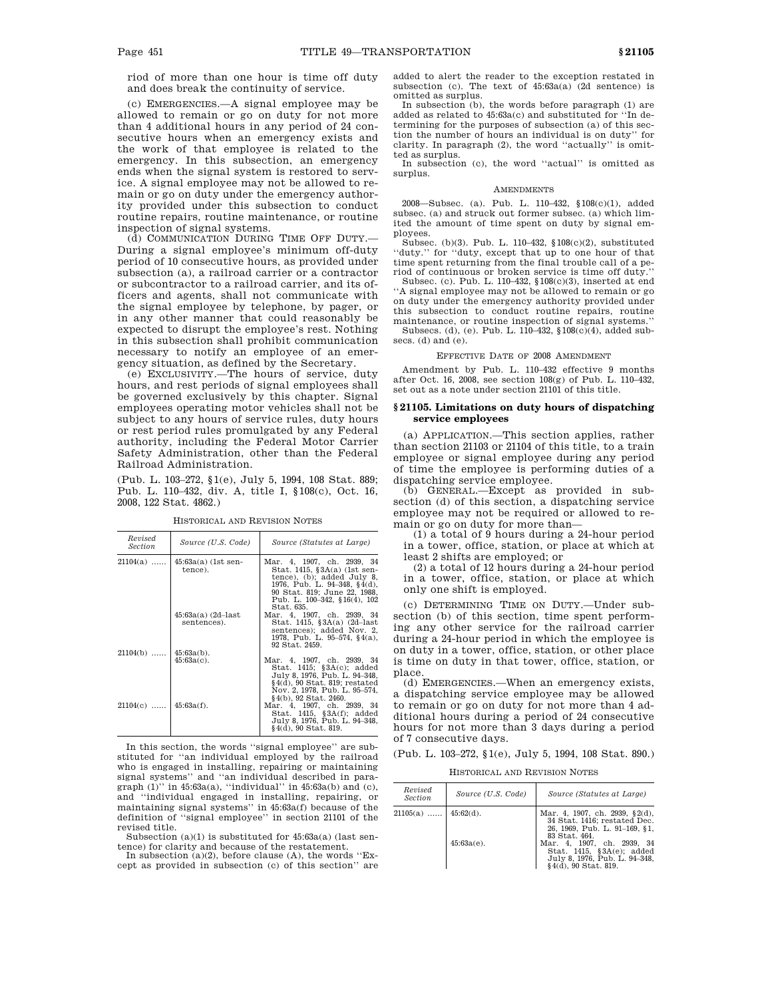riod of more than one hour is time off duty and does break the continuity of service.

(c) EMERGENCIES.—A signal employee may be allowed to remain or go on duty for not more than 4 additional hours in any period of 24 consecutive hours when an emergency exists and the work of that employee is related to the emergency. In this subsection, an emergency ends when the signal system is restored to service. A signal employee may not be allowed to remain or go on duty under the emergency authority provided under this subsection to conduct routine repairs, routine maintenance, or routine inspection of signal systems.

(d) COMMUNICATION DURING TIME OFF DUTY.— During a signal employee's minimum off-duty period of 10 consecutive hours, as provided under subsection (a), a railroad carrier or a contractor or subcontractor to a railroad carrier, and its officers and agents, shall not communicate with the signal employee by telephone, by pager, or in any other manner that could reasonably be expected to disrupt the employee's rest. Nothing in this subsection shall prohibit communication necessary to notify an employee of an emergency situation, as defined by the Secretary.

(e) EXCLUSIVITY.—The hours of service, duty hours, and rest periods of signal employees shall be governed exclusively by this chapter. Signal employees operating motor vehicles shall not be subject to any hours of service rules, duty hours or rest period rules promulgated by any Federal authority, including the Federal Motor Carrier Safety Administration, other than the Federal Railroad Administration.

(Pub. L. 103–272, §1(e), July 5, 1994, 108 Stat. 889; Pub. L. 110–432, div. A, title I, §108(c), Oct. 16, 2008, 122 Stat. 4862.)

| Revised<br>Section      | Source (U.S. Code)                   | Source (Statutes at Large)                                                                                                                                                                                     |
|-------------------------|--------------------------------------|----------------------------------------------------------------------------------------------------------------------------------------------------------------------------------------------------------------|
| $21104(a)$              | $45:63a(a)$ (1st sen-<br>tence).     | Mar. 4, 1907, ch. 2939, 34<br>Stat. 1415, §3A(a) (1st sen-<br>tence), (b); added July 8,<br>1976, Pub. L. 94-348, §4(d),<br>90 Stat. 819; June 22, 1988.<br>Pub. L. $100-342$ , $$16(4)$ , $102$<br>Stat. 635. |
|                         | $45:63a(a)$ (2d-last)<br>sentences). | Mar. 4, 1907, ch. 2939, 34<br>Stat. 1415, $$3A(a) (2d-last)$<br>sentences); added Nov. 2.<br>1978, Pub. L. 95-574, $\S$ 4(a),<br>92 Stat. 2459.                                                                |
| $21104(b)$              | $45:63a(b)$ .<br>$45:63a(c)$ .       | Mar. 4, 1907, ch. 2939, 34<br>Stat. $1415$ ; $$3A(c)$ ; added<br>July 8, 1976, Pub. L. 94-348,<br>$§4(d), 90$ Stat. 819; restated<br>Nov. 2, 1978, Pub. L. 95–574,<br>§4(b), 92 Stat. 2460.                    |
| $21104(c)$   45:63a(f). |                                      | Mar. 4, 1907, ch. 2939, 34<br>Stat. $1415, \S3A(f)$ ; added<br>July 8, 1976, Pub. L. 94–348,<br>$§4(d), 90$ Stat. 819.                                                                                         |

HISTORICAL AND REVISION NOTES

In this section, the words ''signal employee'' are substituted for ''an individual employed by the railroad who is engaged in installing, repairing or maintaining signal systems'' and ''an individual described in paragraph (1)'' in 45:63a(a), ''individual'' in 45:63a(b) and (c), and ''individual engaged in installing, repairing, or maintaining signal systems'' in 45:63a(f) because of the definition of ''signal employee'' in section 21101 of the revised title.

Subsection (a)(1) is substituted for 45:63a(a) (last sentence) for clarity and because of the restatement.

In subsection (a)(2), before clause (A), the words "Except as provided in subsection (c) of this section'' are added to alert the reader to the exception restated in subsection (c). The text of  $45:63a(a)$  (2d sentence) is omitted as surplus.

In subsection (b), the words before paragraph (1) are added as related to 45:63a(c) and substituted for ''In determining for the purposes of subsection (a) of this section the number of hours an individual is on duty'' for clarity. In paragraph (2), the word ''actually'' is omitted as surplus.

In subsection (c), the word ''actual'' is omitted as surplus.

### **AMENDMENTS**

2008—Subsec. (a). Pub. L. 110–432, §108(c)(1), added subsec. (a) and struck out former subsec. (a) which limited the amount of time spent on duty by signal employees.

Subsec. (b)(3). Pub. L. 110–432, §108(c)(2), substituted ''duty.'' for ''duty, except that up to one hour of that time spent returning from the final trouble call of a period of continuous or broken service is time off duty.

Subsec. (c). Pub. L. 110–432, §108(c)(3), inserted at end 'A signal employee may not be allowed to remain or go on duty under the emergency authority provided under this subsection to conduct routine repairs, routine maintenance, or routine inspection of signal systems.'' Subsecs. (d), (e). Pub. L. 110–432, §108(c)(4), added subsecs. (d) and (e).

EFFECTIVE DATE OF 2008 AMENDMENT

Amendment by Pub. L. 110–432 effective 9 months after Oct. 16, 2008, see section 108(g) of Pub. L. 110–432, set out as a note under section 21101 of this title.

### **§ 21105. Limitations on duty hours of dispatching service employees**

(a) APPLICATION.—This section applies, rather than section 21103 or 21104 of this title, to a train employee or signal employee during any period of time the employee is performing duties of a dispatching service employee.

(b) GENERAL.—Except as provided in subsection (d) of this section, a dispatching service employee may not be required or allowed to remain or go on duty for more than—

(1) a total of  $9$  hours during a 24-hour period in a tower, office, station, or place at which at least 2 shifts are employed; or

(2) a total of 12 hours during a 24-hour period in a tower, office, station, or place at which only one shift is employed.

(c) DETERMINING TIME ON DUTY.—Under subsection (b) of this section, time spent performing any other service for the railroad carrier during a 24-hour period in which the employee is on duty in a tower, office, station, or other place is time on duty in that tower, office, station, or place.

(d) EMERGENCIES.—When an emergency exists, a dispatching service employee may be allowed to remain or go on duty for not more than 4 additional hours during a period of 24 consecutive hours for not more than 3 days during a period of 7 consecutive days.

(Pub. L. 103–272, §1(e), July 5, 1994, 108 Stat. 890.)

HISTORICAL AND REVISION NOTES

| Revised<br>Section     | Source (U.S. Code) | Source (Statutes at Large)                                                                                                                                                     |
|------------------------|--------------------|--------------------------------------------------------------------------------------------------------------------------------------------------------------------------------|
| $21105(a)$   45:62(d). | $45:63a(e)$ .      | Mar. 4, 1907, ch. 2939, §2(d),<br>34 Stat. 1416: restated Dec.<br>26. 1969. Pub. L. 91-169. §1.<br>83 Stat. 464.<br>Mar. 4, 1907, ch. 2939, 34<br>Stat. 1415, $$3A(e)$; added$ |
|                        |                    | July 8, 1976, Pub. L. 94-348.<br>$§4(d), 90$ Stat. 819.                                                                                                                        |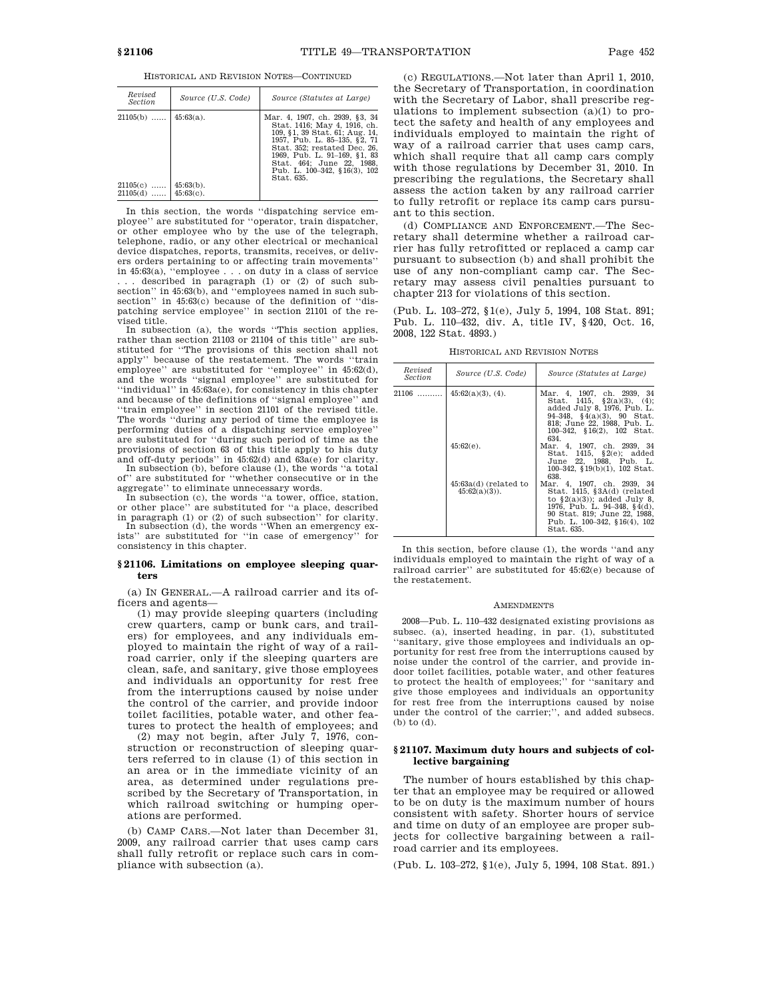HISTORICAL AND REVISION NOTES—CONTINUED

| Revised<br><i>Section</i>              | Source (U.S. Code)                           | Source (Statutes at Large)                                                                                                                                                                                                                                                  |
|----------------------------------------|----------------------------------------------|-----------------------------------------------------------------------------------------------------------------------------------------------------------------------------------------------------------------------------------------------------------------------------|
| $21105(b)$<br>$21105(c)$<br>$21105(d)$ | $45:63(a)$ .<br>$45:63(b)$ .<br>$45:63(c)$ . | Mar. 4, 1907, ch. 2939, §3, 34<br>Stat. 1416; May 4, 1916, ch.<br>109, §1, 39 Stat. 61; Aug. 14,<br>1957, Pub. L. 85-135, §2, 71<br>Stat. 352: restated Dec. 26.<br>1969, Pub. L. 91-169, §1, 83<br>Stat. 464: June 22. 1988.<br>Pub. L. 100-342, §16(3), 102<br>Stat. 635. |

In this section, the words ''dispatching service employee'' are substituted for ''operator, train dispatcher, or other employee who by the use of the telegraph, telephone, radio, or any other electrical or mechanical device dispatches, reports, transmits, receives, or delivers orders pertaining to or affecting train movements'' in 45:63(a), ''employee . . . on duty in a class of service . . . described in paragraph (1) or (2) of such sub-section'' in 45:63(b), and ''employees named in such subsection'' in 45:63(c) because of the definition of ''dis-patching service employee'' in section 21101 of the revised title.

In subsection (a), the words ''This section applies, rather than section 21103 or 21104 of this title'' are substituted for ''The provisions of this section shall not apply'' because of the restatement. The words ''train employee" are substituted for "employee" in  $45.62(d)$ , and the words ''signal employee'' are substituted for ''individual'' in 45:63a(e), for consistency in this chapter and because of the definitions of ''signal employee'' and ''train employee'' in section 21101 of the revised title. The words ''during any period of time the employee is performing duties of a dispatching service employee'' are substituted for ''during such period of time as the provisions of section 63 of this title apply to his duty and off-duty periods'' in 45:62(d) and 63a(e) for clarity.

In subsection (b), before clause (1), the words ''a total of'' are substituted for ''whether consecutive or in the aggregate'' to eliminate unnecessary words.

In subsection (c), the words ''a tower, office, station, or other place'' are substituted for ''a place, described in paragraph (1) or (2) of such subsection'' for clarity. In subsection (d), the words ''When an emergency exists'' are substituted for ''in case of emergency'' for consistency in this chapter.

### **§ 21106. Limitations on employee sleeping quarters**

(a) IN GENERAL.—A railroad carrier and its officers and agents—

(1) may provide sleeping quarters (including crew quarters, camp or bunk cars, and trailers) for employees, and any individuals employed to maintain the right of way of a railroad carrier, only if the sleeping quarters are clean, safe, and sanitary, give those employees and individuals an opportunity for rest free from the interruptions caused by noise under the control of the carrier, and provide indoor toilet facilities, potable water, and other features to protect the health of employees; and

(2) may not begin, after July 7, 1976, construction or reconstruction of sleeping quarters referred to in clause (1) of this section in an area or in the immediate vicinity of an area, as determined under regulations prescribed by the Secretary of Transportation, in which railroad switching or humping operations are performed.

(b) CAMP CARS.—Not later than December 31, 2009, any railroad carrier that uses camp cars shall fully retrofit or replace such cars in compliance with subsection (a).

(c) REGULATIONS.—Not later than April 1, 2010, the Secretary of Transportation, in coordination with the Secretary of Labor, shall prescribe regulations to implement subsection (a)(1) to protect the safety and health of any employees and individuals employed to maintain the right of way of a railroad carrier that uses camp cars, which shall require that all camp cars comply with those regulations by December 31, 2010. In prescribing the regulations, the Secretary shall assess the action taken by any railroad carrier to fully retrofit or replace its camp cars pursuant to this section.

(d) COMPLIANCE AND ENFORCEMENT.—The Secretary shall determine whether a railroad carrier has fully retrofitted or replaced a camp car pursuant to subsection (b) and shall prohibit the use of any non-compliant camp car. The Secretary may assess civil penalties pursuant to chapter 213 for violations of this section.

(Pub. L. 103–272, §1(e), July 5, 1994, 108 Stat. 891; Pub. L. 110–432, div. A, title IV, §420, Oct. 16, 2008, 122 Stat. 4893.)

HISTORICAL AND REVISION NOTES

| Revised<br><i>Section</i> | Source (U.S. Code)                         | Source (Statutes at Large)                                                                                                                                                                                  |
|---------------------------|--------------------------------------------|-------------------------------------------------------------------------------------------------------------------------------------------------------------------------------------------------------------|
|                           | $21106$   45:62(a)(3), (4).                | Mar. 4, 1907, ch. 2939, 34<br>Stat. 1415, $\S2(a)(3)$ , (4);<br>added July 8, 1976, Pub. L.<br>$94-348$ , $§4(a)(3)$ , 90 Stat.<br>818; June 22, 1988, Pub. L.<br>100-342, §16(2), 102 Stat.<br>634.        |
|                           | $45:62(e)$ .                               | Mar. 4, 1907, ch. 2939, 34<br>Stat. 1415, §2(e); added<br>June 22, 1988, Pub. L.<br>100-342, §19(b)(1), 102 Stat.<br>638.                                                                                   |
|                           | $45:63a(d)$ (related to<br>$45:62(a)(3)$ . | Mar. 4, 1907, ch. 2939, 34<br>Stat. 1415, $$3A(d)$ (related<br>to $\S2(a)(3)$ ; added July 8,<br>1976, Pub. L. 94–348, §4(d),<br>90 Stat. 819; June 22, 1988.<br>Pub. L. 100-342, §16(4), 102<br>Stat. 635. |

In this section, before clause (1), the words ''and any individuals employed to maintain the right of way of a railroad carrier'' are substituted for 45:62(e) because of the restatement.

#### **AMENDMENTS**

2008—Pub. L. 110–432 designated existing provisions as subsec. (a), inserted heading, in par. (1), substituted ''sanitary, give those employees and individuals an opportunity for rest free from the interruptions caused by noise under the control of the carrier, and provide indoor toilet facilities, potable water, and other features to protect the health of employees;'' for ''sanitary and give those employees and individuals an opportunity for rest free from the interruptions caused by noise under the control of the carrier;'', and added subsecs. (b) to (d).

# **§ 21107. Maximum duty hours and subjects of collective bargaining**

The number of hours established by this chapter that an employee may be required or allowed to be on duty is the maximum number of hours consistent with safety. Shorter hours of service and time on duty of an employee are proper subjects for collective bargaining between a railroad carrier and its employees.

(Pub. L. 103–272, §1(e), July 5, 1994, 108 Stat. 891.)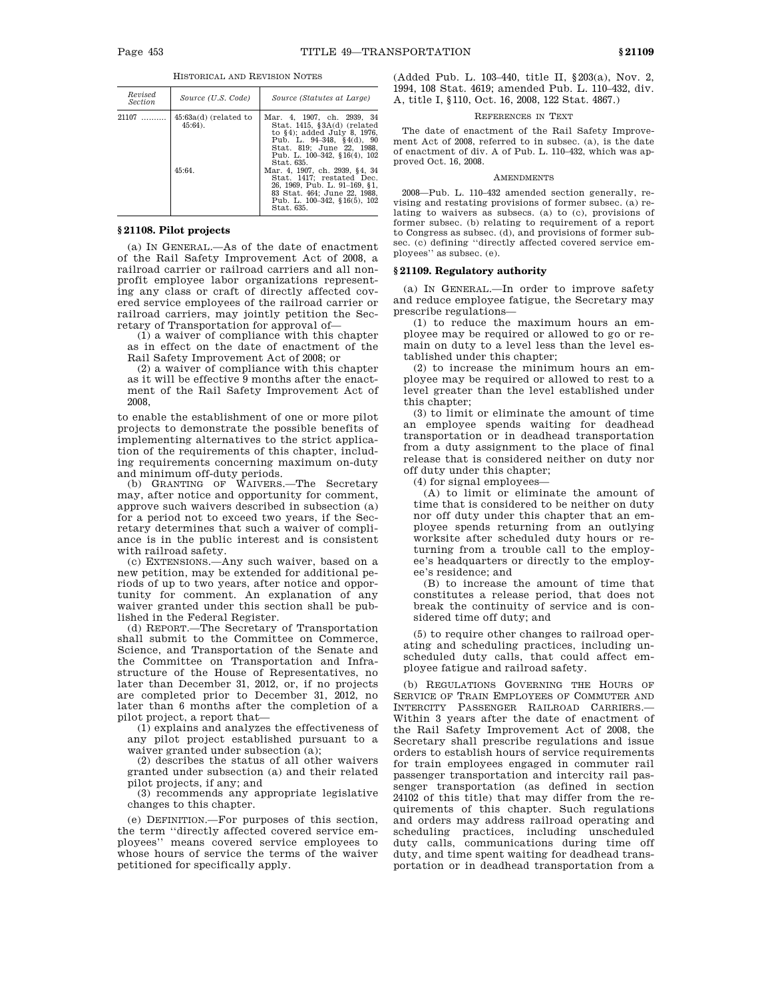|  | HISTORICAL AND REVISION NOTES |
|--|-------------------------------|
|--|-------------------------------|

| Revised<br><i>Section</i> | Source (U.S. Code)                              | Source (Statutes at Large)                                                                                                                                                                                                                                                                                                                                                                        |
|---------------------------|-------------------------------------------------|---------------------------------------------------------------------------------------------------------------------------------------------------------------------------------------------------------------------------------------------------------------------------------------------------------------------------------------------------------------------------------------------------|
| $21107$                   | $45:63a(d)$ (related to<br>$45:64$ ).<br>45:64. | Mar. 4, 1907, ch. 2939, 34<br>Stat. $1415, \,$ \$3A $(d)$ (related<br>to $§4$ ; added July 8, 1976,<br>Pub. L. $94-348$ , $§4(d)$ , $90$<br>Stat. 819; June 22, 1988.<br>Pub. L. 100-342, §16(4), 102<br>Stat. 635.<br>Mar. 4, 1907. ch. 2939. §4. 34<br>Stat. 1417: restated Dec.<br>26, 1969, Pub. L. 91-169, §1.<br>83 Stat. 464; June 22, 1988.<br>Pub. L. 100-342, §16(5), 102<br>Stat. 635. |

# **§ 21108. Pilot projects**

(a) IN GENERAL.—As of the date of enactment of the Rail Safety Improvement Act of 2008, a railroad carrier or railroad carriers and all nonprofit employee labor organizations representing any class or craft of directly affected covered service employees of the railroad carrier or railroad carriers, may jointly petition the Secretary of Transportation for approval of—

(1) a waiver of compliance with this chapter as in effect on the date of enactment of the Rail Safety Improvement Act of 2008; or

(2) a waiver of compliance with this chapter as it will be effective 9 months after the enactment of the Rail Safety Improvement Act of 2008,

to enable the establishment of one or more pilot projects to demonstrate the possible benefits of implementing alternatives to the strict application of the requirements of this chapter, including requirements concerning maximum on-duty and minimum off-duty periods.

(b) GRANTING OF WAIVERS.—The Secretary may, after notice and opportunity for comment, approve such waivers described in subsection (a) for a period not to exceed two years, if the Secretary determines that such a waiver of compliance is in the public interest and is consistent with railroad safety.

(c) EXTENSIONS.—Any such waiver, based on a new petition, may be extended for additional periods of up to two years, after notice and opportunity for comment. An explanation of any waiver granted under this section shall be published in the Federal Register.

(d) REPORT.—The Secretary of Transportation shall submit to the Committee on Commerce, Science, and Transportation of the Senate and the Committee on Transportation and Infrastructure of the House of Representatives, no later than December 31, 2012, or, if no projects are completed prior to December 31, 2012, no later than 6 months after the completion of a pilot project, a report that—

(1) explains and analyzes the effectiveness of any pilot project established pursuant to a waiver granted under subsection (a);

(2) describes the status of all other waivers granted under subsection (a) and their related pilot projects, if any; and

(3) recommends any appropriate legislative changes to this chapter.

(e) DEFINITION.—For purposes of this section, the term ''directly affected covered service employees'' means covered service employees to whose hours of service the terms of the waiver petitioned for specifically apply.

(Added Pub. L. 103–440, title II, §203(a), Nov. 2, 1994, 108 Stat. 4619; amended Pub. L. 110–432, div. A, title I, §110, Oct. 16, 2008, 122 Stat. 4867.)

# REFERENCES IN TEXT

The date of enactment of the Rail Safety Improvement Act of 2008, referred to in subsec. (a), is the date of enactment of div. A of Pub. L. 110–432, which was approved Oct. 16, 2008.

#### AMENDMENTS

2008—Pub. L. 110–432 amended section generally, revising and restating provisions of former subsec. (a) relating to waivers as subsecs. (a) to (c), provisions of former subsec. (b) relating to requirement of a report to Congress as subsec. (d), and provisions of former subsec. (c) defining ''directly affected covered service employees'' as subsec. (e).

### **§ 21109. Regulatory authority**

(a) IN GENERAL.—In order to improve safety and reduce employee fatigue, the Secretary may prescribe regulations—

(1) to reduce the maximum hours an employee may be required or allowed to go or remain on duty to a level less than the level established under this chapter;

(2) to increase the minimum hours an employee may be required or allowed to rest to a level greater than the level established under this chapter;

(3) to limit or eliminate the amount of time an employee spends waiting for deadhead transportation or in deadhead transportation from a duty assignment to the place of final release that is considered neither on duty nor off duty under this chapter;

(4) for signal employees—

(A) to limit or eliminate the amount of time that is considered to be neither on duty nor off duty under this chapter that an employee spends returning from an outlying worksite after scheduled duty hours or returning from a trouble call to the employee's headquarters or directly to the employee's residence; and

(B) to increase the amount of time that constitutes a release period, that does not break the continuity of service and is considered time off duty; and

(5) to require other changes to railroad operating and scheduling practices, including unscheduled duty calls, that could affect employee fatigue and railroad safety.

(b) REGULATIONS GOVERNING THE HOURS OF SERVICE OF TRAIN EMPLOYEES OF COMMUTER AND INTERCITY PASSENGER RAILROAD CARRIERS.— Within 3 years after the date of enactment of the Rail Safety Improvement Act of 2008, the Secretary shall prescribe regulations and issue orders to establish hours of service requirements for train employees engaged in commuter rail passenger transportation and intercity rail passenger transportation (as defined in section 24102 of this title) that may differ from the requirements of this chapter. Such regulations and orders may address railroad operating and scheduling practices, including unscheduled duty calls, communications during time off duty, and time spent waiting for deadhead transportation or in deadhead transportation from a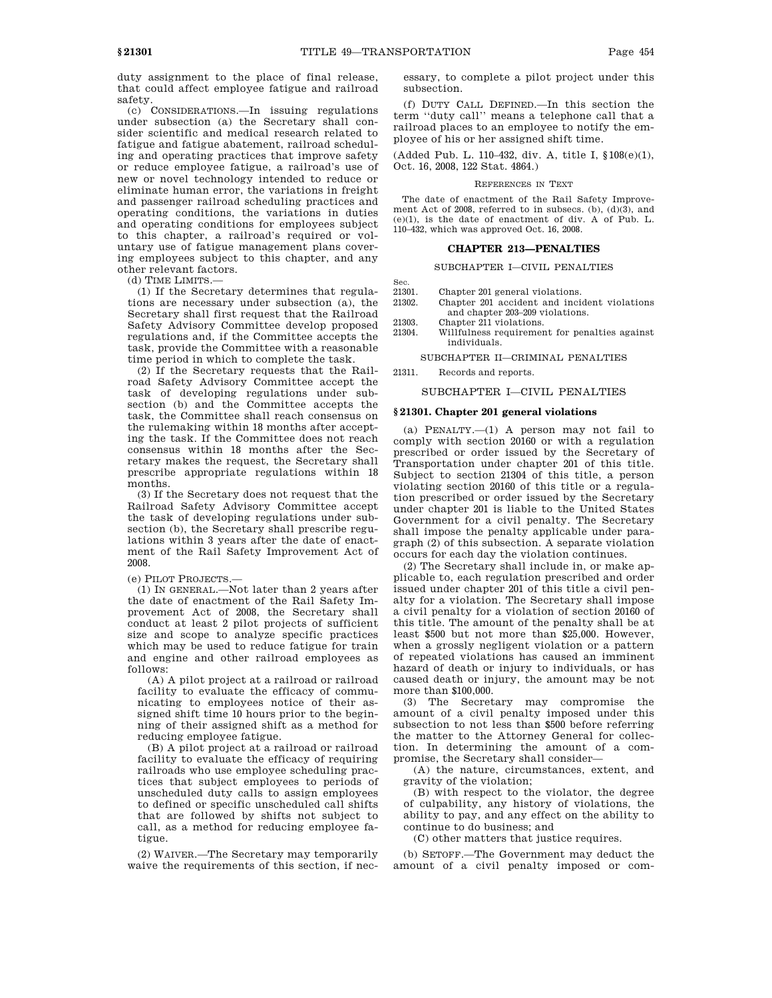duty assignment to the place of final release, that could affect employee fatigue and railroad safety.

(c) CONSIDERATIONS.—In issuing regulations under subsection (a) the Secretary shall consider scientific and medical research related to fatigue and fatigue abatement, railroad scheduling and operating practices that improve safety or reduce employee fatigue, a railroad's use of new or novel technology intended to reduce or eliminate human error, the variations in freight and passenger railroad scheduling practices and operating conditions, the variations in duties and operating conditions for employees subject to this chapter, a railroad's required or voluntary use of fatigue management plans covering employees subject to this chapter, and any other relevant factors.

(d) TIME LIMITS.—

(1) If the Secretary determines that regulations are necessary under subsection (a), the Secretary shall first request that the Railroad Safety Advisory Committee develop proposed regulations and, if the Committee accepts the task, provide the Committee with a reasonable time period in which to complete the task.

(2) If the Secretary requests that the Railroad Safety Advisory Committee accept the task of developing regulations under subsection (b) and the Committee accepts the task, the Committee shall reach consensus on the rulemaking within 18 months after accepting the task. If the Committee does not reach consensus within 18 months after the Secretary makes the request, the Secretary shall prescribe appropriate regulations within 18 months.

(3) If the Secretary does not request that the Railroad Safety Advisory Committee accept the task of developing regulations under subsection (b), the Secretary shall prescribe regulations within 3 years after the date of enactment of the Rail Safety Improvement Act of 2008.

(e) PILOT PROJECTS.—

(1) IN GENERAL.—Not later than 2 years after the date of enactment of the Rail Safety Improvement Act of 2008, the Secretary shall conduct at least 2 pilot projects of sufficient size and scope to analyze specific practices which may be used to reduce fatigue for train and engine and other railroad employees as follows:

(A) A pilot project at a railroad or railroad facility to evaluate the efficacy of communicating to employees notice of their assigned shift time 10 hours prior to the beginning of their assigned shift as a method for reducing employee fatigue.

(B) A pilot project at a railroad or railroad facility to evaluate the efficacy of requiring railroads who use employee scheduling practices that subject employees to periods of unscheduled duty calls to assign employees to defined or specific unscheduled call shifts that are followed by shifts not subject to call, as a method for reducing employee fatigue.

(2) WAIVER.—The Secretary may temporarily waive the requirements of this section, if nec-

essary, to complete a pilot project under this subsection.

(f) DUTY CALL DEFINED.—In this section the term ''duty call'' means a telephone call that a railroad places to an employee to notify the employee of his or her assigned shift time.

(Added Pub. L. 110–432, div. A, title I, §108(e)(1), Oct. 16, 2008, 122 Stat. 4864.)

#### REFERENCES IN TEXT

The date of enactment of the Rail Safety Improvement Act of 2008, referred to in subsecs. (b), (d)(3), and (e)(1), is the date of enactment of div. A of Pub. L. 110–432, which was approved Oct. 16, 2008.

### **CHAPTER 213—PENALTIES**

# SUBCHAPTER I—CIVIL PENALTIES

- Sec.<br>21301.
- 21301. Chapter 201 general violations.<br>21302 Chapter 201 accident and inci Chapter 201 accident and incident violations and chapter 203–209 violations.
- 
- 21303. Chapter 211 violations.<br>21304. Willfulness requiremer Willfulness requirement for penalties against individuals.

SUBCHAPTER II—CRIMINAL PENALTIES

21311. Records and reports.

### SUBCHAPTER I—CIVIL PENALTIES

#### **§ 21301. Chapter 201 general violations**

(a) PENALTY.—(1) A person may not fail to comply with section 20160 or with a regulation prescribed or order issued by the Secretary of Transportation under chapter 201 of this title. Subject to section 21304 of this title, a person violating section 20160 of this title or a regulation prescribed or order issued by the Secretary under chapter 201 is liable to the United States Government for a civil penalty. The Secretary shall impose the penalty applicable under paragraph (2) of this subsection. A separate violation occurs for each day the violation continues.

(2) The Secretary shall include in, or make applicable to, each regulation prescribed and order issued under chapter 201 of this title a civil penalty for a violation. The Secretary shall impose a civil penalty for a violation of section 20160 of this title. The amount of the penalty shall be at least \$500 but not more than \$25,000. However, when a grossly negligent violation or a pattern of repeated violations has caused an imminent hazard of death or injury to individuals, or has caused death or injury, the amount may be not more than \$100,000.

(3) The Secretary may compromise the amount of a civil penalty imposed under this subsection to not less than \$500 before referring the matter to the Attorney General for collection. In determining the amount of a compromise, the Secretary shall consider—

(A) the nature, circumstances, extent, and gravity of the violation;

(B) with respect to the violator, the degree of culpability, any history of violations, the ability to pay, and any effect on the ability to continue to do business; and

(C) other matters that justice requires.

(b) SETOFF.—The Government may deduct the amount of a civil penalty imposed or com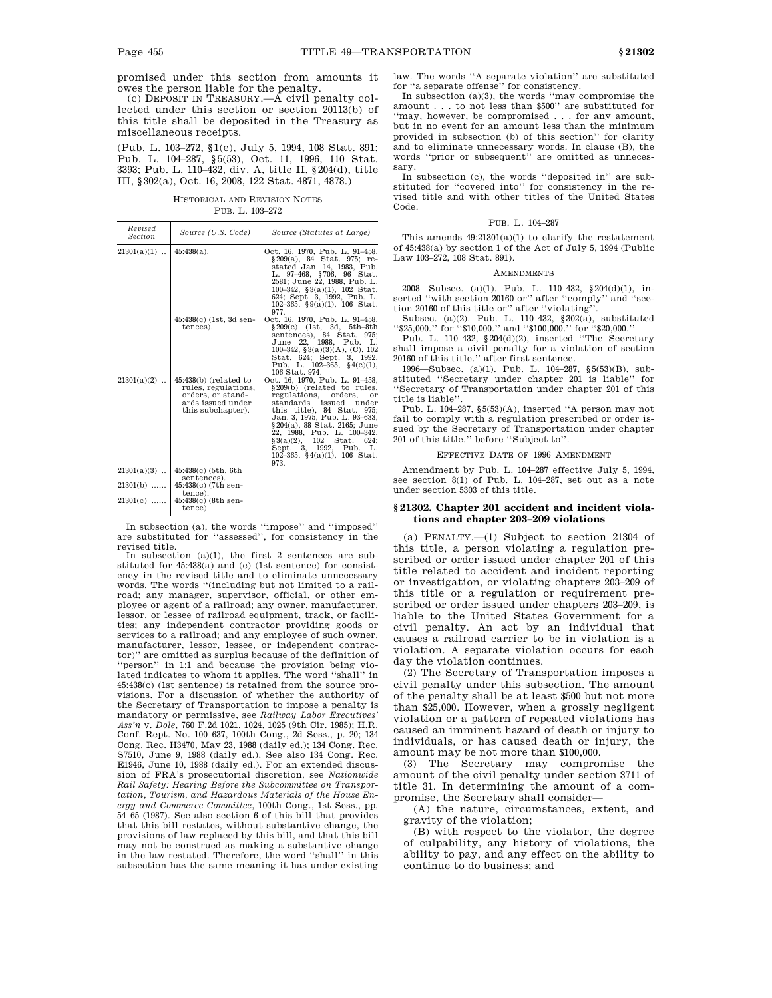promised under this section from amounts it owes the person liable for the penalty.

(c) DEPOSIT IN TREASURY.—A civil penalty collected under this section or section 20113(b) of this title shall be deposited in the Treasury as miscellaneous receipts.

(Pub. L. 103–272, §1(e), July 5, 1994, 108 Stat. 891; Pub. L. 104–287, §5(53), Oct. 11, 1996, 110 Stat. 3393; Pub. L. 110–432, div. A, title II, §204(d), title III, §302(a), Oct. 16, 2008, 122 Stat. 4871, 4878.)

HISTORICAL AND REVISION NOTES PUB. L. 103–272

| Revised<br><b>Section</b> | Source (U.S. Code)                                                                                          | Source (Statutes at Large)                                                                                                                                                                                                                                                                                                                                         |
|---------------------------|-------------------------------------------------------------------------------------------------------------|--------------------------------------------------------------------------------------------------------------------------------------------------------------------------------------------------------------------------------------------------------------------------------------------------------------------------------------------------------------------|
| $21301(a)(1)$             | $45:438(a)$ .                                                                                               | Oct. 16, 1970, Pub. L. 91-458,<br>§209(a), 84 Stat. 975; re-<br>stated Jan. 14, 1983, Pub.<br>L. 97-468, §706, 96 Stat.<br>2581; June 22, 1988, Pub. L.<br>100-342, §3(a)(1), 102 Stat.<br>624; Sept. 3, 1992, Pub. L.<br>102-365, $\S9(a)(1)$ , 106 Stat.<br>977.                                                                                                 |
|                           | 45:438(c) (1st, 3d sen-<br>tences).                                                                         | Oct. 16, 1970, Pub. L. 91-458,<br>$$209(c)$ (1st, 3d, 5th-8th<br>sentences), 84 Stat. 975;<br>June 22. 1988. Pub. L.<br>100-342, $\S 3(a)(3)(A)$ , (C), 102<br>Stat. 624; Sept. 3, 1992,<br>Pub. L. $102-365$ , $$4(c)(1)$ ,<br>106 Stat. 974.                                                                                                                     |
| $21301(a)(2)$             | 45:438(b) (related to<br>rules, regulations,<br>orders, or stand-<br>ards issued under<br>this subchapter). | Oct. 16, 1970, Pub. L. 91-458,<br>§209(b) (related to rules,<br>regulations,<br>orders.<br>or<br>standards issued<br>under<br>this title), 84 Stat. 975;<br>Jan. 3. 1975. Pub. L. 93–633.<br>§ 204(a), 88 Stat. 2165; June<br>22, 1988, Pub. L. 100–342,<br>$§3(a)(2), 102$ Stat.<br>624:<br>Sept. 3, 1992, Pub.<br>L.<br>102-365, $\S(4(a)(1), 106$ Stat.<br>973. |
| $21301(a)(3)$             | 45:438(c) (5th, 6th                                                                                         |                                                                                                                                                                                                                                                                                                                                                                    |
| $21301(b)$                | sentences).<br>45:438(c) (7th sen-<br>tence).                                                               |                                                                                                                                                                                                                                                                                                                                                                    |
| $21301(c)$                | $45:438(c)$ (8th sen-<br>tence).                                                                            |                                                                                                                                                                                                                                                                                                                                                                    |

In subsection (a), the words ''impose'' and ''imposed'' are substituted for ''assessed'', for consistency in the revised title.

In subsection (a)(1), the first 2 sentences are substituted for 45:438(a) and (c) (1st sentence) for consistency in the revised title and to eliminate unnecessary words. The words ''(including but not limited to a railroad; any manager, supervisor, official, or other employee or agent of a railroad; any owner, manufacturer, lessor, or lessee of railroad equipment, track, or facilities; any independent contractor providing goods or services to a railroad; and any employee of such owner, manufacturer, lessor, lessee, or independent contractor)'' are omitted as surplus because of the definition of ''person'' in 1:1 and because the provision being violated indicates to whom it applies. The word ''shall'' in 45:438(c) (1st sentence) is retained from the source provisions. For a discussion of whether the authority of the Secretary of Transportation to impose a penalty is mandatory or permissive, see *Railway Labor Executives' Ass'n* v. *Dole*, 760 F.2d 1021, 1024, 1025 (9th Cir. 1985); H.R. Conf. Rept. No. 100–637, 100th Cong., 2d Sess., p. 20; 134 Cong. Rec. H3470, May 23, 1988 (daily ed.); 134 Cong. Rec. S7510, June 9, 1988 (daily ed.). See also 134 Cong. Rec. E1946, June 10, 1988 (daily ed.). For an extended discussion of FRA's prosecutorial discretion, see *Nationwide Rail Safety: Hearing Before the Subcommittee on Transportation, Tourism, and Hazardous Materials of the House Energy and Commerce Committee*, 100th Cong., 1st Sess., pp. 54–65 (1987). See also section 6 of this bill that provides that this bill restates, without substantive change, the provisions of law replaced by this bill, and that this bill may not be construed as making a substantive change in the law restated. Therefore, the word ''shall'' in this subsection has the same meaning it has under existing

law. The words ''A separate violation'' are substituted for ''a separate offense'' for consistency.

In subsection  $(a)(3)$ , the words "may compromise the amount . . . to not less than \$500'' are substituted for ''may, however, be compromised . . . for any amount, but in no event for an amount less than the minimum provided in subsection (b) of this section'' for clarity and to eliminate unnecessary words. In clause (B), the words ''prior or subsequent'' are omitted as unnecessary.

In subsection (c), the words ''deposited in'' are substituted for ''covered into'' for consistency in the revised title and with other titles of the United States Code.

# PUB. L. 104–287

This amends 49:21301(a)(1) to clarify the restatement of 45:438(a) by section 1 of the Act of July 5, 1994 (Public Law 103–272, 108 Stat. 891).

#### **AMENDMENTS**

2008—Subsec. (a)(1). Pub. L. 110–432, §204(d)(1), inserted ''with section 20160 or'' after ''comply'' and ''section 20160 of this title or'' after ''violating''.

Subsec. (a)(2). Pub. L. 110–432, §302(a), substituted ''\$25,000.'' for ''\$10,000.'' and ''\$100,000.'' for ''\$20,000.''

Pub. L. 110–432, §204(d)(2), inserted ''The Secretary shall impose a civil penalty for a violation of section 20160 of this title.'' after first sentence.

1996—Subsec. (a)(1). Pub. L. 104–287, §5(53)(B), substituted ''Secretary under chapter 201 is liable'' for ''Secretary of Transportation under chapter 201 of this title is liable''.

Pub. L. 104–287, §5(53)(A), inserted ''A person may not fail to comply with a regulation prescribed or order issued by the Secretary of Transportation under chapter 201 of this title.'' before ''Subject to''.

# EFFECTIVE DATE OF 1996 AMENDMENT

Amendment by Pub. L. 104–287 effective July 5, 1994, see section 8(1) of Pub. L. 104–287, set out as a note under section 5303 of this title.

### **§ 21302. Chapter 201 accident and incident violations and chapter 203–209 violations**

(a) PENALTY.—(1) Subject to section 21304 of this title, a person violating a regulation prescribed or order issued under chapter 201 of this title related to accident and incident reporting or investigation, or violating chapters 203–209 of this title or a regulation or requirement prescribed or order issued under chapters 203–209, is liable to the United States Government for a civil penalty. An act by an individual that causes a railroad carrier to be in violation is a violation. A separate violation occurs for each day the violation continues.

(2) The Secretary of Transportation imposes a civil penalty under this subsection. The amount of the penalty shall be at least \$500 but not more than \$25,000. However, when a grossly negligent violation or a pattern of repeated violations has caused an imminent hazard of death or injury to individuals, or has caused death or injury, the amount may be not more than \$100,000.

(3) The Secretary may compromise the amount of the civil penalty under section 3711 of title 31. In determining the amount of a compromise, the Secretary shall consider—

(A) the nature, circumstances, extent, and gravity of the violation;

(B) with respect to the violator, the degree of culpability, any history of violations, the ability to pay, and any effect on the ability to continue to do business; and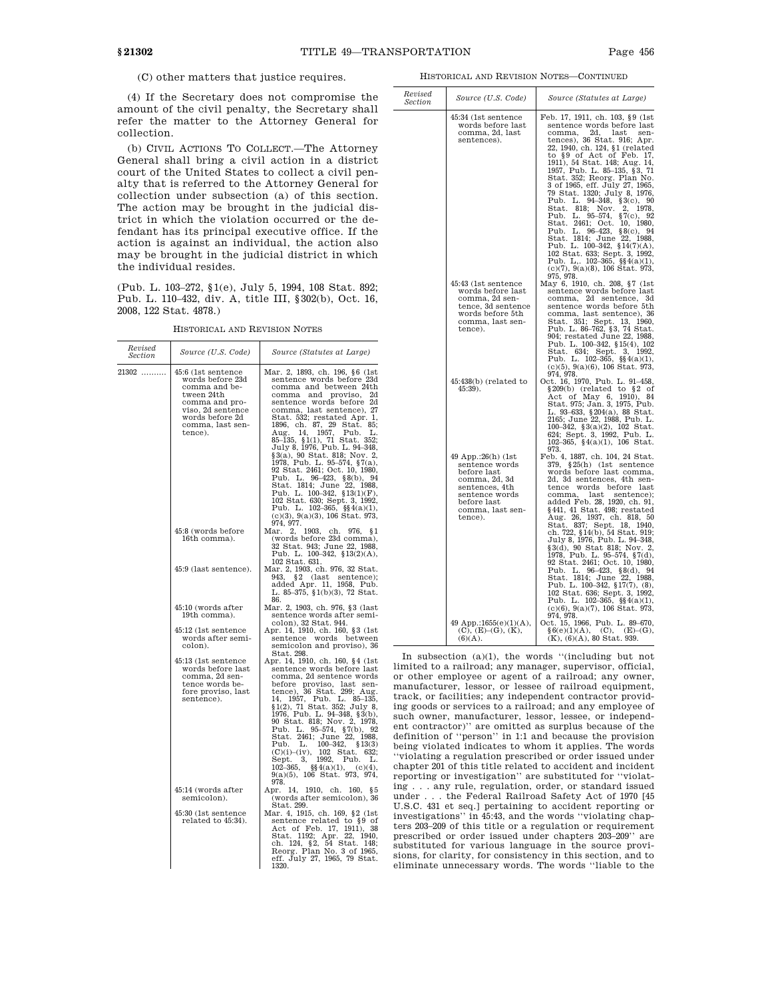*Revised*

(C) other matters that justice requires.

(4) If the Secretary does not compromise the amount of the civil penalty, the Secretary shall refer the matter to the Attorney General for collection.

(b) CIVIL ACTIONS TO COLLECT.—The Attorney General shall bring a civil action in a district court of the United States to collect a civil penalty that is referred to the Attorney General for collection under subsection (a) of this section. The action may be brought in the judicial district in which the violation occurred or the defendant has its principal executive office. If the action is against an individual, the action also may be brought in the judicial district in which the individual resides.

(Pub. L. 103–272, §1(e), July 5, 1994, 108 Stat. 892; Pub. L. 110–432, div. A, title III, §302(b), Oct. 16, 2008, 122 Stat. 4878.)

| HISTORICAL AND REVISION NOTES |
|-------------------------------|
|                               |

| Revised<br>Section | Source (U.S. Code)                                                                                                                                             | Source (Statutes at Large)                                                                                                                                                                                                                                                                                                                                                                                                                                                                                                                                                                                                                                              |                                                                                                                  |
|--------------------|----------------------------------------------------------------------------------------------------------------------------------------------------------------|-------------------------------------------------------------------------------------------------------------------------------------------------------------------------------------------------------------------------------------------------------------------------------------------------------------------------------------------------------------------------------------------------------------------------------------------------------------------------------------------------------------------------------------------------------------------------------------------------------------------------------------------------------------------------|------------------------------------------------------------------------------------------------------------------|
| 21302              | 45:6 (1st sentence<br>words before 23d<br>comma and be-<br>tween 24th<br>comma and pro-<br>viso, 2d sentence<br>words before 2d<br>comma, last sen-<br>tence). | Mar. 2, 1893, ch. 196, §6 (1st<br>sentence words before 23d<br>comma and between 24th<br>comma and proviso,<br>2d<br>sentence words before 2d<br>comma, last sentence), 27<br>Stat. 532; restated Apr. 1,<br>1896, ch. 87, 29 Stat. 85;<br>1957.<br>Aug.<br>14,<br>Pub.<br>L.<br>85-135, §1(1), 71 Stat. 352;<br>July 8, 1976, Pub. L. 94-348,<br>§3(a), 90 Stat. 818; Nov. 2,<br>1978, Pub. L. 95-574, §7(a),<br>92 Stat. 2461; Oct. 10, 1980,<br>Pub. L. $96-423$ , $80$ ), $94$<br>Stat. 1814; June 22, 1988.<br>Pub. L. $100-342$ , $$13(1)(F)$ ,<br>102 Stat. 630; Sept. 3, 1992,<br>Pub. L. 102-365, §§4(a)(1),<br>$(c)(3), 9(a)(3), 106$ Stat. 973,<br>974, 977. |                                                                                                                  |
|                    | 45:8 (words before<br>16th comma).                                                                                                                             | Mar. 2,<br>1903,<br>ch. 976, §1<br>(words before 23d comma),<br>32 Stat. 943; June 22, 1988,<br>Pub. L. 100-342, $$13(2)(A)$ ,<br>102 Stat. 631.                                                                                                                                                                                                                                                                                                                                                                                                                                                                                                                        |                                                                                                                  |
|                    | 45:9 (last sentence).                                                                                                                                          | Mar. 2, 1903, ch. 976, 32 Stat.<br>943.<br>§2<br>(last<br>sentence);<br>added Apr. 11, 1958, Pub.<br>L. 85-375, $\S1(b)(3)$ , 72 Stat.<br>86.                                                                                                                                                                                                                                                                                                                                                                                                                                                                                                                           |                                                                                                                  |
|                    | 45:10 (words after<br>19th comma).                                                                                                                             | Mar. 2, 1903, ch. 976, §3 (last<br>sentence words after semi-<br>colon), 32 Stat. 944.                                                                                                                                                                                                                                                                                                                                                                                                                                                                                                                                                                                  |                                                                                                                  |
|                    | 45:12 (1st sentence<br>words after semi-<br>colon).                                                                                                            | Apr. 14, 1910, ch. 160, §3 (1st<br>words<br>between<br>sentence<br>semicolon and proviso), 36<br>Stat. 298.                                                                                                                                                                                                                                                                                                                                                                                                                                                                                                                                                             | In                                                                                                               |
|                    | 45:13 (1st sentence)<br>words before last<br>comma, 2d sen-<br>tence words be-<br>fore proviso, last<br>sentence).                                             | Apr. 14, 1910, ch. 160, §4 (1st<br>sentence words before last<br>comma, 2d sentence words<br>before proviso, last sen-<br>tence), 36 Stat. 299; Aug.<br>1957, Pub. L. 85-135,<br>14.<br>\$1(2), 71 Stat. 352; July 8,<br>1976, Pub. L. 94–348, §3(b),<br>90 Stat. 818; Nov. 2, 1978,<br>Pub. L. 95-574, §7(b), 92<br>Stat. 2461; June 22, 1988,<br>$100 - 342$ ,<br>\$13(3)<br>Pub.<br>L.<br>(C)(i)–(iv),<br>102 Stat.<br>632:<br>1992,<br>Sept.<br>3,<br>Pub.<br>L.<br>$\S\S4(a)(1),$<br>$102 - 365,$<br>$(c)(4)$ ,<br>$9(a)(5)$ , 106 Stat. 973, 974,<br>978.                                                                                                         | limi<br>or o<br>man<br>$_{\rm trac}$<br>ing g<br>$_{\rm such}$<br>ent (<br>defir<br>bein<br>"vio<br>chap<br>repo |
|                    | 45:14 (words after<br>semicolon).<br>45:30 (1st sentence<br>related to 45:34).                                                                                 | Apr.<br>14, 1910, ch. 160,<br>85<br>(words after semicolon), 36<br>Stat. 299.<br>Mar. 4, 1915, ch. 169, §2 (1st)<br>sentence related to §9 of<br>Act of Feb. 17, 1911), 38<br>Stat. 1192; Apr. 22, 1940,<br>ch. 124, §2, 54 Stat. 148;<br>Reorg. Plan No. 3 of 1965,<br>eff. July 27, 1965, 79 Stat.<br>1320                                                                                                                                                                                                                                                                                                                                                            | ing.<br>unde<br>U.S.<br>inve<br>ters<br>prese<br>$_{\rm subs}$<br>sions<br>elim                                  |

HISTORICAL AND REVISION NOTES—CONTINUED

| Revised<br>Section | Source (U.S. Code)                                                                                                                                     | Source (Statutes at Large)                                                                                                                                                                                                                                                                                                                                                                                                                                                                                                                                                                                                                                                                                                                                                            |
|--------------------|--------------------------------------------------------------------------------------------------------------------------------------------------------|---------------------------------------------------------------------------------------------------------------------------------------------------------------------------------------------------------------------------------------------------------------------------------------------------------------------------------------------------------------------------------------------------------------------------------------------------------------------------------------------------------------------------------------------------------------------------------------------------------------------------------------------------------------------------------------------------------------------------------------------------------------------------------------|
|                    | 45:34 (1st sentence<br>words before last<br>comma, 2d, last<br>sentences).                                                                             | Feb. 17, 1911, ch. 103, §9 (1st<br>sentence words before last<br>2d.<br>comma,<br>last<br>sen-<br>tences), 36 Stat. 916; Apr.<br>22, 1940, ch. 124, §1 (related<br>to §9 of Act of Feb. 17,<br>1911), 54 Stat. 148; Aug. 14,<br>1957, Pub. L. 85–135, §3, 71<br>Stat. 352; Reorg. Plan No.<br>3 of 1965, eff. July 27, 1965,<br>79 Stat. 1320; July 8, 1976,<br>Pub. L. 94–348, §3(c), 90<br>818;<br>2,<br>1978.<br>Stat.<br>Nov.<br>$95 - 574,$<br>$\S7(c),$<br>92<br>Pub.<br>L.<br>2461; Oct.<br>1980,<br>Stat.<br>10,<br>L. 96-423,<br>Pub.<br>§8(c),<br>94<br>Stat. 1814; June 22, 1988,<br>Pub. L. 100-342, §14(7)(A),<br>22,<br>1988,<br>102 Stat. 633; Sept. 3, 1992,<br>Pub. L,. $102-365$ , $\S(4(a)(1),$<br>$(c)(7), 9(a)(8), 106$ Stat. 973,<br>975, 978.                  |
|                    | 45:43 (1st sentence<br>words before last<br>comma, 2d sen-<br>tence, 3d sentence<br>words before 5th<br>comma, last sen-<br>tence).                    | May 6, 1910, ch. 208, §7 (1st<br>sentence words before last<br>comma, 2d sentence,<br>3d<br>sentence words before 5th<br>comma, last sentence), 36<br>Stat. 351; Sept.<br>13,<br>1960,<br>Pub. L. 86-762, §3, 74 Stat.<br>904; restated June 22, 1988.<br>Pub. L. 100-342, §15(4), 102<br>Stat. 634; Sept.<br>3,<br>1992,<br>Pub. L. $102-365$ , $\S\frac{2}{3}(a)(1)$ ,<br>$(c)(5), 9(a)(6), 106$ Stat. 973,                                                                                                                                                                                                                                                                                                                                                                         |
|                    | $45:438(b)$ (related to<br>45:39).                                                                                                                     | 974, 978.<br>ct. 16, 1970, Pub. L. 91–458,<br>Oct.<br>§209(b)<br>(related to §2 of<br>Act of May 6, 1910), 84<br>Stat. 975; Jan. 3, 1975, Pub.<br>L. 93–633, § 204(a), 88 Stat.<br>2165; June 22, 1988, Pub. L.<br>84<br>100-342, $\S 3(a)(2)$ , 102 Stat.<br>624; Sept. 3, 1992, Pub. L.<br>102-365, $\S(4a)(1)$ , 106 Stat.<br>973.                                                                                                                                                                                                                                                                                                                                                                                                                                                 |
|                    | 49 App.:26(h) (1st<br>sentence words<br>before last<br>comma, 2d, 3d<br>sentences, 4th<br>sentence words<br>before last<br>comma, last sen-<br>tence). | Feb. 4, 1887, ch. 104, 24 Stat.<br>$379, \S25(h)$ (1st sentence<br>words before last comma,<br>2d, 3d sentences, 4th sen-<br>words before<br>$t$ ence<br>last<br>last<br>comma,<br>sentence);<br>comma, 1ast sentence);<br>added Feb. 28, 1920, ch. 91,<br>§441, 41 Stat. 498; restated<br>Aug. 26, 1937, ch. 818, 50<br>Stat. 837; Sept. 18, 1940,<br>Stat. 837; Sept. 18, 1940,<br>ch. 722, §14(b), 54 Stat. 919;<br>July 8, 1976, Pub. L. 94–348,<br>§3(d), 90 Stat 818; Nov. 2,<br>1978, Pub. L. 95–574, §7(d),<br>92 Stat. 2461; 00t. 10, 1980,<br>Pub. L. 96–423, 82(4)<br>Pub. L. 96-423, §8(d), 94<br>Stat. 1814; June 22, 1988,<br>Pub. L. 100-342, §17(7), (8),<br>-94<br>102 Stat. 636; Sept. 3, 1992,<br>Pub. L. 102-365, §§4(a)(1),<br>$(c)(6), 9(a)(7), 106$ Stat. 973, |
|                    | 49 App.:1655 $(e)(1)(A)$ ,<br>(C), (E)–(G), (K),<br>(6)(A).                                                                                            | 974, 978.<br>Oct. 15, 1966, Pub. L. 89-670,<br>$§ 6(e)(1)(A), (C), (E)– (K), (6)(A), 80$ Stat. 939.<br>$(C), (E)$ $(G),$                                                                                                                                                                                                                                                                                                                                                                                                                                                                                                                                                                                                                                                              |

subsection (a)(1), the words "(including but not ted to a railroad; any manager, supervisor, official, ther employee or agent of a railroad; any owner, ufacturer, lessor, or lessee of railroad equipment, k, or facilities; any independent contractor providing goods or services to a railroad; and any employee of owner, manufacturer, lessor, lessee, or independent contractor)'' are omitted as surplus because of the definition of ''person'' in 1:1 and because the provision g violated indicates to whom it applies. The words lating a regulation prescribed or order issued under ther 201 of this title related to accident and incident rting or investigation'' are substituted for ''violat-.. any rule, regulation, order, or standard issued er . . . the Federal Railroad Safety Act of 1970 [45] U.S.C. 431 et seq.] pertaining to accident reporting or stigations" in 45:43, and the words "violating chap-203-209 of this title or a regulation or requirement cribed or order issued under chapters  $203-209$ " are tituted for various language in the source provis, for clarity, for consistency in this section, and to eliminate unnecessary words. The words ''liable to the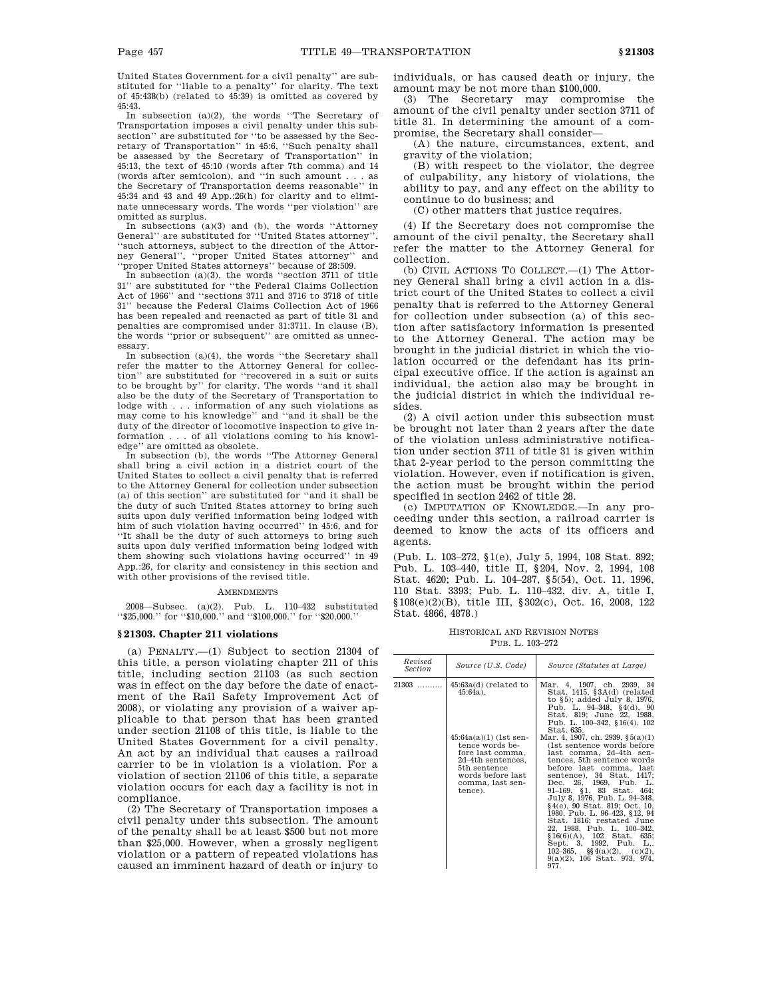United States Government for a civil penalty'' are substituted for ''liable to a penalty'' for clarity. The text of 45:438(b) (related to 45:39) is omitted as covered by 45:43.

In subsection (a)(2), the words ''The Secretary of Transportation imposes a civil penalty under this subsection'' are substituted for ''to be assessed by the Secretary of Transportation'' in 45:6, ''Such penalty shall be assessed by the Secretary of Transportation'' in 45:13, the text of 45:10 (words after 7th comma) and 14 (words after semicolon), and ''in such amount . . . as the Secretary of Transportation deems reasonable'' in 45:34 and 43 and 49 App.:26(h) for clarity and to eliminate unnecessary words. The words ''per violation'' are omitted as surplus.

In subsections (a)(3) and (b), the words ''Attorney General'' are substituted for ''United States attorney'', ''such attorneys, subject to the direction of the Attorney General", "proper United States attorney" ''proper United States attorneys'' because of 28:509.

In subsection (a)(3), the words ''section 3711 of title 31'' are substituted for ''the Federal Claims Collection Act of 1966'' and ''sections 3711 and 3716 to 3718 of title 31'' because the Federal Claims Collection Act of 1966 has been repealed and reenacted as part of title 31 and penalties are compromised under 31:3711. In clause (B), the words ''prior or subsequent'' are omitted as unnecessary.

In subsection (a)(4), the words ''the Secretary shall refer the matter to the Attorney General for collection'' are substituted for ''recovered in a suit or suits to be brought by'' for clarity. The words ''and it shall also be the duty of the Secretary of Transportation to lodge with . . . information of any such violations as may come to his knowledge'' and ''and it shall be the duty of the director of locomotive inspection to give information . . . of all violations coming to his knowledge'' are omitted as obsolete.

In subsection (b), the words ''The Attorney General shall bring a civil action in a district court of the United States to collect a civil penalty that is referred to the Attorney General for collection under subsection (a) of this section'' are substituted for ''and it shall be the duty of such United States attorney to bring such suits upon duly verified information being lodged with him of such violation having occurred" in 45:6, and for ''It shall be the duty of such attorneys to bring such suits upon duly verified information being lodged with them showing such violations having occurred'' in 49 App.:26, for clarity and consistency in this section and with other provisions of the revised title.

#### **AMENDMENTS**

2008—Subsec. (a)(2). Pub. L. 110–432 substituted "\$25,000." for "\$10,000." and "\$100,000." for "\$20,000."

### **§ 21303. Chapter 211 violations**

(a) PENALTY.—(1) Subject to section 21304 of this title, a person violating chapter 211 of this title, including section 21103 (as such section was in effect on the day before the date of enactment of the Rail Safety Improvement Act of 2008), or violating any provision of a waiver applicable to that person that has been granted under section 21108 of this title, is liable to the United States Government for a civil penalty. An act by an individual that causes a railroad carrier to be in violation is a violation. For a violation of section 21106 of this title, a separate violation occurs for each day a facility is not in compliance.

(2) The Secretary of Transportation imposes a civil penalty under this subsection. The amount of the penalty shall be at least \$500 but not more than \$25,000. However, when a grossly negligent violation or a pattern of repeated violations has caused an imminent hazard of death or injury to

individuals, or has caused death or injury, the amount may be not more than \$100,000.

(3) The Secretary may compromise the amount of the civil penalty under section 3711 of title 31. In determining the amount of a compromise, the Secretary shall consider—

(A) the nature, circumstances, extent, and gravity of the violation;

(B) with respect to the violator, the degree of culpability, any history of violations, the ability to pay, and any effect on the ability to continue to do business; and

(C) other matters that justice requires.

(4) If the Secretary does not compromise the amount of the civil penalty, the Secretary shall refer the matter to the Attorney General for collection.

(b) CIVIL ACTIONS TO COLLECT.—(1) The Attorney General shall bring a civil action in a district court of the United States to collect a civil penalty that is referred to the Attorney General for collection under subsection (a) of this section after satisfactory information is presented to the Attorney General. The action may be brought in the judicial district in which the violation occurred or the defendant has its principal executive office. If the action is against an individual, the action also may be brought in the judicial district in which the individual resides.

(2) A civil action under this subsection must be brought not later than 2 years after the date of the violation unless administrative notification under section 3711 of title 31 is given within that 2-year period to the person committing the violation. However, even if notification is given, the action must be brought within the period specified in section 2462 of title 28.

(c) IMPUTATION OF KNOWLEDGE.—In any proceeding under this section, a railroad carrier is deemed to know the acts of its officers and agents.

(Pub. L. 103–272, §1(e), July 5, 1994, 108 Stat. 892; Pub. L. 103–440, title II, §204, Nov. 2, 1994, 108 Stat. 4620; Pub. L. 104–287, §5(54), Oct. 11, 1996, 110 Stat. 3393; Pub. L. 110–432, div. A, title I, §108(e)(2)(B), title III, §302(c), Oct. 16, 2008, 122 Stat. 4866, 4878.)

HISTORICAL AND REVISION NOTES PUB. L. 103–272

| Revised<br><i>Section</i> | Source (U.S. Code)                                                                                                                                       | Source (Statutes at Large)                                                                                                                                                                                                                                                                                                                                                                                                                                                                                                                        |
|---------------------------|----------------------------------------------------------------------------------------------------------------------------------------------------------|---------------------------------------------------------------------------------------------------------------------------------------------------------------------------------------------------------------------------------------------------------------------------------------------------------------------------------------------------------------------------------------------------------------------------------------------------------------------------------------------------------------------------------------------------|
| $21303$                   | $45:63a(d)$ (related to<br>$45:64a$ ).                                                                                                                   | Mar. 4, 1907, ch. 2939, 34<br>Stat. $1415, \,$ \$3A $(d)$ (related<br>to §5); added July 8, 1976,<br>Pub. L. $94-348$ , $§4(d)$ , $90$<br>Stat. 819; June 22, 1988.<br>Pub. L. 100-342, §16(4), 102<br>Stat. 635.                                                                                                                                                                                                                                                                                                                                 |
|                           | $45:64a(a)(1)$ (1st sen-<br>tence words be-<br>fore last comma,<br>2d–4th sentences.<br>5th sentence<br>words before last<br>comma, last sen-<br>tence). | Mar. 4, 1907, ch. 2939, $\S(5a)(1)$<br>(1st sentence words before)<br>last comma, 2d-4th sen-<br>tences, 5th sentence words<br>before last comma, last<br>sentence), 34 Stat. 1417;<br>Dec. 26, 1969, Pub. L.<br>91-169, §1, 83 Stat. 464;<br>July 8, 1976, Pub. L. 94-348,<br>$§4(e), 90$ Stat. 819; Oct. 10.<br>1980, Pub. L. 96-423, §12, 94<br>Stat. 1816; restated June<br>22, 1988, Pub. L. 100-342,<br>$$16(6)(A), 102$ Stat. 635;<br>Sept. 3, 1992, Pub. L,.<br>102-365, $\S(4(a)(2), (c)(2),$<br>$9(a)(2)$ , 106 Stat. 973, 974,<br>977. |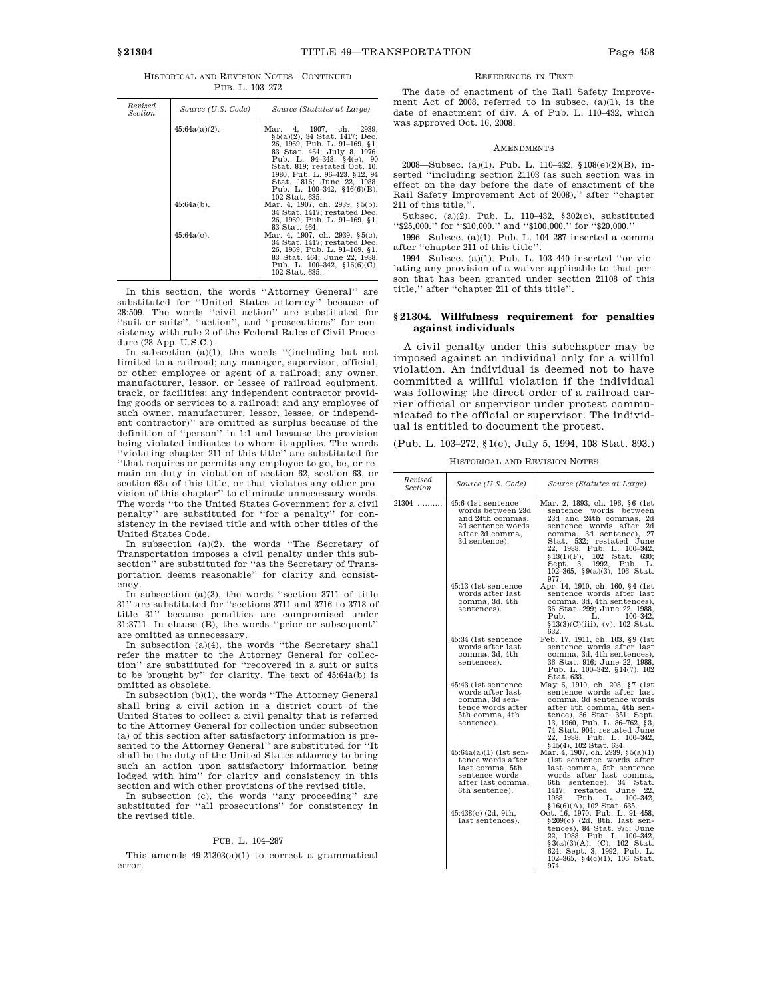HISTORICAL AND REVISION NOTES—CONTINUED PUB. L. 103–272

| Revised<br><i>Section</i> | Source (U.S. Code) | Source (Statutes at Large)                                                                                                                                                                                                                                                                                  |
|---------------------------|--------------------|-------------------------------------------------------------------------------------------------------------------------------------------------------------------------------------------------------------------------------------------------------------------------------------------------------------|
|                           | $45:64a(a)(2)$ .   | Mar. 4, 1907, ch. 2939,<br>§5(a)(2), 34 Stat. 1417; Dec.<br>26, 1969, Pub. L. 91–169, §1,<br>83 Stat. 464; July 8, 1976,<br>Pub. L. 94-348, §4(e), 90<br>Stat. 819: restated Oct. 10.<br>1980, Pub. L. 96–423, §12, 94<br>Stat. 1816; June 22, 1988.<br>Pub. L. $100-342$ , $$16(6)(B)$ ,<br>102 Stat. 635. |
|                           | $45:64a(b)$ .      | Mar. 4, 1907, ch. 2939, §5(b),<br>34 Stat. 1417: restated Dec.<br>26, 1969, Pub. L. 91-169, §1,<br>83 Stat. 464.                                                                                                                                                                                            |
|                           | $45:64a(c)$ .      | Mar. 4, 1907, ch. 2939, §5(c),<br>34 Stat. 1417: restated Dec.<br>26. 1969. Pub. L. 91–169. §1.<br>83 Stat. 464: June 22. 1988.<br>Pub. L. $100-342$ , $$16(6)(C)$ ,<br>102 Stat. 635.                                                                                                                      |

In this section, the words ''Attorney General'' are substituted for ''United States attorney'' because of 28:509. The words ''civil action'' are substituted for ''suit or suits'', ''action'', and ''prosecutions'' for consistency with rule 2 of the Federal Rules of Civil Procedure (28 App. U.S.C.).

In subsection (a)(1), the words ''(including but not limited to a railroad; any manager, supervisor, official, or other employee or agent of a railroad; any owner, manufacturer, lessor, or lessee of railroad equipment, track, or facilities; any independent contractor providing goods or services to a railroad; and any employee of such owner, manufacturer, lessor, lessee, or independent contractor)'' are omitted as surplus because of the definition of ''person'' in 1:1 and because the provision being violated indicates to whom it applies. The words ''violating chapter 211 of this title'' are substituted for ''that requires or permits any employee to go, be, or remain on duty in violation of section 62, section 63, or section 63a of this title, or that violates any other provision of this chapter'' to eliminate unnecessary words. The words ''to the United States Government for a civil penalty'' are substituted for ''for a penalty'' for consistency in the revised title and with other titles of the United States Code.

In subsection (a)(2), the words ''The Secretary of Transportation imposes a civil penalty under this subsection'' are substituted for ''as the Secretary of Transportation deems reasonable'' for clarity and consistency.

In subsection (a)(3), the words ''section 3711 of title 31'' are substituted for ''sections 3711 and 3716 to 3718 of title 31'' because penalties are compromised under 31:3711. In clause (B), the words ''prior or subsequent'' are omitted as unnecessary.

In subsection (a)(4), the words ''the Secretary shall refer the matter to the Attorney General for collection'' are substituted for ''recovered in a suit or suits to be brought by'' for clarity. The text of 45:64a(b) is omitted as obsolete.

In subsection (b)(1), the words ''The Attorney General shall bring a civil action in a district court of the United States to collect a civil penalty that is referred to the Attorney General for collection under subsection (a) of this section after satisfactory information is presented to the Attorney General'' are substituted for ''It shall be the duty of the United States attorney to bring such an action upon satisfactory information being lodged with him'' for clarity and consistency in this section and with other provisions of the revised title.

In subsection (c), the words ''any proceeding'' are substituted for ''all prosecutions'' for consistency in the revised title.

#### PUB. L. 104–287

This amends  $49:21303(a)(1)$  to correct a grammatical error.

# REFERENCES IN TEXT

The date of enactment of the Rail Safety Improvement Act of 2008, referred to in subsec. (a)(1), is the date of enactment of div. A of Pub. L. 110–432, which was approved Oct. 16, 2008.

#### AMENDMENTS

2008—Subsec. (a)(1). Pub. L. 110–432, §108(e)(2)(B), inserted ''including section 21103 (as such section was in effect on the day before the date of enactment of the Rail Safety Improvement Act of 2008),'' after ''chapter 211 of this title.

Subsec. (a)(2). Pub. L. 110–432, §302(c), substituted ''\$25,000.'' for ''\$10,000.'' and ''\$100,000.'' for ''\$20,000.''

1996—Subsec. (a)(1). Pub. L. 104–287 inserted a comma after ''chapter 211 of this title''.

1994—Subsec. (a)(1). Pub. L. 103–440 inserted ''or violating any provision of a waiver applicable to that person that has been granted under section 21108 of this title,'' after ''chapter 211 of this title''.

# **§ 21304. Willfulness requirement for penalties against individuals**

A civil penalty under this subchapter may be imposed against an individual only for a willful violation. An individual is deemed not to have committed a willful violation if the individual was following the direct order of a railroad carrier official or supervisor under protest communicated to the official or supervisor. The individual is entitled to document the protest.

(Pub. L. 103–272, §1(e), July 5, 1994, 108 Stat. 893.)

HISTORICAL AND REVISION NOTES

| Revised<br><b>Section</b> | Source (U.S. Code)                                                                                                        | Source (Statutes at Large)                                                                                                                                                                                                                                                                                   |
|---------------------------|---------------------------------------------------------------------------------------------------------------------------|--------------------------------------------------------------------------------------------------------------------------------------------------------------------------------------------------------------------------------------------------------------------------------------------------------------|
| 21304                     | 45:6 (1st sentence<br>words between 23d<br>and 24th commas.<br>2d sentence words<br>after 2d comma,<br>3d sentence).      | Mar. 2, 1893, ch. 196, §6 (1st<br>sentence words between<br>23d and 24th commas, 2d<br>sentence words after 2d<br>comma, 3d sentence), 27<br>Stat. 532; restated June<br>22. 1988. Pub. L. 100-342.<br>$$13(1)(F)$ , 102 Stat. 630;<br>Sept. 3, 1992, Pub.<br>L.<br>102-365, $\S9(a)(3)$ , 106 Stat.<br>977. |
|                           | 45:13 (1st sentence<br>words after last<br>comma, 3d, 4th<br>sentences).                                                  | Apr. 14, 1910, ch. 160, §4 (1st)<br>sentence words after last<br>comma, 3d, 4th sentences),<br>36 Stat. 299; June 22, 1988.<br>Pub.<br>L.<br>100–342.<br>$$13(3)(C)(iii), (v), 102$ Stat.<br>632.                                                                                                            |
|                           | 45:34 (1st sentence<br>words after last<br>comma, 3d, 4th<br>sentences).                                                  | Feb. 17, 1911, ch. 103, §9 (1st<br>sentence words after last<br>comma, 3d, 4th sentences),<br>36 Stat. 916; June 22, 1988,<br>Pub. L. 100-342, §14(7), 102<br>Stat. 633.                                                                                                                                     |
|                           | 45:43 (1st sentence<br>words after last<br>comma, 3d sen-<br>tence words after<br>5th comma, 4th<br>sentence).            | May 6, 1910, ch. 208, §7 (1st<br>sentence words after last<br>comma, 3d sentence words<br>after 5th comma, 4th sen-<br>tence), 36 Stat. 351; Sept.<br>13, 1960, Pub. L. 86–762, §3,<br>74 Stat. 904; restated June<br>22, 1988, Pub. L. 100–342,<br>§15(4), 102 Stat. 634.                                   |
|                           | $45:64a(a)(1)$ (1st sen-<br>tence words after<br>last comma, 5th<br>sentence words<br>after last comma.<br>6th sentence). | Mar. 4, 1907, ch. 2939, $\S5(a)(1)$<br>(1st sentence words after<br>last comma, 5th sentence<br>words after last comma.<br>6th<br>sentence), 34<br>Stat.<br>1417:<br>restated June<br>22,<br>1988.<br>Pub.<br>L.<br>$100 - 342.$<br>$$16(6)(A), 102$ Stat. 635.                                              |
|                           | 45:438(c) (2d, 9th,<br>last sentences).                                                                                   | Oct. 16, 1970, Pub. L. 91-458,<br>$\S 209(c)$ (2d, 8th, last sen-<br>tences), 84 Stat. 975; June<br>22, 1988, Pub. L. 100-342,<br>$\S3(a)(3)(A)$ , (C), 102 Stat.<br>624; Sept. 3, 1992, Pub. L.<br>102-365, $\S4(c)(1)$ , 106 Stat.<br>974.                                                                 |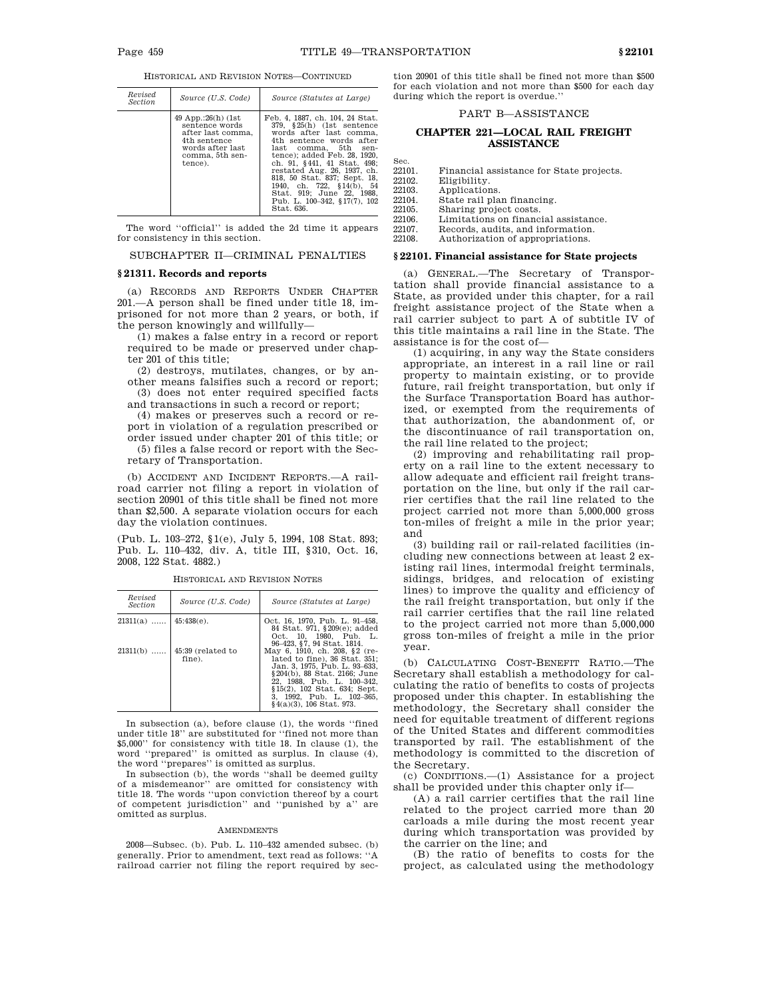|  | HISTORICAL AND REVISION NOTES-CONTINUED |  |
|--|-----------------------------------------|--|
|--|-----------------------------------------|--|

| Revised<br><i>Section</i> | Source (U.S. Code)                                                                                                          | Source (Statutes at Large)                                                                                                                                                                                                                                                                                                                                                           |
|---------------------------|-----------------------------------------------------------------------------------------------------------------------------|--------------------------------------------------------------------------------------------------------------------------------------------------------------------------------------------------------------------------------------------------------------------------------------------------------------------------------------------------------------------------------------|
|                           | 49 App.:26(h) (1st<br>sentence words<br>after last comma.<br>4th sentence<br>words after last<br>comma, 5th sen-<br>tence). | Feb. 4, 1887, ch. 104, 24 Stat.<br>379. §25(h) (1st sentence<br>words after last comma.<br>4th sentence words after<br>last comma. 5th<br>sen-<br>tence): added Feb. 28, 1920.<br>ch. 91, §441, 41 Stat. 498;<br>restated Aug. 26, 1937, ch.<br>818, 50 Stat. 837; Sept. 18,<br>1940, ch. 722, §14(b), 54<br>Stat. 919: June 22. 1988.<br>Pub. L. 100-342, §17(7), 102<br>Stat. 636. |

The word ''official'' is added the 2d time it appears for consistency in this section.

SUBCHAPTER II—CRIMINAL PENALTIES

### **§ 21311. Records and reports**

(a) RECORDS AND REPORTS UNDER CHAPTER 201.—A person shall be fined under title 18, imprisoned for not more than 2 years, or both, if the person knowingly and willfully—

(1) makes a false entry in a record or report required to be made or preserved under chapter 201 of this title;

(2) destroys, mutilates, changes, or by another means falsifies such a record or report; (3) does not enter required specified facts

and transactions in such a record or report;

(4) makes or preserves such a record or report in violation of a regulation prescribed or order issued under chapter 201 of this title; or

(5) files a false record or report with the Secretary of Transportation.

(b) ACCIDENT AND INCIDENT REPORTS.—A railroad carrier not filing a report in violation of section 20901 of this title shall be fined not more than \$2,500. A separate violation occurs for each day the violation continues.

(Pub. L. 103–272, §1(e), July 5, 1994, 108 Stat. 893; Pub. L. 110–432, div. A, title III, §310, Oct. 16, 2008, 122 Stat. 4882.)

| Revised<br><i>Section</i> | Source (U.S. Code)                     | Source (Statutes at Large)                                                                                                                                                                                                                               |
|---------------------------|----------------------------------------|----------------------------------------------------------------------------------------------------------------------------------------------------------------------------------------------------------------------------------------------------------|
| $21311(a)$   45:438(e).   |                                        | Oct. 16, 1970, Pub. L. 91-458,<br>84 Stat. 971, §209(e); added<br>Oct. 10, 1980, Pub. L.<br>96–423, §7, 94 Stat. 1814.                                                                                                                                   |
|                           | $21311(b)$ 45:39 (related to<br>fine). | May 6, 1910, ch. 208, §2 (re-<br>lated to fine), 36 Stat. 351;<br>Jan. 3, 1975, Pub. L. 93-633,<br>§204(b), 88 Stat, 2166; June<br>22. 1988. Pub. L. 100-342.<br>§15(2), 102 Stat. 634; Sept.<br>3, 1992, Pub. L. 102-365,<br>$§4(a)(3), 106$ Stat. 973. |

HISTORICAL AND REVISION NOTES

In subsection (a), before clause (1), the words ''fined under title 18'' are substituted for ''fined not more than \$5,000'' for consistency with title 18. In clause (1), the word ''prepared'' is omitted as surplus. In clause (4), the word ''prepares'' is omitted as surplus.

In subsection (b), the words ''shall be deemed guilty of a misdemeanor'' are omitted for consistency with title 18. The words "upon conviction thereof by a court of competent jurisdiction'' and ''punished by a'' are omitted as surplus.

#### **AMENDMENTS**

2008—Subsec. (b). Pub. L. 110–432 amended subsec. (b) generally. Prior to amendment, text read as follows: ''A railroad carrier not filing the report required by sec-

tion 20901 of this title shall be fined not more than \$500 for each violation and not more than \$500 for each day during which the report is overdue.''

#### PART B—ASSISTANCE

# **CHAPTER 221—LOCAL RAIL FREIGHT ASSISTANCE**

Sec.<br>22101 22101. Financial assistance for State projects.<br>22102. Fligibility.

| 22102. | Eligibility.                         |
|--------|--------------------------------------|
| 22103. | Applications.                        |
| 22104. | State rail plan financing.           |
| 22105. | Sharing project costs.               |
| 22106. | Limitations on financial assistance. |
| 22107. | Records, audits, and information.    |
| 22108. | Authorization of appropriations.     |

# **§ 22101. Financial assistance for State projects**

(a) GENERAL.—The Secretary of Transportation shall provide financial assistance to a State, as provided under this chapter, for a rail freight assistance project of the State when a rail carrier subject to part A of subtitle IV of this title maintains a rail line in the State. The assistance is for the cost of—

(1) acquiring, in any way the State considers appropriate, an interest in a rail line or rail property to maintain existing, or to provide future, rail freight transportation, but only if the Surface Transportation Board has authorized, or exempted from the requirements of that authorization, the abandonment of, or the discontinuance of rail transportation on, the rail line related to the project;

(2) improving and rehabilitating rail property on a rail line to the extent necessary to allow adequate and efficient rail freight transportation on the line, but only if the rail carrier certifies that the rail line related to the project carried not more than 5,000,000 gross ton-miles of freight a mile in the prior year; and

(3) building rail or rail-related facilities (including new connections between at least 2 existing rail lines, intermodal freight terminals, sidings, bridges, and relocation of existing lines) to improve the quality and efficiency of the rail freight transportation, but only if the rail carrier certifies that the rail line related to the project carried not more than 5,000,000 gross ton-miles of freight a mile in the prior year.

(b) CALCULATING COST-BENEFIT RATIO.—The Secretary shall establish a methodology for calculating the ratio of benefits to costs of projects proposed under this chapter. In establishing the methodology, the Secretary shall consider the need for equitable treatment of different regions of the United States and different commodities transported by rail. The establishment of the methodology is committed to the discretion of the Secretary.

(c) CONDITIONS.—(1) Assistance for a project shall be provided under this chapter only if—

(A) a rail carrier certifies that the rail line related to the project carried more than 20 carloads a mile during the most recent year during which transportation was provided by the carrier on the line; and

(B) the ratio of benefits to costs for the project, as calculated using the methodology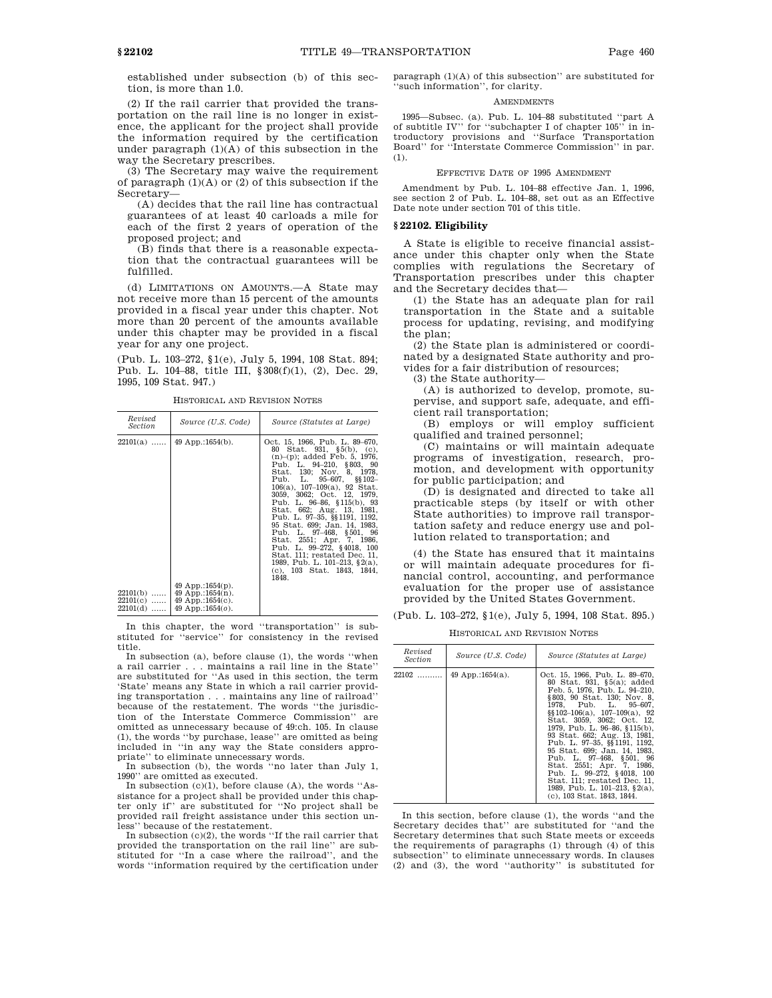established under subsection (b) of this section, is more than 1.0.

(2) If the rail carrier that provided the transportation on the rail line is no longer in existence, the applicant for the project shall provide the information required by the certification under paragraph  $(1)(A)$  of this subsection in the way the Secretary prescribes.

(3) The Secretary may waive the requirement of paragraph  $(1)(A)$  or  $(2)$  of this subsection if the Secretary—

(A) decides that the rail line has contractual guarantees of at least 40 carloads a mile for each of the first 2 years of operation of the proposed project; and

(B) finds that there is a reasonable expectation that the contractual guarantees will be fulfilled.

(d) LIMITATIONS ON AMOUNTS.—A State may not receive more than 15 percent of the amounts provided in a fiscal year under this chapter. Not more than 20 percent of the amounts available under this chapter may be provided in a fiscal year for any one project.

(Pub. L. 103–272, §1(e), July 5, 1994, 108 Stat. 894; Pub. L. 104–88, title III, §308(f)(1), (2), Dec. 29, 1995, 109 Stat. 947.)

| HISTORICAL AND REVISION NOTES |  |  |  |
|-------------------------------|--|--|--|
|-------------------------------|--|--|--|

| Revised<br>Section                                   | Source (U.S. Code)                                                                                               | Source (Statutes at Large)                                                                                                                                                                                                                                                                                                                                                                                                                                                                                                                                                              |
|------------------------------------------------------|------------------------------------------------------------------------------------------------------------------|-----------------------------------------------------------------------------------------------------------------------------------------------------------------------------------------------------------------------------------------------------------------------------------------------------------------------------------------------------------------------------------------------------------------------------------------------------------------------------------------------------------------------------------------------------------------------------------------|
| $22101(a)$<br>$22101(b)$<br>$22101(c)$<br>$22101(d)$ | $49$ App.:1654(b).<br>$49$ App.:1654(p).<br>49 App.:1654 $(n)$ .<br>49 App.:1654 $(c)$ .<br>49 App.:1654 $(o)$ . | Oct. 15, 1966, Pub. L. 89-670,<br>80 Stat. 931, §5(b), (c),<br>$(n)$ – $(p)$ ; added Feb. 5, 1976,<br>Pub. L. 94-210, §803, 90<br>Stat. 130; Nov. 8, 1978.<br>Pub. L. 95-607, §§102-<br>$106(a)$ , $107-109(a)$ , 92 Stat.<br>3059, 3062; Oct. 12, 1979,<br>Pub. L. 96-86, §115(b), 93<br>Stat. 662; Aug. 13, 1981,<br>Pub. L. 97-35, §§ 1191, 1192,<br>95 Stat. 699; Jan. 14, 1983.<br>Pub. L. 97-468, §501, 96<br>Stat. 2551; Apr. 7, 1986,<br>Pub. L. 99-272, §4018, 100<br>Stat. 111; restated Dec. 11,<br>1989, Pub. L. 101-213, $\S$ 2(a),<br>(c), 103 Stat. 1843, 1844,<br>1848. |

In this chapter, the word ''transportation'' is substituted for ''service'' for consistency in the revised title.

In subsection (a), before clause (1), the words ''when a rail carrier . . . maintains a rail line in the State'' are substituted for ''As used in this section, the term 'State' means any State in which a rail carrier providing transportation . . . maintains any line of railroad'' because of the restatement. The words ''the jurisdiction of the Interstate Commerce Commission'' are omitted as unnecessary because of 49:ch. 105. In clause (1), the words ''by purchase, lease'' are omitted as being included in ''in any way the State considers appropriate'' to eliminate unnecessary words.

In subsection (b), the words ''no later than July 1, 1990'' are omitted as executed.

In subsection  $(c)(1)$ , before clause  $(A)$ , the words "Assistance for a project shall be provided under this chapter only if'' are substituted for ''No project shall be provided rail freight assistance under this section un-

less'' because of the restatement. In subsection (c)(2), the words ''If the rail carrier that provided the transportation on the rail line'' are substituted for ''In a case where the railroad'', and the words ''information required by the certification under paragraph (1)(A) of this subsection'' are substituted for 'such information'', for clarity.

# AMENDMENTS

1995—Subsec. (a). Pub. L. 104–88 substituted ''part A of subtitle IV'' for ''subchapter I of chapter 105'' in introductory provisions and ''Surface Transportation Board'' for ''Interstate Commerce Commission'' in par. (1).

# EFFECTIVE DATE OF 1995 AMENDMENT

Amendment by Pub. L. 104–88 effective Jan. 1, 1996, see section 2 of Pub. L. 104–88, set out as an Effective Date note under section 701 of this title.

# **§ 22102. Eligibility**

A State is eligible to receive financial assistance under this chapter only when the State complies with regulations the Secretary of Transportation prescribes under this chapter and the Secretary decides that—

(1) the State has an adequate plan for rail transportation in the State and a suitable process for updating, revising, and modifying the plan;

(2) the State plan is administered or coordinated by a designated State authority and provides for a fair distribution of resources;

(3) the State authority—

(A) is authorized to develop, promote, supervise, and support safe, adequate, and efficient rail transportation;

(B) employs or will employ sufficient qualified and trained personnel;

(C) maintains or will maintain adequate programs of investigation, research, promotion, and development with opportunity for public participation; and

(D) is designated and directed to take all practicable steps (by itself or with other State authorities) to improve rail transportation safety and reduce energy use and pollution related to transportation; and

(4) the State has ensured that it maintains or will maintain adequate procedures for financial control, accounting, and performance evaluation for the proper use of assistance provided by the United States Government.

(Pub. L. 103–272, §1(e), July 5, 1994, 108 Stat. 895.)

HISTORICAL AND REVISION NOTES

| Revised<br><i>Section</i> | Source (U.S. Code) | Source (Statutes at Large)                                                                                                                                                                                                                                                                                                                                                                                                                                                                                                                      |
|---------------------------|--------------------|-------------------------------------------------------------------------------------------------------------------------------------------------------------------------------------------------------------------------------------------------------------------------------------------------------------------------------------------------------------------------------------------------------------------------------------------------------------------------------------------------------------------------------------------------|
| $22102$                   | 49 App.:1654(a).   | Oct. 15, 1966. Pub. L. 89–670.<br>80 Stat. 931, §5(a); added<br>Feb. 5, 1976, Pub. L. 94-210.<br>§803. 90 Stat. 130: Nov. 8.<br>1978, Pub. L. 95-607,<br>$\S$ [102-106(a), 107-109(a), 92<br>Stat. 3059, 3062; Oct. 12.<br>1979. Pub. L. 96-86. §115(b).<br>93 Stat. 662; Aug. 13, 1981.<br>Pub. L. 97-35, §§ 1191, 1192,<br>95 Stat. 699: Jan. 14, 1983.<br>Pub. L. 97–468, §501, 96<br>Stat. 2551; Apr. 7, 1986.<br>Pub. L. 99-272, §4018, 100<br>Stat. 111: restated Dec. 11.<br>1989. Pub. L. 101–213. §2(a).<br>(c), 103 Stat. 1843, 1844. |

In this section, before clause (1), the words ''and the Secretary decides that'' are substituted for ''and the Secretary determines that such State meets or exceeds the requirements of paragraphs (1) through (4) of this subsection'' to eliminate unnecessary words. In clauses (2) and (3), the word ''authority'' is substituted for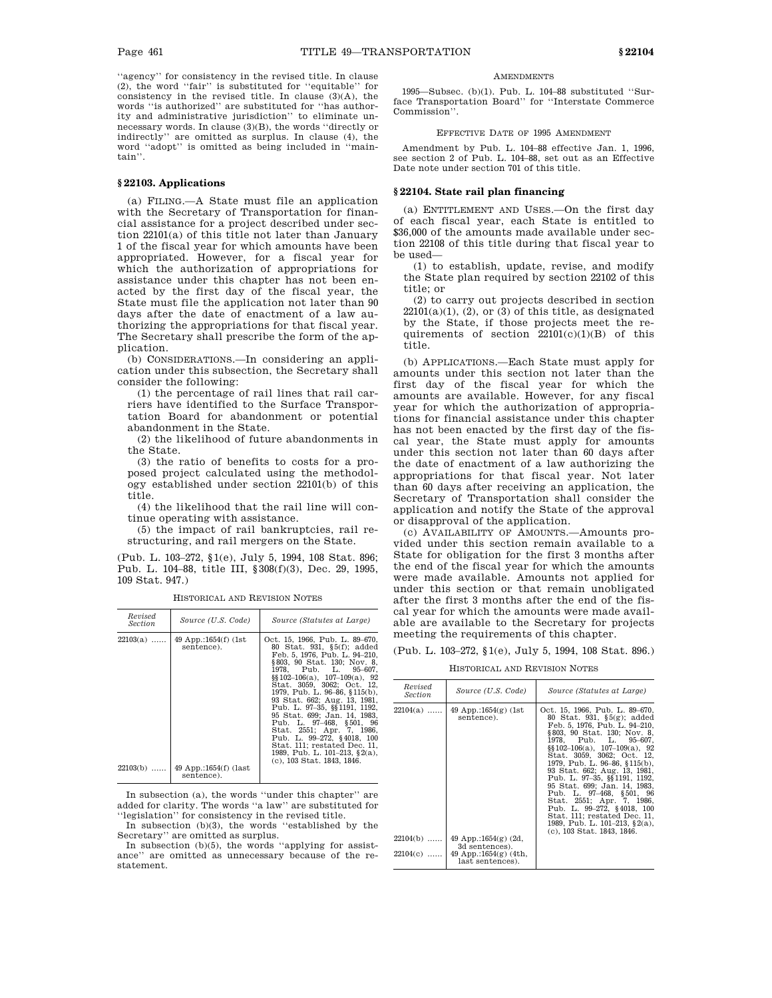''agency'' for consistency in the revised title. In clause (2), the word ''fair'' is substituted for ''equitable'' for consistency in the revised title. In clause  $(3)(A)$ , the words ''is authorized'' are substituted for ''has authority and administrative jurisdiction'' to eliminate unnecessary words. In clause (3)(B), the words ''directly or indirectly'' are omitted as surplus. In clause (4), the word ''adopt'' is omitted as being included in ''maintain''.

# **§ 22103. Applications**

(a) FILING.—A State must file an application with the Secretary of Transportation for financial assistance for a project described under section 22101(a) of this title not later than January 1 of the fiscal year for which amounts have been appropriated. However, for a fiscal year for which the authorization of appropriations for assistance under this chapter has not been enacted by the first day of the fiscal year, the State must file the application not later than 90 days after the date of enactment of a law authorizing the appropriations for that fiscal year. The Secretary shall prescribe the form of the application.

(b) CONSIDERATIONS.—In considering an application under this subsection, the Secretary shall consider the following:

(1) the percentage of rail lines that rail carriers have identified to the Surface Transportation Board for abandonment or potential abandonment in the State.

(2) the likelihood of future abandonments in the State.

(3) the ratio of benefits to costs for a proposed project calculated using the methodology established under section 22101(b) of this title.

(4) the likelihood that the rail line will continue operating with assistance.

(5) the impact of rail bankruptcies, rail restructuring, and rail mergers on the State.

(Pub. L. 103–272, §1(e), July 5, 1994, 108 Stat. 896; Pub. L. 104–88, title III, §308(f)(3), Dec. 29, 1995, 109 Stat. 947.)

| Revised<br><i>Section</i> | Source (U.S. Code)                                                        | Source (Statutes at Large)                                                                                                                                                                                                                                                                                                                                                                                                                                                                                                                      |
|---------------------------|---------------------------------------------------------------------------|-------------------------------------------------------------------------------------------------------------------------------------------------------------------------------------------------------------------------------------------------------------------------------------------------------------------------------------------------------------------------------------------------------------------------------------------------------------------------------------------------------------------------------------------------|
| $22103(a)$<br>22103(b)    | 49 App.:1654(f) (1st<br>sentence).<br>49 App.:1654(f) (last<br>sentence). | Oct. 15, 1966, Pub. L. 89–670,<br>80 Stat. 931, §5(f); added<br>Feb. 5, 1976, Pub. L. 94–210,<br>§803, 90 Stat. 130; Nov. 8,<br>1978, Pub. L. 95-607,<br>$\S$ [102-106(a), 107-109(a), 92<br>Stat. 3059, 3062; Oct. 12,<br>1979. Pub. L. 96–86. §115(b).<br>93 Stat. 662; Aug. 13, 1981,<br>Pub. L. 97-35, §§ 1191, 1192,<br>95 Stat. 699; Jan. 14, 1983.<br>Pub. L. 97-468, §501, 96<br>Stat. 2551; Apr. 7, 1986.<br>Pub. L. 99-272, §4018, 100<br>Stat. 111; restated Dec. 11,<br>1989. Pub. L. 101–213. §2(a).<br>(c), 103 Stat. 1843, 1846. |

HISTORICAL AND REVISION NOTES

In subsection (a), the words ''under this chapter'' are added for clarity. The words ''a law'' are substituted for ''legislation'' for consistency in the revised title.

In subsection (b)(3), the words ''established by the Secretary'' are omitted as surplus.

In subsection (b)(5), the words ''applying for assistance'' are omitted as unnecessary because of the restatement.

### **AMENDMENTS**

1995—Subsec. (b)(1). Pub. L. 104–88 substituted ''Surface Transportation Board'' for ''Interstate Commerce Commission''.

# EFFECTIVE DATE OF 1995 AMENDMENT

Amendment by Pub. L. 104–88 effective Jan. 1, 1996, see section 2 of Pub. L. 104–88, set out as an Effective Date note under section 701 of this title.

# **§ 22104. State rail plan financing**

(a) ENTITLEMENT AND USES.—On the first day of each fiscal year, each State is entitled to \$36,000 of the amounts made available under section 22108 of this title during that fiscal year to be used—

(1) to establish, update, revise, and modify the State plan required by section 22102 of this title; or

(2) to carry out projects described in section  $22101(a)(1)$ ,  $(2)$ , or  $(3)$  of this title, as designated by the State, if those projects meet the requirements of section  $22101(c)(1)(B)$  of this title.

(b) APPLICATIONS.—Each State must apply for amounts under this section not later than the first day of the fiscal year for which the amounts are available. However, for any fiscal year for which the authorization of appropriations for financial assistance under this chapter has not been enacted by the first day of the fiscal year, the State must apply for amounts under this section not later than 60 days after the date of enactment of a law authorizing the appropriations for that fiscal year. Not later than 60 days after receiving an application, the Secretary of Transportation shall consider the application and notify the State of the approval or disapproval of the application.

(c) AVAILABILITY OF AMOUNTS.—Amounts provided under this section remain available to a State for obligation for the first 3 months after the end of the fiscal year for which the amounts were made available. Amounts not applied for under this section or that remain unobligated after the first 3 months after the end of the fiscal year for which the amounts were made available are available to the Secretary for projects meeting the requirements of this chapter.

(Pub. L. 103–272, §1(e), July 5, 1994, 108 Stat. 896.)

HISTORICAL AND REVISION NOTES

| Revised<br><i>Section</i> | Source (U.S. Code)                           | Source (Statutes at Large)                                                                                                                                                                                                                                                                                                                                                                                                                                                                                                                         |
|---------------------------|----------------------------------------------|----------------------------------------------------------------------------------------------------------------------------------------------------------------------------------------------------------------------------------------------------------------------------------------------------------------------------------------------------------------------------------------------------------------------------------------------------------------------------------------------------------------------------------------------------|
| $22104(a)$                | 49 App.:1654 $(g)$ (1st<br>sentence).        | Oct. 15, 1966, Pub. L. 89–670,<br>80 Stat. 931, $\S5(g)$ ; added<br>Feb. 5, 1976, Pub. L. 94-210.<br>§803, 90 Stat. 130; Nov. 8,<br>1978. Pub. L. 95–607.<br>$\S$ [102-106(a), 107-109(a), 92<br>Stat. 3059, 3062; Oct. 12,<br>1979, Pub. L. 96–86, §115(b),<br>93 Stat. 662; Aug. 13, 1981,<br>Pub. L. 97-35, §§1191, 1192,<br>95 Stat. 699; Jan. 14, 1983.<br>Pub. L. 97-468, §501, 96<br>Stat. 2551; Apr. 7, 1986.<br>Pub. L. 99-272, §4018, 100<br>Stat. 111: restated Dec. 11.<br>1989, Pub. L. 101–213, §2(a),<br>(c), 103 Stat. 1843, 1846. |
| $22104(b)$                | 49 App.:1654 $(g)$ (2d,<br>3d sentences).    |                                                                                                                                                                                                                                                                                                                                                                                                                                                                                                                                                    |
| $22104(c)$                | 49 App.:1654 $(g)$ (4th,<br>last sentences). |                                                                                                                                                                                                                                                                                                                                                                                                                                                                                                                                                    |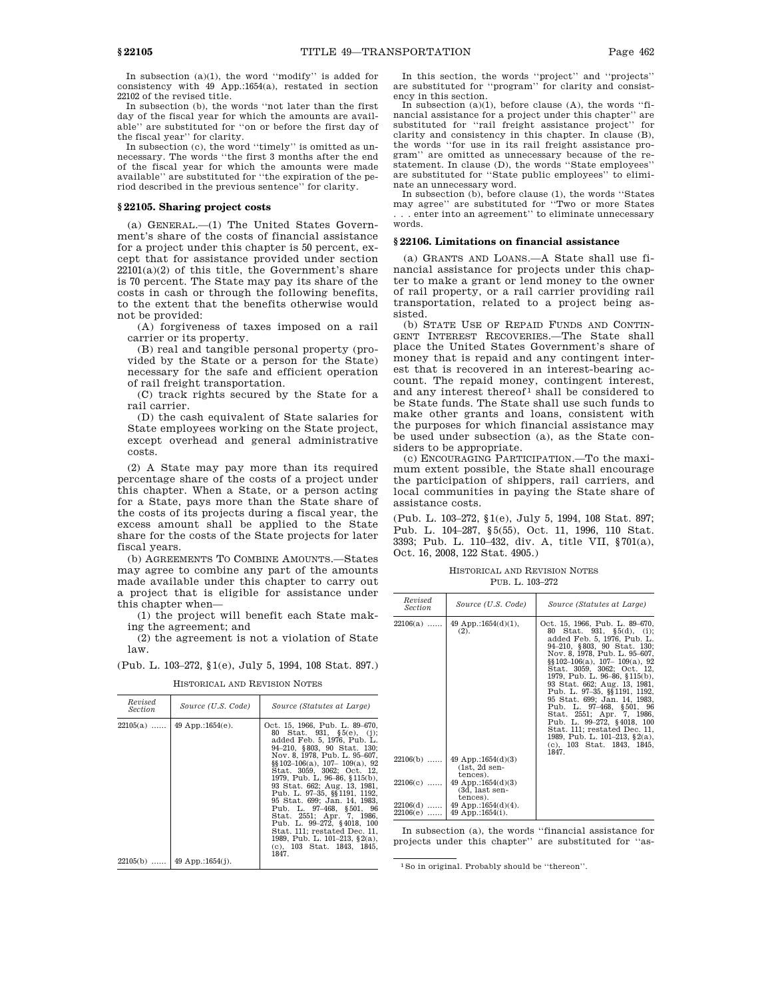In subsection (a)(1), the word ''modify'' is added for consistency with 49 App.:1654(a), restated in section 22102 of the revised title.

In subsection (b), the words ''not later than the first day of the fiscal year for which the amounts are available'' are substituted for ''on or before the first day of the fiscal year'' for clarity.

In subsection (c), the word ''timely'' is omitted as unnecessary. The words ''the first 3 months after the end of the fiscal year for which the amounts were made available'' are substituted for ''the expiration of the period described in the previous sentence'' for clarity.

### **§ 22105. Sharing project costs**

(a) GENERAL.—(1) The United States Government's share of the costs of financial assistance for a project under this chapter is 50 percent, except that for assistance provided under section  $22101(a)(2)$  of this title, the Government's share is 70 percent. The State may pay its share of the costs in cash or through the following benefits, to the extent that the benefits otherwise would not be provided:

(A) forgiveness of taxes imposed on a rail carrier or its property.

(B) real and tangible personal property (provided by the State or a person for the State) necessary for the safe and efficient operation of rail freight transportation.

(C) track rights secured by the State for a rail carrier.

(D) the cash equivalent of State salaries for State employees working on the State project, except overhead and general administrative costs.

(2) A State may pay more than its required percentage share of the costs of a project under this chapter. When a State, or a person acting for a State, pays more than the State share of the costs of its projects during a fiscal year, the excess amount shall be applied to the State share for the costs of the State projects for later fiscal years.

(b) AGREEMENTS TO COMBINE AMOUNTS.—States may agree to combine any part of the amounts made available under this chapter to carry out a project that is eligible for assistance under this chapter when—

(1) the project will benefit each State making the agreement; and

(2) the agreement is not a violation of State law.

(Pub. L. 103–272, §1(e), July 5, 1994, 108 Stat. 897.)

| Revised<br>Section       | Source (U.S. Code)                           | Source (Statutes at Large)                                                                                                                                                                                                                                                                                                                                                                                                                                                                                                                                    |
|--------------------------|----------------------------------------------|---------------------------------------------------------------------------------------------------------------------------------------------------------------------------------------------------------------------------------------------------------------------------------------------------------------------------------------------------------------------------------------------------------------------------------------------------------------------------------------------------------------------------------------------------------------|
| $22105(a)$<br>$22105(b)$ | 49 App.:1654 $(e)$ .<br>49 App.:1654 $(i)$ . | Oct. 15, 1966, Pub. L. 89–670,<br>80 Stat. 931, §5(e), (j);<br>added Feb. 5, 1976, Pub. L.<br>94-210, §803, 90 Stat. 130;<br>Nov. 8, 1978. Pub. L. 95–607.<br>$\S$ [102-106(a), 107-109(a), 92<br>Stat. 3059. 3062: Oct. 12.<br>1979, Pub. L. 96-86, §115(b),<br>93 Stat. 662; Aug. 13, 1981,<br>Pub. L. 97-35, §§ 1191, 1192,<br>95 Stat. 699; Jan. 14, 1983.<br>Pub. L. 97–468, §501, 96<br>Stat. 2551; Apr. 7, 1986.<br>Pub. L. 99–272, §4018, 100<br>Stat. 111: restated Dec. 11.<br>1989, Pub. L. 101-213, §2(a),<br>(c), 103 Stat. 1843, 1845,<br>1847. |
|                          |                                              |                                                                                                                                                                                                                                                                                                                                                                                                                                                                                                                                                               |

HISTORICAL AND REVISION NOTES

In this section, the words ''project'' and ''projects'' are substituted for ''program'' for clarity and consistency in this section.

In subsection  $(a)(1)$ , before clause  $(A)$ , the words "financial assistance for a project under this chapter'' are substituted for ''rail freight assistance project'' for clarity and consistency in this chapter. In clause (B), the words ''for use in its rail freight assistance program'' are omitted as unnecessary because of the re-statement. In clause (D), the words ''State employees'' are substituted for ''State public employees'' to eliminate an unnecessary word.

In subsection (b), before clause (1), the words ''States may agree'' are substituted for ''Two or more States . . . enter into an agreement'' to eliminate unnecessary words.

### **§ 22106. Limitations on financial assistance**

(a) GRANTS AND LOANS.—A State shall use financial assistance for projects under this chapter to make a grant or lend money to the owner of rail property, or a rail carrier providing rail transportation, related to a project being assisted.

(b) STATE USE OF REPAID FUNDS AND CONTIN-GENT INTEREST RECOVERIES.—The State shall place the United States Government's share of money that is repaid and any contingent interest that is recovered in an interest-bearing account. The repaid money, contingent interest, and any interest thereof<sup>1</sup> shall be considered to be State funds. The State shall use such funds to make other grants and loans, consistent with the purposes for which financial assistance may be used under subsection (a), as the State considers to be appropriate.

(c) ENCOURAGING PARTICIPATION.—To the maximum extent possible, the State shall encourage the participation of shippers, rail carriers, and local communities in paying the State share of assistance costs.

(Pub. L. 103–272, §1(e), July 5, 1994, 108 Stat. 897; Pub. L. 104–287, §5(55), Oct. 11, 1996, 110 Stat. 3393; Pub. L. 110–432, div. A, title VII, §701(a), Oct. 16, 2008, 122 Stat. 4905.)

HISTORICAL AND REVISION NOTES PUB. L. 103–272

| Revised<br><b>Section</b> | Source (U.S. Code)                                        | Source (Statutes at Large)                                                                                                                                                                                                                                                                                                                                                                                                                                                                                                                                                |
|---------------------------|-----------------------------------------------------------|---------------------------------------------------------------------------------------------------------------------------------------------------------------------------------------------------------------------------------------------------------------------------------------------------------------------------------------------------------------------------------------------------------------------------------------------------------------------------------------------------------------------------------------------------------------------------|
| $22106(a)$                | 49 App.:1654 $(d)(1)$ ,<br>(2).                           | Oct. 15, 1966, Pub. L. 89-670.<br>Stat. 931, $\S5(d)$ , (i);<br>80 -<br>added Feb. 5, 1976, Pub. L.<br>94-210, §803, 90 Stat. 130;<br>Nov. 8, 1978, Pub. L. 95-607,<br>$\S$ [102-106(a), 107-109(a), 92<br>Stat. 3059, 3062; Oct. 12,<br>1979, Pub. L. 96-86, §115(b),<br>93 Stat. 662; Aug. 13, 1981,<br>Pub. L. 97-35, §§1191, 1192,<br>95 Stat. 699; Jan. 14, 1983.<br>Pub. L. 97-468, §501, 96<br>Stat. 2551; Apr. 7, 1986,<br>Pub. L. 99-272, §4018, 100<br>Stat. 111; restated Dec. 11.<br>1989, Pub. L. 101-213, $\S$ 2(a),<br>(c), 103 Stat. 1843, 1845,<br>1847. |
| $22106(b)$                | 49 App.:1654 $(d)(3)$<br>$(1st, 2d sen-$<br>tences).      |                                                                                                                                                                                                                                                                                                                                                                                                                                                                                                                                                                           |
| $22106(c)$                | 49 App.:1654 $(d)(3)$<br>(3d, last sen-                   |                                                                                                                                                                                                                                                                                                                                                                                                                                                                                                                                                                           |
| $22106(d)$<br>$22106(e)$  | tences).<br>49 App.:1654 $(d)(4)$ .<br>$49$ App.:1654(i). |                                                                                                                                                                                                                                                                                                                                                                                                                                                                                                                                                                           |

In subsection (a), the words ''financial assistance for projects under this chapter'' are substituted for ''as-

<sup>1</sup>So in original. Probably should be ''thereon''.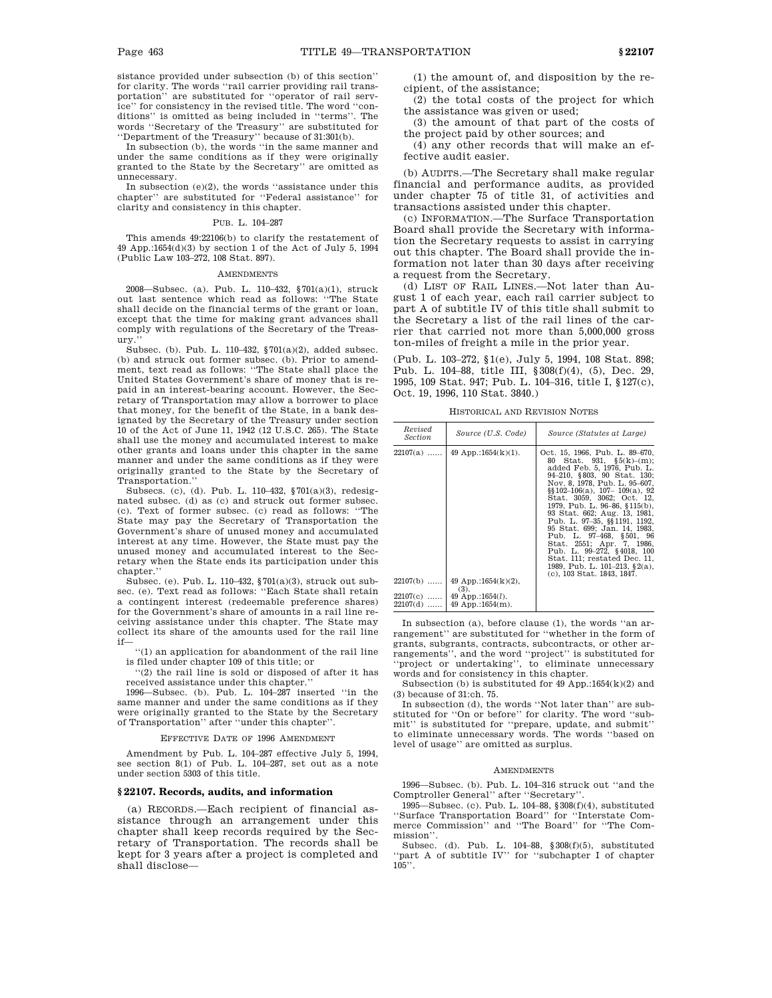sistance provided under subsection (b) of this section'' for clarity. The words ''rail carrier providing rail transportation'' are substituted for ''operator of rail service'' for consistency in the revised title. The word ''conditions'' is omitted as being included in ''terms''. The words ''Secretary of the Treasury'' are substituted for ''Department of the Treasury'' because of 31:301(b).

In subsection (b), the words ''in the same manner and under the same conditions as if they were originally granted to the State by the Secretary'' are omitted as unnecessary.

In subsection (e)(2), the words ''assistance under this chapter'' are substituted for ''Federal assistance'' for clarity and consistency in this chapter.

#### PUB. L. 104–287

This amends 49:22106(b) to clarify the restatement of 49 App.:1654(d)(3) by section 1 of the Act of July 5, 1994 (Public Law 103–272, 108 Stat. 897).

#### **AMENDMENTS**

2008—Subsec. (a). Pub. L. 110–432, §701(a)(1), struck out last sentence which read as follows: ''The State shall decide on the financial terms of the grant or loan, except that the time for making grant advances shall comply with regulations of the Secretary of the Treasury.

Subsec. (b). Pub. L. 110–432, §701(a)(2), added subsec. (b) and struck out former subsec. (b). Prior to amendment, text read as follows: ''The State shall place the United States Government's share of money that is repaid in an interest-bearing account. However, the Secretary of Transportation may allow a borrower to place that money, for the benefit of the State, in a bank designated by the Secretary of the Treasury under section 10 of the Act of June 11, 1942 (12 U.S.C. 265). The State shall use the money and accumulated interest to make other grants and loans under this chapter in the same manner and under the same conditions as if they were originally granted to the State by the Secretary of Transportation.''

Subsecs. (c), (d). Pub. L. 110–432, §701(a)(3), redesignated subsec. (d) as (c) and struck out former subsec. (c). Text of former subsec. (c) read as follows: ''The State may pay the Secretary of Transportation the Government's share of unused money and accumulated interest at any time. However, the State must pay the unused money and accumulated interest to the Secretary when the State ends its participation under this chapter.''

Subsec. (e). Pub. L. 110–432, §701(a)(3), struck out subsec. (e). Text read as follows: ''Each State shall retain a contingent interest (redeemable preference shares) for the Government's share of amounts in a rail line receiving assistance under this chapter. The State may collect its share of the amounts used for the rail line if—

''(1) an application for abandonment of the rail line is filed under chapter 109 of this title; or

'(2) the rail line is sold or disposed of after it has received assistance under this chapter.''

1996—Subsec. (b). Pub. L. 104–287 inserted ''in the same manner and under the same conditions as if they were originally granted to the State by the Secretary of Transportation'' after ''under this chapter''.

#### EFFECTIVE DATE OF 1996 AMENDMENT

Amendment by Pub. L. 104–287 effective July 5, 1994, see section 8(1) of Pub. L. 104–287, set out as a note under section 5303 of this title.

### **§ 22107. Records, audits, and information**

(a) RECORDS.—Each recipient of financial assistance through an arrangement under this chapter shall keep records required by the Secretary of Transportation. The records shall be kept for 3 years after a project is completed and shall disclose—

(1) the amount of, and disposition by the recipient, of the assistance;

(2) the total costs of the project for which the assistance was given or used;

(3) the amount of that part of the costs of the project paid by other sources; and

(4) any other records that will make an effective audit easier.

(b) AUDITS.—The Secretary shall make regular financial and performance audits, as provided under chapter 75 of title 31, of activities and transactions assisted under this chapter.

(c) INFORMATION.—The Surface Transportation Board shall provide the Secretary with information the Secretary requests to assist in carrying out this chapter. The Board shall provide the information not later than 30 days after receiving a request from the Secretary.

(d) LIST OF RAIL LINES.—Not later than August 1 of each year, each rail carrier subject to part A of subtitle IV of this title shall submit to the Secretary a list of the rail lines of the carrier that carried not more than 5,000,000 gross ton-miles of freight a mile in the prior year.

(Pub. L. 103–272, §1(e), July 5, 1994, 108 Stat. 898; Pub. L. 104–88, title III, §308(f)(4), (5), Dec. 29, 1995, 109 Stat. 947; Pub. L. 104–316, title I, §127(c), Oct. 19, 1996, 110 Stat. 3840.)

HISTORICAL AND REVISION NOTES

| Revised<br>Section | Source (U.S. Code)                                            | Source (Statutes at Large)                                                                                                                                                                                                                                                                                                                                                                                                                                                                                                                          |
|--------------------|---------------------------------------------------------------|-----------------------------------------------------------------------------------------------------------------------------------------------------------------------------------------------------------------------------------------------------------------------------------------------------------------------------------------------------------------------------------------------------------------------------------------------------------------------------------------------------------------------------------------------------|
| $22107(a)$         | 49 App.:1654 $(k)(1)$ .                                       | Oct. 15, 1966, Pub. L. 89–670,<br>80 Stat. 931. \$5(k)–(m):<br>added Feb. 5, 1976, Pub. L.<br>94-210, §803, 90 Stat. 130;<br>Nov. 8, 1978. Pub. L. 95–607.<br>$\S$ [102-106(a), 107-109(a), 92<br>Stat. 3059, 3062; Oct. 12,<br>1979, Pub. L. 96–86, §115(b),<br>93 Stat. 662; Aug. 13, 1981,<br>Pub. L. 97-35, §§1191, 1192,<br>95 Stat. 699; Jan. 14, 1983.<br>Pub. L. 97-468, §501, 96<br>Stat. 2551; Apr. 7, 1986.<br>Pub. L. 99-272, §4018, 100<br>Stat. 111; restated Dec. 11,<br>1989, Pub. L. 101–213, §2(a),<br>(c), 103 Stat. 1843, 1847. |
| 22107(b)<br>.      | 49 App.:1654 $(k)(2)$ ,<br>(3).                               |                                                                                                                                                                                                                                                                                                                                                                                                                                                                                                                                                     |
| $22107(d)$         | $22107(c)$   49 App.:1654( <i>l</i> ).<br>$149$ App.:1654(m). |                                                                                                                                                                                                                                                                                                                                                                                                                                                                                                                                                     |

In subsection (a), before clause (1), the words ''an arrangement'' are substituted for ''whether in the form of grants, subgrants, contracts, subcontracts, or other arrangements'', and the word ''project'' is substituted for ''project or undertaking'', to eliminate unnecessary words and for consistency in this chapter.

Subsection (b) is substituted for 49 App.:1654(k)(2) and (3) because of 31:ch. 75.

In subsection (d), the words ''Not later than'' are substituted for ''On or before'' for clarity. The word ''submit'' is substituted for ''prepare, update, and submit'' to eliminate unnecessary words. The words ''based on level of usage'' are omitted as surplus.

#### **AMENDMENTS**

1996—Subsec. (b). Pub. L. 104–316 struck out ''and the Comptroller General'' after ''Secretary''.

1995—Subsec. (c). Pub. L. 104–88, §308(f)(4), substituted ''Surface Transportation Board'' for ''Interstate Commerce Commission'' and ''The Board'' for ''The Commission''.

Subsec. (d). Pub. L. 104–88, §308(f)(5), substituted ''part A of subtitle IV'' for ''subchapter I of chapter  $105$ <sup>"</sup>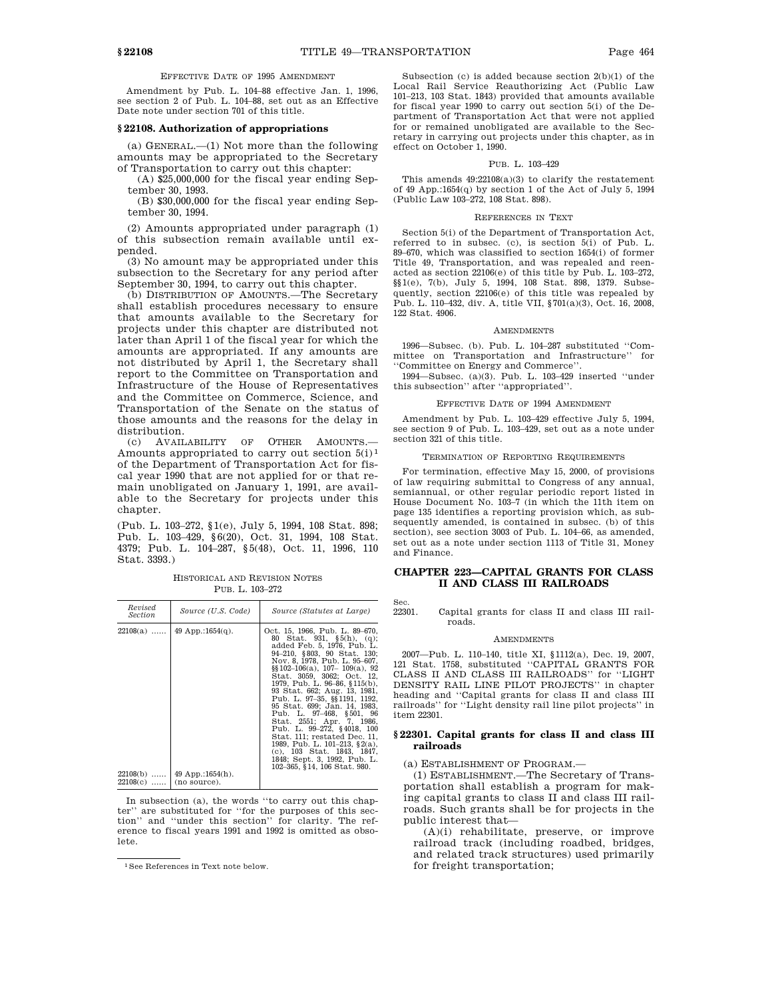EFFECTIVE DATE OF 1995 AMENDMENT

Amendment by Pub. L. 104–88 effective Jan. 1, 1996, see section 2 of Pub. L. 104–88, set out as an Effective Date note under section 701 of this title.

# **§ 22108. Authorization of appropriations**

(a) GENERAL.—(1) Not more than the following amounts may be appropriated to the Secretary of Transportation to carry out this chapter:

(A) \$25,000,000 for the fiscal year ending September 30, 1993.

(B) \$30,000,000 for the fiscal year ending September 30, 1994.

(2) Amounts appropriated under paragraph (1) of this subsection remain available until expended.

(3) No amount may be appropriated under this subsection to the Secretary for any period after September 30, 1994, to carry out this chapter.

(b) DISTRIBUTION OF AMOUNTS.—The Secretary shall establish procedures necessary to ensure that amounts available to the Secretary for projects under this chapter are distributed not later than April 1 of the fiscal year for which the amounts are appropriated. If any amounts are not distributed by April 1, the Secretary shall report to the Committee on Transportation and Infrastructure of the House of Representatives and the Committee on Commerce, Science, and Transportation of the Senate on the status of those amounts and the reasons for the delay in distribution.

(c) AVAILABILITY OF OTHER AMOUNTS.— Amounts appropriated to carry out section  $5(i)^1$ of the Department of Transportation Act for fiscal year 1990 that are not applied for or that remain unobligated on January 1, 1991, are available to the Secretary for projects under this chapter

(Pub. L. 103–272, §1(e), July 5, 1994, 108 Stat. 898; Pub. L. 103–429, §6(20), Oct. 31, 1994, 108 Stat. 4379; Pub. L. 104–287, §5(48), Oct. 11, 1996, 110 Stat. 3393.)

HISTORICAL AND REVISION NOTES PUB. L. 103–272

| Revised<br>Source (U.S. Code)<br>Source (Statutes at Large)<br>Section<br>49 App.:1654 $(q)$ .<br>$22108(a)$<br>102–365, §14, 106 Stat. 980.<br>$22108(b)$<br>$49$ App.:1654(h). |  |                                                                                                                                                                                                                                                                                                                                                                                                                                                                                                                                                                                     |
|----------------------------------------------------------------------------------------------------------------------------------------------------------------------------------|--|-------------------------------------------------------------------------------------------------------------------------------------------------------------------------------------------------------------------------------------------------------------------------------------------------------------------------------------------------------------------------------------------------------------------------------------------------------------------------------------------------------------------------------------------------------------------------------------|
|                                                                                                                                                                                  |  |                                                                                                                                                                                                                                                                                                                                                                                                                                                                                                                                                                                     |
| $22108(c)$ $ $ (no source).                                                                                                                                                      |  | Oct. 15, 1966, Pub. L. 89-670,<br>80 Stat. 931, §5(h), (q);<br>added Feb. 5, 1976, Pub. L.<br>94–210, §803, 90 Stat. 130;<br>Nov. 8, 1978. Pub. L. 95–607.<br>$\S$ [102-106(a), 107-109(a), 92<br>Stat. 3059, 3062; Oct. 12,<br>1979, Pub. L. 96–86, §115(b).<br>93 Stat. 662; Aug. 13, 1981,<br>Pub. L. 97-35, §§1191, 1192,<br>95 Stat. 699; Jan. 14, 1983.<br>Pub. L. 97-468, §501, 96<br>Stat. 2551; Apr. 7, 1986.<br>Pub. L. 99-272, §4018, 100<br>Stat. 111; restated Dec. 11,<br>1989, Pub. L. 101-213, §2(a),<br>(c), 103 Stat. 1843, 1847,<br>1848; Sept. 3, 1992, Pub. L. |

In subsection (a), the words ''to carry out this chapter'' are substituted for ''for the purposes of this section'' and ''under this section'' for clarity. The reference to fiscal years 1991 and 1992 is omitted as obsolete.

Subsection (c) is added because section 2(b)(1) of the Local Rail Service Reauthorizing Act (Public Law 101–213, 103 Stat. 1843) provided that amounts available for fiscal year 1990 to carry out section 5(i) of the Department of Transportation Act that were not applied for or remained unobligated are available to the Secretary in carrying out projects under this chapter, as in effect on October 1, 1990.

### PUB. L. 103-429

This amends 49:22108(a)(3) to clarify the restatement of 49 App.:1654(q) by section 1 of the Act of July 5, 1994 (Public Law 103–272, 108 Stat. 898).

#### REFERENCES IN TEXT

Section 5(i) of the Department of Transportation Act, referred to in subsec. (c), is section 5(i) of Pub. L. 89–670, which was classified to section 1654(i) of former Title 49, Transportation, and was repealed and reenacted as section 22106(e) of this title by Pub. L. 103–272, §§1(e), 7(b), July 5, 1994, 108 Stat. 898, 1379. Subsequently, section 22106(e) of this title was repealed by Pub. L. 110–432, div. A, title VII, §701(a)(3), Oct. 16, 2008, 122 Stat. 4906.

#### AMENDMENTS

1996—Subsec. (b). Pub. L. 104–287 substituted ''Committee on Transportation and Infrastructure'' for 'Committee on Energy and Commerce'

1994—Subsec. (a)(3). Pub. L. 103–429 inserted ''under this subsection'' after ''appropriated''.

#### EFFECTIVE DATE OF 1994 AMENDMENT

Amendment by Pub. L. 103–429 effective July 5, 1994, see section 9 of Pub. L. 103–429, set out as a note under section 321 of this title.

#### TERMINATION OF REPORTING REQUIREMENTS

For termination, effective May 15, 2000, of provisions of law requiring submittal to Congress of any annual, semiannual, or other regular periodic report listed in House Document No. 103–7 (in which the 11th item on page 135 identifies a reporting provision which, as subsequently amended, is contained in subsec. (b) of this section), see section 3003 of Pub. L. 104–66, as amended, set out as a note under section 1113 of Title 31, Money and Finance.

# **CHAPTER 223—CAPITAL GRANTS FOR CLASS II AND CLASS III RAILROADS**

Sec.<br>22301.

Capital grants for class II and class III railroads.

#### **AMENDMENTS**

2007—Pub. L. 110–140, title XI, §1112(a), Dec. 19, 2007, 121 Stat. 1758, substituted ''CAPITAL GRANTS FOR CLASS II AND CLASS III RAILROADS'' for ''LIGHT DENSITY RAIL LINE PILOT PROJECTS'' in chapter heading and ''Capital grants for class II and class III railroads'' for ''Light density rail line pilot projects'' in item 22301.

# **§ 22301. Capital grants for class II and class III railroads**

(a) ESTABLISHMENT OF PROGRAM.—

(1) ESTABLISHMENT.—The Secretary of Transportation shall establish a program for making capital grants to class II and class III railroads. Such grants shall be for projects in the public interest that—

(A)(i) rehabilitate, preserve, or improve railroad track (including roadbed, bridges, and related track structures) used primarily for freight transportation;

<sup>1</sup>See References in Text note below.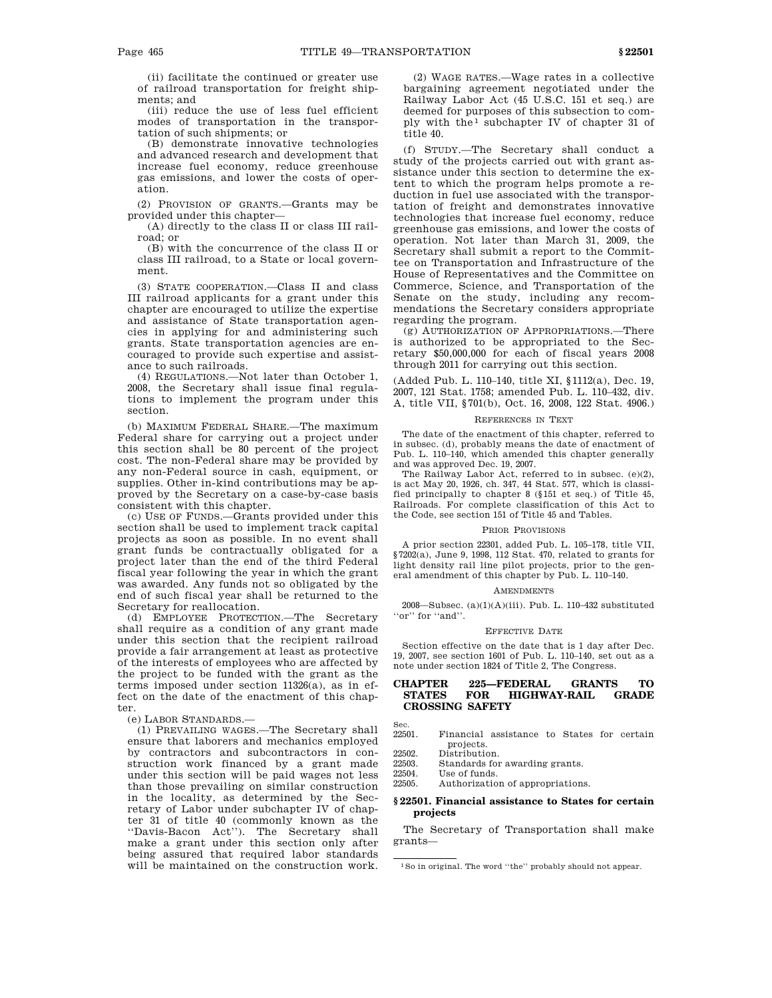(ii) facilitate the continued or greater use of railroad transportation for freight shipments; and

(iii) reduce the use of less fuel efficient modes of transportation in the transportation of such shipments; or

(B) demonstrate innovative technologies and advanced research and development that increase fuel economy, reduce greenhouse gas emissions, and lower the costs of operation.

(2) PROVISION OF GRANTS.—Grants may be provided under this chapter—

(A) directly to the class II or class III railroad; or

(B) with the concurrence of the class II or class III railroad, to a State or local government.

(3) STATE COOPERATION.—Class II and class III railroad applicants for a grant under this chapter are encouraged to utilize the expertise and assistance of State transportation agencies in applying for and administering such grants. State transportation agencies are encouraged to provide such expertise and assistance to such railroads.

(4) REGULATIONS.—Not later than October 1, 2008, the Secretary shall issue final regulations to implement the program under this section.

(b) MAXIMUM FEDERAL SHARE.—The maximum Federal share for carrying out a project under this section shall be 80 percent of the project cost. The non-Federal share may be provided by any non-Federal source in cash, equipment, or supplies. Other in-kind contributions may be approved by the Secretary on a case-by-case basis consistent with this chapter.

(c) USE OF FUNDS.—Grants provided under this section shall be used to implement track capital projects as soon as possible. In no event shall grant funds be contractually obligated for a project later than the end of the third Federal fiscal year following the year in which the grant was awarded. Any funds not so obligated by the end of such fiscal year shall be returned to the Secretary for reallocation.

(d) EMPLOYEE PROTECTION.—The Secretary shall require as a condition of any grant made under this section that the recipient railroad provide a fair arrangement at least as protective of the interests of employees who are affected by the project to be funded with the grant as the terms imposed under section 11326(a), as in effect on the date of the enactment of this chapter.

(e) LABOR STANDARDS.—

(1) PREVAILING WAGES.—The Secretary shall ensure that laborers and mechanics employed by contractors and subcontractors in construction work financed by a grant made under this section will be paid wages not less than those prevailing on similar construction in the locality, as determined by the Secretary of Labor under subchapter IV of chapter 31 of title 40 (commonly known as the ''Davis-Bacon Act''). The Secretary shall make a grant under this section only after being assured that required labor standards will be maintained on the construction work.

(2) WAGE RATES.—Wage rates in a collective bargaining agreement negotiated under the Railway Labor Act (45 U.S.C. 151 et seq.) are deemed for purposes of this subsection to comply with the  $1$  subchapter IV of chapter 31 of title 40.

(f) STUDY.—The Secretary shall conduct a study of the projects carried out with grant assistance under this section to determine the extent to which the program helps promote a reduction in fuel use associated with the transportation of freight and demonstrates innovative technologies that increase fuel economy, reduce greenhouse gas emissions, and lower the costs of operation. Not later than March 31, 2009, the Secretary shall submit a report to the Committee on Transportation and Infrastructure of the House of Representatives and the Committee on Commerce, Science, and Transportation of the Senate on the study, including any recommendations the Secretary considers appropriate regarding the program.

(g) AUTHORIZATION OF APPROPRIATIONS.—There is authorized to be appropriated to the Secretary \$50,000,000 for each of fiscal years 2008 through 2011 for carrying out this section.

(Added Pub. L. 110–140, title XI, §1112(a), Dec. 19, 2007, 121 Stat. 1758; amended Pub. L. 110–432, div. A, title VII, §701(b), Oct. 16, 2008, 122 Stat. 4906.)

### REFERENCES IN TEXT

The date of the enactment of this chapter, referred to in subsec. (d), probably means the date of enactment of Pub. L. 110–140, which amended this chapter generally and was approved Dec. 19, 2007.

The Railway Labor Act, referred to in subsec. (e)(2), is act May 20, 1926, ch. 347, 44 Stat. 577, which is classified principally to chapter 8 (§151 et seq.) of Title 45, Railroads. For complete classification of this Act to the Code, see section 151 of Title 45 and Tables.

# PRIOR PROVISIONS

A prior section 22301, added Pub. L. 105–178, title VII, §7202(a), June 9, 1998, 112 Stat. 470, related to grants for light density rail line pilot projects, prior to the general amendment of this chapter by Pub. L. 110–140.

#### AMENDMENTS

2008—Subsec. (a)(1)(A)(iii). Pub. L. 110–432 substituted "or" for "and".

#### EFFECTIVE DATE

Section effective on the date that is 1 day after Dec. 19, 2007, see section 1601 of Pub. L. 110–140, set out as a note under section 1824 of Title 2, The Congress.

# **CHAPTER 225—FEDERAL GRANTS TO STATES FOR HIGHWAY-RAIL GRADE CROSSING SAFETY**

- Sec.<br>22501 Financial assistance to States for certain projects.
- 22502. Distribution.
- 22503. Standards for awarding grants.<br>22504 Use of funds
- Use of funds. 22505. Authorization of appropriations.
- 

# **§ 22501. Financial assistance to States for certain projects**

The Secretary of Transportation shall make grants—

<sup>1</sup>So in original. The word ''the'' probably should not appear.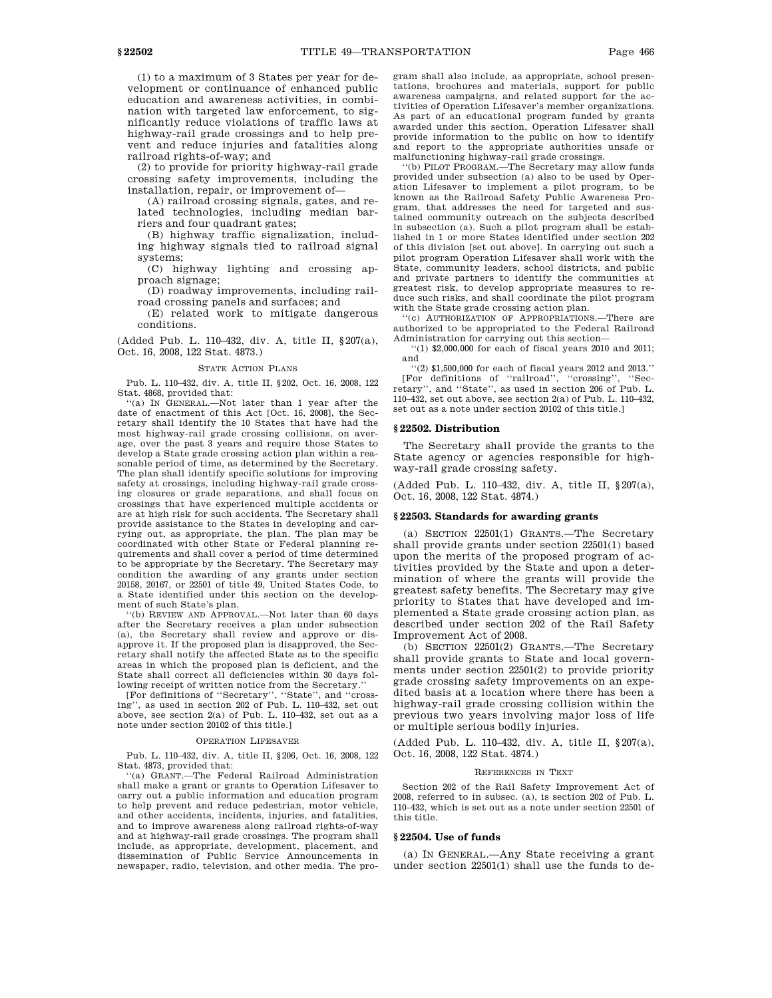(1) to a maximum of 3 States per year for development or continuance of enhanced public education and awareness activities, in combination with targeted law enforcement, to significantly reduce violations of traffic laws at highway-rail grade crossings and to help prevent and reduce injuries and fatalities along railroad rights-of-way; and

(2) to provide for priority highway-rail grade crossing safety improvements, including the installation, repair, or improvement of—

(A) railroad crossing signals, gates, and related technologies, including median barriers and four quadrant gates;

(B) highway traffic signalization, including highway signals tied to railroad signal systems;

(C) highway lighting and crossing approach signage;

(D) roadway improvements, including railroad crossing panels and surfaces; and

(E) related work to mitigate dangerous conditions.

(Added Pub. L. 110–432, div. A, title II, §207(a), Oct. 16, 2008, 122 Stat. 4873.)

### STATE ACTION PLANS

Pub. L. 110–432, div. A, title II, §202, Oct. 16, 2008, 122 Stat. 4868, provided that:

''(a) IN GENERAL.—Not later than 1 year after the date of enactment of this Act [Oct. 16, 2008], the Secretary shall identify the 10 States that have had the most highway-rail grade crossing collisions, on average, over the past 3 years and require those States to develop a State grade crossing action plan within a reasonable period of time, as determined by the Secretary. The plan shall identify specific solutions for improving safety at crossings, including highway-rail grade crossing closures or grade separations, and shall focus on crossings that have experienced multiple accidents or are at high risk for such accidents. The Secretary shall provide assistance to the States in developing and carrying out, as appropriate, the plan. The plan may be coordinated with other State or Federal planning requirements and shall cover a period of time determined to be appropriate by the Secretary. The Secretary may condition the awarding of any grants under section 20158, 20167, or 22501 of title 49, United States Code, to a State identified under this section on the development of such State's plan.

''(b) REVIEW AND APPROVAL.—Not later than 60 days after the Secretary receives a plan under subsection (a), the Secretary shall review and approve or disapprove it. If the proposed plan is disapproved, the Secretary shall notify the affected State as to the specific areas in which the proposed plan is deficient, and the State shall correct all deficiencies within 30 days following receipt of written notice from the Secretary.''

[For definitions of ''Secretary'', ''State'', and ''crossing'', as used in section 202 of Pub. L. 110–432, set out above, see section 2(a) of Pub. L. 110–432, set out as a note under section 20102 of this title.]

### OPERATION LIFESAVER

Pub. L. 110–432, div. A, title II, §206, Oct. 16, 2008, 122 Stat. 4873, provided that:

''(a) GRANT.—The Federal Railroad Administration shall make a grant or grants to Operation Lifesaver to carry out a public information and education program to help prevent and reduce pedestrian, motor vehicle, and other accidents, incidents, injuries, and fatalities, and to improve awareness along railroad rights-of-way and at highway-rail grade crossings. The program shall include, as appropriate, development, placement, and dissemination of Public Service Announcements in newspaper, radio, television, and other media. The program shall also include, as appropriate, school presentations, brochures and materials, support for public awareness campaigns, and related support for the activities of Operation Lifesaver's member organizations. As part of an educational program funded by grants awarded under this section, Operation Lifesaver shall provide information to the public on how to identify and report to the appropriate authorities unsafe or malfunctioning highway-rail grade crossings.

''(b) PILOT PROGRAM.—The Secretary may allow funds provided under subsection (a) also to be used by Operation Lifesaver to implement a pilot program, to be known as the Railroad Safety Public Awareness Program, that addresses the need for targeted and sustained community outreach on the subjects described in subsection (a). Such a pilot program shall be established in 1 or more States identified under section 202 of this division [set out above]. In carrying out such a pilot program Operation Lifesaver shall work with the State, community leaders, school districts, and public and private partners to identify the communities at greatest risk, to develop appropriate measures to reduce such risks, and shall coordinate the pilot program with the State grade crossing action plan.

''(c) AUTHORIZATION OF APPROPRIATIONS.—There are authorized to be appropriated to the Federal Railroad Administration for carrying out this section—

''(1) \$2,000,000 for each of fiscal years 2010 and 2011; and

''(2) \$1,500,000 for each of fiscal years 2012 and 2013.'' [For definitions of ''railroad'', ''crossing'', ''Secretary'', and ''State'', as used in section 206 of Pub. L. 110–432, set out above, see section 2(a) of Pub. L. 110–432, set out as a note under section 20102 of this title.]

# **§ 22502. Distribution**

The Secretary shall provide the grants to the State agency or agencies responsible for highway-rail grade crossing safety.

(Added Pub. L. 110–432, div. A, title II, §207(a), Oct. 16, 2008, 122 Stat. 4874.)

#### **§ 22503. Standards for awarding grants**

(a) SECTION 22501(1) GRANTS.—The Secretary shall provide grants under section 22501(1) based upon the merits of the proposed program of activities provided by the State and upon a determination of where the grants will provide the greatest safety benefits. The Secretary may give priority to States that have developed and implemented a State grade crossing action plan, as described under section 202 of the Rail Safety Improvement Act of 2008.

(b) SECTION 22501(2) GRANTS.—The Secretary shall provide grants to State and local governments under section 22501(2) to provide priority grade crossing safety improvements on an expedited basis at a location where there has been a highway-rail grade crossing collision within the previous two years involving major loss of life or multiple serious bodily injuries.

(Added Pub. L. 110–432, div. A, title II, §207(a), Oct. 16, 2008, 122 Stat. 4874.)

#### REFERENCES IN TEXT

Section 202 of the Rail Safety Improvement Act of 2008, referred to in subsec. (a), is section 202 of Pub. L. 110–432, which is set out as a note under section 22501 of this title.

# **§ 22504. Use of funds**

(a) IN GENERAL.—Any State receiving a grant under section 22501(1) shall use the funds to de-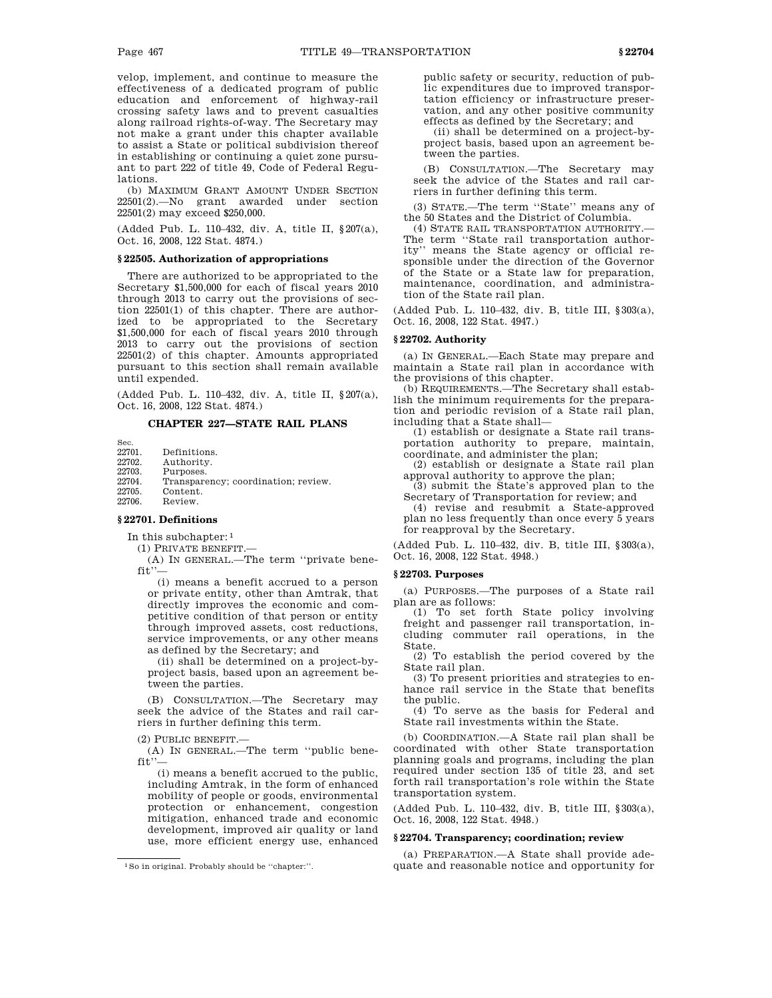velop, implement, and continue to measure the effectiveness of a dedicated program of public education and enforcement of highway-rail crossing safety laws and to prevent casualties along railroad rights-of-way. The Secretary may not make a grant under this chapter available to assist a State or political subdivision thereof in establishing or continuing a quiet zone pursuant to part 222 of title 49, Code of Federal Regulations.

(b) MAXIMUM GRANT AMOUNT UNDER SECTION 22501(2).—No grant awarded under section 22501(2) may exceed \$250,000.

(Added Pub. L. 110–432, div. A, title II, §207(a), Oct. 16, 2008, 122 Stat. 4874.)

# **§ 22505. Authorization of appropriations**

There are authorized to be appropriated to the Secretary \$1,500,000 for each of fiscal years 2010 through 2013 to carry out the provisions of section 22501(1) of this chapter. There are authorized to be appropriated to the Secretary \$1,500,000 for each of fiscal years 2010 through 2013 to carry out the provisions of section 22501(2) of this chapter. Amounts appropriated pursuant to this section shall remain available until expended.

(Added Pub. L. 110–432, div. A, title II, §207(a), Oct. 16, 2008, 122 Stat. 4874.)

# **CHAPTER 227—STATE RAIL PLANS**

Sec.<br>22701. 22701. Definitions.<br>22702. Authority. Authority. 22703. Purposes. Transparency; coordination; review. 22705. Content. 22706. Review.

# **§ 22701. Definitions**

In this subchapter: 1

(1) PRIVATE BENEFIT.—

(A) IN GENERAL.—The term ''private benefit"

(i) means a benefit accrued to a person or private entity, other than Amtrak, that directly improves the economic and competitive condition of that person or entity through improved assets, cost reductions, service improvements, or any other means as defined by the Secretary; and

(ii) shall be determined on a project-byproject basis, based upon an agreement between the parties.

(B) CONSULTATION.—The Secretary may seek the advice of the States and rail carriers in further defining this term.

 $(2)$  PUBLIC BENEFIT.

(A) IN GENERAL.—The term ''public bene $fit$ .

(i) means a benefit accrued to the public, including Amtrak, in the form of enhanced mobility of people or goods, environmental protection or enhancement, congestion mitigation, enhanced trade and economic development, improved air quality or land use, more efficient energy use, enhanced

public safety or security, reduction of public expenditures due to improved transportation efficiency or infrastructure preservation, and any other positive community effects as defined by the Secretary; and

(ii) shall be determined on a project-byproject basis, based upon an agreement between the parties.

(B) CONSULTATION.—The Secretary may seek the advice of the States and rail carriers in further defining this term.

(3) STATE.—The term ''State'' means any of the 50 States and the District of Columbia.

(4) STATE RAIL TRANSPORTATION AUTHORITY.— The term ''State rail transportation authority'' means the State agency or official responsible under the direction of the Governor of the State or a State law for preparation, maintenance, coordination, and administration of the State rail plan.

(Added Pub. L. 110–432, div. B, title III, §303(a), Oct. 16, 2008, 122 Stat. 4947.)

# **§ 22702. Authority**

(a) IN GENERAL.—Each State may prepare and maintain a State rail plan in accordance with the provisions of this chapter.

(b) REQUIREMENTS.—The Secretary shall establish the minimum requirements for the preparation and periodic revision of a State rail plan, including that a State shall—

(1) establish or designate a State rail transportation authority to prepare, maintain, coordinate, and administer the plan;

(2) establish or designate a State rail plan approval authority to approve the plan;

(3) submit the State's approved plan to the Secretary of Transportation for review; and

(4) revise and resubmit a State-approved plan no less frequently than once every 5 years for reapproval by the Secretary.

(Added Pub. L. 110–432, div. B, title III, §303(a), Oct. 16, 2008, 122 Stat. 4948.)

# **§ 22703. Purposes**

(a) PURPOSES.—The purposes of a State rail plan are as follows:

(1) To set forth State policy involving freight and passenger rail transportation, including commuter rail operations, in the State.

(2) To establish the period covered by the State rail plan.

(3) To present priorities and strategies to enhance rail service in the State that benefits the public.

(4) To serve as the basis for Federal and State rail investments within the State.

(b) COORDINATION.—A State rail plan shall be coordinated with other State transportation planning goals and programs, including the plan required under section 135 of title 23, and set forth rail transportation's role within the State transportation system.

(Added Pub. L. 110–432, div. B, title III, §303(a), Oct. 16, 2008, 122 Stat. 4948.)

# **§ 22704. Transparency; coordination; review**

(a) PREPARATION.—A State shall provide adequate and reasonable notice and opportunity for

<sup>1</sup>So in original. Probably should be ''chapter:''.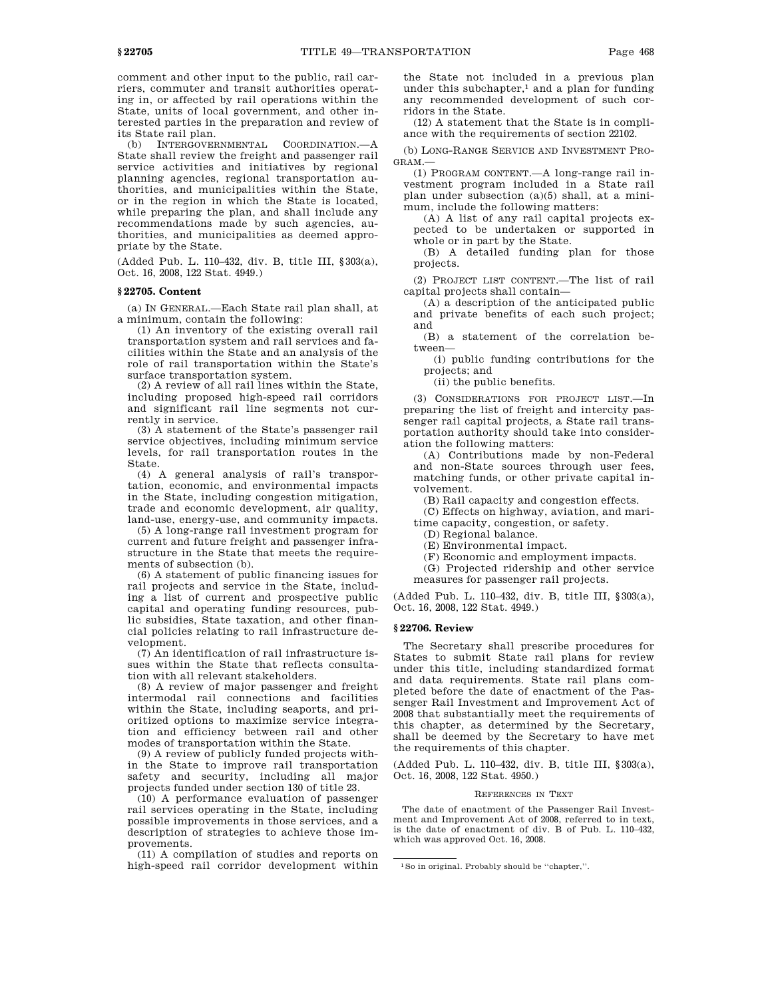comment and other input to the public, rail carriers, commuter and transit authorities operating in, or affected by rail operations within the State, units of local government, and other interested parties in the preparation and review of its State rail plan.

(b) INTERGOVERNMENTAL COORDINATION.—A State shall review the freight and passenger rail service activities and initiatives by regional planning agencies, regional transportation authorities, and municipalities within the State, or in the region in which the State is located, while preparing the plan, and shall include any recommendations made by such agencies, authorities, and municipalities as deemed appropriate by the State.

(Added Pub. L. 110–432, div. B, title III, §303(a), Oct. 16, 2008, 122 Stat. 4949.)

# **§ 22705. Content**

(a) IN GENERAL.—Each State rail plan shall, at a minimum, contain the following:

(1) An inventory of the existing overall rail transportation system and rail services and facilities within the State and an analysis of the role of rail transportation within the State's surface transportation system.

(2) A review of all rail lines within the State, including proposed high-speed rail corridors and significant rail line segments not currently in service.

(3) A statement of the State's passenger rail service objectives, including minimum service levels, for rail transportation routes in the State.

(4) A general analysis of rail's transportation, economic, and environmental impacts in the State, including congestion mitigation, trade and economic development, air quality, land-use, energy-use, and community impacts.

(5) A long-range rail investment program for current and future freight and passenger infrastructure in the State that meets the requirements of subsection (b).

(6) A statement of public financing issues for rail projects and service in the State, including a list of current and prospective public capital and operating funding resources, public subsidies, State taxation, and other financial policies relating to rail infrastructure development.

(7) An identification of rail infrastructure issues within the State that reflects consultation with all relevant stakeholders.

(8) A review of major passenger and freight intermodal rail connections and facilities within the State, including seaports, and prioritized options to maximize service integration and efficiency between rail and other modes of transportation within the State.

(9) A review of publicly funded projects within the State to improve rail transportation safety and security, including all major projects funded under section 130 of title 23.

(10) A performance evaluation of passenger rail services operating in the State, including possible improvements in those services, and a description of strategies to achieve those improvements.

(11) A compilation of studies and reports on high-speed rail corridor development within

the State not included in a previous plan under this subchapter, $<sup>1</sup>$  and a plan for funding</sup> any recommended development of such corridors in the State.

(12) A statement that the State is in compliance with the requirements of section 22102.

(b) LONG-RANGE SERVICE AND INVESTMENT PRO-GRAM.—

(1) PROGRAM CONTENT.—A long-range rail investment program included in a State rail plan under subsection (a)(5) shall, at a minimum, include the following matters:

(A) A list of any rail capital projects expected to be undertaken or supported in whole or in part by the State.

(B) A detailed funding plan for those projects.

(2) PROJECT LIST CONTENT.—The list of rail capital projects shall contain—

(A) a description of the anticipated public and private benefits of each such project; and

(B) a statement of the correlation between—

(i) public funding contributions for the projects; and

(ii) the public benefits.

(3) CONSIDERATIONS FOR PROJECT LIST.—In preparing the list of freight and intercity passenger rail capital projects, a State rail transportation authority should take into consideration the following matters:

(A) Contributions made by non-Federal and non-State sources through user fees, matching funds, or other private capital involvement.

(B) Rail capacity and congestion effects.

(C) Effects on highway, aviation, and mari-

time capacity, congestion, or safety.

(D) Regional balance.

(E) Environmental impact.

(F) Economic and employment impacts.

(G) Projected ridership and other service measures for passenger rail projects.

(Added Pub. L. 110–432, div. B, title III, §303(a), Oct. 16, 2008, 122 Stat. 4949.)

# **§ 22706. Review**

The Secretary shall prescribe procedures for States to submit State rail plans for review under this title, including standardized format and data requirements. State rail plans completed before the date of enactment of the Passenger Rail Investment and Improvement Act of 2008 that substantially meet the requirements of this chapter, as determined by the Secretary, shall be deemed by the Secretary to have met the requirements of this chapter.

(Added Pub. L. 110–432, div. B, title III, §303(a), Oct. 16, 2008, 122 Stat. 4950.)

### REFERENCES IN TEXT

The date of enactment of the Passenger Rail Investment and Improvement Act of 2008, referred to in text, is the date of enactment of div. B of Pub. L. 110–432, which was approved Oct. 16, 2008.

<sup>1</sup>So in original. Probably should be ''chapter,''.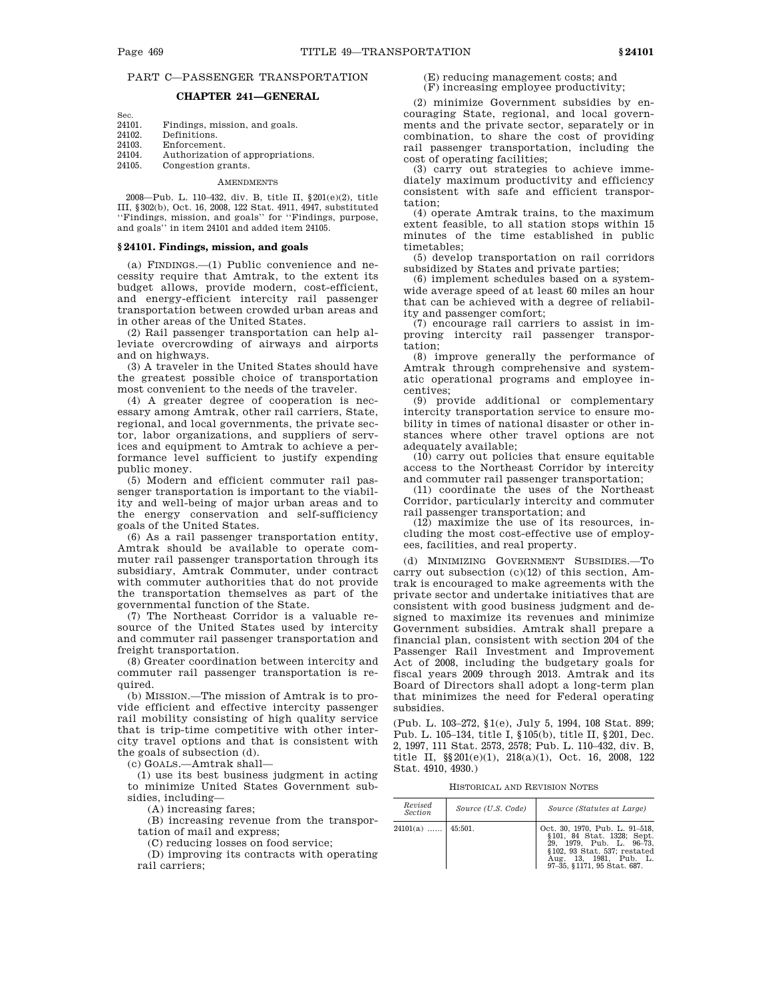# PART C—PASSENGER TRANSPORTATION

# **CHAPTER 241—GENERAL**

| Sec.   |                                  |
|--------|----------------------------------|
| 24101. | Findings, mission, and goals.    |
| 24102. | Definitions.                     |
| 24103. | Enforcement.                     |
| 24104. | Authorization of appropriations. |
| 24105. | Congestion grants.               |
|        |                                  |

# **AMENDMENTS**

2008—Pub. L. 110–432, div. B, title II, §201(e)(2), title III, §302(b), Oct. 16, 2008, 122 Stat. 4911, 4947, substituted ''Findings, mission, and goals'' for ''Findings, purpose, and goals'' in item 24101 and added item 24105.

# **§ 24101. Findings, mission, and goals**

(a) FINDINGS.—(1) Public convenience and necessity require that Amtrak, to the extent its budget allows, provide modern, cost-efficient, and energy-efficient intercity rail passenger transportation between crowded urban areas and in other areas of the United States.

(2) Rail passenger transportation can help alleviate overcrowding of airways and airports and on highways.

(3) A traveler in the United States should have the greatest possible choice of transportation most convenient to the needs of the traveler.

(4) A greater degree of cooperation is necessary among Amtrak, other rail carriers, State, regional, and local governments, the private sector, labor organizations, and suppliers of services and equipment to Amtrak to achieve a performance level sufficient to justify expending public money.

(5) Modern and efficient commuter rail passenger transportation is important to the viability and well-being of major urban areas and to the energy conservation and self-sufficiency goals of the United States.

(6) As a rail passenger transportation entity, Amtrak should be available to operate commuter rail passenger transportation through its subsidiary, Amtrak Commuter, under contract with commuter authorities that do not provide the transportation themselves as part of the governmental function of the State.

(7) The Northeast Corridor is a valuable resource of the United States used by intercity and commuter rail passenger transportation and freight transportation.

(8) Greater coordination between intercity and commuter rail passenger transportation is required.

(b) MISSION.—The mission of Amtrak is to provide efficient and effective intercity passenger rail mobility consisting of high quality service that is trip-time competitive with other intercity travel options and that is consistent with the goals of subsection (d).

(c) GOALS.—Amtrak shall—

(1) use its best business judgment in acting to minimize United States Government subsidies, including—

(A) increasing fares;

(B) increasing revenue from the transportation of mail and express;

(C) reducing losses on food service;

(D) improving its contracts with operating rail carriers;

(E) reducing management costs; and (F) increasing employee productivity;

(2) minimize Government subsidies by encouraging State, regional, and local governments and the private sector, separately or in combination, to share the cost of providing rail passenger transportation, including the cost of operating facilities;

(3) carry out strategies to achieve immediately maximum productivity and efficiency consistent with safe and efficient transportation;

(4) operate Amtrak trains, to the maximum extent feasible, to all station stops within 15 minutes of the time established in public timetables;

(5) develop transportation on rail corridors subsidized by States and private parties;

(6) implement schedules based on a systemwide average speed of at least 60 miles an hour that can be achieved with a degree of reliability and passenger comfort;

(7) encourage rail carriers to assist in improving intercity rail passenger transportation;

(8) improve generally the performance of Amtrak through comprehensive and systematic operational programs and employee incentives;

(9) provide additional or complementary intercity transportation service to ensure mobility in times of national disaster or other instances where other travel options are not adequately available;

 $(10)$  carry out policies that ensure equitable access to the Northeast Corridor by intercity and commuter rail passenger transportation;

(11) coordinate the uses of the Northeast Corridor, particularly intercity and commuter rail passenger transportation; and

(12) maximize the use of its resources, including the most cost-effective use of employees, facilities, and real property.

(d) MINIMIZING GOVERNMENT SUBSIDIES.—To carry out subsection (c)(12) of this section, Amtrak is encouraged to make agreements with the private sector and undertake initiatives that are consistent with good business judgment and designed to maximize its revenues and minimize Government subsidies. Amtrak shall prepare a financial plan, consistent with section 204 of the Passenger Rail Investment and Improvement Act of 2008, including the budgetary goals for fiscal years 2009 through 2013. Amtrak and its Board of Directors shall adopt a long-term plan that minimizes the need for Federal operating subsidies.

(Pub. L. 103–272, §1(e), July 5, 1994, 108 Stat. 899; Pub. L. 105–134, title I, §105(b), title II, §201, Dec. 2, 1997, 111 Stat. 2573, 2578; Pub. L. 110–432, div. B, title II, §§201(e)(1), 218(a)(1), Oct. 16, 2008, 122 Stat. 4910, 4930.)

HISTORICAL AND REVISION NOTES

| Revised<br>Section   | Source (U.S. Code) | Source (Statutes at Large)                                                                                                                                                        |
|----------------------|--------------------|-----------------------------------------------------------------------------------------------------------------------------------------------------------------------------------|
| $24101(a)$   45:501. |                    | Oct. 30, 1970, Pub. L. 91-518,<br>§101, 84 Stat. 1328; Sept.<br>29. 1979. Pub. L. 96-73.<br>§102, 93 Stat. 537; restated<br>Aug. 13. 1981. Pub. L.<br>97-35, §1171, 95 Stat. 687. |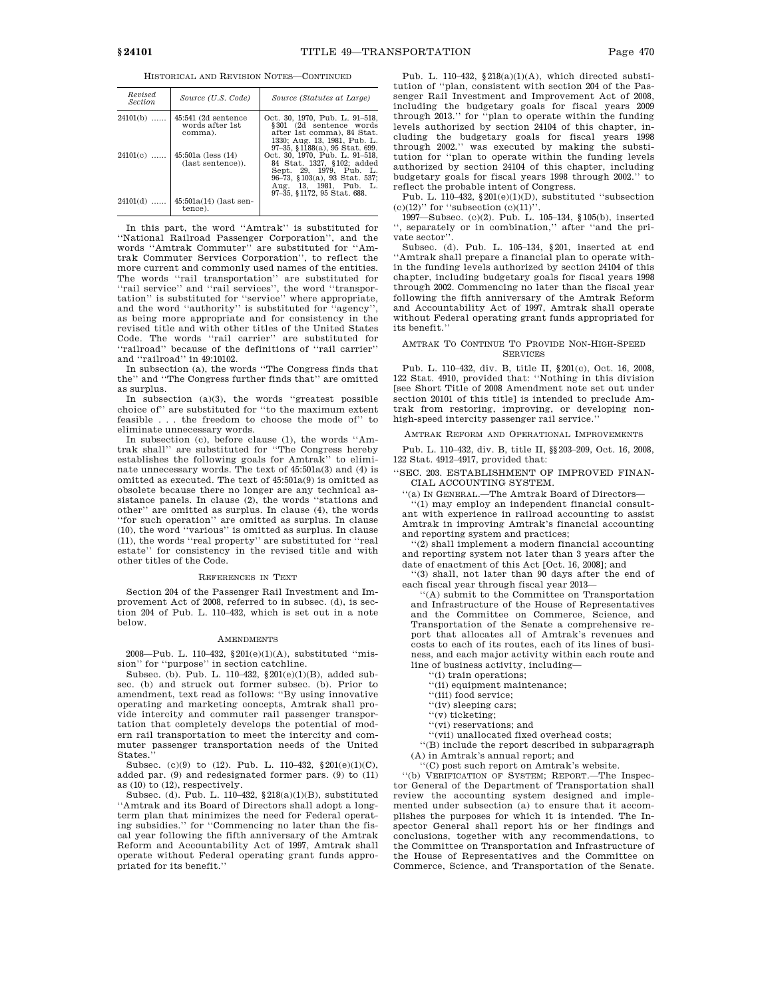HISTORICAL AND REVISION NOTES—CONTINUED

| Revised<br><i>Section</i> | Source (U.S. Code)                                   | Source (Statutes at Large)                                                                                                                                                        |
|---------------------------|------------------------------------------------------|-----------------------------------------------------------------------------------------------------------------------------------------------------------------------------------|
| $24101(b)$                | $45:541$ (2d sentence<br>words after 1st<br>comma).  | Oct. 30, 1970. Pub. L. 91–518.<br>§301 (2d sentence words<br>after 1st comma), 84 Stat.<br>1330; Aug. 13, 1981, Pub. L.<br>97-35, §1188(a), 95 Stat, 699.                         |
|                           | $24101(c)$   45:501a (less (14)<br>(last sentence)). | Oct. 30, 1970, Pub. L. 91-518,<br>84 Stat. 1327, §102; added<br>Sept. 29, 1979, Pub. L.<br>96-73, §103(a), 93 Stat. 537;<br>Aug. 13, 1981, Pub. L.<br>97-35, §1172, 95 Stat. 688. |
|                           | $24101(d)$   45:501a(14) (last sen-<br>tence).       |                                                                                                                                                                                   |

In this part, the word ''Amtrak'' is substituted for ''National Railroad Passenger Corporation'', and the words ''Amtrak Commuter'' are substituted for ''Amtrak Commuter Services Corporation'', to reflect the more current and commonly used names of the entities. The words ''rail transportation'' are substituted for ''rail service'' and ''rail services'', the word ''transportation'' is substituted for ''service'' where appropriate, and the word ''authority'' is substituted for ''agency'', as being more appropriate and for consistency in the revised title and with other titles of the United States Code. The words ''rail carrier'' are substituted for ''railroad'' because of the definitions of ''rail carrier'' and ''railroad'' in 49:10102.

In subsection (a), the words ''The Congress finds that the'' and ''The Congress further finds that'' are omitted as surplus.

In subsection  $(a)(3)$ , the words "greatest possible choice of'' are substituted for ''to the maximum extent feasible . . . the freedom to choose the mode of'' to eliminate unnecessary words.

In subsection (c), before clause (1), the words ''Amtrak shall'' are substituted for ''The Congress hereby establishes the following goals for Amtrak'' to eliminate unnecessary words. The text of 45:501a(3) and (4) is omitted as executed. The text of 45:501a(9) is omitted as obsolete because there no longer are any technical assistance panels. In clause (2), the words ''stations and other'' are omitted as surplus. In clause (4), the words ''for such operation'' are omitted as surplus. In clause (10), the word ''various'' is omitted as surplus. In clause (11), the words ''real property'' are substituted for ''real estate'' for consistency in the revised title and with other titles of the Code.

#### REFERENCES IN TEXT

Section 204 of the Passenger Rail Investment and Improvement Act of 2008, referred to in subsec. (d), is section 204 of Pub. L. 110–432, which is set out in a note below.

### **AMENDMENTS**

2008—Pub. L. 110–432, §201(e)(1)(A), substituted ''mission'' for ''purpose'' in section catchline.

Subsec. (b). Pub. L. 110–432, §201(e)(1)(B), added subsec. (b) and struck out former subsec. (b). Prior to amendment, text read as follows: ''By using innovative operating and marketing concepts, Amtrak shall provide intercity and commuter rail passenger transportation that completely develops the potential of modern rail transportation to meet the intercity and commuter passenger transportation needs of the United States.''

Subsec. (c)(9) to (12). Pub. L. 110–432,  $§201(e)(1)(C)$ , added par.  $(9)$  and redesignated former pars.  $(9)$  to  $(11)$ as (10) to (12), respectively.

Subsec. (d). Pub. L. 110–432, §218(a)(1)(B), substituted ''Amtrak and its Board of Directors shall adopt a longterm plan that minimizes the need for Federal operating subsidies.'' for ''Commencing no later than the fiscal year following the fifth anniversary of the Amtrak Reform and Accountability Act of 1997, Amtrak shall operate without Federal operating grant funds appropriated for its benefit.''

Pub. L. 110-432, §218(a)(1)(A), which directed substitution of ''plan, consistent with section 204 of the Passenger Rail Investment and Improvement Act of 2008, including the budgetary goals for fiscal years 2009 through 2013.'' for ''plan to operate within the funding levels authorized by section 24104 of this chapter, including the budgetary goals for fiscal years 1998 through 2002.'' was executed by making the substitution for ''plan to operate within the funding levels authorized by section 24104 of this chapter, including budgetary goals for fiscal years 1998 through 2002.'' to reflect the probable intent of Congress.

Pub. L. 110–432, §201(e)(1)(D), substituted ''subsection

(c)(12)'' for ''subsection (c)(11)''. 1997—Subsec. (c)(2). Pub. L. 105–134, §105(b), inserted , separately or in combination," after "and the private sector''.

Subsec. (d). Pub. L. 105–134, §201, inserted at end 'Amtrak shall prepare a financial plan to operate within the funding levels authorized by section 24104 of this chapter, including budgetary goals for fiscal years 1998 through 2002. Commencing no later than the fiscal year following the fifth anniversary of the Amtrak Reform and Accountability Act of 1997, Amtrak shall operate without Federal operating grant funds appropriated for its benefit.

### AMTRAK TO CONTINUE TO PROVIDE NON-HIGH-SPEED **SERVICES**

Pub. L. 110–432, div. B, title II, §201(c), Oct. 16, 2008, 122 Stat. 4910, provided that: ''Nothing in this division [see Short Title of 2008 Amendment note set out under section 20101 of this title] is intended to preclude Amtrak from restoring, improving, or developing nonhigh-speed intercity passenger rail service.''

AMTRAK REFORM AND OPERATIONAL IMPROVEMENTS

Pub. L. 110–432, div. B, title II, §§203–209, Oct. 16, 2008, 122 Stat. 4912–4917, provided that:

'SEC. 203. ESTABLISHMENT OF IMPROVED FINAN-CIAL ACCOUNTING SYSTEM.

''(a) IN GENERAL.—The Amtrak Board of Directors—

''(1) may employ an independent financial consultant with experience in railroad accounting to assist Amtrak in improving Amtrak's financial accounting and reporting system and practices;

''(2) shall implement a modern financial accounting and reporting system not later than 3 years after the date of enactment of this Act [Oct. 16, 2008]; and

''(3) shall, not later than 90 days after the end of each fiscal year through fiscal year 2013—

''(A) submit to the Committee on Transportation and Infrastructure of the House of Representatives and the Committee on Commerce, Science, and Transportation of the Senate a comprehensive report that allocates all of Amtrak's revenues and costs to each of its routes, each of its lines of business, and each major activity within each route and line of business activity, including—

''(i) train operations;

''(ii) equipment maintenance;

''(iii) food service; ''(iv) sleeping cars;

- ''(v) ticketing;
- ''(vi) reservations; and
- ''(vii) unallocated fixed overhead costs;

''(B) include the report described in subparagraph

(A) in Amtrak's annual report; and  $'(C)$  post such report on Amtrak's website.

''(b) VERIFICATION OF SYSTEM; REPORT.—The Inspector General of the Department of Transportation shall review the accounting system designed and implemented under subsection (a) to ensure that it accomplishes the purposes for which it is intended. The Inspector General shall report his or her findings and conclusions, together with any recommendations, to the Committee on Transportation and Infrastructure of the House of Representatives and the Committee on Commerce, Science, and Transportation of the Senate.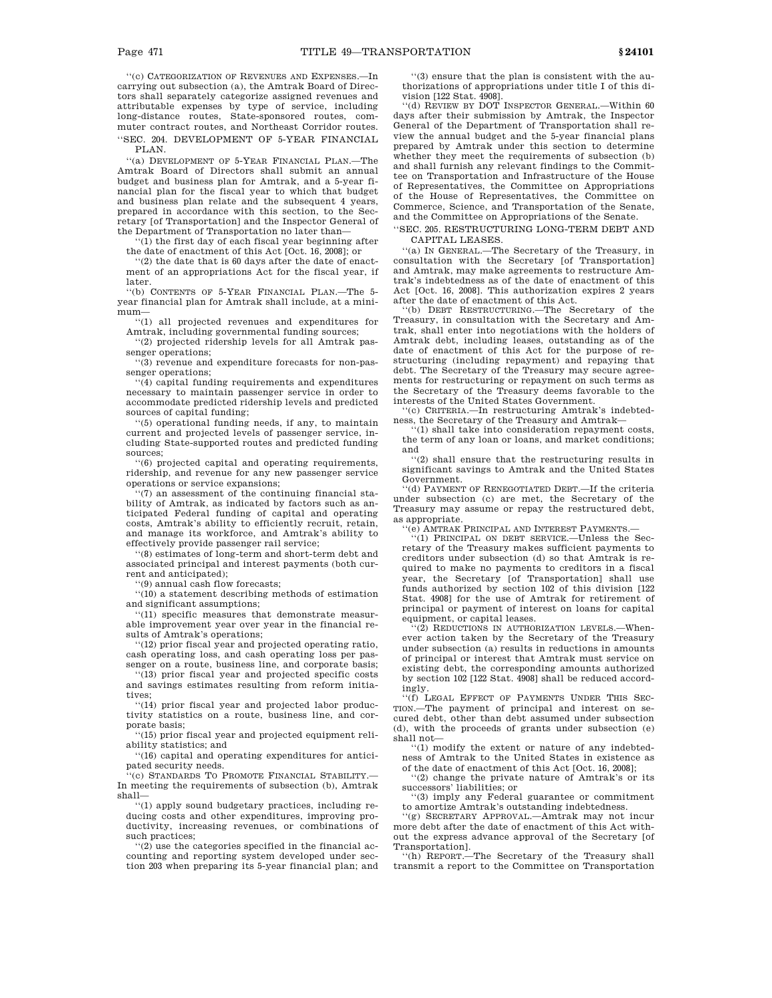''(c) CATEGORIZATION OF REVENUES AND EXPENSES.—In carrying out subsection (a), the Amtrak Board of Directors shall separately categorize assigned revenues and attributable expenses by type of service, including long-distance routes, State-sponsored routes, commuter contract routes, and Northeast Corridor routes. ''SEC. 204. DEVELOPMENT OF 5-YEAR FINANCIAL PLAN.

''(a) DEVELOPMENT OF 5-YEAR FINANCIAL PLAN.—The Amtrak Board of Directors shall submit an annual budget and business plan for Amtrak, and a 5-year financial plan for the fiscal year to which that budget and business plan relate and the subsequent 4 years, prepared in accordance with this section, to the Secretary [of Transportation] and the Inspector General of the Department of Transportation no later than—

''(1) the first day of each fiscal year beginning after the date of enactment of this Act [Oct. 16, 2008]; or

''(2) the date that is 60 days after the date of enactment of an appropriations Act for the fiscal year, if later.

''(b) CONTENTS OF 5-YEAR FINANCIAL PLAN.—The 5 year financial plan for Amtrak shall include, at a minimum—

''(1) all projected revenues and expenditures for Amtrak, including governmental funding sources;

''(2) projected ridership levels for all Amtrak passenger operations;

''(3) revenue and expenditure forecasts for non-passenger operations;

''(4) capital funding requirements and expenditures necessary to maintain passenger service in order to accommodate predicted ridership levels and predicted sources of capital funding;

''(5) operational funding needs, if any, to maintain current and projected levels of passenger service, including State-supported routes and predicted funding sources;

''(6) projected capital and operating requirements, ridership, and revenue for any new passenger service operations or service expansions;

 $(7)$  an assessment of the continuing financial stability of Amtrak, as indicated by factors such as anticipated Federal funding of capital and operating costs, Amtrak's ability to efficiently recruit, retain, and manage its workforce, and Amtrak's ability to effectively provide passenger rail service;

''(8) estimates of long-term and short-term debt and associated principal and interest payments (both current and anticipated);

''(9) annual cash flow forecasts;

''(10) a statement describing methods of estimation and significant assumptions;

''(11) specific measures that demonstrate measurable improvement year over year in the financial results of Amtrak's operations;

''(12) prior fiscal year and projected operating ratio, cash operating loss, and cash operating loss per passenger on a route, business line, and corporate basis;

''(13) prior fiscal year and projected specific costs and savings estimates resulting from reform initiatives;

''(14) prior fiscal year and projected labor productivity statistics on a route, business line, and corporate basis;

''(15) prior fiscal year and projected equipment reliability statistics; and

''(16) capital and operating expenditures for anticipated security needs.

''(c) STANDARDS TO PROMOTE FINANCIAL STABILITY.— In meeting the requirements of subsection (b), Amtrak shall—

''(1) apply sound budgetary practices, including reducing costs and other expenditures, improving productivity, increasing revenues, or combinations of such practices;

''(2) use the categories specified in the financial accounting and reporting system developed under section 203 when preparing its 5-year financial plan; and

''(3) ensure that the plan is consistent with the authorizations of appropriations under title I of this division [122 Stat. 4908].

''(d) REVIEW BY DOT INSPECTOR GENERAL.—Within 60 days after their submission by Amtrak, the Inspector General of the Department of Transportation shall review the annual budget and the 5-year financial plans prepared by Amtrak under this section to determine whether they meet the requirements of subsection (b) and shall furnish any relevant findings to the Committee on Transportation and Infrastructure of the House of Representatives, the Committee on Appropriations of the House of Representatives, the Committee on Commerce, Science, and Transportation of the Senate, and the Committee on Appropriations of the Senate.

''SEC. 205. RESTRUCTURING LONG-TERM DEBT AND CAPITAL LEASES.

''(a) IN GENERAL.—The Secretary of the Treasury, in consultation with the Secretary [of Transportation] and Amtrak, may make agreements to restructure Amtrak's indebtedness as of the date of enactment of this Act [Oct. 16, 2008]. This authorization expires 2 years

after the date of enactment of this Act. ''(b) DEBT RESTRUCTURING.—The Secretary of the Treasury, in consultation with the Secretary and Amtrak, shall enter into negotiations with the holders of Amtrak debt, including leases, outstanding as of the date of enactment of this Act for the purpose of restructuring (including repayment) and repaying that debt. The Secretary of the Treasury may secure agreements for restructuring or repayment on such terms as the Secretary of the Treasury deems favorable to the interests of the United States Government.

''(c) CRITERIA.—In restructuring Amtrak's indebted-

ness, the Secretary of the Treasury and Amtrak— ''(1) shall take into consideration repayment costs, the term of any loan or loans, and market conditions; and

''(2) shall ensure that the restructuring results in significant savings to Amtrak and the United States Government.

'(d) PAYMENT OF RENEGOTIATED DEBT.—If the criteria under subsection (c) are met, the Secretary of the Treasury may assume or repay the restructured debt, as appropriate.

'(e) AMTRAK PRINCIPAL AND INTEREST PAYMENTS.

''(1) PRINCIPAL ON DEBT SERVICE.—Unless the Secretary of the Treasury makes sufficient payments to creditors under subsection (d) so that Amtrak is required to make no payments to creditors in a fiscal year, the Secretary [of Transportation] shall use funds authorized by section 102 of this division [122 Stat. 4908] for the use of Amtrak for retirement of principal or payment of interest on loans for capital equipment, or capital leases.

 $(2)$  REDUCTIONS IN AUTHORIZATION LEVELS.—Whenever action taken by the Secretary of the Treasury under subsection (a) results in reductions in amounts of principal or interest that Amtrak must service on existing debt, the corresponding amounts authorized by section 102 [122 Stat. 4908] shall be reduced accordingly.

''(f) LEGAL EFFECT OF PAYMENTS UNDER THIS SEC-TION.—The payment of principal and interest on secured debt, other than debt assumed under subsection (d), with the proceeds of grants under subsection (e) shall not—

''(1) modify the extent or nature of any indebtedness of Amtrak to the United States in existence as

of the date of enactment of this Act [Oct. 16, 2008]; ''(2) change the private nature of Amtrak's or its successors' liabilities; or

''(3) imply any Federal guarantee or commitment to amortize Amtrak's outstanding indebtedness.

''(g) SECRETARY APPROVAL.—Amtrak may not incur more debt after the date of enactment of this Act without the express advance approval of the Secretary [of

Transportation]. ''(h) REPORT.—The Secretary of the Treasury shall transmit a report to the Committee on Transportation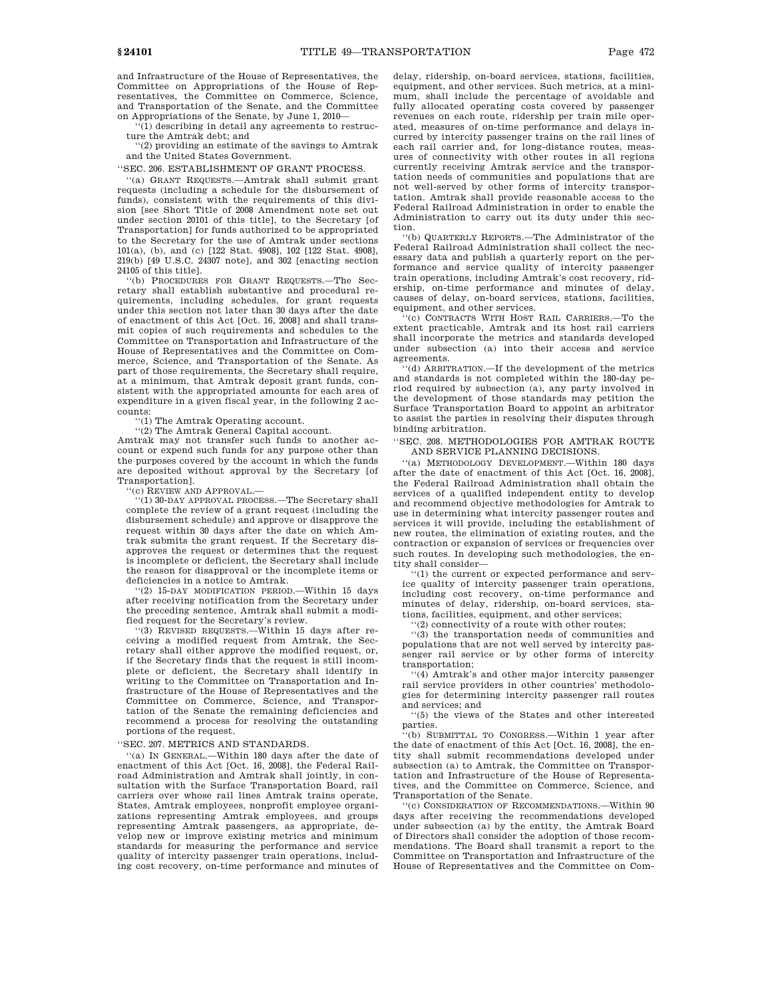and Infrastructure of the House of Representatives, the Committee on Appropriations of the House of Representatives, the Committee on Commerce, Science, and Transportation of the Senate, and the Committee on Appropriations of the Senate, by June 1, 2010—

'(1) describing in detail any agreements to restructure the Amtrak debt; and

''(2) providing an estimate of the savings to Amtrak and the United States Government.

''SEC. 206. ESTABLISHMENT OF GRANT PROCESS.

''(a) GRANT REQUESTS.—Amtrak shall submit grant requests (including a schedule for the disbursement of funds), consistent with the requirements of this division [see Short Title of 2008 Amendment note set out under section 20101 of this title], to the Secretary [of Transportation] for funds authorized to be appropriated to the Secretary for the use of Amtrak under sections 101(a), (b), and (c) [122 Stat. 4908], 102 [122 Stat. 4908], 219(b) [49 U.S.C. 24307 note], and 302 [enacting section 24105 of this title].

''(b) PROCEDURES FOR GRANT REQUESTS.—The Secretary shall establish substantive and procedural requirements, including schedules, for grant requests under this section not later than 30 days after the date of enactment of this Act [Oct. 16, 2008] and shall transmit copies of such requirements and schedules to the Committee on Transportation and Infrastructure of the House of Representatives and the Committee on Commerce, Science, and Transportation of the Senate. As part of those requirements, the Secretary shall require, at a minimum, that Amtrak deposit grant funds, consistent with the appropriated amounts for each area of expenditure in a given fiscal year, in the following 2 accounts:

''(1) The Amtrak Operating account.

''(2) The Amtrak General Capital account.

Amtrak may not transfer such funds to another account or expend such funds for any purpose other than the purposes covered by the account in which the funds are deposited without approval by the Secretary [of Transportation].

''(c) REVIEW AND APPROVAL.—

''(1) 30-DAY APPROVAL PROCESS.—The Secretary shall complete the review of a grant request (including the disbursement schedule) and approve or disapprove the request within 30 days after the date on which Amtrak submits the grant request. If the Secretary disapproves the request or determines that the request is incomplete or deficient, the Secretary shall include the reason for disapproval or the incomplete items or deficiencies in a notice to Amtrak.

''(2) 15-DAY MODIFICATION PERIOD.—Within 15 days after receiving notification from the Secretary under the preceding sentence, Amtrak shall submit a modified request for the Secretary's review.

''(3) REVISED REQUESTS.—Within 15 days after receiving a modified request from Amtrak, the Secretary shall either approve the modified request, or, if the Secretary finds that the request is still incomplete or deficient, the Secretary shall identify in writing to the Committee on Transportation and Infrastructure of the House of Representatives and the Committee on Commerce, Science, and Transportation of the Senate the remaining deficiencies and recommend a process for resolving the outstanding portions of the request.

''SEC. 207. METRICS AND STANDARDS.

''(a) IN GENERAL.—Within 180 days after the date of enactment of this Act [Oct. 16, 2008], the Federal Railroad Administration and Amtrak shall jointly, in consultation with the Surface Transportation Board, rail carriers over whose rail lines Amtrak trains operate, States, Amtrak employees, nonprofit employee organizations representing Amtrak employees, and groups representing Amtrak passengers, as appropriate, develop new or improve existing metrics and minimum standards for measuring the performance and service quality of intercity passenger train operations, including cost recovery, on-time performance and minutes of delay, ridership, on-board services, stations, facilities, equipment, and other services. Such metrics, at a minimum, shall include the percentage of avoidable and fully allocated operating costs covered by passenger revenues on each route, ridership per train mile operated, measures of on-time performance and delays incurred by intercity passenger trains on the rail lines of each rail carrier and, for long-distance routes, measures of connectivity with other routes in all regions currently receiving Amtrak service and the transportation needs of communities and populations that are not well-served by other forms of intercity transportation. Amtrak shall provide reasonable access to the Federal Railroad Administration in order to enable the Administration to carry out its duty under this section.

''(b) QUARTERLY REPORTS.—The Administrator of the Federal Railroad Administration shall collect the necessary data and publish a quarterly report on the performance and service quality of intercity passenger train operations, including Amtrak's cost recovery, ridership, on-time performance and minutes of delay, causes of delay, on-board services, stations, facilities, equipment, and other services.

''(c) CONTRACTS WITH HOST RAIL CARRIERS.—To the extent practicable, Amtrak and its host rail carriers shall incorporate the metrics and standards developed under subsection (a) into their access and service agreements.

''(d) ARBITRATION.—If the development of the metrics and standards is not completed within the 180-day period required by subsection (a), any party involved in the development of those standards may petition the Surface Transportation Board to appoint an arbitrator to assist the parties in resolving their disputes through binding arbitration.

## ''SEC. 208. METHODOLOGIES FOR AMTRAK ROUTE AND SERVICE PLANNING DECISIONS.

''(a) METHODOLOGY DEVELOPMENT.—Within 180 days after the date of enactment of this Act [Oct. 16, 2008], the Federal Railroad Administration shall obtain the services of a qualified independent entity to develop and recommend objective methodologies for Amtrak to use in determining what intercity passenger routes and services it will provide, including the establishment of new routes, the elimination of existing routes, and the contraction or expansion of services or frequencies over such routes. In developing such methodologies, the entity shall consider—

''(1) the current or expected performance and service quality of intercity passenger train operations, including cost recovery, on-time performance and minutes of delay, ridership, on-board services, stations, facilities, equipment, and other services;

''(2) connectivity of a route with other routes;

''(3) the transportation needs of communities and populations that are not well served by intercity passenger rail service or by other forms of intercity transportation;

''(4) Amtrak's and other major intercity passenger rail service providers in other countries' methodologies for determining intercity passenger rail routes and services; and

''(5) the views of the States and other interested parties.

''(b) SUBMITTAL TO CONGRESS.—Within 1 year after the date of enactment of this Act [Oct. 16, 2008], the entity shall submit recommendations developed under subsection (a) to Amtrak, the Committee on Transportation and Infrastructure of the House of Representatives, and the Committee on Commerce, Science, and Transportation of the Senate.

''(c) CONSIDERATION OF RECOMMENDATIONS.—Within 90 days after receiving the recommendations developed under subsection (a) by the entity, the Amtrak Board of Directors shall consider the adoption of those recommendations. The Board shall transmit a report to the Committee on Transportation and Infrastructure of the House of Representatives and the Committee on Com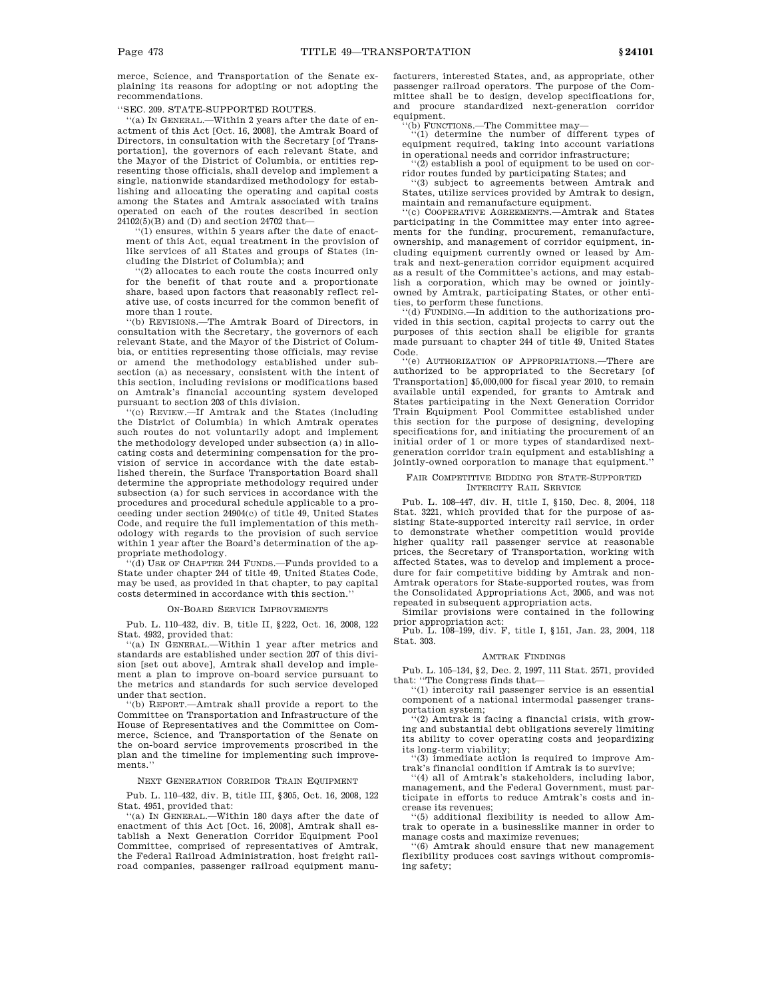merce, Science, and Transportation of the Senate explaining its reasons for adopting or not adopting the recommendations.

''SEC. 209. STATE-SUPPORTED ROUTES.

''(a) IN GENERAL.—Within 2 years after the date of enactment of this Act [Oct. 16, 2008], the Amtrak Board of Directors, in consultation with the Secretary [of Transportation], the governors of each relevant State, and the Mayor of the District of Columbia, or entities representing those officials, shall develop and implement a single, nationwide standardized methodology for establishing and allocating the operating and capital costs among the States and Amtrak associated with trains operated on each of the routes described in section  $24102(5)(\mathrm{B})$  and (D) and section 24702 that-

''(1) ensures, within 5 years after the date of enactment of this Act, equal treatment in the provision of like services of all States and groups of States (including the District of Columbia); and

''(2) allocates to each route the costs incurred only for the benefit of that route and a proportionate share, based upon factors that reasonably reflect relative use, of costs incurred for the common benefit of more than 1 route.

''(b) REVISIONS.—The Amtrak Board of Directors, in consultation with the Secretary, the governors of each relevant State, and the Mayor of the District of Columbia, or entities representing those officials, may revise or amend the methodology established under subsection (a) as necessary, consistent with the intent of this section, including revisions or modifications based on Amtrak's financial accounting system developed pursuant to section 203 of this division.

''(c) REVIEW.—If Amtrak and the States (including the District of Columbia) in which Amtrak operates such routes do not voluntarily adopt and implement the methodology developed under subsection (a) in allocating costs and determining compensation for the provision of service in accordance with the date established therein, the Surface Transportation Board shall determine the appropriate methodology required under subsection (a) for such services in accordance with the procedures and procedural schedule applicable to a proceeding under section 24904(c) of title 49, United States Code, and require the full implementation of this methodology with regards to the provision of such service within 1 year after the Board's determination of the appropriate methodology.

''(d) USE OF CHAPTER 244 FUNDS.—Funds provided to a State under chapter 244 of title 49, United States Code, may be used, as provided in that chapter, to pay capital costs determined in accordance with this section.''

## ON-BOARD SERVICE IMPROVEMENTS

Pub. L. 110–432, div. B, title II, §222, Oct. 16, 2008, 122 Stat. 4932, provided that:

'(a) IN GENERAL.—Within 1 year after metrics and standards are established under section 207 of this division [set out above], Amtrak shall develop and implement a plan to improve on-board service pursuant to the metrics and standards for such service developed under that section.

'(b) REPORT.—Amtrak shall provide a report to the Committee on Transportation and Infrastructure of the House of Representatives and the Committee on Commerce, Science, and Transportation of the Senate on the on-board service improvements proscribed in the plan and the timeline for implementing such improvements.

## NEXT GENERATION CORRIDOR TRAIN EQUIPMENT

Pub. L. 110–432, div. B, title III, §305, Oct. 16, 2008, 122 Stat. 4951, provided that:

''(a) IN GENERAL.—Within 180 days after the date of enactment of this Act [Oct. 16, 2008], Amtrak shall establish a Next Generation Corridor Equipment Pool Committee, comprised of representatives of Amtrak, the Federal Railroad Administration, host freight railroad companies, passenger railroad equipment manufacturers, interested States, and, as appropriate, other passenger railroad operators. The purpose of the Committee shall be to design, develop specifications for, and procure standardized next-generation corridor equipment.

 $\dot{b}$ ) FUNCTIONS.—The Committee may—

''(1) determine the number of different types of equipment required, taking into account variations in operational needs and corridor infrastructure;

 $(2)$  establish a pool of equipment to be used on corridor routes funded by participating States; and

''(3) subject to agreements between Amtrak and States, utilize services provided by Amtrak to design, maintain and remanufacture equipment.

''(c) COOPERATIVE AGREEMENTS.—Amtrak and States participating in the Committee may enter into agreements for the funding, procurement, remanufacture, ownership, and management of corridor equipment, including equipment currently owned or leased by Amtrak and next-generation corridor equipment acquired as a result of the Committee's actions, and may establish a corporation, which may be owned or jointlyowned by Amtrak, participating States, or other entities, to perform these functions.

 $'(d)$  FUNDING.—In addition to the authorizations provided in this section, capital projects to carry out the purposes of this section shall be eligible for grants made pursuant to chapter 244 of title 49, United States Code.

''(e) AUTHORIZATION OF APPROPRIATIONS.—There are authorized to be appropriated to the Secretary [of Transportation] \$5,000,000 for fiscal year 2010, to remain available until expended, for grants to Amtrak and States participating in the Next Generation Corridor Train Equipment Pool Committee established under this section for the purpose of designing, developing specifications for, and initiating the procurement of an initial order of 1 or more types of standardized nextgeneration corridor train equipment and establishing a jointly-owned corporation to manage that equipment.''

#### FAIR COMPETITIVE BIDDING FOR STATE-SUPPORTED INTERCITY RAIL SERVICE

Pub. L. 108–447, div. H, title I, §150, Dec. 8, 2004, 118 Stat. 3221, which provided that for the purpose of assisting State-supported intercity rail service, in order to demonstrate whether competition would provide higher quality rail passenger service at reasonable prices, the Secretary of Transportation, working with affected States, was to develop and implement a procedure for fair competitive bidding by Amtrak and non-Amtrak operators for State-supported routes, was from the Consolidated Appropriations Act, 2005, and was not repeated in subsequent appropriation acts.

Similar provisions were contained in the following prior appropriation act:

Pub. L. 108–199, div. F, title I, §151, Jan. 23, 2004, 118 Stat. 303.

#### AMTRAK FINDINGS

Pub. L. 105–134, §2, Dec. 2, 1997, 111 Stat. 2571, provided that: ''The Congress finds that—

 $(1)$  intercity rail passenger service is an essential component of a national intermodal passenger transportation system;

''(2) Amtrak is facing a financial crisis, with growing and substantial debt obligations severely limiting its ability to cover operating costs and jeopardizing its long-term viability;

 $(3)$  immediate action is required to improve Amtrak's financial condition if Amtrak is to survive;

''(4) all of Amtrak's stakeholders, including labor, management, and the Federal Government, must participate in efforts to reduce Amtrak's costs and increase its revenues;

''(5) additional flexibility is needed to allow Amtrak to operate in a businesslike manner in order to manage costs and maximize revenues;

''(6) Amtrak should ensure that new management flexibility produces cost savings without compromising safety;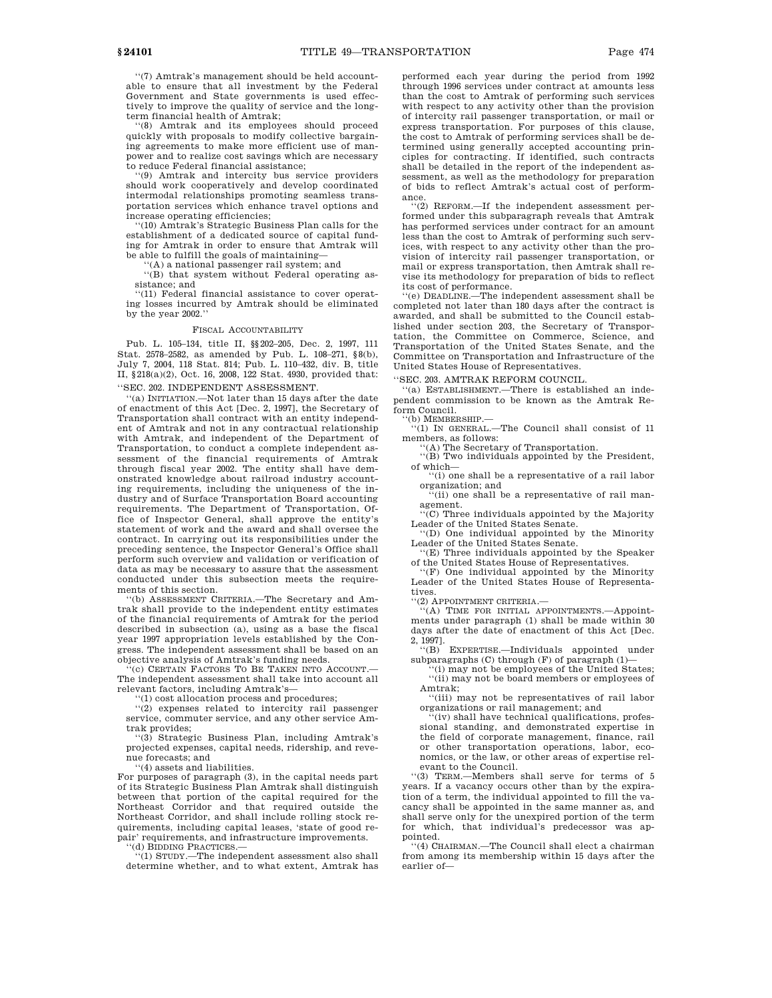''(7) Amtrak's management should be held accountable to ensure that all investment by the Federal Government and State governments is used effectively to improve the quality of service and the longterm financial health of Amtrak;

'(8) Amtrak and its employees should proceed quickly with proposals to modify collective bargaining agreements to make more efficient use of manpower and to realize cost savings which are necessary to reduce Federal financial assistance;

''(9) Amtrak and intercity bus service providers should work cooperatively and develop coordinated intermodal relationships promoting seamless transportation services which enhance travel options and increase operating efficiencies;

''(10) Amtrak's Strategic Business Plan calls for the establishment of a dedicated source of capital funding for Amtrak in order to ensure that Amtrak will be able to fulfill the goals of maintaining—

''(A) a national passenger rail system; and

''(B) that system without Federal operating assistance; and

''(11) Federal financial assistance to cover operating losses incurred by Amtrak should be eliminated by the year 2002.''

## FISCAL ACCOUNTABILITY

Pub. L. 105–134, title II, §§202–205, Dec. 2, 1997, 111 Stat. 2578–2582, as amended by Pub. L. 108–271, §8(b), July 7, 2004, 118 Stat. 814; Pub. L. 110–432, div. B, title II, §218(a)(2), Oct. 16, 2008, 122 Stat. 4930, provided that: ''SEC. 202. INDEPENDENT ASSESSMENT.

''(a) INITIATION.—Not later than 15 days after the date of enactment of this Act [Dec. 2, 1997], the Secretary of Transportation shall contract with an entity independent of Amtrak and not in any contractual relationship with Amtrak, and independent of the Department of Transportation, to conduct a complete independent assessment of the financial requirements of Amtrak through fiscal year 2002. The entity shall have demonstrated knowledge about railroad industry accounting requirements, including the uniqueness of the industry and of Surface Transportation Board accounting requirements. The Department of Transportation, Office of Inspector General, shall approve the entity's statement of work and the award and shall oversee the contract. In carrying out its responsibilities under the preceding sentence, the Inspector General's Office shall perform such overview and validation or verification of data as may be necessary to assure that the assessment conducted under this subsection meets the requirements of this section.

''(b) ASSESSMENT CRITERIA.—The Secretary and Amtrak shall provide to the independent entity estimates of the financial requirements of Amtrak for the period described in subsection (a), using as a base the fiscal year 1997 appropriation levels established by the Congress. The independent assessment shall be based on an objective analysis of Amtrak's funding needs.

(c) CERTAIN FACTORS TO BE TAKEN INTO ACCOUNT. The independent assessment shall take into account all relevant factors, including Amtrak's—

'(1) cost allocation process and procedures;

''(2) expenses related to intercity rail passenger service, commuter service, and any other service Amtrak provides;

''(3) Strategic Business Plan, including Amtrak's projected expenses, capital needs, ridership, and revenue forecasts; and

''(4) assets and liabilities.

For purposes of paragraph (3), in the capital needs part of its Strategic Business Plan Amtrak shall distinguish between that portion of the capital required for the Northeast Corridor and that required outside the Northeast Corridor, and shall include rolling stock requirements, including capital leases, 'state of good repair' requirements, and infrastructure improvements.

''(d) BIDDING PRACTICES.— ''(1) STUDY.—The independent assessment also shall determine whether, and to what extent, Amtrak has performed each year during the period from 1992 through 1996 services under contract at amounts less than the cost to Amtrak of performing such services with respect to any activity other than the provision of intercity rail passenger transportation, or mail or express transportation. For purposes of this clause, the cost to Amtrak of performing services shall be determined using generally accepted accounting principles for contracting. If identified, such contracts shall be detailed in the report of the independent assessment, as well as the methodology for preparation of bids to reflect Amtrak's actual cost of performance.

''(2) REFORM.—If the independent assessment performed under this subparagraph reveals that Amtrak has performed services under contract for an amount less than the cost to Amtrak of performing such services, with respect to any activity other than the provision of intercity rail passenger transportation, or mail or express transportation, then Amtrak shall revise its methodology for preparation of bids to reflect its cost of performance.

''(e) DEADLINE.—The independent assessment shall be completed not later than 180 days after the contract is awarded, and shall be submitted to the Council established under section 203, the Secretary of Transportation, the Committee on Commerce, Science, and Transportation of the United States Senate, and the Committee on Transportation and Infrastructure of the United States House of Representatives.

''SEC. 203. AMTRAK REFORM COUNCIL.

''(a) ESTABLISHMENT.—There is established an independent commission to be known as the Amtrak Reform Council.

''(b) MEMBERSHIP.—

''(1) IN GENERAL.—The Council shall consist of 11 members, as follows:

''(A) The Secretary of Transportation. ''(B) Two individuals appointed by the President,

of which—

''(i) one shall be a representative of a rail labor organization; and ''(ii) one shall be a representative of rail man-

agement. '(C) Three individuals appointed by the Majority

Leader of the United States Senate.

''(D) One individual appointed by the Minority Leader of the United States Senate.

'(E) Three individuals appointed by the Speaker of the United States House of Representatives.

 $f(F)$  One individual appointed by the Minority Leader of the United States House of Representatives.

''(2) APPOINTMENT CRITERIA.— ''(A) TIME FOR INITIAL APPOINTMENTS.—Appointments under paragraph (1) shall be made within 30 days after the date of enactment of this Act [Dec. 2, 1997].

''(B) EXPERTISE.—Individuals appointed under

subparagraphs (C) through (F) of paragraph (1)— ''(i) may not be employees of the United States; ''(ii) may not be board members or employees of

Amtrak; ''(iii) may not be representatives of rail labor organizations or rail management; and

''(iv) shall have technical qualifications, professional standing, and demonstrated expertise in the field of corporate management, finance, rail or other transportation operations, labor, economics, or the law, or other areas of expertise relevant to the Council.

''(3) TERM.—Members shall serve for terms of 5 years. If a vacancy occurs other than by the expiration of a term, the individual appointed to fill the vacancy shall be appointed in the same manner as, and shall serve only for the unexpired portion of the term for which, that individual's predecessor was appointed.

''(4) CHAIRMAN.—The Council shall elect a chairman from among its membership within 15 days after the earlier of—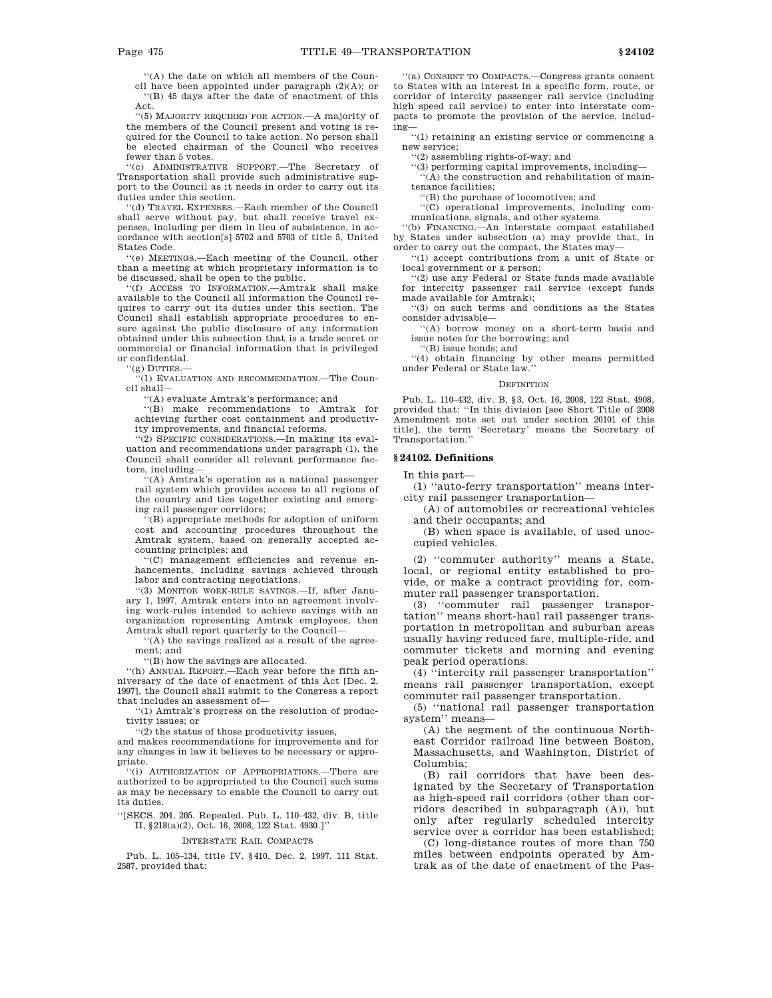''(A) the date on which all members of the Council have been appointed under paragraph (2)(A); or ''(B) 45 days after the date of enactment of this Act.

''(5) MAJORITY REQUIRED FOR ACTION.—A majority of the members of the Council present and voting is required for the Council to take action. No person shall be elected chairman of the Council who receives fewer than 5 votes.

''(c) ADMINISTRATIVE SUPPORT.—The Secretary of Transportation shall provide such administrative support to the Council as it needs in order to carry out its duties under this section.

''(d) TRAVEL EXPENSES.—Each member of the Council shall serve without pay, but shall receive travel expenses, including per diem in lieu of subsistence, in accordance with section[s] 5702 and 5703 of title 5, United States Code.

''(e) MEETINGS.—Each meeting of the Council, other than a meeting at which proprietary information is to be discussed, shall be open to the public.

''(f) ACCESS TO INFORMATION.—Amtrak shall make available to the Council all information the Council requires to carry out its duties under this section. The Council shall establish appropriate procedures to ensure against the public disclosure of any information obtained under this subsection that is a trade secret or commercial or financial information that is privileged or confidential.

"(g) DUTIES.

''(1) EVALUATION AND RECOMMENDATION.—The Council shall—

''(A) evaluate Amtrak's performance; and

''(B) make recommendations to Amtrak for achieving further cost containment and productivity improvements, and financial reforms.

''(2) SPECIFIC CONSIDERATIONS.—In making its evaluation and recommendations under paragraph (1), the Council shall consider all relevant performance factors, including—

''(A) Amtrak's operation as a national passenger rail system which provides access to all regions of the country and ties together existing and emerging rail passenger corridors;

 $\hat{H}(B)$  appropriate methods for adoption of uniform cost and accounting procedures throughout the Amtrak system, based on generally accepted accounting principles; and

''(C) management efficiencies and revenue enhancements, including savings achieved through labor and contracting negotiations.

''(3) MONITOR WORK-RULE SAVINGS.—If, after January 1, 1997, Amtrak enters into an agreement involving work-rules intended to achieve savings with an organization representing Amtrak employees, then Amtrak shall report quarterly to the Council—

''(A) the savings realized as a result of the agreement; and

''(B) how the savings are allocated.

''(h) ANNUAL REPORT.—Each year before the fifth anniversary of the date of enactment of this Act [Dec. 2, 1997], the Council shall submit to the Congress a report that includes an assessment of—

''(1) Amtrak's progress on the resolution of productivity issues; or

''(2) the status of those productivity issues,

and makes recommendations for improvements and for any changes in law it believes to be necessary or appropriate.

''(i) AUTHORIZATION OF APPROPRIATIONS.—There are authorized to be appropriated to the Council such sums as may be necessary to enable the Council to carry out its duties.

''[SECS. 204, 205. Repealed. Pub. L. 110–432, div. B, title II, §218(a)(2), Oct. 16, 2008, 122 Stat. 4930.]''

#### INTERSTATE RAIL COMPACTS

Pub. L. 105–134, title IV, §410, Dec. 2, 1997, 111 Stat. 2587, provided that:

''(a) CONSENT TO COMPACTS.—Congress grants consent to States with an interest in a specific form, route, or corridor of intercity passenger rail service (including high speed rail service) to enter into interstate compacts to promote the provision of the service, including—

''(1) retaining an existing service or commencing a new service;

''(2) assembling rights-of-way; and

''(3) performing capital improvements, including— ''(A) the construction and rehabilitation of main-

tenance facilities;

''(B) the purchase of locomotives; and

''(C) operational improvements, including communications, signals, and other systems.

''(b) FINANCING.—An interstate compact established by States under subsection (a) may provide that, in order to carry out the compact, the States may—

''(1) accept contributions from a unit of State or local government or a person;

'(2) use any Federal or State funds made available for intercity passenger rail service (except funds made available for Amtrak);

''(3) on such terms and conditions as the States consider advisable—

''(A) borrow money on a short-term basis and issue notes for the borrowing; and

''(B) issue bonds; and ''(4) obtain financing by other means permitted under Federal or State law.''

#### DEFINITION

Pub. L. 110–432, div. B, §3, Oct. 16, 2008, 122 Stat. 4908, provided that: ''In this division [see Short Title of 2008 Amendment note set out under section 20101 of this title], the term 'Secretary' means the Secretary of Transportation.''

## **§ 24102. Definitions**

In this part—

(1) ''auto-ferry transportation'' means intercity rail passenger transportation—

(A) of automobiles or recreational vehicles and their occupants; and

(B) when space is available, of used unoccupied vehicles.

(2) ''commuter authority'' means a State, local, or regional entity established to provide, or make a contract providing for, commuter rail passenger transportation.

(3) ''commuter rail passenger transportation'' means short-haul rail passenger transportation in metropolitan and suburban areas usually having reduced fare, multiple-ride, and commuter tickets and morning and evening peak period operations.

(4) ''intercity rail passenger transportation'' means rail passenger transportation, except commuter rail passenger transportation.

(5) ''national rail passenger transportation system'' means—

(A) the segment of the continuous Northeast Corridor railroad line between Boston, Massachusetts, and Washington, District of Columbia;

(B) rail corridors that have been designated by the Secretary of Transportation as high-speed rail corridors (other than corridors described in subparagraph (A)), but only after regularly scheduled intercity service over a corridor has been established;

(C) long-distance routes of more than 750 miles between endpoints operated by Amtrak as of the date of enactment of the Pas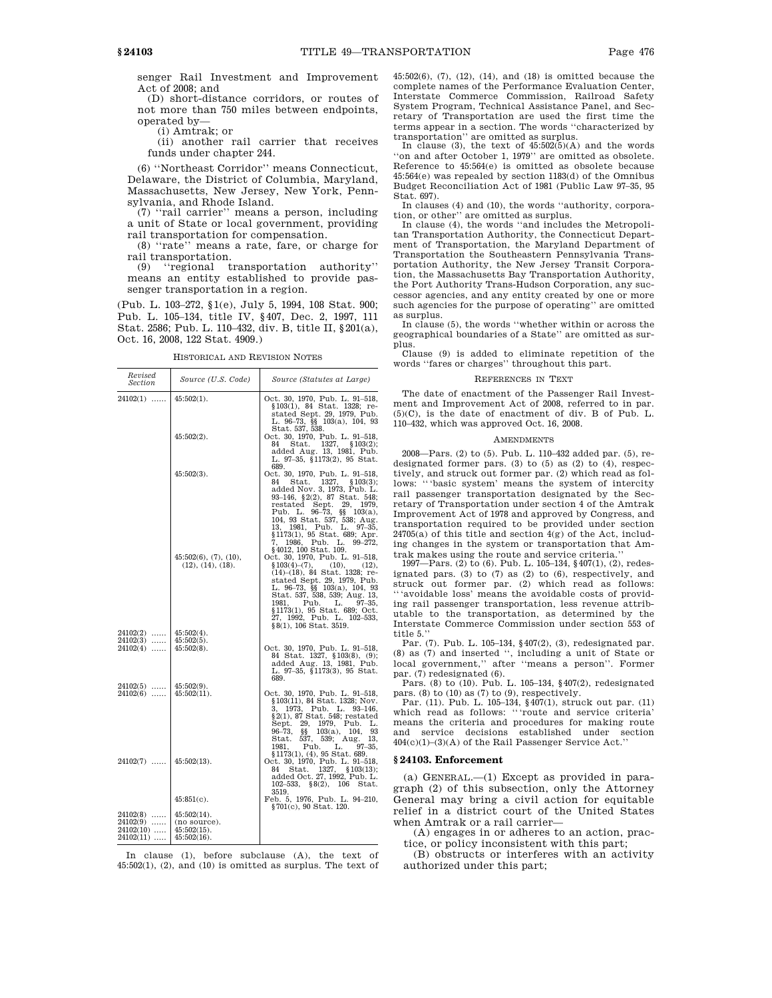senger Rail Investment and Improvement Act of 2008; and

(D) short-distance corridors, or routes of not more than 750 miles between endpoints, operated by—

(i) Amtrak; or

(ii) another rail carrier that receives funds under chapter 244.

(6) ''Northeast Corridor'' means Connecticut, Delaware, the District of Columbia, Maryland, Massachusetts, New Jersey, New York, Pennsylvania, and Rhode Island.

(7) ''rail carrier'' means a person, including a unit of State or local government, providing rail transportation for compensation.

(8) ''rate'' means a rate, fare, or charge for rail transportation.

(9) ''regional transportation authority'' means an entity established to provide passenger transportation in a region.

(Pub. L. 103–272, §1(e), July 5, 1994, 108 Stat. 900; Pub. L. 105–134, title IV, §407, Dec. 2, 1997, 111 Stat. 2586; Pub. L. 110–432, div. B, title II, §201(a), Oct. 16, 2008, 122 Stat. 4909.)

HISTORICAL AND REVISION NOTES

| Revised<br>Section                     | Source (U.S. Code)                              | Source (Statutes at Large)                                                                                                                                                                                                                                                                                                                 |
|----------------------------------------|-------------------------------------------------|--------------------------------------------------------------------------------------------------------------------------------------------------------------------------------------------------------------------------------------------------------------------------------------------------------------------------------------------|
| $24102(1)$                             | $45:502(1)$ .                                   | Oct. 30, 1970, Pub. L. 91-518,<br>§103(1), 84 Stat. 1328; re-<br>stated Sept. 29, 1979, Pub.<br>L. 96–73, §§ 103(a), 104, 93<br>Stat. 537, 538.                                                                                                                                                                                            |
|                                        | $45:502(2)$ .                                   | Oct. 30, 1970, Pub. L. 91–518,<br>84 Stat. 1327, §103(2);<br>added Aug. 13, 1981, Pub.<br>L. 97-35, §1173(2), 95 Stat.<br>689.                                                                                                                                                                                                             |
|                                        | $45:502(3)$ .                                   | Oct. 30, 1970, Pub. L. 91-518,<br>Stat. 1327, §103(3);<br>84<br>added Nov. 3, 1973, Pub. L.<br>93-146, §2(2), 87 Stat. 548;<br>restated Sept.<br>29, 1979,<br>Pub. L. 96-73, $\S$ 103(a),<br>104, 93 Stat. 537, 538; Aug.<br>13, 1981, Pub. L. 97-35,<br>§1173(1), 95 Stat. 689; Apr.<br>7, 1986, Pub. L. 99-272,<br>§4012, 100 Stat. 109. |
|                                        | 45:502(6), (7), (10),<br>(12), (14), (18).      | Oct. 30, 1970, Pub. L. 91-518,<br>$$103(4)-(7),$ (10), (12), (14)-(18), 84 Stat. 1328; re-<br>stated Sept. 29, 1979, Pub.<br>L. 96–73, §§ 103(a), 104, 93<br>Stat. 537, 538, 539; Aug. 13,<br>1981, Pub. L. 97-35,<br>§1173(1), 95 Stat. 689; Oct.<br>27, 1992, Pub. L. 102-533,<br>§8(1), 106 Stat. 3519.                                 |
| $24102(2)$<br>$24102(3)$<br>$24102(4)$ | $45:502(4)$ .<br>$45:502(5)$ .<br>$45:502(8)$ . | Oct. 30, 1970, Pub. L. 91-518,<br>84 Stat. 1327, §103(8), (9);<br>added Aug. 13, 1981, Pub.<br>L. 97-35, §1173(3), 95 Stat.<br>689.                                                                                                                                                                                                        |
| $24102(5)$<br>$24102(6)$               | $45:502(9)$ .<br>$45:502(11)$ .                 | Oct. 30, 1970, Pub. L. 91-518,<br>§103(11), 84 Stat. 1328; Nov.<br>3, 1973, Pub. L. 93–146,<br>$\S$ 2(1), 87 Stat. 548; restated<br>Sept. 29, 1979, Pub. L.<br>$96 - 73,$<br>ŞŞ<br>103(a), 104,<br>93<br>$537, 539, \text{ Aug.}$<br>Stat.<br>13.<br>L.<br>$97 - 35,$<br>1981.<br>Pub.                                                     |
| $24102(7)$                             | $45:502(13)$ .                                  | $$1173(1), (4), 95$ Stat. 689.<br>Oct. 30, 1970, Pub. L. 91-518,<br>Stat. 1327, §103(13);<br>84<br>added Oct. 27, 1992, Pub. L.<br>$102 - 533$ , §8(2), 106<br>Stat.<br>3519.                                                                                                                                                              |
|                                        | $45:851(c)$ .                                   | Feb. 5, 1976, Pub. L. 94-210,<br>§701(c), 90 Stat. 120.                                                                                                                                                                                                                                                                                    |
| $24102(8)$<br>$24102(9)$               | $45:502(14)$ .<br>(no source).                  |                                                                                                                                                                                                                                                                                                                                            |
| $24102(10)$<br>$24102(11)$             | $45:502(15)$ .<br>$45:502(16)$ .                |                                                                                                                                                                                                                                                                                                                                            |

In clause (1), before subclause (A), the text of  $45:502(1)$ ,  $(2)$ , and  $(10)$  is omitted as surplus. The text of 45:502(6), (7), (12), (14), and (18) is omitted because the complete names of the Performance Evaluation Center, Interstate Commerce Commission, Railroad Safety System Program, Technical Assistance Panel, and Secretary of Transportation are used the first time the terms appear in a section. The words ''characterized by transportation'' are omitted as surplus.

In clause (3), the text of  $45:502(5)(A)$  and the words ''on and after October 1, 1979'' are omitted as obsolete. Reference to 45:564(e) is omitted as obsolete because 45:564(e) was repealed by section 1183(d) of the Omnibus Budget Reconciliation Act of 1981 (Public Law 97–35, 95 Stat. 697).

In clauses (4) and (10), the words ''authority, corporation, or other'' are omitted as surplus.

In clause (4), the words ''and includes the Metropolitan Transportation Authority, the Connecticut Department of Transportation, the Maryland Department of Transportation the Southeastern Pennsylvania Transportation Authority, the New Jersey Transit Corporation, the Massachusetts Bay Transportation Authority, the Port Authority Trans-Hudson Corporation, any successor agencies, and any entity created by one or more such agencies for the purpose of operating'' are omitted as surplus.

In clause (5), the words ''whether within or across the geographical boundaries of a State'' are omitted as sur-

plus. Clause (9) is added to eliminate repetition of the words ''fares or charges'' throughout this part.

#### REFERENCES IN TEXT

The date of enactment of the Passenger Rail Investment and Improvement Act of 2008, referred to in par. (5)(C), is the date of enactment of div. B of Pub. L. 110–432, which was approved Oct. 16, 2008.

#### **AMENDMENTS**

2008—Pars. (2) to (5). Pub. L. 110–432 added par. (5), redesignated former pars. (3) to (5) as (2) to (4), respectively, and struck out former par. (2) which read as follows: '''basic system' means the system of intercity rail passenger transportation designated by the Secretary of Transportation under section 4 of the Amtrak Improvement Act of 1978 and approved by Congress, and transportation required to be provided under section 24705(a) of this title and section 4(g) of the Act, including changes in the system or transportation that Amtrak makes using the route and service criteria.''

1997—Pars. (2) to (6). Pub. L. 105–134, §407(1), (2), redesignated pars. (3) to (7) as (2) to (6), respectively, and struck out former par. (2) which read as follows: '''avoidable loss' means the avoidable costs of providing rail passenger transportation, less revenue attributable to the transportation, as determined by the Interstate Commerce Commission under section 553 of title 5.''

Par. (7). Pub. L. 105–134, §407(2), (3), redesignated par. (8) as (7) and inserted '', including a unit of State or local government,'' after ''means a person''. Former par. (7) redesignated (6).

Pars. (8) to (10). Pub. L. 105–134, §407(2), redesignated

pars. (8) to (10) as (7) to (9), respectively. Par. (11). Pub. L. 105–134, §407(1), struck out par. (11) which read as follows: '''route and service criteria' means the criteria and procedures for making route<br>and service decisions established under section established under section 404(c)(1)–(3)(A) of the Rail Passenger Service Act.''

## **§ 24103. Enforcement**

(a) GENERAL.—(1) Except as provided in paragraph (2) of this subsection, only the Attorney General may bring a civil action for equitable relief in a district court of the United States when Amtrak or a rail carrier—

(A) engages in or adheres to an action, practice, or policy inconsistent with this part;

(B) obstructs or interferes with an activity authorized under this part;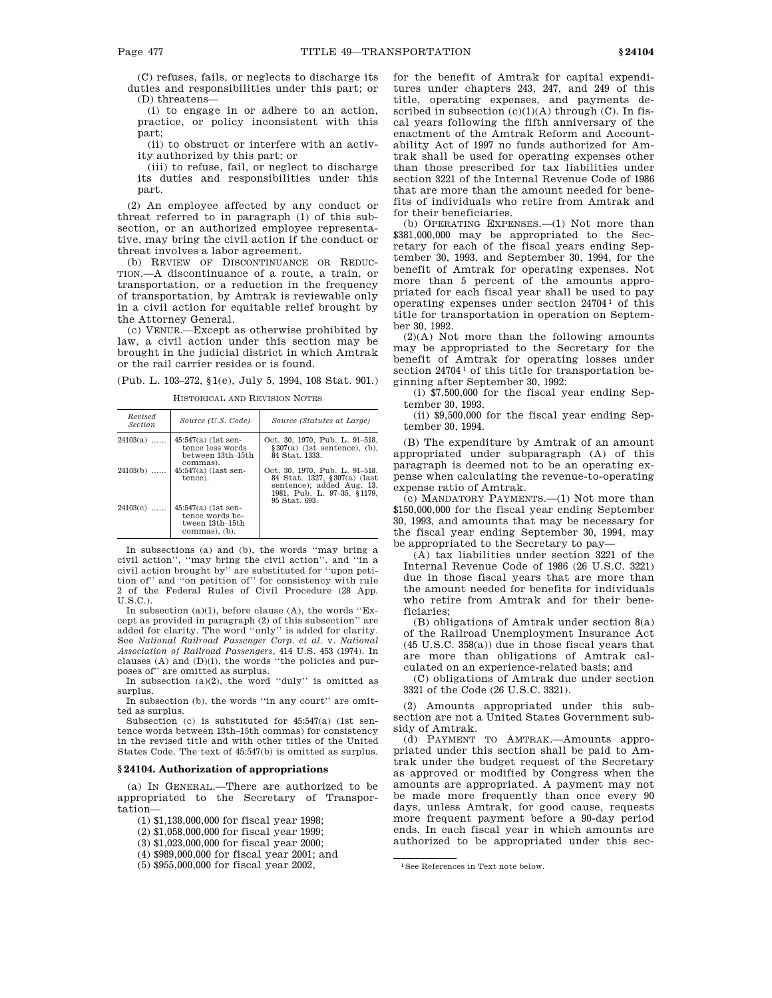(C) refuses, fails, or neglects to discharge its duties and responsibilities under this part; or (D) threatens—

(i) to engage in or adhere to an action, practice, or policy inconsistent with this part;

(ii) to obstruct or interfere with an activity authorized by this part; or

(iii) to refuse, fail, or neglect to discharge its duties and responsibilities under this part.

(2) An employee affected by any conduct or threat referred to in paragraph (1) of this subsection, or an authorized employee representative, may bring the civil action if the conduct or threat involves a labor agreement.

(b) REVIEW OF DISCONTINUANCE OR REDUC-TION.—A discontinuance of a route, a train, or transportation, or a reduction in the frequency of transportation, by Amtrak is reviewable only in a civil action for equitable relief brought by the Attorney General.

(c) VENUE.—Except as otherwise prohibited by law, a civil action under this section may be brought in the judicial district in which Amtrak or the rail carrier resides or is found.

(Pub. L. 103–272, §1(e), July 5, 1994, 108 Stat. 901.)

HISTORICAL AND REVISION NOTES

| Revised<br><b>Section</b> | Source (U.S. Code)                                                           | Source (Statutes at Large)                                                                                                                  |
|---------------------------|------------------------------------------------------------------------------|---------------------------------------------------------------------------------------------------------------------------------------------|
| $24103(a)$                | $45:547(a)$ (1st sen-<br>tence less words<br>between 13th–15th<br>commas).   | Oct. 30, 1970, Pub. L. 91–518,<br>$\$ 307(a) (1st sentence), (b),<br>84 Stat. 1333.                                                         |
| $24103(b)$                | $45:547(a)$ (last sen-<br>tence).                                            | Oct. 30, 1970, Pub. L. 91-518,<br>84 Stat. 1327, §307(a) (last<br>sentence); added Aug. 13.<br>1981. Pub. L. 97-35. §1179.<br>95 Stat. 693. |
| $24103(c)$                | $45:547(a)$ (1st sen-<br>tence words be-<br>tween 13th–15th<br>commas). (b). |                                                                                                                                             |

In subsections (a) and (b), the words ''may bring a civil action'', ''may bring the civil action'', and ''in a civil action brought by'' are substituted for ''upon petition of'' and ''on petition of'' for consistency with rule 2 of the Federal Rules of Civil Procedure (28 App. U.S.C.).

In subsection  $(a)(1)$ , before clause  $(A)$ , the words "Except as provided in paragraph (2) of this subsection'' are added for clarity. The word ''only'' is added for clarity. See *National Railroad Passenger Corp. et al*. v. *National Association of Railroad Passengers*, 414 U.S. 453 (1974). In clauses (A) and (D)(i), the words ''the policies and purposes of'' are omitted as surplus.

In subsection (a)(2), the word ''duly'' is omitted as surplus.

In subsection (b), the words ''in any court'' are omitted as surplus.

Subsection (c) is substituted for 45:547(a) (1st sentence words between 13th–15th commas) for consistency in the revised title and with other titles of the United States Code. The text of 45:547(b) is omitted as surplus.

## **§ 24104. Authorization of appropriations**

(a) IN GENERAL.—There are authorized to be appropriated to the Secretary of Transportation—

(1) \$1,138,000,000 for fiscal year 1998;

(2) \$1,058,000,000 for fiscal year 1999;

(3) \$1,023,000,000 for fiscal year 2000;

(4) \$989,000,000 for fiscal year 2001; and

(5) \$955,000,000 for fiscal year 2002,

for the benefit of Amtrak for capital expenditures under chapters 243, 247, and 249 of this title, operating expenses, and payments described in subsection  $(c)(1)(A)$  through  $(C)$ . In fiscal years following the fifth anniversary of the enactment of the Amtrak Reform and Accountability Act of 1997 no funds authorized for Amtrak shall be used for operating expenses other than those prescribed for tax liabilities under section 3221 of the Internal Revenue Code of 1986 that are more than the amount needed for benefits of individuals who retire from Amtrak and for their beneficiaries.

(b) OPERATING EXPENSES.—(1) Not more than \$381,000,000 may be appropriated to the Secretary for each of the fiscal years ending September 30, 1993, and September 30, 1994, for the benefit of Amtrak for operating expenses. Not more than 5 percent of the amounts appropriated for each fiscal year shall be used to pay operating expenses under section  $24704^{\,1}$  of this title for transportation in operation on September 30, 1992.

(2)(A) Not more than the following amounts may be appropriated to the Secretary for the benefit of Amtrak for operating losses under section 24704<sup>1</sup> of this title for transportation beginning after September 30, 1992:

(i) \$7,500,000 for the fiscal year ending September 30, 1993.

(ii) \$9,500,000 for the fiscal year ending September 30, 1994.

(B) The expenditure by Amtrak of an amount appropriated under subparagraph (A) of this paragraph is deemed not to be an operating expense when calculating the revenue-to-operating expense ratio of Amtrak.

(c) MANDATORY PAYMENTS.—(1) Not more than \$150,000,000 for the fiscal year ending September 30, 1993, and amounts that may be necessary for the fiscal year ending September 30, 1994, may be appropriated to the Secretary to pay—

(A) tax liabilities under section 3221 of the Internal Revenue Code of 1986 (26 U.S.C. 3221) due in those fiscal years that are more than the amount needed for benefits for individuals who retire from Amtrak and for their beneficiaries;

(B) obligations of Amtrak under section 8(a) of the Railroad Unemployment Insurance Act (45 U.S.C. 358(a)) due in those fiscal years that are more than obligations of Amtrak calculated on an experience-related basis; and

(C) obligations of Amtrak due under section 3321 of the Code (26 U.S.C. 3321).

(2) Amounts appropriated under this subsection are not a United States Government subsidy of Amtrak.

(d) PAYMENT TO AMTRAK.—Amounts appropriated under this section shall be paid to Amtrak under the budget request of the Secretary as approved or modified by Congress when the amounts are appropriated. A payment may not be made more frequently than once every 90 days, unless Amtrak, for good cause, requests more frequent payment before a 90-day period ends. In each fiscal year in which amounts are authorized to be appropriated under this sec-

1See References in Text note below.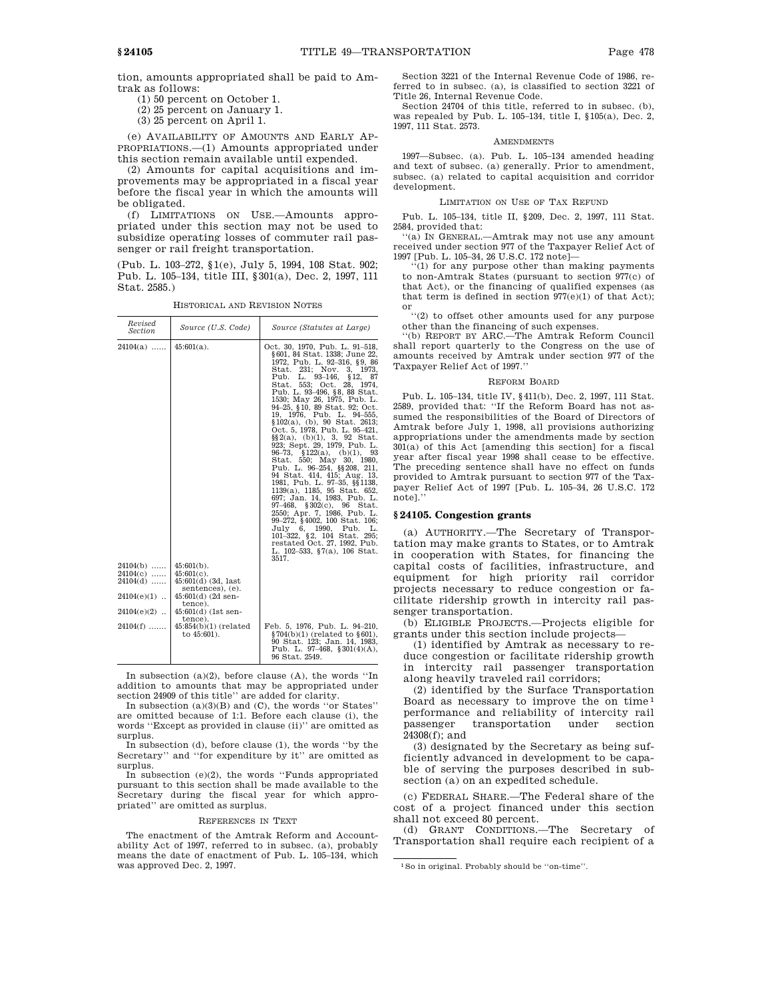tion, amounts appropriated shall be paid to Amtrak as follows:

(1) 50 percent on October 1.

(2) 25 percent on January 1.

(3) 25 percent on April 1.

(e) AVAILABILITY OF AMOUNTS AND EARLY AP-PROPRIATIONS.—(1) Amounts appropriated under this section remain available until expended.

(2) Amounts for capital acquisitions and improvements may be appropriated in a fiscal year before the fiscal year in which the amounts will be obligated.

(f) LIMITATIONS ON USE.—Amounts appropriated under this section may not be used to subsidize operating losses of commuter rail passenger or rail freight transportation.

(Pub. L. 103–272, §1(e), July 5, 1994, 108 Stat. 902; Pub. L. 105–134, title III, §301(a), Dec. 2, 1997, 111 Stat. 2585.)

HISTORICAL AND REVISION NOTES

| Revised<br>Section                                      | Source (U.S. Code)                                                                                  | Source (Statutes at Large)                                                                                                                                                                                                                                                                                                                                                                                                                                                                                                                                                                                                                                                                                                                                                                                                                                                                                                                         |
|---------------------------------------------------------|-----------------------------------------------------------------------------------------------------|----------------------------------------------------------------------------------------------------------------------------------------------------------------------------------------------------------------------------------------------------------------------------------------------------------------------------------------------------------------------------------------------------------------------------------------------------------------------------------------------------------------------------------------------------------------------------------------------------------------------------------------------------------------------------------------------------------------------------------------------------------------------------------------------------------------------------------------------------------------------------------------------------------------------------------------------------|
| $24104(a)$                                              | $45:601(a)$ .                                                                                       | Oct. 30, 1970, Pub. L. 91-518,<br>§ 601, 84 Stat. 1338; June 22,<br>1972, Pub. L. 92-316, §9, 86<br>Stat. 231; Nov. 3, 1973.<br>$93 - 146$ ,<br>Pub.<br>\$12, 87<br>L.<br>Stat. 553: Oct. 28. 1974.<br>Pub. L. 93-496, §8, 88 Stat.<br>1530; May 26, 1975, Pub. L.<br>94–25, §10, 89 Stat. 92; Oct.<br>19, 1976, Pub. L. 94-555,<br>$$102(a), (b), 90 \text{ Stat. } 2613;$<br>Oct. 5, 1978, Pub. L. 95-421,<br>$\S\S 2(a), (b)(1), 3, 92$ Stat.<br>923; Sept. 29, 1979, Pub. L.<br>96-73, §122(a), (b)(1), 93<br>Stat. 550; May<br>30, 1980,<br>Pub. L. 96-254, §§ 208, 211,<br>94 Stat. 414, 415; Aug. 13,<br>1981, Pub. L. 97-35, §§ 1138,<br>1139(a), 1185, 95 Stat. 652,<br>697; Jan. 14, 1983, Pub. L.<br>97–468.<br>$$302(c), 96$ Stat.<br>2550; Apr. 7, 1986, Pub. L.<br>99-272, §4002, 100 Stat. 106;<br>July 6, 1990, Pub. L.<br>101-322, §2, 104 Stat.<br>295:<br>restated Oct. 27, 1992, Pub.<br>L. 102-533, §7(a), 106 Stat.<br>3517. |
| $24104(b)$<br>$24104(c)$<br>$24104(d)$<br>$24104(e)(1)$ | $45:601(b)$ .<br>$45:601(c)$ .<br>$45:601(d)$ (3d, last<br>sentences), (e).<br>$45:601(d)$ (2d sen- |                                                                                                                                                                                                                                                                                                                                                                                                                                                                                                                                                                                                                                                                                                                                                                                                                                                                                                                                                    |
| $24104(e)(2)$                                           | tence).<br>$45:601(d)$ (1st sen-                                                                    |                                                                                                                                                                                                                                                                                                                                                                                                                                                                                                                                                                                                                                                                                                                                                                                                                                                                                                                                                    |
| $24104(f)$                                              | tence).<br>$45:854(b)(1)$ (related<br>to $45:601$ ).                                                | Feb. 5, 1976, Pub. L. 94-210,<br>$\S 704(b)(1)$ (related to $\S 601$ ),<br>90 Stat. 123; Jan. 14, 1983.<br>Pub. L. 97-468, §301(4)(A),<br>96 Stat. 2549.                                                                                                                                                                                                                                                                                                                                                                                                                                                                                                                                                                                                                                                                                                                                                                                           |

In subsection  $(a)(2)$ , before clause  $(A)$ , the words "In addition to amounts that may be appropriated under section 24909 of this title'' are added for clarity.

In subsection  $(a)(3)(B)$  and  $(C)$ , the words "or States" are omitted because of 1:1. Before each clause (i), the words ''Except as provided in clause (ii)'' are omitted as surplus.

In subsection (d), before clause (1), the words ''by the Secretary'' and ''for expenditure by it'' are omitted as surplus.

In subsection  $(e)(2)$ , the words "Funds appropriated pursuant to this section shall be made available to the Secretary during the fiscal year for which appropriated'' are omitted as surplus.

#### REFERENCES IN TEXT

The enactment of the Amtrak Reform and Accountability Act of 1997, referred to in subsec. (a), probably means the date of enactment of Pub. L. 105–134, which was approved Dec. 2, 1997.

Section 3221 of the Internal Revenue Code of 1986, referred to in subsec. (a), is classified to section 3221 of Title 26, Internal Revenue Code.

Section 24704 of this title, referred to in subsec. (b), was repealed by Pub. L. 105–134, title I, §105(a), Dec. 2, 1997, 111 Stat. 2573.

#### AMENDMENTS

1997—Subsec. (a). Pub. L. 105–134 amended heading and text of subsec. (a) generally. Prior to amendment, subsec. (a) related to capital acquisition and corridor development.

## LIMITATION ON USE OF TAX REFUND

Pub. L. 105–134, title II, §209, Dec. 2, 1997, 111 Stat. 2584, provided that:

''(a) IN GENERAL.—Amtrak may not use any amount received under section 977 of the Taxpayer Relief Act of 1997 [Pub. L. 105–34, 26 U.S.C. 172 note]—

 $(1)$  for any purpose other than making payments to non-Amtrak States (pursuant to section 977(c) of that Act), or the financing of qualified expenses (as that term is defined in section  $977(e)(1)$  of that Act); or

''(2) to offset other amounts used for any purpose other than the financing of such expenses.

''(b) REPORT BY ARC.—The Amtrak Reform Council shall report quarterly to the Congress on the use of amounts received by Amtrak under section 977 of the Taxpayer Relief Act of 1997.''

## REFORM BOARD

Pub. L. 105–134, title IV, §411(b), Dec. 2, 1997, 111 Stat. 2589, provided that: ''If the Reform Board has not assumed the responsibilities of the Board of Directors of Amtrak before July 1, 1998, all provisions authorizing appropriations under the amendments made by section 301(a) of this Act [amending this section] for a fiscal year after fiscal year 1998 shall cease to be effective. The preceding sentence shall have no effect on funds provided to Amtrak pursuant to section 977 of the Taxpayer Relief Act of 1997 [Pub. L. 105–34, 26 U.S.C. 172 note].''

#### **§ 24105. Congestion grants**

(a) AUTHORITY.—The Secretary of Transportation may make grants to States, or to Amtrak in cooperation with States, for financing the capital costs of facilities, infrastructure, and equipment for high priority rail corridor projects necessary to reduce congestion or facilitate ridership growth in intercity rail passenger transportation.

(b) ELIGIBLE PROJECTS.—Projects eligible for grants under this section include projects—

(1) identified by Amtrak as necessary to reduce congestion or facilitate ridership growth in intercity rail passenger transportation along heavily traveled rail corridors;

(2) identified by the Surface Transportation Board as necessary to improve the on time 1 performance and reliability of intercity rail passenger transportation under section 24308(f); and

(3) designated by the Secretary as being sufficiently advanced in development to be capable of serving the purposes described in subsection (a) on an expedited schedule.

(c) FEDERAL SHARE.—The Federal share of the cost of a project financed under this section shall not exceed 80 percent.

(d) GRANT CONDITIONS.—The Secretary of Transportation shall require each recipient of a

<sup>1</sup>So in original. Probably should be ''on-time''.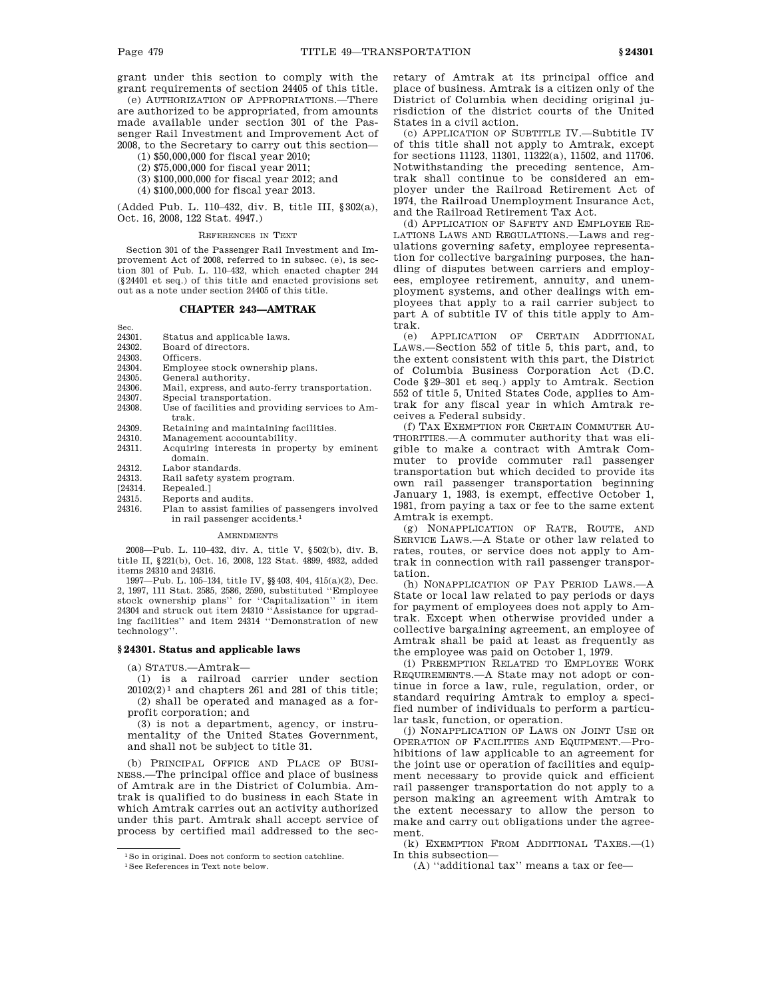grant under this section to comply with the grant requirements of section 24405 of this title.

(e) AUTHORIZATION OF APPROPRIATIONS.—There are authorized to be appropriated, from amounts made available under section 301 of the Passenger Rail Investment and Improvement Act of 2008, to the Secretary to carry out this section—

- (1) \$50,000,000 for fiscal year 2010;
- (2) \$75,000,000 for fiscal year 2011;
- (3) \$100,000,000 for fiscal year 2012; and
- (4) \$100,000,000 for fiscal year 2013.

(Added Pub. L. 110–432, div. B, title III, §302(a), Oct. 16, 2008, 122 Stat. 4947.)

#### REFERENCES IN TEXT

Section 301 of the Passenger Rail Investment and Improvement Act of 2008, referred to in subsec. (e), is section 301 of Pub. L. 110–432, which enacted chapter 244 (§24401 et seq.) of this title and enacted provisions set out as a note under section 24405 of this title.

# **CHAPTER 243—AMTRAK**

- Sec.<br>24301 Status and applicable laws.
- 24302. Board of directors.
- 24303. Officers.
- 24304. Employee stock ownership plans.
- 24305. General authority.
- 24306. Mail, express, and auto-ferry transportation.
- 24307. Special transportation.
- 24308. Use of facilities and providing services to Amtrak.
- 24309. Retaining and maintaining facilities.
- 24310. Management accountability.<br>24311. Acquiring interests in prope
- Acquiring interests in property by eminent domain.
- 24312. Labor standards.<br>24313. Rail safety system
- 24313. Rail safety system program.<br>[24314. Repealed.]
- [24314. Repealed.]<br>24315. Reports are
	- Reports and audits.
- 24316. Plan to assist families of passengers involved in rail passenger accidents.1

## **AMENDMENTS**

2008—Pub. L. 110–432, div. A, title V, §502(b), div. B, title II, §221(b), Oct. 16, 2008, 122 Stat. 4899, 4932, added items 24310 and 24316.

1997—Pub. L. 105–134, title IV, §§403, 404, 415(a)(2), Dec. 2, 1997, 111 Stat. 2585, 2586, 2590, substituted ''Employee stock ownership plans'' for ''Capitalization'' in item 24304 and struck out item 24310 ''Assistance for upgrading facilities'' and item 24314 ''Demonstration of new technology''.

# **§ 24301. Status and applicable laws**

(a) STATUS.—Amtrak—

(1) is a railroad carrier under section  $20102(2)^1$  and chapters 261 and 281 of this title; (2) shall be operated and managed as a forprofit corporation; and

(3) is not a department, agency, or instrumentality of the United States Government, and shall not be subject to title 31.

(b) PRINCIPAL OFFICE AND PLACE OF BUSI-NESS.—The principal office and place of business of Amtrak are in the District of Columbia. Amtrak is qualified to do business in each State in which Amtrak carries out an activity authorized under this part. Amtrak shall accept service of process by certified mail addressed to the secretary of Amtrak at its principal office and place of business. Amtrak is a citizen only of the District of Columbia when deciding original jurisdiction of the district courts of the United States in a civil action.

(c) APPLICATION OF SUBTITLE IV.—Subtitle IV of this title shall not apply to Amtrak, except for sections 11123, 11301, 11322(a), 11502, and 11706. Notwithstanding the preceding sentence, Amtrak shall continue to be considered an employer under the Railroad Retirement Act of 1974, the Railroad Unemployment Insurance Act, and the Railroad Retirement Tax Act.

(d) APPLICATION OF SAFETY AND EMPLOYEE RE-LATIONS LAWS AND REGULATIONS.—Laws and regulations governing safety, employee representation for collective bargaining purposes, the handling of disputes between carriers and employees, employee retirement, annuity, and unemployment systems, and other dealings with employees that apply to a rail carrier subject to part A of subtitle IV of this title apply to Amtrak.

(e) APPLICATION OF CERTAIN ADDITIONAL LAWS.—Section 552 of title 5, this part, and, to the extent consistent with this part, the District of Columbia Business Corporation Act (D.C. Code §29–301 et seq.) apply to Amtrak. Section 552 of title 5, United States Code, applies to Amtrak for any fiscal year in which Amtrak receives a Federal subsidy.

(f) TAX EXEMPTION FOR CERTAIN COMMUTER AU-THORITIES.—A commuter authority that was eligible to make a contract with Amtrak Commuter to provide commuter rail passenger transportation but which decided to provide its own rail passenger transportation beginning January 1, 1983, is exempt, effective October 1, 1981, from paying a tax or fee to the same extent Amtrak is exempt.

(g) NONAPPLICATION OF RATE, ROUTE, AND SERVICE LAWS.—A State or other law related to rates, routes, or service does not apply to Amtrak in connection with rail passenger transportation.

(h) NONAPPLICATION OF PAY PERIOD LAWS.—A State or local law related to pay periods or days for payment of employees does not apply to Amtrak. Except when otherwise provided under a collective bargaining agreement, an employee of Amtrak shall be paid at least as frequently as the employee was paid on October 1, 1979.

(i) PREEMPTION RELATED TO EMPLOYEE WORK REQUIREMENTS.—A State may not adopt or continue in force a law, rule, regulation, order, or standard requiring Amtrak to employ a specified number of individuals to perform a particular task, function, or operation.

(j) NONAPPLICATION OF LAWS ON JOINT USE OR OPERATION OF FACILITIES AND EQUIPMENT.—Prohibitions of law applicable to an agreement for the joint use or operation of facilities and equipment necessary to provide quick and efficient rail passenger transportation do not apply to a person making an agreement with Amtrak to the extent necessary to allow the person to make and carry out obligations under the agreement.

(k) EXEMPTION FROM ADDITIONAL TAXES.—(1) In this subsection—

(A) ''additional tax'' means a tax or fee—

<sup>1</sup>So in original. Does not conform to section catchline.

<sup>1</sup>See References in Text note below.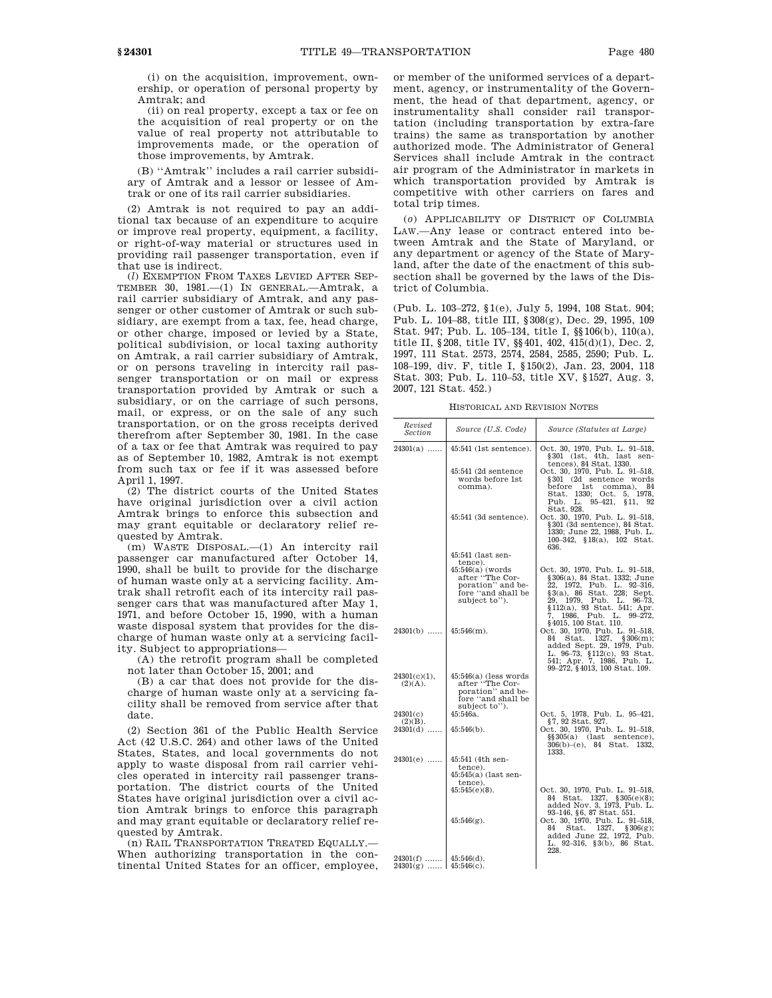(i) on the acquisition, improvement, ownership, or operation of personal property by Amtrak; and

(ii) on real property, except a tax or fee on the acquisition of real property or on the value of real property not attributable to improvements made, or the operation of those improvements, by Amtrak.

(B) ''Amtrak'' includes a rail carrier subsidiary of Amtrak and a lessor or lessee of Amtrak or one of its rail carrier subsidiaries.

(2) Amtrak is not required to pay an additional tax because of an expenditure to acquire or improve real property, equipment, a facility, or right-of-way material or structures used in providing rail passenger transportation, even if that use is indirect.

(*l*) EXEMPTION FROM TAXES LEVIED AFTER SEP-TEMBER 30, 1981.—(1) IN GENERAL.—Amtrak, a rail carrier subsidiary of Amtrak, and any passenger or other customer of Amtrak or such subsidiary, are exempt from a tax, fee, head charge, or other charge, imposed or levied by a State, political subdivision, or local taxing authority on Amtrak, a rail carrier subsidiary of Amtrak, or on persons traveling in intercity rail passenger transportation or on mail or express transportation provided by Amtrak or such a subsidiary, or on the carriage of such persons, mail, or express, or on the sale of any such transportation, or on the gross receipts derived therefrom after September 30, 1981. In the case of a tax or fee that Amtrak was required to pay as of September 10, 1982, Amtrak is not exempt from such tax or fee if it was assessed before April 1, 1997.

(2) The district courts of the United States have original jurisdiction over a civil action Amtrak brings to enforce this subsection and may grant equitable or declaratory relief requested by Amtrak.

(m) WASTE DISPOSAL.—(1) An intercity rail passenger car manufactured after October 14, 1990, shall be built to provide for the discharge of human waste only at a servicing facility. Amtrak shall retrofit each of its intercity rail passenger cars that was manufactured after May 1, 1971, and before October 15, 1990, with a human waste disposal system that provides for the discharge of human waste only at a servicing facility. Subject to appropriations—

(A) the retrofit program shall be completed not later than October 15, 2001; and

(B) a car that does not provide for the discharge of human waste only at a servicing facility shall be removed from service after that date.

(2) Section 361 of the Public Health Service Act (42 U.S.C. 264) and other laws of the United States, States, and local governments do not apply to waste disposal from rail carrier vehicles operated in intercity rail passenger transportation. The district courts of the United States have original jurisdiction over a civil action Amtrak brings to enforce this paragraph and may grant equitable or declaratory relief requested by Amtrak.

(n) RAIL TRANSPORTATION TREATED EQUALLY.— When authorizing transportation in the continental United States for an officer, employee,

or member of the uniformed services of a department, agency, or instrumentality of the Government, the head of that department, agency, or instrumentality shall consider rail transportation (including transportation by extra-fare trains) the same as transportation by another authorized mode. The Administrator of General Services shall include Amtrak in the contract air program of the Administrator in markets in which transportation provided by Amtrak is competitive with other carriers on fares and total trip times.

(*o*) APPLICABILITY OF DISTRICT OF COLUMBIA LAW.—Any lease or contract entered into between Amtrak and the State of Maryland, or any department or agency of the State of Maryland, after the date of the enactment of this subsection shall be governed by the laws of the District of Columbia.

(Pub. L. 103–272, §1(e), July 5, 1994, 108 Stat. 904; Pub. L. 104–88, title III, §308(g), Dec. 29, 1995, 109 Stat. 947; Pub. L. 105–134, title I, §§106(b), 110(a), title II, §208, title IV, §§401, 402, 415(d)(1), Dec. 2, 1997, 111 Stat. 2573, 2574, 2584, 2585, 2590; Pub. L. 108–199, div. F, title I, §150(2), Jan. 23, 2004, 118 Stat. 303; Pub. L. 110–53, title XV, §1527, Aug. 3, 2007, 121 Stat. 452.)

HISTORICAL AND REVISION NOTES

| Revised<br>Section                                 | Source (U.S. Code)                                                                                      | Source (Statutes at Large)                                                                                                                                                                                                                        |
|----------------------------------------------------|---------------------------------------------------------------------------------------------------------|---------------------------------------------------------------------------------------------------------------------------------------------------------------------------------------------------------------------------------------------------|
| $24301(a)$                                         | $45:541$ (1st sentence).                                                                                | Oct. 30, 1970, Pub. L. 91-518,<br>$§301$ (1st, 4th, last sen-<br>tences), 84 Stat. 1330.                                                                                                                                                          |
|                                                    | 45:541 (2d sentence<br>words before 1st<br>comma).                                                      | Oct. 30, 1970, Pub. L. 91-518,<br>§301 (2d sentence words<br>before 1st<br>comma),<br>84<br>Stat. 1330; Oct. 5, 1978,<br>L. 95-421, §11, 92<br>Puh.<br>Stat. 928.                                                                                 |
|                                                    | 45:541 (3d sentence).                                                                                   | Oct. 30, 1970, Pub. L. 91-518,<br>§301 (3d sentence), 84 Stat.<br>1330; June 22, 1988, Pub. L.<br>100-342, §18(a), 102 Stat.<br>636.                                                                                                              |
|                                                    | 45:541 (last sen-<br>tence).                                                                            |                                                                                                                                                                                                                                                   |
|                                                    | $45:546(a)$ (words<br>after "The Cor-<br>poration" and be-<br>fore "and shall be<br>subject to").       | Oct. 30, 1970, Pub. L. 91-518,<br>§306(a), 84 Stat. 1332; June<br>22, 1972, Pub. L. 92-316,<br>$\S3(a)$ , 86 Stat. 228; Sept.<br>$29, 1979,$ Pub. L. $96-73,$<br>§112(a), 93 Stat. 541; Apr.<br>7, 1986, Pub. L. 99–272,<br>§4015, 100 Stat. 110. |
| $24301(b)$                                         | $145:546(m)$ .                                                                                          | Oct. 30, 1970, Pub. L. 91-518,<br>Stat. 1327, §306(m);<br>84<br>added Sept. 29, 1979, Pub.<br>L. 96-73, §112(c), 93 Stat.<br>541; Apr. 7, 1986, Pub. L.<br>99-272, §4013, 100 Stat. 109.                                                          |
| $24301(c)(1)$ ,<br>(2)(A).                         | $45:546(a)$ (less words)<br>after "The Cor-<br>poration" and be-<br>fore "and shall be<br>subject to"). |                                                                                                                                                                                                                                                   |
| 24301(c)<br>$(2)(B)$ .                             | 45:546a.                                                                                                | Oct. 5, 1978, Pub. L. 95-421,<br>§7, 92 Stat. 927.                                                                                                                                                                                                |
| $24301(d)$                                         | $45:546(b)$ .                                                                                           | Oct. 30, 1970, Pub. L. 91-518,<br>$\S$ $305(a)$ (last sentence),<br>$306(b)$ -(e), 84 Stat. 1332,<br>1333.                                                                                                                                        |
| $24301(e)$                                         | 45:541 (4th sen-<br>tence).<br>45:545(a) (last sen-                                                     |                                                                                                                                                                                                                                                   |
|                                                    | tence).<br>$45:545(e)(8)$ .                                                                             | Oct. 30, 1970, Pub. L. 91-518,<br>84 Stat. 1327, §305(e)(8);<br>added Nov. 3, 1973, Pub. L.<br>93-146, §6, 87 Stat. 551.                                                                                                                          |
|                                                    | $45:546(g)$ .                                                                                           | Oct. 30, 1970, Pub. L. 91-518,<br>Stat. 1327, §306(g);<br>84<br>added June 22, 1972, Pub.<br>L. 92-316, §3(b), 86 Stat.<br>228.                                                                                                                   |
| $24301(f)$   45:546(d).<br>$24301(g)$   45:546(c). |                                                                                                         |                                                                                                                                                                                                                                                   |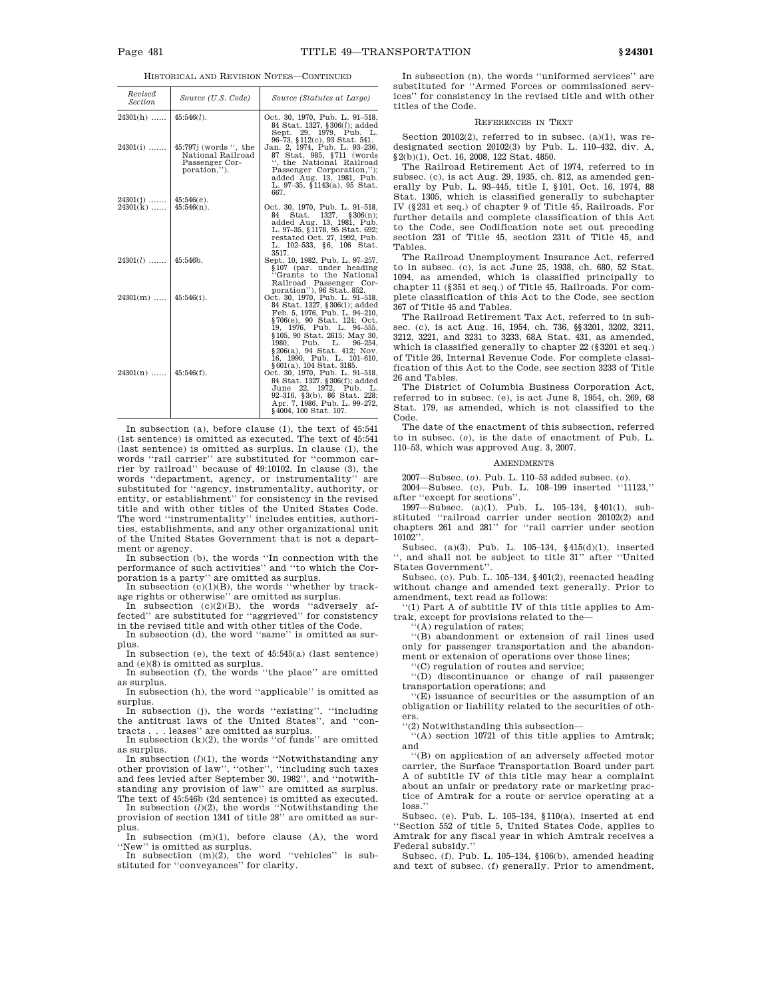HISTORICAL AND REVISION NOTES—CONTINUED

| Revised<br><b>Section</b> | Source (U.S. Code)                                                             | Source (Statutes at Large)                                                                                                                                                                                                                                                                             |
|---------------------------|--------------------------------------------------------------------------------|--------------------------------------------------------------------------------------------------------------------------------------------------------------------------------------------------------------------------------------------------------------------------------------------------------|
| $24301(h)$                | $45:546(l)$ .                                                                  | Oct. 30, 1970, Pub. L. 91-518,<br>84 Stat. 1327, §306(1); added<br>Sept. 29, 1979, Pub. L.<br>96-73, §112(c), 93 Stat. 541.                                                                                                                                                                            |
| $24301(i)$                | $45:797j$ (words ", the<br>National Railroad<br>Passenger Cor-<br>poration,"). | Jan. 2, 1974, Pub. L. 93-236,<br>87 Stat. 985, §711 (words<br>", the National Railroad<br>Passenger Corporation,");<br>added Aug. 13, 1981, Pub.<br>L. 97-35, §1143(a), 95 Stat.<br>667.                                                                                                               |
| $24301(j)$                | $45:546(e)$ .                                                                  |                                                                                                                                                                                                                                                                                                        |
| $24301(k)$                | $45:546(n)$ .                                                                  | Oct. 30, 1970, Pub. L. 91-518,<br>Stat. 1327, §306(n);<br>84<br>added Aug. 13, 1981, Pub.<br>L. 97-35, §1178, 95 Stat. 692;<br>restated Oct. 27, 1992, Pub.<br>L. 102-533, §6, 106 Stat.<br>3517.                                                                                                      |
| $24301(l)$                | 45:546b.                                                                       | Sept. 10, 1982, Pub. L. 97-257,<br>§107 (par. under heading<br>"Grants to the National<br>Railroad Passenger Cor-<br>poration"), 96 Stat. 852.                                                                                                                                                         |
| $24301(m)$                | $45:546(i)$ .                                                                  | Oct. 30, 1970, Pub. L. 91-518,<br>84 Stat. 1327, §306(i); added<br>Feb. 5, 1976, Pub. L. 94-210,<br>§706(e), 90 Stat. 124; Oct.<br>19, 1976, Pub. L. 94-555,<br>§105, 90 Stat. 2615; May 30,                                                                                                           |
| $24301(n)$                | $45:546(f)$ .                                                                  | 1980, Pub. L. 96-254,<br>§206(a), 94 Stat. 412; Nov.<br>16, 1990, Pub. L. 101-610,<br>§ 601(a), 104 Stat. 3185.<br>Oct. 30, 1970, Pub. L. 91-518,<br>84 Stat. 1327, §306(f); added<br>June 22, 1972, Pub. L.<br>92-316, §3(b), 86 Stat. 228;<br>Apr. 7, 1986, Pub. L. 99-272,<br>§4004, 100 Stat. 107. |

In subsection (a), before clause (1), the text of 45:541 (1st sentence) is omitted as executed. The text of 45:541 (last sentence) is omitted as surplus. In clause (1), the words ''rail carrier'' are substituted for ''common carrier by railroad'' because of 49:10102. In clause (3), the words ''department, agency, or instrumentality'' are substituted for ''agency, instrumentality, authority, or entity, or establishment'' for consistency in the revised title and with other titles of the United States Code. The word ''instrumentality'' includes entities, authorities, establishments, and any other organizational unit of the United States Government that is not a department or agency.

In subsection (b), the words ''In connection with the performance of such activities'' and ''to which the Corporation is a party'' are omitted as surplus.

In subsection (c)(1)(B), the words ''whether by track-<br>age rights or otherwise'' are omitted as surplus.<br>In subsection (c)(2)(B), the words ''adversely af-<br>fected'' are substituted for ''aggrieved'' for consistency in the revised title and with other titles of the Code.

In subsection (d), the word ''same'' is omitted as surplus.

In subsection (e), the text of 45:545(a) (last sentence)

and (e)(8) is omitted as surplus. In subsection (f), the words ''the place'' are omitted as surplus.

In subsection (h), the word ''applicable'' is omitted as surplus.

In subsection (j), the words "existing", "including the antitrust laws of the United States", and "con-

tracts . . . leases'' are omitted as surplus. In subsection (k)(2), the words ''of funds'' are omitted

as surplus.<br>In subsection  $(l)(1)$ , the words "Notwithstanding any other provision of law'', ''other'', ''including such taxes and fees levied after September 30, 1982'', and ''notwithstanding any provision of law'' are omitted as surplus.

The text of 45:546b (2d sentence) is omitted as executed. In subsection  $(l)(2)$ , the words "Notwithstanding the provision of section 1341 of title 28'' are omitted as surplus.

In subsection (m)(1), before clause (A), the word ''New'' is omitted as surplus.

In subsection  $(m)(2)$ , the word "vehicles" is substituted for ''conveyances'' for clarity.

In subsection (n), the words ''uniformed services'' are substituted for ''Armed Forces or commissioned services'' for consistency in the revised title and with other titles of the Code.

## REFERENCES IN TEXT

Section 20102(2), referred to in subsec. (a)(1), was redesignated section 20102(3) by Pub. L. 110–432, div. A, §2(b)(1), Oct. 16, 2008, 122 Stat. 4850.

The Railroad Retirement Act of 1974, referred to in subsec. (c), is act Aug. 29, 1935, ch. 812, as amended generally by Pub. L. 93–445, title I, §101, Oct. 16, 1974, 88 Stat. 1305, which is classified generally to subchapter IV (§231 et seq.) of chapter 9 of Title 45, Railroads. For further details and complete classification of this Act to the Code, see Codification note set out preceding section 231 of Title 45, section 231t of Title 45, and Tables.

The Railroad Unemployment Insurance Act, referred to in subsec. (c), is act June 25, 1938, ch. 680, 52 Stat. 1094, as amended, which is classified principally to chapter 11 (§351 et seq.) of Title 45, Railroads. For complete classification of this Act to the Code, see section 367 of Title 45 and Tables.

The Railroad Retirement Tax Act, referred to in subsec. (c), is act Aug. 16, 1954, ch. 736, §§3201, 3202, 3211, 3212, 3221, and 3231 to 3233, 68A Stat. 431, as amended, which is classified generally to chapter 22 (§3201 et seq.) of Title 26, Internal Revenue Code. For complete classification of this Act to the Code, see section 3233 of Title 26 and Tables.

The District of Columbia Business Corporation Act, referred to in subsec. (e), is act June 8, 1954, ch. 269, 68 Stat. 179, as amended, which is not classified to the Code.

The date of the enactment of this subsection, referred to in subsec. (*o*), is the date of enactment of Pub. L. 110–53, which was approved Aug. 3, 2007.

## AMENDMENTS

2007—Subsec. (*o*). Pub. L. 110–53 added subsec. (*o*). 2004—Subsec. (c). Pub. L. 108–199 inserted ''11123,''

after "except for sections"

1997—Subsec. (a)(1). Pub. L. 105–134, §401(1), substituted ''railroad carrier under section 20102(2) and chapters 261 and 281'' for ''rail carrier under section 10102''.

Subsec. (a)(3). Pub. L. 105–134, §415(d)(1), inserted , and shall not be subject to title 31" after "United States Government''.

Subsec. (c). Pub. L. 105–134, §401(2), reenacted heading without change and amended text generally. Prior to amendment, text read as follows:

''(1) Part A of subtitle IV of this title applies to Amtrak, except for provisions related to the—

''(A) regulation of rates;

''(B) abandonment or extension of rail lines used only for passenger transportation and the abandonment or extension of operations over those lines;

''(C) regulation of routes and service;

''(D) discontinuance or change of rail passenger transportation operations; and

''(E) issuance of securities or the assumption of an obligation or liability related to the securities of others.

''(2) Notwithstanding this subsection—

''(A) section 10721 of this title applies to Amtrak; and

''(B) on application of an adversely affected motor carrier, the Surface Transportation Board under part A of subtitle IV of this title may hear a complaint about an unfair or predatory rate or marketing practice of Amtrak for a route or service operating at a loss.''

Subsec. (e). Pub. L. 105–134, §110(a), inserted at end 'Section 552 of title 5, United States Code, applies to Amtrak for any fiscal year in which Amtrak receives a Federal subsidy.

Subsec. (f). Pub. L. 105–134, §106(b), amended heading and text of subsec. (f) generally. Prior to amendment,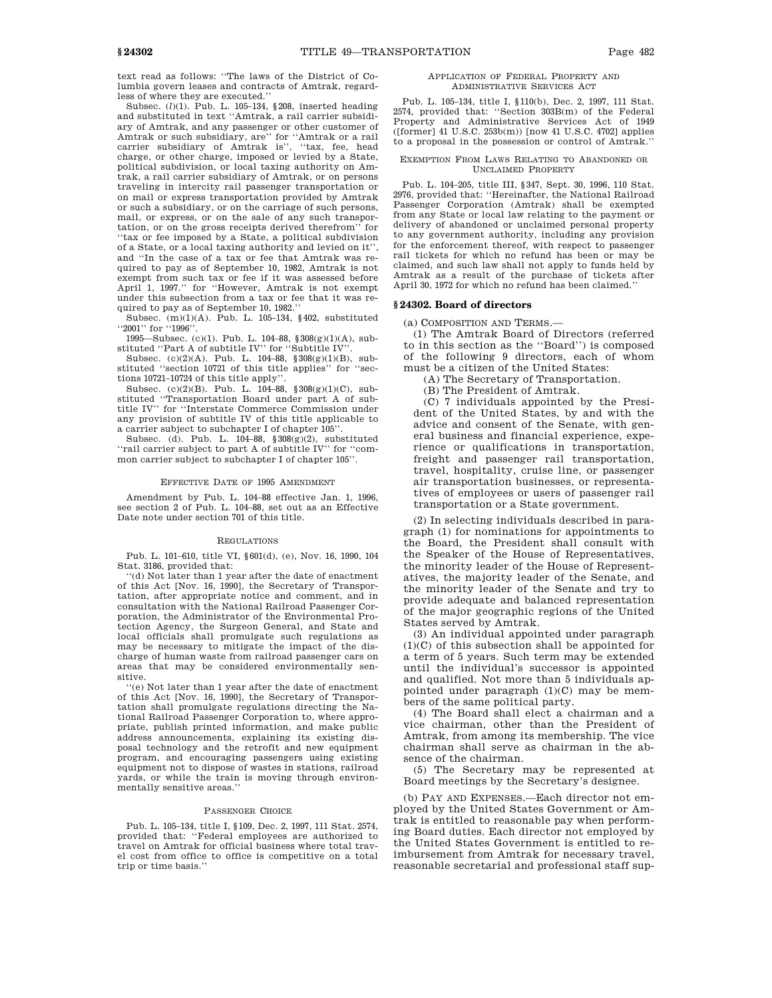text read as follows: ''The laws of the District of Columbia govern leases and contracts of Amtrak, regardless of where they are executed.''

Subsec. (*l*)(1). Pub. L. 105–134, §208, inserted heading and substituted in text ''Amtrak, a rail carrier subsidiary of Amtrak, and any passenger or other customer of Amtrak or such subsidiary, are'' for ''Amtrak or a rail carrier subsidiary of Amtrak is'', ''tax, fee, head charge, or other charge, imposed or levied by a State, political subdivision, or local taxing authority on Amtrak, a rail carrier subsidiary of Amtrak, or on persons traveling in intercity rail passenger transportation or on mail or express transportation provided by Amtrak or such a subsidiary, or on the carriage of such persons, mail, or express, or on the sale of any such transportation, or on the gross receipts derived therefrom'' for ''tax or fee imposed by a State, a political subdivision of a State, or a local taxing authority and levied on it'', and ''In the case of a tax or fee that Amtrak was required to pay as of September 10, 1982, Amtrak is not exempt from such tax or fee if it was assessed before April 1, 1997.'' for ''However, Amtrak is not exempt under this subsection from a tax or fee that it was required to pay as of September 10, 1982.''

Subsec. (m)(1)(A). Pub. L. 105–134, §402, substituted ''2001'' for ''1996''.

1995—Subsec. (c)(1). Pub. L. 104–88, §308(g)(1)(A), substituted ''Part A of subtitle IV'' for ''Subtitle IV''.

Subsec.  $(c)(2)(A)$ . Pub. L. 104–88,  $\S 308(g)(1)(B)$ , substituted ''section 10721 of this title applies'' for ''sections 10721–10724 of this title apply''.

Subsec. (c)(2)(B). Pub. L. 104–88, §308(g)(1)(C), substituted ''Transportation Board under part A of subtitle IV'' for ''Interstate Commerce Commission under any provision of subtitle IV of this title applicable to a carrier subject to subchapter I of chapter 105''.

Subsec. (d). Pub. L. 104–88, §308(g)(2), substituted ''rail carrier subject to part A of subtitle IV'' for ''common carrier subject to subchapter I of chapter 105''.

#### EFFECTIVE DATE OF 1995 AMENDMENT

Amendment by Pub. L. 104–88 effective Jan. 1, 1996, see section 2 of Pub. L. 104–88, set out as an Effective Date note under section 701 of this title.

#### REGULATIONS

Pub. L. 101–610, title VI, §601(d), (e), Nov. 16, 1990, 104 Stat. 3186, provided that:

''(d) Not later than 1 year after the date of enactment of this Act [Nov. 16, 1990], the Secretary of Transportation, after appropriate notice and comment, and in consultation with the National Railroad Passenger Corporation, the Administrator of the Environmental Protection Agency, the Surgeon General, and State and local officials shall promulgate such regulations as may be necessary to mitigate the impact of the discharge of human waste from railroad passenger cars on areas that may be considered environmentally sensitive.

''(e) Not later than 1 year after the date of enactment of this Act [Nov. 16, 1990], the Secretary of Transportation shall promulgate regulations directing the National Railroad Passenger Corporation to, where appropriate, publish printed information, and make public address announcements, explaining its existing disposal technology and the retrofit and new equipment program, and encouraging passengers using existing equipment not to dispose of wastes in stations, railroad yards, or while the train is moving through environmentally sensitive areas.''

## PASSENGER CHOICE

Pub. L. 105–134, title I, §109, Dec. 2, 1997, 111 Stat. 2574, provided that: ''Federal employees are authorized to travel on Amtrak for official business where total travel cost from office to office is competitive on a total trip or time basis.''

## APPLICATION OF FEDERAL PROPERTY AND ADMINISTRATIVE SERVICES ACT

Pub. L. 105–134, title I, §110(b), Dec. 2, 1997, 111 Stat. 2574, provided that: ''Section 303B(m) of the Federal Property and Administrative Services Act of 1949 ([former] 41 U.S.C. 253b(m)) [now 41 U.S.C. 4702] applies to a proposal in the possession or control of Amtrak.''

#### EXEMPTION FROM LAWS RELATING TO ABANDONED OR UNCLAIMED PROPERTY

Pub. L. 104–205, title III, §347, Sept. 30, 1996, 110 Stat. 2976, provided that: ''Hereinafter, the National Railroad Passenger Corporation (Amtrak) shall be exempted from any State or local law relating to the payment or delivery of abandoned or unclaimed personal property to any government authority, including any provision for the enforcement thereof, with respect to passenger rail tickets for which no refund has been or may be claimed, and such law shall not apply to funds held by Amtrak as a result of the purchase of tickets after April 30, 1972 for which no refund has been claimed.

#### **§ 24302. Board of directors**

(a) COMPOSITION AND TERMS.—

(1) The Amtrak Board of Directors (referred to in this section as the ''Board'') is composed of the following 9 directors, each of whom must be a citizen of the United States:

(A) The Secretary of Transportation.

(B) The President of Amtrak.

(C) 7 individuals appointed by the President of the United States, by and with the advice and consent of the Senate, with general business and financial experience, experience or qualifications in transportation, freight and passenger rail transportation, travel, hospitality, cruise line, or passenger air transportation businesses, or representatives of employees or users of passenger rail transportation or a State government.

(2) In selecting individuals described in paragraph (1) for nominations for appointments to the Board, the President shall consult with the Speaker of the House of Representatives, the minority leader of the House of Representatives, the majority leader of the Senate, and the minority leader of the Senate and try to provide adequate and balanced representation of the major geographic regions of the United States served by Amtrak.

(3) An individual appointed under paragraph (1)(C) of this subsection shall be appointed for a term of 5 years. Such term may be extended until the individual's successor is appointed and qualified. Not more than 5 individuals appointed under paragraph (1)(C) may be members of the same political party.

(4) The Board shall elect a chairman and a vice chairman, other than the President of Amtrak, from among its membership. The vice chairman shall serve as chairman in the absence of the chairman.

(5) The Secretary may be represented at Board meetings by the Secretary's designee.

(b) PAY AND EXPENSES.—Each director not employed by the United States Government or Amtrak is entitled to reasonable pay when performing Board duties. Each director not employed by the United States Government is entitled to reimbursement from Amtrak for necessary travel, reasonable secretarial and professional staff sup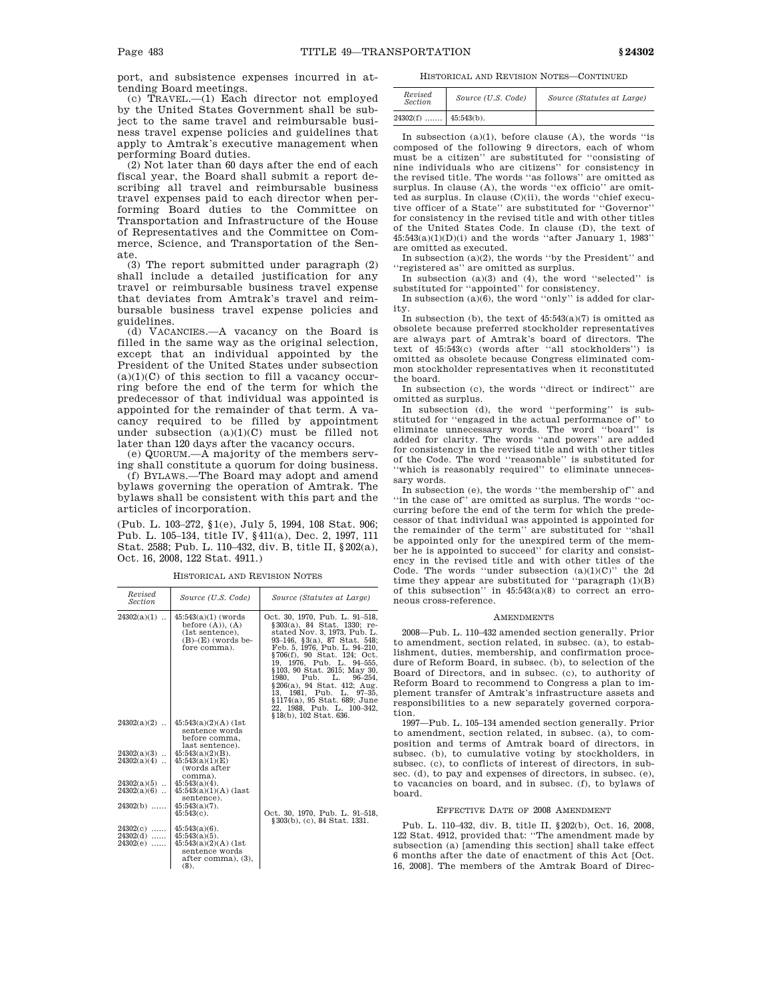port, and subsistence expenses incurred in attending Board meetings.

(c) TRAVEL.—(1) Each director not employed by the United States Government shall be subject to the same travel and reimbursable business travel expense policies and guidelines that apply to Amtrak's executive management when performing Board duties.

(2) Not later than 60 days after the end of each fiscal year, the Board shall submit a report describing all travel and reimbursable business travel expenses paid to each director when performing Board duties to the Committee on Transportation and Infrastructure of the House of Representatives and the Committee on Commerce, Science, and Transportation of the Senate.

(3) The report submitted under paragraph (2) shall include a detailed justification for any travel or reimbursable business travel expense that deviates from Amtrak's travel and reimbursable business travel expense policies and guidelines.

(d) VACANCIES.—A vacancy on the Board is filled in the same way as the original selection, except that an individual appointed by the President of the United States under subsection  $(a)(1)(C)$  of this section to fill a vacancy occurring before the end of the term for which the predecessor of that individual was appointed is appointed for the remainder of that term. A vacancy required to be filled by appointment under subsection (a)(1)(C) must be filled not later than 120 days after the vacancy occurs.

(e) QUORUM.—A majority of the members serving shall constitute a quorum for doing business.

(f) BYLAWS.—The Board may adopt and amend bylaws governing the operation of Amtrak. The bylaws shall be consistent with this part and the articles of incorporation.

(Pub. L. 103–272, §1(e), July 5, 1994, 108 Stat. 906; Pub. L. 105–134, title IV, §411(a), Dec. 2, 1997, 111 Stat. 2588; Pub. L. 110–432, div. B, title II, §202(a), Oct. 16, 2008, 122 Stat. 4911.)

| Revised<br><b>Section</b>              | Source (U.S. Code)                                                                                             | Source (Statutes at Large)                                                                                                                                                                                                                                                                                                                                                                                                                          |
|----------------------------------------|----------------------------------------------------------------------------------------------------------------|-----------------------------------------------------------------------------------------------------------------------------------------------------------------------------------------------------------------------------------------------------------------------------------------------------------------------------------------------------------------------------------------------------------------------------------------------------|
| $24302(a)(1)$                          | $45:543(a)(1)$ (words)<br>before $(A)$ , $(A)$<br>(1st sentence),<br>$(B)$ – $(E)$ (words be-<br>fore comma).  | Oct. 30, 1970, Pub. L. 91-518,<br>§303(a), 84 Stat. 1330; re-<br>stated Nov. 3, 1973, Pub. L.<br>93-146, §3(a), 87 Stat. 548;<br>Feb. 5, 1976, Pub. L. 94-210,<br>§706(f), 90 Stat. 124; Oct.<br>19. 1976. Pub. L. 94–555.<br>§103, 90 Stat. 2615; May 30,<br>Pub.<br>1980.<br>L.<br>$96 - 254.$<br>§206(a), 94 Stat. 412; Aug.<br>13. 1981. Pub. L. 97–35.<br>§1174(a), 95 Stat. 689; June<br>22, 1988, Pub. L. 100–342,<br>§18(b), 102 Stat. 636. |
| $24302(a)(2)$                          | $45:543(a)(2)(A)$ (1st<br>sentence words<br>before comma.<br>last sentence).                                   |                                                                                                                                                                                                                                                                                                                                                                                                                                                     |
| $24302(a)(3)$<br>$24302(a)(4)$         | $45:543(a)(2)(B)$ .<br>45:543(a)(1)(E)<br>(words after<br>comma).                                              |                                                                                                                                                                                                                                                                                                                                                                                                                                                     |
| $24302(a)(5)$                          | $45:543(a)(4)$ .                                                                                               |                                                                                                                                                                                                                                                                                                                                                                                                                                                     |
| $24302(a)(6)$                          | $45:543(a)(1)(A)$ (last<br>sentence).                                                                          |                                                                                                                                                                                                                                                                                                                                                                                                                                                     |
| $24302(b)$                             | $45:543(a)(7)$ .<br>$45:543(c)$ .                                                                              | Oct. 30, 1970, Pub. L. 91-518,<br>§303(b), (c), 84 Stat, 1331.                                                                                                                                                                                                                                                                                                                                                                                      |
| $24302(c)$<br>$24302(d)$<br>$24302(e)$ | $45:543(a)(6)$ .<br>$45:543(a)(5)$ .<br>$45:543(a)(2)(A)$ (1st<br>sentence words<br>after comma), (3),<br>(8). |                                                                                                                                                                                                                                                                                                                                                                                                                                                     |

HISTORICAL AND REVISION NOTES

HISTORICAL AND REVISION NOTES—CONTINUED

| Revised<br><b>Section</b> | Source (U.S. Code) | Source (Statutes at Large) |
|---------------------------|--------------------|----------------------------|
| $24302(f)$   45:543(b).   |                    |                            |

In subsection (a)(1), before clause (A), the words ''is composed of the following 9 directors, each of whom must be a citizen'' are substituted for ''consisting of nine individuals who are citizens'' for consistency in the revised title. The words ''as follows'' are omitted as surplus. In clause (A), the words ''ex officio'' are omitted as surplus. In clause (C)(ii), the words ''chief executive officer of a State'' are substituted for ''Governor'' for consistency in the revised title and with other titles of the United States Code. In clause (D), the text of  $45:543(a)(1)(D)(i)$  and the words "after January 1, 1983" are omitted as executed.

In subsection (a)(2), the words ''by the President'' and ''registered as'' are omitted as surplus.

In subsection (a)(3) and (4), the word ''selected'' is substituted for ''appointed'' for consistency.

In subsection (a)(6), the word ''only'' is added for clarity.

In subsection (b), the text of  $45:543(a)(7)$  is omitted as obsolete because preferred stockholder representatives are always part of Amtrak's board of directors. The text of 45:543(c) (words after ''all stockholders'') is omitted as obsolete because Congress eliminated common stockholder representatives when it reconstituted the board.

In subsection (c), the words ''direct or indirect'' are omitted as surplus.

In subsection (d), the word ''performing'' is substituted for ''engaged in the actual performance of'' to eliminate unnecessary words. The word ''board'' is added for clarity. The words ''and powers'' are added for consistency in the revised title and with other titles of the Code. The word ''reasonable'' is substituted for ''which is reasonably required'' to eliminate unnecessary words.

In subsection (e), the words ''the membership of'' and ''in the case of'' are omitted as surplus. The words ''occurring before the end of the term for which the predecessor of that individual was appointed is appointed for the remainder of the term'' are substituted for "shall be appointed only for the unexpired term of the member he is appointed to succeed'' for clarity and consistency in the revised title and with other titles of the Code. The words "under subsection  $(a)(1)(C)$ " the 2d time they appear are substituted for ''paragraph (1)(B) of this subsection'' in 45:543(a)(8) to correct an erroneous cross-reference.

#### AMENDMENTS

2008—Pub. L. 110–432 amended section generally. Prior to amendment, section related, in subsec. (a), to establishment, duties, membership, and confirmation procedure of Reform Board, in subsec. (b), to selection of the Board of Directors, and in subsec. (c), to authority of Reform Board to recommend to Congress a plan to implement transfer of Amtrak's infrastructure assets and responsibilities to a new separately governed corporation.

1997—Pub. L. 105–134 amended section generally. Prior to amendment, section related, in subsec. (a), to composition and terms of Amtrak board of directors, in subsec. (b), to cumulative voting by stockholders, in subsec. (c), to conflicts of interest of directors, in subsec. (d), to pay and expenses of directors, in subsec. (e), to vacancies on board, and in subsec. (f), to bylaws of board.

## EFFECTIVE DATE OF 2008 AMENDMENT

Pub. L. 110–432, div. B, title II, §202(b), Oct. 16, 2008, 122 Stat. 4912, provided that: ''The amendment made by subsection (a) [amending this section] shall take effect 6 months after the date of enactment of this Act [Oct. 16, 2008]. The members of the Amtrak Board of Direc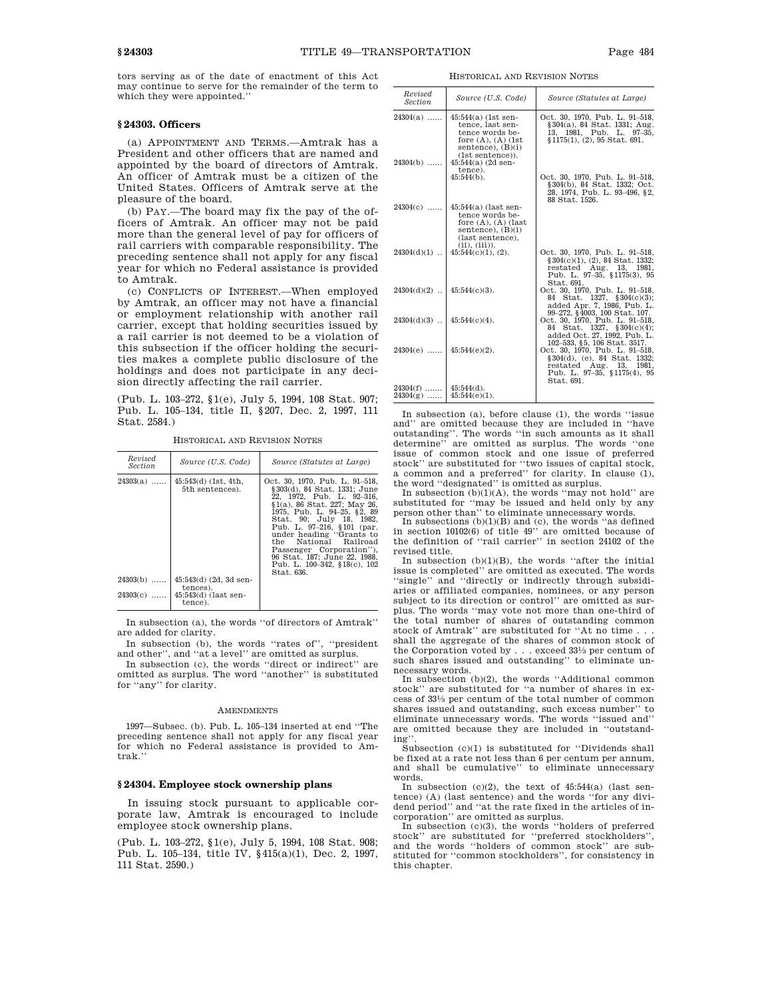tors serving as of the date of enactment of this Act may continue to serve for the remainder of the term to which they were appointed.''

# **§ 24303. Officers**

(a) APPOINTMENT AND TERMS.—Amtrak has a President and other officers that are named and appointed by the board of directors of Amtrak. An officer of Amtrak must be a citizen of the United States. Officers of Amtrak serve at the pleasure of the board.

(b) PAY.—The board may fix the pay of the officers of Amtrak. An officer may not be paid more than the general level of pay for officers of rail carriers with comparable responsibility. The preceding sentence shall not apply for any fiscal year for which no Federal assistance is provided to Amtrak.

(c) CONFLICTS OF INTEREST.—When employed by Amtrak, an officer may not have a financial or employment relationship with another rail carrier, except that holding securities issued by a rail carrier is not deemed to be a violation of this subsection if the officer holding the securities makes a complete public disclosure of the holdings and does not participate in any decision directly affecting the rail carrier.

(Pub. L. 103–272, §1(e), July 5, 1994, 108 Stat. 907; Pub. L. 105–134, title II, §207, Dec. 2, 1997, 111 Stat. 2584.)

HISTORICAL AND REVISION NOTES

| Revised<br><i>Section</i> | Source (U.S. Code)                        | Source (Statutes at Large)                                                                                                                                                                                                                                                                                                                                                          |
|---------------------------|-------------------------------------------|-------------------------------------------------------------------------------------------------------------------------------------------------------------------------------------------------------------------------------------------------------------------------------------------------------------------------------------------------------------------------------------|
| $24303(a)$                | $45:543(d)$ (1st, 4th,<br>5th sentences). | Oct. 30, 1970. Pub. L. 91–518.<br>§303(d), 84 Stat, 1331; June<br>22. 1972. Pub. L. 92-316.<br>§1(a), 86 Stat, 227: May 26.<br>1975. Pub. L. 94-25. §2. 89<br>Stat. 90: July 18. 1982.<br>Pub. L. 97-216, §101 (par.<br>under heading "Grants to<br>the National Railroad<br>Passenger Corporation").<br>96 Stat. 187; June 22, 1988.<br>Pub. L. 100-342, §18(c), 102<br>Stat. 636. |
| $24303(b)$                | $45:543(d)$ (2d, 3d sen-<br>tences).      |                                                                                                                                                                                                                                                                                                                                                                                     |
| $24303(c)$                | $45:543(d)$ (last sen-<br>tence).         |                                                                                                                                                                                                                                                                                                                                                                                     |

In subsection (a), the words ''of directors of Amtrak'' are added for clarity.

In subsection (b), the words ''rates of'', ''president and other'', and ''at a level'' are omitted as surplus.

In subsection (c), the words ''direct or indirect'' are omitted as surplus. The word ''another'' is substituted for ''any'' for clarity.

#### AMENDMENTS

1997—Subsec. (b). Pub. L. 105–134 inserted at end ''The preceding sentence shall not apply for any fiscal year for which no Federal assistance is provided to Amtrak.''

## **§ 24304. Employee stock ownership plans**

In issuing stock pursuant to applicable corporate law, Amtrak is encouraged to include employee stock ownership plans.

(Pub. L. 103–272, §1(e), July 5, 1994, 108 Stat. 908; Pub. L. 105–134, title IV, §415(a)(1), Dec. 2, 1997, 111 Stat. 2590.)

HISTORICAL AND REVISION NOTES

| Revised<br>Section                    | Source (U.S. Code)                                                                                                                                                      | Source (Statutes at Large)                                                                                                                 |
|---------------------------------------|-------------------------------------------------------------------------------------------------------------------------------------------------------------------------|--------------------------------------------------------------------------------------------------------------------------------------------|
| $24304(a)$<br>$24304(b)$              | $45:544(a)$ (1st sen-<br>tence, last sen-<br>tence words be-<br>fore $(A)$ , $(A)$ $(1st)$<br>sentence), $(B)(i)$<br>(1st sentence).<br>$45:544(a)$ (2d sen-<br>tence). | Oct. 30, 1970, Pub. L. 91-518,<br>§304(a), 84 Stat. 1331; Aug.<br>13, 1981, Pub. L. 97-35,<br>$$1175(1), (2), 95$ Stat. 691.               |
|                                       | $45:544(b)$ .                                                                                                                                                           | Oct. 30, 1970, Pub. L. 91-518,<br>§304(b), 84 Stat. 1332; Oct.<br>28, 1974, Pub. L. 93-496, §2,<br>88 Stat. 1526.                          |
| $24304(c)$                            | $45:544(a)$ (last sen-<br>tence words be-<br>fore $(A)$ , $(A)$ (last<br>sentence), $(B)(i)$<br>(last sentence),<br>(ii), (iii).                                        |                                                                                                                                            |
|                                       | $24304(d)(1)$   $45:544(c)(1)$ , (2).                                                                                                                                   | Oct. 30, 1970, Pub. L. 91-518,<br>§ 304(c)(1), (2), 84 Stat. 1332;<br>restated Aug. 13, 1981,<br>Pub. L. 97-35, §1175(3), 95<br>Stat. 691. |
| $24304(d)(2)$   $45:544(c)(3)$ .      |                                                                                                                                                                         | Oct. 30, 1970, Pub. L. 91-518,<br>84 Stat. 1327, §304(c)(3);<br>added Apr. 7, 1986, Pub. L.<br>99-272, §4003, 100 Stat. 107.               |
| $24304(d)(3)$   $45:544(c)(4)$ .      |                                                                                                                                                                         | Oct. 30, 1970, Pub. L. 91-518,<br>84 Stat. 1327, §304(c)(4);<br>added Oct. 27, 1992, Pub. L.<br>102-533, §5, 106 Stat. 3517.               |
| $24304(e)$                            | $45:544(e)(2)$ .                                                                                                                                                        | Oct. 30, 1970, Pub. L. 91-518,<br>§304(d), (e), 84 Stat. 1332;<br>restated Aug. 13, 1981,<br>Pub. L. 97-35, §1175(4), 95<br>Stat. 691.     |
| $24304(f)$   45:544(d).<br>$24304(g)$ | $45:544(e)(1)$ .                                                                                                                                                        |                                                                                                                                            |

In subsection (a), before clause (1), the words "issue and'' are omitted because they are included in ''have outstanding''. The words ''in such amounts as it shall determine'' are omitted as surplus. The words ''one issue of common stock and one issue of preferred stock'' are substituted for ''two issues of capital stock, a common and a preferred'' for clarity. In clause (1), the word ''designated'' is omitted as surplus.

In subsection  $(b)(1)(A)$ , the words "may not hold" are substituted for "may be issued and held only by any

person other than'' to eliminate unnecessary words. In subsections (b)(1)(B) and (c), the words ''as defined in section 10102(6) of title 49'' are omitted because of the definition of ''rail carrier'' in section 24102 of the revised title.

In subsection  $(b)(1)(B)$ , the words "after the initial issue is completed" are omitted as executed. The words ''single'' and ''directly or indirectly through subsidiaries or affiliated companies, nominees, or any person subject to its direction or control'' are omitted as surplus. The words ''may vote not more than one-third of the total number of shares of outstanding common stock of Amtrak'' are substituted for ''At no time . . . shall the aggregate of the shares of common stock of the Corporation voted by . . . exceed 331 ⁄3 per centum of such shares issued and outstanding'' to eliminate unnecessary words.

In subsection (b)(2), the words ''Additional common stock'' are substituted for ''a number of shares in excess of 331 ⁄3 per centum of the total number of common shares issued and outstanding, such excess number'' to eliminate unnecessary words. The words ''issued and'' are omitted because they are included in ''outstanding''.

Subsection (c)(1) is substituted for ''Dividends shall be fixed at a rate not less than 6 per centum per annum, and shall be cumulative'' to eliminate unnecessary words.

In subsection (c)(2), the text of 45:544(a) (last sentence) (A) (last sentence) and the words ''for any divi-

dend period'' and "at the rate fixed in the articles of in-<br>corporation'' are omitted as surplus.<br>In subsection (c)(3), the words ''holders of preferred<br>stock'' are substituted for "preferred stockholders'', and the words ''holders of common stock'' are substituted for ''common stockholders'', for consistency in this chapter.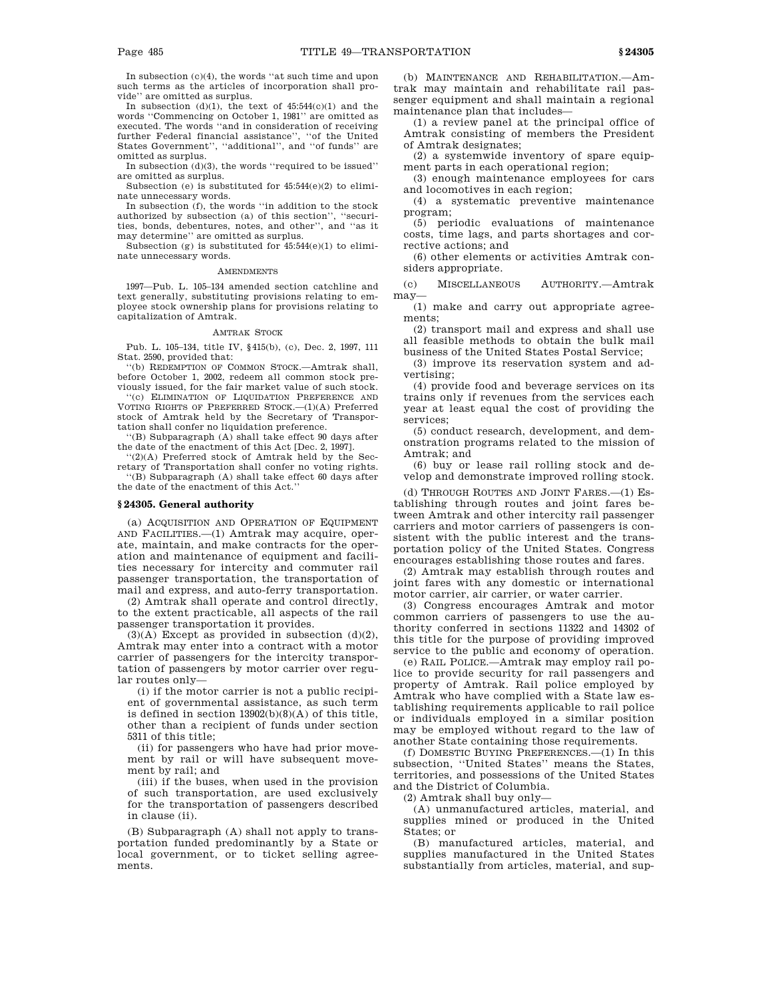In subsection (c)(4), the words ''at such time and upon such terms as the articles of incorporation shall provide'' are omitted as surplus.

In subsection  $(d)(1)$ , the text of  $45:544(c)(1)$  and the words ''Commencing on October 1, 1981'' are omitted as executed. The words ''and in consideration of receiving further Federal financial assistance'', ''of the United States Government'', ''additional'', and ''of funds'' are omitted as surplus.

In subsection (d)(3), the words ''required to be issued'' are omitted as surplus.

Subsection (e) is substituted for 45:544(e)(2) to eliminate unnecessary words.

In subsection (f), the words ''in addition to the stock authorized by subsection (a) of this section'', ''securities, bonds, debentures, notes, and other'', and ''as it may determine'' are omitted as surplus.

Subsection (g) is substituted for  $45:544(e)(1)$  to eliminate unnecessary words.

#### **AMENDMENTS**

1997—Pub. L. 105–134 amended section catchline and text generally, substituting provisions relating to employee stock ownership plans for provisions relating to capitalization of Amtrak.

## AMTRAK STOCK

Pub. L. 105–134, title IV, §415(b), (c), Dec. 2, 1997, 111 Stat. 2590, provided that:

''(b) REDEMPTION OF COMMON STOCK.—Amtrak shall, before October 1, 2002, redeem all common stock previously issued, for the fair market value of such stock.

''(c) ELIMINATION OF LIQUIDATION PREFERENCE AND VOTING RIGHTS OF PREFERRED STOCK.—(1)(A) Preferred stock of Amtrak held by the Secretary of Transportation shall confer no liquidation preference.

''(B) Subparagraph (A) shall take effect 90 days after the date of the enactment of this Act [Dec. 2, 1997].

'(2)(A) Preferred stock of Amtrak held by the Secretary of Transportation shall confer no voting rights. ''(B) Subparagraph (A) shall take effect 60 days after the date of the enactment of this Act.''

# **§ 24305. General authority**

(a) ACQUISITION AND OPERATION OF EQUIPMENT AND FACILITIES.—(1) Amtrak may acquire, operate, maintain, and make contracts for the operation and maintenance of equipment and facilities necessary for intercity and commuter rail passenger transportation, the transportation of mail and express, and auto-ferry transportation.

(2) Amtrak shall operate and control directly, to the extent practicable, all aspects of the rail passenger transportation it provides.

 $(3)(A)$  Except as provided in subsection  $(d)(2)$ , Amtrak may enter into a contract with a motor carrier of passengers for the intercity transportation of passengers by motor carrier over regular routes only—

(i) if the motor carrier is not a public recipient of governmental assistance, as such term is defined in section  $13902(b)(8)(A)$  of this title, other than a recipient of funds under section 5311 of this title;

(ii) for passengers who have had prior movement by rail or will have subsequent movement by rail; and

(iii) if the buses, when used in the provision of such transportation, are used exclusively for the transportation of passengers described in clause (ii).

(B) Subparagraph (A) shall not apply to transportation funded predominantly by a State or local government, or to ticket selling agreements.

(b) MAINTENANCE AND REHABILITATION.—Amtrak may maintain and rehabilitate rail passenger equipment and shall maintain a regional maintenance plan that includes—

(1) a review panel at the principal office of Amtrak consisting of members the President of Amtrak designates;

(2) a systemwide inventory of spare equipment parts in each operational region;

(3) enough maintenance employees for cars and locomotives in each region;

(4) a systematic preventive maintenance program;

(5) periodic evaluations of maintenance costs, time lags, and parts shortages and corrective actions; and

(6) other elements or activities Amtrak considers appropriate.

(c) MISCELLANEOUS AUTHORITY.—Amtrak may—

(1) make and carry out appropriate agreements;

(2) transport mail and express and shall use all feasible methods to obtain the bulk mail business of the United States Postal Service;

(3) improve its reservation system and advertising;

(4) provide food and beverage services on its trains only if revenues from the services each year at least equal the cost of providing the services;

(5) conduct research, development, and demonstration programs related to the mission of Amtrak; and

(6) buy or lease rail rolling stock and develop and demonstrate improved rolling stock.

(d) THROUGH ROUTES AND JOINT FARES.—(1) Establishing through routes and joint fares between Amtrak and other intercity rail passenger carriers and motor carriers of passengers is consistent with the public interest and the transportation policy of the United States. Congress encourages establishing those routes and fares.

(2) Amtrak may establish through routes and joint fares with any domestic or international motor carrier, air carrier, or water carrier.

(3) Congress encourages Amtrak and motor common carriers of passengers to use the authority conferred in sections 11322 and 14302 of this title for the purpose of providing improved service to the public and economy of operation.

(e) RAIL POLICE.—Amtrak may employ rail police to provide security for rail passengers and property of Amtrak. Rail police employed by Amtrak who have complied with a State law establishing requirements applicable to rail police or individuals employed in a similar position may be employed without regard to the law of another State containing those requirements.

(f) DOMESTIC BUYING PREFERENCES.—(1) In this subsection, ''United States'' means the States, territories, and possessions of the United States and the District of Columbia.

(2) Amtrak shall buy only—

(A) unmanufactured articles, material, and supplies mined or produced in the United States; or

(B) manufactured articles, material, and supplies manufactured in the United States substantially from articles, material, and sup-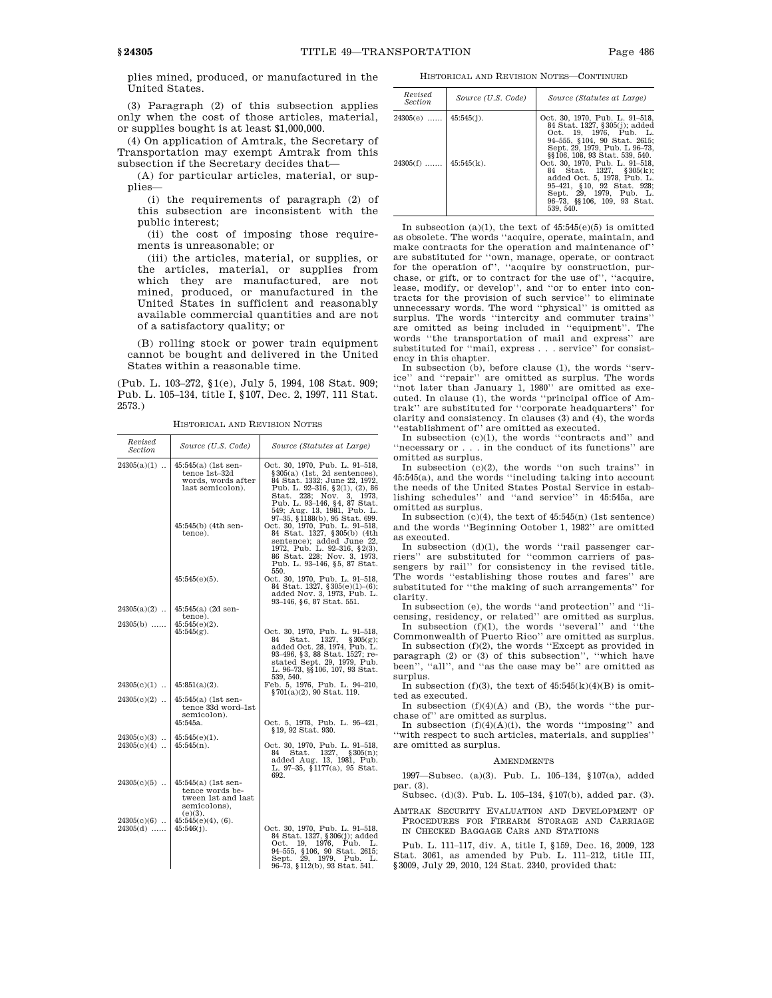plies mined, produced, or manufactured in the United States.

(3) Paragraph (2) of this subsection applies only when the cost of those articles, material, or supplies bought is at least \$1,000,000.

(4) On application of Amtrak, the Secretary of Transportation may exempt Amtrak from this subsection if the Secretary decides that—

(A) for particular articles, material, or supplies—

(i) the requirements of paragraph (2) of this subsection are inconsistent with the public interest;

(ii) the cost of imposing those requirements is unreasonable; or

(iii) the articles, material, or supplies, or the articles, material, or supplies from which they are manufactured, are not mined, produced, or manufactured in the United States in sufficient and reasonably available commercial quantities and are not of a satisfactory quality; or

(B) rolling stock or power train equipment cannot be bought and delivered in the United States within a reasonable time.

(Pub. L. 103–272, §1(e), July 5, 1994, 108 Stat. 909; Pub. L. 105–134, title I, §107, Dec. 2, 1997, 111 Stat. 2573.)

HISTORICAL AND REVISION NOTES

| Revised<br>Section          | Source (U.S. Code)                                                                                                 | Source (Statutes at Large)                                                                                                                                                                                                                                                                                                                                                                                                                                    |
|-----------------------------|--------------------------------------------------------------------------------------------------------------------|---------------------------------------------------------------------------------------------------------------------------------------------------------------------------------------------------------------------------------------------------------------------------------------------------------------------------------------------------------------------------------------------------------------------------------------------------------------|
| $24305(a)(1)$               | $45:545(a)$ (1st sen-<br>tence 1st-32d<br>words, words after<br>last semicolon).<br>45:545(b) (4th sen-<br>tence). | Oct. 30, 1970, Pub. L. 91-518,<br>$§305(a)$ (1st, 2d sentences),<br>84 Stat. 1332; June 22, 1972,<br>Pub. L. 92-316, §2(1), (2), 86<br>Stat. 228; Nov. 3, 1973,<br>Pub. L. 93-146, §4, 87 Stat.<br>549; Aug. 13, 1981, Pub. L.<br>97-35, §1188(b), 95 Stat. 699.<br>Oct. 30, 1970, Pub. L. 91-518,<br>84 Stat. 1327, §305(b) (4th<br>sentence); added June 22.<br>1972, Pub. L. 92-316, §2(3),<br>86 Stat. 228; Nov. 3, 1973,<br>Pub. L. 93–146, §5, 87 Stat. |
|                             | $45:545(e)(5)$ .                                                                                                   | 550.<br>Oct. 30, 1970, Pub. L. 91-518,<br>84 Stat. 1327, §305(e)(1)-(6);<br>added Nov. 3, 1973, Pub. L.<br>93-146, §6, 87 Stat. 551.                                                                                                                                                                                                                                                                                                                          |
| $24305(a)(2)$               | $45:545(a)$ (2d sen-<br>tence).                                                                                    |                                                                                                                                                                                                                                                                                                                                                                                                                                                               |
| $24305(b)$                  | $45:545(e)(2)$ .<br>$45:545(g)$ .                                                                                  | Oct. 30, 1970, Pub. L. 91-518,<br>Stat. 1327, $§305(g);$<br>84<br>added Oct. 28, 1974, Pub. L.<br>93-496, §3, 88 Stat. 1527; re-<br>stated Sept. 29, 1979, Pub.<br>L. 96-73, §§106, 107, 93 Stat.                                                                                                                                                                                                                                                             |
| $24305(c)(1)$               | $45:851(a)(2)$ .                                                                                                   | 539, 540.<br>Feb. 5, 1976, Pub. L. 94-210,<br>§701(a)(2), 90 Stat, 119.                                                                                                                                                                                                                                                                                                                                                                                       |
| $24305(c)(2)$               | $45:545(a)$ (1st sen-<br>tence 33d word-1st<br>semicolon).<br>$45:545a$ .                                          | Oct. 5, 1978, Pub. L. 95-421,                                                                                                                                                                                                                                                                                                                                                                                                                                 |
| $24305(c)(3)$               | $45:545(e)(1)$ .                                                                                                   | §19, 92 Stat. 930.                                                                                                                                                                                                                                                                                                                                                                                                                                            |
| $24305(c)(4)$               | $45:545(n)$ .                                                                                                      | Oct. 30, 1970, Pub. L. 91-518,<br>Stat. 1327,<br>§305(n);<br>84<br>added Aug. 13, 1981, Pub.<br>L. 97-35, §1177(a), 95 Stat.<br>692.                                                                                                                                                                                                                                                                                                                          |
| $24305(c)(5)$               | $45:545(a)$ (1st sen-<br>tence words be-<br>tween 1st and last<br>semicolons),<br>$(e)(3)$ .                       |                                                                                                                                                                                                                                                                                                                                                                                                                                                               |
| $24305(c)(6)$<br>$24305(d)$ | $45:545(e)(4)$ , $(6)$ .<br>$45:546(j)$ .                                                                          | Oct. 30, 1970, Pub. L. 91-518,<br>84 Stat. 1327, §306(j); added<br>Oct. 19, 1976, Pub. L.<br>94–555, §106, 90 Stat. 2615;<br>Sept. 29, 1979, Pub. L.<br>96–73, §112(b), 93 Stat. 541.                                                                                                                                                                                                                                                                         |

HISTORICAL AND REVISION NOTES—CONTINUED

| Revised<br>Section         | Source (U.S. Code) | Source (Statutes at Large)                                                                                                                                                                     |
|----------------------------|--------------------|------------------------------------------------------------------------------------------------------------------------------------------------------------------------------------------------|
| $24305(e)$   $45:545(j)$ . |                    | Oct. 30, 1970, Pub. L. 91–518,<br>84 Stat. 1327, §305(j); added<br>Oct. 19, 1976, Pub. L.<br>94–555, §104, 90 Stat. 2615;<br>Sept. 29, 1979. Pub. L 96-73.<br>§§106, 108, 93 Stat. 539, 540.   |
| $24305(f)$   $45:545(k)$ . |                    | Oct. 30, 1970, Pub. L. 91-518,<br>84 Stat. 1327. § 305(k):<br>added Oct. 5, 1978. Pub. L.<br>95-421, §10, 92 Stat. 928;<br>Sept. 29, 1979, Pub. L.<br>96-73, §§106, 109, 93 Stat.<br>539, 540. |

In subsection (a)(1), the text of  $45:545(e)(5)$  is omitted as obsolete. The words ''acquire, operate, maintain, and make contracts for the operation and maintenance of'' are substituted for ''own, manage, operate, or contract for the operation of'', ''acquire by construction, purchase, or gift, or to contract for the use of'', ''acquire, lease, modify, or develop'', and ''or to enter into contracts for the provision of such service'' to eliminate unnecessary words. The word ''physical'' is omitted as surplus. The words ''intercity and commuter trains'' are omitted as being included in ''equipment''. The words ''the transportation of mail and express'' are substituted for ''mail, express . . . service'' for consistency in this chapter.

In subsection (b), before clause (1), the words ''service'' and ''repair'' are omitted as surplus. The words ''not later than January 1, 1980'' are omitted as executed. In clause (1), the words ''principal office of Amtrak'' are substituted for ''corporate headquarters'' for clarity and consistency. In clauses (3) and (4), the words ''establishment of'' are omitted as executed.

In subsection (c)(1), the words ''contracts and'' and <code>"necessary</code> or  $\ldots$  . in the conduct of its functions'' are omitted as surplus.

In subsection (c)(2), the words ''on such trains'' in 45:545(a), and the words ''including taking into account the needs of the United States Postal Service in establishing schedules'' and ''and service'' in 45:545a, are omitted as surplus.

In subsection (c)(4), the text of 45:545(n) (1st sentence) and the words ''Beginning October 1, 1982'' are omitted as executed.

In subsection (d)(1), the words ''rail passenger carriers'' are substituted for ''common carriers of passengers by rail'' for consistency in the revised title. The words ''establishing those routes and fares'' are substituted for ''the making of such arrangements'' for clarity.

In subsection (e), the words ''and protection'' and ''licensing, residency, or related'' are omitted as surplus. In subsection (f)(1), the words ''several'' and ''the

Commonwealth of Puerto Rico'' are omitted as surplus. In subsection  $(f)(2)$ , the words "Except as provided in

paragraph (2) or (3) of this subsection'', ''which have been'', ''all'', and ''as the case may be'' are omitted as surplus.

In subsection (f)(3), the text of  $45:545(k)(4)(B)$  is omitted as executed.

In subsection  $(f)(4)(A)$  and  $(B)$ , the words "the purchase of'' are omitted as surplus.

In subsection  $(f)(4)(A)(i)$ , the words "imposing" and ''with respect to such articles, materials, and supplies'' are omitted as surplus.

## AMENDMENTS

1997—Subsec. (a)(3). Pub. L. 105–134, §107(a), added par. (3).

Subsec. (d)(3). Pub. L. 105–134, §107(b), added par. (3).

AMTRAK SECURITY EVALUATION AND DEVELOPMENT OF PROCEDURES FOR FIREARM STORAGE AND CARRIAGE IN CHECKED BAGGAGE CARS AND STATIONS

Pub. L. 111–117, div. A, title I, §159, Dec. 16, 2009, 123 Stat. 3061, as amended by Pub. L. 111–212, title III, §3009, July 29, 2010, 124 Stat. 2340, provided that: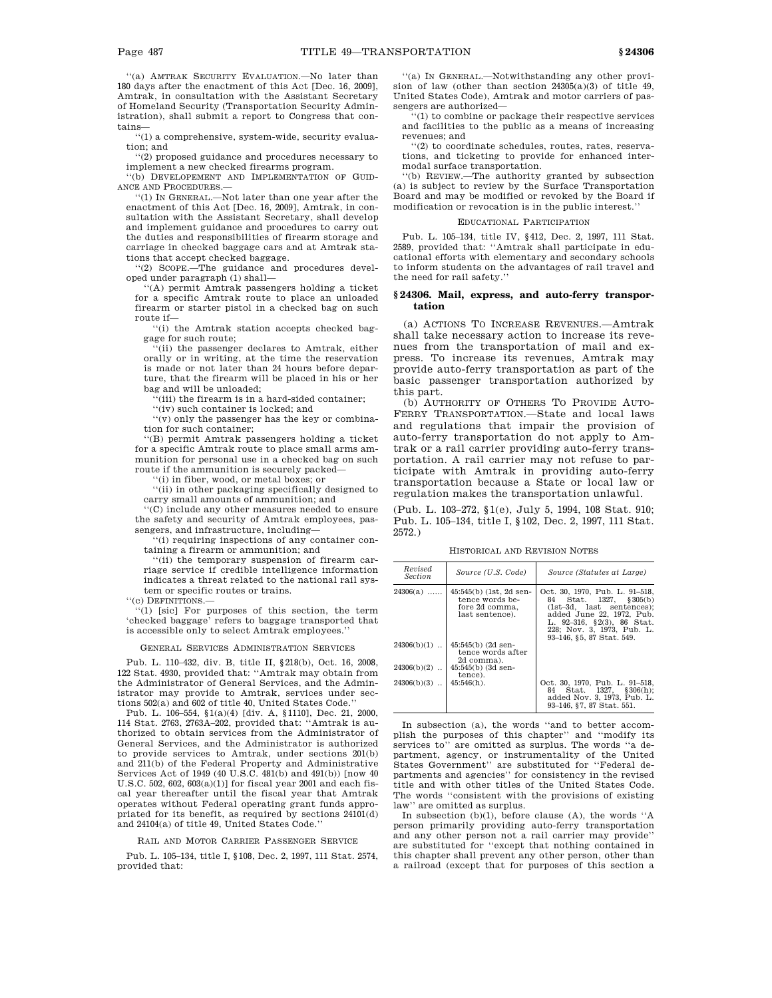''(a) AMTRAK SECURITY EVALUATION.—No later than 180 days after the enactment of this Act [Dec. 16, 2009], Amtrak, in consultation with the Assistant Secretary of Homeland Security (Transportation Security Administration), shall submit a report to Congress that contains—

''(1) a comprehensive, system-wide, security evaluation; and

''(2) proposed guidance and procedures necessary to implement a new checked firearms program.

''(b) DEVELOPEMENT AND IMPLEMENTATION OF GUID-ANCE AND PROCEDURES.—

''(1) IN GENERAL.—Not later than one year after the enactment of this Act [Dec. 16, 2009], Amtrak, in consultation with the Assistant Secretary, shall develop and implement guidance and procedures to carry out the duties and responsibilities of firearm storage and carriage in checked baggage cars and at Amtrak stations that accept checked baggage.

''(2) SCOPE.—The guidance and procedures developed under paragraph (1) shall—

''(A) permit Amtrak passengers holding a ticket for a specific Amtrak route to place an unloaded firearm or starter pistol in a checked bag on such route if—

''(i) the Amtrak station accepts checked baggage for such route;

''(ii) the passenger declares to Amtrak, either orally or in writing, at the time the reservation is made or not later than 24 hours before departure, that the firearm will be placed in his or her bag and will be unloaded;

(iii) the firearm is in a hard-sided container;

''(iv) such container is locked; and

''(v) only the passenger has the key or combination for such container;

''(B) permit Amtrak passengers holding a ticket for a specific Amtrak route to place small arms ammunition for personal use in a checked bag on such route if the ammunition is securely packed—

'(i) in fiber, wood, or metal boxes; or

''(ii) in other packaging specifically designed to carry small amounts of ammunition; and

''(C) include any other measures needed to ensure the safety and security of Amtrak employees, passengers, and infrastructure, including—

'(i) requiring inspections of any container containing a firearm or ammunition; and

''(ii) the temporary suspension of firearm carriage service if credible intelligence information indicates a threat related to the national rail system or specific routes or trains.

''(c) DEFINITIONS.—

'(1) [sic] For purposes of this section, the term 'checked baggage' refers to baggage transported that is accessible only to select Amtrak employees.''

GENERAL SERVICES ADMINISTRATION SERVICES

Pub. L. 110–432, div. B, title II, §218(b), Oct. 16, 2008, 122 Stat. 4930, provided that: ''Amtrak may obtain from the Administrator of General Services, and the Administrator may provide to Amtrak, services under sections 502(a) and 602 of title 40, United States Code.''

Pub. L. 106–554, §1(a)(4) [div. A, §1110], Dec. 21, 2000, 114 Stat. 2763, 2763A–202, provided that: ''Amtrak is authorized to obtain services from the Administrator of General Services, and the Administrator is authorized to provide services to Amtrak, under sections 201(b) and 211(b) of the Federal Property and Administrative Services Act of 1949 (40 U.S.C. 481(b) and 491(b)) [now 40 U.S.C. 502, 602, 603(a)(1)] for fiscal year 2001 and each fiscal year thereafter until the fiscal year that Amtrak operates without Federal operating grant funds appropriated for its benefit, as required by sections 24101(d) and 24104(a) of title 49, United States Code.''

#### RAIL AND MOTOR CARRIER PASSENGER SERVICE

Pub. L. 105–134, title I, §108, Dec. 2, 1997, 111 Stat. 2574, provided that:

''(a) IN GENERAL.—Notwithstanding any other provision of law (other than section 24305(a)(3) of title 49, United States Code), Amtrak and motor carriers of passengers are authorized—

''(1) to combine or package their respective services and facilities to the public as a means of increasing revenues; and

'(2) to coordinate schedules, routes, rates, reservations, and ticketing to provide for enhanced intermodal surface transportation.

''(b) REVIEW.—The authority granted by subsection (a) is subject to review by the Surface Transportation Board and may be modified or revoked by the Board if modification or revocation is in the public interest.''

## EDUCATIONAL PARTICIPATION

Pub. L. 105–134, title IV, §412, Dec. 2, 1997, 111 Stat. 2589, provided that: ''Amtrak shall participate in educational efforts with elementary and secondary schools to inform students on the advantages of rail travel and the need for rail safety.''

## **§ 24306. Mail, express, and auto-ferry transportation**

(a) ACTIONS TO INCREASE REVENUES.—Amtrak shall take necessary action to increase its revenues from the transportation of mail and express. To increase its revenues, Amtrak may provide auto-ferry transportation as part of the basic passenger transportation authorized by this part.

(b) AUTHORITY OF OTHERS TO PROVIDE AUTO-FERRY TRANSPORTATION.—State and local laws and regulations that impair the provision of auto-ferry transportation do not apply to Amtrak or a rail carrier providing auto-ferry transportation. A rail carrier may not refuse to participate with Amtrak in providing auto-ferry transportation because a State or local law or regulation makes the transportation unlawful.

(Pub. L. 103–272, §1(e), July 5, 1994, 108 Stat. 910; Pub. L. 105–134, title I, §102, Dec. 2, 1997, 111 Stat. 2572.)

HISTORICAL AND REVISION NOTES

| Revised<br><b>Section</b> | Source (U.S. Code)                                                                | Source (Statutes at Large)                                                                                                                                                                                           |
|---------------------------|-----------------------------------------------------------------------------------|----------------------------------------------------------------------------------------------------------------------------------------------------------------------------------------------------------------------|
| $24306(a)$                | $45:545(b)$ (1st, 2d sen-<br>tence words be-<br>fore 2d comma.<br>last sentence). | Oct. 30, 1970, Pub. L. 91–518,<br>Stat. 1327.<br>84<br>\$305(b)<br>$(1st-3d.$ last sentences):<br>added June 22, 1972. Pub.<br>L. 92-316, §2(3), 86 Stat.<br>228: Nov. 3. 1973. Pub. L.<br>93-146, §5, 87 Stat. 549. |
| $24306(b)(1)$             | $45:545(b)$ (2d sen-<br>tence words after<br>2d comma).                           |                                                                                                                                                                                                                      |
| $24306(b)(2)$             | $45:545(b)$ (3d sen-<br>tence).                                                   |                                                                                                                                                                                                                      |
| $24306(b)(3)$             | $45:546(h)$ .                                                                     | Oct. 30, 1970, Pub. L. 91-518,<br>84 Stat. 1327, §306(h);<br>added Nov. 3, 1973. Pub. L.<br>93-146, §7, 87 Stat, 551.                                                                                                |

In subsection (a), the words ''and to better accomplish the purposes of this chapter'' and ''modify its services to'' are omitted as surplus. The words ''a department, agency, or instrumentality of the United States Government'' are substituted for ''Federal departments and agencies'' for consistency in the revised title and with other titles of the United States Code. The words ''consistent with the provisions of existing law'' are omitted as surplus.

In subsection (b)(1), before clause (A), the words ''A person primarily providing auto-ferry transportation and any other person not a rail carrier may provide'' are substituted for ''except that nothing contained in this chapter shall prevent any other person, other than a railroad (except that for purposes of this section a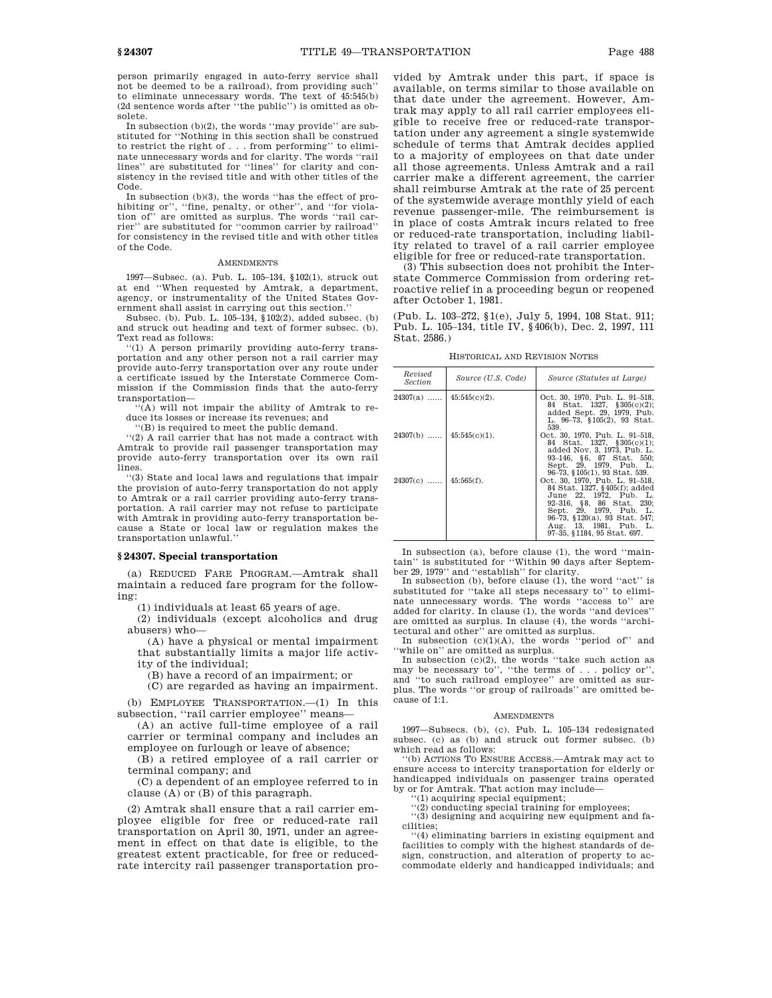person primarily engaged in auto-ferry service shall not be deemed to be a railroad), from providing such'' to eliminate unnecessary words. The text of 45:545(b) (2d sentence words after ''the public'') is omitted as obsolete.

In subsection (b)(2), the words ''may provide'' are substituted for ''Nothing in this section shall be construed to restrict the right of . . . from performing'' to eliminate unnecessary words and for clarity. The words ''rail lines'' are substituted for ''lines'' for clarity and consistency in the revised title and with other titles of the Code.

In subsection (b)(3), the words ''has the effect of prohibiting or", "fine, penalty, or other", and "for violation of'' are omitted as surplus. The words ''rail carrier'' are substituted for ''common carrier by railroad'' for consistency in the revised title and with other titles of the Code.

#### **AMENDMENTS**

1997—Subsec. (a). Pub. L. 105–134, §102(1), struck out at end ''When requested by Amtrak, a department, agency, or instrumentality of the United States Government shall assist in carrying out this section.''

Subsec. (b). Pub. L. 105–134, §102(2), added subsec. (b) and struck out heading and text of former subsec. (b). Text read as follows:

'(1) A person primarily providing auto-ferry transportation and any other person not a rail carrier may provide auto-ferry transportation over any route under a certificate issued by the Interstate Commerce Commission if the Commission finds that the auto-ferry transportation—

''(A) will not impair the ability of Amtrak to reduce its losses or increase its revenues; and

''(B) is required to meet the public demand.

''(2) A rail carrier that has not made a contract with Amtrak to provide rail passenger transportation may provide auto-ferry transportation over its own rail lines.

''(3) State and local laws and regulations that impair the provision of auto-ferry transportation do not apply to Amtrak or a rail carrier providing auto-ferry transportation. A rail carrier may not refuse to participate with Amtrak in providing auto-ferry transportation because a State or local law or regulation makes the transportation unlawful.''

#### **§ 24307. Special transportation**

(a) REDUCED FARE PROGRAM.—Amtrak shall maintain a reduced fare program for the following:

(1) individuals at least 65 years of age.

(2) individuals (except alcoholics and drug abusers) who—

(A) have a physical or mental impairment that substantially limits a major life activity of the individual;

(B) have a record of an impairment; or

(C) are regarded as having an impairment.

(b) EMPLOYEE TRANSPORTATION.—(1) In this subsection, ''rail carrier employee'' means—

(A) an active full-time employee of a rail carrier or terminal company and includes an employee on furlough or leave of absence;

(B) a retired employee of a rail carrier or terminal company; and

(C) a dependent of an employee referred to in clause (A) or (B) of this paragraph.

(2) Amtrak shall ensure that a rail carrier employee eligible for free or reduced-rate rail transportation on April 30, 1971, under an agreement in effect on that date is eligible, to the greatest extent practicable, for free or reducedrate intercity rail passenger transportation provided by Amtrak under this part, if space is available, on terms similar to those available on that date under the agreement. However, Amtrak may apply to all rail carrier employees eligible to receive free or reduced-rate transportation under any agreement a single systemwide schedule of terms that Amtrak decides applied to a majority of employees on that date under all those agreements. Unless Amtrak and a rail carrier make a different agreement, the carrier shall reimburse Amtrak at the rate of 25 percent of the systemwide average monthly yield of each revenue passenger-mile. The reimbursement is in place of costs Amtrak incurs related to free or reduced-rate transportation, including liability related to travel of a rail carrier employee eligible for free or reduced-rate transportation.

(3) This subsection does not prohibit the Interstate Commerce Commission from ordering retroactive relief in a proceeding begun or reopened after October 1, 1981.

(Pub. L. 103–272, §1(e), July 5, 1994, 108 Stat. 911; Pub. L. 105–134, title IV, §406(b), Dec. 2, 1997, 111 Stat. 2586.)

HISTORICAL AND REVISION NOTES

| Revised<br><i>Section</i>  | Source (U.S. Code) | Source (Statutes at Large)                                                                                                                                                                                                                  |
|----------------------------|--------------------|---------------------------------------------------------------------------------------------------------------------------------------------------------------------------------------------------------------------------------------------|
| $24307(a)$   45:545(c)(2). |                    | Oct. 30, 1970, Pub. L. 91–518,<br>84 Stat. 1327, §305(c)(2);<br>added Sept. 29, 1979, Pub.<br>L. 96-73. §105(2). 93 Stat.<br>539.                                                                                                           |
| $24307(b)$   45:545(e)(1). |                    | Oct. 30, 1970, Pub. L. 91–518,<br>84 Stat. 1327, §305(c)(1);<br>added Nov. 3, 1973, Pub. L.<br>93-146, §6, 87 Stat. 550;<br>Sept. 29, 1979, Pub. L.<br>96–73, §105(1), 93 Stat. 539.                                                        |
| $24307(c)$   45:565(f).    |                    | Oct. 30, 1970, Pub. L. 91-518,<br>84 Stat. 1327, §405(f); added<br>June 22, 1972, Pub. L.<br>92-316, §8, 86 Stat. 230;<br>Sept. 29. 1979. Pub. L.<br>96-73, §120(a), 93 Stat. 547;<br>Aug. 13, 1981, Pub. L.<br>97-35, §1184, 95 Stat. 697. |

In subsection (a), before clause (1), the word ''maintain'' is substituted for ''Within 90 days after September 29, 1979'' and ''establish'' for clarity.

In subsection (b), before clause (1), the word ''act'' is substituted for ''take all steps necessary to'' to eliminate unnecessary words. The words ''access to'' are added for clarity. In clause (1), the words ''and devices'' are omitted as surplus. In clause (4), the words ''architectural and other'' are omitted as surplus.

In subsection  $(c)(1)(A)$ , the words "period of" and

''while on'' are omitted as surplus. In subsection (c)(2), the words ''take such action as may be necessary to'', ''the terms of . . . policy or'', and ''to such railroad employee'' are omitted as surplus. The words ''or group of railroads'' are omitted because of 1:1.

#### **AMENDMENTS**

1997—Subsecs. (b), (c). Pub. L. 105–134 redesignated subsec. (c) as (b) and struck out former subsec. (b) which read as follows:

''(b) ACTIONS TO ENSURE ACCESS.—Amtrak may act to ensure access to intercity transportation for elderly or handicapped individuals on passenger trains operated by or for Amtrak. That action may include—

'(1) acquiring special equipment;

''(2) conducting special training for employees; ''(3) designing and acquiring new equipment and facilities;

''(4) eliminating barriers in existing equipment and facilities to comply with the highest standards of design, construction, and alteration of property to accommodate elderly and handicapped individuals; and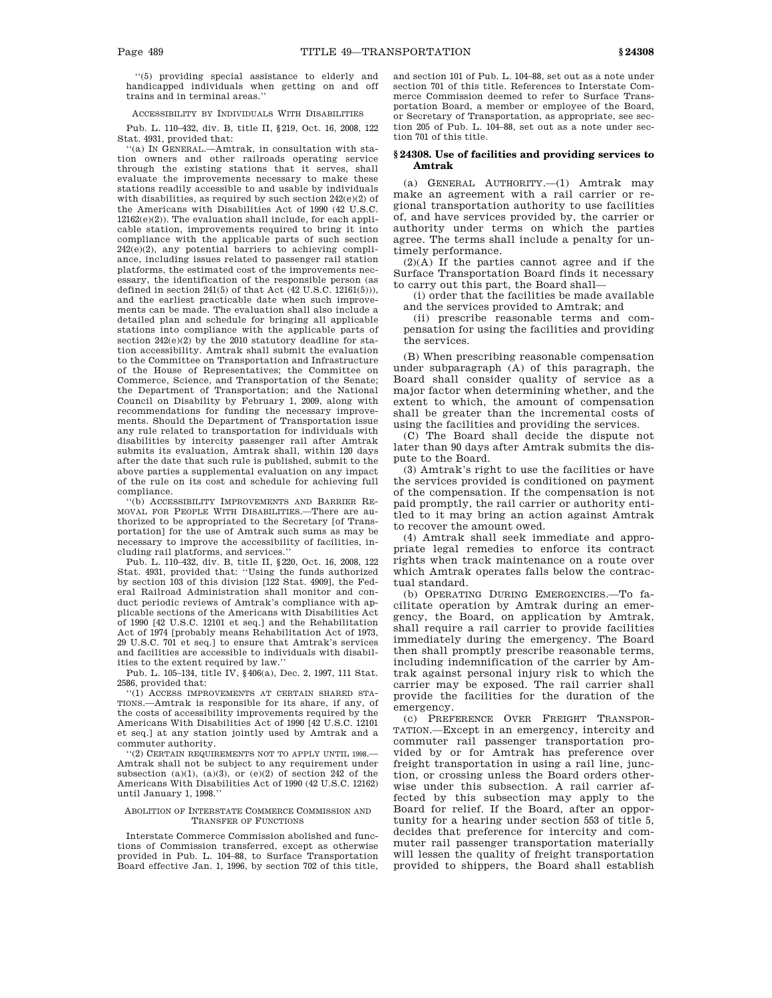''(5) providing special assistance to elderly and handicapped individuals when getting on and off trains and in terminal areas.''

ACCESSIBILITY BY INDIVIDUALS WITH DISABILITIES

Pub. L. 110–432, div. B, title II, §219, Oct. 16, 2008, 122 Stat. 4931, provided that:

''(a) IN GENERAL.—Amtrak, in consultation with station owners and other railroads operating service through the existing stations that it serves, shall evaluate the improvements necessary to make these stations readily accessible to and usable by individuals with disabilities, as required by such section 242(e)(2) of the Americans with Disabilities Act of 1990 (42 U.S.C. 12162(e)(2)). The evaluation shall include, for each applicable station, improvements required to bring it into compliance with the applicable parts of such section  $242(e)(2)$ , any potential barriers to achieving compliance, including issues related to passenger rail station platforms, the estimated cost of the improvements necessary, the identification of the responsible person (as defined in section 241(5) of that Act  $(42 \text{ U.S.C. } 12161(5))),$ and the earliest practicable date when such improvements can be made. The evaluation shall also include a detailed plan and schedule for bringing all applicable stations into compliance with the applicable parts of section  $242(e)(2)$  by the 2010 statutory deadline for station accessibility. Amtrak shall submit the evaluation to the Committee on Transportation and Infrastructure of the House of Representatives; the Committee on Commerce, Science, and Transportation of the Senate; the Department of Transportation; and the National Council on Disability by February 1, 2009, along with recommendations for funding the necessary improvements. Should the Department of Transportation issue any rule related to transportation for individuals with disabilities by intercity passenger rail after Amtrak submits its evaluation, Amtrak shall, within 120 days after the date that such rule is published, submit to the above parties a supplemental evaluation on any impact of the rule on its cost and schedule for achieving full compliance.

''(b) ACCESSIBILITY IMPROVEMENTS AND BARRIER RE-MOVAL FOR PEOPLE WITH DISABILITIES.—There are authorized to be appropriated to the Secretary [of Transportation] for the use of Amtrak such sums as may be necessary to improve the accessibility of facilities, including rail platforms, and services.''

Pub. L. 110–432, div. B, title II, §220, Oct. 16, 2008, 122 Stat. 4931, provided that: ''Using the funds authorized by section 103 of this division [122 Stat. 4909], the Federal Railroad Administration shall monitor and conduct periodic reviews of Amtrak's compliance with applicable sections of the Americans with Disabilities Act of 1990 [42 U.S.C. 12101 et seq.] and the Rehabilitation Act of 1974 [probably means Rehabilitation Act of 1973, 29 U.S.C. 701 et seq.] to ensure that Amtrak's services and facilities are accessible to individuals with disabilities to the extent required by law.''

Pub. L. 105–134, title IV, §406(a), Dec. 2, 1997, 111 Stat. 2586, provided that:

''(1) ACCESS IMPROVEMENTS AT CERTAIN SHARED STA-TIONS.—Amtrak is responsible for its share, if any, of the costs of accessibility improvements required by the Americans With Disabilities Act of 1990 [42 U.S.C. 12101 et seq.] at any station jointly used by Amtrak and a commuter authority.

''(2) CERTAIN REQUIREMENTS NOT TO APPLY UNTIL 1998.— Amtrak shall not be subject to any requirement under subsection  $(a)(1)$ ,  $(a)(3)$ , or  $(e)(2)$  of section 242 of the Americans With Disabilities Act of 1990 (42 U.S.C. 12162) until January 1, 1998.''

#### ABOLITION OF INTERSTATE COMMERCE COMMISSION AND TRANSFER OF FUNCTIONS

Interstate Commerce Commission abolished and functions of Commission transferred, except as otherwise provided in Pub. L. 104–88, to Surface Transportation Board effective Jan. 1, 1996, by section 702 of this title, and section 101 of Pub. L. 104–88, set out as a note under section 701 of this title. References to Interstate Commerce Commission deemed to refer to Surface Transportation Board, a member or employee of the Board, or Secretary of Transportation, as appropriate, see section 205 of Pub. L. 104–88, set out as a note under section 701 of this title.

## **§ 24308. Use of facilities and providing services to Amtrak**

(a) GENERAL AUTHORITY.—(1) Amtrak may make an agreement with a rail carrier or regional transportation authority to use facilities of, and have services provided by, the carrier or authority under terms on which the parties agree. The terms shall include a penalty for untimely performance.

(2)(A) If the parties cannot agree and if the Surface Transportation Board finds it necessary to carry out this part, the Board shall—

(i) order that the facilities be made available and the services provided to Amtrak; and

(ii) prescribe reasonable terms and compensation for using the facilities and providing the services.

(B) When prescribing reasonable compensation under subparagraph (A) of this paragraph, the Board shall consider quality of service as a major factor when determining whether, and the extent to which, the amount of compensation shall be greater than the incremental costs of using the facilities and providing the services.

(C) The Board shall decide the dispute not later than 90 days after Amtrak submits the dispute to the Board.

(3) Amtrak's right to use the facilities or have the services provided is conditioned on payment of the compensation. If the compensation is not paid promptly, the rail carrier or authority entitled to it may bring an action against Amtrak to recover the amount owed.

(4) Amtrak shall seek immediate and appropriate legal remedies to enforce its contract rights when track maintenance on a route over which Amtrak operates falls below the contractual standard.

(b) OPERATING DURING EMERGENCIES.—To facilitate operation by Amtrak during an emergency, the Board, on application by Amtrak, shall require a rail carrier to provide facilities immediately during the emergency. The Board then shall promptly prescribe reasonable terms, including indemnification of the carrier by Amtrak against personal injury risk to which the carrier may be exposed. The rail carrier shall provide the facilities for the duration of the emergency.

(c) PREFERENCE OVER FREIGHT TRANSPOR-TATION.—Except in an emergency, intercity and commuter rail passenger transportation provided by or for Amtrak has preference over freight transportation in using a rail line, junction, or crossing unless the Board orders otherwise under this subsection. A rail carrier affected by this subsection may apply to the Board for relief. If the Board, after an opportunity for a hearing under section 553 of title 5, decides that preference for intercity and commuter rail passenger transportation materially will lessen the quality of freight transportation provided to shippers, the Board shall establish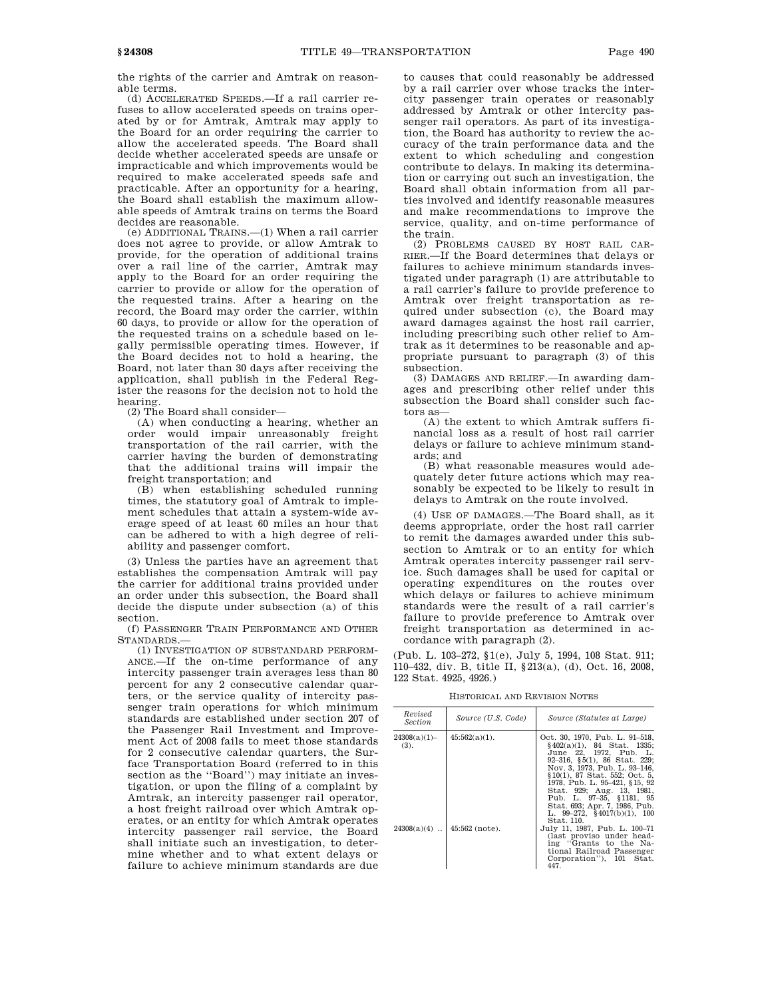the rights of the carrier and Amtrak on reasonable terms.

(d) ACCELERATED SPEEDS.—If a rail carrier refuses to allow accelerated speeds on trains operated by or for Amtrak, Amtrak may apply to the Board for an order requiring the carrier to allow the accelerated speeds. The Board shall decide whether accelerated speeds are unsafe or impracticable and which improvements would be required to make accelerated speeds safe and practicable. After an opportunity for a hearing, the Board shall establish the maximum allowable speeds of Amtrak trains on terms the Board decides are reasonable.

(e) ADDITIONAL TRAINS.—(1) When a rail carrier does not agree to provide, or allow Amtrak to provide, for the operation of additional trains over a rail line of the carrier, Amtrak may apply to the Board for an order requiring the carrier to provide or allow for the operation of the requested trains. After a hearing on the record, the Board may order the carrier, within 60 days, to provide or allow for the operation of the requested trains on a schedule based on legally permissible operating times. However, if the Board decides not to hold a hearing, the Board, not later than 30 days after receiving the application, shall publish in the Federal Register the reasons for the decision not to hold the hearing.

(2) The Board shall consider—

(A) when conducting a hearing, whether an order would impair unreasonably freight transportation of the rail carrier, with the carrier having the burden of demonstrating that the additional trains will impair the freight transportation; and

(B) when establishing scheduled running times, the statutory goal of Amtrak to implement schedules that attain a system-wide average speed of at least 60 miles an hour that can be adhered to with a high degree of reliability and passenger comfort.

(3) Unless the parties have an agreement that establishes the compensation Amtrak will pay the carrier for additional trains provided under an order under this subsection, the Board shall decide the dispute under subsection (a) of this section.

(f) PASSENGER TRAIN PERFORMANCE AND OTHER STANDARDS.—

(1) INVESTIGATION OF SUBSTANDARD PERFORM-ANCE.—If the on-time performance of any intercity passenger train averages less than 80 percent for any 2 consecutive calendar quarters, or the service quality of intercity passenger train operations for which minimum standards are established under section 207 of the Passenger Rail Investment and Improvement Act of 2008 fails to meet those standards for 2 consecutive calendar quarters, the Surface Transportation Board (referred to in this section as the ''Board'') may initiate an investigation, or upon the filing of a complaint by Amtrak, an intercity passenger rail operator, a host freight railroad over which Amtrak operates, or an entity for which Amtrak operates intercity passenger rail service, the Board shall initiate such an investigation, to determine whether and to what extent delays or failure to achieve minimum standards are due

to causes that could reasonably be addressed by a rail carrier over whose tracks the intercity passenger train operates or reasonably addressed by Amtrak or other intercity passenger rail operators. As part of its investigation, the Board has authority to review the accuracy of the train performance data and the extent to which scheduling and congestion contribute to delays. In making its determination or carrying out such an investigation, the Board shall obtain information from all parties involved and identify reasonable measures and make recommendations to improve the service, quality, and on-time performance of the train.

(2) PROBLEMS CAUSED BY HOST RAIL CAR-RIER.—If the Board determines that delays or failures to achieve minimum standards investigated under paragraph (1) are attributable to a rail carrier's failure to provide preference to Amtrak over freight transportation as required under subsection (c), the Board may award damages against the host rail carrier, including prescribing such other relief to Amtrak as it determines to be reasonable and appropriate pursuant to paragraph (3) of this subsection.

(3) DAMAGES AND RELIEF.—In awarding damages and prescribing other relief under this subsection the Board shall consider such factors as—

(A) the extent to which Amtrak suffers financial loss as a result of host rail carrier delays or failure to achieve minimum standards; and

(B) what reasonable measures would adequately deter future actions which may reasonably be expected to be likely to result in delays to Amtrak on the route involved.

(4) USE OF DAMAGES.—The Board shall, as it deems appropriate, order the host rail carrier to remit the damages awarded under this subsection to Amtrak or to an entity for which Amtrak operates intercity passenger rail service. Such damages shall be used for capital or operating expenditures on the routes over which delays or failures to achieve minimum standards were the result of a rail carrier's failure to provide preference to Amtrak over freight transportation as determined in accordance with paragraph (2).

(Pub. L. 103–272, §1(e), July 5, 1994, 108 Stat. 911; 110–432, div. B, title II, §213(a), (d), Oct. 16, 2008, 122 Stat. 4925, 4926.)

HISTORICAL AND REVISION NOTES

| Revised<br><i>Section</i> | Source (U.S. Code) | Source (Statutes at Large)                                                                                                                                                                                                                                                                                                                                         |
|---------------------------|--------------------|--------------------------------------------------------------------------------------------------------------------------------------------------------------------------------------------------------------------------------------------------------------------------------------------------------------------------------------------------------------------|
| 24308(a)(1)<br>(3).       | $45:562(a)(1)$ .   | Oct. 30, 1970, Pub. L. 91-518,<br>$§402(a)(1), 84$ Stat. 1335;<br>June 22. 1972. Pub. L.<br>$92-316$ , $§5(1)$ , $86$ Stat, 229;<br>Nov. 3, 1973. Pub. L. 93-146.<br>§10(1), 87 Stat. 552: Oct. 5.<br>1978. Pub. L. 95-421, §15, 92<br>Stat. 929; Aug. 13, 1981.<br>Pub. L. 97-35, §1181, 95<br>Stat. 693; Apr. 7, 1986, Pub.<br>L. $99-272$ , $$4017(b)(1)$ , 100 |
| $24308(a)(4)$             | $45:562$ (note).   | Stat. 110.<br>July 11, 1987. Pub. L. 100–71<br>(last proviso under head-<br>ing "Grants to the Na-<br>tional Railroad Passenger<br>Corporation"), 101 Stat.<br>447.                                                                                                                                                                                                |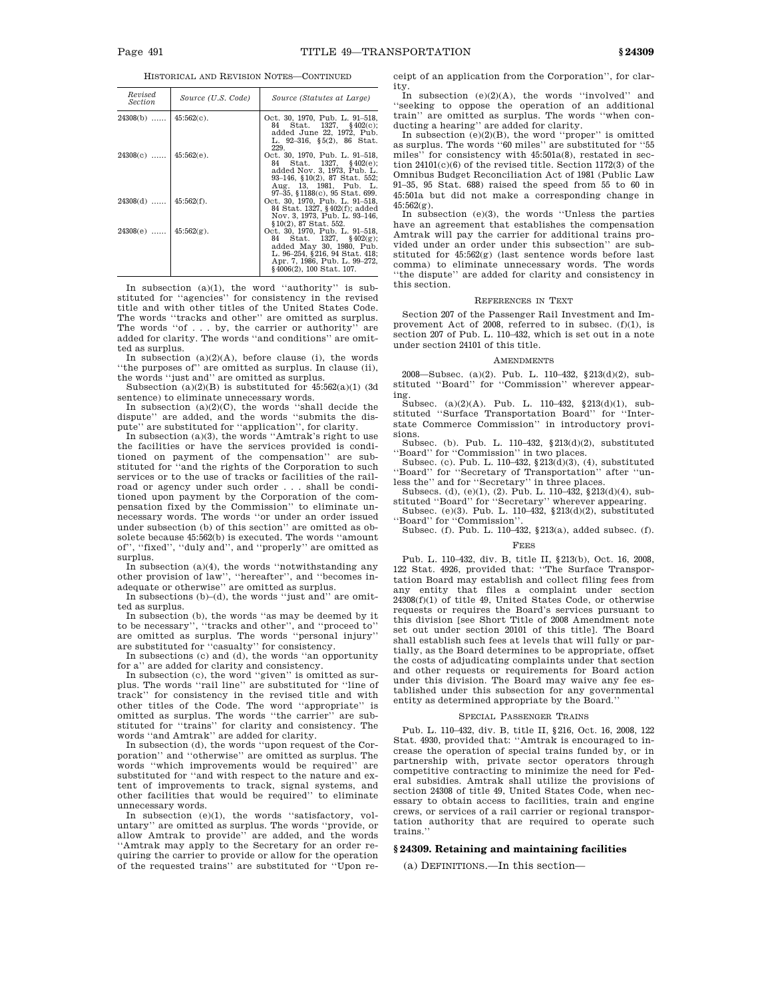HISTORICAL AND REVISION NOTES—CONTINUED

| Revised<br>Section         | Source (U.S. Code) | Source (Statutes at Large)                                                                                                                                                                   |
|----------------------------|--------------------|----------------------------------------------------------------------------------------------------------------------------------------------------------------------------------------------|
| $24308(b)$   45:562(c).    |                    | Oct. 30, 1970, Pub. L. 91–518,<br>84 Stat. 1327, §402(c);<br>added June 22, 1972, Pub.<br>L. 92-316, $\S5(2)$ , 86 Stat.<br>229.                                                             |
| $24308(c)$   45:562(e).    |                    | Oct. 30, 1970, Pub. L. 91-518,<br>84 Stat. 1327, §402(e);<br>added Nov. 3, 1973, Pub. L.<br>$93-146$ , $10(2)$ , $87$ Stat. 552;<br>Aug. 13, 1981, Pub. L.<br>97-35, §1188(c), 95 Stat. 699. |
| $24308(d)$   45:562(f).    |                    | Oct. 30, 1970, Pub. L. 91–518,<br>84 Stat. 1327, §402(f); added<br>Nov. 3, 1973, Pub. L. 93-146,<br>§10(2), 87 Stat. 552.                                                                    |
| $24308(e)$   $45:562(g)$ . |                    | Oct. 30, 1970, Pub. L. 91–518,<br>84 Stat. $1327$ , $132(9)$ ;<br>added May 30, 1980, Pub.<br>L. 96–254, §216, 94 Stat. 418;<br>Apr. 7, 1986, Pub. L. 99–272,<br>$§4006(2), 100$ Stat. 107.  |

In subsection (a)(1), the word ''authority'' is substituted for ''agencies'' for consistency in the revised title and with other titles of the United States Code. The words "tracks and other" are omitted as surplus. The words ''of . . . by, the carrier or authority'' are added for clarity. The words ''and conditions'' are omitted as surplus.

In subsection  $(a)(2)(A)$ , before clause (i), the words ''the purposes of'' are omitted as surplus. In clause (ii), the words ''just and'' are omitted as surplus.

Subsection  $(a)(2)(B)$  is substituted for  $45:562(a)(1)$  (3d sentence) to eliminate unnecessary words.

In subsection  $(a)(2)(C)$ , the words "shall decide the dispute'' are added, and the words ''submits the dispute'' are substituted for ''application'', for clarity.

In subsection  $(a)(3)$ , the words "Amtrak's right to use the facilities or have the services provided is conditioned on payment of the compensation'' are substituted for ''and the rights of the Corporation to such services or to the use of tracks or facilities of the railroad or agency under such order . . . shall be conditioned upon payment by the Corporation of the compensation fixed by the Commission'' to eliminate unnecessary words. The words ''or under an order issued under subsection (b) of this section'' are omitted as obsolete because 45:562(b) is executed. The words ''amount of'', ''fixed'', ''duly and'', and ''properly'' are omitted as surplus.

In subsection (a)(4), the words "notwithstanding any  $% \mathcal{N}$ other provision of law'', ''hereafter'', and ''becomes inadequate or otherwise'' are omitted as surplus.

In subsections (b)–(d), the words ''just and'' are omitted as surplus.

In subsection (b), the words ''as may be deemed by it to be necessary'', ''tracks and other'', and ''proceed to'' are omitted as surplus. The words ''personal injury'' are substituted for ''casualty'' for consistency.

In subsections (c) and (d), the words ''an opportunity for a'' are added for clarity and consistency.

In subsection (c), the word ''given'' is omitted as surplus. The words ''rail line'' are substituted for ''line of track'' for consistency in the revised title and with other titles of the Code. The word ''appropriate'' is omitted as surplus. The words ''the carrier'' are substituted for ''trains'' for clarity and consistency. The words ''and Amtrak'' are added for clarity.

In subsection (d), the words ''upon request of the Corporation'' and ''otherwise'' are omitted as surplus. The words ''which improvements would be required'' are substituted for ''and with respect to the nature and extent of improvements to track, signal systems, and other facilities that would be required'' to eliminate unnecessary words.

In subsection (e)(1), the words ''satisfactory, voluntary'' are omitted as surplus. The words ''provide, or allow Amtrak to provide'' are added, and the words ''Amtrak may apply to the Secretary for an order requiring the carrier to provide or allow for the operation of the requested trains'' are substituted for ''Upon receipt of an application from the Corporation'', for clar-

ity. In subsection (e)(2)(A), the words ''involved'' and ''seeking to oppose the operation of an additional train'' are omitted as surplus. The words ''when conducting a hearing'' are added for clarity. In subsection (e)(2)(B), the word ''proper'' is omitted

as surplus. The words ''60 miles'' are substituted for ''55 miles'' for consistency with 45:501a(8), restated in section 24101(c)(6) of the revised title. Section 1172(3) of the Omnibus Budget Reconciliation Act of 1981 (Public Law 91–35, 95 Stat. 688) raised the speed from 55 to 60 in 45:501a but did not make a corresponding change in  $45:562(g)$ .

In subsection (e)(3), the words ''Unless the parties have an agreement that establishes the compensation Amtrak will pay the carrier for additional trains provided under an order under this subsection'' are substituted for 45:562(g) (last sentence words before last comma) to eliminate unnecessary words. The words ''the dispute'' are added for clarity and consistency in this section.

#### REFERENCES IN TEXT

Section 207 of the Passenger Rail Investment and Improvement Act of 2008, referred to in subsec. (f)(1), is section 207 of Pub. L. 110–432, which is set out in a note under section 24101 of this title.

#### AMENDMENTS

2008—Subsec. (a)(2). Pub. L. 110–432, §213(d)(2), substituted ''Board'' for ''Commission'' wherever appearing.

Subsec. (a)(2)(A). Pub. L. 110–432,  $$213(d)(1)$ , substituted ''Surface Transportation Board'' for ''Interstate Commerce Commission'' in introductory provisions.

Subsec. (b). Pub. L. 110–432,  $\S 213(d)(2)$ , substituted 'Board'' for "Commission" in two places.

Subsec. (c). Pub. L. 110-432,  $§213(\d{d})(3)$ , (4), substituted ''Board'' for ''Secretary of Transportation'' after ''unless the'' and for ''Secretary'' in three places.

Subsecs. (d), (e)(1), (2). Pub. L. 110–432, §213(d)(4), substituted ''Board'' for ''Secretary'' wherever appearing.

Subsec. (e)(3). Pub. L. 110–432, §213(d)(2), substituted ''Board'' for ''Commission''.

Subsec. (f). Pub. L. 110–432, §213(a), added subsec. (f).

# FEES

Pub. L. 110–432, div. B, title II, §213(b), Oct. 16, 2008, 122 Stat. 4926, provided that: ''The Surface Transportation Board may establish and collect filing fees from any entity that files a complaint under section 24308(f)(1) of title 49, United States Code, or otherwise requests or requires the Board's services pursuant to this division [see Short Title of 2008 Amendment note set out under section 20101 of this title]. The Board shall establish such fees at levels that will fully or partially, as the Board determines to be appropriate, offset the costs of adjudicating complaints under that section and other requests or requirements for Board action under this division. The Board may waive any fee established under this subsection for any governmental entity as determined appropriate by the Board.''

#### SPECIAL PASSENGER TRAINS

Pub. L. 110–432, div. B, title II, §216, Oct. 16, 2008, 122 Stat. 4930, provided that: ''Amtrak is encouraged to increase the operation of special trains funded by, or in partnership with, private sector operators through competitive contracting to minimize the need for Federal subsidies. Amtrak shall utilize the provisions of section 24308 of title 49, United States Code, when necessary to obtain access to facilities, train and engine crews, or services of a rail carrier or regional transportation authority that are required to operate such trains.''

### **§ 24309. Retaining and maintaining facilities**

(a) DEFINITIONS.—In this section—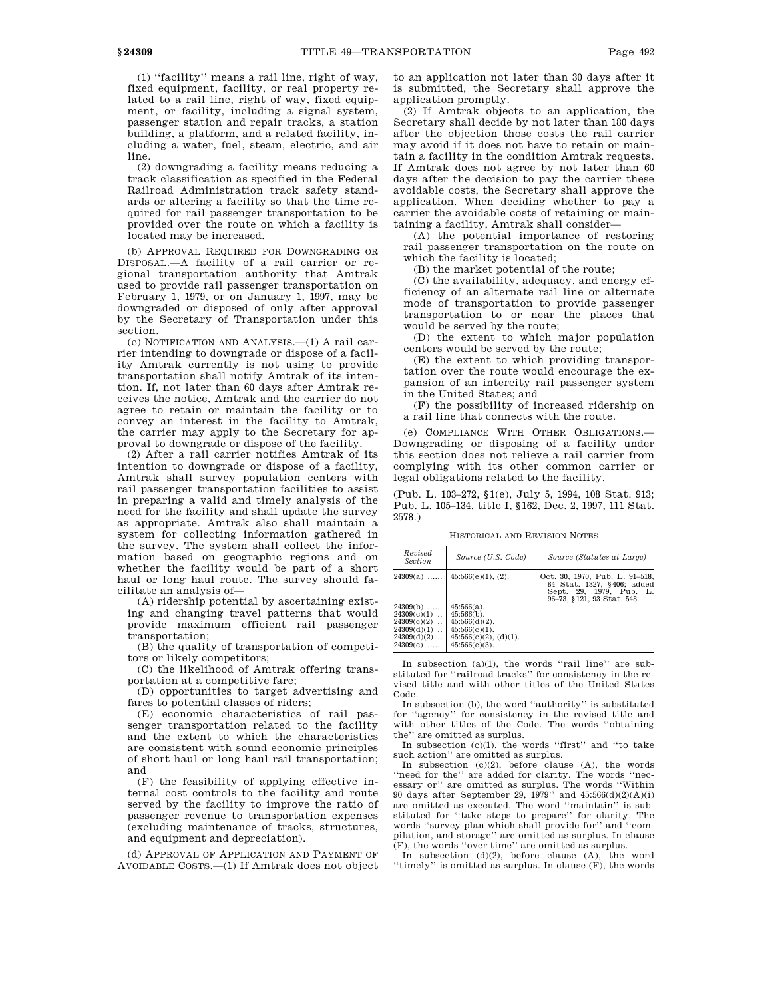(1) ''facility'' means a rail line, right of way, fixed equipment, facility, or real property related to a rail line, right of way, fixed equipment, or facility, including a signal system, passenger station and repair tracks, a station building, a platform, and a related facility, including a water, fuel, steam, electric, and air line.

(2) downgrading a facility means reducing a track classification as specified in the Federal Railroad Administration track safety standards or altering a facility so that the time required for rail passenger transportation to be provided over the route on which a facility is located may be increased.

(b) APPROVAL REQUIRED FOR DOWNGRADING OR DISPOSAL.—A facility of a rail carrier or regional transportation authority that Amtrak used to provide rail passenger transportation on February 1, 1979, or on January 1, 1997, may be downgraded or disposed of only after approval by the Secretary of Transportation under this section.

(c) NOTIFICATION AND ANALYSIS.—(1) A rail carrier intending to downgrade or dispose of a facility Amtrak currently is not using to provide transportation shall notify Amtrak of its intention. If, not later than 60 days after Amtrak receives the notice, Amtrak and the carrier do not agree to retain or maintain the facility or to convey an interest in the facility to Amtrak, the carrier may apply to the Secretary for approval to downgrade or dispose of the facility.

(2) After a rail carrier notifies Amtrak of its intention to downgrade or dispose of a facility, Amtrak shall survey population centers with rail passenger transportation facilities to assist in preparing a valid and timely analysis of the need for the facility and shall update the survey as appropriate. Amtrak also shall maintain a system for collecting information gathered in the survey. The system shall collect the information based on geographic regions and on whether the facility would be part of a short haul or long haul route. The survey should facilitate an analysis of—

(A) ridership potential by ascertaining existing and changing travel patterns that would provide maximum efficient rail passenger transportation;

(B) the quality of transportation of competitors or likely competitors;

(C) the likelihood of Amtrak offering transportation at a competitive fare;

(D) opportunities to target advertising and fares to potential classes of riders;

(E) economic characteristics of rail passenger transportation related to the facility and the extent to which the characteristics are consistent with sound economic principles of short haul or long haul rail transportation; and

(F) the feasibility of applying effective internal cost controls to the facility and route served by the facility to improve the ratio of passenger revenue to transportation expenses (excluding maintenance of tracks, structures, and equipment and depreciation).

(d) APPROVAL OF APPLICATION AND PAYMENT OF AVOIDABLE COSTS.—(1) If Amtrak does not object to an application not later than 30 days after it is submitted, the Secretary shall approve the application promptly.

(2) If Amtrak objects to an application, the Secretary shall decide by not later than 180 days after the objection those costs the rail carrier may avoid if it does not have to retain or maintain a facility in the condition Amtrak requests. If Amtrak does not agree by not later than 60 days after the decision to pay the carrier these avoidable costs, the Secretary shall approve the application. When deciding whether to pay a carrier the avoidable costs of retaining or maintaining a facility, Amtrak shall consider—

(A) the potential importance of restoring rail passenger transportation on the route on which the facility is located;

(B) the market potential of the route;

(C) the availability, adequacy, and energy efficiency of an alternate rail line or alternate mode of transportation to provide passenger transportation to or near the places that would be served by the route;

(D) the extent to which major population centers would be served by the route;

(E) the extent to which providing transportation over the route would encourage the expansion of an intercity rail passenger system in the United States; and

(F) the possibility of increased ridership on a rail line that connects with the route.

(e) COMPLIANCE WITH OTHER OBLIGATIONS.— Downgrading or disposing of a facility under this section does not relieve a rail carrier from complying with its other common carrier or legal obligations related to the facility.

(Pub. L. 103–272, §1(e), July 5, 1994, 108 Stat. 913; Pub. L. 105–134, title I, §162, Dec. 2, 1997, 111 Stat. 2578.)

HISTORICAL AND REVISION NOTES

| Revised<br><i>Section</i>                                                                     | Source (U.S. Code)                                                                           | Source (Statutes at Large)                                                                                            |
|-----------------------------------------------------------------------------------------------|----------------------------------------------------------------------------------------------|-----------------------------------------------------------------------------------------------------------------------|
| $24309(a)$<br>$24309(b)$<br>24309(c)(1)<br>24309(c)(2)<br>$\ddot{\phantom{a}}$<br>24309(d)(1) | 45:566(e)(1), (2).<br>$45:566(a)$ .<br>$45:566(b)$ .<br>$45:566(d)(2)$ .<br>$45:566(c)(1)$ . | Oct. 30, 1970, Pub. L. 91–518,<br>84 Stat. 1327, §406; added<br>Sept. 29, 1979. Pub. L.<br>96-73, §121, 93 Stat, 548. |
| $\ddot{\phantom{a}}$<br>24309(d)(2)<br>$\ddot{\phantom{a}}$<br>24309(e)                       | $45:566(c)(2)$ , $(d)(1)$ .<br>$45:566(e)(3)$ .                                              |                                                                                                                       |

In subsection (a)(1), the words ''rail line'' are substituted for ''railroad tracks'' for consistency in the revised title and with other titles of the United States Code.

In subsection (b), the word ''authority'' is substituted for ''agency'' for consistency in the revised title and with other titles of the Code. The words ''obtaining the'' are omitted as surplus.

In subsection  $(c)(1)$ , the words "first" and "to take such action'' are omitted as surplus.

In subsection  $(c)(2)$ , before clause  $(A)$ , the words ''need for the'' are added for clarity. The words ''necessary or'' are omitted as surplus. The words ''Within 90 days after September 29, 1979'' and 45:566(d)(2)(A)(i) are omitted as executed. The word ''maintain'' is substituted for ''take steps to prepare'' for clarity. The words ''survey plan which shall provide for'' and ''compilation, and storage'' are omitted as surplus. In clause (F), the words ''over time'' are omitted as surplus.

In subsection  $(d)(2)$ , before clause  $(A)$ , the word ''timely'' is omitted as surplus. In clause (F), the words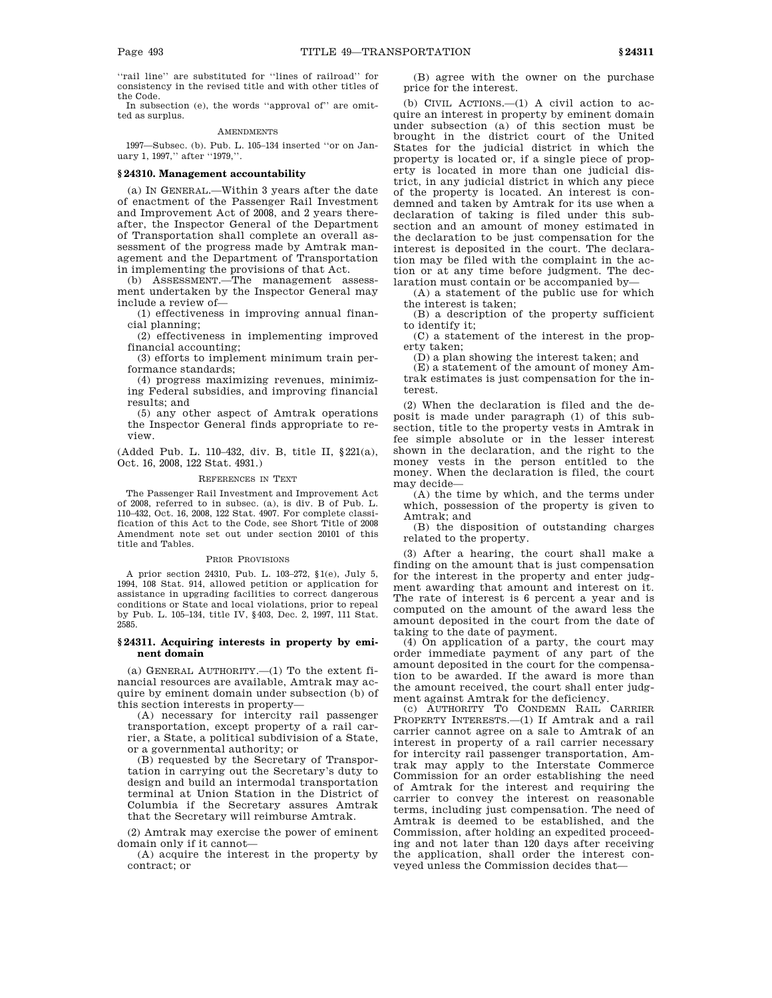''rail line'' are substituted for ''lines of railroad'' for consistency in the revised title and with other titles of the Code.

In subsection (e), the words ''approval of'' are omitted as surplus.

### AMENDMENTS

1997—Subsec. (b). Pub. L. 105–134 inserted ''or on January 1, 1997," after "1979,".

### **§ 24310. Management accountability**

(a) IN GENERAL.—Within 3 years after the date of enactment of the Passenger Rail Investment and Improvement Act of 2008, and 2 years thereafter, the Inspector General of the Department of Transportation shall complete an overall assessment of the progress made by Amtrak management and the Department of Transportation in implementing the provisions of that Act.

(b) ASSESSMENT.—The management assessment undertaken by the Inspector General may include a review of—

(1) effectiveness in improving annual financial planning;

(2) effectiveness in implementing improved financial accounting;

(3) efforts to implement minimum train performance standards;

(4) progress maximizing revenues, minimizing Federal subsidies, and improving financial results; and

(5) any other aspect of Amtrak operations the Inspector General finds appropriate to review.

(Added Pub. L. 110–432, div. B, title II, §221(a), Oct. 16, 2008, 122 Stat. 4931.)

## REFERENCES IN TEXT

The Passenger Rail Investment and Improvement Act of 2008, referred to in subsec. (a), is div. B of Pub. L. 110–432, Oct. 16, 2008, 122 Stat. 4907. For complete classification of this Act to the Code, see Short Title of 2008 Amendment note set out under section 20101 of this title and Tables.

## PRIOR PROVISIONS

A prior section 24310, Pub. L. 103–272, §1(e), July 5, 1994, 108 Stat. 914, allowed petition or application for assistance in upgrading facilities to correct dangerous conditions or State and local violations, prior to repeal by Pub. L. 105–134, title IV, §403, Dec. 2, 1997, 111 Stat. 2585.

## **§ 24311. Acquiring interests in property by eminent domain**

(a) GENERAL AUTHORITY.—(1) To the extent financial resources are available, Amtrak may acquire by eminent domain under subsection (b) of this section interests in property—

(A) necessary for intercity rail passenger transportation, except property of a rail carrier, a State, a political subdivision of a State, or a governmental authority; or

(B) requested by the Secretary of Transportation in carrying out the Secretary's duty to design and build an intermodal transportation terminal at Union Station in the District of Columbia if the Secretary assures Amtrak that the Secretary will reimburse Amtrak.

(2) Amtrak may exercise the power of eminent domain only if it cannot—

(A) acquire the interest in the property by contract; or

(B) agree with the owner on the purchase price for the interest.

(b) CIVIL ACTIONS.—(1) A civil action to acquire an interest in property by eminent domain under subsection (a) of this section must be brought in the district court of the United States for the judicial district in which the property is located or, if a single piece of property is located in more than one judicial district, in any judicial district in which any piece of the property is located. An interest is condemned and taken by Amtrak for its use when a declaration of taking is filed under this subsection and an amount of money estimated in the declaration to be just compensation for the interest is deposited in the court. The declaration may be filed with the complaint in the action or at any time before judgment. The declaration must contain or be accompanied by—

(A) a statement of the public use for which the interest is taken;

(B) a description of the property sufficient to identify it;

(C) a statement of the interest in the property taken;

(D) a plan showing the interest taken; and

(E) a statement of the amount of money Amtrak estimates is just compensation for the interest.

(2) When the declaration is filed and the deposit is made under paragraph (1) of this subsection, title to the property vests in Amtrak in fee simple absolute or in the lesser interest shown in the declaration, and the right to the money vests in the person entitled to the money. When the declaration is filed, the court may decide—

(A) the time by which, and the terms under which, possession of the property is given to Amtrak; and

(B) the disposition of outstanding charges related to the property.

(3) After a hearing, the court shall make a finding on the amount that is just compensation for the interest in the property and enter judgment awarding that amount and interest on it. The rate of interest is 6 percent a year and is computed on the amount of the award less the amount deposited in the court from the date of taking to the date of payment.

(4) On application of a party, the court may order immediate payment of any part of the amount deposited in the court for the compensation to be awarded. If the award is more than the amount received, the court shall enter judgment against Amtrak for the deficiency.

(c) AUTHORITY TO CONDEMN RAIL CARRIER PROPERTY INTERESTS.—(1) If Amtrak and a rail carrier cannot agree on a sale to Amtrak of an interest in property of a rail carrier necessary for intercity rail passenger transportation, Amtrak may apply to the Interstate Commerce Commission for an order establishing the need of Amtrak for the interest and requiring the carrier to convey the interest on reasonable terms, including just compensation. The need of Amtrak is deemed to be established, and the Commission, after holding an expedited proceeding and not later than 120 days after receiving the application, shall order the interest conveyed unless the Commission decides that—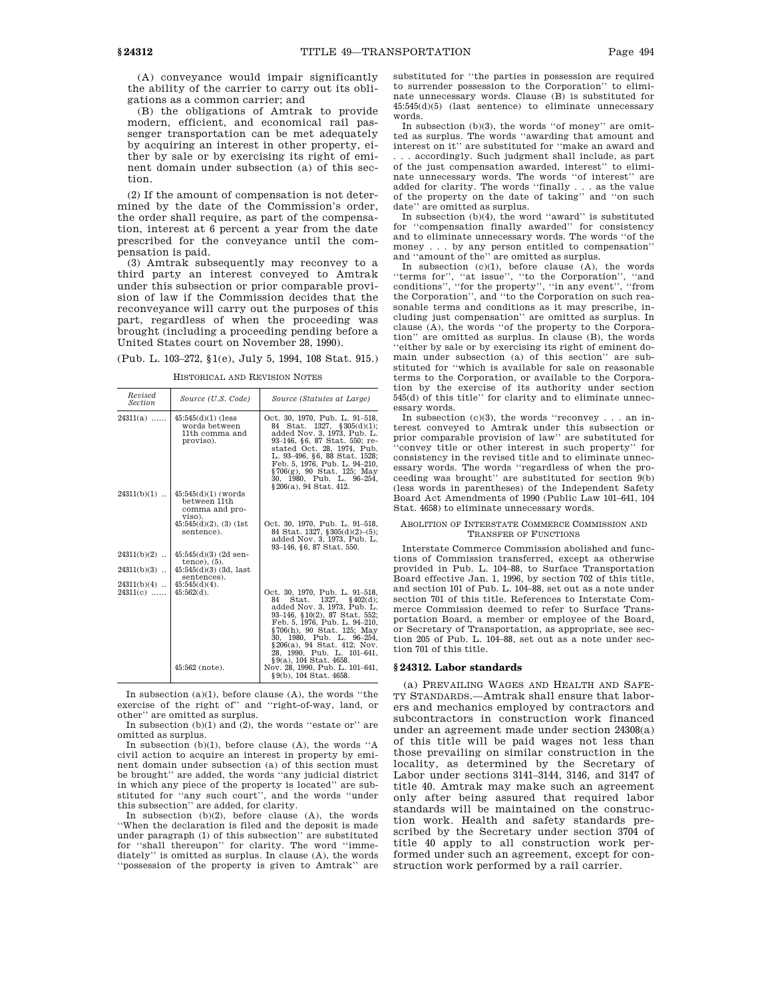(A) conveyance would impair significantly the ability of the carrier to carry out its obligations as a common carrier; and

(B) the obligations of Amtrak to provide modern, efficient, and economical rail passenger transportation can be met adequately by acquiring an interest in other property, either by sale or by exercising its right of eminent domain under subsection (a) of this section.

(2) If the amount of compensation is not determined by the date of the Commission's order, the order shall require, as part of the compensation, interest at 6 percent a year from the date prescribed for the conveyance until the compensation is paid.

(3) Amtrak subsequently may reconvey to a third party an interest conveyed to Amtrak under this subsection or prior comparable provision of law if the Commission decides that the reconveyance will carry out the purposes of this part, regardless of when the proceeding was brought (including a proceeding pending before a United States court on November 28, 1990).

| (Pub. L. 103–272, §1(e), July 5, 1994, 108 Stat. 915.) |  |  |  |  |  |  |  |  |  |
|--------------------------------------------------------|--|--|--|--|--|--|--|--|--|
|--------------------------------------------------------|--|--|--|--|--|--|--|--|--|

| Revised<br><b>Section</b>      | Source (U.S. Code)                                                                                                 | Source (Statutes at Large)                                                                                                                                                                                                                                                                                                                                   |
|--------------------------------|--------------------------------------------------------------------------------------------------------------------|--------------------------------------------------------------------------------------------------------------------------------------------------------------------------------------------------------------------------------------------------------------------------------------------------------------------------------------------------------------|
| $24311(a)$                     | $45:545(d)(1)$ (less<br>words between<br>11th comma and<br>proviso).                                               | Oct. 30, 1970, Pub. L. 91-518,<br>84 Stat. 1327, §305(d)(1);<br>added Nov. 3, 1973, Pub. L.<br>93-146, §6, 87 Stat. 550; re-<br>stated Oct. 28, 1974, Pub.<br>L. 93-496, §6, 88 Stat. 1528;<br>Feb. 5, 1976, Pub. L. 94-210,<br>§706(g), 90 Stat. 125; May<br>30, 1980, Pub. L. 96–254,<br>§206(a), 94 Stat, 412.                                            |
| $24311(b)(1)$                  | $45:545(d)(1)$ (words)<br>between 11th<br>comma and pro-<br>viso).<br>$45:545(d)(2)$ , $(3)$ $(1st)$<br>sentence). | Oct. 30, 1970, Pub. L. 91-518,<br>84 Stat. 1327, §305(d)(2)-(5);<br>added Nov. 3, 1973, Pub. L.<br>93-146, §6, 87 Stat. 550.                                                                                                                                                                                                                                 |
| $24311(b)(2)$                  | $45:545(d)(3)$ (2d sen-<br>tence), $(5)$ .                                                                         |                                                                                                                                                                                                                                                                                                                                                              |
| $24311(b)(3)$<br>$24311(b)(4)$ | $45:545(d)(3)$ (3d, last<br>sentences).<br>$45:545(d)(4)$ .                                                        |                                                                                                                                                                                                                                                                                                                                                              |
| 24311(c)                       | $45:562(d)$ .<br>45:562 (note).                                                                                    | Oct. 30, 1970, Pub. L. 91-518,<br>Stat. $1327, \quad \{402(d)\}$<br>84<br>added Nov. 3, 1973, Pub. L.<br>93-146, §10(2), 87 Stat. 552;<br>Feb. 5, 1976, Pub. L. 94-210,<br>§706(h), 90 Stat. 125; May<br>30, 1980, Pub. L. 96-254,<br>§206(a), 94 Stat. 412; Nov.<br>28, 1990, Pub. L. 101-641,<br>§9(a), 104 Stat. 4658.<br>Nov. 28, 1990, Pub. L. 101-641, |
|                                |                                                                                                                    | §9(b), 104 Stat. 4658.                                                                                                                                                                                                                                                                                                                                       |

HISTORICAL AND REVISION NOTES

In subsection  $(a)(1)$ , before clause  $(A)$ , the words "the exercise of the right of" and "right-of-way, land, or other'' are omitted as surplus.

In subsection  $(b)(1)$  and  $(2)$ , the words "estate or" are omitted as surplus.

In subsection (b)(1), before clause (A), the words ''A civil action to acquire an interest in property by eminent domain under subsection (a) of this section must be brought'' are added, the words ''any judicial district in which any piece of the property is located'' are substituted for ''any such court'', and the words ''under this subsection'' are added, for clarity.

In subsection  $(b)(2)$ , before clause  $(A)$ , the words ''When the declaration is filed and the deposit is made under paragraph (1) of this subsection'' are substituted for ''shall thereupon'' for clarity. The word ''immediately'' is omitted as surplus. In clause (A), the words ''possession of the property is given to Amtrak'' are

substituted for ''the parties in possession are required to surrender possession to the Corporation'' to eliminate unnecessary words. Clause (B) is substituted for 45:545(d)(5) (last sentence) to eliminate unnecessary words.

In subsection (b)(3), the words ''of money'' are omitted as surplus. The words ''awarding that amount and interest on it'' are substituted for ''make an award and . accordingly. Such judgment shall include, as part of the just compensation awarded, interest'' to eliminate unnecessary words. The words ''of interest'' are added for clarity. The words ''finally . . . as the value of the property on the date of taking'' and ''on such date'' are omitted as surplus.

In subsection  $(b)(4)$ , the word "award" is substituted for "compensation finally awarded" for consistency "compensation finally awarded" for consistency and to eliminate unnecessary words. The words ''of the money . . . by any person entitled to compensation'' and ''amount of the'' are omitted as surplus.

In subsection  $(c)(1)$ , before clause  $(A)$ , the words ''terms for'', ''at issue'', ''to the Corporation'', ''and conditions'', ''for the property'', ''in any event'', ''from the Corporation'', and ''to the Corporation on such reasonable terms and conditions as it may prescribe, including just compensation'' are omitted as surplus. In clause (A), the words ''of the property to the Corporation'' are omitted as surplus. In clause (B), the words ''either by sale or by exercising its right of eminent do-main under subsection (a) of this section'' are substituted for ''which is available for sale on reasonable terms to the Corporation, or available to the Corporation by the exercise of its authority under section 545(d) of this title'' for clarity and to eliminate unnecessary words.

In subsection  $(c)(3)$ , the words "reconvey . . . an interest conveyed to Amtrak under this subsection or prior comparable provision of law'' are substituted for ''convey title or other interest in such property'' for consistency in the revised title and to eliminate unnecessary words. The words ''regardless of when the proceeding was brought'' are substituted for section 9(b) (less words in parentheses) of the Independent Safety Board Act Amendments of 1990 (Public Law 101–641, 104 Stat. 4658) to eliminate unnecessary words.

### ABOLITION OF INTERSTATE COMMERCE COMMISSION AND TRANSFER OF FUNCTIONS

Interstate Commerce Commission abolished and functions of Commission transferred, except as otherwise provided in Pub. L. 104–88, to Surface Transportation Board effective Jan. 1, 1996, by section 702 of this title, and section 101 of Pub. L. 104–88, set out as a note under section 701 of this title. References to Interstate Commerce Commission deemed to refer to Surface Transportation Board, a member or employee of the Board, or Secretary of Transportation, as appropriate, see section 205 of Pub. L. 104–88, set out as a note under section 701 of this title.

# **§ 24312. Labor standards**

(a) PREVAILING WAGES AND HEALTH AND SAFE-TY STANDARDS.—Amtrak shall ensure that laborers and mechanics employed by contractors and subcontractors in construction work financed under an agreement made under section 24308(a) of this title will be paid wages not less than those prevailing on similar construction in the locality, as determined by the Secretary of Labor under sections 3141–3144, 3146, and 3147 of title 40. Amtrak may make such an agreement only after being assured that required labor standards will be maintained on the construction work. Health and safety standards prescribed by the Secretary under section 3704 of title 40 apply to all construction work performed under such an agreement, except for construction work performed by a rail carrier.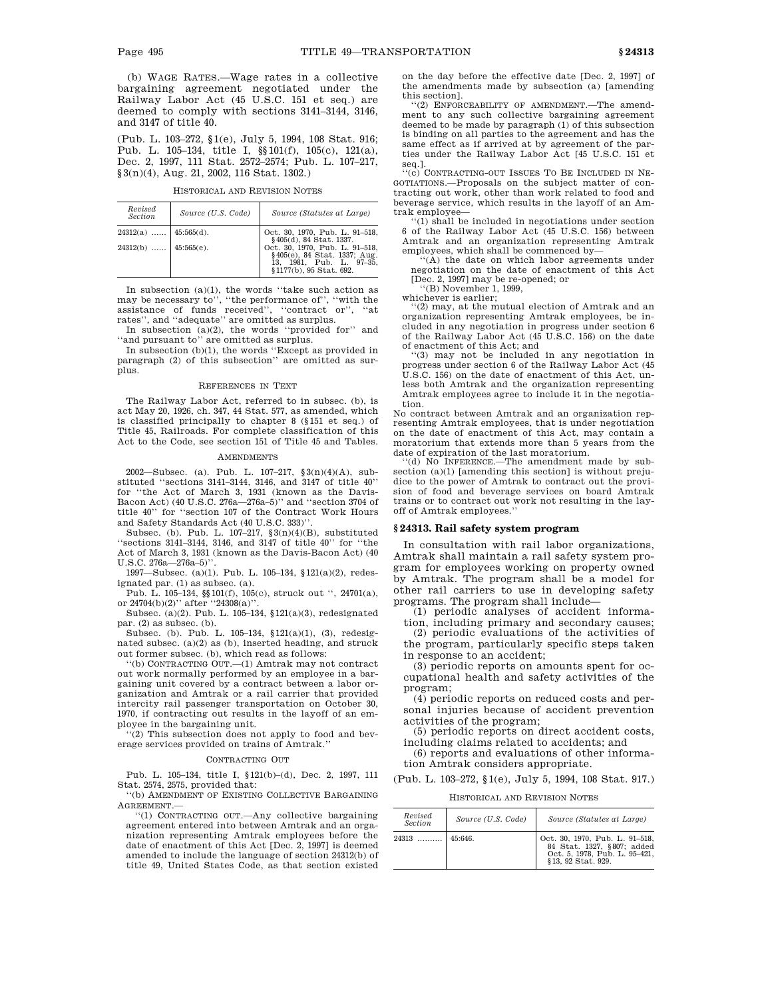(b) WAGE RATES.—Wage rates in a collective bargaining agreement negotiated under the Railway Labor Act (45 U.S.C. 151 et seq.) are deemed to comply with sections 3141–3144, 3146, and 3147 of title 40.

(Pub. L. 103–272, §1(e), July 5, 1994, 108 Stat. 916; Pub. L. 105–134, title I, §§101(f), 105(c), 121(a), Dec. 2, 1997, 111 Stat. 2572–2574; Pub. L. 107–217, §3(n)(4), Aug. 21, 2002, 116 Stat. 1302.)

HISTORICAL AND REVISION NOTES

| Revised<br>Section           | Source (U.S. Code) | Source (Statutes at Large)                                                                                            |
|------------------------------|--------------------|-----------------------------------------------------------------------------------------------------------------------|
| $24312(a)$   45:565(d).      |                    | Oct. 30, 1970, Pub. L. 91-518,<br>§405(d), 84 Stat. 1337.                                                             |
| 24312(b) $\Big  45:565(e)$ . |                    | Oct. 30, 1970, Pub. L. 91-518,<br>§405(e), 84 Stat. 1337; Aug.<br>13, 1981, Pub. L. 97-35,<br>§1177(b), 95 Stat. 692. |

In subsection (a)(1), the words ''take such action as may be necessary to'', ''the performance of'', ''with the assistance of funds received'', ''contract or'', ''at rates'', and ''adequate'' are omitted as surplus.

In subsection (a)(2), the words ''provided for'' and ''and pursuant to'' are omitted as surplus.

In subsection (b)(1), the words ''Except as provided in paragraph (2) of this subsection'' are omitted as surplus.

## REFERENCES IN TEXT

The Railway Labor Act, referred to in subsec. (b), is act May 20, 1926, ch. 347, 44 Stat. 577, as amended, which is classified principally to chapter 8 (§151 et seq.) of Title 45, Railroads. For complete classification of this Act to the Code, see section 151 of Title 45 and Tables.

#### AMENDMENTS

2002—Subsec. (a). Pub. L. 107–217, §3(n)(4)(A), substituted ''sections 3141–3144, 3146, and 3147 of title 40'' for ''the Act of March 3, 1931 (known as the Davis-Bacon Act) (40 U.S.C. 276a—276a–5)'' and ''section 3704 of title 40'' for ''section 107 of the Contract Work Hours and Safety Standards Act (40 U.S.C. 333)''.

Subsec. (b). Pub. L. 107–217, §3(n)(4)(B), substituted ''sections 3141–3144, 3146, and 3147 of title 40'' for ''the Act of March 3, 1931 (known as the Davis-Bacon Act) (40 U.S.C. 276a—276a–5)''.

1997—Subsec. (a)(1). Pub. L. 105–134, §121(a)(2), redesignated par. (1) as subsec. (a).

Pub. L. 105–134, §§101(f), 105(c), struck out '', 24701(a), or  $24704(b)(2)$ " after "24308(a)".

Subsec. (a)(2). Pub. L. 105–134, §121(a)(3), redesignated par. (2) as subsec. (b).

Subsec. (b). Pub. L. 105–134, §121(a)(1), (3), redesignated subsec. (a)(2) as (b), inserted heading, and struck out former subsec. (b), which read as follows:

''(b) CONTRACTING OUT.—(1) Amtrak may not contract out work normally performed by an employee in a bargaining unit covered by a contract between a labor organization and Amtrak or a rail carrier that provided intercity rail passenger transportation on October 30, 1970, if contracting out results in the layoff of an employee in the bargaining unit.

''(2) This subsection does not apply to food and beverage services provided on trains of Amtrak.''

## CONTRACTING OUT

Pub. L. 105–134, title I, §121(b)–(d), Dec. 2, 1997, 111 Stat. 2574, 2575, provided that:

''(b) AMENDMENT OF EXISTING COLLECTIVE BARGAINING AGREEMENT.—

''(1) CONTRACTING OUT.—Any collective bargaining agreement entered into between Amtrak and an organization representing Amtrak employees before the date of enactment of this Act [Dec. 2, 1997] is deemed amended to include the language of section 24312(b) of title 49, United States Code, as that section existed

on the day before the effective date [Dec. 2, 1997] of the amendments made by subsection (a) [amending this section].

''(2) ENFORCEABILITY OF AMENDMENT.—The amendment to any such collective bargaining agreement deemed to be made by paragraph (1) of this subsection is binding on all parties to the agreement and has the same effect as if arrived at by agreement of the parties under the Railway Labor Act [45 U.S.C. 151 et seq.]. ''(c) CONTRACTING-OUT ISSUES TO BE INCLUDED IN NE-

GOTIATIONS.—Proposals on the subject matter of contracting out work, other than work related to food and beverage service, which results in the layoff of an Amtrak employee

''(1) shall be included in negotiations under section 6 of the Railway Labor Act (45 U.S.C. 156) between Amtrak and an organization representing Amtrak employees, which shall be commenced by—

'(A) the date on which labor agreements under negotiation on the date of enactment of this Act [Dec. 2, 1997] may be re-opened; or

''(B) November 1, 1999, whichever is earlier;

'(2) may, at the mutual election of Amtrak and an organization representing Amtrak employees, be included in any negotiation in progress under section 6 of the Railway Labor Act (45 U.S.C. 156) on the date

of enactment of this Act; and ''(3) may not be included in any negotiation in progress under section 6 of the Railway Labor Act (45 U.S.C. 156) on the date of enactment of this Act, unless both Amtrak and the organization representing Amtrak employees agree to include it in the negotiation.

No contract between Amtrak and an organization representing Amtrak employees, that is under negotiation on the date of enactment of this Act, may contain a moratorium that extends more than 5 years from the date of expiration of the last moratorium.

''(d) NO INFERENCE.—The amendment made by subsection (a)(1) [amending this section] is without prejudice to the power of Amtrak to contract out the provision of food and beverage services on board Amtrak trains or to contract out work not resulting in the layoff of Amtrak employees.

## **§ 24313. Rail safety system program**

In consultation with rail labor organizations, Amtrak shall maintain a rail safety system program for employees working on property owned by Amtrak. The program shall be a model for other rail carriers to use in developing safety programs. The program shall include—

(1) periodic analyses of accident information, including primary and secondary causes;

(2) periodic evaluations of the activities of the program, particularly specific steps taken in response to an accident;

(3) periodic reports on amounts spent for occupational health and safety activities of the program;

(4) periodic reports on reduced costs and personal injuries because of accident prevention activities of the program;

(5) periodic reports on direct accident costs, including claims related to accidents; and

(6) reports and evaluations of other information Amtrak considers appropriate.

(Pub. L. 103–272, §1(e), July 5, 1994, 108 Stat. 917.)

HISTORICAL AND REVISION NOTES

| Revised<br><b>Section</b> | Source (U.S. Code) | Source (Statutes at Large)                                                                                        |
|---------------------------|--------------------|-------------------------------------------------------------------------------------------------------------------|
| 24313                     | 45:646.            | Oct. 30, 1970, Pub. L. 91-518,<br>84 Stat. 1327, §807; added<br>Oct. 5, 1978, Pub. L. 95-421,<br>§13.92 Stat.929. |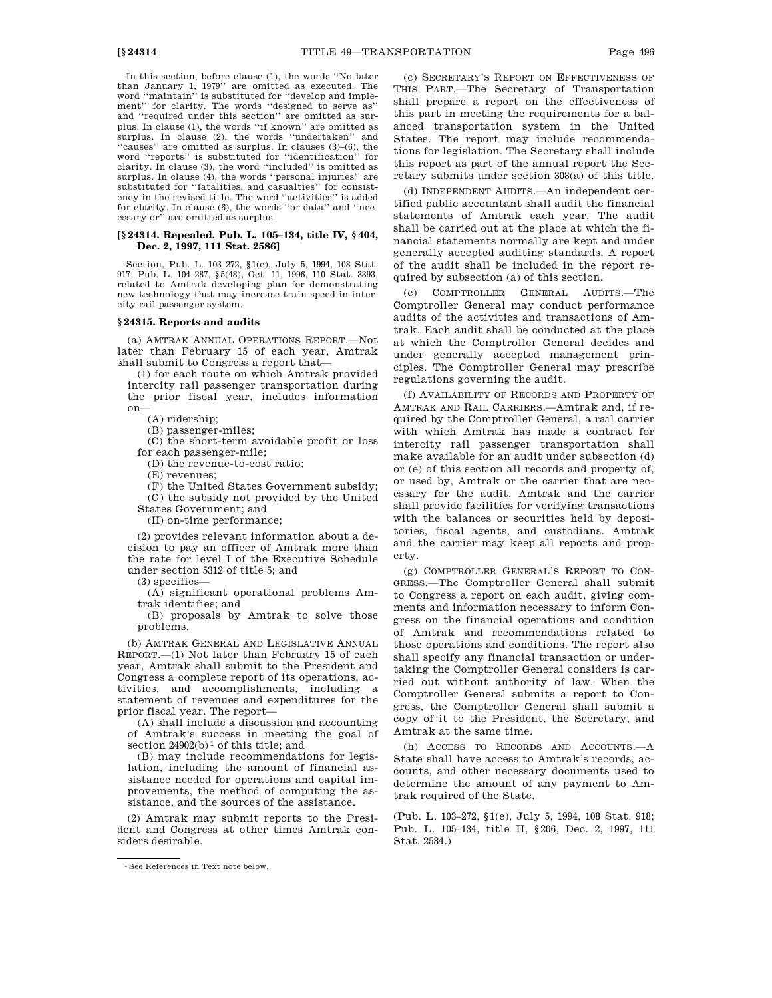In this section, before clause (1), the words ''No later than January 1, 1979'' are omitted as executed. The word ''maintain'' is substituted for ''develop and implement'' for clarity. The words ''designed to serve as'' and ''required under this section'' are omitted as surplus. In clause (1), the words ''if known'' are omitted as surplus. In clause (2), the words "undertaken" and ''causes'' are omitted as surplus. In clauses (3)–(6), the word ''reports'' is substituted for ''identification'' for clarity. In clause (3), the word ''included'' is omitted as surplus. In clause (4), the words "personal injuries" are substituted for "fatalities, and casualties" for consistency in the revised title. The word ''activities'' is added for clarity. In clause (6), the words ''or data'' and ''necessary or'' are omitted as surplus.

## **[§ 24314. Repealed. Pub. L. 105–134, title IV, § 404, Dec. 2, 1997, 111 Stat. 2586]**

Section, Pub. L. 103–272, §1(e), July 5, 1994, 108 Stat. 917; Pub. L. 104–287, §5(48), Oct. 11, 1996, 110 Stat. 3393, related to Amtrak developing plan for demonstrating new technology that may increase train speed in intercity rail passenger system.

## **§ 24315. Reports and audits**

(a) AMTRAK ANNUAL OPERATIONS REPORT.—Not later than February 15 of each year, Amtrak shall submit to Congress a report that—

(1) for each route on which Amtrak provided intercity rail passenger transportation during the prior fiscal year, includes information on—

(A) ridership;

(B) passenger-miles;

(C) the short-term avoidable profit or loss for each passenger-mile;

(D) the revenue-to-cost ratio;

(E) revenues;

(F) the United States Government subsidy;

(G) the subsidy not provided by the United States Government; and

(H) on-time performance;

(2) provides relevant information about a decision to pay an officer of Amtrak more than the rate for level I of the Executive Schedule under section 5312 of title 5; and

(3) specifies—

(A) significant operational problems Amtrak identifies; and

(B) proposals by Amtrak to solve those problems.

(b) AMTRAK GENERAL AND LEGISLATIVE ANNUAL REPORT.—(1) Not later than February 15 of each year, Amtrak shall submit to the President and Congress a complete report of its operations, activities, and accomplishments, including a statement of revenues and expenditures for the prior fiscal year. The report—

(A) shall include a discussion and accounting of Amtrak's success in meeting the goal of section  $24902(b)$ <sup>1</sup> of this title; and

(B) may include recommendations for legislation, including the amount of financial assistance needed for operations and capital improvements, the method of computing the assistance, and the sources of the assistance.

(2) Amtrak may submit reports to the President and Congress at other times Amtrak considers desirable.

(c) SECRETARY'S REPORT ON EFFECTIVENESS OF THIS PART.—The Secretary of Transportation shall prepare a report on the effectiveness of this part in meeting the requirements for a balanced transportation system in the United States. The report may include recommendations for legislation. The Secretary shall include this report as part of the annual report the Secretary submits under section 308(a) of this title.

(d) INDEPENDENT AUDITS.—An independent certified public accountant shall audit the financial statements of Amtrak each year. The audit shall be carried out at the place at which the financial statements normally are kept and under generally accepted auditing standards. A report of the audit shall be included in the report required by subsection (a) of this section.

(e) COMPTROLLER GENERAL AUDITS.—The Comptroller General may conduct performance audits of the activities and transactions of Amtrak. Each audit shall be conducted at the place at which the Comptroller General decides and under generally accepted management principles. The Comptroller General may prescribe regulations governing the audit.

(f) AVAILABILITY OF RECORDS AND PROPERTY OF AMTRAK AND RAIL CARRIERS.—Amtrak and, if required by the Comptroller General, a rail carrier with which Amtrak has made a contract for intercity rail passenger transportation shall make available for an audit under subsection (d) or (e) of this section all records and property of, or used by, Amtrak or the carrier that are necessary for the audit. Amtrak and the carrier shall provide facilities for verifying transactions with the balances or securities held by depositories, fiscal agents, and custodians. Amtrak and the carrier may keep all reports and property.

(g) COMPTROLLER GENERAL'S REPORT TO CON-GRESS.—The Comptroller General shall submit to Congress a report on each audit, giving comments and information necessary to inform Congress on the financial operations and condition of Amtrak and recommendations related to those operations and conditions. The report also shall specify any financial transaction or undertaking the Comptroller General considers is carried out without authority of law. When the Comptroller General submits a report to Congress, the Comptroller General shall submit a copy of it to the President, the Secretary, and Amtrak at the same time.

(h) ACCESS TO RECORDS AND ACCOUNTS.—A State shall have access to Amtrak's records, accounts, and other necessary documents used to determine the amount of any payment to Amtrak required of the State.

(Pub. L. 103–272, §1(e), July 5, 1994, 108 Stat. 918; Pub. L. 105–134, title II, §206, Dec. 2, 1997, 111 Stat. 2584.)

<sup>1</sup>See References in Text note below.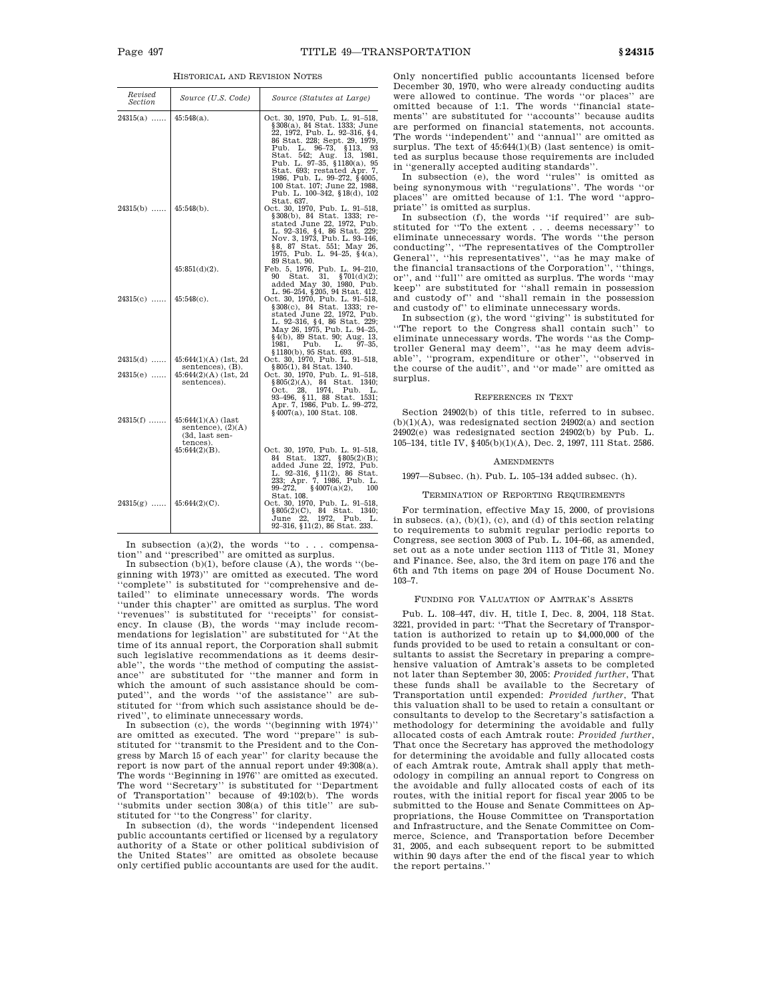| Revised<br>Section | Source (U.S. Code)                                                        | Source (Statutes at Large)                                                                                                                                                                                                                                                                                                                                        |
|--------------------|---------------------------------------------------------------------------|-------------------------------------------------------------------------------------------------------------------------------------------------------------------------------------------------------------------------------------------------------------------------------------------------------------------------------------------------------------------|
| $24315(a)$         | $45:548(a)$ .                                                             | Oct. 30, 1970, Pub. L. 91-518,<br>§308(a), 84 Stat. 1333; June<br>22, 1972, Pub. L. 92-316, §4,<br>86 Stat. 228; Sept. 29, 1979,<br>Pub. L. 96-73, §113, 93<br>Stat. 542; Aug. 13, 1981,<br>Pub. L. 97-35, §1180(a), 95<br>Stat. 693; restated Apr. 7,<br>1986, Pub. L. 99–272, §4005,<br>100 Stat. 107; June 22, 1988,<br>Pub. L. 100-342, §18(d), 102           |
| 24315(b)           | $45:548(b)$ .                                                             | Stat. 637.<br>Oct. 30, 1970, Pub. L. 91-518,<br>§308(b), 84 Stat. 1333; re-<br>stated June 22, 1972, Pub.<br>L. 92-316, §4, 86 Stat. 229;<br>Nov. 3, 1973, Pub. L. 93-146,<br>§8, 87 Stat. 551; May 26,<br>1975, Pub. L. 94-25, §4(a),<br>89 Stat. 90.                                                                                                            |
|                    | $45:851(d)(2)$ .                                                          | Feb. 5, 1976, Pub. L. 94-210,<br>90<br>Stat. 31, $$701(d)(2);$<br>added May 30, 1980, Pub.                                                                                                                                                                                                                                                                        |
| $24315(c)$         | $45:548(c)$ .                                                             | L. 96-254, §205, 94 Stat. 412.<br>Oct. 30, 1970, Pub. L. 91-518,<br>§308(c), 84 Stat. 1333; re-<br>stated June 22, 1972, Pub.<br>L. 92-316, §4, 86 Stat. 229;<br>May 26, 1975, Pub. L. 94-25,<br>§4(b), 89 Stat. 90; Aug. 13,<br>1981,<br>Pub.<br>$97 - 35.$<br>L.                                                                                                |
| $24315(d)$         | $45:644(1)(A)$ (1st, 2d                                                   | §1180(b), 95 Stat. 693.<br>Oct. 30, 1970, Pub. L. 91-518,                                                                                                                                                                                                                                                                                                         |
| $24315(e)$         | sentences), (B).<br>$45:644(2)(A)$ (1st, 2d<br>sentences).                | §805(1), 84 Stat. 1340.<br>Oct. 30, 1970, Pub. L. 91-518,<br>$$805(2)(A), $84$ Stat. 1340;<br>Oct. 28, 1974, Pub. L.<br>93-496, §11, 88 Stat. 1531;<br>Apr. 7, 1986, Pub. L. 99-272,<br>$§$ 4007(a), 100 Stat. 108.                                                                                                                                               |
| $24315(f)$         | $45:644(1)(A)$ (last<br>sentence), $(2)(A)$<br>(3d, last sen-<br>tences). |                                                                                                                                                                                                                                                                                                                                                                   |
| $24315(g)$         | $45:644(2)(B)$ .<br>$45:644(2)(C)$ .                                      | Oct. 30, 1970, Pub. L. 91-518,<br>Stat. $1327, \ \ \frac{6}{5}805(2)(B);$<br>84<br>added June 22, 1972, Pub.<br>L. 92–316, §11(2), 86 Stat.<br>233; Apr. 7, 1986, Pub. L.<br>$99 - 272.$<br>§4007(a)(2),<br>100<br>Stat. 108.<br>Oct. 30, 1970, Pub. L. 91-518,<br>§805(2)(C), 84 Stat. 1340;<br>22,<br>1972, Pub.<br>June<br>L.<br>92-316, §11(2), 86 Stat. 233. |

In subsection  $(a)(2)$ , the words "to ... compensation'' and ''prescribed'' are omitted as surplus.

In subsection  $(b)(1)$ , before clause  $(A)$ , the words "(beginning with 1973)'' are omitted as executed. The word 'complete'' is substituted for "comprehensive and detailed'' to eliminate unnecessary words. The words ''under this chapter'' are omitted as surplus. The word ''revenues'' is substituted for ''receipts'' for consistency. In clause (B), the words ''may include recommendations for legislation'' are substituted for ''At the time of its annual report, the Corporation shall submit such legislative recommendations as it deems desirable'', the words ''the method of computing the assistance'' are substituted for ''the manner and form in which the amount of such assistance should be computed'', and the words ''of the assistance'' are substituted for ''from which such assistance should be derived'', to eliminate unnecessary words.

In subsection (c), the words ''(beginning with 1974)'' are omitted as executed. The word ''prepare'' is substituted for ''transmit to the President and to the Congress by March 15 of each year'' for clarity because the report is now part of the annual report under 49:308(a). The words ''Beginning in 1976'' are omitted as executed. The word ''Secretary'' is substituted for ''Department of Transportation'' because of 49:102(b). The words ''submits under section 308(a) of this title'' are substituted for ''to the Congress'' for clarity.

In subsection (d), the words ''independent licensed public accountants certified or licensed by a regulatory authority of a State or other political subdivision of the United States'' are omitted as obsolete because only certified public accountants are used for the audit.

Only noncertified public accountants licensed before December 30, 1970, who were already conducting audits were allowed to continue. The words ''or places'' are omitted because of 1:1. The words ''financial statements'' are substituted for ''accounts'' because audits are performed on financial statements, not accounts. The words ''independent'' and ''annual'' are omitted as surplus. The text of  $45:644(1)(B)$  (last sentence) is omitted as surplus because those requirements are included in ''generally accepted auditing standards''.

In subsection (e), the word ''rules'' is omitted as being synonymous with ''regulations''. The words ''or places'' are omitted because of 1:1. The word ''appropriate'' is omitted as surplus.

In subsection (f), the words "if required" are substituted for ''To the extent . . . deems necessary'' to eliminate unnecessary words. The words ''the person conducting'', ''The representatives of the Comptroller General'', ''his representatives'', ''as he may make of the financial transactions of the Corporation'', ''things, or'', and ''full'' are omitted as surplus. The words ''may keep'' are substituted for ''shall remain in possession and custody of'' and ''shall remain in the possession and custody of and zone of the custody of the eliminate unnecessary words.

In subsection (g), the word ''giving'' is substituted for ''The report to the Congress shall contain such'' to eliminate unnecessary words. The words ''as the Comptroller General may deem'', ''as he may deem advisable'', ''program, expenditure or other'', ''observed in the course of the audit'', and ''or made'' are omitted as surplus.

## REFERENCES IN TEXT

Section 24902(b) of this title, referred to in subsec.  $(b)(1)(A)$ , was redesignated section 24902(a) and section 24902(e) was redesignated section 24902(b) by Pub. L. 105–134, title IV, §405(b)(1)(A), Dec. 2, 1997, 111 Stat. 2586.

#### **AMENDMENTS**

1997—Subsec. (h). Pub. L. 105–134 added subsec. (h).

## TERMINATION OF REPORTING REQUIREMENTS

For termination, effective May 15, 2000, of provisions in subsecs. (a),  $(b)(1)$ ,  $(c)$ , and  $(d)$  of this section relating to requirements to submit regular periodic reports to Congress, see section 3003 of Pub. L. 104–66, as amended, set out as a note under section 1113 of Title 31, Money and Finance. See, also, the 3rd item on page 176 and the 6th and 7th items on page 204 of House Document No. 103–7.

#### FUNDING FOR VALUATION OF AMTRAK'S ASSETS

Pub. L. 108–447, div. H, title I, Dec. 8, 2004, 118 Stat. 3221, provided in part: ''That the Secretary of Transportation is authorized to retain up to \$4,000,000 of the funds provided to be used to retain a consultant or consultants to assist the Secretary in preparing a comprehensive valuation of Amtrak's assets to be completed not later than September 30, 2005: *Provided further*, That these funds shall be available to the Secretary of Transportation until expended: *Provided further*, That this valuation shall to be used to retain a consultant or consultants to develop to the Secretary's satisfaction a methodology for determining the avoidable and fully allocated costs of each Amtrak route: *Provided further*, That once the Secretary has approved the methodology for determining the avoidable and fully allocated costs of each Amtrak route, Amtrak shall apply that methodology in compiling an annual report to Congress on the avoidable and fully allocated costs of each of its routes, with the initial report for fiscal year 2005 to be submitted to the House and Senate Committees on Appropriations, the House Committee on Transportation and Infrastructure, and the Senate Committee on Commerce, Science, and Transportation before December 31, 2005, and each subsequent report to be submitted within 90 days after the end of the fiscal year to which the report pertains.''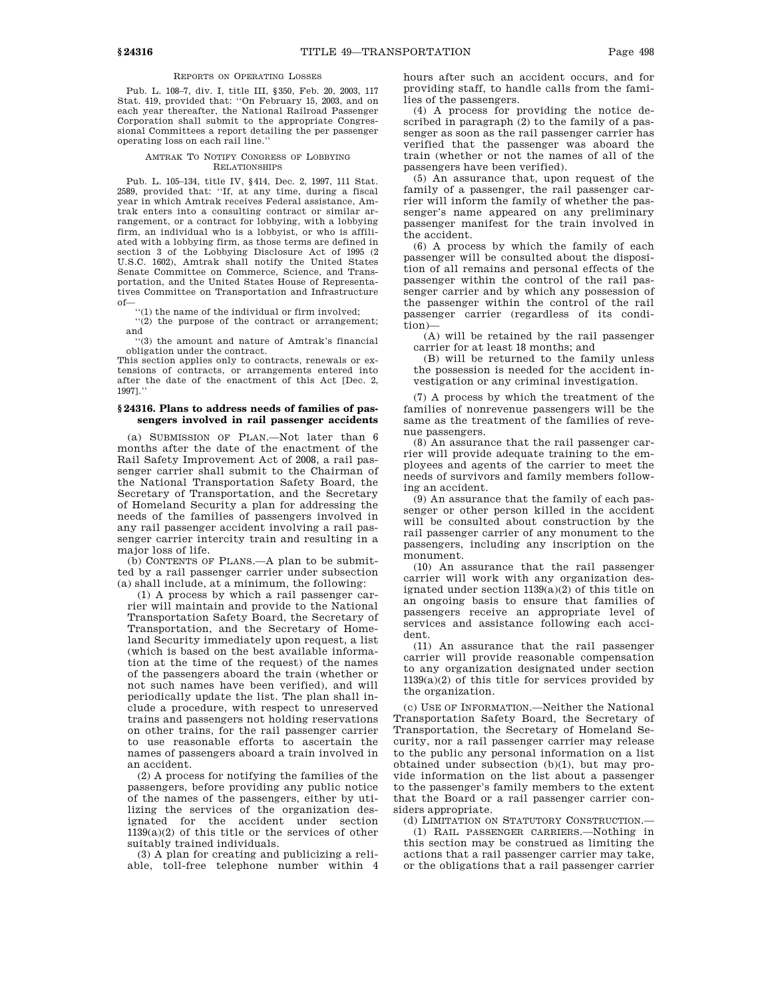## REPORTS ON OPERATING LOSSES

Pub. L. 108–7, div. I, title III, §350, Feb. 20, 2003, 117 Stat. 419, provided that: ''On February 15, 2003, and on each year thereafter, the National Railroad Passenger Corporation shall submit to the appropriate Congressional Committees a report detailing the per passenger operating loss on each rail line.''

#### AMTRAK TO NOTIFY CONGRESS OF LOBBYING RELATIONSHIPS

Pub. L. 105–134, title IV, §414, Dec. 2, 1997, 111 Stat. 2589, provided that: ''If, at any time, during a fiscal year in which Amtrak receives Federal assistance, Amtrak enters into a consulting contract or similar arrangement, or a contract for lobbying, with a lobbying firm, an individual who is a lobbyist, or who is affiliated with a lobbying firm, as those terms are defined in section 3 of the Lobbying Disclosure Act of 1995 (2 U.S.C. 1602), Amtrak shall notify the United States Senate Committee on Commerce, Science, and Transportation, and the United States House of Representatives Committee on Transportation and Infrastructure of—

 $\lq\lq$  (1) the name of the individual or firm involved;

''(2) the purpose of the contract or arrangement; and

''(3) the amount and nature of Amtrak's financial obligation under the contract.

This section applies only to contracts, renewals or extensions of contracts, or arrangements entered into after the date of the enactment of this Act [Dec. 2, 1997].''

## **§ 24316. Plans to address needs of families of passengers involved in rail passenger accidents**

(a) SUBMISSION OF PLAN.—Not later than 6 months after the date of the enactment of the Rail Safety Improvement Act of 2008, a rail passenger carrier shall submit to the Chairman of the National Transportation Safety Board, the Secretary of Transportation, and the Secretary of Homeland Security a plan for addressing the needs of the families of passengers involved in any rail passenger accident involving a rail passenger carrier intercity train and resulting in a major loss of life.

(b) CONTENTS OF PLANS.—A plan to be submitted by a rail passenger carrier under subsection (a) shall include, at a minimum, the following:

(1) A process by which a rail passenger carrier will maintain and provide to the National Transportation Safety Board, the Secretary of Transportation, and the Secretary of Homeland Security immediately upon request, a list (which is based on the best available information at the time of the request) of the names of the passengers aboard the train (whether or not such names have been verified), and will periodically update the list. The plan shall include a procedure, with respect to unreserved trains and passengers not holding reservations on other trains, for the rail passenger carrier to use reasonable efforts to ascertain the names of passengers aboard a train involved in an accident.

(2) A process for notifying the families of the passengers, before providing any public notice of the names of the passengers, either by utilizing the services of the organization designated for the accident under section 1139(a)(2) of this title or the services of other suitably trained individuals.

(3) A plan for creating and publicizing a reliable, toll-free telephone number within 4 hours after such an accident occurs, and for providing staff, to handle calls from the families of the passengers.

(4) A process for providing the notice described in paragraph (2) to the family of a passenger as soon as the rail passenger carrier has verified that the passenger was aboard the train (whether or not the names of all of the passengers have been verified).

(5) An assurance that, upon request of the family of a passenger, the rail passenger carrier will inform the family of whether the passenger's name appeared on any preliminary passenger manifest for the train involved in the accident.

(6) A process by which the family of each passenger will be consulted about the disposition of all remains and personal effects of the passenger within the control of the rail passenger carrier and by which any possession of the passenger within the control of the rail passenger carrier (regardless of its condition)—

(A) will be retained by the rail passenger carrier for at least 18 months; and

(B) will be returned to the family unless the possession is needed for the accident investigation or any criminal investigation.

(7) A process by which the treatment of the families of nonrevenue passengers will be the same as the treatment of the families of revenue passengers.

(8) An assurance that the rail passenger carrier will provide adequate training to the employees and agents of the carrier to meet the needs of survivors and family members following an accident.

(9) An assurance that the family of each passenger or other person killed in the accident will be consulted about construction by the rail passenger carrier of any monument to the passengers, including any inscription on the monument.

(10) An assurance that the rail passenger carrier will work with any organization designated under section 1139(a)(2) of this title on an ongoing basis to ensure that families of passengers receive an appropriate level of services and assistance following each accident.

(11) An assurance that the rail passenger carrier will provide reasonable compensation to any organization designated under section 1139(a)(2) of this title for services provided by the organization.

(c) USE OF INFORMATION.—Neither the National Transportation Safety Board, the Secretary of Transportation, the Secretary of Homeland Security, nor a rail passenger carrier may release to the public any personal information on a list obtained under subsection (b)(1), but may provide information on the list about a passenger to the passenger's family members to the extent that the Board or a rail passenger carrier considers appropriate.

(d) LIMITATION ON STATUTORY CONSTRUCTION.—

(1) RAIL PASSENGER CARRIERS.—Nothing in this section may be construed as limiting the actions that a rail passenger carrier may take, or the obligations that a rail passenger carrier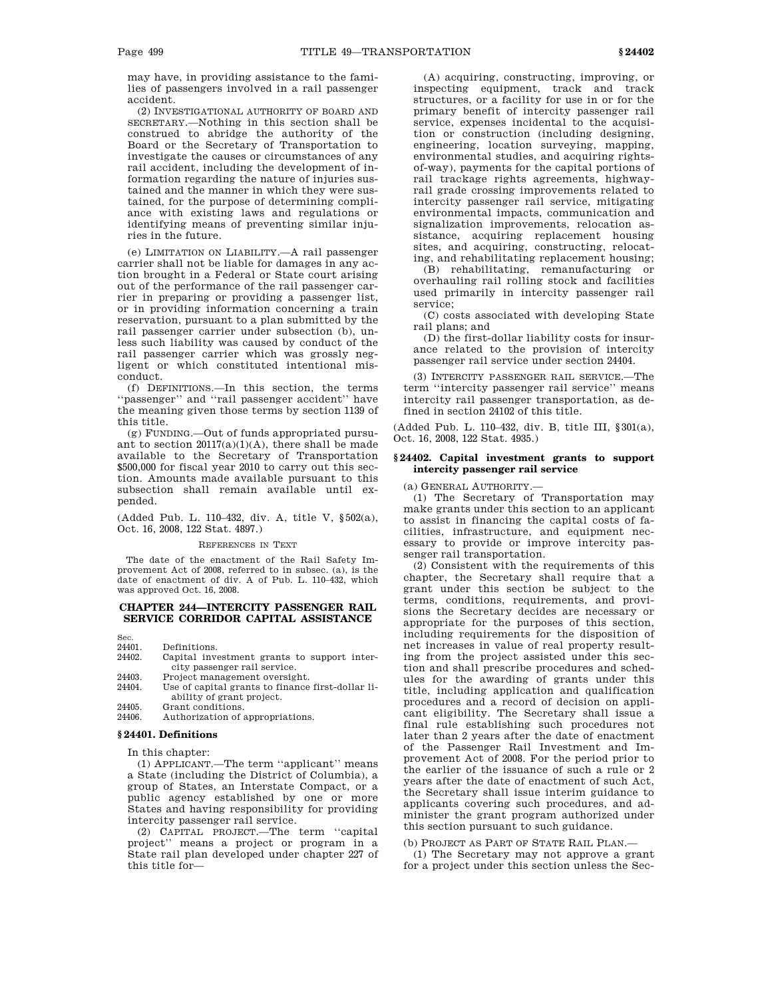may have, in providing assistance to the families of passengers involved in a rail passenger accident.

(2) INVESTIGATIONAL AUTHORITY OF BOARD AND SECRETARY.—Nothing in this section shall be construed to abridge the authority of the Board or the Secretary of Transportation to investigate the causes or circumstances of any rail accident, including the development of information regarding the nature of injuries sustained and the manner in which they were sustained, for the purpose of determining compliance with existing laws and regulations or identifying means of preventing similar injuries in the future.

(e) LIMITATION ON LIABILITY.—A rail passenger carrier shall not be liable for damages in any action brought in a Federal or State court arising out of the performance of the rail passenger carrier in preparing or providing a passenger list, or in providing information concerning a train reservation, pursuant to a plan submitted by the rail passenger carrier under subsection (b), unless such liability was caused by conduct of the rail passenger carrier which was grossly negligent or which constituted intentional misconduct.

(f) DEFINITIONS.—In this section, the terms ''passenger'' and ''rail passenger accident'' have the meaning given those terms by section 1139 of this title.

(g) FUNDING.—Out of funds appropriated pursuant to section  $20117(a)(1)(A)$ , there shall be made available to the Secretary of Transportation \$500,000 for fiscal year 2010 to carry out this section. Amounts made available pursuant to this subsection shall remain available until expended.

(Added Pub. L. 110–432, div. A, title V, §502(a), Oct. 16, 2008, 122 Stat. 4897.)

#### REFERENCES IN TEXT

The date of the enactment of the Rail Safety Improvement Act of 2008, referred to in subsec. (a), is the date of enactment of div. A of Pub. L. 110–432, which was approved Oct. 16, 2008.

## **CHAPTER 244—INTERCITY PASSENGER RAIL SERVICE CORRIDOR CAPITAL ASSISTANCE**

Sec.

- 24401. Definitions.<br>24402 Canital inve Capital investment grants to support intercity passenger rail service.
- 24403. Project management oversight.
- 24404. Use of capital grants to finance first-dollar liability of grant project. 24405. Grant conditions.
- 24406. Authorization of appropriations.

# **§ 24401. Definitions**

In this chapter:

(1) APPLICANT.—The term ''applicant'' means a State (including the District of Columbia), a group of States, an Interstate Compact, or a public agency established by one or more States and having responsibility for providing intercity passenger rail service.

(2) CAPITAL PROJECT.—The term ''capital project'' means a project or program in a State rail plan developed under chapter 227 of this title for—

(A) acquiring, constructing, improving, or inspecting equipment, track and track structures, or a facility for use in or for the primary benefit of intercity passenger rail service, expenses incidental to the acquisition or construction (including designing, engineering, location surveying, mapping, environmental studies, and acquiring rightsof-way), payments for the capital portions of rail trackage rights agreements, highwayrail grade crossing improvements related to intercity passenger rail service, mitigating environmental impacts, communication and signalization improvements, relocation assistance, acquiring replacement housing sites, and acquiring, constructing, relocating, and rehabilitating replacement housing;

(B) rehabilitating, remanufacturing or overhauling rail rolling stock and facilities used primarily in intercity passenger rail service;

(C) costs associated with developing State rail plans; and

(D) the first-dollar liability costs for insurance related to the provision of intercity passenger rail service under section 24404.

(3) INTERCITY PASSENGER RAIL SERVICE.—The term ''intercity passenger rail service'' means intercity rail passenger transportation, as defined in section 24102 of this title.

(Added Pub. L. 110–432, div. B, title III, §301(a), Oct. 16, 2008, 122 Stat. 4935.)

## **§ 24402. Capital investment grants to support intercity passenger rail service**

(a) GENERAL AUTHORITY.—

(1) The Secretary of Transportation may make grants under this section to an applicant to assist in financing the capital costs of facilities, infrastructure, and equipment necessary to provide or improve intercity passenger rail transportation.

(2) Consistent with the requirements of this chapter, the Secretary shall require that a grant under this section be subject to the terms, conditions, requirements, and provisions the Secretary decides are necessary or appropriate for the purposes of this section, including requirements for the disposition of net increases in value of real property resulting from the project assisted under this section and shall prescribe procedures and schedules for the awarding of grants under this title, including application and qualification procedures and a record of decision on applicant eligibility. The Secretary shall issue a final rule establishing such procedures not later than 2 years after the date of enactment of the Passenger Rail Investment and Improvement Act of 2008. For the period prior to the earlier of the issuance of such a rule or 2 years after the date of enactment of such Act, the Secretary shall issue interim guidance to applicants covering such procedures, and administer the grant program authorized under this section pursuant to such guidance.

(b) PROJECT AS PART OF STATE RAIL PLAN.—

(1) The Secretary may not approve a grant for a project under this section unless the Sec-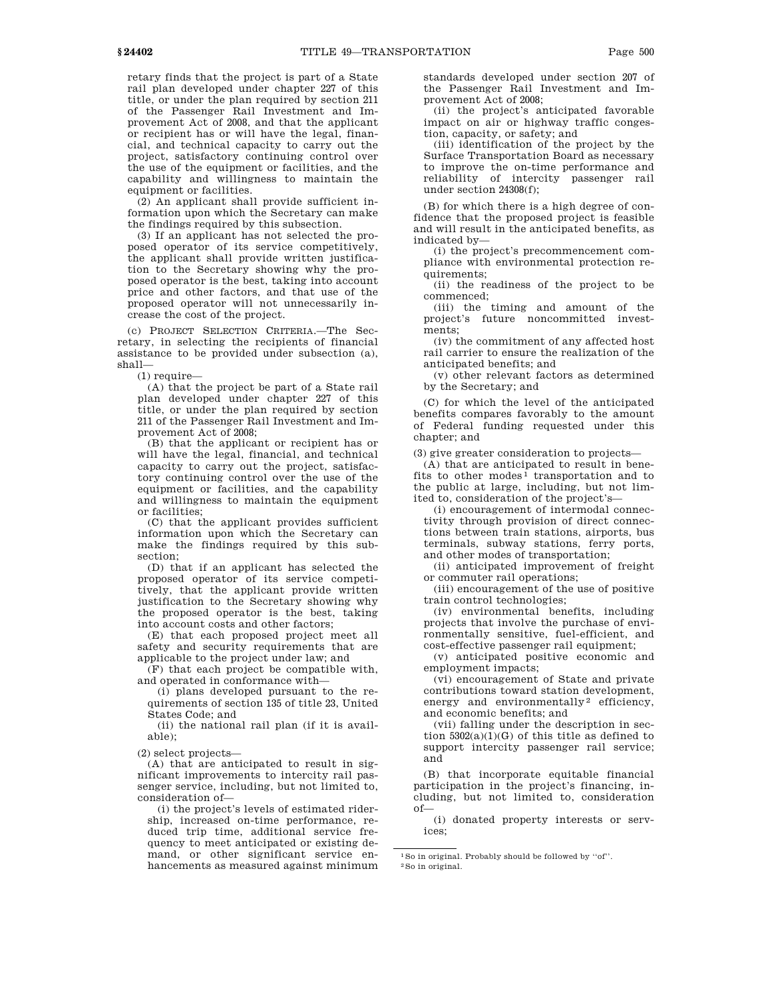retary finds that the project is part of a State rail plan developed under chapter 227 of this title, or under the plan required by section 211 of the Passenger Rail Investment and Improvement Act of 2008, and that the applicant or recipient has or will have the legal, financial, and technical capacity to carry out the project, satisfactory continuing control over the use of the equipment or facilities, and the capability and willingness to maintain the equipment or facilities.

(2) An applicant shall provide sufficient information upon which the Secretary can make the findings required by this subsection.

(3) If an applicant has not selected the proposed operator of its service competitively, the applicant shall provide written justification to the Secretary showing why the proposed operator is the best, taking into account price and other factors, and that use of the proposed operator will not unnecessarily increase the cost of the project.

(c) PROJECT SELECTION CRITERIA.—The Secretary, in selecting the recipients of financial assistance to be provided under subsection (a), shall—

(1) require—

(A) that the project be part of a State rail plan developed under chapter 227 of this title, or under the plan required by section 211 of the Passenger Rail Investment and Improvement Act of 2008;

(B) that the applicant or recipient has or will have the legal, financial, and technical capacity to carry out the project, satisfactory continuing control over the use of the equipment or facilities, and the capability and willingness to maintain the equipment or facilities;

(C) that the applicant provides sufficient information upon which the Secretary can make the findings required by this subsection;

(D) that if an applicant has selected the proposed operator of its service competitively, that the applicant provide written justification to the Secretary showing why the proposed operator is the best, taking into account costs and other factors;

(E) that each proposed project meet all safety and security requirements that are applicable to the project under law; and

(F) that each project be compatible with, and operated in conformance with—

(i) plans developed pursuant to the requirements of section 135 of title 23, United States Code; and

(ii) the national rail plan (if it is available);

(2) select projects—

(A) that are anticipated to result in significant improvements to intercity rail passenger service, including, but not limited to, consideration of—

(i) the project's levels of estimated ridership, increased on-time performance, reduced trip time, additional service frequency to meet anticipated or existing demand, or other significant service enhancements as measured against minimum standards developed under section 207 of the Passenger Rail Investment and Improvement Act of 2008;

(ii) the project's anticipated favorable impact on air or highway traffic congestion, capacity, or safety; and

(iii) identification of the project by the Surface Transportation Board as necessary to improve the on-time performance and reliability of intercity passenger rail under section 24308(f);

(B) for which there is a high degree of confidence that the proposed project is feasible and will result in the anticipated benefits, as indicated by—

(i) the project's precommencement compliance with environmental protection requirements;

(ii) the readiness of the project to be commenced;

(iii) the timing and amount of the project's future noncommitted investments;

(iv) the commitment of any affected host rail carrier to ensure the realization of the anticipated benefits; and

(v) other relevant factors as determined by the Secretary; and

(C) for which the level of the anticipated benefits compares favorably to the amount of Federal funding requested under this chapter; and

(3) give greater consideration to projects—

(A) that are anticipated to result in benefits to other modes<sup>1</sup> transportation and to the public at large, including, but not limited to, consideration of the project's—

(i) encouragement of intermodal connectivity through provision of direct connections between train stations, airports, bus terminals, subway stations, ferry ports, and other modes of transportation;

(ii) anticipated improvement of freight or commuter rail operations;

(iii) encouragement of the use of positive train control technologies;

(iv) environmental benefits, including projects that involve the purchase of environmentally sensitive, fuel-efficient, and cost-effective passenger rail equipment;

(v) anticipated positive economic and employment impacts;

(vi) encouragement of State and private contributions toward station development, energy and environmentally<sup>2</sup> efficiency, and economic benefits; and

(vii) falling under the description in section  $5302(a)(1)(G)$  of this title as defined to support intercity passenger rail service; and

(B) that incorporate equitable financial participation in the project's financing, including, but not limited to, consideration of—

(i) donated property interests or services;

<sup>1</sup>So in original. Probably should be followed by ''of''. 2So in original.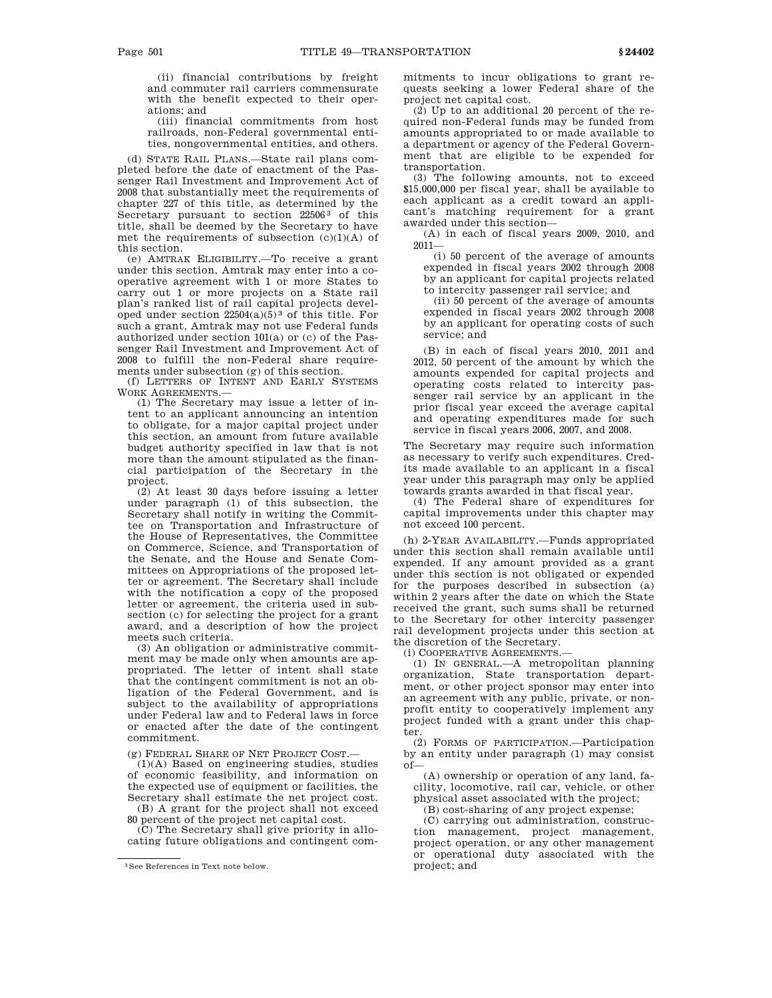(ii) financial contributions by freight and commuter rail carriers commensurate with the benefit expected to their operations; and

(iii) financial commitments from host railroads, non-Federal governmental entities, nongovernmental entities, and others.

(d) STATE RAIL PLANS.—State rail plans completed before the date of enactment of the Passenger Rail Investment and Improvement Act of 2008 that substantially meet the requirements of chapter 227 of this title, as determined by the Secretary pursuant to section 22506<sup>3</sup> of this title, shall be deemed by the Secretary to have met the requirements of subsection  $(c)(1)(A)$  of this section.

(e) AMTRAK ELIGIBILITY.—To receive a grant under this section, Amtrak may enter into a cooperative agreement with 1 or more States to carry out 1 or more projects on a State rail plan's ranked list of rail capital projects developed under section  $22504(a)(5)^3$  of this title. For such a grant, Amtrak may not use Federal funds authorized under section 101(a) or (c) of the Passenger Rail Investment and Improvement Act of 2008 to fulfill the non-Federal share requirements under subsection (g) of this section.

(f) LETTERS OF INTENT AND EARLY SYSTEMS WORK AGREEMENTS.—

(1) The Secretary may issue a letter of intent to an applicant announcing an intention to obligate, for a major capital project under this section, an amount from future available budget authority specified in law that is not more than the amount stipulated as the financial participation of the Secretary in the project.

(2) At least 30 days before issuing a letter under paragraph (1) of this subsection, the Secretary shall notify in writing the Committee on Transportation and Infrastructure of the House of Representatives, the Committee on Commerce, Science, and Transportation of the Senate, and the House and Senate Committees on Appropriations of the proposed letter or agreement. The Secretary shall include with the notification a copy of the proposed letter or agreement, the criteria used in subsection (c) for selecting the project for a grant award, and a description of how the project meets such criteria.

(3) An obligation or administrative commitment may be made only when amounts are appropriated. The letter of intent shall state that the contingent commitment is not an obligation of the Federal Government, and is subject to the availability of appropriations under Federal law and to Federal laws in force or enacted after the date of the contingent commitment.

(g) FEDERAL SHARE OF NET PROJECT COST.—

(1)(A) Based on engineering studies, studies of economic feasibility, and information on the expected use of equipment or facilities, the Secretary shall estimate the net project cost.

(B) A grant for the project shall not exceed 80 percent of the project net capital cost.

(C) The Secretary shall give priority in allocating future obligations and contingent commitments to incur obligations to grant requests seeking a lower Federal share of the project net capital cost.

(2) Up to an additional 20 percent of the required non-Federal funds may be funded from amounts appropriated to or made available to a department or agency of the Federal Government that are eligible to be expended for transportation.

(3) The following amounts, not to exceed \$15,000,000 per fiscal year, shall be available to each applicant as a credit toward an applicant's matching requirement for a grant awarded under this section—

(A) in each of fiscal years 2009, 2010, and 2011—

(i) 50 percent of the average of amounts expended in fiscal years 2002 through 2008 by an applicant for capital projects related to intercity passenger rail service; and

(ii) 50 percent of the average of amounts expended in fiscal years 2002 through 2008 by an applicant for operating costs of such service; and

(B) in each of fiscal years 2010, 2011 and 2012, 50 percent of the amount by which the amounts expended for capital projects and operating costs related to intercity passenger rail service by an applicant in the prior fiscal year exceed the average capital and operating expenditures made for such service in fiscal years 2006, 2007, and 2008.

The Secretary may require such information as necessary to verify such expenditures. Credits made available to an applicant in a fiscal year under this paragraph may only be applied towards grants awarded in that fiscal year.

(4) The Federal share of expenditures for capital improvements under this chapter may not exceed 100 percent.

(h) 2-YEAR AVAILABILITY.—Funds appropriated under this section shall remain available until expended. If any amount provided as a grant under this section is not obligated or expended for the purposes described in subsection (a) within 2 years after the date on which the State received the grant, such sums shall be returned to the Secretary for other intercity passenger rail development projects under this section at the discretion of the Secretary.

(i) COOPERATIVE AGREEMENTS.—

(1) IN GENERAL.—A metropolitan planning organization, State transportation department, or other project sponsor may enter into an agreement with any public, private, or nonprofit entity to cooperatively implement any project funded with a grant under this chapter.

(2) FORMS OF PARTICIPATION.—Participation by an entity under paragraph (1) may consist of—

(A) ownership or operation of any land, facility, locomotive, rail car, vehicle, or other physical asset associated with the project;

(B) cost-sharing of any project expense;

(C) carrying out administration, construction management, project management, project operation, or any other management or operational duty associated with the project; and

<sup>3</sup>See References in Text note below.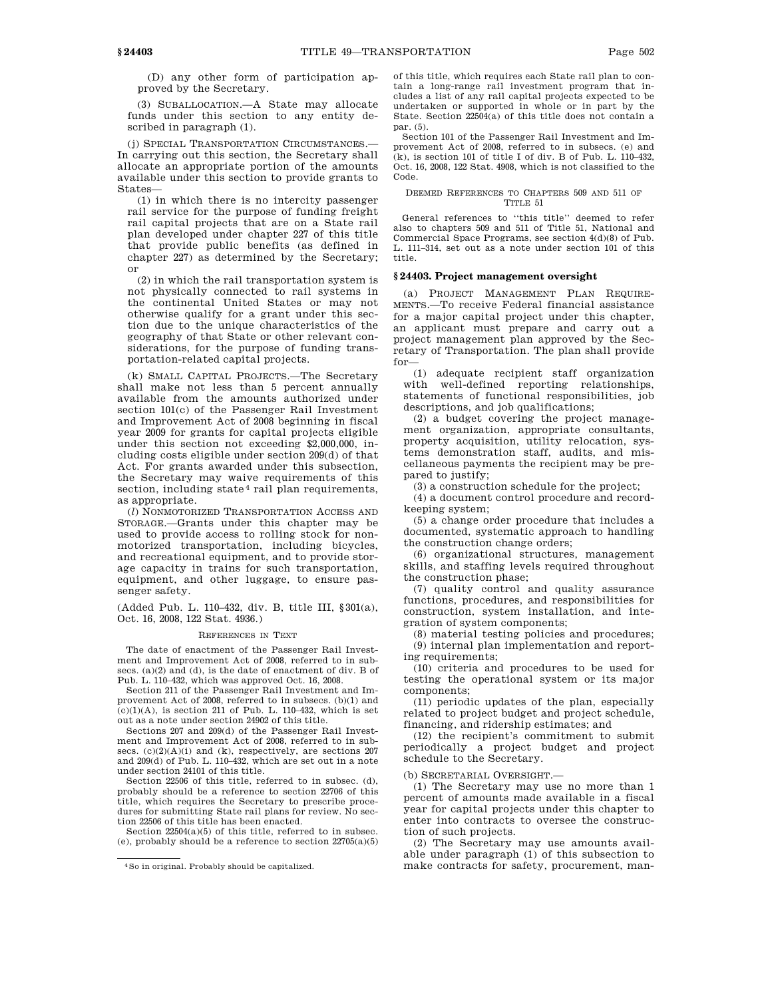(D) any other form of participation approved by the Secretary.

(3) SUBALLOCATION.—A State may allocate funds under this section to any entity described in paragraph (1).

(j) SPECIAL TRANSPORTATION CIRCUMSTANCES.— In carrying out this section, the Secretary shall allocate an appropriate portion of the amounts available under this section to provide grants to States—

(1) in which there is no intercity passenger rail service for the purpose of funding freight rail capital projects that are on a State rail plan developed under chapter 227 of this title that provide public benefits (as defined in chapter 227) as determined by the Secretary; or

(2) in which the rail transportation system is not physically connected to rail systems in the continental United States or may not otherwise qualify for a grant under this section due to the unique characteristics of the geography of that State or other relevant considerations, for the purpose of funding transportation-related capital projects.

(k) SMALL CAPITAL PROJECTS.—The Secretary shall make not less than 5 percent annually available from the amounts authorized under section 101(c) of the Passenger Rail Investment and Improvement Act of 2008 beginning in fiscal year 2009 for grants for capital projects eligible under this section not exceeding \$2,000,000, including costs eligible under section 209(d) of that Act. For grants awarded under this subsection, the Secretary may waive requirements of this section, including state<sup>4</sup> rail plan requirements, as appropriate.

(*l*) NONMOTORIZED TRANSPORTATION ACCESS AND STORAGE.—Grants under this chapter may be used to provide access to rolling stock for nonmotorized transportation, including bicycles, and recreational equipment, and to provide storage capacity in trains for such transportation, equipment, and other luggage, to ensure passenger safety.

(Added Pub. L. 110–432, div. B, title III, §301(a), Oct. 16, 2008, 122 Stat. 4936.)

#### REFERENCES IN TEXT

The date of enactment of the Passenger Rail Investment and Improvement Act of 2008, referred to in subsecs. (a)(2) and (d), is the date of enactment of div. B of Pub. L. 110–432, which was approved Oct. 16, 2008.

Section 211 of the Passenger Rail Investment and Improvement Act of 2008, referred to in subsecs. (b)(1) and  $(c)(1)(A)$ , is section 211 of Pub. L. 110–432, which is set out as a note under section 24902 of this title.

Sections 207 and 209(d) of the Passenger Rail Investment and Improvement Act of 2008, referred to in subsecs.  $(c)(2)(A)(i)$  and  $(k)$ , respectively, are sections 207 and 209(d) of Pub. L. 110–432, which are set out in a note under section 24101 of this title.

Section 22506 of this title, referred to in subsec. (d), probably should be a reference to section 22706 of this title, which requires the Secretary to prescribe procedures for submitting State rail plans for review. No section 22506 of this title has been enacted.

Section 22504(a)(5) of this title, referred to in subsec. (e), probably should be a reference to section 22705(a)(5) of this title, which requires each State rail plan to contain a long-range rail investment program that includes a list of any rail capital projects expected to be undertaken or supported in whole or in part by the State. Section 22504(a) of this title does not contain a par. (5).

Section 101 of the Passenger Rail Investment and Improvement Act of 2008, referred to in subsecs. (e) and (k), is section 101 of title I of div. B of Pub. L. 110–432, Oct. 16, 2008, 122 Stat. 4908, which is not classified to the Code.

## DEEMED REFERENCES TO CHAPTERS 509 AND 511 OF TITLE 51

General references to ''this title'' deemed to refer also to chapters 509 and 511 of Title 51, National and Commercial Space Programs, see section 4(d)(8) of Pub. L. 111–314, set out as a note under section 101 of this title.

## **§ 24403. Project management oversight**

(a) PROJECT MANAGEMENT PLAN REQUIRE-MENTS.—To receive Federal financial assistance for a major capital project under this chapter, an applicant must prepare and carry out a project management plan approved by the Secretary of Transportation. The plan shall provide for—

(1) adequate recipient staff organization with well-defined reporting relationships, statements of functional responsibilities, job descriptions, and job qualifications;

(2) a budget covering the project management organization, appropriate consultants, property acquisition, utility relocation, systems demonstration staff, audits, and miscellaneous payments the recipient may be prepared to justify;

(3) a construction schedule for the project;

(4) a document control procedure and recordkeeping system;

(5) a change order procedure that includes a documented, systematic approach to handling the construction change orders;

(6) organizational structures, management skills, and staffing levels required throughout the construction phase;

(7) quality control and quality assurance functions, procedures, and responsibilities for construction, system installation, and integration of system components;

(8) material testing policies and procedures; (9) internal plan implementation and reporting requirements;

(10) criteria and procedures to be used for testing the operational system or its major components;

(11) periodic updates of the plan, especially related to project budget and project schedule, financing, and ridership estimates; and

(12) the recipient's commitment to submit periodically a project budget and project schedule to the Secretary.

## (b) SECRETARIAL OVERSIGHT.—

(1) The Secretary may use no more than 1 percent of amounts made available in a fiscal year for capital projects under this chapter to enter into contracts to oversee the construction of such projects.

(2) The Secretary may use amounts available under paragraph (1) of this subsection to make contracts for safety, procurement, man-

<sup>4</sup>So in original. Probably should be capitalized.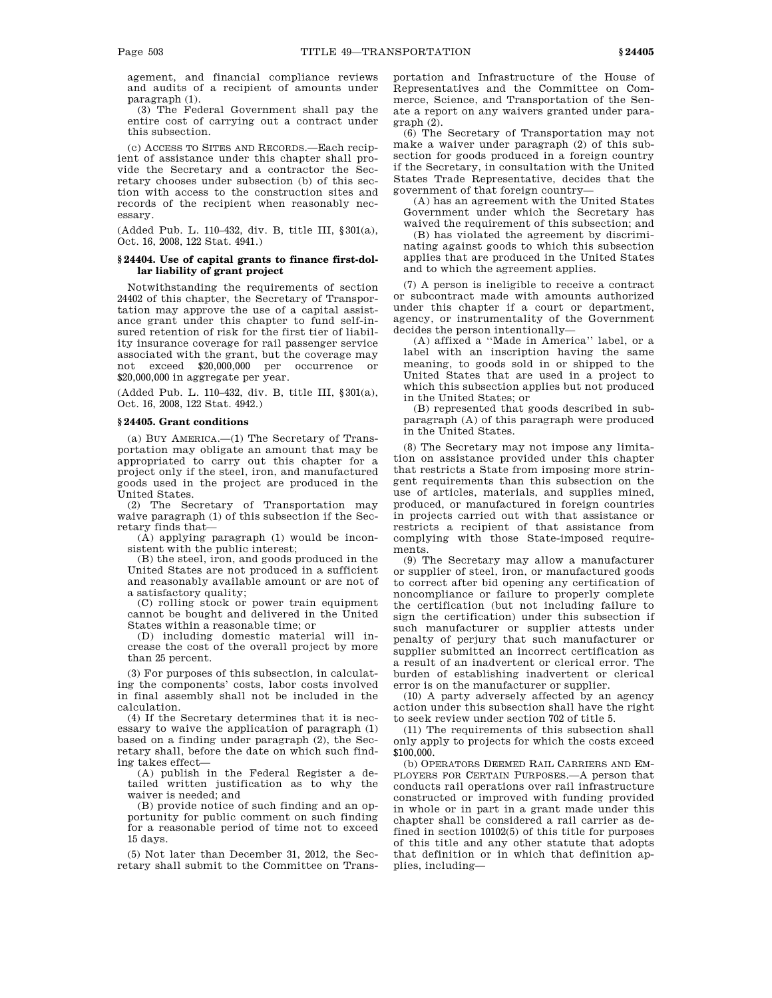agement, and financial compliance reviews and audits of a recipient of amounts under paragraph (1).

(3) The Federal Government shall pay the entire cost of carrying out a contract under this subsection.

(c) ACCESS TO SITES AND RECORDS.—Each recipient of assistance under this chapter shall provide the Secretary and a contractor the Secretary chooses under subsection (b) of this section with access to the construction sites and records of the recipient when reasonably necessary.

(Added Pub. L. 110–432, div. B, title III, §301(a), Oct. 16, 2008, 122 Stat. 4941.)

# **§ 24404. Use of capital grants to finance first-dollar liability of grant project**

Notwithstanding the requirements of section 24402 of this chapter, the Secretary of Transportation may approve the use of a capital assistance grant under this chapter to fund self-insured retention of risk for the first tier of liability insurance coverage for rail passenger service associated with the grant, but the coverage may not exceed \$20,000,000 per occurrence or \$20,000,000 in aggregate per year.

(Added Pub. L. 110–432, div. B, title III, §301(a), Oct. 16, 2008, 122 Stat. 4942.)

## **§ 24405. Grant conditions**

(a) BUY AMERICA.—(1) The Secretary of Transportation may obligate an amount that may be appropriated to carry out this chapter for a project only if the steel, iron, and manufactured goods used in the project are produced in the United States.

(2) The Secretary of Transportation may waive paragraph (1) of this subsection if the Secretary finds that—

(A) applying paragraph (1) would be inconsistent with the public interest;

(B) the steel, iron, and goods produced in the United States are not produced in a sufficient and reasonably available amount or are not of a satisfactory quality;

(C) rolling stock or power train equipment cannot be bought and delivered in the United States within a reasonable time; or

(D) including domestic material will increase the cost of the overall project by more than 25 percent.

(3) For purposes of this subsection, in calculating the components' costs, labor costs involved in final assembly shall not be included in the calculation.

(4) If the Secretary determines that it is necessary to waive the application of paragraph (1) based on a finding under paragraph (2), the Secretary shall, before the date on which such finding takes effect—

(A) publish in the Federal Register a detailed written justification as to why the waiver is needed; and

(B) provide notice of such finding and an opportunity for public comment on such finding for a reasonable period of time not to exceed 15 days.

(5) Not later than December 31, 2012, the Secretary shall submit to the Committee on Transportation and Infrastructure of the House of Representatives and the Committee on Commerce, Science, and Transportation of the Senate a report on any waivers granted under paragraph (2).

(6) The Secretary of Transportation may not make a waiver under paragraph (2) of this subsection for goods produced in a foreign country if the Secretary, in consultation with the United States Trade Representative, decides that the government of that foreign country—

(A) has an agreement with the United States Government under which the Secretary has waived the requirement of this subsection; and

(B) has violated the agreement by discriminating against goods to which this subsection applies that are produced in the United States and to which the agreement applies.

(7) A person is ineligible to receive a contract or subcontract made with amounts authorized under this chapter if a court or department, agency, or instrumentality of the Government decides the person intentionally—

(A) affixed a ''Made in America'' label, or a label with an inscription having the same meaning, to goods sold in or shipped to the United States that are used in a project to which this subsection applies but not produced in the United States; or

(B) represented that goods described in subparagraph (A) of this paragraph were produced in the United States.

(8) The Secretary may not impose any limitation on assistance provided under this chapter that restricts a State from imposing more stringent requirements than this subsection on the use of articles, materials, and supplies mined, produced, or manufactured in foreign countries in projects carried out with that assistance or restricts a recipient of that assistance from complying with those State-imposed requirements.

(9) The Secretary may allow a manufacturer or supplier of steel, iron, or manufactured goods to correct after bid opening any certification of noncompliance or failure to properly complete the certification (but not including failure to sign the certification) under this subsection if such manufacturer or supplier attests under penalty of perjury that such manufacturer or supplier submitted an incorrect certification as a result of an inadvertent or clerical error. The burden of establishing inadvertent or clerical error is on the manufacturer or supplier.

(10) A party adversely affected by an agency action under this subsection shall have the right to seek review under section 702 of title 5.

(11) The requirements of this subsection shall only apply to projects for which the costs exceed \$100,000.

(b) OPERATORS DEEMED RAIL CARRIERS AND EM-PLOYERS FOR CERTAIN PURPOSES.—A person that conducts rail operations over rail infrastructure constructed or improved with funding provided in whole or in part in a grant made under this chapter shall be considered a rail carrier as defined in section 10102(5) of this title for purposes of this title and any other statute that adopts that definition or in which that definition applies, including—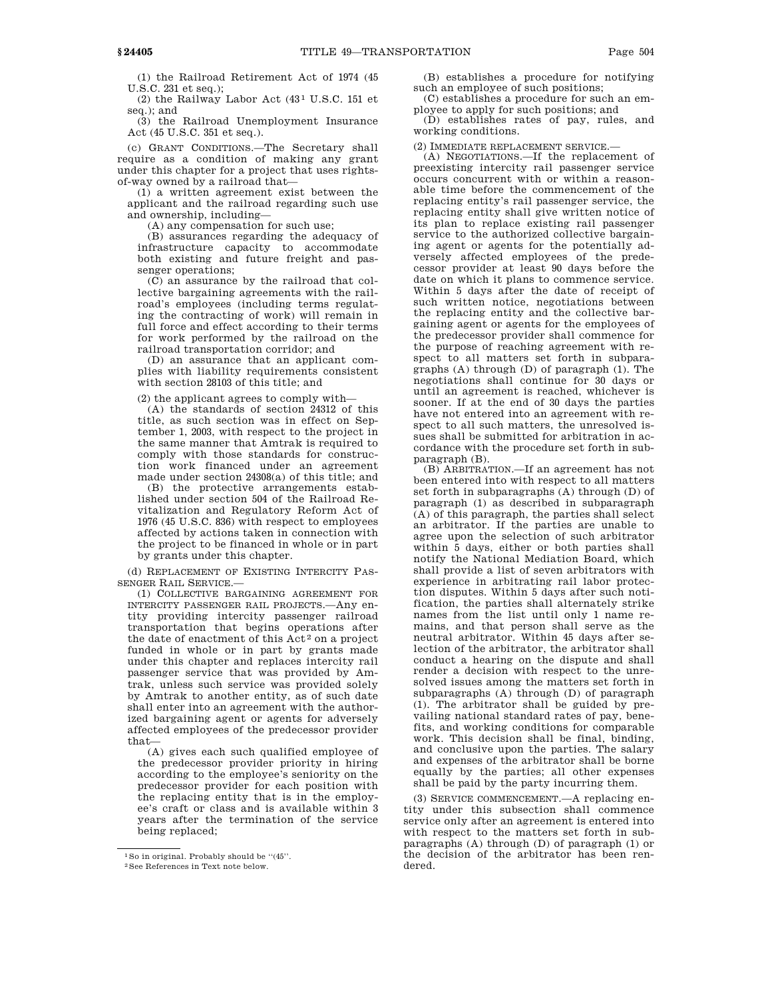(1) the Railroad Retirement Act of 1974 (45 U.S.C. 231 et seq.);

(2) the Railway Labor Act  $(43^1$  U.S.C. 151 et seq.); and

(3) the Railroad Unemployment Insurance Act (45 U.S.C. 351 et seq.).

(c) GRANT CONDITIONS.—The Secretary shall require as a condition of making any grant under this chapter for a project that uses rightsof-way owned by a railroad that—

(1) a written agreement exist between the applicant and the railroad regarding such use and ownership, including—

(A) any compensation for such use;

(B) assurances regarding the adequacy of infrastructure capacity to accommodate both existing and future freight and passenger operations;

(C) an assurance by the railroad that collective bargaining agreements with the railroad's employees (including terms regulating the contracting of work) will remain in full force and effect according to their terms for work performed by the railroad on the railroad transportation corridor; and

(D) an assurance that an applicant complies with liability requirements consistent with section 28103 of this title; and

(2) the applicant agrees to comply with—

(A) the standards of section 24312 of this title, as such section was in effect on September 1, 2003, with respect to the project in the same manner that Amtrak is required to comply with those standards for construction work financed under an agreement made under section 24308(a) of this title; and

(B) the protective arrangements established under section 504 of the Railroad Revitalization and Regulatory Reform Act of 1976 (45 U.S.C. 836) with respect to employees affected by actions taken in connection with the project to be financed in whole or in part by grants under this chapter.

(d) REPLACEMENT OF EXISTING INTERCITY PAS-SENGER RAIL SERVICE.—

(1) COLLECTIVE BARGAINING AGREEMENT FOR INTERCITY PASSENGER RAIL PROJECTS.—Any entity providing intercity passenger railroad transportation that begins operations after the date of enactment of this Act<sup>2</sup> on a project funded in whole or in part by grants made under this chapter and replaces intercity rail passenger service that was provided by Amtrak, unless such service was provided solely by Amtrak to another entity, as of such date shall enter into an agreement with the authorized bargaining agent or agents for adversely affected employees of the predecessor provider that—

(A) gives each such qualified employee of the predecessor provider priority in hiring according to the employee's seniority on the predecessor provider for each position with the replacing entity that is in the employee's craft or class and is available within 3 years after the termination of the service being replaced;

(B) establishes a procedure for notifying such an employee of such positions;

(C) establishes a procedure for such an employee to apply for such positions; and

(D) establishes rates of pay, rules, and working conditions.

(2) IMMEDIATE REPLACEMENT SERVICE.—

(A) NEGOTIATIONS.—If the replacement of preexisting intercity rail passenger service occurs concurrent with or within a reasonable time before the commencement of the replacing entity's rail passenger service, the replacing entity shall give written notice of its plan to replace existing rail passenger service to the authorized collective bargaining agent or agents for the potentially adversely affected employees of the predecessor provider at least 90 days before the date on which it plans to commence service. Within 5 days after the date of receipt of such written notice, negotiations between the replacing entity and the collective bargaining agent or agents for the employees of the predecessor provider shall commence for the purpose of reaching agreement with respect to all matters set forth in subparagraphs (A) through (D) of paragraph (1). The negotiations shall continue for 30 days or until an agreement is reached, whichever is sooner. If at the end of 30 days the parties have not entered into an agreement with respect to all such matters, the unresolved issues shall be submitted for arbitration in accordance with the procedure set forth in subparagraph (B).

(B) ARBITRATION.—If an agreement has not been entered into with respect to all matters set forth in subparagraphs (A) through (D) of paragraph (1) as described in subparagraph (A) of this paragraph, the parties shall select an arbitrator. If the parties are unable to agree upon the selection of such arbitrator within 5 days, either or both parties shall notify the National Mediation Board, which shall provide a list of seven arbitrators with experience in arbitrating rail labor protection disputes. Within 5 days after such notification, the parties shall alternately strike names from the list until only 1 name remains, and that person shall serve as the neutral arbitrator. Within 45 days after selection of the arbitrator, the arbitrator shall conduct a hearing on the dispute and shall render a decision with respect to the unresolved issues among the matters set forth in subparagraphs (A) through (D) of paragraph (1). The arbitrator shall be guided by prevailing national standard rates of pay, benefits, and working conditions for comparable work. This decision shall be final, binding, and conclusive upon the parties. The salary and expenses of the arbitrator shall be borne equally by the parties; all other expenses shall be paid by the party incurring them.

(3) SERVICE COMMENCEMENT.—A replacing entity under this subsection shall commence service only after an agreement is entered into with respect to the matters set forth in subparagraphs (A) through (D) of paragraph (1) or the decision of the arbitrator has been rendered.

<sup>1</sup>So in original. Probably should be ''(45''.

<sup>2</sup>See References in Text note below.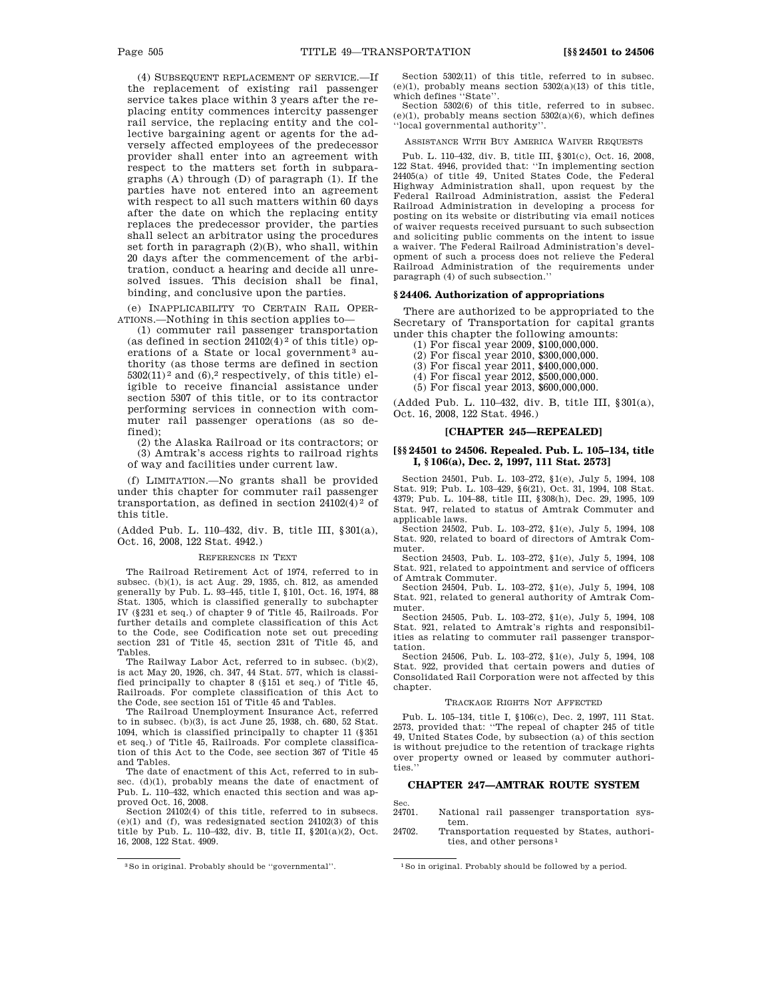(4) SUBSEQUENT REPLACEMENT OF SERVICE.—If the replacement of existing rail passenger service takes place within 3 years after the replacing entity commences intercity passenger rail service, the replacing entity and the collective bargaining agent or agents for the adversely affected employees of the predecessor provider shall enter into an agreement with respect to the matters set forth in subparagraphs (A) through (D) of paragraph (1). If the parties have not entered into an agreement with respect to all such matters within 60 days after the date on which the replacing entity replaces the predecessor provider, the parties shall select an arbitrator using the procedures set forth in paragraph (2)(B), who shall, within 20 days after the commencement of the arbitration, conduct a hearing and decide all unresolved issues. This decision shall be final, binding, and conclusive upon the parties.

(e) INAPPLICABILITY TO CERTAIN RAIL OPER-ATIONS.—Nothing in this section applies to—

(1) commuter rail passenger transportation (as defined in section  $24102(4)^2$  of this title) operations of a State or local government<sup>3</sup> authority (as those terms are defined in section  $5302(11)<sup>2</sup>$  and  $(6)<sup>2</sup>$  respectively, of this title) eligible to receive financial assistance under section 5307 of this title, or to its contractor performing services in connection with commuter rail passenger operations (as so defined);

(2) the Alaska Railroad or its contractors; or (3) Amtrak's access rights to railroad rights of way and facilities under current law.

(f) LIMITATION.—No grants shall be provided under this chapter for commuter rail passenger transportation, as defined in section  $24102(4)^2$  of this title.

(Added Pub. L. 110–432, div. B, title III, §301(a), Oct. 16, 2008, 122 Stat. 4942.)

#### REFERENCES IN TEXT

The Railroad Retirement Act of 1974, referred to in subsec. (b)(1), is act Aug. 29, 1935, ch. 812, as amended generally by Pub. L. 93–445, title I, §101, Oct. 16, 1974, 88 Stat. 1305, which is classified generally to subchapter IV (§231 et seq.) of chapter 9 of Title 45, Railroads. For further details and complete classification of this Act to the Code, see Codification note set out preceding section 231 of Title 45, section 231t of Title 45, and Tables.

The Railway Labor Act, referred to in subsec. (b)(2), is act May 20, 1926, ch. 347, 44 Stat. 577, which is classified principally to chapter 8 (§151 et seq.) of Title 45, Railroads. For complete classification of this Act to the Code, see section 151 of Title 45 and Tables.

The Railroad Unemployment Insurance Act, referred to in subsec. (b)(3), is act June 25, 1938, ch. 680, 52 Stat. 1094, which is classified principally to chapter 11 (§351 et seq.) of Title 45, Railroads. For complete classification of this Act to the Code, see section 367 of Title 45 and Tables.

The date of enactment of this Act, referred to in subsec. (d)(1), probably means the date of enactment of Pub. L. 110–432, which enacted this section and was approved Oct. 16, 2008.

Section 24102(4) of this title, referred to in subsecs. (e)(1) and (f), was redesignated section 24102(3) of this title by Pub. L. 110–432, div. B, title II, §201(a)(2), Oct. 16, 2008, 122 Stat. 4909.

Section 5302(11) of this title, referred to in subsec. (e)(1), probably means section 5302(a)(13) of this title, which defines "State".

Section 5302(6) of this title, referred to in subsec.  $(e)(1)$ , probably means section  $5302(a)(6)$ , which defines ''local governmental authority''.

#### ASSISTANCE WITH BUY AMERICA WAIVER REQUESTS

Pub. L. 110–432, div. B, title III, §301(c), Oct. 16, 2008, 122 Stat. 4946, provided that: ''In implementing section 24405(a) of title 49, United States Code, the Federal Highway Administration shall, upon request by the Federal Railroad Administration, assist the Federal Railroad Administration in developing a process for posting on its website or distributing via email notices of waiver requests received pursuant to such subsection and soliciting public comments on the intent to issue a waiver. The Federal Railroad Administration's development of such a process does not relieve the Federal Railroad Administration of the requirements under paragraph (4) of such subsection.

#### **§ 24406. Authorization of appropriations**

There are authorized to be appropriated to the Secretary of Transportation for capital grants under this chapter the following amounts:

(1) For fiscal year 2009, \$100,000,000.

(2) For fiscal year 2010, \$300,000,000.

(3) For fiscal year 2011, \$400,000,000.

(4) For fiscal year 2012, \$500,000,000.

(5) For fiscal year 2013, \$600,000,000.

(Added Pub. L. 110–432, div. B, title III, §301(a), Oct. 16, 2008, 122 Stat. 4946.)

## **[CHAPTER 245—REPEALED]**

## **[§§ 24501 to 24506. Repealed. Pub. L. 105–134, title I, § 106(a), Dec. 2, 1997, 111 Stat. 2573]**

Section 24501, Pub. L. 103–272, §1(e), July 5, 1994, 108 Stat. 919; Pub. L. 103–429, §6(21), Oct. 31, 1994, 108 Stat. 4379; Pub. L. 104–88, title III, §308(h), Dec. 29, 1995, 109 Stat. 947, related to status of Amtrak Commuter and applicable laws.

Section 24502, Pub. L. 103–272, §1(e), July 5, 1994, 108 Stat. 920, related to board of directors of Amtrak Commuter.

Section 24503, Pub. L. 103–272, §1(e), July 5, 1994, 108 Stat. 921, related to appointment and service of officers of Amtrak Commuter.

Section 24504, Pub. L. 103–272, §1(e), July 5, 1994, 108 Stat. 921, related to general authority of Amtrak Commuter.

Section 24505, Pub. L. 103–272, §1(e), July 5, 1994, 108 Stat. 921, related to Amtrak's rights and responsibilities as relating to commuter rail passenger transportation.

Section 24506, Pub. L. 103–272, §1(e), July 5, 1994, 108 Stat. 922, provided that certain powers and duties of Consolidated Rail Corporation were not affected by this chapter.

## TRACKAGE RIGHTS NOT AFFECTED

Pub. L. 105–134, title I, §106(c), Dec. 2, 1997, 111 Stat. 2573, provided that: ''The repeal of chapter 245 of title 49, United States Code, by subsection (a) of this section is without prejudice to the retention of trackage rights over property owned or leased by commuter authorities.''

## **CHAPTER 247—AMTRAK ROUTE SYSTEM**

- Sec.<br>24701. National rail passenger transportation system.
- 24702. Transportation requested by States, authorities, and other persons 1

<sup>3</sup>So in original. Probably should be ''governmental''. 1So in original. Probably should be followed by a period.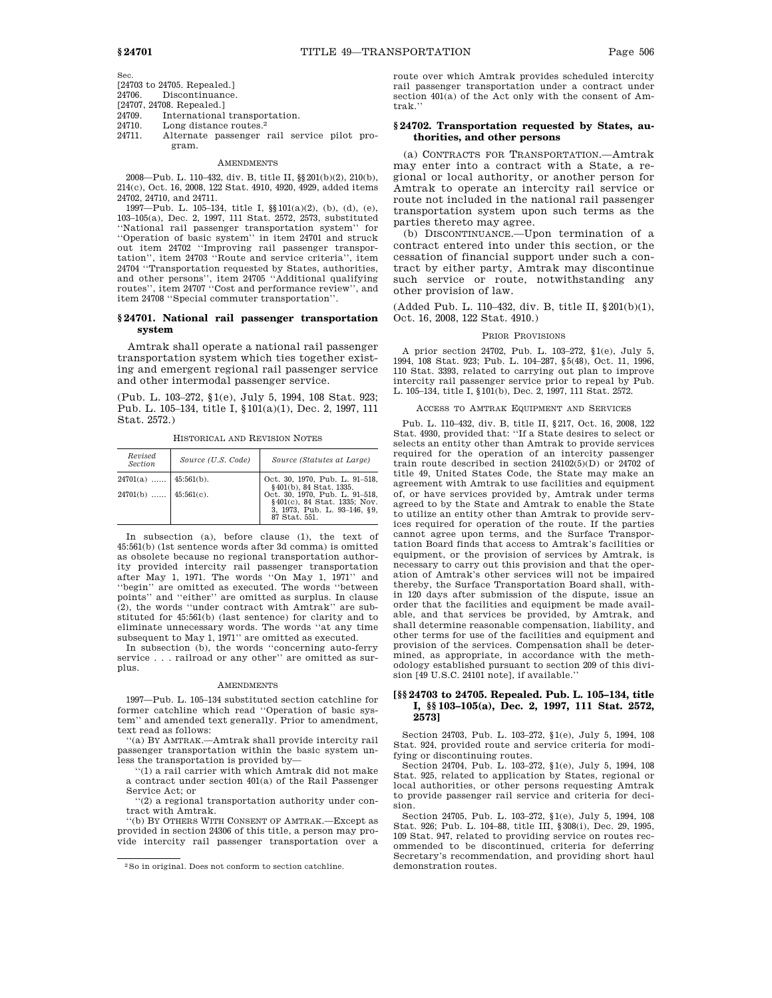Sec.

 $[24703 \text{ to } 24705. \text{ Repeated.}]$ <br> $24706$  Discontinuance

Discontinuance.

[24707, 24708. Repealed.]

24709. International transportation.<br>24710. Long distance routes.<sup>2</sup>

Long distance routes.<sup>2</sup>

24711. Alternate passenger rail service pilot program.

#### **AMENDMENTS**

2008—Pub. L. 110–432, div. B, title II, §§201(b)(2), 210(b), 214(c), Oct. 16, 2008, 122 Stat. 4910, 4920, 4929, added items 24702, 24710, and 24711.

1997—Pub. L. 105–134, title I, §§101(a)(2), (b), (d), (e), 103–105(a), Dec. 2, 1997, 111 Stat. 2572, 2573, substituted ''National rail passenger transportation system'' for ''Operation of basic system'' in item 24701 and struck out item 24702 ''Improving rail passenger transportation'', item 24703 ''Route and service criteria'', item 24704 ''Transportation requested by States, authorities, and other persons'', item 24705 ''Additional qualifying routes'', item 24707 ''Cost and performance review'', and item 24708 ''Special commuter transportation''.

## **§ 24701. National rail passenger transportation system**

Amtrak shall operate a national rail passenger transportation system which ties together existing and emergent regional rail passenger service and other intermodal passenger service.

(Pub. L. 103–272, §1(e), July 5, 1994, 108 Stat. 923; Pub. L. 105–134, title I, §101(a)(1), Dec. 2, 1997, 111 Stat. 2572.)

| Revised<br><b>Section</b> | Source (U.S. Code) | Source (Statutes at Large)                                                                                      |
|---------------------------|--------------------|-----------------------------------------------------------------------------------------------------------------|
| $24701(a)$ 45:561(b).     |                    | Oct. 30, 1970, Pub. L. 91-518,<br>§401(b), 84 Stat. 1335.                                                       |
| $24701(b)$   45:561(c).   |                    | Oct. 30, 1970, Pub. L. 91-518,<br>§401(c), 84 Stat. 1335; Nov.<br>3, 1973, Pub. L. 93-146, §9,<br>87 Stat. 551. |

HISTORICAL AND REVISION NOTES

In subsection (a), before clause (1), the text of 45:561(b) (1st sentence words after 3d comma) is omitted as obsolete because no regional transportation authority provided intercity rail passenger transportation after May 1, 1971. The words ''On May 1, 1971'' and ''begin'' are omitted as executed. The words ''between points'' and ''either'' are omitted as surplus. In clause (2), the words ''under contract with Amtrak'' are substituted for 45:561(b) (last sentence) for clarity and to eliminate unnecessary words. The words ''at any time subsequent to May 1, 1971'' are omitted as executed.

In subsection (b), the words ''concerning auto-ferry service . . . railroad or any other'' are omitted as surplus.

#### AMENDMENTS

1997—Pub. L. 105–134 substituted section catchline for former catchline which read ''Operation of basic system'' and amended text generally. Prior to amendment, text read as follows:

''(a) BY AMTRAK.—Amtrak shall provide intercity rail passenger transportation within the basic system unless the transportation is provided by—

''(1) a rail carrier with which Amtrak did not make a contract under section 401(a) of the Rail Passenger Service Act; or

''(2) a regional transportation authority under contract with Amtrak.

''(b) BY OTHERS WITH CONSENT OF AMTRAK.—Except as provided in section 24306 of this title, a person may provide intercity rail passenger transportation over a route over which Amtrak provides scheduled intercity rail passenger transportation under a contract under section 401(a) of the Act only with the consent of Amtrak.''

## **§ 24702. Transportation requested by States, authorities, and other persons**

(a) CONTRACTS FOR TRANSPORTATION.—Amtrak may enter into a contract with a State, a regional or local authority, or another person for Amtrak to operate an intercity rail service or route not included in the national rail passenger transportation system upon such terms as the parties thereto may agree.

(b) DISCONTINUANCE.—Upon termination of a contract entered into under this section, or the cessation of financial support under such a contract by either party, Amtrak may discontinue such service or route, notwithstanding any other provision of law.

(Added Pub. L. 110–432, div. B, title II, §201(b)(1), Oct. 16, 2008, 122 Stat. 4910.)

#### PRIOR PROVISIONS

A prior section 24702, Pub. L. 103–272, §1(e), July 5, 1994, 108 Stat. 923; Pub. L. 104–287, §5(48), Oct. 11, 1996, 110 Stat. 3393, related to carrying out plan to improve intercity rail passenger service prior to repeal by Pub. L. 105–134, title I, §101(b), Dec. 2, 1997, 111 Stat. 2572.

## ACCESS TO AMTRAK EQUIPMENT AND SERVICES

Pub. L. 110–432, div. B, title II, §217, Oct. 16, 2008, 122 Stat. 4930, provided that: ''If a State desires to select or selects an entity other than Amtrak to provide services required for the operation of an intercity passenger train route described in section 24102(5)(D) or 24702 of title 49, United States Code, the State may make an agreement with Amtrak to use facilities and equipment of, or have services provided by, Amtrak under terms agreed to by the State and Amtrak to enable the State to utilize an entity other than Amtrak to provide services required for operation of the route. If the parties cannot agree upon terms, and the Surface Transportation Board finds that access to Amtrak's facilities or equipment, or the provision of services by Amtrak, is necessary to carry out this provision and that the operation of Amtrak's other services will not be impaired thereby, the Surface Transportation Board shall, within 120 days after submission of the dispute, issue an order that the facilities and equipment be made available, and that services be provided, by Amtrak, and shall determine reasonable compensation, liability, and other terms for use of the facilities and equipment and provision of the services. Compensation shall be determined, as appropriate, in accordance with the methodology established pursuant to section 209 of this division [49 U.S.C. 24101 note], if available.''

## **[§§ 24703 to 24705. Repealed. Pub. L. 105–134, title I, §§ 103–105(a), Dec. 2, 1997, 111 Stat. 2572, 2573]**

Section 24703, Pub. L. 103–272, §1(e), July 5, 1994, 108 Stat. 924, provided route and service criteria for modifying or discontinuing routes.

Section 24704, Pub. L. 103–272, §1(e), July 5, 1994, 108 Stat. 925, related to application by States, regional or local authorities, or other persons requesting Amtrak to provide passenger rail service and criteria for decision.

Section 24705, Pub. L. 103–272, §1(e), July 5, 1994, 108 Stat. 926; Pub. L. 104–88, title III, §308(i), Dec. 29, 1995, 109 Stat. 947, related to providing service on routes recommended to be discontinued, criteria for deferring Secretary's recommendation, and providing short haul demonstration routes.

<sup>2</sup>So in original. Does not conform to section catchline.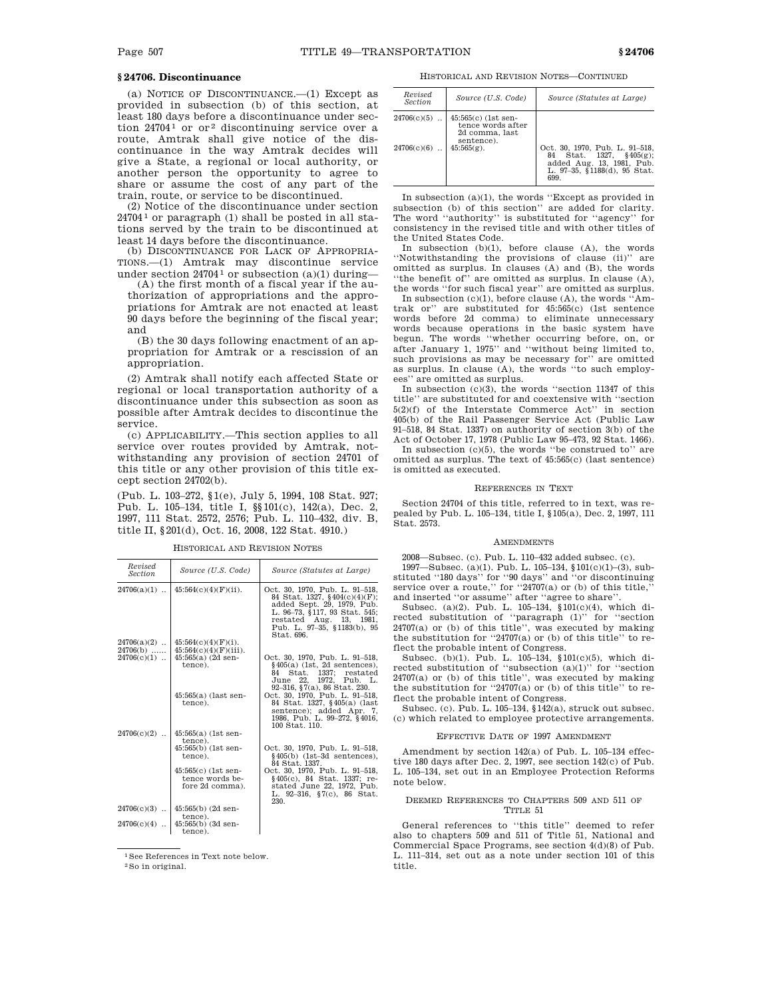# **§ 24706. Discontinuance**

(a) NOTICE OF DISCONTINUANCE.—(1) Except as provided in subsection (b) of this section, at least 180 days before a discontinuance under section  $24704^{\frac{1}{1}}$  or or <sup>2</sup> discontinuing service over a route, Amtrak shall give notice of the discontinuance in the way Amtrak decides will give a State, a regional or local authority, or another person the opportunity to agree to share or assume the cost of any part of the train, route, or service to be discontinued.

(2) Notice of the discontinuance under section  $24704<sup>1</sup>$  or paragraph (1) shall be posted in all stations served by the train to be discontinued at least 14 days before the discontinuance.

(b) DISCONTINUANCE FOR LACK OF APPROPRIA-TIONS.—(1) Amtrak may discontinue service under section 24704<sup>1</sup> or subsection (a)(1) during—

(A) the first month of a fiscal year if the authorization of appropriations and the appropriations for Amtrak are not enacted at least 90 days before the beginning of the fiscal year; and

(B) the 30 days following enactment of an appropriation for Amtrak or a rescission of an appropriation.

(2) Amtrak shall notify each affected State or regional or local transportation authority of a discontinuance under this subsection as soon as possible after Amtrak decides to discontinue the service.

(c) APPLICABILITY.—This section applies to all service over routes provided by Amtrak, notwithstanding any provision of section 24701 of this title or any other provision of this title except section 24702(b).

(Pub. L. 103–272, §1(e), July 5, 1994, 108 Stat. 927; Pub. L. 105–134, title I, §§101(c), 142(a), Dec. 2, 1997, 111 Stat. 2572, 2576; Pub. L. 110–432, div. B, title II, §201(d), Oct. 16, 2008, 122 Stat. 4910.)

| Revised<br><b>Section</b> | Source (U.S. Code)                                        | Source (Statutes at Large)                                                                                                                                                                             |
|---------------------------|-----------------------------------------------------------|--------------------------------------------------------------------------------------------------------------------------------------------------------------------------------------------------------|
| $24706(a)(1)$             | $45:564(c)(4)(F)(ii)$ .                                   | Oct. 30, 1970, Pub. L. 91-518,<br>84 Stat. 1327, §404(c)(4)(F);<br>added Sept. 29, 1979, Pub.<br>L. 96-73, §117, 93 Stat. 545;<br>restated Aug. 13, 1981,<br>Pub. L. 97-35, §1183(b), 95<br>Stat. 696. |
| $24706(a)(2)$             | $45:564(c)(4)(F)(i)$ .                                    |                                                                                                                                                                                                        |
| $24706(b)$                | $45:564(c)(4)(F)(iii)$ .                                  |                                                                                                                                                                                                        |
| $24706(c)(1)$             | $45:565(a)$ (2d sen-<br>tence).                           | Oct. 30, 1970, Pub. L. 91-518,<br>$§405(a)$ (1st, 2d sentences),<br>Stat. 1337:<br>84<br>restated<br>June 22, 1972, Pub. L.<br>92-316, §7(a), 86 Stat. 230.                                            |
|                           | $45:565(a)$ (last sen-<br>tence).                         | Oct. 30, 1970, Pub. L. 91-518,<br>84 Stat. 1327, §405(a) (last<br>sentence); added Apr. 7,<br>1986, Pub. L. 99-272, §4016,<br>100 Stat. 110.                                                           |
| $24706(c)(2)$             | $45:565(a)$ (1st sen-                                     |                                                                                                                                                                                                        |
|                           | tence).<br>45:565(b) (1st sen-<br>tence).                 | Oct. 30, 1970, Pub. L. 91-518,<br>$§405(b)$ (1st-3d sentences),<br>84 Stat. 1337.                                                                                                                      |
|                           | 45:565(c) (1st sen-<br>tence words be-<br>fore 2d comma). | Oct. 30, 1970. Pub. L. 91-518.<br>§405(c), 84 Stat. 1337; re-<br>stated June 22, 1972, Pub.<br>L. 92-316, §7(c), 86 Stat.<br>230.                                                                      |
| $24706(c)(3)$             | $45:565(b)$ (2d sen-<br>tence).                           |                                                                                                                                                                                                        |
| $24706(c)(4)$             | $45:565(b)$ (3d sen-                                      |                                                                                                                                                                                                        |
|                           | tence).                                                   |                                                                                                                                                                                                        |

HISTORICAL AND REVISION NOTES

1See References in Text note below.

2So in original.

HISTORICAL AND REVISION NOTES—CONTINUED

| Revised<br>Section | Source (U.S. Code)                                                         | Source (Statutes at Large)                                                                                                     |
|--------------------|----------------------------------------------------------------------------|--------------------------------------------------------------------------------------------------------------------------------|
| $24706(c)(5)$      | $45:565(c)$ (1st sen-<br>tence words after<br>2d comma. last<br>sentence). |                                                                                                                                |
| $24706(c)(6)$      | $45:565(g)$ .                                                              | Oct. 30, 1970, Pub. L. 91-518,<br>84 Stat. 1327. §405(g):<br>added Aug. 13, 1981, Pub.<br>L. 97-35. §1188(d). 95 Stat.<br>699. |

In subsection (a)(1), the words ''Except as provided in subsection (b) of this section'' are added for clarity. The word ''authority'' is substituted for ''agency'' for consistency in the revised title and with other titles of the United States Code.

In subsection (b)(1), before clause (A), the words ''Notwithstanding the provisions of clause (ii)'' are omitted as surplus. In clauses (A) and (B), the words ''the benefit of'' are omitted as surplus. In clause (A), the words ''for such fiscal year'' are omitted as surplus.

In subsection (c)(1), before clause (A), the words ''Amtrak or'' are substituted for 45:565(c) (1st sentence words before 2d comma) to eliminate unnecessary words because operations in the basic system have begun. The words ''whether occurring before, on, or after January 1, 1975'' and ''without being limited to, such provisions as may be necessary for'' are omitted as surplus. In clause (A), the words ''to such employees'' are omitted as surplus.

In subsection (c)(3), the words ''section 11347 of this title'' are substituted for and coextensive with ''section 5(2)(f) of the Interstate Commerce Act'' in section 405(b) of the Rail Passenger Service Act (Public Law 91–518, 84 Stat. 1337) on authority of section 3(b) of the Act of October 17, 1978 (Public Law 95–473, 92 Stat. 1466).

In subsection  $(c)(5)$ , the words "be construed to" are omitted as surplus. The text of 45:565(c) (last sentence) is omitted as executed.

### REFERENCES IN TEXT

Section 24704 of this title, referred to in text, was repealed by Pub. L. 105–134, title I, §105(a), Dec. 2, 1997, 111 Stat. 2573.

### **AMENDMENTS**

2008—Subsec. (c). Pub. L. 110–432 added subsec. (c). 1997—Subsec. (a)(1). Pub. L. 105–134, §101(c)(1)–(3), sub-

stituted ''180 days'' for ''90 days'' and ''or discontinuing service over a route," for "24707(a) or (b) of this title, and inserted ''or assume'' after ''agree to share''.

Subsec. (a)(2). Pub. L. 105–134, §101(c)(4), which directed substitution of ''paragraph (1)'' for ''section 24707(a) or (b) of this title'', was executed by making the substitution for ''24707(a) or (b) of this title'' to reflect the probable intent of Congress.

Subsec. (b)(1). Pub. L. 105–134, §101(c)(5), which directed substitution of "subsection  $(a)(1)$ " for "section 24707(a) or (b) of this title'', was executed by making the substitution for  $"24707(a)$  or (b) of this title" to reflect the probable intent of Congress.

Subsec. (c). Pub. L. 105–134, §142(a), struck out subsec. (c) which related to employee protective arrangements.

## EFFECTIVE DATE OF 1997 AMENDMENT

Amendment by section 142(a) of Pub. L. 105–134 effective 180 days after Dec. 2, 1997, see section 142(c) of Pub. L. 105–134, set out in an Employee Protection Reforms note below.

### DEEMED REFERENCES TO CHAPTERS 509 AND 511 OF TITLE 51

General references to ''this title'' deemed to refer also to chapters 509 and 511 of Title 51, National and Commercial Space Programs, see section 4(d)(8) of Pub. L. 111–314, set out as a note under section 101 of this title.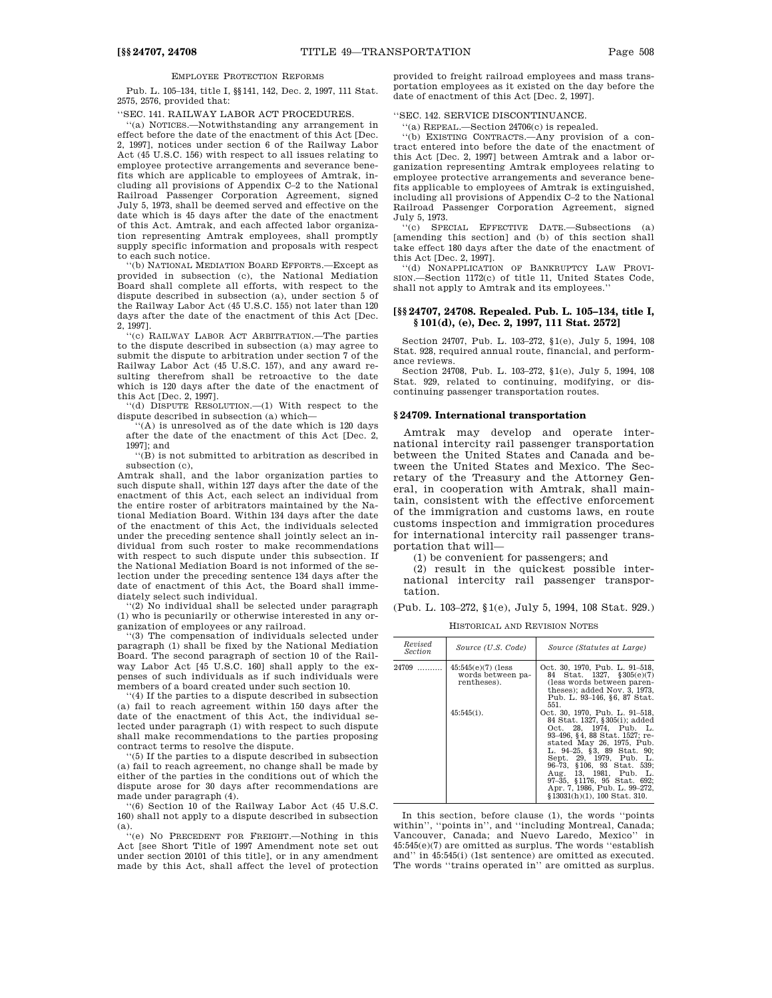EMPLOYEE PROTECTION REFORMS

Pub. L. 105–134, title I, §§141, 142, Dec. 2, 1997, 111 Stat. 2575, 2576, provided that:

''SEC. 141. RAILWAY LABOR ACT PROCEDURES.

''(a) NOTICES.—Notwithstanding any arrangement in effect before the date of the enactment of this Act [Dec. 2, 1997], notices under section 6 of the Railway Labor Act (45 U.S.C. 156) with respect to all issues relating to employee protective arrangements and severance benefits which are applicable to employees of Amtrak, including all provisions of Appendix C–2 to the National Railroad Passenger Corporation Agreement, signed July 5, 1973, shall be deemed served and effective on the date which is 45 days after the date of the enactment of this Act. Amtrak, and each affected labor organization representing Amtrak employees, shall promptly supply specific information and proposals with respect to each such notice.

''(b) NATIONAL MEDIATION BOARD EFFORTS.—Except as provided in subsection (c), the National Mediation Board shall complete all efforts, with respect to the dispute described in subsection (a), under section 5 of the Railway Labor Act (45 U.S.C. 155) not later than 120 days after the date of the enactment of this Act [Dec. 2, 1997].

''(c) RAILWAY LABOR ACT ARBITRATION.—The parties to the dispute described in subsection (a) may agree to submit the dispute to arbitration under section 7 of the Railway Labor Act (45 U.S.C. 157), and any award resulting therefrom shall be retroactive to the date which is 120 days after the date of the enactment of this Act [Dec. 2, 1997].

'(d) DISPUTE RESOLUTION.—(1) With respect to the dispute described in subsection (a) which—

''(A) is unresolved as of the date which is 120 days after the date of the enactment of this Act [Dec. 2, 1997]; and

''(B) is not submitted to arbitration as described in subsection (c),

Amtrak shall, and the labor organization parties to such dispute shall, within 127 days after the date of the enactment of this Act, each select an individual from the entire roster of arbitrators maintained by the National Mediation Board. Within 134 days after the date of the enactment of this Act, the individuals selected under the preceding sentence shall jointly select an individual from such roster to make recommendations with respect to such dispute under this subsection. If the National Mediation Board is not informed of the selection under the preceding sentence 134 days after the date of enactment of this Act, the Board shall immediately select such individual.

'(2) No individual shall be selected under paragraph (1) who is pecuniarily or otherwise interested in any organization of employees or any railroad.

''(3) The compensation of individuals selected under paragraph (1) shall be fixed by the National Mediation Board. The second paragraph of section 10 of the Railway Labor Act [45 U.S.C. 160] shall apply to the expenses of such individuals as if such individuals were members of a board created under such section 10.

''(4) If the parties to a dispute described in subsection (a) fail to reach agreement within 150 days after the date of the enactment of this Act, the individual selected under paragraph (1) with respect to such dispute shall make recommendations to the parties proposing contract terms to resolve the dispute.

'(5) If the parties to a dispute described in subsection (a) fail to reach agreement, no change shall be made by either of the parties in the conditions out of which the dispute arose for 30 days after recommendations are made under paragraph (4).

''(6) Section 10 of the Railway Labor Act (45 U.S.C. 160) shall not apply to a dispute described in subsection

(a). ''(e) NO PRECEDENT FOR FREIGHT.—Nothing in this Act [see Short Title of 1997 Amendment note set out under section 20101 of this title], or in any amendment made by this Act, shall affect the level of protection

provided to freight railroad employees and mass transportation employees as it existed on the day before the date of enactment of this Act [Dec. 2, 1997].

''SEC. 142. SERVICE DISCONTINUANCE.

''(a) REPEAL.—Section 24706(c) is repealed.

''(b) EXISTING CONTRACTS.—Any provision of a contract entered into before the date of the enactment of this Act [Dec. 2, 1997] between Amtrak and a labor organization representing Amtrak employees relating to employee protective arrangements and severance benefits applicable to employees of Amtrak is extinguished, including all provisions of Appendix C–2 to the National Railroad Passenger Corporation Agreement, signed July 5, 1973.

''(c) SPECIAL EFFECTIVE DATE.—Subsections (a) [amending this section] and (b) of this section shall take effect 180 days after the date of the enactment of this Act [Dec. 2, 1997].

''(d) NONAPPLICATION OF BANKRUPTCY LAW PROVI-SION.—Section 1172(c) of title 11, United States Code, shall not apply to Amtrak and its employees.''

### **[§§ 24707, 24708. Repealed. Pub. L. 105–134, title I, § 101(d), (e), Dec. 2, 1997, 111 Stat. 2572]**

Section 24707, Pub. L. 103–272, §1(e), July 5, 1994, 108 Stat. 928, required annual route, financial, and performance reviews.

Section 24708, Pub. L. 103–272, §1(e), July 5, 1994, 108 Stat. 929, related to continuing, modifying, or discontinuing passenger transportation routes.

### **§ 24709. International transportation**

Amtrak may develop and operate international intercity rail passenger transportation between the United States and Canada and between the United States and Mexico. The Secretary of the Treasury and the Attorney General, in cooperation with Amtrak, shall maintain, consistent with the effective enforcement of the immigration and customs laws, en route customs inspection and immigration procedures for international intercity rail passenger transportation that will—

(1) be convenient for passengers; and

(2) result in the quickest possible international intercity rail passenger transportation.

(Pub. L. 103–272, §1(e), July 5, 1994, 108 Stat. 929.)

HISTORICAL AND REVISION NOTES

| Revised<br><i>Section</i> | Source (U.S. Code)                                                        | Source (Statutes at Large)                                                                                                                                                                                                                                                                                                                                                                                                                                                                                                                     |
|---------------------------|---------------------------------------------------------------------------|------------------------------------------------------------------------------------------------------------------------------------------------------------------------------------------------------------------------------------------------------------------------------------------------------------------------------------------------------------------------------------------------------------------------------------------------------------------------------------------------------------------------------------------------|
| 24709                     | $45:545(e)(7)$ (less<br>words between pa-<br>rentheses).<br>$45:545(i)$ . | Oct. 30, 1970, Pub. L. 91–518,<br>84 Stat. 1327, §305(e)(7)<br>(less words between paren-<br>theses); added Nov. 3, 1973.<br>Pub. L. 93-146, §6, 87 Stat.<br>551.<br>Oct. 30, 1970, Pub. L. 91-518,<br>84 Stat. 1327, §305(i); added<br>Oct. 28. 1974. Pub. L.<br>93-496, §4, 88 Stat. 1527; re-<br>stated May 26, 1975, Pub.<br>L. 94-25, §3, 89 Stat. 90;<br>Sept. 29, 1979, Pub. L.<br>96-73, §106, 93 Stat, 539;<br>Aug. 13, 1981, Pub. L.<br>97-35, §1176, 95 Stat. 692;<br>Apr. 7, 1986, Pub. L. 99-272,<br>§13031(h)(1), 100 Stat. 310. |

In this section, before clause (1), the words ''points within'', ''points in'', and ''including Montreal, Canada; Vancouver, Canada; and Nuevo Laredo, Mexico'' in 45:545(e)(7) are omitted as surplus. The words ''establish and" in 45:545(i) (1st sentence) are omitted as executed. The words ''trains operated in'' are omitted as surplus.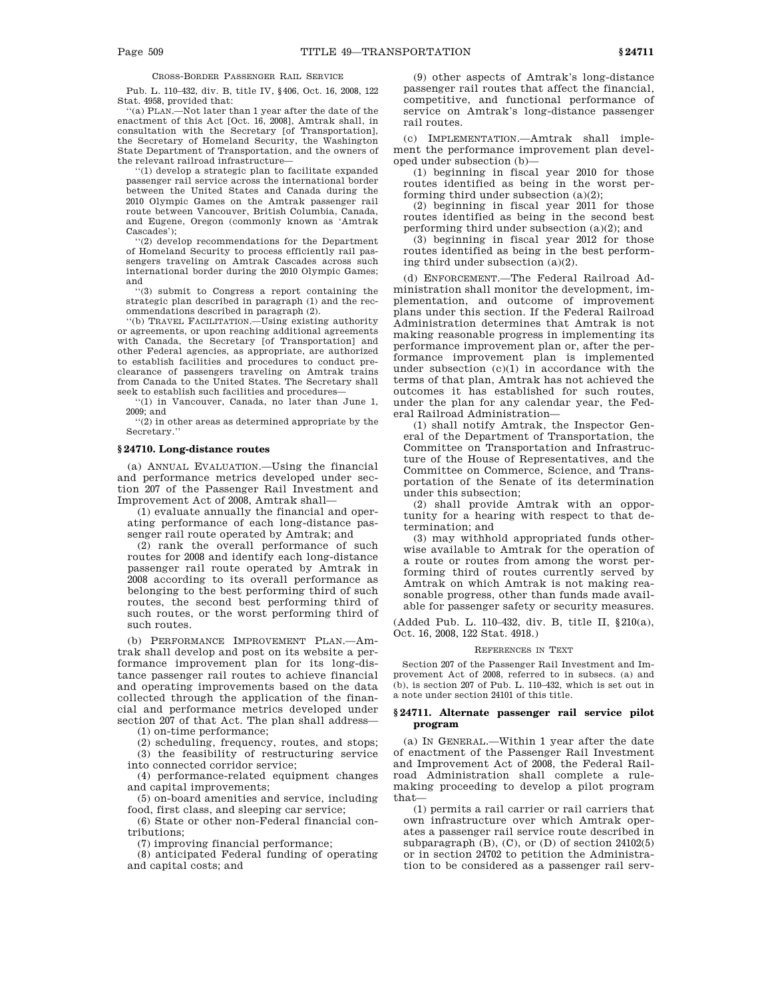CROSS-BORDER PASSENGER RAIL SERVICE

Pub. L. 110–432, div. B, title IV, §406, Oct. 16, 2008, 122 Stat. 4958, provided that:

''(a) PLAN.—Not later than 1 year after the date of the enactment of this Act [Oct. 16, 2008], Amtrak shall, in consultation with the Secretary [of Transportation], the Secretary of Homeland Security, the Washington State Department of Transportation, and the owners of the relevant railroad infrastructure—

''(1) develop a strategic plan to facilitate expanded passenger rail service across the international border between the United States and Canada during the 2010 Olympic Games on the Amtrak passenger rail route between Vancouver, British Columbia, Canada, and Eugene, Oregon (commonly known as 'Amtrak Cascades');

'(2) develop recommendations for the Department of Homeland Security to process efficiently rail passengers traveling on Amtrak Cascades across such international border during the 2010 Olympic Games; and

''(3) submit to Congress a report containing the strategic plan described in paragraph (1) and the recommendations described in paragraph (2).

''(b) TRAVEL FACILITATION.—Using existing authority or agreements, or upon reaching additional agreements with Canada, the Secretary [of Transportation] and other Federal agencies, as appropriate, are authorized to establish facilities and procedures to conduct preclearance of passengers traveling on Amtrak trains from Canada to the United States. The Secretary shall seek to establish such facilities and procedures—

''(1) in Vancouver, Canada, no later than June 1, 2009; and

''(2) in other areas as determined appropriate by the Secretary.''

### **§ 24710. Long-distance routes**

(a) ANNUAL EVALUATION.—Using the financial and performance metrics developed under section 207 of the Passenger Rail Investment and Improvement Act of 2008, Amtrak shall—

(1) evaluate annually the financial and operating performance of each long-distance passenger rail route operated by Amtrak; and

(2) rank the overall performance of such routes for 2008 and identify each long-distance passenger rail route operated by Amtrak in 2008 according to its overall performance as belonging to the best performing third of such routes, the second best performing third of such routes, or the worst performing third of such routes.

(b) PERFORMANCE IMPROVEMENT PLAN.—Amtrak shall develop and post on its website a performance improvement plan for its long-distance passenger rail routes to achieve financial and operating improvements based on the data collected through the application of the financial and performance metrics developed under section 207 of that Act. The plan shall address—

(1) on-time performance;

(2) scheduling, frequency, routes, and stops;

(3) the feasibility of restructuring service into connected corridor service;

(4) performance-related equipment changes and capital improvements;

(5) on-board amenities and service, including food, first class, and sleeping car service;

(6) State or other non-Federal financial contributions;

(7) improving financial performance;

(8) anticipated Federal funding of operating and capital costs; and

(9) other aspects of Amtrak's long-distance passenger rail routes that affect the financial, competitive, and functional performance of service on Amtrak's long-distance passenger rail routes.

(c) IMPLEMENTATION.—Amtrak shall implement the performance improvement plan developed under subsection (b)—

(1) beginning in fiscal year 2010 for those routes identified as being in the worst performing third under subsection (a)(2);

(2) beginning in fiscal year 2011 for those routes identified as being in the second best performing third under subsection (a)(2); and

(3) beginning in fiscal year 2012 for those routes identified as being in the best performing third under subsection (a)(2).

(d) ENFORCEMENT.—The Federal Railroad Administration shall monitor the development, implementation, and outcome of improvement plans under this section. If the Federal Railroad Administration determines that Amtrak is not making reasonable progress in implementing its performance improvement plan or, after the performance improvement plan is implemented under subsection (c)(1) in accordance with the terms of that plan, Amtrak has not achieved the outcomes it has established for such routes, under the plan for any calendar year, the Federal Railroad Administration—

(1) shall notify Amtrak, the Inspector General of the Department of Transportation, the Committee on Transportation and Infrastructure of the House of Representatives, and the Committee on Commerce, Science, and Transportation of the Senate of its determination under this subsection;

(2) shall provide Amtrak with an opportunity for a hearing with respect to that determination; and

(3) may withhold appropriated funds otherwise available to Amtrak for the operation of a route or routes from among the worst performing third of routes currently served by Amtrak on which Amtrak is not making reasonable progress, other than funds made available for passenger safety or security measures.

(Added Pub. L. 110–432, div. B, title II, §210(a), Oct. 16, 2008, 122 Stat. 4918.)

#### REFERENCES IN TEXT

Section 207 of the Passenger Rail Investment and Improvement Act of 2008, referred to in subsecs. (a) and (b), is section 207 of Pub. L. 110–432, which is set out in a note under section 24101 of this title.

### **§ 24711. Alternate passenger rail service pilot program**

(a) IN GENERAL.—Within 1 year after the date of enactment of the Passenger Rail Investment and Improvement Act of 2008, the Federal Railroad Administration shall complete a rulemaking proceeding to develop a pilot program that—

(1) permits a rail carrier or rail carriers that own infrastructure over which Amtrak operates a passenger rail service route described in subparagraph  $(B)$ ,  $(C)$ , or  $(D)$  of section 24102 $(5)$ or in section 24702 to petition the Administration to be considered as a passenger rail serv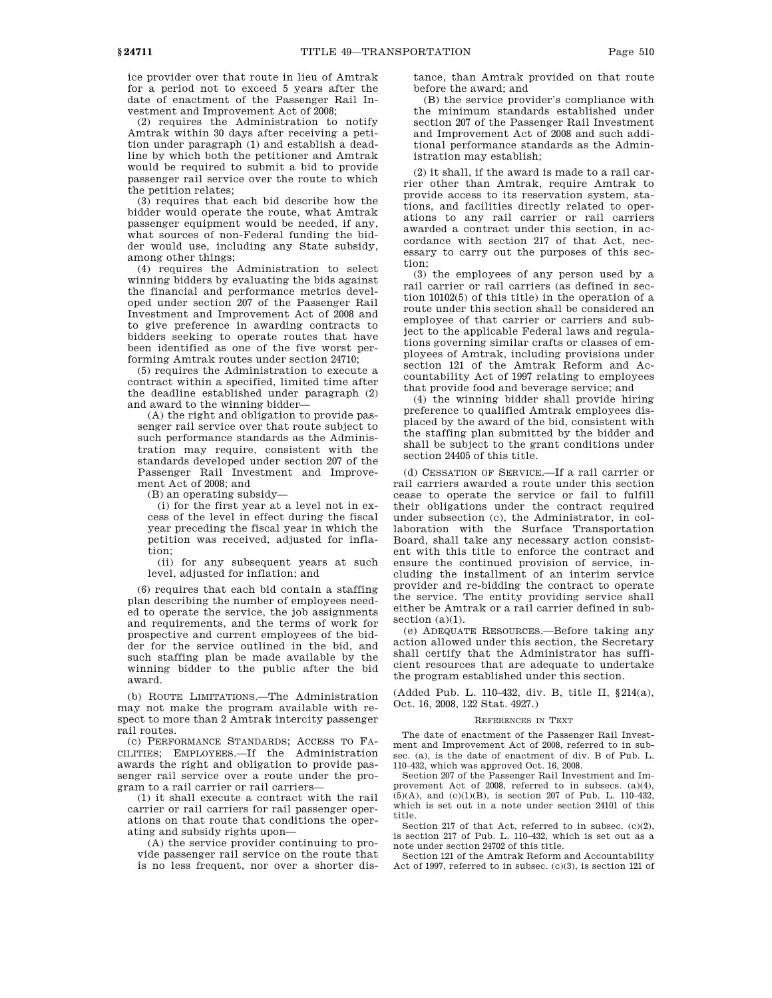ice provider over that route in lieu of Amtrak for a period not to exceed 5 years after the date of enactment of the Passenger Rail Investment and Improvement Act of 2008;

(2) requires the Administration to notify Amtrak within 30 days after receiving a petition under paragraph (1) and establish a deadline by which both the petitioner and Amtrak would be required to submit a bid to provide passenger rail service over the route to which the petition relates;

(3) requires that each bid describe how the bidder would operate the route, what Amtrak passenger equipment would be needed, if any, what sources of non-Federal funding the bidder would use, including any State subsidy, among other things;

(4) requires the Administration to select winning bidders by evaluating the bids against the financial and performance metrics developed under section 207 of the Passenger Rail Investment and Improvement Act of 2008 and to give preference in awarding contracts to bidders seeking to operate routes that have been identified as one of the five worst performing Amtrak routes under section 24710;

(5) requires the Administration to execute a contract within a specified, limited time after the deadline established under paragraph (2) and award to the winning bidder—

(A) the right and obligation to provide passenger rail service over that route subject to such performance standards as the Administration may require, consistent with the standards developed under section 207 of the Passenger Rail Investment and Improvement Act of 2008; and

(B) an operating subsidy—

(i) for the first year at a level not in excess of the level in effect during the fiscal year preceding the fiscal year in which the petition was received, adjusted for inflation;

(ii) for any subsequent years at such level, adjusted for inflation; and

(6) requires that each bid contain a staffing plan describing the number of employees needed to operate the service, the job assignments and requirements, and the terms of work for prospective and current employees of the bidder for the service outlined in the bid, and such staffing plan be made available by the winning bidder to the public after the bid award.

(b) ROUTE LIMITATIONS.—The Administration may not make the program available with respect to more than 2 Amtrak intercity passenger rail routes.

(c) PERFORMANCE STANDARDS; ACCESS TO FA-CILITIES; EMPLOYEES.—If the Administration awards the right and obligation to provide passenger rail service over a route under the program to a rail carrier or rail carriers—

(1) it shall execute a contract with the rail carrier or rail carriers for rail passenger operations on that route that conditions the operating and subsidy rights upon—

(A) the service provider continuing to provide passenger rail service on the route that is no less frequent, nor over a shorter distance, than Amtrak provided on that route before the award; and

(B) the service provider's compliance with the minimum standards established under section 207 of the Passenger Rail Investment and Improvement Act of 2008 and such additional performance standards as the Administration may establish;

(2) it shall, if the award is made to a rail carrier other than Amtrak, require Amtrak to provide access to its reservation system, stations, and facilities directly related to operations to any rail carrier or rail carriers awarded a contract under this section, in accordance with section 217 of that Act, necessary to carry out the purposes of this section;

(3) the employees of any person used by a rail carrier or rail carriers (as defined in section 10102(5) of this title) in the operation of a route under this section shall be considered an employee of that carrier or carriers and subject to the applicable Federal laws and regulations governing similar crafts or classes of employees of Amtrak, including provisions under section 121 of the Amtrak Reform and Accountability Act of 1997 relating to employees that provide food and beverage service; and

(4) the winning bidder shall provide hiring preference to qualified Amtrak employees displaced by the award of the bid, consistent with the staffing plan submitted by the bidder and shall be subject to the grant conditions under section 24405 of this title.

(d) CESSATION OF SERVICE.—If a rail carrier or rail carriers awarded a route under this section cease to operate the service or fail to fulfill their obligations under the contract required under subsection (c), the Administrator, in collaboration with the Surface Transportation Board, shall take any necessary action consistent with this title to enforce the contract and ensure the continued provision of service, including the installment of an interim service provider and re-bidding the contract to operate the service. The entity providing service shall either be Amtrak or a rail carrier defined in subsection  $(a)(1)$ .

(e) ADEQUATE RESOURCES.—Before taking any action allowed under this section, the Secretary shall certify that the Administrator has sufficient resources that are adequate to undertake the program established under this section.

(Added Pub. L. 110–432, div. B, title II, §214(a), Oct. 16, 2008, 122 Stat. 4927.)

#### REFERENCES IN TEXT

The date of enactment of the Passenger Rail Investment and Improvement Act of 2008, referred to in subsec. (a), is the date of enactment of div. B of Pub. L. 110–432, which was approved Oct. 16, 2008.

Section 207 of the Passenger Rail Investment and Improvement Act of 2008, referred to in subsecs. (a)(4),  $(5)(A)$ , and  $(c)(1)(B)$ , is section 207 of Pub. L. 110–432, which is set out in a note under section 24101 of this title.

Section 217 of that Act, referred to in subsec. (c)(2), is section 217 of Pub. L. 110–432, which is set out as a note under section 24702 of this title.

Section 121 of the Amtrak Reform and Accountability Act of 1997, referred to in subsec. (c)(3), is section 121 of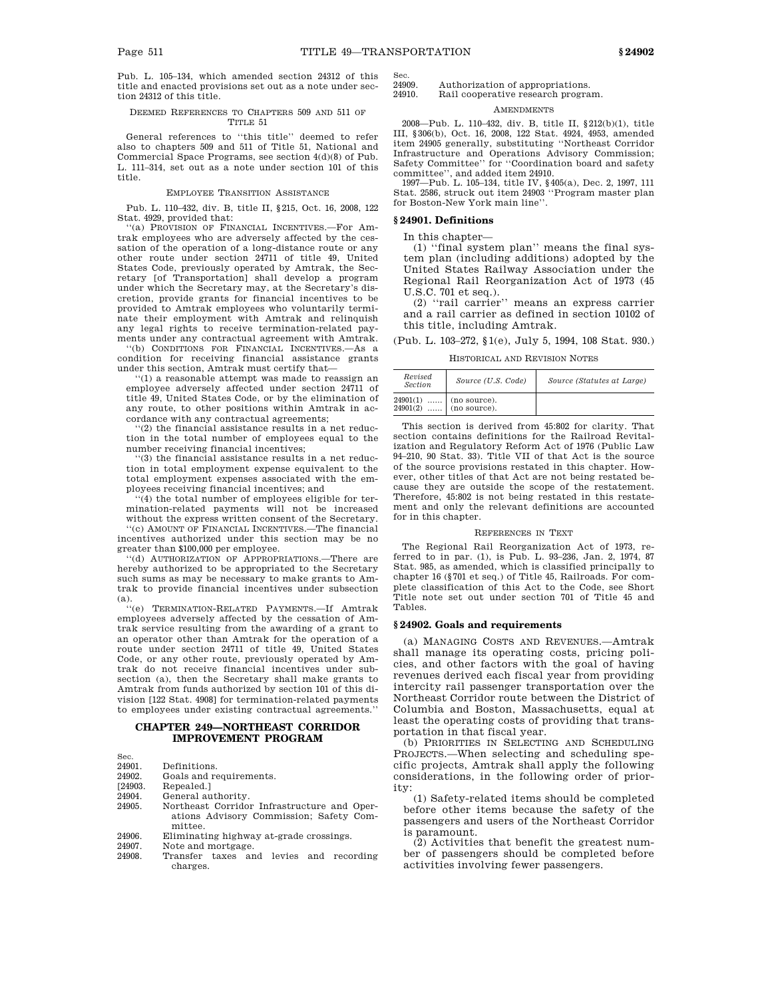Pub. L. 105–134, which amended section 24312 of this title and enacted provisions set out as a note under section 24312 of this title.

#### DEEMED REFERENCES TO CHAPTERS 509 AND 511 OF TITLE 51

General references to ''this title'' deemed to refer also to chapters 509 and 511 of Title 51, National and Commercial Space Programs, see section 4(d)(8) of Pub. L. 111–314, set out as a note under section 101 of this title.

### EMPLOYEE TRANSITION ASSISTANCE

Pub. L. 110–432, div. B, title II, §215, Oct. 16, 2008, 122 Stat. 4929, provided that:

''(a) PROVISION OF FINANCIAL INCENTIVES.—For Amtrak employees who are adversely affected by the cessation of the operation of a long-distance route or any other route under section 24711 of title 49, United States Code, previously operated by Amtrak, the Secretary [of Transportation] shall develop a program under which the Secretary may, at the Secretary's discretion, provide grants for financial incentives to be provided to Amtrak employees who voluntarily terminate their employment with Amtrak and relinquish any legal rights to receive termination-related payments under any contractual agreement with Amtrak.

''(b) CONDITIONS FOR FINANCIAL INCENTIVES.—As a condition for receiving financial assistance grants under this section, Amtrak must certify that—

''(1) a reasonable attempt was made to reassign an employee adversely affected under section 24711 of title 49, United States Code, or by the elimination of any route, to other positions within Amtrak in accordance with any contractual agreements;

''(2) the financial assistance results in a net reduction in the total number of employees equal to the number receiving financial incentives;

'(3) the financial assistance results in a net reduction in total employment expense equivalent to the total employment expenses associated with the employees receiving financial incentives; and

'(4) the total number of employees eligible for termination-related payments will not be increased without the express written consent of the Secretary.

''(c) AMOUNT OF FINANCIAL INCENTIVES.—The financial incentives authorized under this section may be no greater than \$100,000 per employee.

''(d) AUTHORIZATION OF APPROPRIATIONS.—There are hereby authorized to be appropriated to the Secretary such sums as may be necessary to make grants to Amtrak to provide financial incentives under subsection (a).

''(e) TERMINATION-RELATED PAYMENTS.—If Amtrak employees adversely affected by the cessation of Amtrak service resulting from the awarding of a grant to an operator other than Amtrak for the operation of a route under section 24711 of title 49, United States Code, or any other route, previously operated by Amtrak do not receive financial incentives under subsection (a), then the Secretary shall make grants to Amtrak from funds authorized by section 101 of this division [122 Stat. 4908] for termination-related payments to employees under existing contractual agreements.''

### **CHAPTER 249—NORTHEAST CORRIDOR IMPROVEMENT PROGRAM**

| 24901.         | Definitions.                                |
|----------------|---------------------------------------------|
| 24902.         | Goals and requirements.                     |
| <b>124903.</b> | Repealed.1                                  |
| 24904.         | General authority.                          |
| 24905.         | Northeast Corridor Infrastructure and Oper- |
|                | ations Advisory Commission: Safety Com-     |
|                | mittee.                                     |
| 24906.         | Eliminating highway at-grade crossings.     |
| 24907.         | Note and mortgage.                          |
| 24908          | Transfer taxes and levies and<br>recording  |

Sec.

24908. Transfer taxes and levies and recording charges.

Sec.<br>24909 24909. Authorization of appropriations.<br>24910 Bail cooperative research progra Rail cooperative research program.

### **AMENDMENTS**

2008—Pub. L. 110–432, div. B, title II, §212(b)(1), title III, §306(b), Oct. 16, 2008, 122 Stat. 4924, 4953, amended item 24905 generally, substituting ''Northeast Corridor Infrastructure and Operations Advisory Commission; Safety Committee'' for ''Coordination board and safety

committee'', and added item 24910. 1997—Pub. L. 105–134, title IV, §405(a), Dec. 2, 1997, 111 Stat. 2586, struck out item 24903 ''Program master plan for Boston-New York main line''.

# **§ 24901. Definitions**

In this chapter—

(1) ''final system plan'' means the final system plan (including additions) adopted by the United States Railway Association under the Regional Rail Reorganization Act of 1973 (45 U.S.C. 701 et seq.).

(2) ''rail carrier'' means an express carrier and a rail carrier as defined in section 10102 of this title, including Amtrak.

(Pub. L. 103–272, §1(e), July 5, 1994, 108 Stat. 930.)

HISTORICAL AND REVISION NOTES

| Revised<br><i>Section</i> | Source (U.S. Code)           | Source (Statutes at Large) |
|---------------------------|------------------------------|----------------------------|
| $24901(1)$<br>24901(2)    | (no source).<br>(no source). |                            |

This section is derived from 45:802 for clarity. That section contains definitions for the Railroad Revitalization and Regulatory Reform Act of 1976 (Public Law 94–210, 90 Stat. 33). Title VII of that Act is the source of the source provisions restated in this chapter. However, other titles of that Act are not being restated because they are outside the scope of the restatement. Therefore, 45:802 is not being restated in this restatement and only the relevant definitions are accounted for in this chapter.

### REFERENCES IN TEXT

The Regional Rail Reorganization Act of 1973, referred to in par. (1), is Pub. L. 93–236, Jan. 2, 1974, 87 Stat. 985, as amended, which is classified principally to chapter 16 (§701 et seq.) of Title 45, Railroads. For complete classification of this Act to the Code, see Short Title note set out under section 701 of Title 45 and Tables.

### **§ 24902. Goals and requirements**

(a) MANAGING COSTS AND REVENUES.—Amtrak shall manage its operating costs, pricing policies, and other factors with the goal of having revenues derived each fiscal year from providing intercity rail passenger transportation over the Northeast Corridor route between the District of Columbia and Boston, Massachusetts, equal at least the operating costs of providing that transportation in that fiscal year.

(b) PRIORITIES IN SELECTING AND SCHEDULING PROJECTS.—When selecting and scheduling specific projects, Amtrak shall apply the following considerations, in the following order of priority:

(1) Safety-related items should be completed before other items because the safety of the passengers and users of the Northeast Corridor is paramount.

(2) Activities that benefit the greatest number of passengers should be completed before activities involving fewer passengers.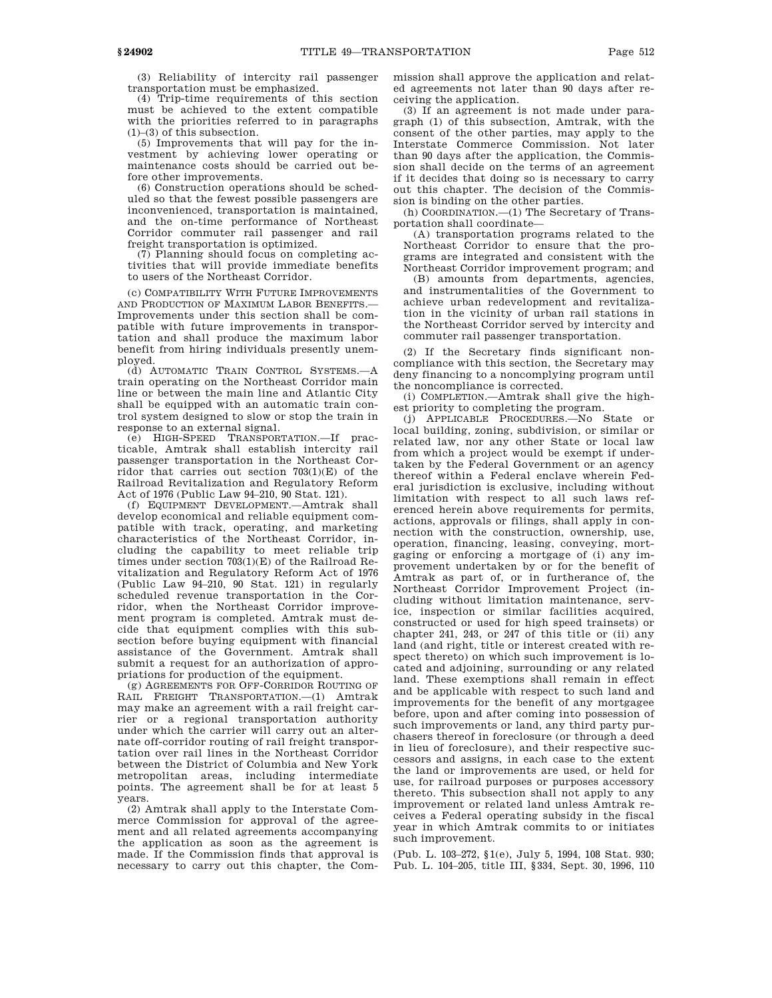(3) Reliability of intercity rail passenger transportation must be emphasized.

(4) Trip-time requirements of this section must be achieved to the extent compatible with the priorities referred to in paragraphs (1)–(3) of this subsection.

(5) Improvements that will pay for the investment by achieving lower operating or maintenance costs should be carried out before other improvements.

(6) Construction operations should be scheduled so that the fewest possible passengers are inconvenienced, transportation is maintained, and the on-time performance of Northeast Corridor commuter rail passenger and rail freight transportation is optimized.

(7) Planning should focus on completing activities that will provide immediate benefits to users of the Northeast Corridor.

(c) COMPATIBILITY WITH FUTURE IMPROVEMENTS AND PRODUCTION OF MAXIMUM LABOR BENEFITS.— Improvements under this section shall be compatible with future improvements in transportation and shall produce the maximum labor benefit from hiring individuals presently unemployed.

(d) AUTOMATIC TRAIN CONTROL SYSTEMS.—A train operating on the Northeast Corridor main line or between the main line and Atlantic City shall be equipped with an automatic train control system designed to slow or stop the train in response to an external signal.

(e) HIGH-SPEED TRANSPORTATION.—If practicable, Amtrak shall establish intercity rail passenger transportation in the Northeast Corridor that carries out section 703(1)(E) of the Railroad Revitalization and Regulatory Reform Act of 1976 (Public Law 94–210, 90 Stat. 121).

(f) EQUIPMENT DEVELOPMENT.—Amtrak shall develop economical and reliable equipment compatible with track, operating, and marketing characteristics of the Northeast Corridor, including the capability to meet reliable trip times under section 703(1)(E) of the Railroad Revitalization and Regulatory Reform Act of 1976 (Public Law 94–210, 90 Stat. 121) in regularly scheduled revenue transportation in the Corridor, when the Northeast Corridor improvement program is completed. Amtrak must decide that equipment complies with this subsection before buying equipment with financial assistance of the Government. Amtrak shall submit a request for an authorization of appropriations for production of the equipment.

(g) AGREEMENTS FOR OFF-CORRIDOR ROUTING OF RAIL FREIGHT TRANSPORTATION.—(1) Amtrak may make an agreement with a rail freight carrier or a regional transportation authority under which the carrier will carry out an alternate off-corridor routing of rail freight transportation over rail lines in the Northeast Corridor between the District of Columbia and New York metropolitan areas, including intermediate points. The agreement shall be for at least 5 years.

(2) Amtrak shall apply to the Interstate Commerce Commission for approval of the agreement and all related agreements accompanying the application as soon as the agreement is made. If the Commission finds that approval is necessary to carry out this chapter, the Commission shall approve the application and related agreements not later than 90 days after receiving the application.

(3) If an agreement is not made under paragraph (1) of this subsection, Amtrak, with the consent of the other parties, may apply to the Interstate Commerce Commission. Not later than 90 days after the application, the Commission shall decide on the terms of an agreement if it decides that doing so is necessary to carry out this chapter. The decision of the Commission is binding on the other parties.

(h) COORDINATION.—(1) The Secretary of Transportation shall coordinate—

(A) transportation programs related to the Northeast Corridor to ensure that the programs are integrated and consistent with the Northeast Corridor improvement program; and

(B) amounts from departments, agencies, and instrumentalities of the Government to achieve urban redevelopment and revitalization in the vicinity of urban rail stations in the Northeast Corridor served by intercity and commuter rail passenger transportation.

(2) If the Secretary finds significant noncompliance with this section, the Secretary may deny financing to a noncomplying program until the noncompliance is corrected.

(i) COMPLETION.—Amtrak shall give the highest priority to completing the program.

(j) APPLICABLE PROCEDURES.—No State or local building, zoning, subdivision, or similar or related law, nor any other State or local law from which a project would be exempt if undertaken by the Federal Government or an agency thereof within a Federal enclave wherein Federal jurisdiction is exclusive, including without limitation with respect to all such laws referenced herein above requirements for permits, actions, approvals or filings, shall apply in connection with the construction, ownership, use, operation, financing, leasing, conveying, mortgaging or enforcing a mortgage of (i) any improvement undertaken by or for the benefit of Amtrak as part of, or in furtherance of, the Northeast Corridor Improvement Project (including without limitation maintenance, service, inspection or similar facilities acquired, constructed or used for high speed trainsets) or chapter 241, 243, or 247 of this title or (ii) any land (and right, title or interest created with respect thereto) on which such improvement is located and adjoining, surrounding or any related land. These exemptions shall remain in effect and be applicable with respect to such land and improvements for the benefit of any mortgagee before, upon and after coming into possession of such improvements or land, any third party purchasers thereof in foreclosure (or through a deed in lieu of foreclosure), and their respective successors and assigns, in each case to the extent the land or improvements are used, or held for use, for railroad purposes or purposes accessory thereto. This subsection shall not apply to any improvement or related land unless Amtrak receives a Federal operating subsidy in the fiscal year in which Amtrak commits to or initiates such improvement.

(Pub. L. 103–272, §1(e), July 5, 1994, 108 Stat. 930; Pub. L. 104–205, title III, §334, Sept. 30, 1996, 110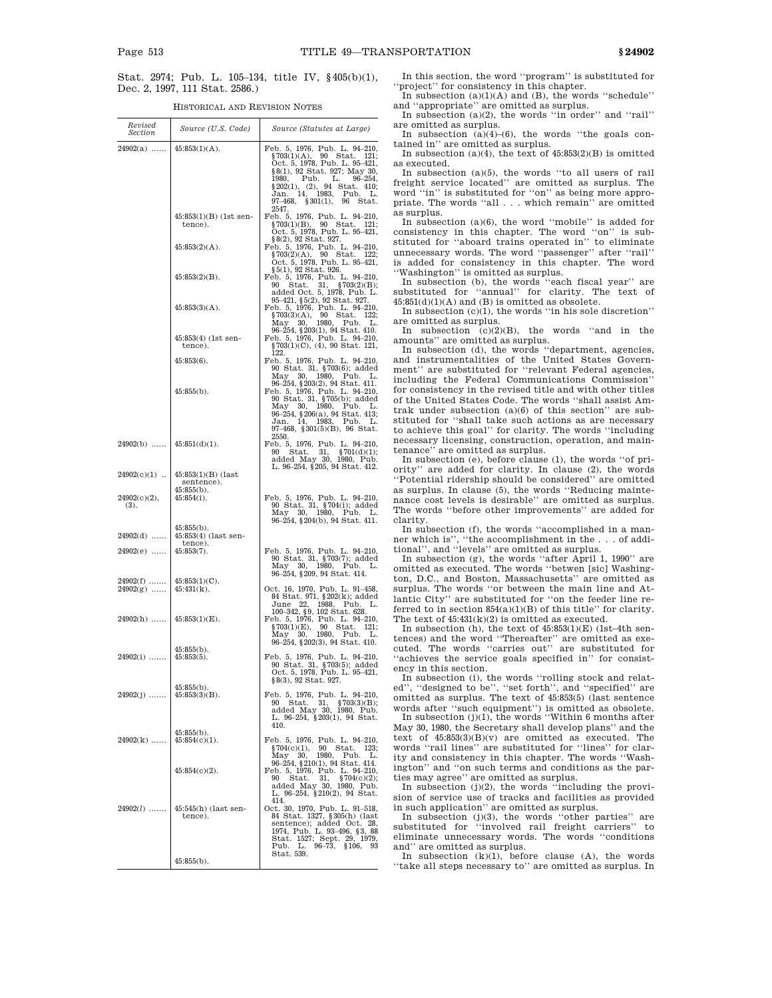Stat. 2974; Pub. L. 105–134, title IV, §405(b)(1), Dec. 2, 1997, 111 Stat. 2586.)

HISTORICAL AND REVISION NOTES

| Revised<br>Section                   | Source (U.S. Code)                                  | Source (Statutes at Large)                                                                                                                                                                                                                              |
|--------------------------------------|-----------------------------------------------------|---------------------------------------------------------------------------------------------------------------------------------------------------------------------------------------------------------------------------------------------------------|
| $24902(a)$   45:853(1)(A).           |                                                     | Feb. 5, 1976, Pub. L. 94-210,<br>$$703(1)(A), 90$ Stat. 121;<br>Oct. 5, 1978, Pub. L. 95-421,<br>\$8(1), 92 Stat. 927; May 30,<br>1980, Pub. L. 96-254,<br>\$202(1), (2), 94 Stat. 410;<br>Jan. 14, 1983, Pub. L.<br>97–468, §301(1), 96 Stat.<br>2547. |
|                                      | $45:853(1)(B)$ (1st sen-<br>tence).                 | Feb. 5, 1976, Pub. L. 94-210,<br>$$703(1)(B), 90$ Stat. 121;<br>Oct. 5, 1978, Pub. L. 95-421,                                                                                                                                                           |
|                                      | $45:853(2)(A)$ .                                    | §8(2), 92 Stat. 927.<br>Feb. 5, 1976, Pub. L. 94-210,<br>$$703(2)(A), 90$ Stat. 122;<br>Oct. 5, 1978, Pub. L. 95-421,<br>§5(1), 92 Stat. 926.                                                                                                           |
|                                      | $45:853(2)(B)$ .                                    | Feb. 5, 1976, Pub. L. 94-210,<br>90 Stat. 31, §703(2)(B);<br>added Oct. 5, 1978, Pub. L.                                                                                                                                                                |
|                                      | $45:853(3)(A)$ .                                    | 95-421, §5(2), 92 Stat. 927.<br>Feb. 5, 1976, Pub. L. 94-210,<br>$$703(3)(A), 90$ Stat. 122;<br>May 30, 1980, Pub. L.<br>96-254, §203(1), 94 Stat. 410.                                                                                                 |
|                                      | $45:853(4)$ (1st sen-<br>tence).                    | Feb. 5, 1976, Pub. L. 94-210,<br>§703(1)(C), (4), 90 Stat. 121,<br>122.                                                                                                                                                                                 |
|                                      | $45:853(6)$ .                                       | Feb. 5, 1976, Pub. L. 94-210,<br>90 Stat. 31, §703(6); added<br>30, 1980,<br>May<br>Pub.<br>L.<br>96-254, §203(2), 94 Stat. 411.                                                                                                                        |
|                                      | $45:855(b)$ .                                       | Feb. 5, 1976, Pub. L. 94-210,<br>90 Stat. 31, §705(b); added<br>May 30, 1980, Pub. L.<br>96-254, §206(a), 94 Stat. 413;<br>14, 1983, Pub. L.<br>Jan.<br>$97-468$ , $$301(5)(B)$ , 96 Stat.<br>2550.                                                     |
| $24902(b)$                           | $45:851(d)(1)$ .                                    | Feb. 5, 1976, Pub. L. 94-210,<br>90 Stat. 31, §701(d)(1);<br>added May 30, 1980, Pub.<br>L. 96-254, §205, 94 Stat. 412.                                                                                                                                 |
| $24902(c)(1)$                        | $45:853(1)(B)$ (last<br>sentence).<br>$45:855(b)$ . |                                                                                                                                                                                                                                                         |
| $24902(c)(2)$ ,<br>(3).              | $45:854(i)$ .<br>$45:855(b)$ .                      | Feb. 5, 1976, Pub. L. 94-210,<br>90 Stat. 31, §704(i); added<br>May 30, 1980, Pub. L.<br>$96-254$ , $204(b)$ , $94$ Stat. 411.                                                                                                                          |
| $24902(d)$                           | $45:853(4)$ (last sen-                              |                                                                                                                                                                                                                                                         |
| 24902(e)<br>$24902(f)\ \ldots\ldots$ | tence).<br>$45:853(7)$ .<br>$45:853(1)(C)$ .        | Feb. 5, 1976, Pub. L. 94-210,<br>90 Stat. 31, §703(7); added<br>May 30, 1980, Pub. L.<br>96-254, §209, 94 Stat. 414.                                                                                                                                    |
| $24902(g)$                           | $45:431(k)$ .                                       | Oct. 16, 1970, Pub. L. 91–458,<br>84 Stat. 971, §202(k); added                                                                                                                                                                                          |
| $24902(h)$                           | $45:853(1)(E)$ .<br>$45:855(b)$ .                   | June 22, 1988, Pub. L.<br>100–342, §9, 102 Stat. 628.<br>Feb. 5, 1976, Pub. L. 94–210,<br>§703(1)(E), 90 Stat. 121;<br>May 30, 1980, Pub. L.<br>96-254, §202(3), 94 Stat. 410.                                                                          |
| 24902(i)                             | $45:853(5)$ .<br>$45:855(b)$ .                      | Feb. 5, 1976, Pub. L. 94-210,<br>90 Stat. 31, §703(5); added<br>Oct. 5, 1978, Pub. L. 95-421,<br>§8(3), 92 Stat. 927.                                                                                                                                   |
| $24902(j)$                           | $45:853(3)(B)$ .                                    | Feb. 5, 1976, Pub. L. 94-210,<br>90 Stat. 31, §703(3)(B);<br>added May 30, 1980, Pub.<br>L. 96-254, §203(1), 94 Stat.<br>410.                                                                                                                           |
| $24902(k)$                           | $45:855(b)$ .<br>$45:854(c)(1)$ .                   | Feb. 5, 1976, Pub. L. 94-210,<br>90 Stat. 123;<br>\$704(c)(1),<br>1980, Pub. L.<br>May 30,                                                                                                                                                              |
|                                      | $45:854(c)(2)$ .                                    | 96-254, §210(1), 94 Stat. 414.<br>Feb. 5, 1976, Pub. L. 94-210,<br>90 Stat. 31, §704(c)(2);<br>added May 30, 1980, Pub.<br>L. 96-254, §210(2), 94 Stat.<br>414.                                                                                         |
| $24902(l)$                           | $45:545(h)$ (last sen-<br>tence).                   | Oct. 30, 1970, Pub. L. 91-518,<br>84 Stat. 1327, §305(h) (last                                                                                                                                                                                          |
|                                      | $45:855(b)$ .                                       |                                                                                                                                                                                                                                                         |

In this section, the word ''program'' is substituted for ''project'' for consistency in this chapter.

In subsection  $(a)(1)(A)$  and  $(B)$ , the words "schedule" and ''appropriate'' are omitted as surplus. In subsection (a)(2), the words ''in order'' and ''rail''

are omitted as surplus. In subsection  $(a)(4)$ – $(6)$ , the words "the goals con-

tained in'' are omitted as surplus. In subsection (a)(4), the text of  $45:853(2)(B)$  is omitted

as executed. In subsection (a)(5), the words ''to all users of rail freight service located'' are omitted as surplus. The word "in" is substituted for "on" as being more appropriate. The words ''all . . . which remain'' are omitted as surplus.

In subsection (a)(6), the word ''mobile'' is added for consistency in this chapter. The word ''on'' is substituted for "aboard trains operated in" to eliminate unnecessary words. The word ''passenger'' after ''rail'' is added for consistency in this chapter. The word ''Washington'' is omitted as surplus.

In subsection (b), the words ''each fiscal year'' are substituted for ''annual'' for clarity. The text of  $45:851(d)(1)(A)$  and (B) is omitted as obsolete.

In subsection (c)(1), the words ''in his sole discretion'' are omitted as surplus.

In subsection  $(c)(2)(B)$ , the words "and in the amounts'' are omitted as surplus. In subsection (d), the words ''department, agencies,

and instrumentalities of the United States Government'' are substituted for ''relevant Federal agencies, including the Federal Communications Commission'' for consistency in the revised title and with other titles of the United States Code. The words ''shall assist Amtrak under subsection (a)(6) of this section'' are substituted for ''shall take such actions as are necessary to achieve this goal'' for clarity. The words ''including necessary licensing, construction, operation, and maintenance'' are omitted as surplus.

In subsection (e), before clause (1), the words ''of priority'' are added for clarity. In clause (2), the words ''Potential ridership should be considered'' are omitted as surplus. In clause (5), the words ''Reducing maintenance cost levels is desirable'' are omitted as surplus. The words ''before other improvements'' are added for clarity.

In subsection (f), the words ''accomplished in a manner which is'', ''the accomplishment in the . . . of additional'', and ''levels'' are omitted as surplus.

In subsection (g), the words ''after April 1, 1990'' are omitted as executed. The words ''betwen [sic] Washington, D.C., and Boston, Massachusetts'' are omitted as surplus. The words ''or between the main line and Atlantic City'' are substituted for ''on the feeder line referred to in section  $854(a)(1)(B)$  of this title" for clarity. The text of 45:431(k)(2) is omitted as executed.

In subsection (h), the text of  $45:853(1)(E)$  (1st-4th sentences) and the word ''Thereafter'' are omitted as executed. The words ''carries out'' are substituted for 'achieves the service goals specified in" for consistency in this section.

In subsection (i), the words ''rolling stock and related", "designed to be", "set forth", and "specified" are omitted as surplus. The text of 45:853(5) (last sentence

words after ''such equipment'') is omitted as obsolete. In subsection (j)(1), the words ''Within 6 months after May 30, 1980, the Secretary shall develop plans'' and the text of  $45:853(3)(B)(v)$  are omitted as executed. The words ''rail lines'' are substituted for ''lines'' for clarity and consistency in this chapter. The words ''Washington'' and ''on such terms and conditions as the parties may agree'' are omitted as surplus.

In subsection (j)(2), the words ''including the provision of service use of tracks and facilities as provided

in such application'' are omitted as surplus. In subsection (j)(3), the words ''other parties'' are substituted for ''involved rail freight carriers'' to eliminate unnecessary words. The words ''conditions and'' are omitted as surplus.

In subsection  $(k)(1)$ , before clause  $(A)$ , the words ''take all steps necessary to'' are omitted as surplus. In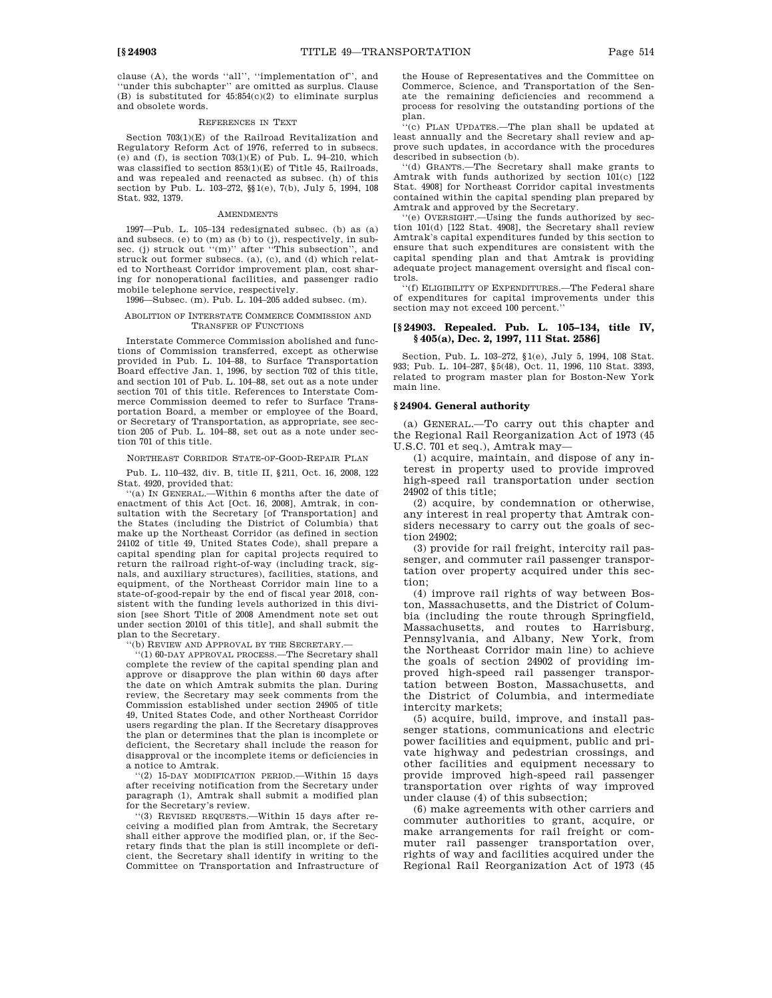clause (A), the words ''all'', ''implementation of'', and ''under this subchapter'' are omitted as surplus. Clause (B) is substituted for  $45:854(c)(2)$  to eliminate surplus and obsolete words.

#### REFERENCES IN TEXT

Section 703(1)(E) of the Railroad Revitalization and Regulatory Reform Act of 1976, referred to in subsecs. (e) and (f), is section  $703(1)(E)$  of Pub. L. 94–210, which was classified to section 853(1)(E) of Title 45, Railroads, and was repealed and reenacted as subsec. (h) of this section by Pub. L. 103–272, §§1(e), 7(b), July 5, 1994, 108 Stat. 932, 1379.

#### AMENDMENTS

1997—Pub. L. 105–134 redesignated subsec. (b) as (a) and subsecs. (e) to (m) as (b) to (j), respectively, in subsec. (j) struck out ''(m)'' after ''This subsection'', and struck out former subsecs. (a), (c), and (d) which related to Northeast Corridor improvement plan, cost sharing for nonoperational facilities, and passenger radio mobile telephone service, respectively.

1996—Subsec. (m). Pub. L. 104–205 added subsec. (m).

### ABOLITION OF INTERSTATE COMMERCE COMMISSION AND TRANSFER OF FUNCTIONS

Interstate Commerce Commission abolished and functions of Commission transferred, except as otherwise provided in Pub. L. 104–88, to Surface Transportation Board effective Jan. 1, 1996, by section 702 of this title, and section 101 of Pub. L. 104–88, set out as a note under section 701 of this title. References to Interstate Commerce Commission deemed to refer to Surface Transportation Board, a member or employee of the Board, or Secretary of Transportation, as appropriate, see section 205 of Pub. L. 104–88, set out as a note under section 701 of this title.

NORTHEAST CORRIDOR STATE-OF-GOOD-REPAIR PLAN

Pub. L. 110–432, div. B, title II, §211, Oct. 16, 2008, 122 Stat. 4920, provided that:

''(a) IN GENERAL.—Within 6 months after the date of enactment of this Act [Oct. 16, 2008], Amtrak, in consultation with the Secretary [of Transportation] and the States (including the District of Columbia) that make up the Northeast Corridor (as defined in section 24102 of title 49, United States Code), shall prepare a capital spending plan for capital projects required to return the railroad right-of-way (including track, signals, and auxiliary structures), facilities, stations, and equipment, of the Northeast Corridor main line to a state-of-good-repair by the end of fiscal year 2018, consistent with the funding levels authorized in this division [see Short Title of 2008 Amendment note set out under section 20101 of this title], and shall submit the plan to the Secretary.

'(b) REVIEW AND APPROVAL BY THE SECRETARY.

''(1) 60-DAY APPROVAL PROCESS.—The Secretary shall complete the review of the capital spending plan and approve or disapprove the plan within 60 days after the date on which Amtrak submits the plan. During review, the Secretary may seek comments from the Commission established under section 24905 of title 49, United States Code, and other Northeast Corridor users regarding the plan. If the Secretary disapproves the plan or determines that the plan is incomplete or deficient, the Secretary shall include the reason for disapproval or the incomplete items or deficiencies in a notice to Amtrak.

''(2) 15-DAY MODIFICATION PERIOD.—Within 15 days after receiving notification from the Secretary under paragraph (1), Amtrak shall submit a modified plan for the Secretary's review.

''(3) REVISED REQUESTS.—Within 15 days after receiving a modified plan from Amtrak, the Secretary shall either approve the modified plan, or, if the Secretary finds that the plan is still incomplete or deficient, the Secretary shall identify in writing to the Committee on Transportation and Infrastructure of

the House of Representatives and the Committee on Commerce, Science, and Transportation of the Senate the remaining deficiencies and recommend a process for resolving the outstanding portions of the plan.

''(c) PLAN UPDATES.—The plan shall be updated at least annually and the Secretary shall review and approve such updates, in accordance with the procedures described in subsection (b).

''(d) GRANTS.—The Secretary shall make grants to Amtrak with funds authorized by section 101(c) [122] Stat. 4908] for Northeast Corridor capital investments contained within the capital spending plan prepared by

Amtrak and approved by the Secretary.<br>"(e) OVERSIGHT.—Using the funds authorized by section 101(d) [122 Stat. 4908], the Secretary shall review Amtrak's capital expenditures funded by this section to ensure that such expenditures are consistent with the capital spending plan and that Amtrak is providing adequate project management oversight and fiscal controls.

''(f) ELIGIBILITY OF EXPENDITURES.—The Federal share of expenditures for capital improvements under this section may not exceed 100 percent.''

### **[§ 24903. Repealed. Pub. L. 105–134, title IV, § 405(a), Dec. 2, 1997, 111 Stat. 2586]**

Section, Pub. L. 103–272, §1(e), July 5, 1994, 108 Stat. 933; Pub. L. 104–287, §5(48), Oct. 11, 1996, 110 Stat. 3393, related to program master plan for Boston-New York main line.

#### **§ 24904. General authority**

(a) GENERAL.—To carry out this chapter and the Regional Rail Reorganization Act of 1973 (45 U.S.C. 701 et seq.), Amtrak may—

(1) acquire, maintain, and dispose of any interest in property used to provide improved high-speed rail transportation under section 24902 of this title;

(2) acquire, by condemnation or otherwise, any interest in real property that Amtrak considers necessary to carry out the goals of section 24902;

(3) provide for rail freight, intercity rail passenger, and commuter rail passenger transportation over property acquired under this section;

(4) improve rail rights of way between Boston, Massachusetts, and the District of Columbia (including the route through Springfield, Massachusetts, and routes to Harrisburg, Pennsylvania, and Albany, New York, from the Northeast Corridor main line) to achieve the goals of section 24902 of providing improved high-speed rail passenger transportation between Boston, Massachusetts, and the District of Columbia, and intermediate intercity markets;

(5) acquire, build, improve, and install passenger stations, communications and electric power facilities and equipment, public and private highway and pedestrian crossings, and other facilities and equipment necessary to provide improved high-speed rail passenger transportation over rights of way improved under clause (4) of this subsection;

(6) make agreements with other carriers and commuter authorities to grant, acquire, or make arrangements for rail freight or commuter rail passenger transportation over, rights of way and facilities acquired under the Regional Rail Reorganization Act of 1973 (45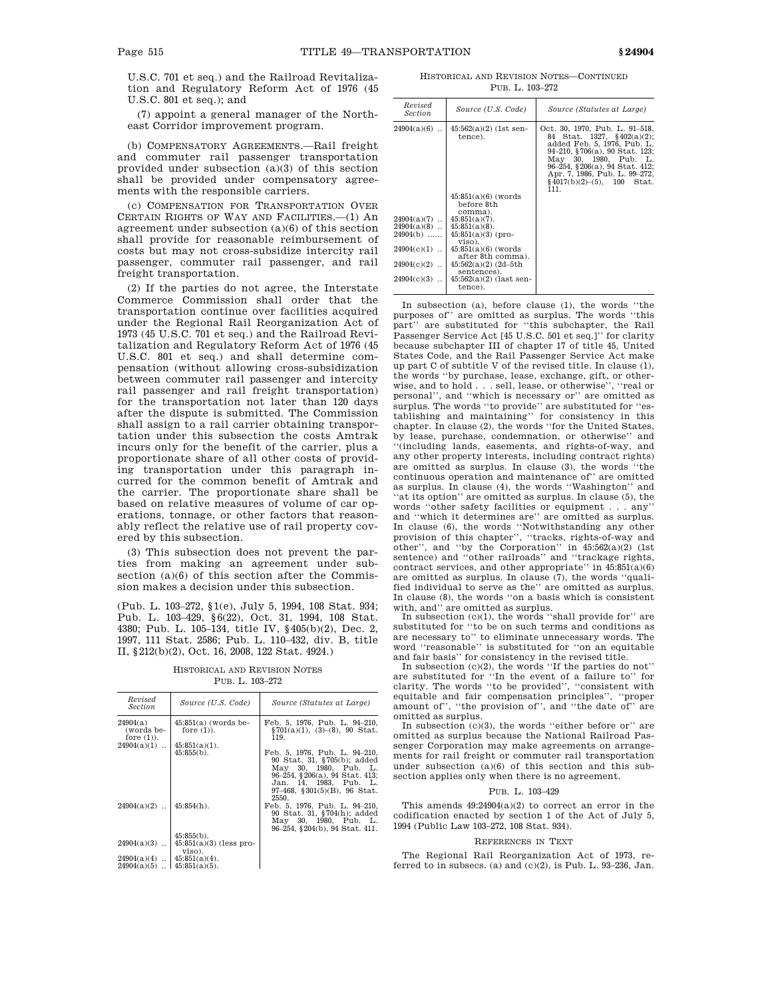(7) appoint a general manager of the Northeast Corridor improvement program.

(b) COMPENSATORY AGREEMENTS.—Rail freight and commuter rail passenger transportation provided under subsection (a)(3) of this section shall be provided under compensatory agreements with the responsible carriers.

(c) COMPENSATION FOR TRANSPORTATION OVER CERTAIN RIGHTS OF WAY AND FACILITIES.—(1) An agreement under subsection (a)(6) of this section shall provide for reasonable reimbursement of costs but may not cross-subsidize intercity rail passenger, commuter rail passenger, and rail freight transportation.

(2) If the parties do not agree, the Interstate Commerce Commission shall order that the transportation continue over facilities acquired under the Regional Rail Reorganization Act of 1973 (45 U.S.C. 701 et seq.) and the Railroad Revitalization and Regulatory Reform Act of 1976 (45 U.S.C. 801 et seq.) and shall determine compensation (without allowing cross-subsidization between commuter rail passenger and intercity rail passenger and rail freight transportation) for the transportation not later than 120 days after the dispute is submitted. The Commission shall assign to a rail carrier obtaining transportation under this subsection the costs Amtrak incurs only for the benefit of the carrier, plus a proportionate share of all other costs of providing transportation under this paragraph incurred for the common benefit of Amtrak and the carrier. The proportionate share shall be based on relative measures of volume of car operations, tonnage, or other factors that reasonably reflect the relative use of rail property covered by this subsection.

(3) This subsection does not prevent the parties from making an agreement under subsection (a)(6) of this section after the Commission makes a decision under this subsection.

(Pub. L. 103–272, §1(e), July 5, 1994, 108 Stat. 934; Pub. L. 103–429, §6(22), Oct. 31, 1994, 108 Stat. 4380; Pub. L. 105–134, title IV, §405(b)(2), Dec. 2, 1997, 111 Stat. 2586; Pub. L. 110–432, div. B, title II, §212(b)(2), Oct. 16, 2008, 122 Stat. 4924.)

HISTORICAL AND REVISION NOTES PUB. L. 103–272

| Revised<br><i>Section</i>                                            | Source (U.S. Code)                         | Source (Statutes at Large)                                                                                                                                                                         |
|----------------------------------------------------------------------|--------------------------------------------|----------------------------------------------------------------------------------------------------------------------------------------------------------------------------------------------------|
| 24904(a)<br>(words be-<br>fore $(1)$ ).                              | $45:851(a)$ (words be-<br>fore $(1)$ ).    | Feb. 5, 1976, Pub. L. 94—210,<br>$\S701(a)(1)$ , (3)-(8), 90 Stat.<br>119.                                                                                                                         |
| $24904(a)(1)$                                                        | $45:851(a)(1)$ .<br>$45:855(b)$ .          | Feb. 5, 1976, Pub. L. 94-210,<br>90 Stat. 31, §705(b); added<br>May 30, 1980, Pub. L.<br>96–254, §206(a), 94 Stat. 413;<br>Jan. 14, 1983, Pub. L.<br>$97-468$ , $8301(5)(B)$ , $96$ Stat.<br>2550. |
| $24904(a)(2)$                                                        | $45:854(h)$ .                              | Feb. 5, 1976, Pub. L. 94-210,<br>90 Stat. 31, §704(h); added<br>May 30, 1980, Pub. L.<br>96–254, §204(b), 94 Stat. 411.                                                                            |
| $24904(a)(3)$                                                        | $45:855(b)$ .<br>$45:851(a)(3)$ (less pro- |                                                                                                                                                                                                    |
|                                                                      | viso).                                     |                                                                                                                                                                                                    |
| $24904(a)(4)$   $45:851(a)(4)$ .<br>$24904(a)(5)$   $45:851(a)(5)$ . |                                            |                                                                                                                                                                                                    |

HISTORICAL AND REVISION NOTES—CONTINUED PUB. L. 103–272

| Revised<br><i>Section</i>                                     | Source (U.S. Code)                                                                                                               | Source (Statutes at Large)                                                                                                                                                                                                                                                           |
|---------------------------------------------------------------|----------------------------------------------------------------------------------------------------------------------------------|--------------------------------------------------------------------------------------------------------------------------------------------------------------------------------------------------------------------------------------------------------------------------------------|
| $24904(a)(6)$                                                 | $45:562(a)(2)$ (1st sen-<br>tence).                                                                                              | Oct. 30, 1970, Pub. L. 91–518,<br>84<br>Stat. 1327, $§402(a)(2);$<br>added Feb. 5, 1976, Pub. L.<br>94-210, §706(a), 90 Stat. 123;<br>May 30, 1980, Pub. L.<br>96-254, §206(a), 94 Stat. 412;<br>Apr. 7, 1986, Pub. L. 99-272,<br>$\frac{1}{2}$ 4017(b)(2)–(5), 100<br>Stat.<br>111. |
|                                                               | $45:851(a)(6)$ (words)<br>before 8th                                                                                             |                                                                                                                                                                                                                                                                                      |
| $24904(a)(7)$<br>$24904(a)(8)$<br>$24904(b)$<br>$24904(c)(1)$ | comma).<br>$45:851(a)(7)$ .<br>$45:851(a)(8)$ .<br>$45:851(a)(3)$ (pro-<br>viso).<br>$45:851(a)(6)$ (words)<br>after 8th comma). |                                                                                                                                                                                                                                                                                      |
| $24904(c)(2)$<br>$24904(c)(3)$                                | $45:562(a)(2)$ (2d-5th<br>sentences).<br>$45:562(a)(2)$ (last sen-<br>tence).                                                    |                                                                                                                                                                                                                                                                                      |

In subsection (a), before clause (1), the words ''the purposes of'' are omitted as surplus. The words ''this part'' are substituted for ''this subchapter, the Rail Passenger Service Act [45 U.S.C. 501 et seq.]'' for clarity because subchapter III of chapter 17 of title 45, United States Code, and the Rail Passenger Service Act make up part C of subtitle V of the revised title. In clause (1), the words ''by purchase, lease, exchange, gift, or otherwise, and to hold . . . sell, lease, or otherwise'', ''real or personal'', and ''which is necessary or'' are omitted as surplus. The words ''to provide'' are substituted for ''establishing and maintaining'' for consistency in this chapter. In clause (2), the words ''for the United States, by lease, purchase, condemnation, or otherwise'' and ''(including lands, easements, and rights-of-way, and any other property interests, including contract rights) are omitted as surplus. In clause (3), the words ''the continuous operation and maintenance of'' are omitted as surplus. In clause (4), the words ''Washington'' and ''at its option'' are omitted as surplus. In clause (5), the words ''other safety facilities or equipment . . . any'' and ''which it determines are'' are omitted as surplus. In clause (6), the words ''Notwithstanding any other provision of this chapter'', ''tracks, rights-of-way and other'', and ''by the Corporation'' in 45:562(a)(2) (1st sentence) and ''other railroads'' and ''trackage rights, contract services, and other appropriate'' in 45:851(a)(6) are omitted as surplus. In clause (7), the words ''qualified individual to serve as the'' are omitted as surplus. In clause (8), the words ''on a basis which is consistent

with, and'' are omitted as surplus.<br>In subsection (c)(1), the words "shall provide for" are substituted for ''to be on such terms and conditions as are necessary to'' to eliminate unnecessary words. The word ''reasonable'' is substituted for ''on an equitable and fair basis'' for consistency in the revised title. In subsection (c)(2), the words ''If the parties do not''

are substituted for ''In the event of a failure to'' for clarity. The words ''to be provided'', ''consistent with equitable and fair compensation principles'', ''proper amount of'', ''the provision of'', and ''the date of'' are omitted as surplus.

In subsection  $(c)(3)$ , the words "either before or" are omitted as surplus because the National Railroad Passenger Corporation may make agreements on arrangements for rail freight or commuter rail transportation under subsection (a)(6) of this section and this subsection applies only when there is no agreement.

#### PUB. L. 103–429

This amends  $49:24904(a)(2)$  to correct an error in the codification enacted by section 1 of the Act of July 5, 1994 (Public Law 103–272, 108 Stat. 934).

#### REFERENCES IN TEXT

The Regional Rail Reorganization Act of 1973, referred to in subsecs. (a) and  $(c)(2)$ , is Pub. L. 93-236, Jan.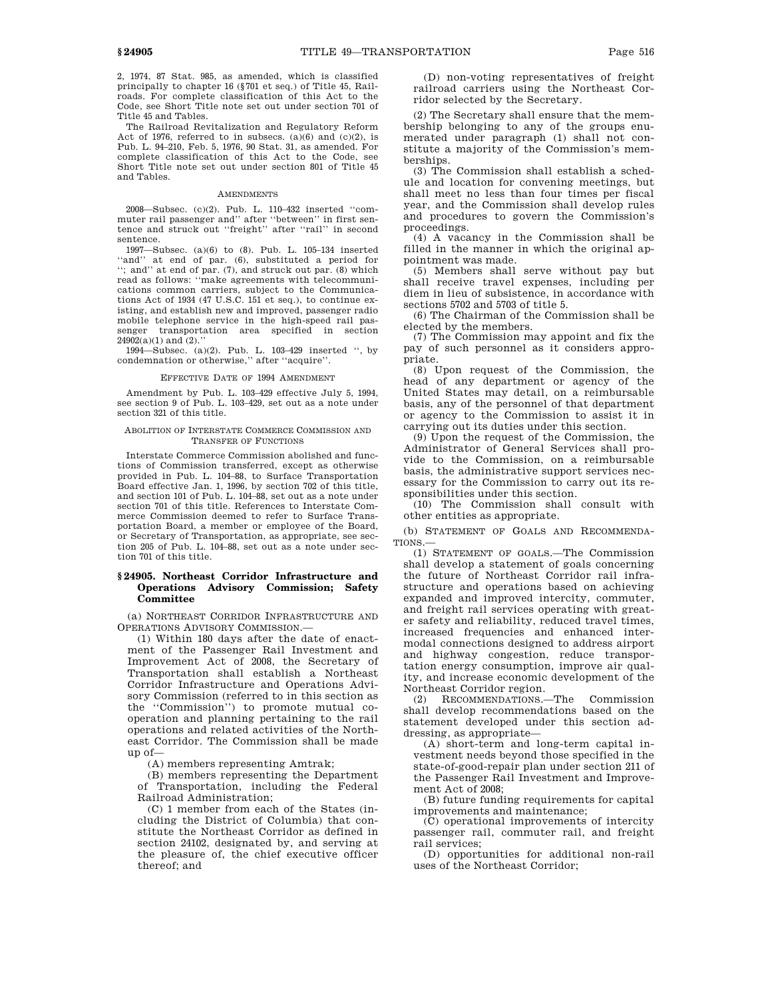2, 1974, 87 Stat. 985, as amended, which is classified principally to chapter 16 (§701 et seq.) of Title 45, Railroads. For complete classification of this Act to the Code, see Short Title note set out under section 701 of Title 45 and Tables.

The Railroad Revitalization and Regulatory Reform Act of 1976, referred to in subsecs. (a) $(6)$  and  $(c)(2)$ , is Pub. L. 94–210, Feb. 5, 1976, 90 Stat. 31, as amended. For complete classification of this Act to the Code, see Short Title note set out under section 801 of Title 45 and Tables.

#### AMENDMENTS

2008—Subsec. (c)(2). Pub. L. 110–432 inserted ''commuter rail passenger and'' after ''between'' in first sentence and struck out ''freight'' after ''rail'' in second sentence.

1997—Subsec. (a) $(6)$  to  $(8)$ . Pub. L. 105–134 inserted "and" at end of par. (6). substituted a period for at end of par. (6), substituted a period for "; and" at end of par.  $(7)$ , and struck out par.  $(8)$  which read as follows: ''make agreements with telecommunications common carriers, subject to the Communications Act of 1934 (47 U.S.C. 151 et seq.), to continue existing, and establish new and improved, passenger radio mobile telephone service in the high-speed rail passenger transportation area specified in section  $24902(a)(1)$  and  $(2)$ .

1994—Subsec. (a)(2). Pub. L. 103–429 inserted '', by condemnation or otherwise,'' after ''acquire''.

#### EFFECTIVE DATE OF 1994 AMENDMENT

Amendment by Pub. L. 103–429 effective July 5, 1994, see section 9 of Pub. L. 103–429, set out as a note under section 321 of this title.

### ABOLITION OF INTERSTATE COMMERCE COMMISSION AND TRANSFER OF FUNCTIONS

Interstate Commerce Commission abolished and functions of Commission transferred, except as otherwise provided in Pub. L. 104–88, to Surface Transportation Board effective Jan. 1, 1996, by section 702 of this title, and section 101 of Pub. L. 104–88, set out as a note under section 701 of this title. References to Interstate Commerce Commission deemed to refer to Surface Transportation Board, a member or employee of the Board, or Secretary of Transportation, as appropriate, see section 205 of Pub. L. 104–88, set out as a note under section 701 of this title.

### **§ 24905. Northeast Corridor Infrastructure and Operations Advisory Commission; Safety Committee**

(a) NORTHEAST CORRIDOR INFRASTRUCTURE AND OPERATIONS ADVISORY COMMISSION.—

(1) Within 180 days after the date of enactment of the Passenger Rail Investment and Improvement Act of 2008, the Secretary of Transportation shall establish a Northeast Corridor Infrastructure and Operations Advisory Commission (referred to in this section as the ''Commission'') to promote mutual cooperation and planning pertaining to the rail operations and related activities of the Northeast Corridor. The Commission shall be made  $up$  of  $-$ 

(A) members representing Amtrak;

(B) members representing the Department of Transportation, including the Federal Railroad Administration;

(C) 1 member from each of the States (including the District of Columbia) that constitute the Northeast Corridor as defined in section 24102, designated by, and serving at the pleasure of, the chief executive officer thereof; and

(D) non-voting representatives of freight railroad carriers using the Northeast Corridor selected by the Secretary.

(2) The Secretary shall ensure that the membership belonging to any of the groups enumerated under paragraph (1) shall not constitute a majority of the Commission's memberships.

(3) The Commission shall establish a schedule and location for convening meetings, but shall meet no less than four times per fiscal year, and the Commission shall develop rules and procedures to govern the Commission's proceedings.

(4) A vacancy in the Commission shall be filled in the manner in which the original appointment was made.

(5) Members shall serve without pay but shall receive travel expenses, including per diem in lieu of subsistence, in accordance with sections 5702 and 5703 of title 5.

(6) The Chairman of the Commission shall be elected by the members.

(7) The Commission may appoint and fix the pay of such personnel as it considers appropriate.

(8) Upon request of the Commission, the head of any department or agency of the United States may detail, on a reimbursable basis, any of the personnel of that department or agency to the Commission to assist it in carrying out its duties under this section.

(9) Upon the request of the Commission, the Administrator of General Services shall provide to the Commission, on a reimbursable basis, the administrative support services necessary for the Commission to carry out its responsibilities under this section.

(10) The Commission shall consult with other entities as appropriate.

(b) STATEMENT OF GOALS AND RECOMMENDA-TIONS.—

(1) STATEMENT OF GOALS.—The Commission shall develop a statement of goals concerning the future of Northeast Corridor rail infrastructure and operations based on achieving expanded and improved intercity, commuter, and freight rail services operating with greater safety and reliability, reduced travel times, increased frequencies and enhanced intermodal connections designed to address airport and highway congestion, reduce transportation energy consumption, improve air quality, and increase economic development of the Northeast Corridor region.

(2) RECOMMENDATIONS.—The Commission shall develop recommendations based on the statement developed under this section addressing, as appropriate—

(A) short-term and long-term capital investment needs beyond those specified in the state-of-good-repair plan under section 211 of the Passenger Rail Investment and Improvement Act of 2008;

(B) future funding requirements for capital improvements and maintenance;

(C) operational improvements of intercity passenger rail, commuter rail, and freight rail services;

(D) opportunities for additional non-rail uses of the Northeast Corridor;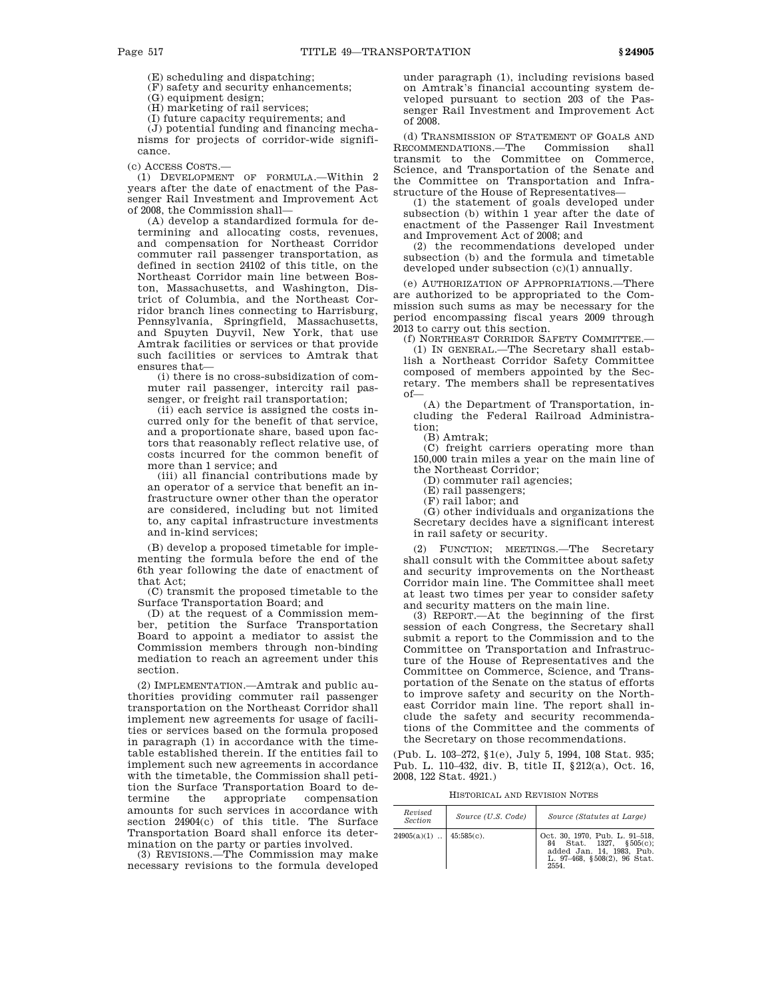(E) scheduling and dispatching;

(F) safety and security enhancements;

(G) equipment design;

(H) marketing of rail services;

(I) future capacity requirements; and

(J) potential funding and financing mechanisms for projects of corridor-wide significance.

(c) ACCESS COSTS.—

(1) DEVELOPMENT OF FORMULA.—Within 2 years after the date of enactment of the Passenger Rail Investment and Improvement Act of 2008, the Commission shall—

(A) develop a standardized formula for determining and allocating costs, revenues, and compensation for Northeast Corridor commuter rail passenger transportation, as defined in section 24102 of this title, on the Northeast Corridor main line between Boston, Massachusetts, and Washington, District of Columbia, and the Northeast Corridor branch lines connecting to Harrisburg, Pennsylvania, Springfield, Massachusetts, and Spuyten Duyvil, New York, that use Amtrak facilities or services or that provide such facilities or services to Amtrak that ensures that—

(i) there is no cross-subsidization of commuter rail passenger, intercity rail passenger, or freight rail transportation;

(ii) each service is assigned the costs incurred only for the benefit of that service, and a proportionate share, based upon factors that reasonably reflect relative use, of costs incurred for the common benefit of more than 1 service; and

(iii) all financial contributions made by an operator of a service that benefit an infrastructure owner other than the operator are considered, including but not limited to, any capital infrastructure investments and in-kind services;

(B) develop a proposed timetable for implementing the formula before the end of the 6th year following the date of enactment of that Act;

(C) transmit the proposed timetable to the Surface Transportation Board; and

(D) at the request of a Commission member, petition the Surface Transportation Board to appoint a mediator to assist the Commission members through non-binding mediation to reach an agreement under this section.

(2) IMPLEMENTATION.—Amtrak and public authorities providing commuter rail passenger transportation on the Northeast Corridor shall implement new agreements for usage of facilities or services based on the formula proposed in paragraph (1) in accordance with the timetable established therein. If the entities fail to implement such new agreements in accordance with the timetable, the Commission shall petition the Surface Transportation Board to determine the appropriate compensation termine the appropriate compensation amounts for such services in accordance with section 24904(c) of this title. The Surface Transportation Board shall enforce its determination on the party or parties involved.

(3) REVISIONS.—The Commission may make necessary revisions to the formula developed under paragraph (1), including revisions based on Amtrak's financial accounting system developed pursuant to section 203 of the Passenger Rail Investment and Improvement Act of 2008.

(d) TRANSMISSION OF STATEMENT OF GOALS AND RECOMMENDATIONS.—The Commission shall transmit to the Committee on Commerce, Science, and Transportation of the Senate and the Committee on Transportation and Infrastructure of the House of Representatives—

(1) the statement of goals developed under subsection (b) within 1 year after the date of enactment of the Passenger Rail Investment and Improvement Act of 2008; and

(2) the recommendations developed under subsection (b) and the formula and timetable developed under subsection (c)(1) annually.

(e) AUTHORIZATION OF APPROPRIATIONS.—There are authorized to be appropriated to the Commission such sums as may be necessary for the period encompassing fiscal years 2009 through 2013 to carry out this section.

(f) NORTHEAST CORRIDOR SAFETY COMMITTEE.— (1) IN GENERAL.—The Secretary shall establish a Northeast Corridor Safety Committee composed of members appointed by the Secretary. The members shall be representatives of—

(A) the Department of Transportation, including the Federal Railroad Administration;

(B) Amtrak;

(C) freight carriers operating more than 150,000 train miles a year on the main line of the Northeast Corridor;

(D) commuter rail agencies;

(E) rail passengers;

(F) rail labor; and

(G) other individuals and organizations the Secretary decides have a significant interest in rail safety or security.

(2) FUNCTION; MEETINGS.—The Secretary shall consult with the Committee about safety and security improvements on the Northeast Corridor main line. The Committee shall meet at least two times per year to consider safety and security matters on the main line.

(3) REPORT.—At the beginning of the first session of each Congress, the Secretary shall submit a report to the Commission and to the Committee on Transportation and Infrastructure of the House of Representatives and the Committee on Commerce, Science, and Transportation of the Senate on the status of efforts to improve safety and security on the Northeast Corridor main line. The report shall include the safety and security recommendations of the Committee and the comments of the Secretary on those recommendations.

(Pub. L. 103–272, §1(e), July 5, 1994, 108 Stat. 935; Pub. L. 110–432, div. B, title II, §212(a), Oct. 16, 2008, 122 Stat. 4921.)

HISTORICAL AND REVISION NOTES

| Revised<br>Section         | Source (U.S. Code) | Source (Statutes at Large)                                                                                                     |
|----------------------------|--------------------|--------------------------------------------------------------------------------------------------------------------------------|
| $24905(a)(1)$   45:585(c). |                    | Oct. 30, 1970, Pub. L. 91-518,<br>84 Stat. 1327. §505(c):<br>added Jan. 14, 1983. Pub.<br>L. 97-468, §508(2), 96 Stat.<br>2554 |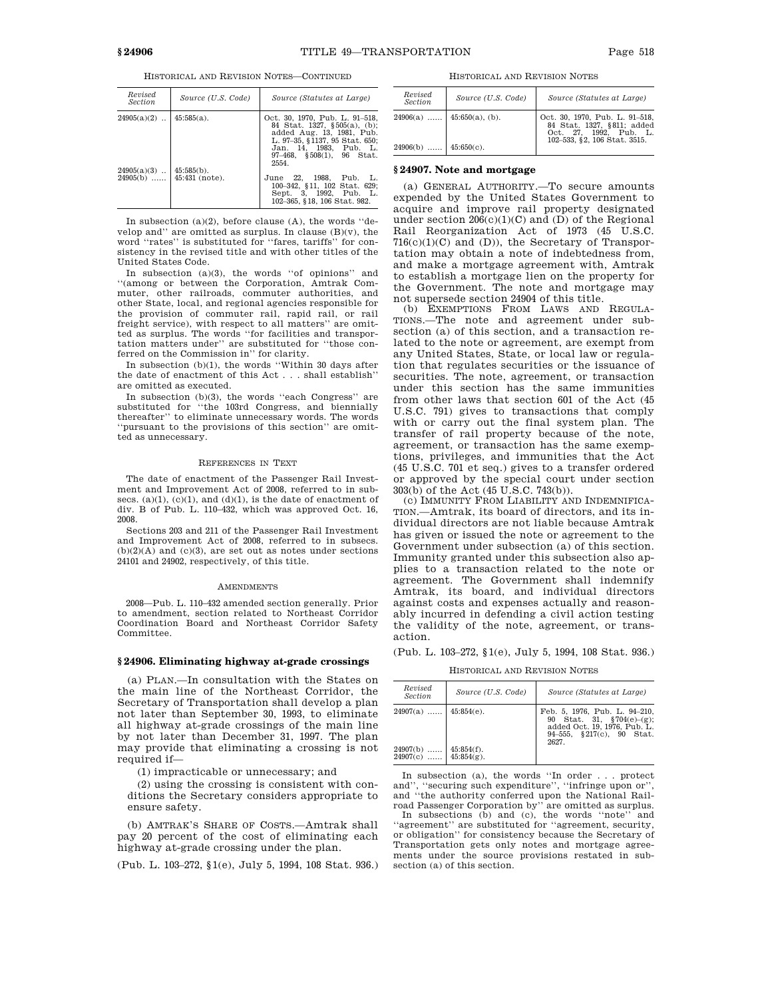| Revised<br><b>Section</b>   | Source (U.S. Code)              | Source (Statutes at Large)                                                                                                                                                                            |
|-----------------------------|---------------------------------|-------------------------------------------------------------------------------------------------------------------------------------------------------------------------------------------------------|
| $24905(a)(2)$               | $45:585(a)$ .                   | Oct. 30, 1970, Pub. L. 91-518,<br>84 Stat. 1327, §505(a), (b);<br>added Aug. 13, 1981, Pub.<br>L. 97-35, §1137, 95 Stat. 650;<br>Jan. 14. 1983. Pub. L.<br>$97-468$ , $$508(1)$ , $96$ Stat.<br>2554. |
| $24905(a)(3)$<br>$24905(b)$ | $45:585(b)$ .<br>45:431 (note). | 22. 1988.<br>Pub.<br>June<br>- T.<br>100-342, §11, 102 Stat. 629;<br>Sept. 3, 1992, Pub. L.<br>102-365, §18, 106 Stat. 982.                                                                           |

In subsection (a)(2), before clause (A), the words ''develop and" are omitted as surplus. In clause  $(B)(v)$ , the word ''rates'' is substituted for ''fares, tariffs'' for consistency in the revised title and with other titles of the United States Code.

In subsection (a)(3), the words ''of opinions'' and ''(among or between the Corporation, Amtrak Commuter, other railroads, commuter authorities, and other State, local, and regional agencies responsible for the provision of commuter rail, rapid rail, or rail freight service), with respect to all matters'' are omitted as surplus. The words ''for facilities and transportation matters under'' are substituted for ''those conferred on the Commission in'' for clarity.

In subsection (b)(1), the words ''Within 30 days after the date of enactment of this Act . . . shall establish'' are omitted as executed.

In subsection (b)(3), the words ''each Congress'' are substituted for ''the 103rd Congress, and biennially thereafter'' to eliminate unnecessary words. The words ''pursuant to the provisions of this section'' are omitted as unnecessary.

### REFERENCES IN TEXT

The date of enactment of the Passenger Rail Investment and Improvement Act of 2008, referred to in subsecs. (a)(1),  $(c)(1)$ , and (d)(1), is the date of enactment of div. B of Pub. L. 110–432, which was approved Oct. 16, 2008.

Sections 203 and 211 of the Passenger Rail Investment and Improvement Act of 2008, referred to in subsecs.  $(b)(2)(A)$  and  $(c)(3)$ , are set out as notes under sections 24101 and 24902, respectively, of this title.

#### AMENDMENTS

2008—Pub. L. 110–432 amended section generally. Prior to amendment, section related to Northeast Corridor Coordination Board and Northeast Corridor Safety Committee.

#### **§ 24906. Eliminating highway at-grade crossings**

(a) PLAN.—In consultation with the States on the main line of the Northeast Corridor, the Secretary of Transportation shall develop a plan not later than September 30, 1993, to eliminate all highway at-grade crossings of the main line by not later than December 31, 1997. The plan may provide that eliminating a crossing is not required if—

(1) impracticable or unnecessary; and

(2) using the crossing is consistent with conditions the Secretary considers appropriate to ensure safety.

(b) AMTRAK'S SHARE OF COSTS.—Amtrak shall pay 20 percent of the cost of eliminating each highway at-grade crossing under the plan.

(Pub. L. 103–272, §1(e), July 5, 1994, 108 Stat. 936.)

HISTORICAL AND REVISION NOTES

| Revised<br>Section | Source (U.S. Code)           | Source (Statutes at Large)                                                                                             |
|--------------------|------------------------------|------------------------------------------------------------------------------------------------------------------------|
|                    | $24906(a)$   45:650(a), (b). | Oct. 30, 1970, Pub. L. 91-518,<br>84 Stat. 1327, §811; added<br>Oct. 27. 1992. Pub. L.<br>102-533, §2, 106 Stat. 3515. |
| $24906(b)$         | $45:650(c)$ .                |                                                                                                                        |

### **§ 24907. Note and mortgage**

(a) GENERAL AUTHORITY.—To secure amounts expended by the United States Government to acquire and improve rail property designated under section  $206(c)(1)(C)$  and (D) of the Regional Rail Reorganization Act of 1973 (45 U.S.C.  $716(c)(1)(C)$  and  $(D)$ ), the Secretary of Transportation may obtain a note of indebtedness from, and make a mortgage agreement with, Amtrak to establish a mortgage lien on the property for the Government. The note and mortgage may not supersede section 24904 of this title.

(b) EXEMPTIONS FROM LAWS AND REGULA-TIONS.—The note and agreement under subsection (a) of this section, and a transaction related to the note or agreement, are exempt from any United States, State, or local law or regulation that regulates securities or the issuance of securities. The note, agreement, or transaction under this section has the same immunities from other laws that section 601 of the Act (45 U.S.C. 791) gives to transactions that comply with or carry out the final system plan. The transfer of rail property because of the note, agreement, or transaction has the same exemptions, privileges, and immunities that the Act (45 U.S.C. 701 et seq.) gives to a transfer ordered or approved by the special court under section 303(b) of the Act (45 U.S.C. 743(b)).

(c) IMMUNITY FROM LIABILITY AND INDEMNIFICA-TION.—Amtrak, its board of directors, and its individual directors are not liable because Amtrak has given or issued the note or agreement to the Government under subsection (a) of this section. Immunity granted under this subsection also applies to a transaction related to the note or agreement. The Government shall indemnify Amtrak, its board, and individual directors against costs and expenses actually and reasonably incurred in defending a civil action testing the validity of the note, agreement, or transaction.

(Pub. L. 103–272, §1(e), July 5, 1994, 108 Stat. 936.)

HISTORICAL AND REVISION NOTES

| Revised<br><b>Section</b> | Source (U.S. Code)             | Source (Statutes at Large)                                                                                                            |
|---------------------------|--------------------------------|---------------------------------------------------------------------------------------------------------------------------------------|
| $24907(a)$   45:854(e).   |                                | Feb. 5, 1976, Pub. L. 94-210,<br>Stat. 31, $$704(e)–(g);$<br>90<br>added Oct. 19, 1976, Pub. L.<br>94-555, §217(c), 90 Stat.<br>2627. |
| 24907(b)<br>24907(c)      | $45:854(f)$ .<br>$45:854(g)$ . |                                                                                                                                       |

In subsection (a), the words ''In order . . . protect and", "securing such expenditure", "infringe upon or" and ''the authority conferred upon the National Rail-

road Passenger Corporation by'' are omitted as surplus. In subsections (b) and (c), the words ''note'' and ''agreement'' are substituted for ''agreement, security, or obligation'' for consistency because the Secretary of Transportation gets only notes and mortgage agreements under the source provisions restated in subsection (a) of this section.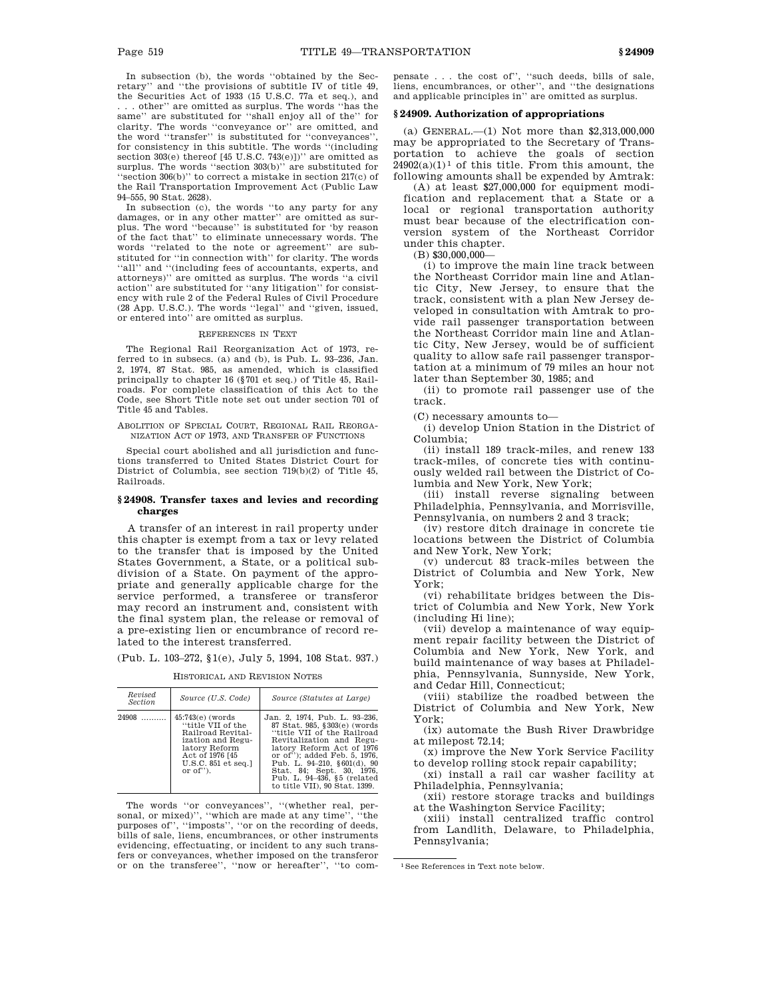In subsection (b), the words ''obtained by the Secretary'' and ''the provisions of subtitle IV of title 49, the Securities Act of 1933 (15 U.S.C. 77a et seq.), and . . . other'' are omitted as surplus. The words ''has the same'' are substituted for ''shall enjoy all of the'' for clarity. The words ''conveyance or'' are omitted, and the word ''transfer'' is substituted for ''conveyances'', for consistency in this subtitle. The words ''(including section 303(e) thereof [45 U.S.C. 743(e)])" are omitted as surplus. The words "section 303(b)" are substituted for ''section 306(b)'' to correct a mistake in section 217(c) of the Rail Transportation Improvement Act (Public Law 94–555, 90 Stat. 2628).

In subsection (c), the words ''to any party for any damages, or in any other matter'' are omitted as surplus. The word ''because'' is substituted for 'by reason of the fact that'' to eliminate unnecessary words. The words ''related to the note or agreement'' are substituted for ''in connection with'' for clarity. The words ''all'' and ''(including fees of accountants, experts, and attorneys)'' are omitted as surplus. The words ''a civil action'' are substituted for ''any litigation'' for consistency with rule 2 of the Federal Rules of Civil Procedure (28 App. U.S.C.). The words ''legal'' and ''given, issued, or entered into'' are omitted as surplus.

#### REFERENCES IN TEXT

The Regional Rail Reorganization Act of 1973, referred to in subsecs. (a) and (b), is Pub. L. 93–236, Jan. 2, 1974, 87 Stat. 985, as amended, which is classified principally to chapter 16 (§701 et seq.) of Title 45, Railroads. For complete classification of this Act to the Code, see Short Title note set out under section 701 of Title 45 and Tables.

ABOLITION OF SPECIAL COURT, REGIONAL RAIL REORGA-NIZATION ACT OF 1973, AND TRANSFER OF FUNCTIONS

Special court abolished and all jurisdiction and functions transferred to United States District Court for District of Columbia, see section 719(b)(2) of Title 45, Railroads.

### **§ 24908. Transfer taxes and levies and recording charges**

A transfer of an interest in rail property under this chapter is exempt from a tax or levy related to the transfer that is imposed by the United States Government, a State, or a political subdivision of a State. On payment of the appropriate and generally applicable charge for the service performed, a transferee or transferor may record an instrument and, consistent with the final system plan, the release or removal of a pre-existing lien or encumbrance of record related to the interest transferred.

(Pub. L. 103–272, §1(e), July 5, 1994, 108 Stat. 937.)

HISTORICAL AND REVISION NOTES

| Revised<br>Section | Source (U.S. Code)                                                                                                                                           | Source (Statutes at Large)                                                                                                                                                                                                                                                                                             |  |  |
|--------------------|--------------------------------------------------------------------------------------------------------------------------------------------------------------|------------------------------------------------------------------------------------------------------------------------------------------------------------------------------------------------------------------------------------------------------------------------------------------------------------------------|--|--|
| 24908              | $45:743(e)$ (words<br>"title VII of the<br>Railroad Revital-<br>ization and Regu-<br>latory Reform<br>Act of 1976 [45]<br>U.S.C. 851 et seq.1<br>or $of$ "). | Jan. 2, 1974. Pub. L. 93-236.<br>87 Stat. 985, §303(e) (words)<br>"title VII of the Railroad<br>Revitalization and Regu-<br>latory Reform Act of 1976<br>or of"); added Feb. 5, 1976.<br>Pub. L. 94-210, $\S 601(d)$ , 90<br>Stat. 84; Sept. 30, 1976.<br>Pub. L. 94-436, §5 (related<br>to title VII), 90 Stat. 1399. |  |  |

The words "or conveyances", "(whether real, per-<br>nnal, or mixed)", "which are made at any time", "the sonal, or mixed)", "which are made at any time", " purposes of'', ''imposts'', ''or on the recording of deeds, bills of sale, liens, encumbrances, or other instruments evidencing, effectuating, or incident to any such transfers or conveyances, whether imposed on the transferor or on the transferee'', ''now or hereafter'', ''to compensate . . . the cost of'', ''such deeds, bills of sale, liens, encumbrances, or other'', and ''the designations and applicable principles in'' are omitted as surplus.

### **§ 24909. Authorization of appropriations**

(a) GENERAL.—(1) Not more than \$2,313,000,000 may be appropriated to the Secretary of Transportation to achieve the goals of section  $24902(a)(1)^1$  of this title. From this amount, the following amounts shall be expended by Amtrak:

(A) at least \$27,000,000 for equipment modification and replacement that a State or a local or regional transportation authority must bear because of the electrification conversion system of the Northeast Corridor under this chapter.

(B) \$30,000,000—

(i) to improve the main line track between the Northeast Corridor main line and Atlantic City, New Jersey, to ensure that the track, consistent with a plan New Jersey developed in consultation with Amtrak to provide rail passenger transportation between the Northeast Corridor main line and Atlantic City, New Jersey, would be of sufficient quality to allow safe rail passenger transportation at a minimum of 79 miles an hour not later than September 30, 1985; and

(ii) to promote rail passenger use of the track.

(C) necessary amounts to—

(i) develop Union Station in the District of Columbia;

(ii) install 189 track-miles, and renew 133 track-miles, of concrete ties with continuously welded rail between the District of Columbia and New York, New York;

(iii) install reverse signaling between Philadelphia, Pennsylvania, and Morrisville, Pennsylvania, on numbers 2 and 3 track;

(iv) restore ditch drainage in concrete tie locations between the District of Columbia and New York, New York;

(v) undercut 83 track-miles between the District of Columbia and New York, New York;

(vi) rehabilitate bridges between the District of Columbia and New York, New York (including Hi line);

(vii) develop a maintenance of way equipment repair facility between the District of Columbia and New York, New York, and build maintenance of way bases at Philadelphia, Pennsylvania, Sunnyside, New York, and Cedar Hill, Connecticut;

(viii) stabilize the roadbed between the District of Columbia and New York, New York;

(ix) automate the Bush River Drawbridge at milepost 72.14;

(x) improve the New York Service Facility to develop rolling stock repair capability;

(xi) install a rail car washer facility at Philadelphia, Pennsylvania;

(xii) restore storage tracks and buildings

at the Washington Service Facility; (xiii) install centralized traffic control from Landlith, Delaware, to Philadelphia, Pennsylvania;

1See References in Text note below.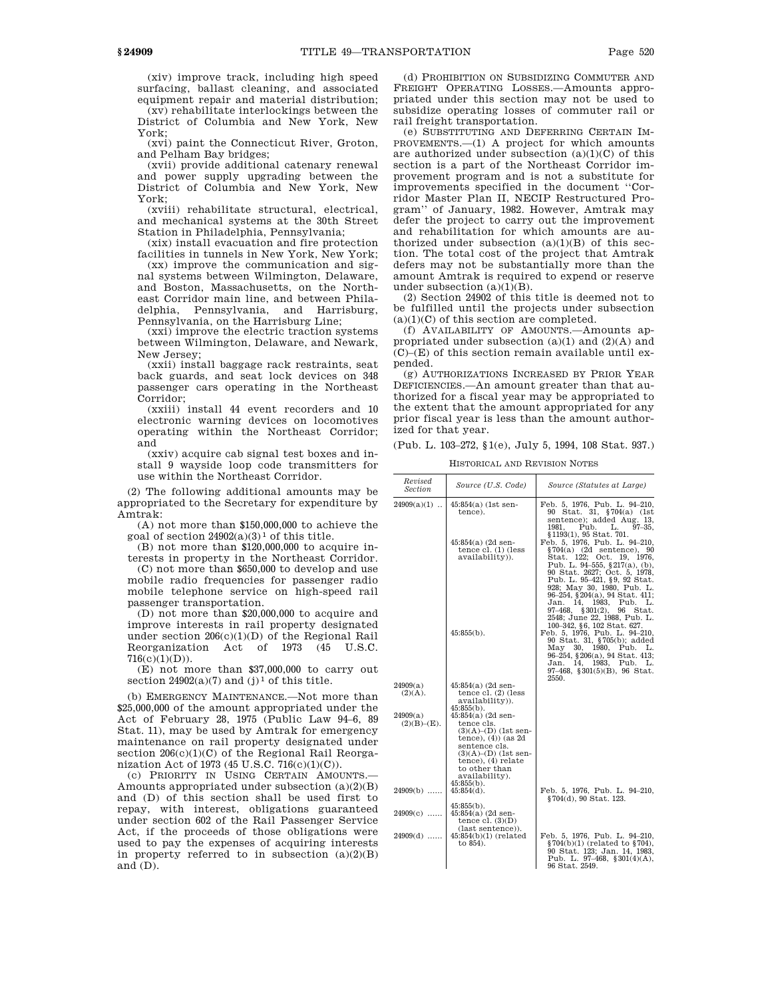(xiv) improve track, including high speed surfacing, ballast cleaning, and associated equipment repair and material distribution;

(xv) rehabilitate interlockings between the District of Columbia and New York, New York;

(xvi) paint the Connecticut River, Groton, and Pelham Bay bridges;

(xvii) provide additional catenary renewal and power supply upgrading between the District of Columbia and New York, New York;

(xviii) rehabilitate structural, electrical, and mechanical systems at the 30th Street Station in Philadelphia, Pennsylvania;

(xix) install evacuation and fire protection facilities in tunnels in New York, New York;

(xx) improve the communication and signal systems between Wilmington, Delaware, and Boston, Massachusetts, on the Northeast Corridor main line, and between Philadelphia, Pennsylvania, and Harrisburg, Pennsylvania, on the Harrisburg Line;

(xxi) improve the electric traction systems between Wilmington, Delaware, and Newark, New Jersey;

(xxii) install baggage rack restraints, seat back guards, and seat lock devices on 348 passenger cars operating in the Northeast Corridor;

(xxiii) install 44 event recorders and 10 electronic warning devices on locomotives operating within the Northeast Corridor; and

(xxiv) acquire cab signal test boxes and install 9 wayside loop code transmitters for use within the Northeast Corridor.

(2) The following additional amounts may be appropriated to the Secretary for expenditure by Amtrak:

(A) not more than \$150,000,000 to achieve the goal of section  $24902(a)(3)^1$  of this title.

(B) not more than \$120,000,000 to acquire interests in property in the Northeast Corridor.

(C) not more than \$650,000 to develop and use mobile radio frequencies for passenger radio mobile telephone service on high-speed rail passenger transportation.

(D) not more than \$20,000,000 to acquire and improve interests in rail property designated under section 206(c)(1)(D) of the Regional Rail Reorganization Act of 1973 (45 U.S.C.  $716(c)(1)(D)).$ 

(E) not more than \$37,000,000 to carry out section  $24902(a)(7)$  and  $(j)^1$  of this title.

(b) EMERGENCY MAINTENANCE.—Not more than \$25,000,000 of the amount appropriated under the Act of February 28, 1975 (Public Law 94–6, 89 Stat. 11), may be used by Amtrak for emergency maintenance on rail property designated under section  $206(c)(1)(C)$  of the Regional Rail Reorganization Act of 1973 (45 U.S.C. 716(c)(1)(C)).

(c) PRIORITY IN USING CERTAIN AMOUNTS.— Amounts appropriated under subsection (a)(2)(B) and (D) of this section shall be used first to repay, with interest, obligations guaranteed under section 602 of the Rail Passenger Service Act, if the proceeds of those obligations were used to pay the expenses of acquiring interests in property referred to in subsection  $(a)(2)(B)$ and (D).

(d) PROHIBITION ON SUBSIDIZING COMMUTER AND FREIGHT OPERATING LOSSES.—Amounts appropriated under this section may not be used to subsidize operating losses of commuter rail or rail freight transportation.

(e) SUBSTITUTING AND DEFERRING CERTAIN IM-PROVEMENTS.—(1) A project for which amounts are authorized under subsection  $(a)(1)(C)$  of this section is a part of the Northeast Corridor improvement program and is not a substitute for improvements specified in the document ''Corridor Master Plan II, NECIP Restructured Program'' of January, 1982. However, Amtrak may defer the project to carry out the improvement and rehabilitation for which amounts are authorized under subsection  $(a)(1)(B)$  of this section. The total cost of the project that Amtrak defers may not be substantially more than the amount Amtrak is required to expend or reserve under subsection  $(a)(1)(B)$ .

(2) Section 24902 of this title is deemed not to be fulfilled until the projects under subsection  $(a)(1)(C)$  of this section are completed.

(f) AVAILABILITY OF AMOUNTS.—Amounts appropriated under subsection  $(a)(1)$  and  $(2)(A)$  and (C)–(E) of this section remain available until expended.

(g) AUTHORIZATIONS INCREASED BY PRIOR YEAR DEFICIENCIES.—An amount greater than that authorized for a fiscal year may be appropriated to the extent that the amount appropriated for any prior fiscal year is less than the amount authorized for that year.

(Pub. L. 103–272, §1(e), July 5, 1994, 108 Stat. 937.)

HISTORICAL AND REVISION NOTES

| Revised<br>Section         | Source (U.S. Code)                                                                                                                                                                                                  | Source (Statutes at Large)                                                                                                                                                                                                                                                                                                                                                                         |
|----------------------------|---------------------------------------------------------------------------------------------------------------------------------------------------------------------------------------------------------------------|----------------------------------------------------------------------------------------------------------------------------------------------------------------------------------------------------------------------------------------------------------------------------------------------------------------------------------------------------------------------------------------------------|
| $24909(a)(1)$              | $45:854(a)$ (1st sen-<br>tence).                                                                                                                                                                                    | Feb. 5, 1976, Pub. L. 94-210,<br>90 Stat. 31, §704(a) (1st<br>sentence); added Aug. 13.                                                                                                                                                                                                                                                                                                            |
|                            | $45:854(a)$ (2d sen-<br>tence $cl. (1)$ (less<br>availability)).                                                                                                                                                    | Pub.<br>$97 - 35$ ,<br>1981.<br>L.<br>§1193(1), 95 Stat. 701.<br>Feb. 5, 1976, Pub. L. 94-210,<br>$\S704(a)$ (2d sentence), 90<br>Stat. 122; Oct. 19, 1976,<br>Pub. L. 94-555, $§217(a)$ , (b),<br>90 Stat. 2627; Oct. 5, 1978,<br>Pub. L. 95-421, §9, 92 Stat.                                                                                                                                    |
|                            | $45:855(b)$ .                                                                                                                                                                                                       | 928; May 30, 1980, Pub. L.<br>96-254, §204(a), 94 Stat. 411;<br>14, 1983,<br>Jan.<br>Pub.<br>T.<br>97-468, §301(2), 96 Stat.<br>2548; June 22, 1988, Pub. L.<br>100-342, §6, 102 Stat. 627.<br>Feb. 5, 1976, Pub. L. 94-210,<br>90 Stat. 31, §705(b); added<br>May<br>30, 1980, Pub.<br>L.<br>96-254, §206(a), 94 Stat. 413;<br>Jan. 14, 1983, Pub.<br>L.<br>97-468, §301(5)(B), 96 Stat.<br>2550. |
| 24909(a)<br>(2)(A).        | $45:854(a)$ (2d sen-<br>tence $cl.$ (2) (less<br>availability)).                                                                                                                                                    |                                                                                                                                                                                                                                                                                                                                                                                                    |
| 24909(a)<br>$(2)(B)–(E)$ . | $45:855(b)$ .<br>$45:854(a)$ (2d sen-<br>tence cls.<br>$(3)(A)- (D)$ (1st sen-<br>tence), $(4)$ ) (as $2d$<br>sentence cls.<br>$(3)(A)- (D)$ (1st sen-<br>$tence$ , $(4)$ relate<br>to other than<br>availability). |                                                                                                                                                                                                                                                                                                                                                                                                    |
| $24909(b)$                 | $45:855(b)$ .<br>$45:854(d)$ .                                                                                                                                                                                      | Feb. 5, 1976, Pub. L. 94-210,<br>§704(d), 90 Stat. 123.                                                                                                                                                                                                                                                                                                                                            |
| $24909(c)$                 | $45:855(b)$ .<br>$45:854(a)$ (2d sen-<br>tence cl. $(3)(D)$<br>(last sentence)).                                                                                                                                    |                                                                                                                                                                                                                                                                                                                                                                                                    |
| $24909(d)$                 | $45:854(b)(1)$ (related<br>to 854).                                                                                                                                                                                 | Feb. 5, 1976, Pub. L. 94-210,<br>$\S 704(b)(1)$ (related to $\S 704$ ),<br>90 Stat. 123; Jan. 14, 1983,<br>Pub. L. 97-468, §301(4)(A),<br>96 Stat 2549                                                                                                                                                                                                                                             |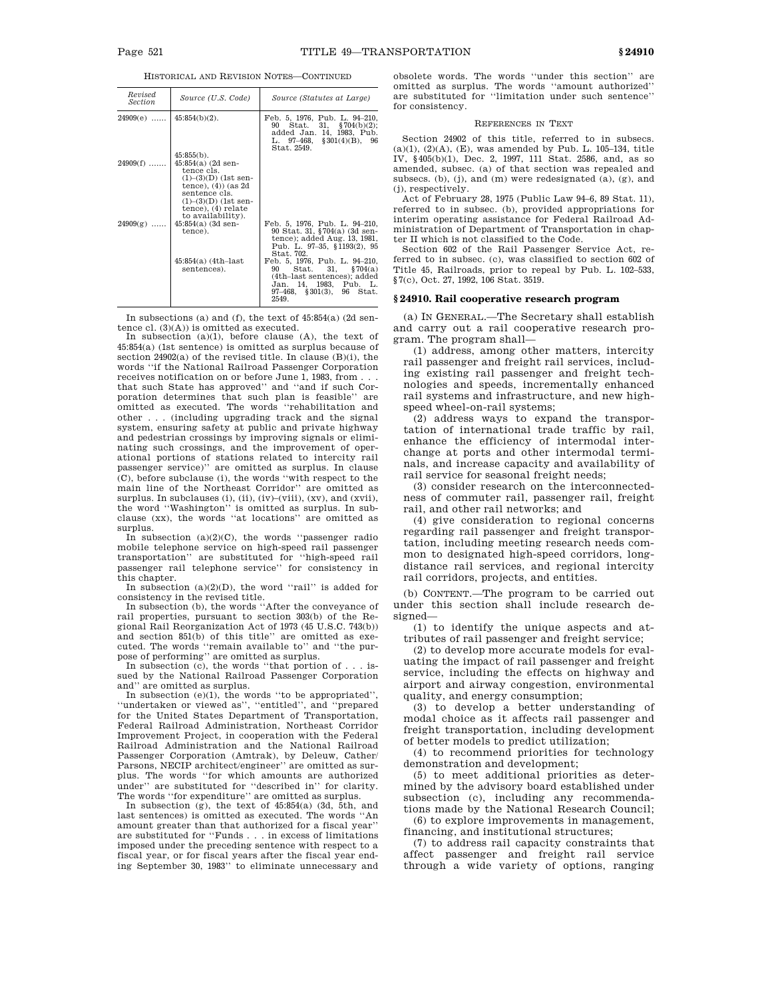HISTORICAL AND REVISION NOTES—CONTINUED

| Revised<br><i>Section</i> | Source (U.S. Code)                                                                                                                                                                                        | Source (Statutes at Large)                                                                                                                                        |
|---------------------------|-----------------------------------------------------------------------------------------------------------------------------------------------------------------------------------------------------------|-------------------------------------------------------------------------------------------------------------------------------------------------------------------|
| $24909(e)$                | $45:854(b)(2)$ .                                                                                                                                                                                          | Feb. 5, 1976, Pub. L. 94-210,<br>Stat. 31, $$704(b)(2);$<br>90<br>added Jan. 14, 1983, Pub.<br>L. $97-468$ , $$301(4)(B)$ , 96<br>Stat. 2549.                     |
| $24909(f)$                | $45:855(b)$ .<br>$45:854(a)$ (2d sen-<br>tence cls.<br>$(1)$ – $(3)(D)$ (1st sen-<br>tence), $(4)$ (as $2d$<br>sentence cls.<br>$(1)$ – $(3)(D)$ (1st sen-<br>$tence$ , $(4)$ relate<br>to availability). |                                                                                                                                                                   |
| $24909(g)$                | $45:854(a)$ (3d sen-<br>tence).                                                                                                                                                                           | Feb. 5, 1976, Pub. L. 94-210,<br>90 Stat. 31, §704(a) (3d sen-<br>tence); added Aug. 13, 1981,<br>Pub. L. 97-35, §1193(2), 95<br>Stat. 702.                       |
|                           | $45:854(a)$ (4th-last)<br>sentences).                                                                                                                                                                     | Feb. 5, 1976, Pub. L. 94-210,<br>Stat. 31, $$704(a)$<br>90<br>(4th-last sentences); added<br>Jan. 14, 1983, Pub. L.<br>$97-468$ , $$301(3)$ , $96$ Stat.<br>2549. |

In subsections (a) and (f), the text of 45:854(a) (2d sentence cl. (3)(A)) is omitted as executed.

In subsection (a)(1), before clause (A), the text of 45:854(a) (1st sentence) is omitted as surplus because of section 24902(a) of the revised title. In clause (B)(i), the words ''if the National Railroad Passenger Corporation receives notification on or before June 1, 1983, from . . . that such State has approved'' and ''and if such Corporation determines that such plan is feasible'' are omitted as executed. The words ''rehabilitation and other . . . (including upgrading track and the signal system, ensuring safety at public and private highway and pedestrian crossings by improving signals or eliminating such crossings, and the improvement of operational portions of stations related to intercity rail passenger service)'' are omitted as surplus. In clause (C), before subclause (i), the words ''with respect to the main line of the Northeast Corridor'' are omitted as surplus. In subclauses (i), (ii), (iv)–(viii), (xv), and (xvii), the word ''Washington'' is omitted as surplus. In subclause (xx), the words ''at locations'' are omitted as surplus.

In subsection (a)(2)(C), the words ''passenger radio mobile telephone service on high-speed rail passenger transportation'' are substituted for ''high-speed rail passenger rail telephone service'' for consistency in

this chapter. In subsection (a)(2)(D), the word ''rail'' is added for

consistency in the revised title. In subsection (b), the words ''After the conveyance of rail properties, pursuant to section 303(b) of the Regional Rail Reorganization Act of 1973 (45 U.S.C. 743(b)) and section 851(b) of this title'' are omitted as executed. The words ''remain available to'' and ''the purpose of performing'' are omitted as surplus.

In subsection (c), the words ''that portion of . . . issued by the National Railroad Passenger Corporation and'' are omitted as surplus.

In subsection  $(e)(1)$ , the words "to be appropriated", ''undertaken or viewed as'', ''entitled'', and ''prepared for the United States Department of Transportation, Federal Railroad Administration, Northeast Corridor Improvement Project, in cooperation with the Federal Railroad Administration and the National Railroad Passenger Corporation (Amtrak), by Deleuw, Cather/ Parsons, NECIP architect/engineer'' are omitted as surplus. The words ''for which amounts are authorized under'' are substituted for ''described in'' for clarity.

The words ''for expenditure'' are omitted as surplus. In subsection (g), the text of 45:854(a) (3d, 5th, and last sentences) is omitted as executed. The words ''An amount greater than that authorized for a fiscal year'' are substituted for ''Funds . . . in excess of limitations imposed under the preceding sentence with respect to a fiscal year, or for fiscal years after the fiscal year ending September 30, 1983'' to eliminate unnecessary and

obsolete words. The words ''under this section'' are omitted as surplus. The words ''amount authorized'' are substituted for ''limitation under such sentence'' for consistency.

### REFERENCES IN TEXT

Section 24902 of this title, referred to in subsecs. (a)(1), (2)(A), (E), was amended by Pub. L. 105–134, title IV, §405(b)(1), Dec. 2, 1997, 111 Stat. 2586, and, as so amended, subsec. (a) of that section was repealed and subsecs. (b), (j), and (m) were redesignated (a), (g), and (j), respectively.

Act of February 28, 1975 (Public Law 94–6, 89 Stat. 11), referred to in subsec. (b), provided appropriations for interim operating assistance for Federal Railroad Administration of Department of Transportation in chapter II which is not classified to the Code.

Section 602 of the Rail Passenger Service Act, referred to in subsec. (c), was classified to section 602 of Title 45, Railroads, prior to repeal by Pub. L. 102–533, §7(c), Oct. 27, 1992, 106 Stat. 3519.

### **§ 24910. Rail cooperative research program**

(a) IN GENERAL.—The Secretary shall establish and carry out a rail cooperative research program. The program shall—

(1) address, among other matters, intercity rail passenger and freight rail services, including existing rail passenger and freight technologies and speeds, incrementally enhanced rail systems and infrastructure, and new highspeed wheel-on-rail systems;

(2) address ways to expand the transportation of international trade traffic by rail, enhance the efficiency of intermodal interchange at ports and other intermodal terminals, and increase capacity and availability of rail service for seasonal freight needs;

(3) consider research on the interconnectedness of commuter rail, passenger rail, freight rail, and other rail networks; and

(4) give consideration to regional concerns regarding rail passenger and freight transportation, including meeting research needs common to designated high-speed corridors, longdistance rail services, and regional intercity rail corridors, projects, and entities.

(b) CONTENT.—The program to be carried out under this section shall include research designed—

(1) to identify the unique aspects and attributes of rail passenger and freight service;

(2) to develop more accurate models for evaluating the impact of rail passenger and freight service, including the effects on highway and airport and airway congestion, environmental quality, and energy consumption;

(3) to develop a better understanding of modal choice as it affects rail passenger and freight transportation, including development of better models to predict utilization;

(4) to recommend priorities for technology demonstration and development;

(5) to meet additional priorities as determined by the advisory board established under subsection (c), including any recommendations made by the National Research Council;

(6) to explore improvements in management, financing, and institutional structures;

(7) to address rail capacity constraints that affect passenger and freight rail service through a wide variety of options, ranging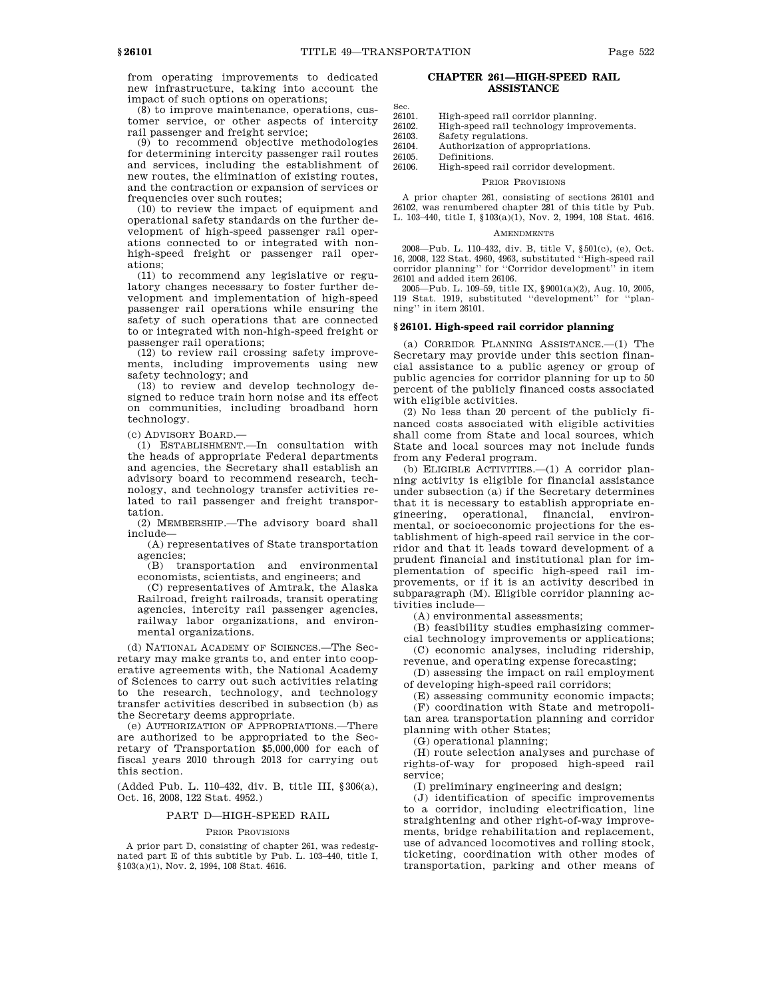from operating improvements to dedicated new infrastructure, taking into account the impact of such options on operations;

 $(8)$  to improve maintenance, operations, customer service, or other aspects of intercity rail passenger and freight service;

(9) to recommend objective methodologies for determining intercity passenger rail routes and services, including the establishment of new routes, the elimination of existing routes, and the contraction or expansion of services or frequencies over such routes;

(10) to review the impact of equipment and operational safety standards on the further development of high-speed passenger rail operations connected to or integrated with nonhigh-speed freight or passenger rail operations;

(11) to recommend any legislative or regulatory changes necessary to foster further development and implementation of high-speed passenger rail operations while ensuring the safety of such operations that are connected to or integrated with non-high-speed freight or passenger rail operations;

(12) to review rail crossing safety improvements, including improvements using new safety technology; and

(13) to review and develop technology designed to reduce train horn noise and its effect on communities, including broadband horn technology.

(c) ADVISORY BOARD.—

(1) ESTABLISHMENT.—In consultation with the heads of appropriate Federal departments and agencies, the Secretary shall establish an advisory board to recommend research, technology, and technology transfer activities related to rail passenger and freight transportation.

(2) MEMBERSHIP.—The advisory board shall include—

(A) representatives of State transportation agencies;

(B) transportation and environmental economists, scientists, and engineers; and

(C) representatives of Amtrak, the Alaska Railroad, freight railroads, transit operating agencies, intercity rail passenger agencies, railway labor organizations, and environmental organizations.

(d) NATIONAL ACADEMY OF SCIENCES.—The Secretary may make grants to, and enter into cooperative agreements with, the National Academy of Sciences to carry out such activities relating to the research, technology, and technology transfer activities described in subsection (b) as the Secretary deems appropriate.

(e) AUTHORIZATION OF APPROPRIATIONS.—There are authorized to be appropriated to the Secretary of Transportation \$5,000,000 for each of fiscal years 2010 through 2013 for carrying out this section.

(Added Pub. L. 110–432, div. B, title III, §306(a), Oct. 16, 2008, 122 Stat. 4952.)

### PART D—HIGH-SPEED RAIL

#### PRIOR PROVISIONS

A prior part D, consisting of chapter 261, was redesignated part E of this subtitle by Pub. L. 103–440, title I, §103(a)(1), Nov. 2, 1994, 108 Stat. 4616.

## **CHAPTER 261—HIGH-SPEED RAIL ASSISTANCE**

Sec.<br>26101 26101. High-speed rail corridor planning.<br>26102. High-speed rail technology improv 26102. High-speed rail technology improvements.<br>26103. Safety regulations. 26103. Safety regulations.<br>26104. Authorization of an 26104. Authorization of appropriations. Definitions. 26106. High-speed rail corridor development.

### PRIOR PROVISIONS

A prior chapter 261, consisting of sections 26101 and 26102, was renumbered chapter 281 of this title by Pub. L. 103–440, title I, §103(a)(1), Nov. 2, 1994, 108 Stat. 4616.

### AMENDMENTS

2008—Pub. L. 110–432, div. B, title V, §501(c), (e), Oct. 16, 2008, 122 Stat. 4960, 4963, substituted ''High-speed rail corridor planning'' for ''Corridor development'' in item 26101 and added item 26106.

2005—Pub. L. 109–59, title IX, §9001(a)(2), Aug. 10, 2005, 119 Stat. 1919, substituted ''development'' for ''planning'' in item 26101.

### **§ 26101. High-speed rail corridor planning**

(a) CORRIDOR PLANNING ASSISTANCE.—(1) The Secretary may provide under this section financial assistance to a public agency or group of public agencies for corridor planning for up to 50 percent of the publicly financed costs associated with eligible activities.

(2) No less than 20 percent of the publicly financed costs associated with eligible activities shall come from State and local sources, which State and local sources may not include funds from any Federal program.

(b) ELIGIBLE ACTIVITIES.—(1) A corridor planning activity is eligible for financial assistance under subsection (a) if the Secretary determines that it is necessary to establish appropriate engineering, operational, financial, environmental, or socioeconomic projections for the establishment of high-speed rail service in the corridor and that it leads toward development of a prudent financial and institutional plan for implementation of specific high-speed rail improvements, or if it is an activity described in subparagraph (M). Eligible corridor planning activities include—

(A) environmental assessments;

(B) feasibility studies emphasizing commercial technology improvements or applications;

(C) economic analyses, including ridership,

revenue, and operating expense forecasting; (D) assessing the impact on rail employment

of developing high-speed rail corridors;

(E) assessing community economic impacts; (F) coordination with State and metropolitan area transportation planning and corridor planning with other States;

(G) operational planning;

(H) route selection analyses and purchase of rights-of-way for proposed high-speed rail service;

(I) preliminary engineering and design;

(J) identification of specific improvements to a corridor, including electrification, line straightening and other right-of-way improvements, bridge rehabilitation and replacement, use of advanced locomotives and rolling stock, ticketing, coordination with other modes of transportation, parking and other means of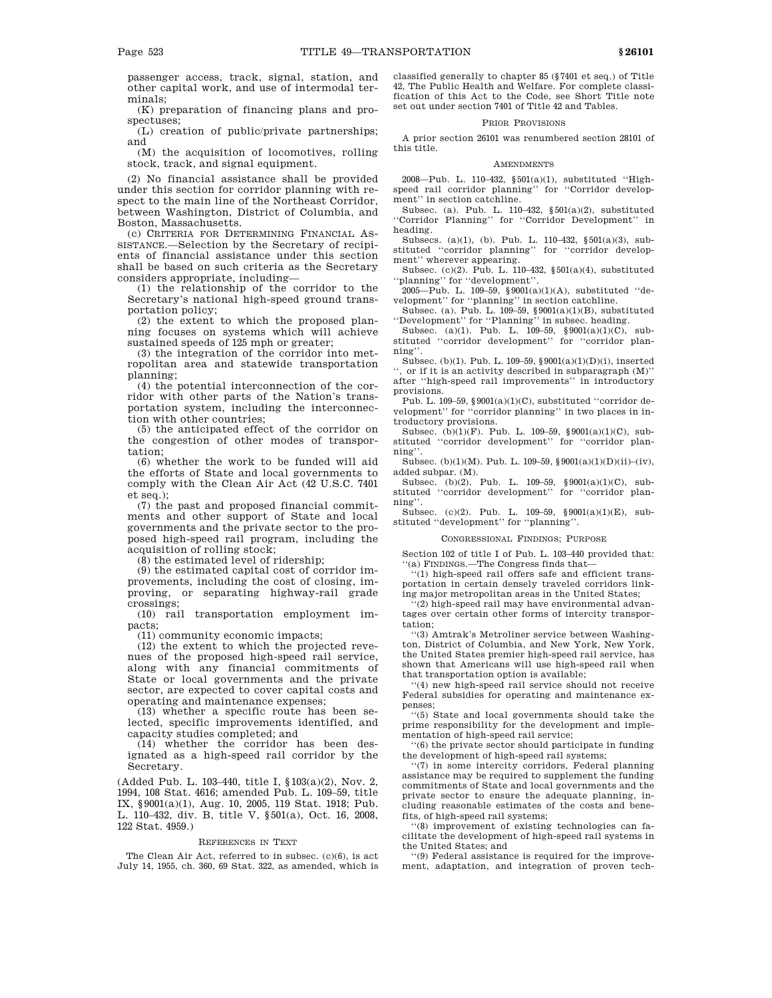passenger access, track, signal, station, and other capital work, and use of intermodal terminals;

(K) preparation of financing plans and prospectuses;

(L) creation of public/private partnerships; and

(M) the acquisition of locomotives, rolling stock, track, and signal equipment.

(2) No financial assistance shall be provided under this section for corridor planning with respect to the main line of the Northeast Corridor, between Washington, District of Columbia, and Boston, Massachusetts.

(c) CRITERIA FOR DETERMINING FINANCIAL AS-SISTANCE.—Selection by the Secretary of recipients of financial assistance under this section shall be based on such criteria as the Secretary considers appropriate, including—

(1) the relationship of the corridor to the Secretary's national high-speed ground transportation policy;

(2) the extent to which the proposed planning focuses on systems which will achieve sustained speeds of 125 mph or greater;

(3) the integration of the corridor into metropolitan area and statewide transportation planning;

(4) the potential interconnection of the corridor with other parts of the Nation's transportation system, including the interconnection with other countries;

(5) the anticipated effect of the corridor on the congestion of other modes of transportation;

(6) whether the work to be funded will aid the efforts of State and local governments to comply with the Clean Air Act (42 U.S.C. 7401 et seq.);

(7) the past and proposed financial commitments and other support of State and local governments and the private sector to the proposed high-speed rail program, including the acquisition of rolling stock;

(8) the estimated level of ridership;

(9) the estimated capital cost of corridor improvements, including the cost of closing, improving, or separating highway-rail grade crossings;

(10) rail transportation employment impacts;

(11) community economic impacts;

(12) the extent to which the projected revenues of the proposed high-speed rail service, along with any financial commitments of State or local governments and the private sector, are expected to cover capital costs and operating and maintenance expenses;

(13) whether a specific route has been selected, specific improvements identified, and capacity studies completed; and

(14) whether the corridor has been designated as a high-speed rail corridor by the Secretary.

(Added Pub. L. 103–440, title I, §103(a)(2), Nov. 2, 1994, 108 Stat. 4616; amended Pub. L. 109–59, title IX, §9001(a)(1), Aug. 10, 2005, 119 Stat. 1918; Pub. L. 110–432, div. B, title V, §501(a), Oct. 16, 2008, 122 Stat. 4959.)

#### REFERENCES IN TEXT

The Clean Air Act, referred to in subsec. (c)(6), is act July 14, 1955, ch. 360, 69 Stat. 322, as amended, which is classified generally to chapter 85 (§7401 et seq.) of Title 42, The Public Health and Welfare. For complete classification of this Act to the Code, see Short Title note set out under section 7401 of Title 42 and Tables.

### PRIOR PROVISIONS

A prior section 26101 was renumbered section 28101 of this title.

#### AMENDMENTS

2008—Pub. L. 110–432, §501(a)(1), substituted ''Highspeed rail corridor planning" for "Corridor development'' in section catchline.

Subsec. (a). Pub. L. 110–432, §501(a)(2), substituted ''Corridor Planning'' for ''Corridor Development'' in heading.

Subsecs. (a)(1), (b). Pub. L. 110–432,  $\S 501(a)(3)$ , substituted ''corridor planning'' for ''corridor development'' wherever appearing.

Subsec. (c)(2). Pub. L. 110–432,  $\S 501(a)(4)$ , substituted ''planning'' for ''development''.

2005—Pub. L. 109–59, §9001(a)(1)(A), substituted ''development'' for ''planning'' in section catchline.

Subsec. (a). Pub. L. 109–59,  $\frac{10001(a)(1)(B)}{20001(b)(B)}$ , substituted ''Development'' for ''Planning'' in subsec. heading.

Subsec. (a)(1). Pub. L. 109–59, §9001(a)(1)(C), substituted ''corridor development'' for ''corridor planning''.

Subsec. (b)(1). Pub. L. 109–59, §9001(a)(1)(D)(i), inserted , or if it is an activity described in subparagraph  $(M)$ " after ''high-speed rail improvements'' in introductory provisions.

Pub. L. 109-59, §9001(a)(1)(C), substituted "corridor development'' for ''corridor planning'' in two places in introductory provisions.

Subsec. (b)(1)(F). Pub. L. 109–59, §9001(a)(1)(C), substituted ''corridor development'' for ''corridor planning''.

Subsec. (b)(1)(M). Pub. L. 109-59, §9001(a)(1)(D)(ii)–(iv), added subpar. (M).

Subsec. (b)(2). Pub. L. 109–59, §9001(a)(1)(C), substituted ''corridor development'' for ''corridor planning''.

Subsec. (c)(2). Pub. L. 109–59, §9001(a)(1)(E), substituted ''development'' for ''planning''.

#### CONGRESSIONAL FINDINGS; PURPOSE

Section 102 of title I of Pub. L. 103–440 provided that: ''(a) FINDINGS.—The Congress finds that—

''(1) high-speed rail offers safe and efficient transportation in certain densely traveled corridors linking major metropolitan areas in the United States;

''(2) high-speed rail may have environmental advantages over certain other forms of intercity transportation;

''(3) Amtrak's Metroliner service between Washington, District of Columbia, and New York, New York, the United States premier high-speed rail service, has shown that Americans will use high-speed rail when that transportation option is available;

''(4) new high-speed rail service should not receive Federal subsidies for operating and maintenance expenses;

''(5) State and local governments should take the prime responsibility for the development and implementation of high-speed rail service;

''(6) the private sector should participate in funding the development of high-speed rail systems;

''(7) in some intercity corridors, Federal planning assistance may be required to supplement the funding commitments of State and local governments and the private sector to ensure the adequate planning, including reasonable estimates of the costs and benefits, of high-speed rail systems;

''(8) improvement of existing technologies can facilitate the development of high-speed rail systems in the United States; and

''(9) Federal assistance is required for the improvement, adaptation, and integration of proven tech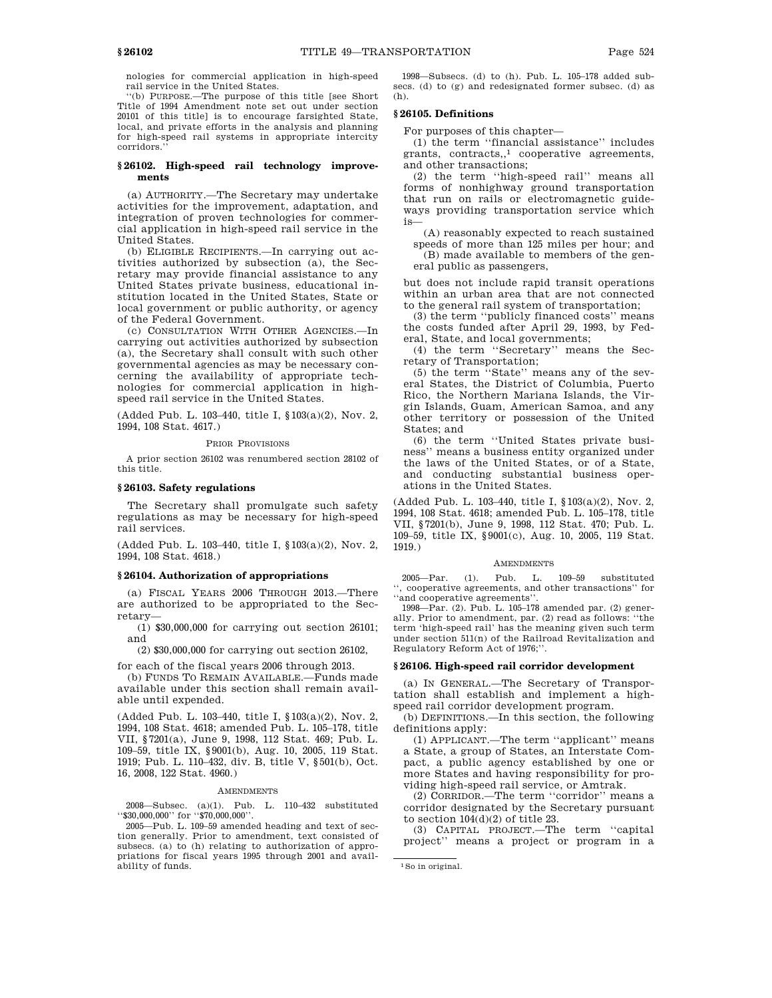nologies for commercial application in high-speed rail service in the United States.

''(b) PURPOSE.—The purpose of this title [see Short Title of 1994 Amendment note set out under section 20101 of this title] is to encourage farsighted State, local, and private efforts in the analysis and planning for high-speed rail systems in appropriate intercity corridors.

### **§ 26102. High-speed rail technology improvements**

(a) AUTHORITY.—The Secretary may undertake activities for the improvement, adaptation, and integration of proven technologies for commercial application in high-speed rail service in the United States.

(b) ELIGIBLE RECIPIENTS.—In carrying out activities authorized by subsection (a), the Secretary may provide financial assistance to any United States private business, educational institution located in the United States, State or local government or public authority, or agency of the Federal Government.

(c) CONSULTATION WITH OTHER AGENCIES.—In carrying out activities authorized by subsection (a), the Secretary shall consult with such other governmental agencies as may be necessary concerning the availability of appropriate technologies for commercial application in highspeed rail service in the United States.

(Added Pub. L. 103–440, title I, §103(a)(2), Nov. 2, 1994, 108 Stat. 4617.)

PRIOR PROVISIONS

A prior section 26102 was renumbered section 28102 of this title.

#### **§ 26103. Safety regulations**

The Secretary shall promulgate such safety regulations as may be necessary for high-speed rail services.

(Added Pub. L. 103–440, title I, §103(a)(2), Nov. 2, 1994, 108 Stat. 4618.)

### **§ 26104. Authorization of appropriations**

(a) FISCAL YEARS 2006 THROUGH 2013.—There are authorized to be appropriated to the Secretary—

(1) \$30,000,000 for carrying out section 26101; and

(2) \$30,000,000 for carrying out section 26102,

for each of the fiscal years 2006 through 2013.

(b) FUNDS TO REMAIN AVAILABLE.—Funds made available under this section shall remain available until expended.

(Added Pub. L. 103–440, title I, §103(a)(2), Nov. 2, 1994, 108 Stat. 4618; amended Pub. L. 105–178, title VII, §7201(a), June 9, 1998, 112 Stat. 469; Pub. L. 109–59, title IX, §9001(b), Aug. 10, 2005, 119 Stat. 1919; Pub. L. 110–432, div. B, title V, §501(b), Oct. 16, 2008, 122 Stat. 4960.)

### AMENDMENTS

2008—Subsec. (a)(1). Pub. L. 110–432 substituted ''\$30,000,000'' for ''\$70,000,000''.

2005—Pub. L. 109–59 amended heading and text of section generally. Prior to amendment, text consisted of subsecs. (a) to (h) relating to authorization of appropriations for fiscal years 1995 through 2001 and availability of funds.

1998—Subsecs. (d) to (h). Pub. L. 105–178 added subsecs. (d) to (g) and redesignated former subsec. (d) as (h).

### **§ 26105. Definitions**

For purposes of this chapter—

(1) the term ''financial assistance'' includes grants, contracts,,1 cooperative agreements, and other transactions;

(2) the term ''high-speed rail'' means all forms of nonhighway ground transportation that run on rails or electromagnetic guideways providing transportation service which is—

(A) reasonably expected to reach sustained speeds of more than 125 miles per hour; and (B) made available to members of the general public as passengers,

but does not include rapid transit operations within an urban area that are not connected to the general rail system of transportation;

(3) the term ''publicly financed costs'' means the costs funded after April 29, 1993, by Federal, State, and local governments;

(4) the term ''Secretary'' means the Secretary of Transportation;

(5) the term ''State'' means any of the several States, the District of Columbia, Puerto Rico, the Northern Mariana Islands, the Virgin Islands, Guam, American Samoa, and any other territory or possession of the United States; and

(6) the term ''United States private business'' means a business entity organized under the laws of the United States, or of a State, and conducting substantial business operations in the United States.

(Added Pub. L. 103–440, title I, §103(a)(2), Nov. 2, 1994, 108 Stat. 4618; amended Pub. L. 105–178, title VII, §7201(b), June 9, 1998, 112 Stat. 470; Pub. L. 109–59, title IX, §9001(c), Aug. 10, 2005, 119 Stat. 1919.)

#### **AMENDMENTS**

2005—Par. (1). Pub. L. 109–59 substituted '', cooperative agreements, and other transactions'' for ''and cooperative agreements''.

1998—Par. (2). Pub. L. 105–178 amended par. (2) generally. Prior to amendment, par. (2) read as follows: term 'high-speed rail' has the meaning given such term under section 511(n) of the Railroad Revitalization and Regulatory Reform Act of 1976;''.

# **§ 26106. High-speed rail corridor development**

(a) IN GENERAL.—The Secretary of Transportation shall establish and implement a highspeed rail corridor development program.

(b) DEFINITIONS.—In this section, the following definitions apply:

(1) APPLICANT.—The term ''applicant'' means a State, a group of States, an Interstate Compact, a public agency established by one or more States and having responsibility for providing high-speed rail service, or Amtrak.

(2) CORRIDOR.—The term ''corridor'' means a corridor designated by the Secretary pursuant to section  $104(d)(2)$  of title 23.

(3) CAPITAL PROJECT.—The term ''capital project'' means a project or program in a

<sup>1</sup>So in original.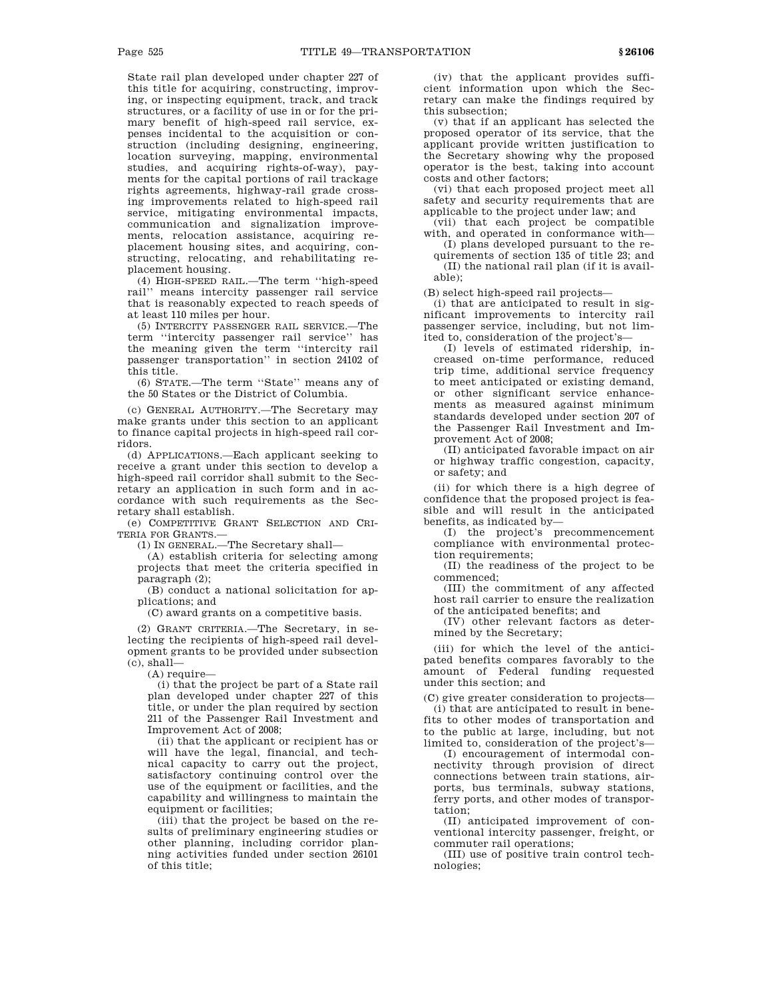State rail plan developed under chapter 227 of this title for acquiring, constructing, improving, or inspecting equipment, track, and track structures, or a facility of use in or for the primary benefit of high-speed rail service, expenses incidental to the acquisition or construction (including designing, engineering, location surveying, mapping, environmental studies, and acquiring rights-of-way), payments for the capital portions of rail trackage rights agreements, highway-rail grade crossing improvements related to high-speed rail service, mitigating environmental impacts, communication and signalization improvements, relocation assistance, acquiring replacement housing sites, and acquiring, constructing, relocating, and rehabilitating replacement housing.

(4) HIGH-SPEED RAIL.—The term ''high-speed rail'' means intercity passenger rail service that is reasonably expected to reach speeds of at least 110 miles per hour.

(5) INTERCITY PASSENGER RAIL SERVICE.—The term ''intercity passenger rail service'' has the meaning given the term ''intercity rail passenger transportation'' in section 24102 of this title.

(6) STATE.—The term ''State'' means any of the 50 States or the District of Columbia.

(c) GENERAL AUTHORITY.—The Secretary may make grants under this section to an applicant to finance capital projects in high-speed rail corridors.

(d) APPLICATIONS.—Each applicant seeking to receive a grant under this section to develop a high-speed rail corridor shall submit to the Secretary an application in such form and in accordance with such requirements as the Secretary shall establish.

(e) COMPETITIVE GRANT SELECTION AND CRI-TERIA FOR GRANTS.—

(1) IN GENERAL.—The Secretary shall—

(A) establish criteria for selecting among projects that meet the criteria specified in paragraph (2);

(B) conduct a national solicitation for applications; and

(C) award grants on a competitive basis.

(2) GRANT CRITERIA.—The Secretary, in selecting the recipients of high-speed rail development grants to be provided under subsection  $(c)$ , shall-

(A) require—

(i) that the project be part of a State rail plan developed under chapter 227 of this title, or under the plan required by section 211 of the Passenger Rail Investment and Improvement Act of 2008;

(ii) that the applicant or recipient has or will have the legal, financial, and technical capacity to carry out the project, satisfactory continuing control over the use of the equipment or facilities, and the capability and willingness to maintain the equipment or facilities;

(iii) that the project be based on the results of preliminary engineering studies or other planning, including corridor planning activities funded under section 26101 of this title;

(iv) that the applicant provides sufficient information upon which the Secretary can make the findings required by this subsection;

(v) that if an applicant has selected the proposed operator of its service, that the applicant provide written justification to the Secretary showing why the proposed operator is the best, taking into account costs and other factors;

(vi) that each proposed project meet all safety and security requirements that are applicable to the project under law; and

(vii) that each project be compatible with, and operated in conformance with—

(I) plans developed pursuant to the requirements of section 135 of title 23; and (II) the national rail plan (if it is available);

(B) select high-speed rail projects—

(i) that are anticipated to result in significant improvements to intercity rail passenger service, including, but not limited to, consideration of the project's—

(I) levels of estimated ridership, increased on-time performance, reduced trip time, additional service frequency to meet anticipated or existing demand, or other significant service enhancements as measured against minimum standards developed under section 207 of the Passenger Rail Investment and Improvement Act of 2008;

(II) anticipated favorable impact on air or highway traffic congestion, capacity, or safety; and

(ii) for which there is a high degree of confidence that the proposed project is feasible and will result in the anticipated benefits, as indicated by—

(I) the project's precommencement compliance with environmental protection requirements;

(II) the readiness of the project to be commenced;

(III) the commitment of any affected host rail carrier to ensure the realization of the anticipated benefits; and

(IV) other relevant factors as determined by the Secretary;

(iii) for which the level of the anticipated benefits compares favorably to the amount of Federal funding requested under this section; and

(C) give greater consideration to projects— (i) that are anticipated to result in benefits to other modes of transportation and to the public at large, including, but not limited to, consideration of the project's—

(I) encouragement of intermodal connectivity through provision of direct connections between train stations, airports, bus terminals, subway stations, ferry ports, and other modes of transportation;

(II) anticipated improvement of conventional intercity passenger, freight, or commuter rail operations;

(III) use of positive train control technologies;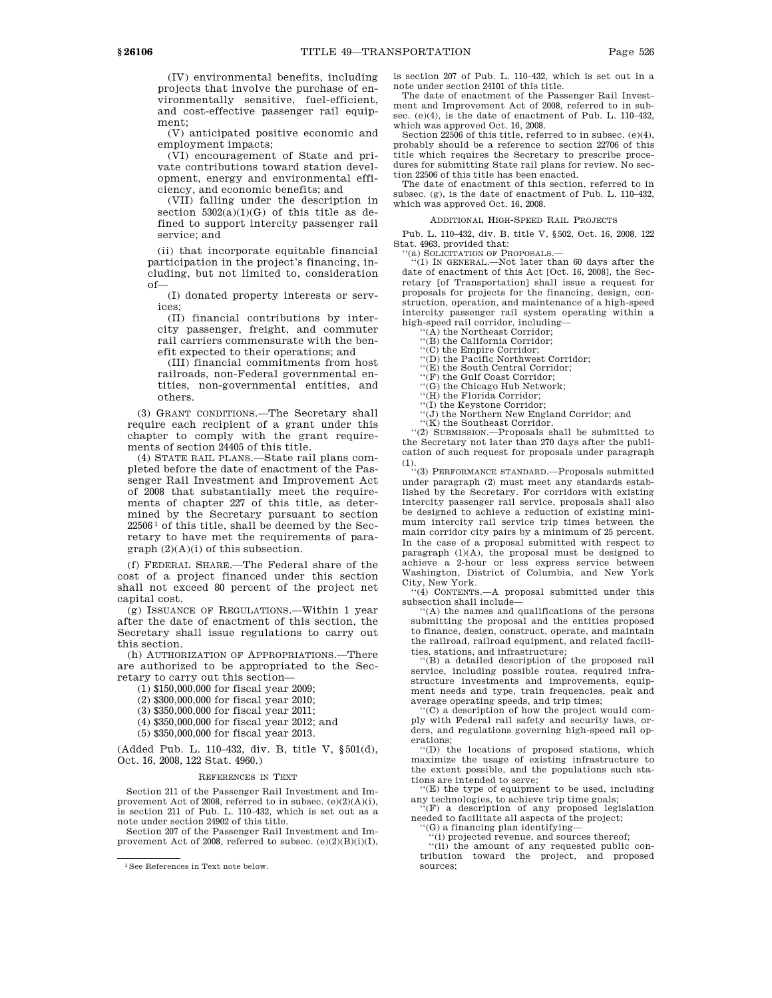(IV) environmental benefits, including projects that involve the purchase of environmentally sensitive, fuel-efficient, and cost-effective passenger rail equipment;

(V) anticipated positive economic and employment impacts;

(VI) encouragement of State and private contributions toward station development, energy and environmental efficiency, and economic benefits; and

(VII) falling under the description in section  $5302(a)(1)(G)$  of this title as defined to support intercity passenger rail service; and

(ii) that incorporate equitable financial participation in the project's financing, including, but not limited to, consideration of—

(I) donated property interests or services;

(II) financial contributions by intercity passenger, freight, and commuter rail carriers commensurate with the benefit expected to their operations; and

(III) financial commitments from host railroads, non-Federal governmental entities, non-governmental entities, and others.

(3) GRANT CONDITIONS.—The Secretary shall require each recipient of a grant under this chapter to comply with the grant requirements of section 24405 of this title.

(4) STATE RAIL PLANS.—State rail plans completed before the date of enactment of the Passenger Rail Investment and Improvement Act of 2008 that substantially meet the requirements of chapter 227 of this title, as determined by the Secretary pursuant to section  $22506<sup>1</sup>$  of this title, shall be deemed by the Secretary to have met the requirements of paragraph (2)(A)(i) of this subsection.

(f) FEDERAL SHARE.—The Federal share of the cost of a project financed under this section shall not exceed 80 percent of the project net capital cost.

(g) ISSUANCE OF REGULATIONS.—Within 1 year after the date of enactment of this section, the Secretary shall issue regulations to carry out this section.

(h) AUTHORIZATION OF APPROPRIATIONS.—There are authorized to be appropriated to the Secretary to carry out this section—

(1) \$150,000,000 for fiscal year 2009;

(2) \$300,000,000 for fiscal year 2010;

(3) \$350,000,000 for fiscal year 2011;

(4) \$350,000,000 for fiscal year 2012; and

(5) \$350,000,000 for fiscal year 2013.

(Added Pub. L. 110–432, div. B, title V, §501(d), Oct. 16, 2008, 122 Stat. 4960.)

#### REFERENCES IN TEXT

Section 211 of the Passenger Rail Investment and Improvement Act of 2008, referred to in subsec. (e)(2)(A)(i), is section 211 of Pub. L. 110–432, which is set out as a note under section 24902 of this title.

Section 207 of the Passenger Rail Investment and Improvement Act of 2008, referred to subsec.  $(e)(2)(B)(i)(I)$ , is section 207 of Pub. L. 110–432, which is set out in a note under section 24101 of this title.

The date of enactment of the Passenger Rail Investment and Improvement Act of 2008, referred to in subsec. (e)(4), is the date of enactment of Pub. L. 110–432, which was approved Oct. 16, 2008.

Section 22506 of this title, referred to in subsec. (e)(4), probably should be a reference to section 22706 of this title which requires the Secretary to prescribe procedures for submitting State rail plans for review. No section 22506 of this title has been enacted.

The date of enactment of this section, referred to in subsec. (g), is the date of enactment of Pub. L. 110–432, which was approved Oct. 16, 2008.

### ADDITIONAL HIGH-SPEED RAIL PROJECTS

Pub. L. 110–432, div. B, title V, §502, Oct. 16, 2008, 122 Stat. 4963, provided that:

'(a) SOLICITATION OF PROPOSALS.-

''(1) IN GENERAL.—Not later than 60 days after the date of enactment of this Act [Oct. 16, 2008], the Secretary [of Transportation] shall issue a request for proposals for projects for the financing, design, construction, operation, and maintenance of a high-speed intercity passenger rail system operating within a high-speed rail corridor, including—

'(A) the Northeast Corridor;

''(B) the California Corridor; ''(C) the Empire Corridor; ''(D) the Pacific Northwest Corridor;

''(E) the South Central Corridor;

''(F) the Gulf Coast Corridor; ''(G) the Chicago Hub Network;

''(H) the Florida Corridor;

''(I) the Keystone Corridor; ''(J) the Northern New England Corridor; and

''(K) the Southeast Corridor.

''(2) SUBMISSION.—Proposals shall be submitted to

the Secretary not later than 270 days after the publication of such request for proposals under paragraph (1). ''(3) PERFORMANCE STANDARD.—Proposals submitted

under paragraph (2) must meet any standards established by the Secretary. For corridors with existing intercity passenger rail service, proposals shall also be designed to achieve a reduction of existing minimum intercity rail service trip times between the main corridor city pairs by a minimum of 25 percent. In the case of a proposal submitted with respect to paragraph  $(1)(A)$ , the proposal must be designed to achieve a 2-hour or less express service between Washington, District of Columbia, and New York City, New York.

 $(4)$  CONTENTS.—A proposal submitted under this subsection shall include—

''(A) the names and qualifications of the persons submitting the proposal and the entities proposed to finance, design, construct, operate, and maintain the railroad, railroad equipment, and related facili-

ties, stations, and infrastructure; ''(B) a detailed description of the proposed rail service, including possible routes, required infrastructure investments and improvements, equipment needs and type, train frequencies, peak and average operating speeds, and trip times;

''(C) a description of how the project would comply with Federal rail safety and security laws, orders, and regulations governing high-speed rail operations;

''(D) the locations of proposed stations, which maximize the usage of existing infrastructure to the extent possible, and the populations such sta-

tions are intended to serve; ''(E) the type of equipment to be used, including any technologies, to achieve trip time goals;

''(F) a description of any proposed legislation needed to facilitate all aspects of the project;

''(G) a financing plan identifying—

''(i) projected revenue, and sources thereof; ''(ii) the amount of any requested public contribution toward the project, and proposed sources;

<sup>1</sup>See References in Text note below.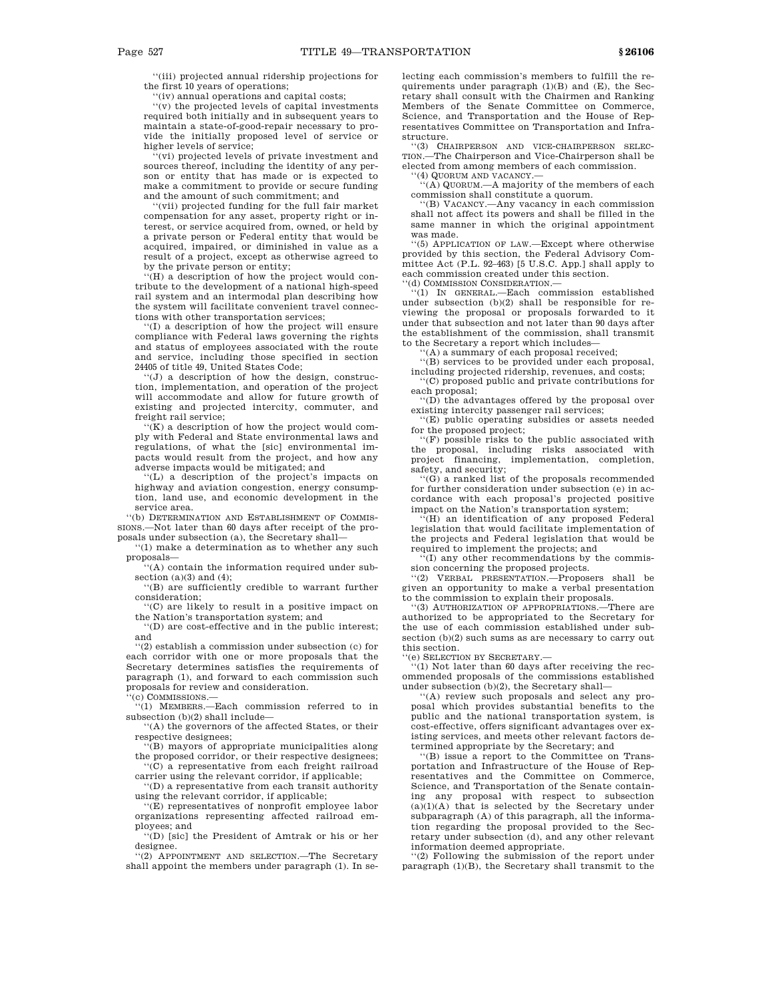''(iii) projected annual ridership projections for the first 10 years of operations;

''(iv) annual operations and capital costs;

''(v) the projected levels of capital investments required both initially and in subsequent years to maintain a state-of-good-repair necessary to provide the initially proposed level of service or higher levels of service;

''(vi) projected levels of private investment and sources thereof, including the identity of any person or entity that has made or is expected to make a commitment to provide or secure funding and the amount of such commitment; and

''(vii) projected funding for the full fair market compensation for any asset, property right or interest, or service acquired from, owned, or held by a private person or Federal entity that would be acquired, impaired, or diminished in value as a result of a project, except as otherwise agreed to by the private person or entity;

 $H(H)$  a description of how the project would contribute to the development of a national high-speed rail system and an intermodal plan describing how the system will facilitate convenient travel connections with other transportation services;

''(I) a description of how the project will ensure compliance with Federal laws governing the rights and status of employees associated with the route and service, including those specified in section 24405 of title 49, United States Code;

''(J) a description of how the design, construction, implementation, and operation of the project will accommodate and allow for future growth of existing and projected intercity, commuter, and freight rail service;

 $\sqrt{\text{K}}$  a description of how the project would comply with Federal and State environmental laws and regulations, of what the [sic] environmental impacts would result from the project, and how any adverse impacts would be mitigated; and

''(L) a description of the project's impacts on highway and aviation congestion, energy consumption, land use, and economic development in the service area.

''(b) DETERMINATION AND ESTABLISHMENT OF COMMIS-SIONS.—Not later than 60 days after receipt of the proposals under subsection (a), the Secretary shall—

''(1) make a determination as to whether any such proposals—

''(A) contain the information required under subsection  $(a)(3)$  and  $(4)$ ;

''(B) are sufficiently credible to warrant further consideration;

''(C) are likely to result in a positive impact on the Nation's transportation system; and

''(D) are cost-effective and in the public interest; and

''(2) establish a commission under subsection (c) for each corridor with one or more proposals that the Secretary determines satisfies the requirements of paragraph (1), and forward to each commission such proposals for review and consideration.

'(c) COMMISSIONS.-

'(1) MEMBERS.—Each commission referred to in subsection (b)(2) shall include-

''(A) the governors of the affected States, or their respective designees;

'(B) mayors of appropriate municipalities along the proposed corridor, or their respective designees;

''(C) a representative from each freight railroad carrier using the relevant corridor, if applicable;

''(D) a representative from each transit authority using the relevant corridor, if applicable;

''(E) representatives of nonprofit employee labor organizations representing affected railroad em-

ployees; and ''(D) [sic] the President of Amtrak or his or her designee.

''(2) APPOINTMENT AND SELECTION.—The Secretary shall appoint the members under paragraph (1). In selecting each commission's members to fulfill the requirements under paragraph  $(1)(B)$  and  $(E)$ , the Secretary shall consult with the Chairmen and Ranking Members of the Senate Committee on Commerce, Science, and Transportation and the House of Representatives Committee on Transportation and Infrastructure.

''(3) CHAIRPERSON AND VICE-CHAIRPERSON SELEC-TION.—The Chairperson and Vice-Chairperson shall be elected from among members of each commission.

''(4) QUORUM AND VACANCY.—

''(A) QUORUM.—A majority of the members of each commission shall constitute a quorum. ''(B) VACANCY.—Any vacancy in each commission

shall not affect its powers and shall be filled in the same manner in which the original appointment was made.

''(5) APPLICATION OF LAW.—Except where otherwise provided by this section, the Federal Advisory Committee Act (P.L. 92–463) [5 U.S.C. App.] shall apply to each commission created under this section. ''(d) COMMISSION CONSIDERATION.—

'(1) IN GENERAL.-Each commission established under subsection (b)(2) shall be responsible for reviewing the proposal or proposals forwarded to it under that subsection and not later than 90 days after the establishment of the commission, shall transmit to the Secretary a report which includes—

'(A) a summary of each proposal received;

''(B) services to be provided under each proposal,

including projected ridership, revenues, and costs; ''(C) proposed public and private contributions for each proposal;

''(D) the advantages offered by the proposal over existing intercity passenger rail services;

'(E) public operating subsidies or assets needed for the proposed project;

''(F) possible risks to the public associated with the proposal, including risks associated with project financing, implementation, completion, safety, and security;

''(G) a ranked list of the proposals recommended for further consideration under subsection (e) in accordance with each proposal's projected positive impact on the Nation's transportation system;

 $F(H)$  an identification of any proposed Federal legislation that would facilitate implementation of the projects and Federal legislation that would be required to implement the projects; and

 $f(I)$  any other recommendations by the commission concerning the proposed projects.

''(2) VERBAL PRESENTATION.—Proposers shall be given an opportunity to make a verbal presentation to the commission to explain their proposals.

''(3) AUTHORIZATION OF APPROPRIATIONS.—There are authorized to be appropriated to the Secretary for the use of each commission established under subsection (b)(2) such sums as are necessary to carry out this section.

''(e) SELECTION BY SECRETARY.—

''(1) Not later than 60 days after receiving the recommended proposals of the commissions established under subsection (b)(2), the Secretary shall—

''(A) review such proposals and select any proposal which provides substantial benefits to the public and the national transportation system, is cost-effective, offers significant advantages over existing services, and meets other relevant factors determined appropriate by the Secretary; and

''(B) issue a report to the Committee on Transportation and Infrastructure of the House of Representatives and the Committee on Commerce, Science, and Transportation of the Senate containing any proposal with respect to subsection  $(a)(1)(A)$  that is selected by the Secretary under subparagraph (A) of this paragraph, all the information regarding the proposal provided to the Secretary under subsection (d), and any other relevant information deemed appropriate.

''(2) Following the submission of the report under paragraph (1)(B), the Secretary shall transmit to the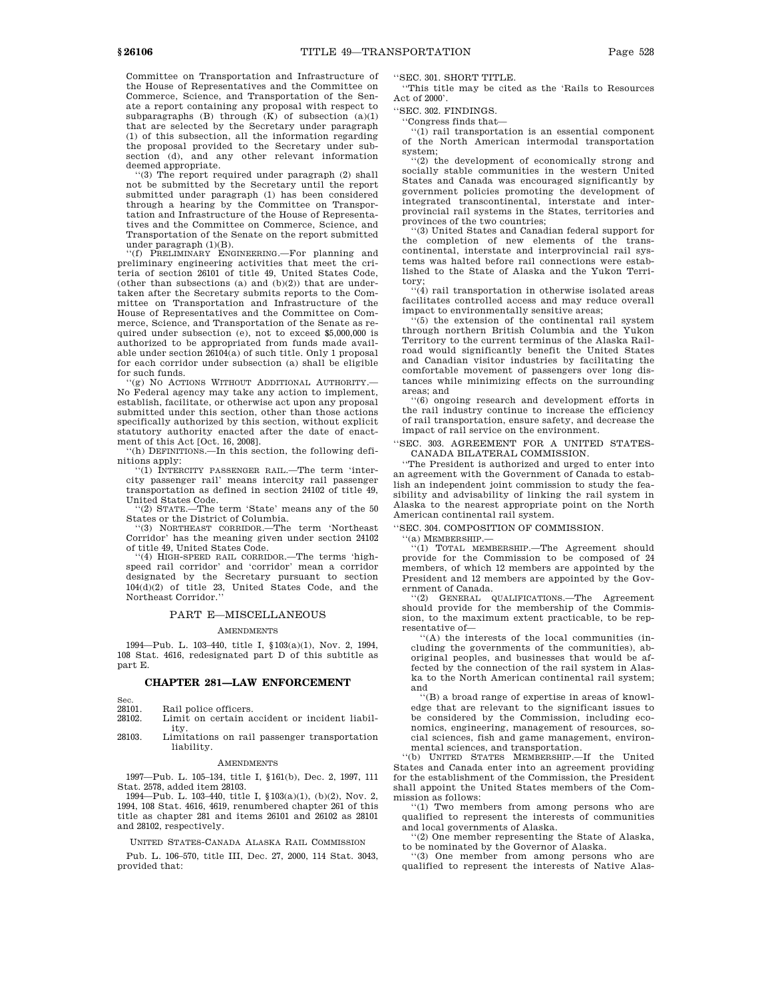Committee on Transportation and Infrastructure of the House of Representatives and the Committee on Commerce, Science, and Transportation of the Senate a report containing any proposal with respect to subparagraphs  $(B)$  through  $(K)$  of subsection  $(a)(1)$ that are selected by the Secretary under paragraph (1) of this subsection, all the information regarding the proposal provided to the Secretary under subsection (d), and any other relevant information deemed appropriate.

'(3) The report required under paragraph (2) shall not be submitted by the Secretary until the report submitted under paragraph (1) has been considered through a hearing by the Committee on Transportation and Infrastructure of the House of Representatives and the Committee on Commerce, Science, and Transportation of the Senate on the report submitted under paragraph (1)(B).

''(f) PRELIMINARY ENGINEERING.—For planning and preliminary engineering activities that meet the criteria of section 26101 of title 49, United States Code, (other than subsections (a) and  $(b)(2)$ ) that are undertaken after the Secretary submits reports to the Committee on Transportation and Infrastructure of the House of Representatives and the Committee on Commerce, Science, and Transportation of the Senate as required under subsection (e), not to exceed \$5,000,000 is authorized to be appropriated from funds made available under section  $26104(a)$  of such title. Only 1 proposal for each corridor under subsection (a) shall be eligible for such funds.

'(g) NO ACTIONS WITHOUT ADDITIONAL AUTHORITY.-No Federal agency may take any action to implement, establish, facilitate, or otherwise act upon any proposal submitted under this section, other than those actions specifically authorized by this section, without explicit statutory authority enacted after the date of enactment of this Act [Oct. 16, 2008].

(h) DEFINITIONS.—In this section, the following definitions apply:

''(1) INTERCITY PASSENGER RAIL.—The term 'intercity passenger rail' means intercity rail passenger transportation as defined in section 24102 of title 49, United States Code.

'(2) STATE.—The term 'State' means any of the 50 States or the District of Columbia.

''(3) NORTHEAST CORRIDOR.—The term 'Northeast Corridor' has the meaning given under section 24102 of title 49, United States Code.

''(4) HIGH-SPEED RAIL CORRIDOR.—The terms 'highspeed rail corridor' and 'corridor' mean a corridor designated by the Secretary pursuant to section 104(d)(2) of title 23, United States Code, and the Northeast Corridor.''

### PART E—MISCELLANEOUS

#### **AMENDMENTS**

1994—Pub. L. 103–440, title I, §103(a)(1), Nov. 2, 1994, 108 Stat. 4616, redesignated part D of this subtitle as part E.

### **CHAPTER 281—LAW ENFORCEMENT**

| Sec.   |                       |
|--------|-----------------------|
| 28101. | Rail police officers. |

28102. Limit on certain accident or incident liabil-

ity. 28103. Limitations on rail passenger transportation liability.

#### AMENDMENTS

1997—Pub. L. 105–134, title I, §161(b), Dec. 2, 1997, 111 Stat. 2578, added item 28103.

1994—Pub. L. 103–440, title I, §103(a)(1), (b)(2), Nov. 2, 1994, 108 Stat. 4616, 4619, renumbered chapter 261 of this title as chapter 281 and items 26101 and 26102 as 28101 and 28102, respectively.

UNITED STATES-CANADA ALASKA RAIL COMMISSION

Pub. L. 106–570, title III, Dec. 27, 2000, 114 Stat. 3043, provided that:

''SEC. 301. SHORT TITLE.

''This title may be cited as the 'Rails to Resources Act of 2000'.

''SEC. 302. FINDINGS.

''Congress finds that—

''(1) rail transportation is an essential component of the North American intermodal transportation system;

''(2) the development of economically strong and socially stable communities in the western United States and Canada was encouraged significantly by government policies promoting the development of integrated transcontinental, interstate and interprovincial rail systems in the States, territories and provinces of the two countries;

''(3) United States and Canadian federal support for the completion of new elements of the transcontinental, interstate and interprovincial rail systems was halted before rail connections were established to the State of Alaska and the Yukon Territory;

''(4) rail transportation in otherwise isolated areas facilitates controlled access and may reduce overall impact to environmentally sensitive areas;

 $(5)$  the extension of the continental rail system through northern British Columbia and the Yukon Territory to the current terminus of the Alaska Railroad would significantly benefit the United States and Canadian visitor industries by facilitating the comfortable movement of passengers over long distances while minimizing effects on the surrounding areas; and

''(6) ongoing research and development efforts in the rail industry continue to increase the efficiency of rail transportation, ensure safety, and decrease the impact of rail service on the environment.

### ''SEC. 303. AGREEMENT FOR A UNITED STATES-CANADA BILATERAL COMMISSION.

''The President is authorized and urged to enter into an agreement with the Government of Canada to establish an independent joint commission to study the feasibility and advisability of linking the rail system in Alaska to the nearest appropriate point on the North American continental rail system.

''SEC. 304. COMPOSITION OF COMMISSION.

''(a) MEMBERSHIP.—

''(1) TOTAL MEMBERSHIP.—The Agreement should provide for the Commission to be composed of 24 members, of which 12 members are appointed by the President and 12 members are appointed by the Government of Canada.

''(2) GENERAL QUALIFICATIONS.—The Agreement should provide for the membership of the Commission, to the maximum extent practicable, to be representative of—

''(A) the interests of the local communities (including the governments of the communities), aboriginal peoples, and businesses that would be affected by the connection of the rail system in Alaska to the North American continental rail system; and

''(B) a broad range of expertise in areas of knowledge that are relevant to the significant issues to be considered by the Commission, including economics, engineering, management of resources, social sciences, fish and game management, environmental sciences, and transportation.

''(b) UNITED STATES MEMBERSHIP.—If the United States and Canada enter into an agreement providing for the establishment of the Commission, the President shall appoint the United States members of the Commission as follows:

''(1) Two members from among persons who are qualified to represent the interests of communities and local governments of Alaska.

''(2) One member representing the State of Alaska, to be nominated by the Governor of Alaska.

''(3) One member from among persons who are qualified to represent the interests of Native Alas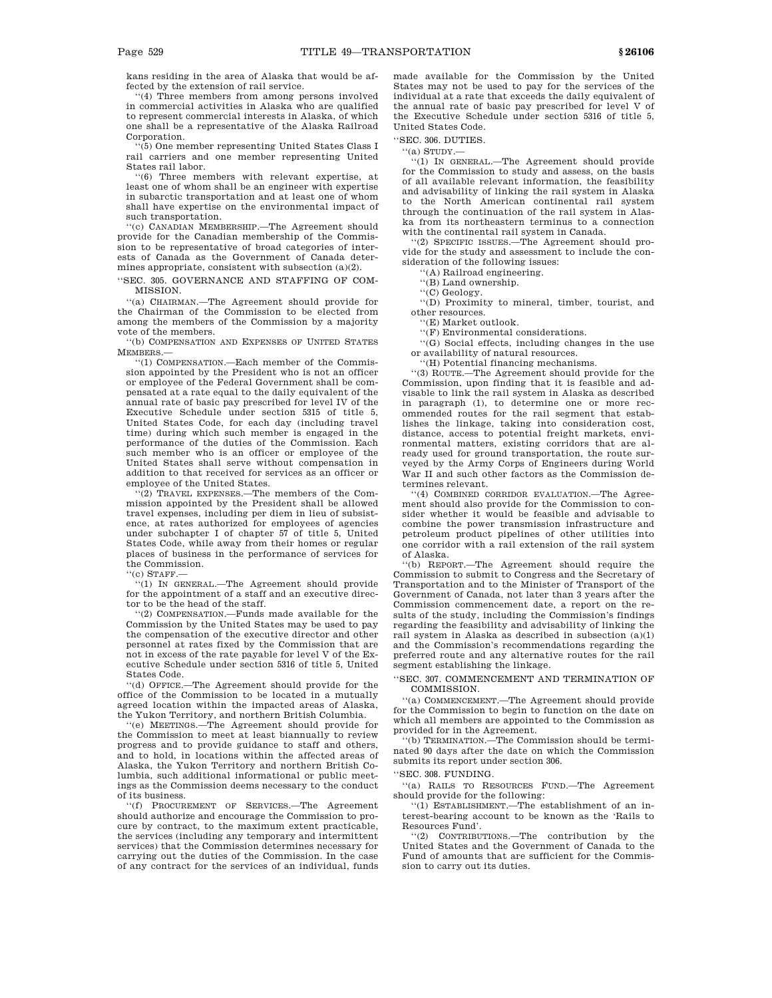kans residing in the area of Alaska that would be affected by the extension of rail service.

''(4) Three members from among persons involved in commercial activities in Alaska who are qualified to represent commercial interests in Alaska, of which one shall be a representative of the Alaska Railroad Corporation.

'(5) One member representing United States Class I rail carriers and one member representing United States rail labor.

''(6) Three members with relevant expertise, at least one of whom shall be an engineer with expertise in subarctic transportation and at least one of whom shall have expertise on the environmental impact of such transportation.

''(c) CANADIAN MEMBERSHIP.—The Agreement should provide for the Canadian membership of the Commission to be representative of broad categories of interests of Canada as the Government of Canada determines appropriate, consistent with subsection (a)(2).

''SEC. 305. GOVERNANCE AND STAFFING OF COM-MISSION.

''(a) CHAIRMAN.—The Agreement should provide for the Chairman of the Commission to be elected from among the members of the Commission by a majority vote of the members.

'(b) COMPENSATION AND EXPENSES OF UNITED STATES MEMBERS.—

''(1) COMPENSATION.—Each member of the Commission appointed by the President who is not an officer or employee of the Federal Government shall be compensated at a rate equal to the daily equivalent of the annual rate of basic pay prescribed for level IV of the Executive Schedule under section 5315 of title 5, United States Code, for each day (including travel time) during which such member is engaged in the performance of the duties of the Commission. Each such member who is an officer or employee of the United States shall serve without compensation in addition to that received for services as an officer or employee of the United States.

''(2) TRAVEL EXPENSES.—The members of the Commission appointed by the President shall be allowed travel expenses, including per diem in lieu of subsistence, at rates authorized for employees of agencies under subchapter I of chapter 57 of title 5, United States Code, while away from their homes or regular places of business in the performance of services for the Commission.

 $``$ (c) STAFF.

''(1) IN GENERAL.—The Agreement should provide for the appointment of a staff and an executive director to be the head of the staff.

''(2) COMPENSATION.—Funds made available for the Commission by the United States may be used to pay the compensation of the executive director and other personnel at rates fixed by the Commission that are not in excess of the rate payable for level V of the Executive Schedule under section 5316 of title 5, United States Code.

''(d) OFFICE.—The Agreement should provide for the office of the Commission to be located in a mutually agreed location within the impacted areas of Alaska, the Yukon Territory, and northern British Columbia.

''(e) MEETINGS.—The Agreement should provide for the Commission to meet at least biannually to review progress and to provide guidance to staff and others, and to hold, in locations within the affected areas of Alaska, the Yukon Territory and northern British Columbia, such additional informational or public meetings as the Commission deems necessary to the conduct of its business.

''(f) PROCUREMENT OF SERVICES.—The Agreement should authorize and encourage the Commission to procure by contract, to the maximum extent practicable, the services (including any temporary and intermittent services) that the Commission determines necessary for carrying out the duties of the Commission. In the case of any contract for the services of an individual, funds

made available for the Commission by the United States may not be used to pay for the services of the individual at a rate that exceeds the daily equivalent of the annual rate of basic pay prescribed for level V of the Executive Schedule under section 5316 of title 5, United States Code.

''SEC. 306. DUTIES.

 $''(a)$  STIDY  $-$ 

''(1) IN GENERAL.—The Agreement should provide for the Commission to study and assess, on the basis of all available relevant information, the feasibility and advisability of linking the rail system in Alaska to the North American continental rail system through the continuation of the rail system in Alaska from its northeastern terminus to a connection with the continental rail system in Canada.

''(2) SPECIFIC ISSUES.—The Agreement should provide for the study and assessment to include the consideration of the following issues:

''(A) Railroad engineering.

''(B) Land ownership.

''(C) Geology.

''(D) Proximity to mineral, timber, tourist, and other resources.

''(E) Market outlook.

''(F) Environmental considerations.

''(G) Social effects, including changes in the use or availability of natural resources.

''(H) Potential financing mechanisms.

''(3) ROUTE.—The Agreement should provide for the Commission, upon finding that it is feasible and advisable to link the rail system in Alaska as described in paragraph (1), to determine one or more recommended routes for the rail segment that establishes the linkage, taking into consideration cost, distance, access to potential freight markets, environmental matters, existing corridors that are already used for ground transportation, the route surveyed by the Army Corps of Engineers during World War II and such other factors as the Commission determines relevant.

''(4) COMBINED CORRIDOR EVALUATION.—The Agreement should also provide for the Commission to consider whether it would be feasible and advisable to combine the power transmission infrastructure and petroleum product pipelines of other utilities into one corridor with a rail extension of the rail system of Alaska.

''(b) REPORT.—The Agreement should require the Commission to submit to Congress and the Secretary of Transportation and to the Minister of Transport of the Government of Canada, not later than 3 years after the Commission commencement date, a report on the results of the study, including the Commission's findings regarding the feasibility and advisability of linking the rail system in Alaska as described in subsection (a)(1) and the Commission's recommendations regarding the preferred route and any alternative routes for the rail segment establishing the linkage.

''SEC. 307. COMMENCEMENT AND TERMINATION OF COMMISSION.

''(a) COMMENCEMENT.—The Agreement should provide for the Commission to begin to function on the date on which all members are appointed to the Commission as provided for in the Agreement.

''(b) TERMINATION.—The Commission should be terminated 90 days after the date on which the Commission submits its report under section 306.

''SEC. 308. FUNDING.

''(a) RAILS TO RESOURCES FUND.—The Agreement should provide for the following:

''(1) ESTABLISHMENT.—The establishment of an interest-bearing account to be known as the 'Rails to Resources Fund'.

''(2) CONTRIBUTIONS.—The contribution by the United States and the Government of Canada to the Fund of amounts that are sufficient for the Commission to carry out its duties.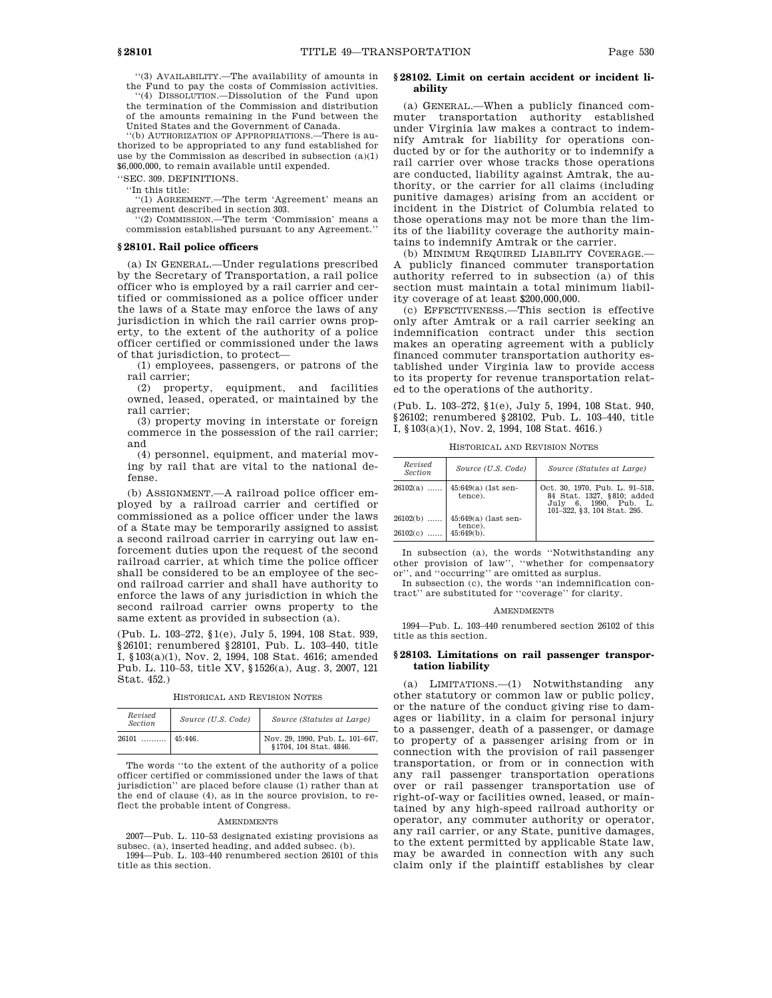''(3) AVAILABILITY.—The availability of amounts in the Fund to pay the costs of Commission activities. ''(4) DISSOLUTION.—Dissolution of the Fund upon the termination of the Commission and distribution of the amounts remaining in the Fund between the United States and the Government of Canada.

''(b) AUTHORIZATION OF APPROPRIATIONS.—There is authorized to be appropriated to any fund established for use by the Commission as described in subsection (a)(1) \$6,000,000, to remain available until expended.

''SEC. 309. DEFINITIONS.

''In this title:

''(1) AGREEMENT.—The term 'Agreement' means an agreement described in section 303.

''(2) COMMISSION.—The term 'Commission' means a commission established pursuant to any Agreement.''

### **§ 28101. Rail police officers**

(a) IN GENERAL.—Under regulations prescribed by the Secretary of Transportation, a rail police officer who is employed by a rail carrier and certified or commissioned as a police officer under the laws of a State may enforce the laws of any jurisdiction in which the rail carrier owns property, to the extent of the authority of a police officer certified or commissioned under the laws of that jurisdiction, to protect—

(1) employees, passengers, or patrons of the rail carrier;

(2) property, equipment, and facilities owned, leased, operated, or maintained by the rail carrier;

(3) property moving in interstate or foreign commerce in the possession of the rail carrier; and

(4) personnel, equipment, and material moving by rail that are vital to the national defense.

(b) ASSIGNMENT.—A railroad police officer employed by a railroad carrier and certified or commissioned as a police officer under the laws of a State may be temporarily assigned to assist a second railroad carrier in carrying out law enforcement duties upon the request of the second railroad carrier, at which time the police officer shall be considered to be an employee of the second railroad carrier and shall have authority to enforce the laws of any jurisdiction in which the second railroad carrier owns property to the same extent as provided in subsection (a).

(Pub. L. 103–272, §1(e), July 5, 1994, 108 Stat. 939, §26101; renumbered §28101, Pub. L. 103–440, title I, §103(a)(1), Nov. 2, 1994, 108 Stat. 4616; amended Pub. L. 110–53, title XV, §1526(a), Aug. 3, 2007, 121 Stat. 452.)

HISTORICAL AND REVISION NOTES

| Revised<br><b>Section</b> | Source (U.S. Code) | Source (Statutes at Large)                                                                                      |
|---------------------------|--------------------|-----------------------------------------------------------------------------------------------------------------|
| $26101$                   | 45:446.            | $\begin{array}{ l } \hbox{Nov. 29, 1990, Pub. L. 101–647,}\\ \hbox{$$1704, 104 Stat. 4846.} \hbox{ \end{array}$ |

The words ''to the extent of the authority of a police officer certified or commissioned under the laws of that jurisdiction'' are placed before clause (1) rather than at the end of clause (4), as in the source provision, to reflect the probable intent of Congress.

# AMENDMENTS

2007—Pub. L. 110–53 designated existing provisions as subsec. (a), inserted heading, and added subsec. (b).

1994—Pub. L. 103–440 renumbered section 26101 of this title as this section.

### **§ 28102. Limit on certain accident or incident liability**

(a) GENERAL.—When a publicly financed commuter transportation authority established under Virginia law makes a contract to indemnify Amtrak for liability for operations conducted by or for the authority or to indemnify a rail carrier over whose tracks those operations are conducted, liability against Amtrak, the authority, or the carrier for all claims (including punitive damages) arising from an accident or incident in the District of Columbia related to those operations may not be more than the limits of the liability coverage the authority maintains to indemnify Amtrak or the carrier.

(b) MINIMUM REQUIRED LIABILITY COVERAGE.— A publicly financed commuter transportation authority referred to in subsection (a) of this section must maintain a total minimum liability coverage of at least \$200,000,000.

(c) EFFECTIVENESS.—This section is effective only after Amtrak or a rail carrier seeking an indemnification contract under this section makes an operating agreement with a publicly financed commuter transportation authority established under Virginia law to provide access to its property for revenue transportation related to the operations of the authority.

(Pub. L. 103–272, §1(e), July 5, 1994, 108 Stat. 940, §26102; renumbered §28102, Pub. L. 103–440, title I, §103(a)(1), Nov. 2, 1994, 108 Stat. 4616.)

HISTORICAL AND REVISION NOTES

| Revised<br>Section | Source (U.S. Code)                | Source (Statutes at Large)                                                                                           |
|--------------------|-----------------------------------|----------------------------------------------------------------------------------------------------------------------|
| $26102(a)$         | $45:649(a)$ (1st sen-<br>tence).  | Oct. 30, 1970, Pub. L. 91-518,<br>84 Stat. 1327, §810; added<br>July 6, 1990, Pub. L.<br>101-322, §3, 104 Stat, 295. |
| $26102(b)$         | $45:649(a)$ (last sen-<br>tence). |                                                                                                                      |
| 26102(c)           | $45:649(b)$ .                     |                                                                                                                      |

In subsection (a), the words ''Notwithstanding any other provision of law'', ''whether for compensatory or'', and ''occurring'' are omitted as surplus.

In subsection (c), the words "an indemnification contract'' are substituted for ''coverage'' for clarity.

#### AMENDMENTS

1994—Pub. L. 103–440 renumbered section 26102 of this title as this section.

### **§ 28103. Limitations on rail passenger transportation liability**

(a) LIMITATIONS.—(1) Notwithstanding any other statutory or common law or public policy, or the nature of the conduct giving rise to damages or liability, in a claim for personal injury to a passenger, death of a passenger, or damage to property of a passenger arising from or in connection with the provision of rail passenger transportation, or from or in connection with any rail passenger transportation operations over or rail passenger transportation use of right-of-way or facilities owned, leased, or maintained by any high-speed railroad authority or operator, any commuter authority or operator, any rail carrier, or any State, punitive damages, to the extent permitted by applicable State law, may be awarded in connection with any such claim only if the plaintiff establishes by clear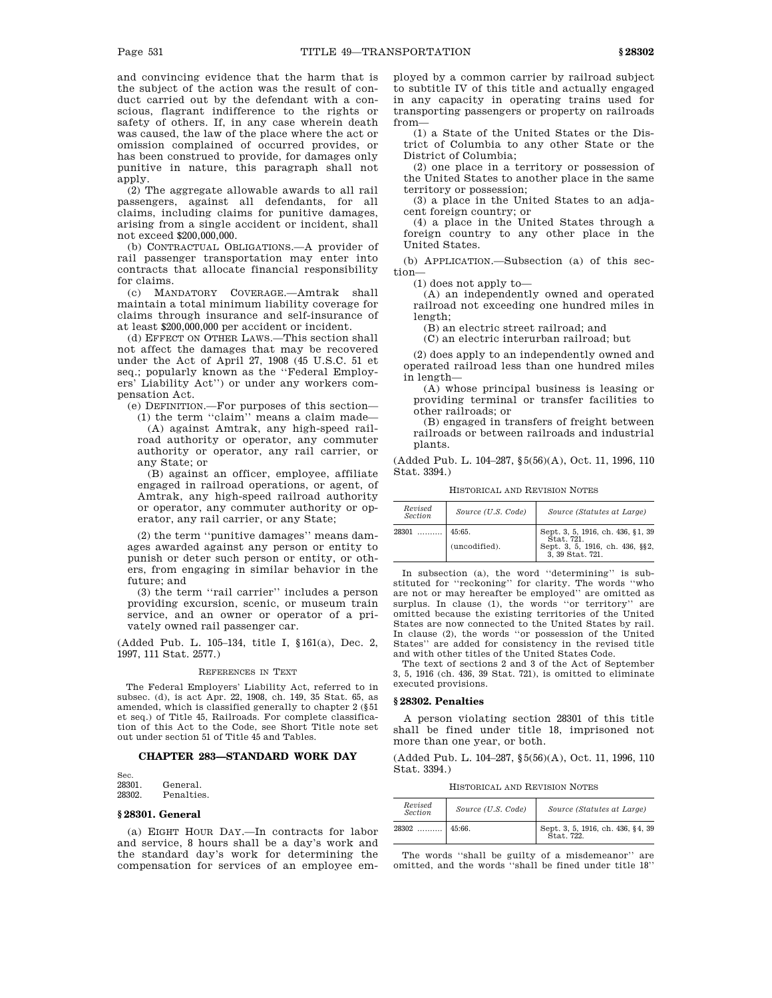and convincing evidence that the harm that is the subject of the action was the result of conduct carried out by the defendant with a conscious, flagrant indifference to the rights or safety of others. If, in any case wherein death was caused, the law of the place where the act or omission complained of occurred provides, or has been construed to provide, for damages only punitive in nature, this paragraph shall not a<sub>pply</sub>.

(2) The aggregate allowable awards to all rail passengers, against all defendants, for all claims, including claims for punitive damages, arising from a single accident or incident, shall not exceed \$200,000,000.

(b) CONTRACTUAL OBLIGATIONS.—A provider of rail passenger transportation may enter into contracts that allocate financial responsibility for claims.

(c) MANDATORY COVERAGE.—Amtrak shall maintain a total minimum liability coverage for claims through insurance and self-insurance of at least \$200,000,000 per accident or incident.

(d) EFFECT ON OTHER LAWS.—This section shall not affect the damages that may be recovered under the Act of April 27, 1908 (45 U.S.C. 51 et seq.; popularly known as the ''Federal Employers' Liability Act'') or under any workers compensation Act.

(e) DEFINITION.—For purposes of this section— (1) the term "claim" means a claim made—

(A) against Amtrak, any high-speed railroad authority or operator, any commuter authority or operator, any rail carrier, or any State; or

(B) against an officer, employee, affiliate engaged in railroad operations, or agent, of Amtrak, any high-speed railroad authority or operator, any commuter authority or operator, any rail carrier, or any State;

(2) the term ''punitive damages'' means damages awarded against any person or entity to punish or deter such person or entity, or others, from engaging in similar behavior in the future; and

(3) the term ''rail carrier'' includes a person providing excursion, scenic, or museum train service, and an owner or operator of a privately owned rail passenger car.

(Added Pub. L. 105–134, title I, §161(a), Dec. 2, 1997, 111 Stat. 2577.)

#### REFERENCES IN TEXT

The Federal Employers' Liability Act, referred to in subsec. (d), is act Apr. 22, 1908, ch. 149, 35 Stat. 65, as amended, which is classified generally to chapter 2 (§51 et seq.) of Title 45, Railroads. For complete classification of this Act to the Code, see Short Title note set out under section 51 of Title 45 and Tables.

# **CHAPTER 283—STANDARD WORK DAY**

Sec.<br>28301. 28301. General.<br>28302 Penaltie Penalties.

#### **§ 28301. General**

(a) EIGHT HOUR DAY.—In contracts for labor and service, 8 hours shall be a day's work and the standard day's work for determining the compensation for services of an employee employed by a common carrier by railroad subject to subtitle IV of this title and actually engaged in any capacity in operating trains used for transporting passengers or property on railroads from—

(1) a State of the United States or the District of Columbia to any other State or the District of Columbia;

(2) one place in a territory or possession of the United States to another place in the same territory or possession;

(3) a place in the United States to an adjacent foreign country; or

(4) a place in the United States through a foreign country to any other place in the United States.

(b) APPLICATION.—Subsection (a) of this section—

(1) does not apply to—

(A) an independently owned and operated railroad not exceeding one hundred miles in length;

(B) an electric street railroad; and

(C) an electric interurban railroad; but

(2) does apply to an independently owned and operated railroad less than one hundred miles in length—

(A) whose principal business is leasing or providing terminal or transfer facilities to other railroads; or

(B) engaged in transfers of freight between railroads or between railroads and industrial plants.

(Added Pub. L. 104–287, §5(56)(A), Oct. 11, 1996, 110 Stat. 3394.)

HISTORICAL AND REVISION NOTES

| Revised<br>Section | Source (U.S. Code)      | Source (Statutes at Large)                                                                          |  |  |
|--------------------|-------------------------|-----------------------------------------------------------------------------------------------------|--|--|
| 28301              | 45:65.<br>(uncodified). | Sept. 3, 5, 1916, ch. 436, §1, 39<br>Stat. 721.<br>Sept. 3, 5, 1916, ch. 436, §§2, 3, 39 Stat. 721. |  |  |

In subsection (a), the word ''determining'' is substituted for ''reckoning'' for clarity. The words ''who are not or may hereafter be employed'' are omitted as surplus. In clause (1), the words "or territory" are omitted because the existing territories of the United States are now connected to the United States by rail. In clause (2), the words ''or possession of the United States'' are added for consistency in the revised title and with other titles of the United States Code.

The text of sections 2 and 3 of the Act of September 3, 5, 1916 (ch. 436, 39 Stat. 721), is omitted to eliminate executed provisions.

### **§ 28302. Penalties**

A person violating section 28301 of this title shall be fined under title 18, imprisoned not more than one year, or both.

(Added Pub. L. 104–287, §5(56)(A), Oct. 11, 1996, 110 Stat. 3394.)

HISTORICAL AND REVISION NOTES

| Revised<br><b>Section</b> | Source (U.S. Code) | Source (Statutes at Large)                      |  |
|---------------------------|--------------------|-------------------------------------------------|--|
| 28302<br>                 | 45:66.             | Sept. 3, 5, 1916, ch. 436, §4, 39<br>Stat. 722. |  |

The words ''shall be guilty of a misdemeanor'' are omitted, and the words ''shall be fined under title 18''